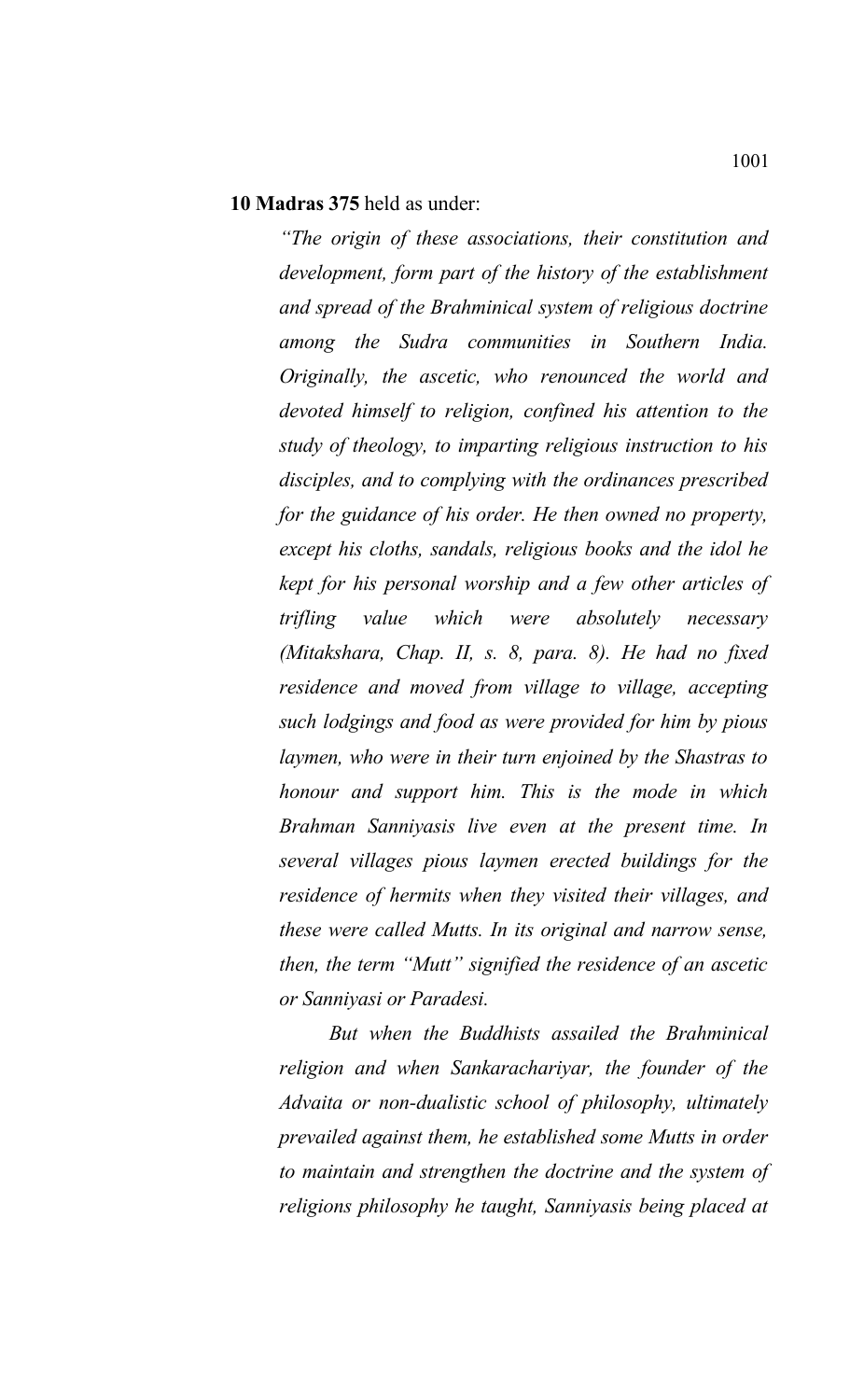### **10 Madras 375** held as under:

*"The origin of these associations, their constitution and development, form part of the history of the establishment and spread of the Brahminical system of religious doctrine among the Sudra communities in Southern India. Originally, the ascetic, who renounced the world and devoted himself to religion, confined his attention to the study of theology, to imparting religious instruction to his disciples, and to complying with the ordinances prescribed for the guidance of his order. He then owned no property, except his cloths, sandals, religious books and the idol he kept for his personal worship and a few other articles of trifling value which were absolutely necessary (Mitakshara, Chap. II, s. 8, para. 8). He had no fixed residence and moved from village to village, accepting such lodgings and food as were provided for him by pious laymen, who were in their turn enjoined by the Shastras to honour and support him. This is the mode in which Brahman Sanniyasis live even at the present time. In several villages pious laymen erected buildings for the residence of hermits when they visited their villages, and these were called Mutts. In its original and narrow sense, then, the term "Mutt" signified the residence of an ascetic or Sanniyasi or Paradesi.*

*But when the Buddhists assailed the Brahminical religion and when Sankarachariyar, the founder of the Advaita or non-dualistic school of philosophy, ultimately prevailed against them, he established some Mutts in order to maintain and strengthen the doctrine and the system of religions philosophy he taught, Sanniyasis being placed at*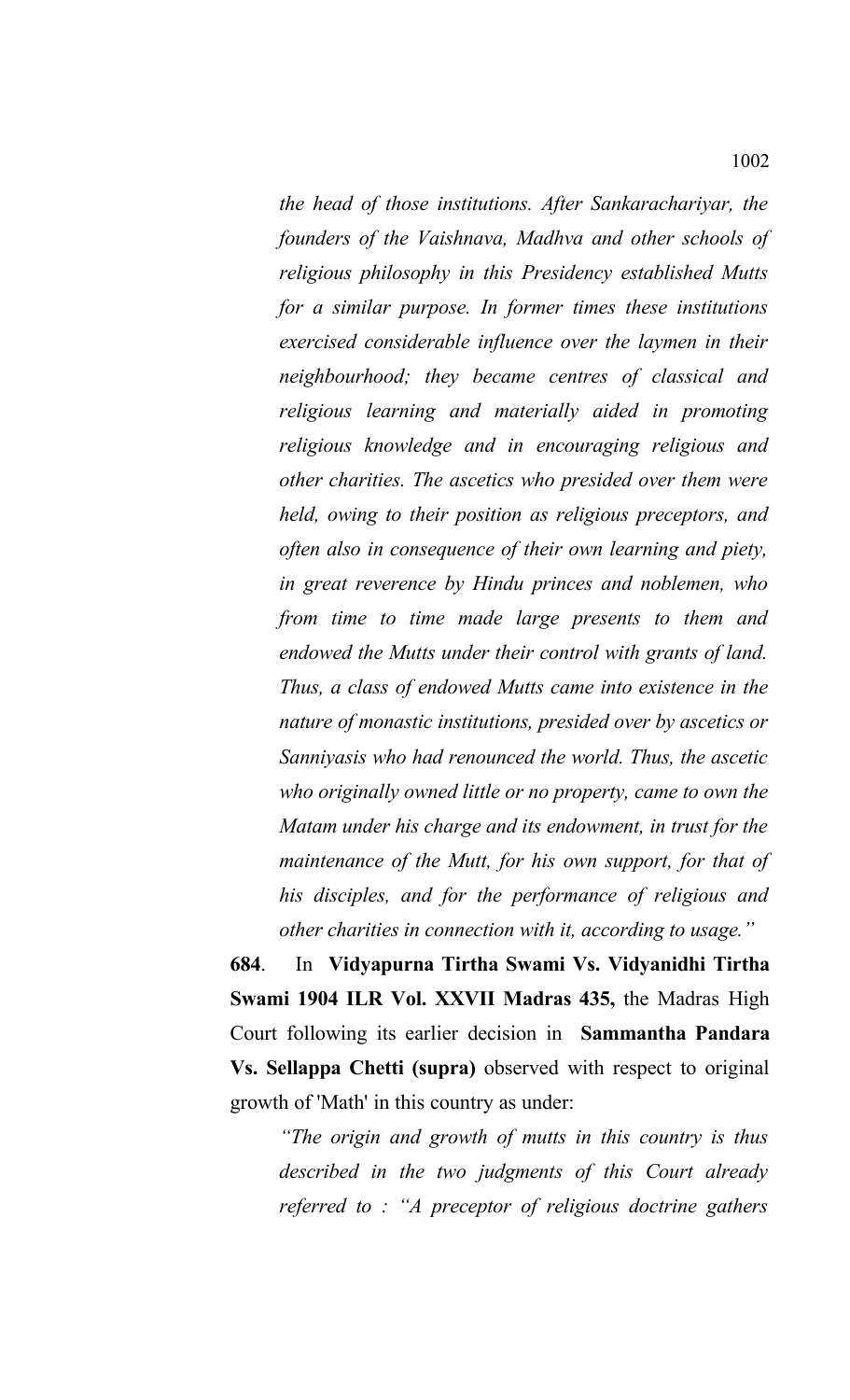*the head of those institutions. After Sankarachariyar, the founders of the Vaishnava, Madhva and other schools of religious philosophy in this Presidency established Mutts for a similar purpose. In former times these institutions exercised considerable influence over the laymen in their neighbourhood; they became centres of classical and religious learning and materially aided in promoting religious knowledge and in encouraging religious and other charities. The ascetics who presided over them were held, owing to their position as religious preceptors, and often also in consequence of their own learning and piety, in great reverence by Hindu princes and noblemen, who from time to time made large presents to them and endowed the Mutts under their control with grants of land. Thus, a class of endowed Mutts came into existence in the nature of monastic institutions, presided over by ascetics or Sanniyasis who had renounced the world. Thus, the ascetic who originally owned little or no property, came to own the Matam under his charge and its endowment, in trust for the maintenance of the Mutt, for his own support, for that of his disciples, and for the performance of religious and other charities in connection with it, according to usage."*

**684**. In **Vidyapurna Tirtha Swami Vs. Vidyanidhi Tirtha Swami 1904 ILR Vol. XXVII Madras 435,** the Madras High Court following its earlier decision in **Sammantha Pandara Vs. Sellappa Chetti (supra)** observed with respect to original growth of 'Math' in this country as under:

*"The origin and growth of mutts in this country is thus described in the two judgments of this Court already referred to : "A preceptor of religious doctrine gathers*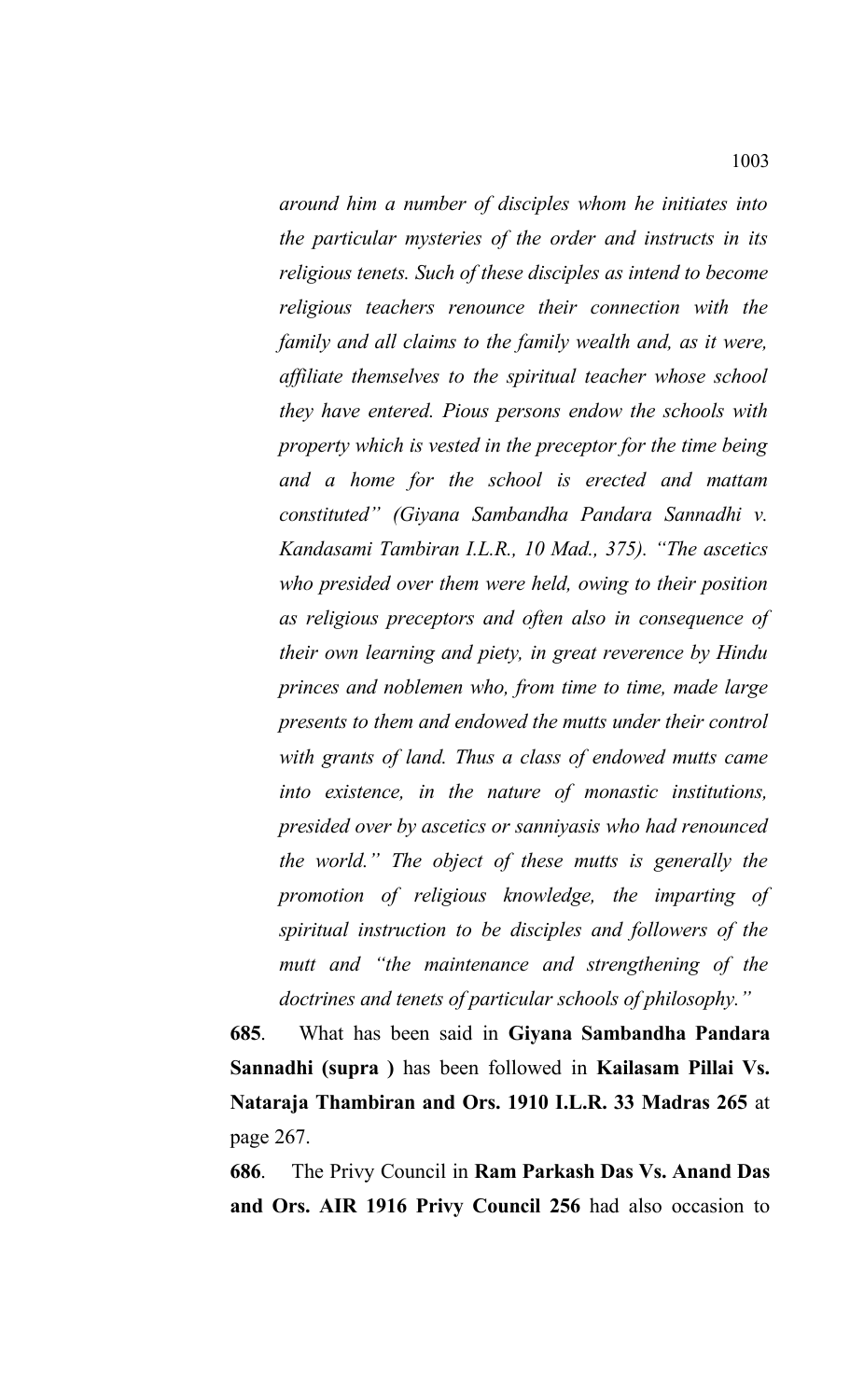*around him a number of disciples whom he initiates into the particular mysteries of the order and instructs in its religious tenets. Such of these disciples as intend to become religious teachers renounce their connection with the family and all claims to the family wealth and, as it were, affiliate themselves to the spiritual teacher whose school they have entered. Pious persons endow the schools with property which is vested in the preceptor for the time being and a home for the school is erected and mattam constituted" (Giyana Sambandha Pandara Sannadhi v. Kandasami Tambiran I.L.R., 10 Mad., 375). "The ascetics who presided over them were held, owing to their position as religious preceptors and often also in consequence of their own learning and piety, in great reverence by Hindu princes and noblemen who, from time to time, made large presents to them and endowed the mutts under their control with grants of land. Thus a class of endowed mutts came into existence, in the nature of monastic institutions, presided over by ascetics or sanniyasis who had renounced the world." The object of these mutts is generally the promotion of religious knowledge, the imparting of spiritual instruction to be disciples and followers of the mutt and "the maintenance and strengthening of the doctrines and tenets of particular schools of philosophy."*

**685**. What has been said in **Giyana Sambandha Pandara Sannadhi (supra )** has been followed in **Kailasam Pillai Vs. Nataraja Thambiran and Ors. 1910 I.L.R. 33 Madras 265** at page 267.

**686**. The Privy Council in **Ram Parkash Das Vs. Anand Das and Ors. AIR 1916 Privy Council 256** had also occasion to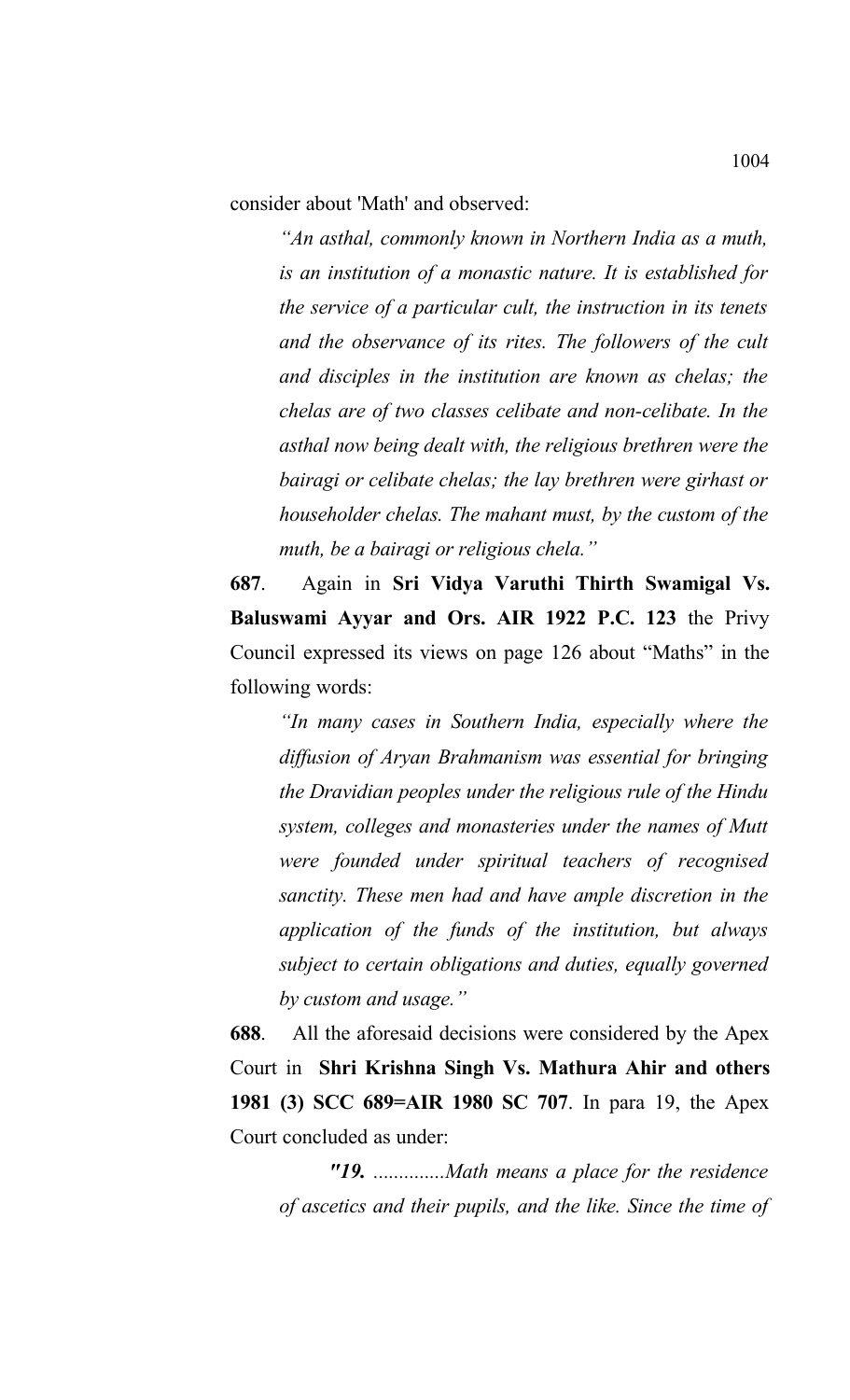consider about 'Math' and observed:

*"An asthal, commonly known in Northern India as a muth, is an institution of a monastic nature. It is established for the service of a particular cult, the instruction in its tenets and the observance of its rites. The followers of the cult and disciples in the institution are known as chelas; the chelas are of two classes celibate and non-celibate. In the asthal now being dealt with, the religious brethren were the bairagi or celibate chelas; the lay brethren were girhast or householder chelas. The mahant must, by the custom of the muth, be a bairagi or religious chela."*

**687**. Again in **Sri Vidya Varuthi Thirth Swamigal Vs. Baluswami Ayyar and Ors. AIR 1922 P.C. 123** the Privy Council expressed its views on page 126 about "Maths" in the following words:

*"In many cases in Southern India, especially where the diffusion of Aryan Brahmanism was essential for bringing the Dravidian peoples under the religious rule of the Hindu system, colleges and monasteries under the names of Mutt were founded under spiritual teachers of recognised sanctity. These men had and have ample discretion in the application of the funds of the institution, but always subject to certain obligations and duties, equally governed by custom and usage."*

**688**. All the aforesaid decisions were considered by the Apex Court in **Shri Krishna Singh Vs. Mathura Ahir and others 1981 (3) SCC 689=AIR 1980 SC 707**. In para 19, the Apex Court concluded as under:

*"19. ..............Math means a place for the residence of ascetics and their pupils, and the like. Since the time of*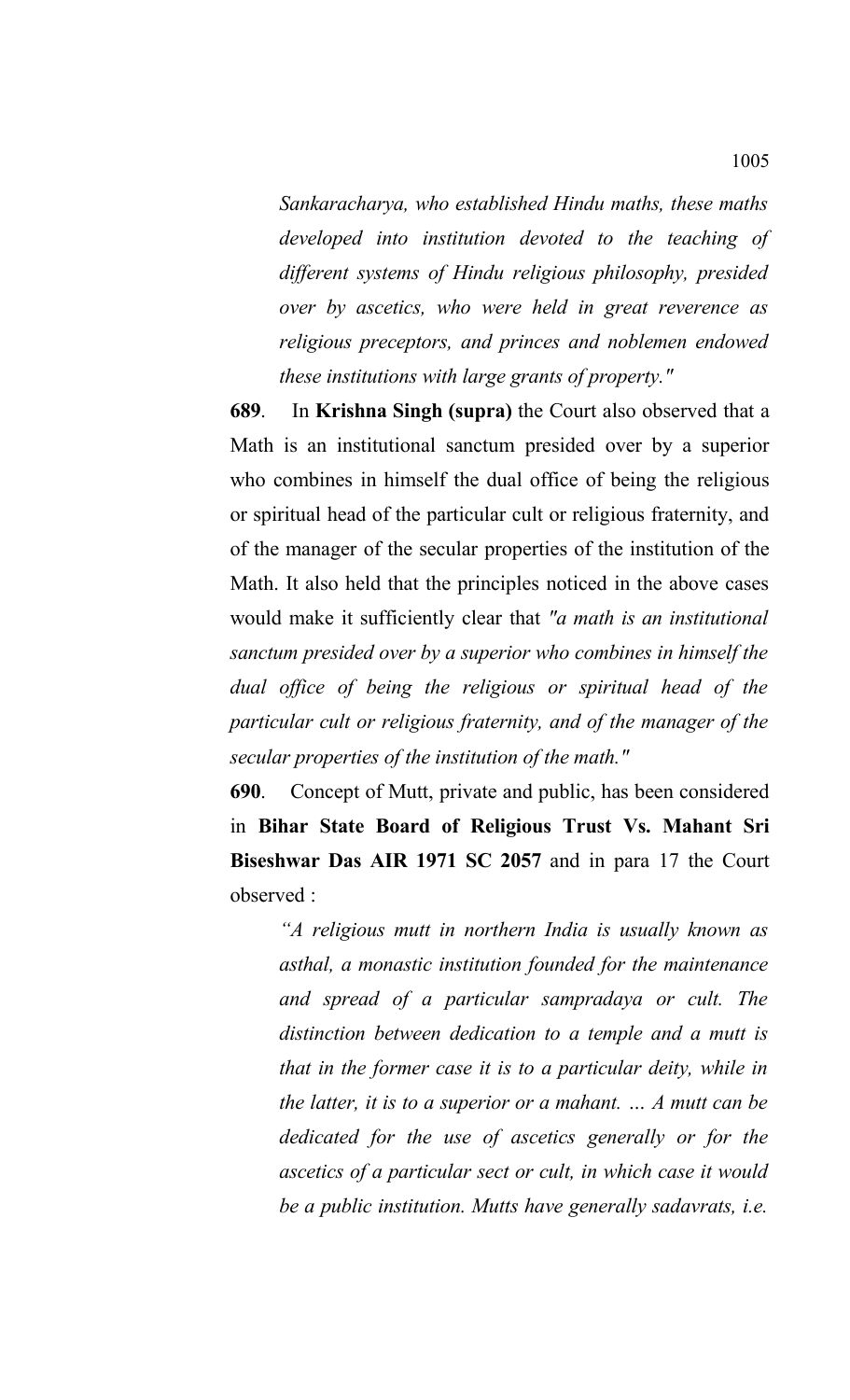*Sankaracharya, who established Hindu maths, these maths developed into institution devoted to the teaching of different systems of Hindu religious philosophy, presided over by ascetics, who were held in great reverence as religious preceptors, and princes and noblemen endowed these institutions with large grants of property."*

**689**. In **Krishna Singh (supra)** the Court also observed that a Math is an institutional sanctum presided over by a superior who combines in himself the dual office of being the religious or spiritual head of the particular cult or religious fraternity, and of the manager of the secular properties of the institution of the Math. It also held that the principles noticed in the above cases would make it sufficiently clear that *"a math is an institutional sanctum presided over by a superior who combines in himself the dual office of being the religious or spiritual head of the particular cult or religious fraternity, and of the manager of the secular properties of the institution of the math."*

**690**. Concept of Mutt, private and public, has been considered in **Bihar State Board of Religious Trust Vs. Mahant Sri Biseshwar Das AIR 1971 SC 2057** and in para 17 the Court observed :

*"A religious mutt in northern India is usually known as asthal, a monastic institution founded for the maintenance and spread of a particular sampradaya or cult. The distinction between dedication to a temple and a mutt is that in the former case it is to a particular deity, while in the latter, it is to a superior or a mahant. … A mutt can be dedicated for the use of ascetics generally or for the ascetics of a particular sect or cult, in which case it would be a public institution. Mutts have generally sadavrats, i.e.*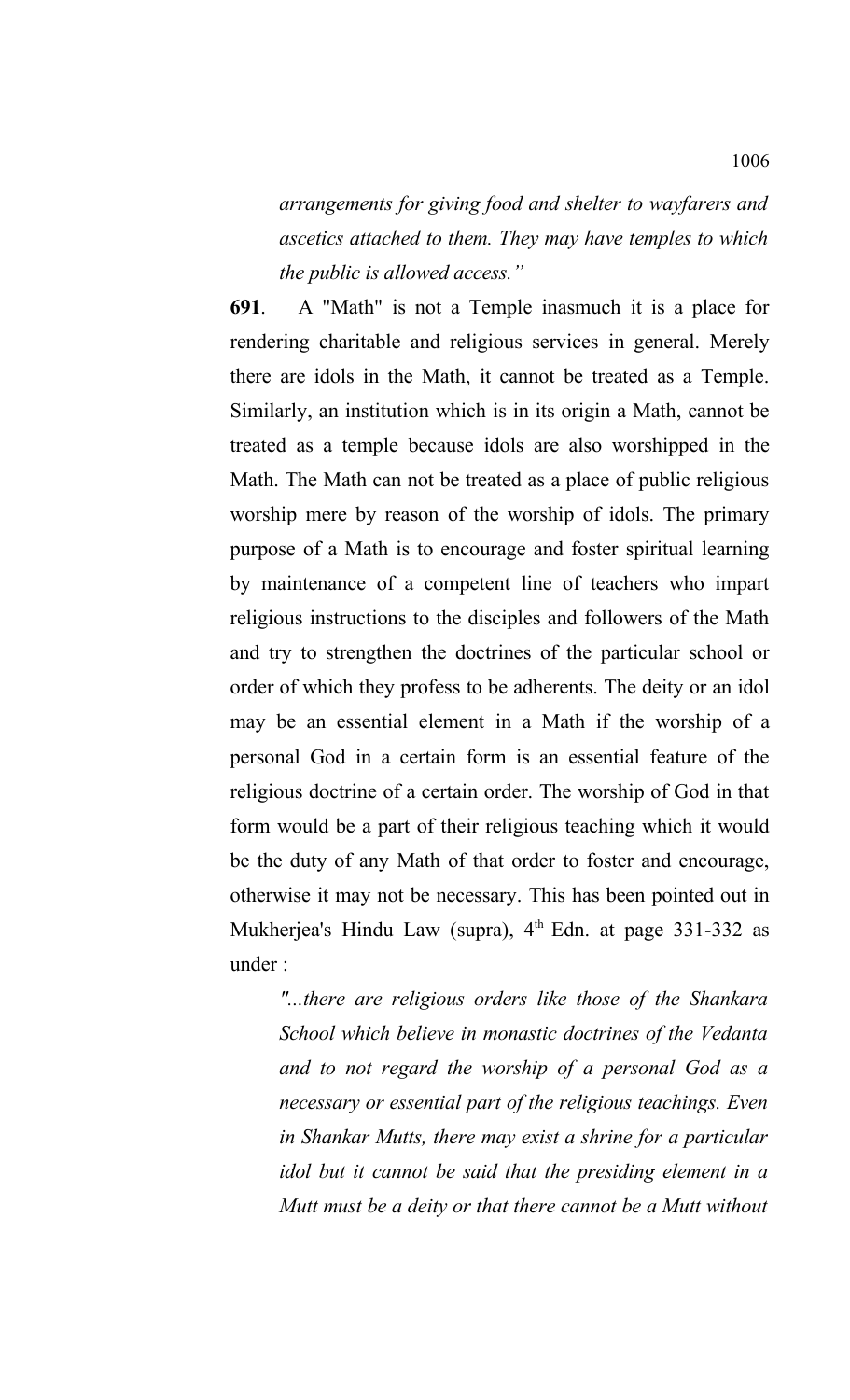*arrangements for giving food and shelter to wayfarers and ascetics attached to them. They may have temples to which the public is allowed access."*

**691**. A "Math" is not a Temple inasmuch it is a place for rendering charitable and religious services in general. Merely there are idols in the Math, it cannot be treated as a Temple. Similarly, an institution which is in its origin a Math, cannot be treated as a temple because idols are also worshipped in the Math. The Math can not be treated as a place of public religious worship mere by reason of the worship of idols. The primary purpose of a Math is to encourage and foster spiritual learning by maintenance of a competent line of teachers who impart religious instructions to the disciples and followers of the Math and try to strengthen the doctrines of the particular school or order of which they profess to be adherents. The deity or an idol may be an essential element in a Math if the worship of a personal God in a certain form is an essential feature of the religious doctrine of a certain order. The worship of God in that form would be a part of their religious teaching which it would be the duty of any Math of that order to foster and encourage, otherwise it may not be necessary. This has been pointed out in Mukherjea's Hindu Law (supra),  $4<sup>th</sup>$  Edn. at page 331-332 as under :

*"...there are religious orders like those of the Shankara School which believe in monastic doctrines of the Vedanta and to not regard the worship of a personal God as a necessary or essential part of the religious teachings. Even in Shankar Mutts, there may exist a shrine for a particular idol but it cannot be said that the presiding element in a Mutt must be a deity or that there cannot be a Mutt without*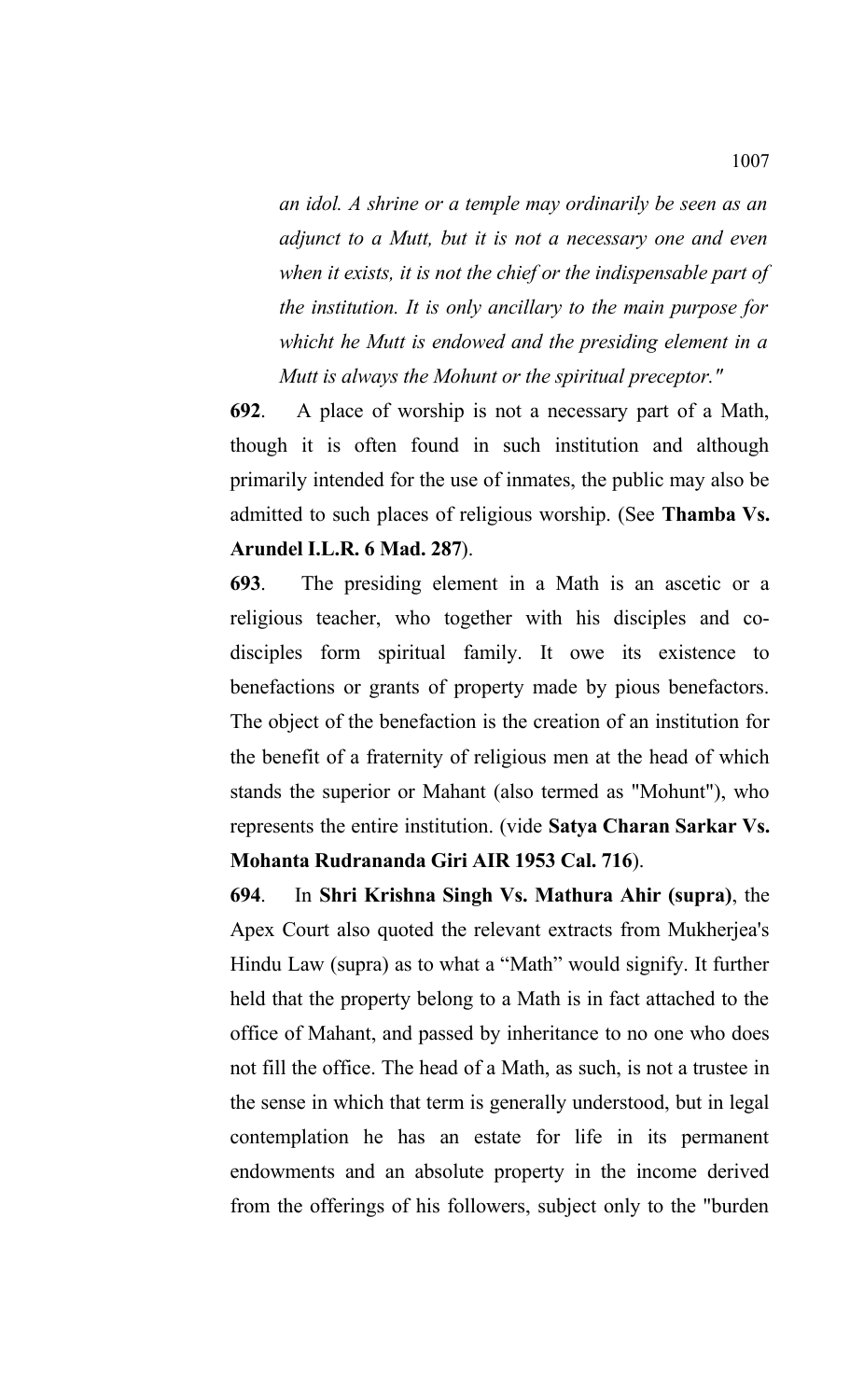*an idol. A shrine or a temple may ordinarily be seen as an adjunct to a Mutt, but it is not a necessary one and even when it exists, it is not the chief or the indispensable part of the institution. It is only ancillary to the main purpose for whicht he Mutt is endowed and the presiding element in a Mutt is always the Mohunt or the spiritual preceptor."*

**692**. A place of worship is not a necessary part of a Math, though it is often found in such institution and although primarily intended for the use of inmates, the public may also be admitted to such places of religious worship. (See **Thamba Vs. Arundel I.L.R. 6 Mad. 287**).

**693**. The presiding element in a Math is an ascetic or a religious teacher, who together with his disciples and codisciples form spiritual family. It owe its existence to benefactions or grants of property made by pious benefactors. The object of the benefaction is the creation of an institution for the benefit of a fraternity of religious men at the head of which stands the superior or Mahant (also termed as "Mohunt"), who represents the entire institution. (vide **Satya Charan Sarkar Vs. Mohanta Rudrananda Giri AIR 1953 Cal. 716**).

**694**. In **Shri Krishna Singh Vs. Mathura Ahir (supra)**, the Apex Court also quoted the relevant extracts from Mukherjea's Hindu Law (supra) as to what a "Math" would signify. It further held that the property belong to a Math is in fact attached to the office of Mahant, and passed by inheritance to no one who does not fill the office. The head of a Math, as such, is not a trustee in the sense in which that term is generally understood, but in legal contemplation he has an estate for life in its permanent endowments and an absolute property in the income derived from the offerings of his followers, subject only to the "burden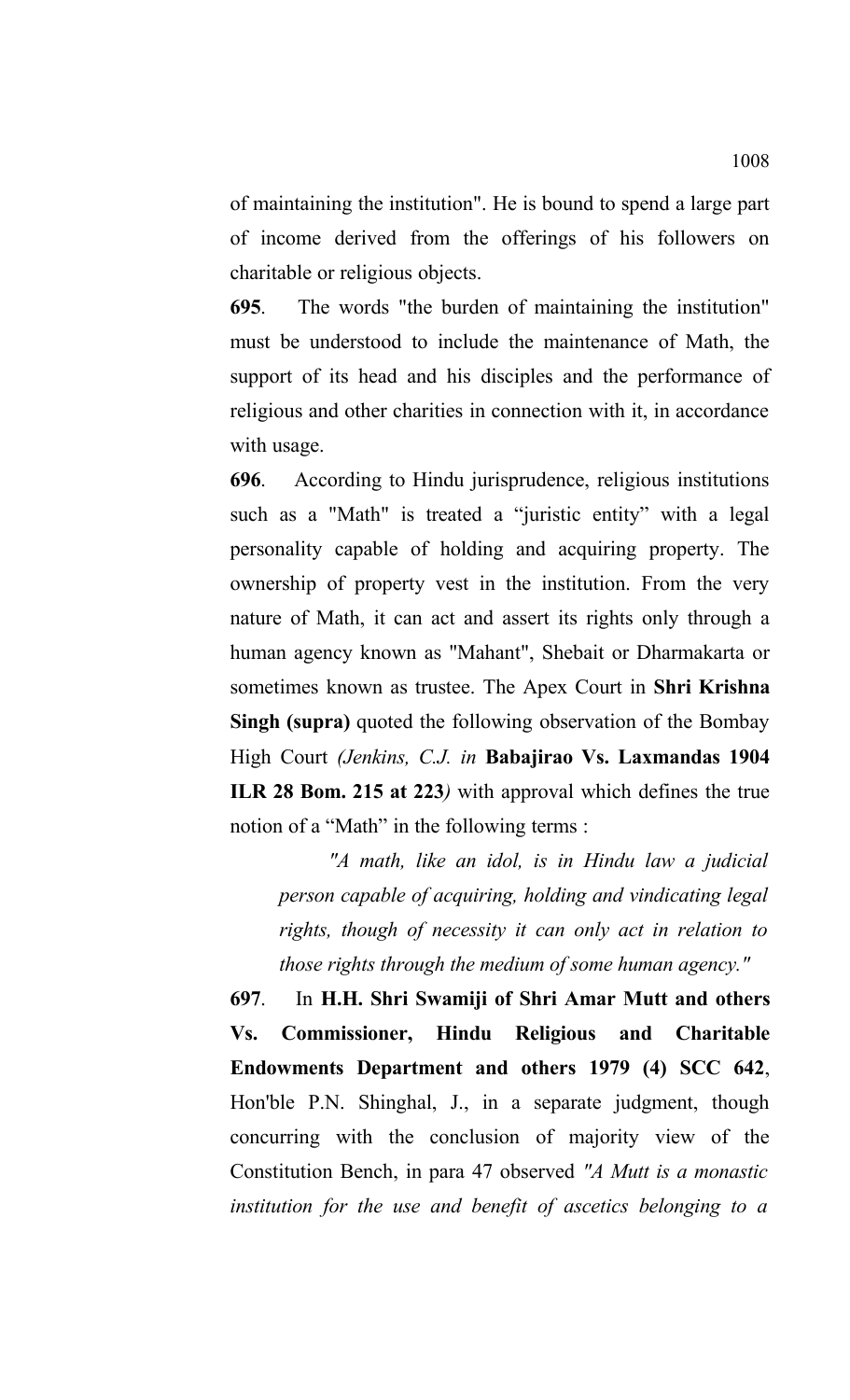of maintaining the institution". He is bound to spend a large part of income derived from the offerings of his followers on charitable or religious objects.

**695**. The words "the burden of maintaining the institution" must be understood to include the maintenance of Math, the support of its head and his disciples and the performance of religious and other charities in connection with it, in accordance with usage.

**696**. According to Hindu jurisprudence, religious institutions such as a "Math" is treated a "juristic entity" with a legal personality capable of holding and acquiring property. The ownership of property vest in the institution. From the very nature of Math, it can act and assert its rights only through a human agency known as "Mahant", Shebait or Dharmakarta or sometimes known as trustee. The Apex Court in **Shri Krishna Singh (supra)** quoted the following observation of the Bombay High Court *(Jenkins, C.J. in* **Babajirao Vs. Laxmandas 1904 ILR 28 Bom. 215 at 223***)* with approval which defines the true notion of a "Math" in the following terms :

*"A math, like an idol, is in Hindu law a judicial person capable of acquiring, holding and vindicating legal rights, though of necessity it can only act in relation to those rights through the medium of some human agency."* 

**697**. In **H.H. Shri Swamiji of Shri Amar Mutt and others Vs. Commissioner, Hindu Religious and Charitable Endowments Department and others 1979 (4) SCC 642**, Hon'ble P.N. Shinghal, J., in a separate judgment, though concurring with the conclusion of majority view of the Constitution Bench, in para 47 observed *"A Mutt is a monastic institution for the use and benefit of ascetics belonging to a*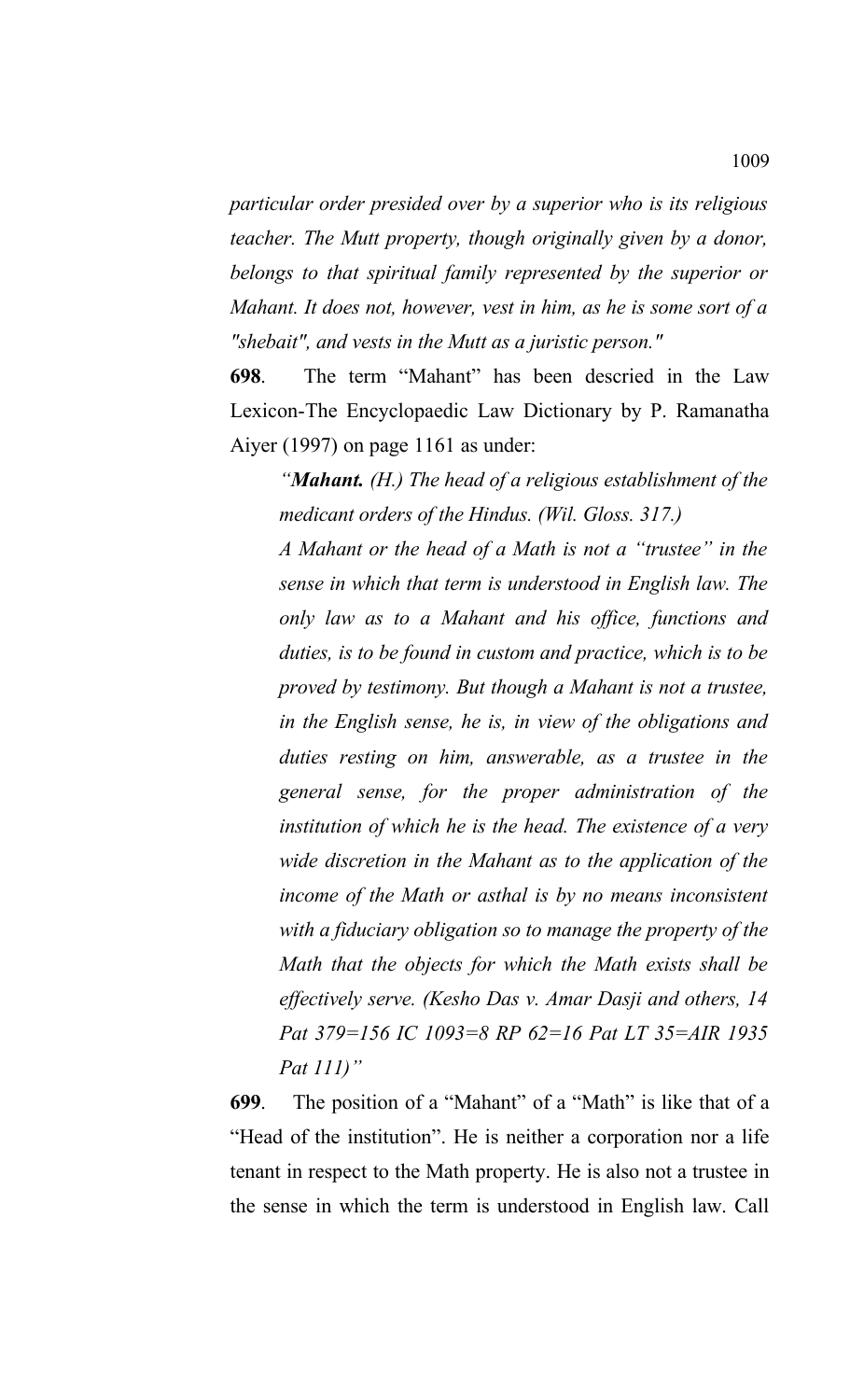*particular order presided over by a superior who is its religious teacher. The Mutt property, though originally given by a donor, belongs to that spiritual family represented by the superior or Mahant. It does not, however, vest in him, as he is some sort of a "shebait", and vests in the Mutt as a juristic person."*

**698**. The term "Mahant" has been descried in the Law Lexicon-The Encyclopaedic Law Dictionary by P. Ramanatha Aiyer (1997) on page 1161 as under:

*"Mahant. (H.) The head of a religious establishment of the medicant orders of the Hindus. (Wil. Gloss. 317.)*

*A Mahant or the head of a Math is not a "trustee" in the sense in which that term is understood in English law. The only law as to a Mahant and his office, functions and duties, is to be found in custom and practice, which is to be proved by testimony. But though a Mahant is not a trustee, in the English sense, he is, in view of the obligations and duties resting on him, answerable, as a trustee in the general sense, for the proper administration of the institution of which he is the head. The existence of a very wide discretion in the Mahant as to the application of the income of the Math or asthal is by no means inconsistent with a fiduciary obligation so to manage the property of the Math that the objects for which the Math exists shall be effectively serve. (Kesho Das v. Amar Dasji and others, 14 Pat 379=156 IC 1093=8 RP 62=16 Pat LT 35=AIR 1935 Pat 111)"*

**699**. The position of a "Mahant" of a "Math" is like that of a "Head of the institution". He is neither a corporation nor a life tenant in respect to the Math property. He is also not a trustee in the sense in which the term is understood in English law. Call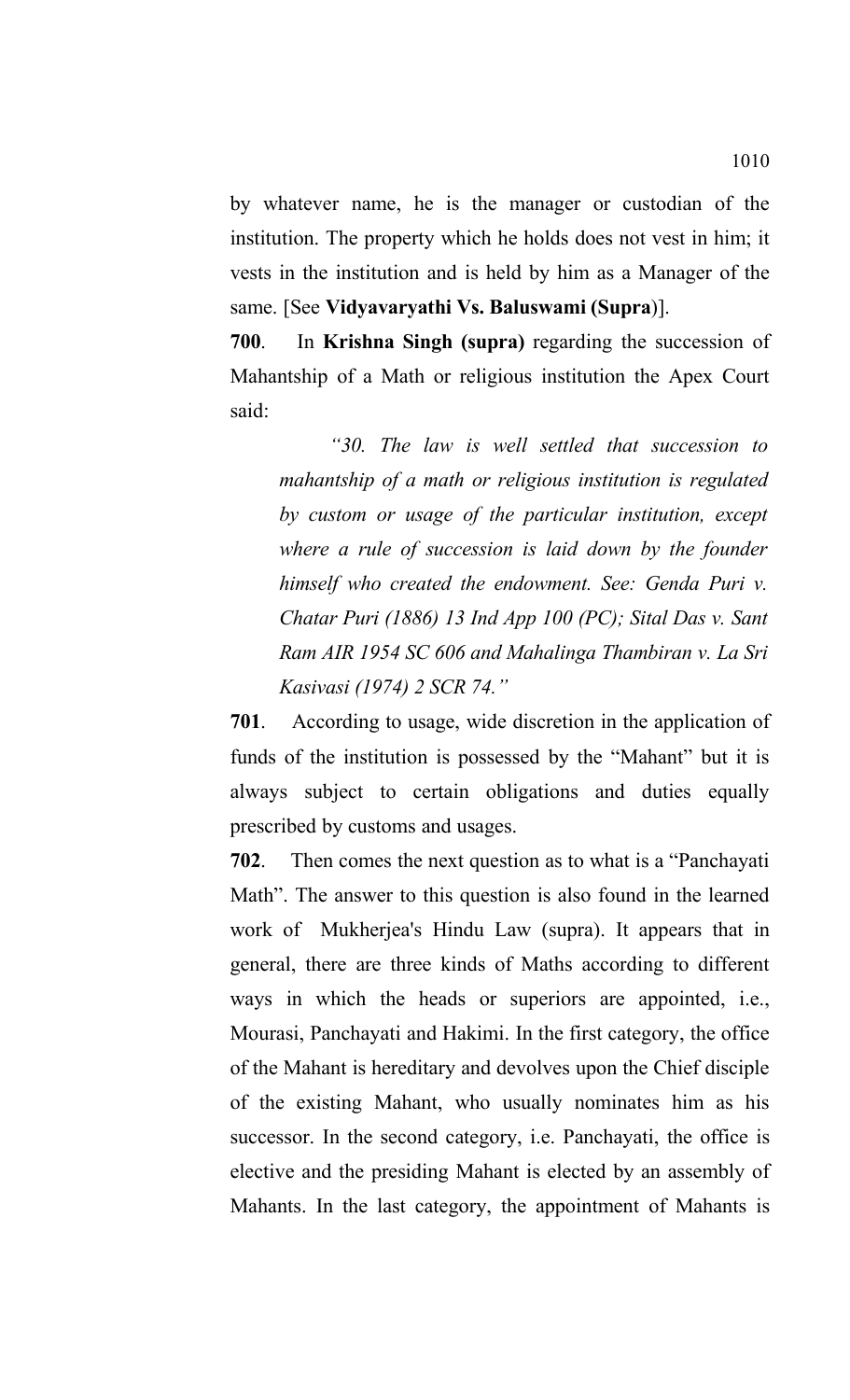by whatever name, he is the manager or custodian of the institution. The property which he holds does not vest in him; it vests in the institution and is held by him as a Manager of the same. [See **Vidyavaryathi Vs. Baluswami (Supra**)].

**700**. In **Krishna Singh (supra)** regarding the succession of Mahantship of a Math or religious institution the Apex Court said:

*"30. The law is well settled that succession to mahantship of a math or religious institution is regulated by custom or usage of the particular institution, except where a rule of succession is laid down by the founder himself who created the endowment. See: Genda Puri v. Chatar Puri (1886) 13 Ind App 100 (PC); Sital Das v. Sant Ram AIR 1954 SC 606 and Mahalinga Thambiran v. La Sri Kasivasi (1974) 2 SCR 74."*

**701**. According to usage, wide discretion in the application of funds of the institution is possessed by the "Mahant" but it is always subject to certain obligations and duties equally prescribed by customs and usages.

**702**. Then comes the next question as to what is a "Panchayati Math". The answer to this question is also found in the learned work of Mukherjea's Hindu Law (supra). It appears that in general, there are three kinds of Maths according to different ways in which the heads or superiors are appointed, i.e., Mourasi, Panchayati and Hakimi. In the first category, the office of the Mahant is hereditary and devolves upon the Chief disciple of the existing Mahant, who usually nominates him as his successor. In the second category, i.e. Panchayati, the office is elective and the presiding Mahant is elected by an assembly of Mahants. In the last category, the appointment of Mahants is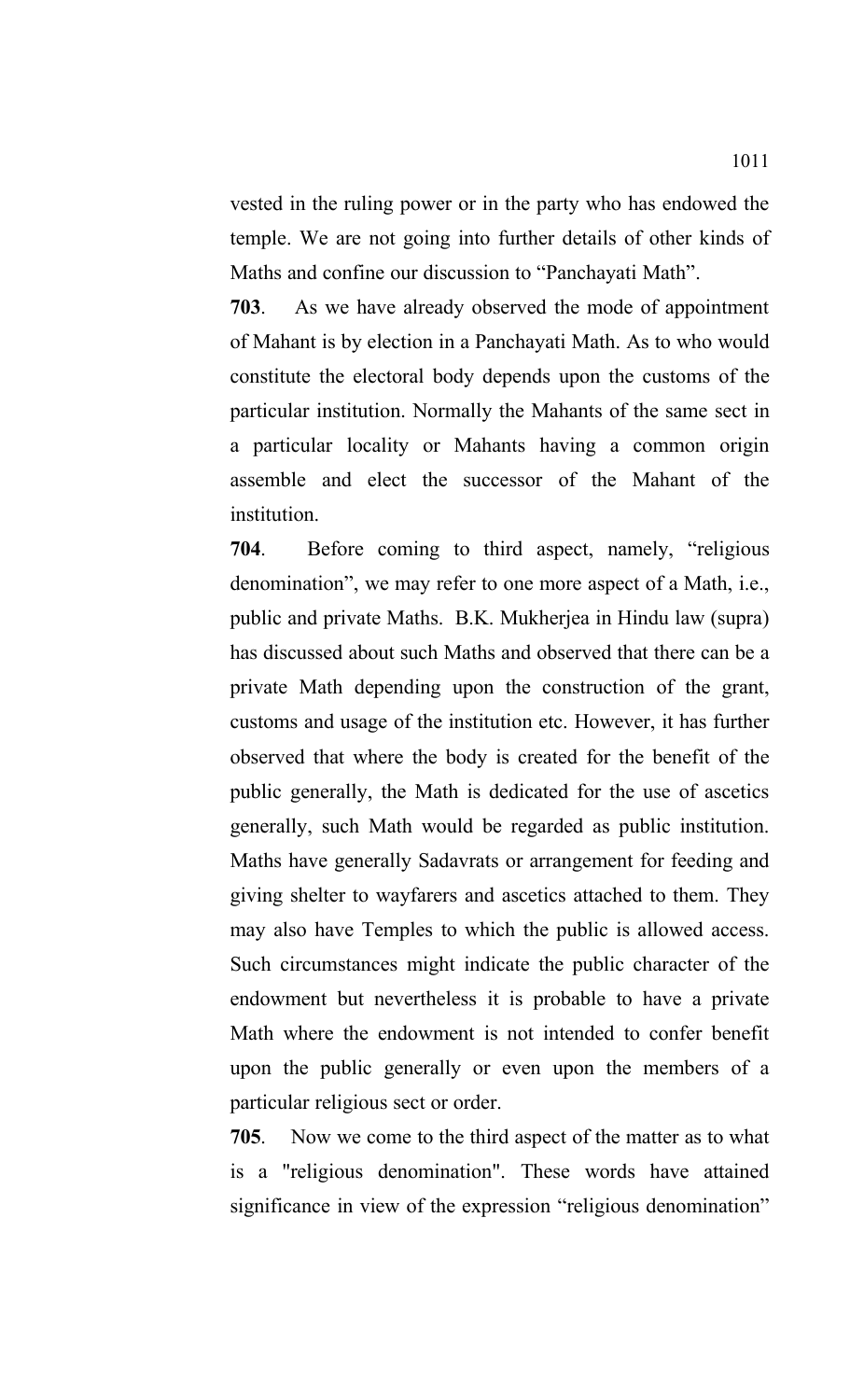vested in the ruling power or in the party who has endowed the temple. We are not going into further details of other kinds of Maths and confine our discussion to "Panchayati Math".

**703**. As we have already observed the mode of appointment of Mahant is by election in a Panchayati Math. As to who would constitute the electoral body depends upon the customs of the particular institution. Normally the Mahants of the same sect in a particular locality or Mahants having a common origin assemble and elect the successor of the Mahant of the institution.

**704**. Before coming to third aspect, namely, "religious denomination", we may refer to one more aspect of a Math, i.e., public and private Maths. B.K. Mukherjea in Hindu law (supra) has discussed about such Maths and observed that there can be a private Math depending upon the construction of the grant, customs and usage of the institution etc. However, it has further observed that where the body is created for the benefit of the public generally, the Math is dedicated for the use of ascetics generally, such Math would be regarded as public institution. Maths have generally Sadavrats or arrangement for feeding and giving shelter to wayfarers and ascetics attached to them. They may also have Temples to which the public is allowed access. Such circumstances might indicate the public character of the endowment but nevertheless it is probable to have a private Math where the endowment is not intended to confer benefit upon the public generally or even upon the members of a particular religious sect or order.

**705**. Now we come to the third aspect of the matter as to what is a "religious denomination". These words have attained significance in view of the expression "religious denomination"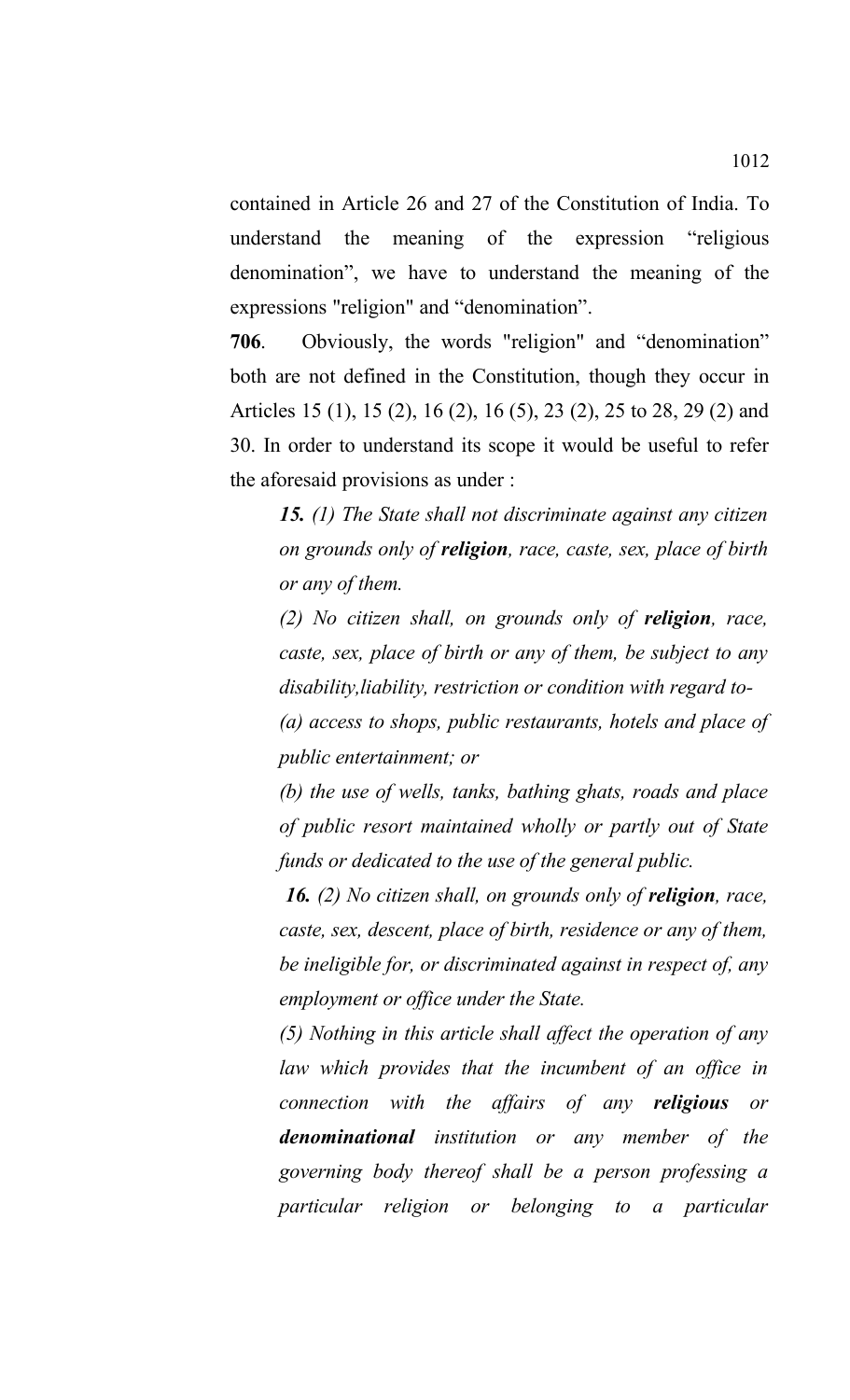contained in Article 26 and 27 of the Constitution of India. To understand the meaning of the expression "religious denomination", we have to understand the meaning of the expressions "religion" and "denomination".

**706**. Obviously, the words "religion" and "denomination" both are not defined in the Constitution, though they occur in Articles 15 (1), 15 (2), 16 (2), 16 (5), 23 (2), 25 to 28, 29 (2) and 30. In order to understand its scope it would be useful to refer the aforesaid provisions as under :

*15. (1) The State shall not discriminate against any citizen on grounds only of religion, race, caste, sex, place of birth or any of them.* 

*(2) No citizen shall, on grounds only of religion, race, caste, sex, place of birth or any of them, be subject to any disability,liability, restriction or condition with regard to-*

*(a) access to shops, public restaurants, hotels and place of public entertainment; or*

*(b) the use of wells, tanks, bathing ghats, roads and place of public resort maintained wholly or partly out of State funds or dedicated to the use of the general public.*

 *16. (2) No citizen shall, on grounds only of religion, race, caste, sex, descent, place of birth, residence or any of them, be ineligible for, or discriminated against in respect of, any employment or office under the State.* 

*(5) Nothing in this article shall affect the operation of any law which provides that the incumbent of an office in connection with the affairs of any religious or denominational institution or any member of the governing body thereof shall be a person professing a particular religion or belonging to a particular*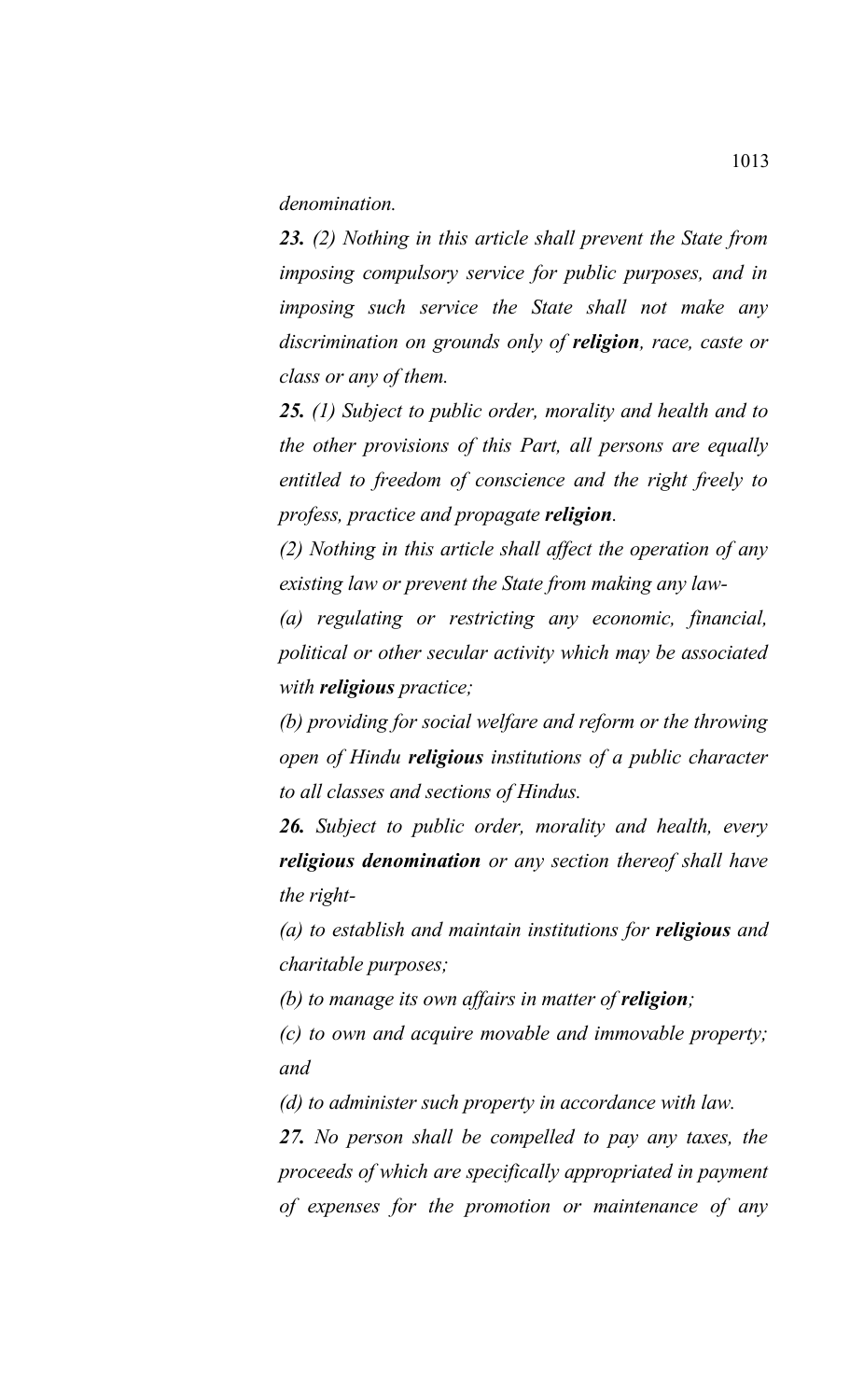*denomination.* 

*23. (2) Nothing in this article shall prevent the State from imposing compulsory service for public purposes, and in imposing such service the State shall not make any discrimination on grounds only of religion, race, caste or class or any of them.* 

*25. (1) Subject to public order, morality and health and to the other provisions of this Part, all persons are equally entitled to freedom of conscience and the right freely to profess, practice and propagate religion.* 

*(2) Nothing in this article shall affect the operation of any existing law or prevent the State from making any law-*

*(a) regulating or restricting any economic, financial, political or other secular activity which may be associated with religious practice;*

*(b) providing for social welfare and reform or the throwing open of Hindu religious institutions of a public character to all classes and sections of Hindus.*

*26. Subject to public order, morality and health, every religious denomination or any section thereof shall have the right-*

*(a) to establish and maintain institutions for religious and charitable purposes;*

*(b) to manage its own affairs in matter of religion;*

*(c) to own and acquire movable and immovable property; and*

*(d) to administer such property in accordance with law.* 

*27. No person shall be compelled to pay any taxes, the proceeds of which are specifically appropriated in payment of expenses for the promotion or maintenance of any*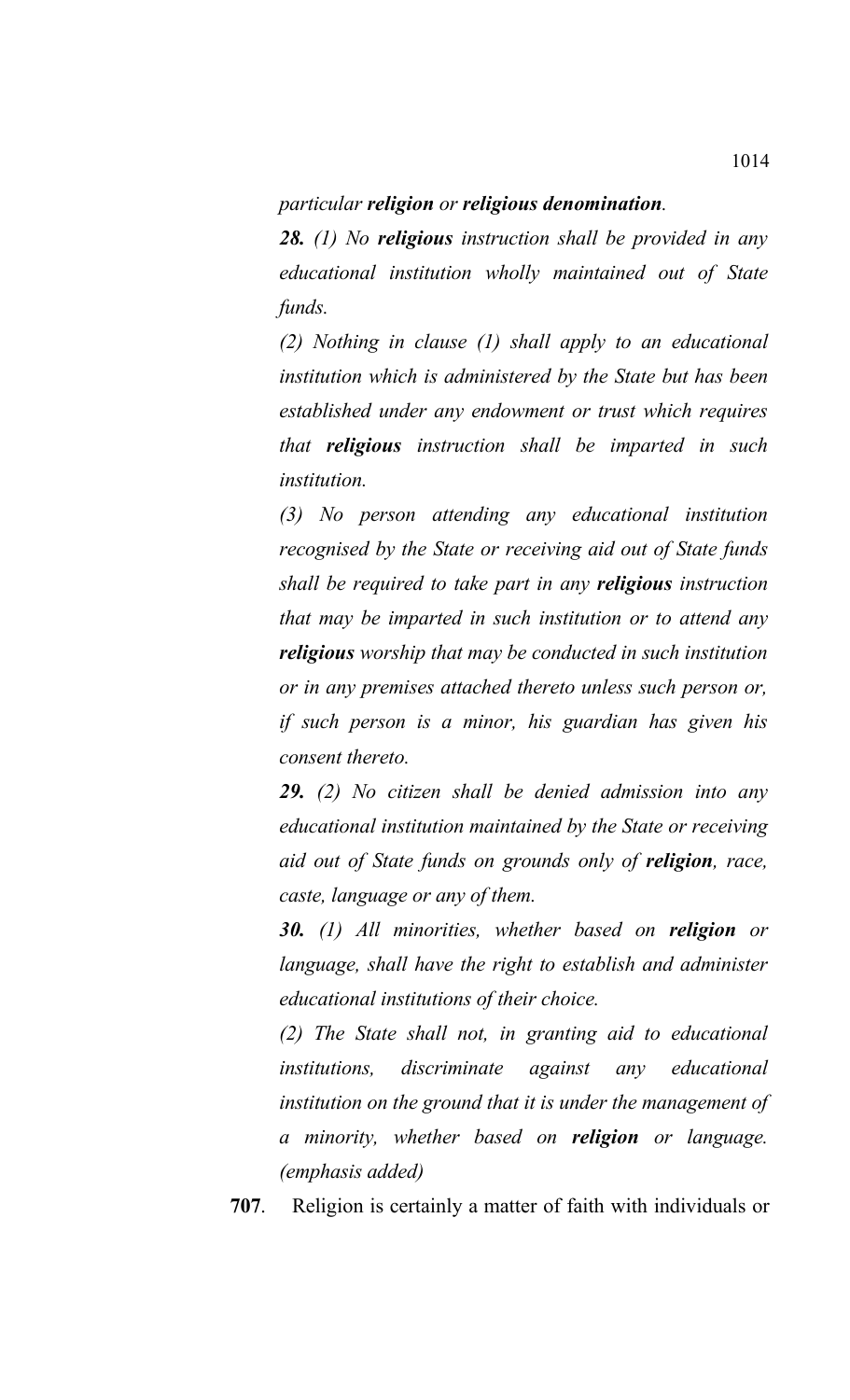#### *particular religion or religious denomination.*

*28. (1) No religious instruction shall be provided in any educational institution wholly maintained out of State funds.* 

*(2) Nothing in clause (1) shall apply to an educational institution which is administered by the State but has been established under any endowment or trust which requires that religious instruction shall be imparted in such institution.*

*(3) No person attending any educational institution recognised by the State or receiving aid out of State funds shall be required to take part in any religious instruction that may be imparted in such institution or to attend any religious worship that may be conducted in such institution or in any premises attached thereto unless such person or, if such person is a minor, his guardian has given his consent thereto.* 

*29. (2) No citizen shall be denied admission into any educational institution maintained by the State or receiving aid out of State funds on grounds only of religion, race, caste, language or any of them.* 

*30. (1) All minorities, whether based on religion or language, shall have the right to establish and administer educational institutions of their choice.* 

*(2) The State shall not, in granting aid to educational institutions, discriminate against any educational institution on the ground that it is under the management of a minority, whether based on religion or language. (emphasis added)*

**707**. Religion is certainly a matter of faith with individuals or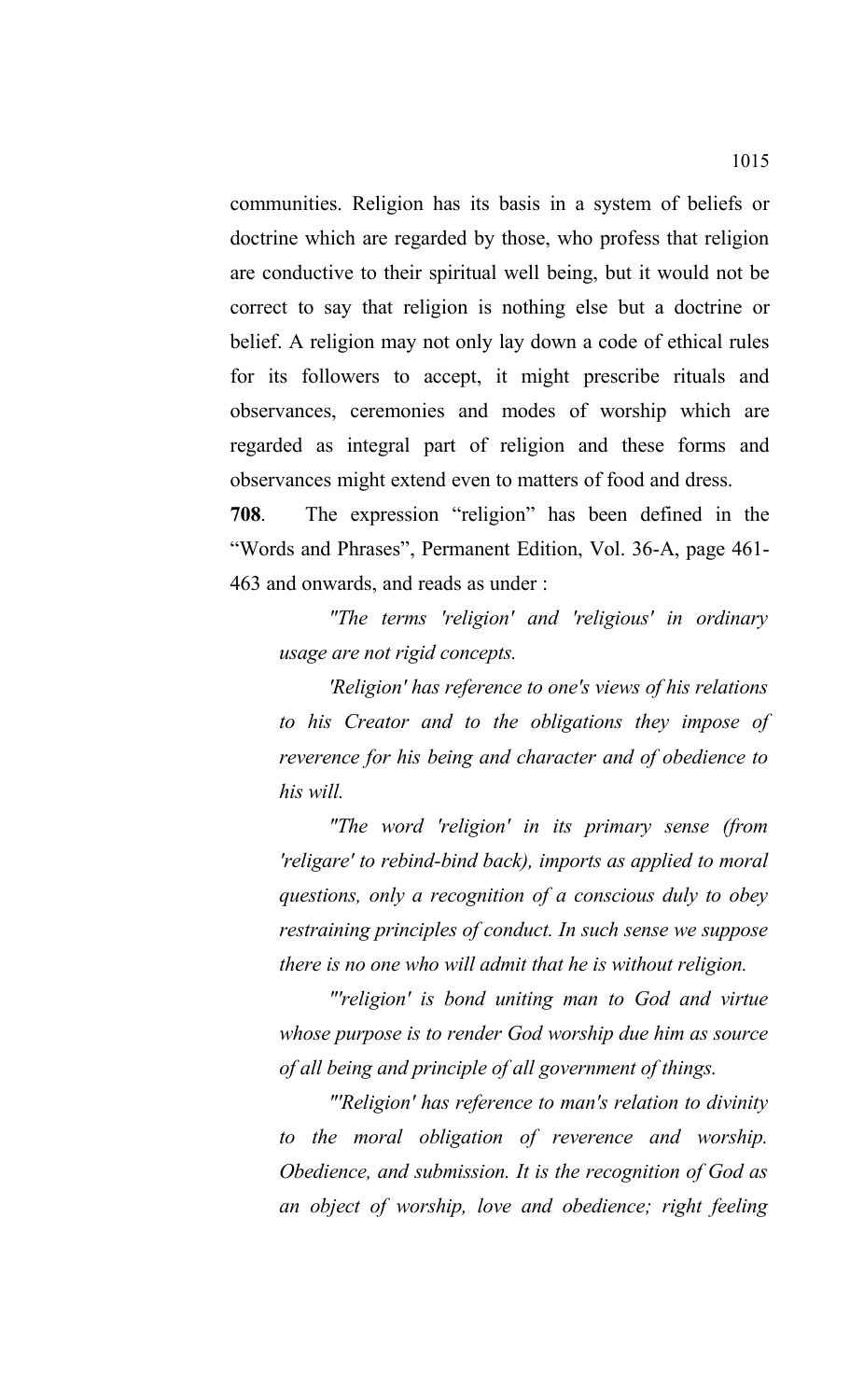communities. Religion has its basis in a system of beliefs or doctrine which are regarded by those, who profess that religion are conductive to their spiritual well being, but it would not be correct to say that religion is nothing else but a doctrine or belief. A religion may not only lay down a code of ethical rules for its followers to accept, it might prescribe rituals and observances, ceremonies and modes of worship which are regarded as integral part of religion and these forms and observances might extend even to matters of food and dress.

**708**. The expression "religion" has been defined in the "Words and Phrases", Permanent Edition, Vol. 36-A, page 461- 463 and onwards, and reads as under :

*"The terms 'religion' and 'religious' in ordinary usage are not rigid concepts.*

*'Religion' has reference to one's views of his relations to his Creator and to the obligations they impose of reverence for his being and character and of obedience to his will.*

*"The word 'religion' in its primary sense (from 'religare' to rebind-bind back), imports as applied to moral questions, only a recognition of a conscious duly to obey restraining principles of conduct. In such sense we suppose there is no one who will admit that he is without religion.*

*"'religion' is bond uniting man to God and virtue whose purpose is to render God worship due him as source of all being and principle of all government of things.*

*"'Religion' has reference to man's relation to divinity to the moral obligation of reverence and worship. Obedience, and submission. It is the recognition of God as an object of worship, love and obedience; right feeling*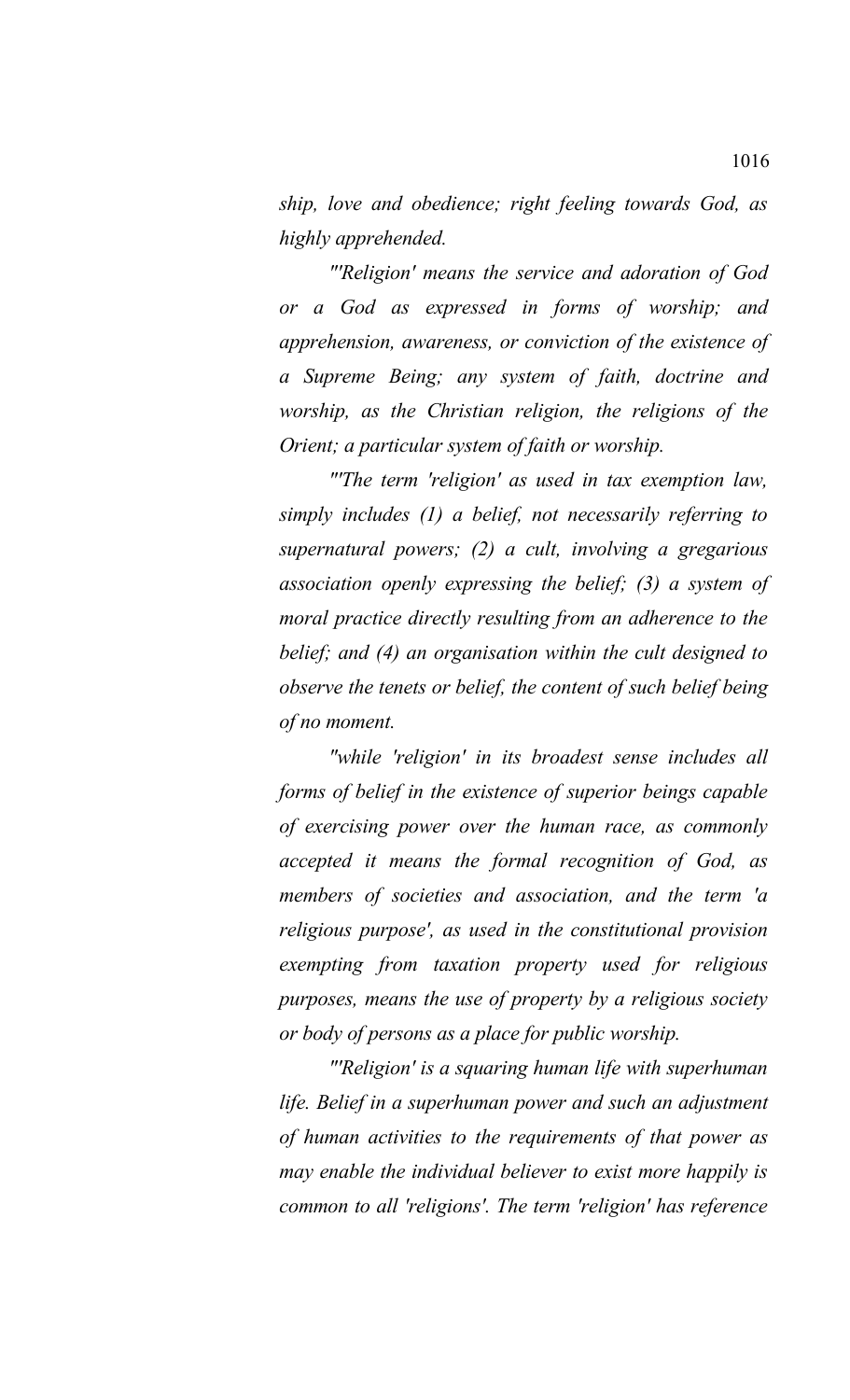*ship, love and obedience; right feeling towards God, as highly apprehended.*

*"'Religion' means the service and adoration of God or a God as expressed in forms of worship; and apprehension, awareness, or conviction of the existence of a Supreme Being; any system of faith, doctrine and worship, as the Christian religion, the religions of the Orient; a particular system of faith or worship.*

*"'The term 'religion' as used in tax exemption law, simply includes (1) a belief, not necessarily referring to supernatural powers; (2) a cult, involving a gregarious association openly expressing the belief; (3) a system of moral practice directly resulting from an adherence to the belief; and (4) an organisation within the cult designed to observe the tenets or belief, the content of such belief being of no moment.*

*"while 'religion' in its broadest sense includes all forms of belief in the existence of superior beings capable of exercising power over the human race, as commonly accepted it means the formal recognition of God, as members of societies and association, and the term 'a religious purpose', as used in the constitutional provision exempting from taxation property used for religious purposes, means the use of property by a religious society or body of persons as a place for public worship.*

*"'Religion' is a squaring human life with superhuman life. Belief in a superhuman power and such an adjustment of human activities to the requirements of that power as may enable the individual believer to exist more happily is common to all 'religions'. The term 'religion' has reference*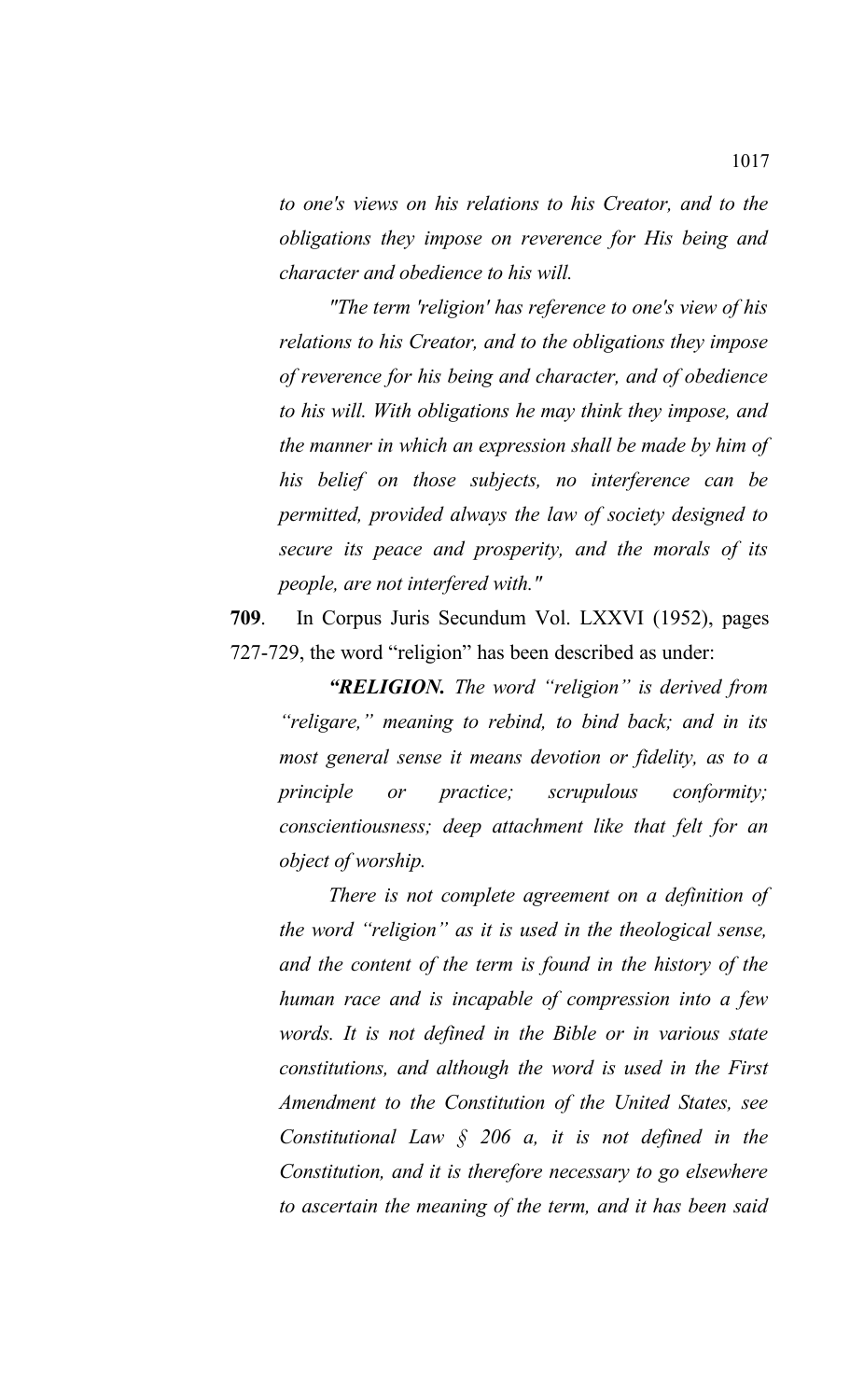*to one's views on his relations to his Creator, and to the obligations they impose on reverence for His being and character and obedience to his will.*

*"The term 'religion' has reference to one's view of his relations to his Creator, and to the obligations they impose of reverence for his being and character, and of obedience to his will. With obligations he may think they impose, and the manner in which an expression shall be made by him of his belief on those subjects, no interference can be permitted, provided always the law of society designed to secure its peace and prosperity, and the morals of its people, are not interfered with."* 

**709**. In Corpus Juris Secundum Vol. LXXVI (1952), pages 727-729, the word "religion" has been described as under:

*"RELIGION. The word "religion" is derived from "religare," meaning to rebind, to bind back; and in its most general sense it means devotion or fidelity, as to a principle or practice; scrupulous conformity; conscientiousness; deep attachment like that felt for an object of worship.* 

*There is not complete agreement on a definition of the word "religion" as it is used in the theological sense, and the content of the term is found in the history of the human race and is incapable of compression into a few words. It is not defined in the Bible or in various state constitutions, and although the word is used in the First Amendment to the Constitution of the United States, see Constitutional Law § 206 a, it is not defined in the Constitution, and it is therefore necessary to go elsewhere to ascertain the meaning of the term, and it has been said*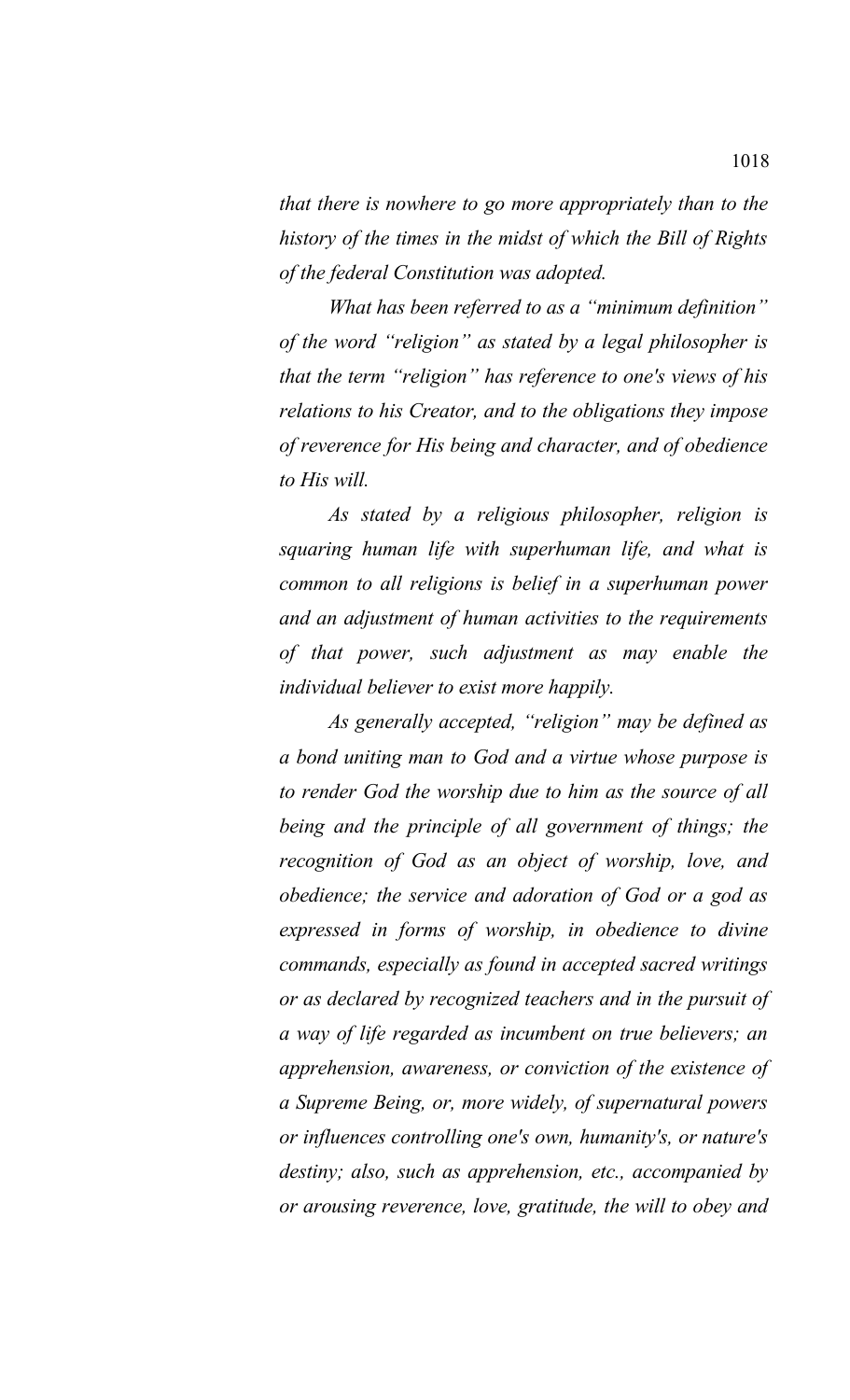*that there is nowhere to go more appropriately than to the history of the times in the midst of which the Bill of Rights of the federal Constitution was adopted.* 

*What has been referred to as a "minimum definition" of the word "religion" as stated by a legal philosopher is that the term "religion" has reference to one's views of his relations to his Creator, and to the obligations they impose of reverence for His being and character, and of obedience to His will.* 

*As stated by a religious philosopher, religion is squaring human life with superhuman life, and what is common to all religions is belief in a superhuman power and an adjustment of human activities to the requirements of that power, such adjustment as may enable the individual believer to exist more happily.* 

*As generally accepted, "religion" may be defined as a bond uniting man to God and a virtue whose purpose is to render God the worship due to him as the source of all being and the principle of all government of things; the recognition of God as an object of worship, love, and obedience; the service and adoration of God or a god as expressed in forms of worship, in obedience to divine commands, especially as found in accepted sacred writings or as declared by recognized teachers and in the pursuit of a way of life regarded as incumbent on true believers; an apprehension, awareness, or conviction of the existence of a Supreme Being, or, more widely, of supernatural powers or influences controlling one's own, humanity's, or nature's destiny; also, such as apprehension, etc., accompanied by or arousing reverence, love, gratitude, the will to obey and*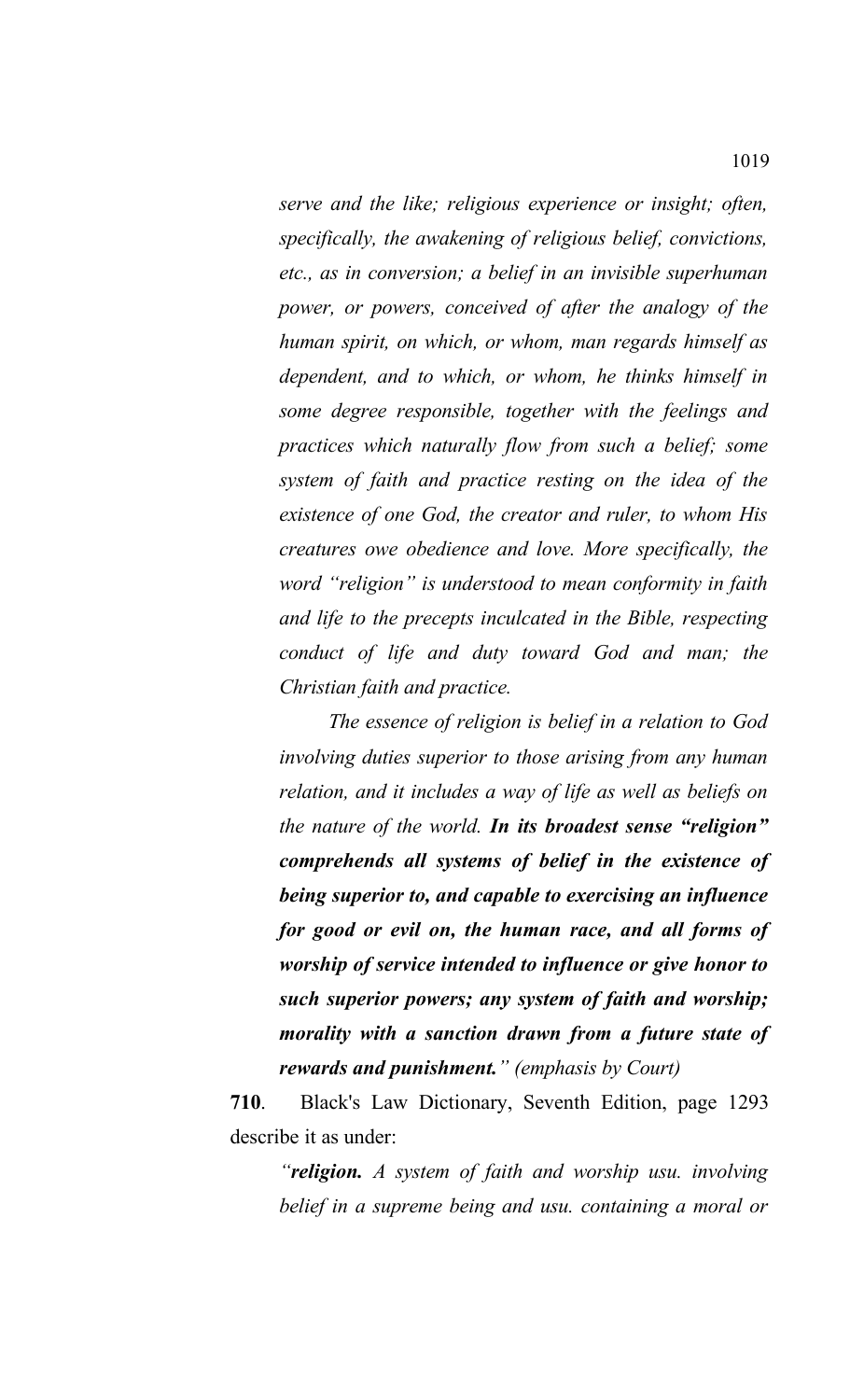*serve and the like; religious experience or insight; often, specifically, the awakening of religious belief, convictions, etc., as in conversion; a belief in an invisible superhuman power, or powers, conceived of after the analogy of the human spirit, on which, or whom, man regards himself as dependent, and to which, or whom, he thinks himself in some degree responsible, together with the feelings and practices which naturally flow from such a belief; some system of faith and practice resting on the idea of the existence of one God, the creator and ruler, to whom His creatures owe obedience and love. More specifically, the word "religion" is understood to mean conformity in faith and life to the precepts inculcated in the Bible, respecting conduct of life and duty toward God and man; the Christian faith and practice.* 

*The essence of religion is belief in a relation to God involving duties superior to those arising from any human relation, and it includes a way of life as well as beliefs on the nature of the world. In its broadest sense "religion" comprehends all systems of belief in the existence of being superior to, and capable to exercising an influence for good or evil on, the human race, and all forms of worship of service intended to influence or give honor to such superior powers; any system of faith and worship; morality with a sanction drawn from a future state of rewards and punishment." (emphasis by Court)*

**710**. Black's Law Dictionary, Seventh Edition, page 1293 describe it as under:

*"religion. A system of faith and worship usu. involving belief in a supreme being and usu. containing a moral or*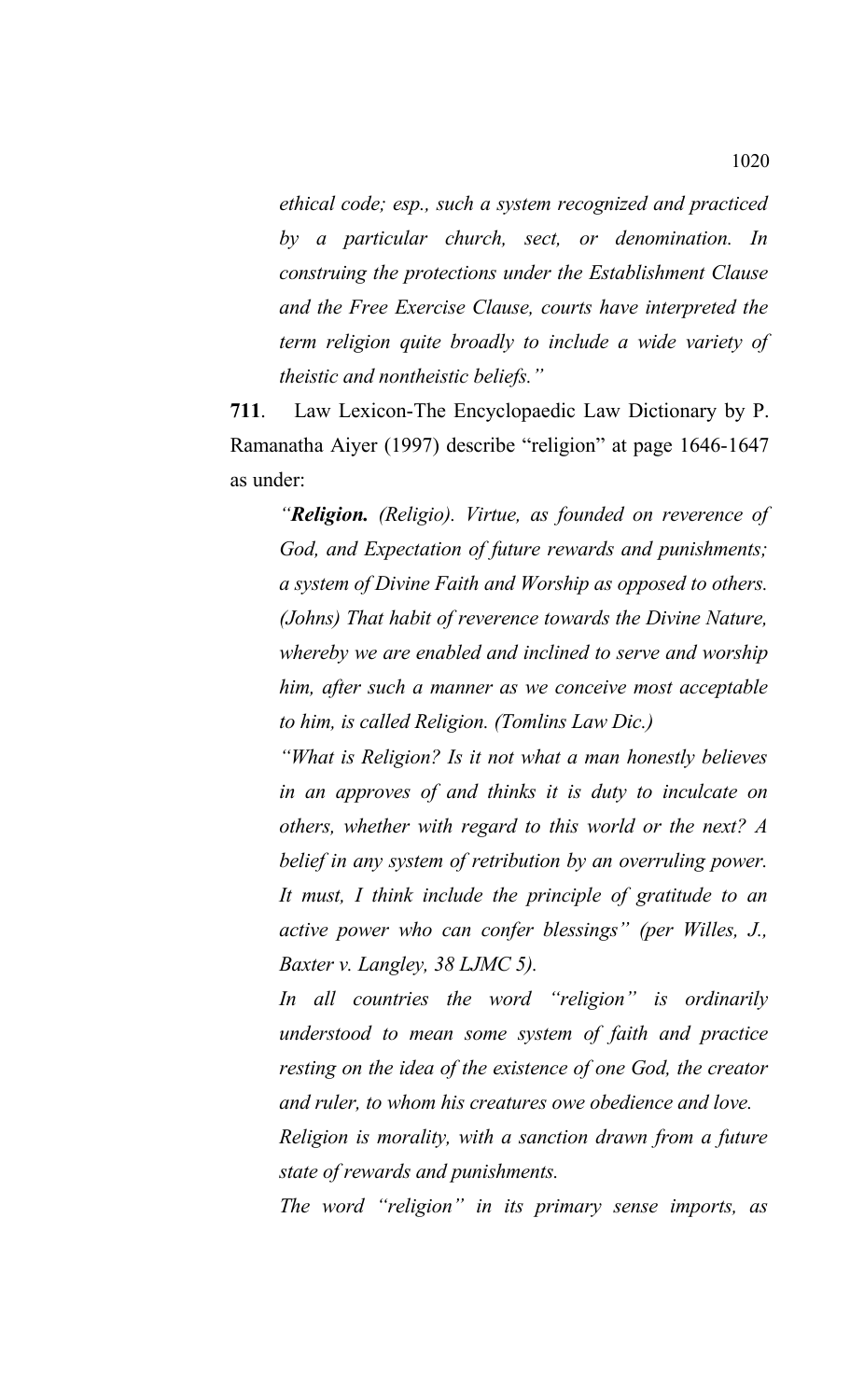*ethical code; esp., such a system recognized and practiced by a particular church, sect, or denomination. In construing the protections under the Establishment Clause and the Free Exercise Clause, courts have interpreted the term religion quite broadly to include a wide variety of theistic and nontheistic beliefs."*

**711**. Law Lexicon-The Encyclopaedic Law Dictionary by P. Ramanatha Aiyer (1997) describe "religion" at page 1646-1647 as under:

*"Religion. (Religio). Virtue, as founded on reverence of God, and Expectation of future rewards and punishments; a system of Divine Faith and Worship as opposed to others. (Johns) That habit of reverence towards the Divine Nature, whereby we are enabled and inclined to serve and worship him, after such a manner as we conceive most acceptable to him, is called Religion. (Tomlins Law Dic.)*

*"What is Religion? Is it not what a man honestly believes in an approves of and thinks it is duty to inculcate on others, whether with regard to this world or the next? A belief in any system of retribution by an overruling power. It must, I think include the principle of gratitude to an active power who can confer blessings" (per Willes, J., Baxter v. Langley, 38 LJMC 5).*

*In all countries the word "religion" is ordinarily understood to mean some system of faith and practice resting on the idea of the existence of one God, the creator and ruler, to whom his creatures owe obedience and love.* 

*Religion is morality, with a sanction drawn from a future state of rewards and punishments.* 

*The word "religion" in its primary sense imports, as*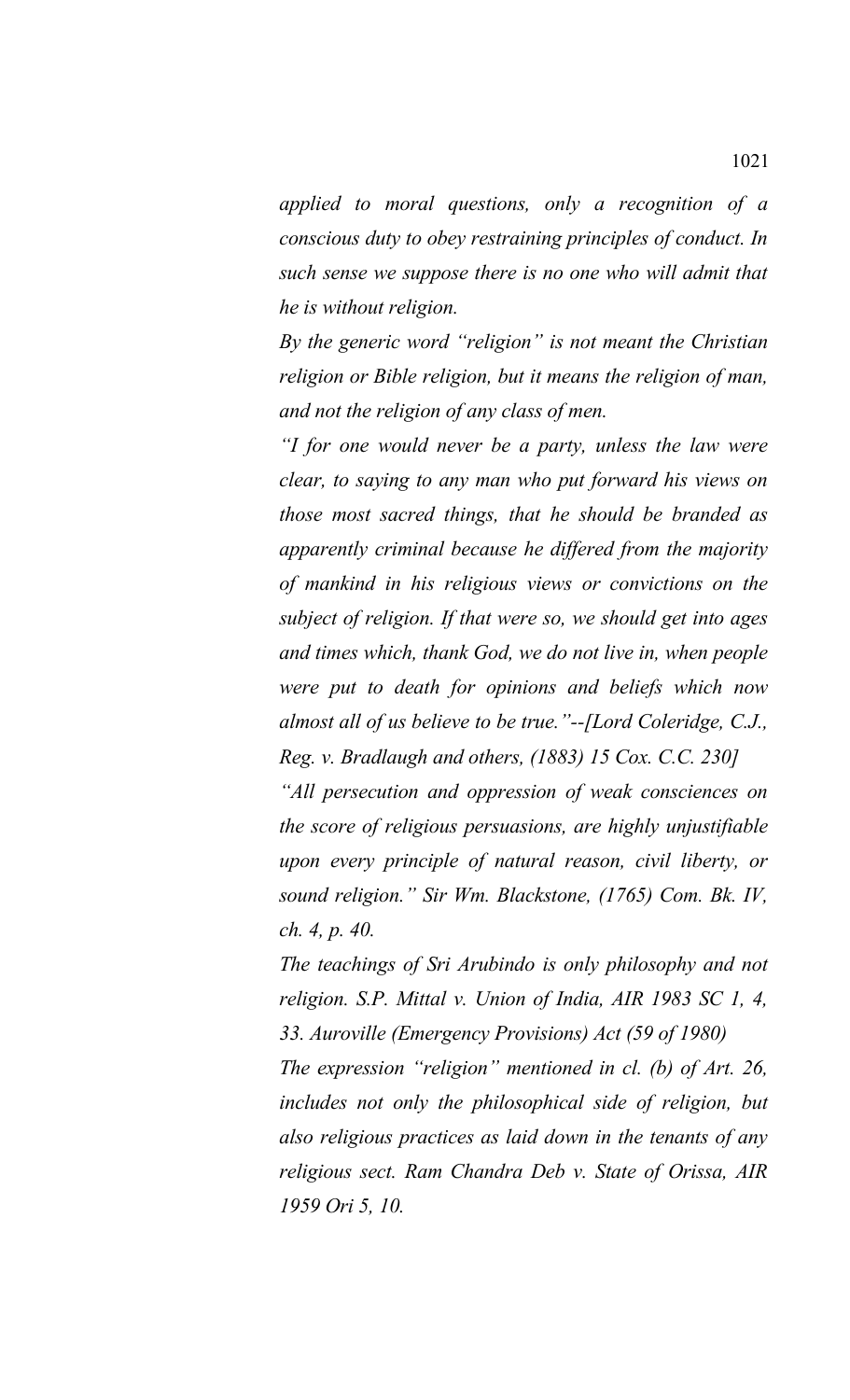*applied to moral questions, only a recognition of a conscious duty to obey restraining principles of conduct. In such sense we suppose there is no one who will admit that he is without religion.* 

*By the generic word "religion" is not meant the Christian religion or Bible religion, but it means the religion of man, and not the religion of any class of men.*

*"I for one would never be a party, unless the law were clear, to saying to any man who put forward his views on those most sacred things, that he should be branded as apparently criminal because he differed from the majority of mankind in his religious views or convictions on the subject of religion. If that were so, we should get into ages and times which, thank God, we do not live in, when people were put to death for opinions and beliefs which now almost all of us believe to be true."--[Lord Coleridge, C.J., Reg. v. Bradlaugh and others, (1883) 15 Cox. C.C. 230]*

*"All persecution and oppression of weak consciences on the score of religious persuasions, are highly unjustifiable upon every principle of natural reason, civil liberty, or sound religion." Sir Wm. Blackstone, (1765) Com. Bk. IV, ch. 4, p. 40.* 

*The teachings of Sri Arubindo is only philosophy and not religion. S.P. Mittal v. Union of India, AIR 1983 SC 1, 4, 33. Auroville (Emergency Provisions) Act (59 of 1980) The expression "religion" mentioned in cl. (b) of Art. 26, includes not only the philosophical side of religion, but also religious practices as laid down in the tenants of any religious sect. Ram Chandra Deb v. State of Orissa, AIR 1959 Ori 5, 10.*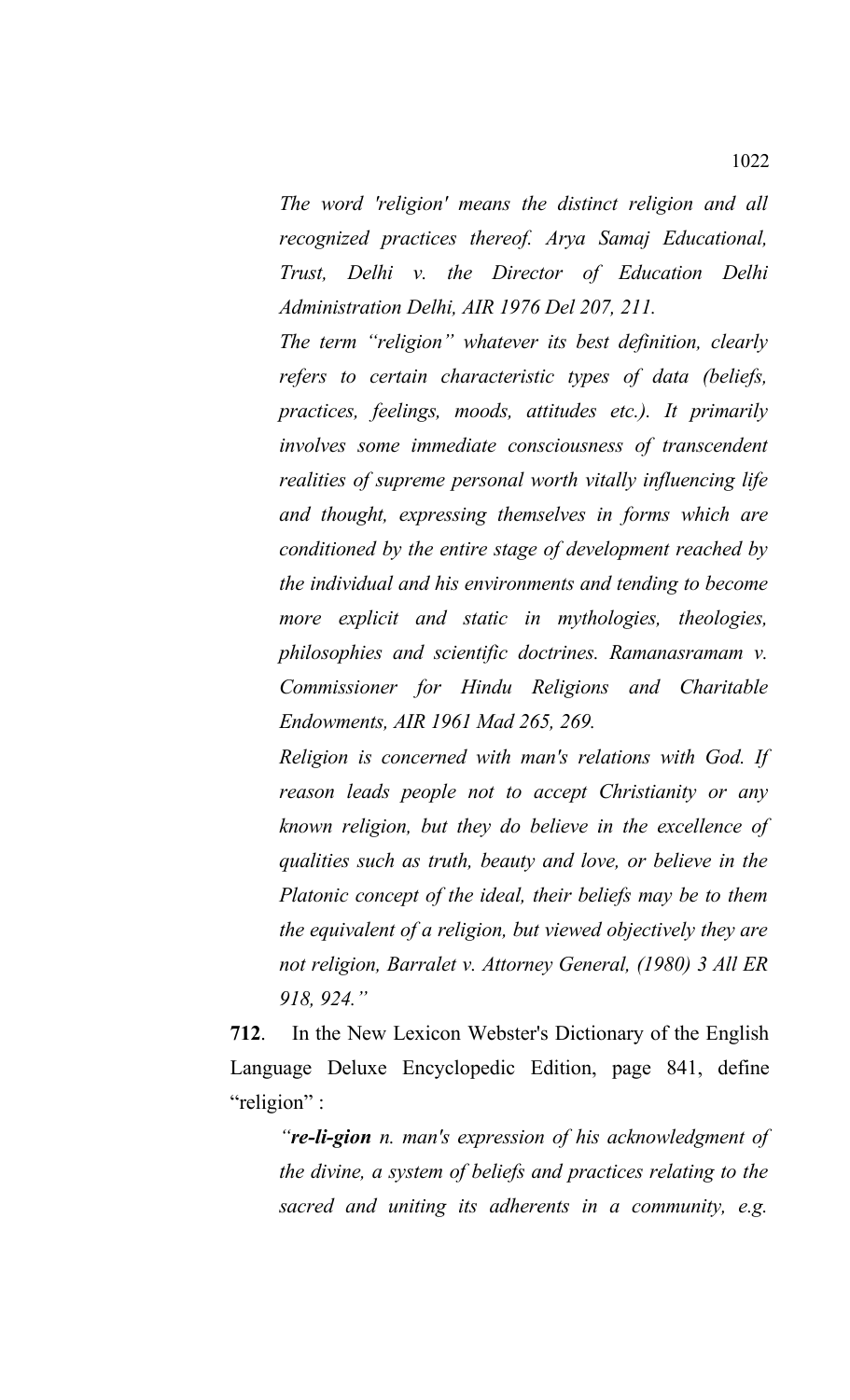*The word 'religion' means the distinct religion and all recognized practices thereof. Arya Samaj Educational, Trust, Delhi v. the Director of Education Delhi Administration Delhi, AIR 1976 Del 207, 211.*

*The term "religion" whatever its best definition, clearly refers to certain characteristic types of data (beliefs, practices, feelings, moods, attitudes etc.). It primarily involves some immediate consciousness of transcendent realities of supreme personal worth vitally influencing life and thought, expressing themselves in forms which are conditioned by the entire stage of development reached by the individual and his environments and tending to become more explicit and static in mythologies, theologies, philosophies and scientific doctrines. Ramanasramam v. Commissioner for Hindu Religions and Charitable Endowments, AIR 1961 Mad 265, 269.*

*Religion is concerned with man's relations with God. If reason leads people not to accept Christianity or any known religion, but they do believe in the excellence of qualities such as truth, beauty and love, or believe in the Platonic concept of the ideal, their beliefs may be to them the equivalent of a religion, but viewed objectively they are not religion, Barralet v. Attorney General, (1980) 3 All ER 918, 924."*

**712**. In the New Lexicon Webster's Dictionary of the English Language Deluxe Encyclopedic Edition, page 841, define "religion" :

*"re-li-gion n. man's expression of his acknowledgment of the divine, a system of beliefs and practices relating to the sacred and uniting its adherents in a community, e.g.*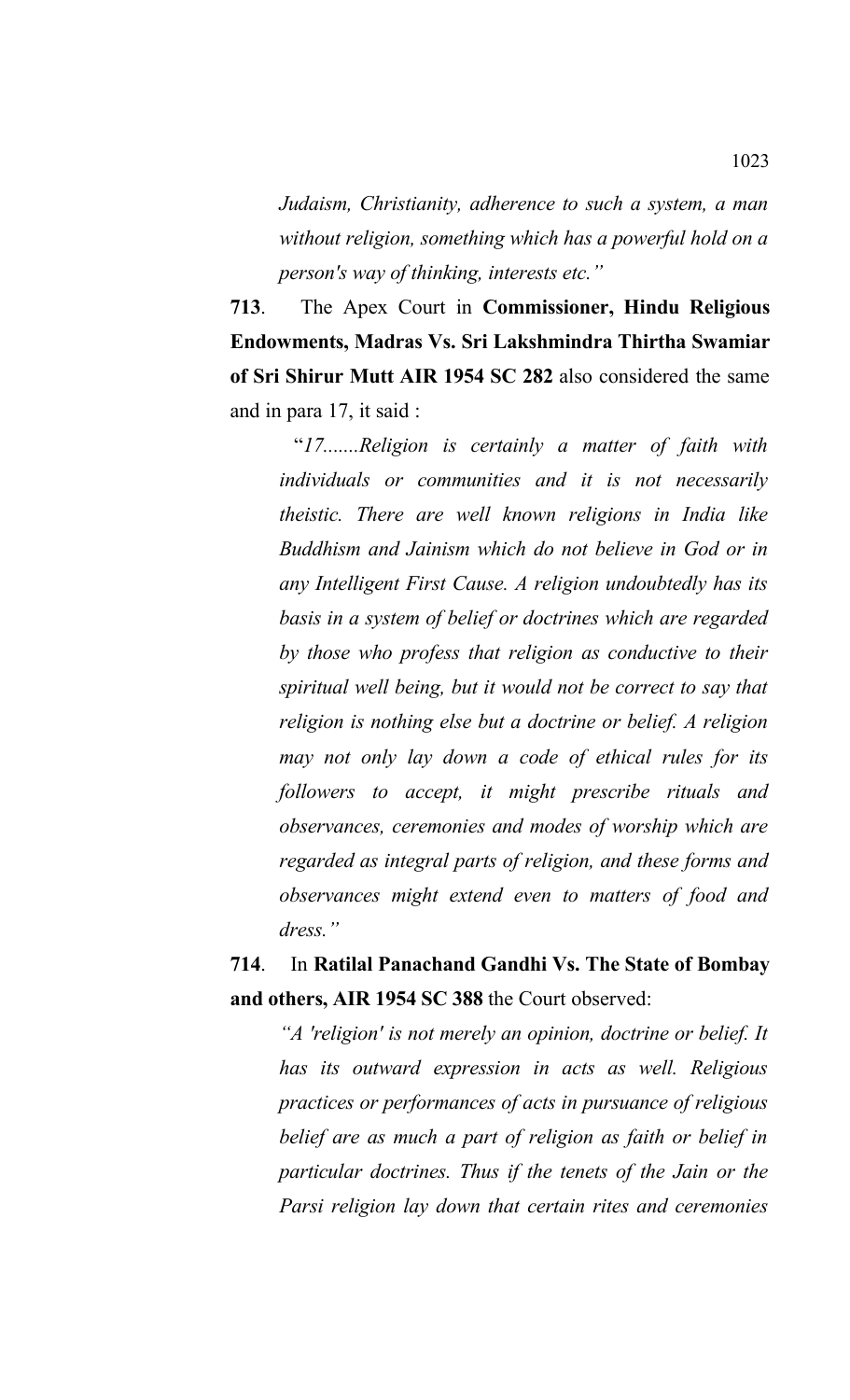*Judaism, Christianity, adherence to such a system, a man without religion, something which has a powerful hold on a person's way of thinking, interests etc."*

**713**. The Apex Court in **Commissioner, Hindu Religious Endowments, Madras Vs. Sri Lakshmindra Thirtha Swamiar of Sri Shirur Mutt AIR 1954 SC 282** also considered the same and in para 17, it said :

 "*17.......Religion is certainly a matter of faith with individuals or communities and it is not necessarily theistic. There are well known religions in India like Buddhism and Jainism which do not believe in God or in any Intelligent First Cause. A religion undoubtedly has its basis in a system of belief or doctrines which are regarded by those who profess that religion as conductive to their spiritual well being, but it would not be correct to say that religion is nothing else but a doctrine or belief. A religion may not only lay down a code of ethical rules for its followers to accept, it might prescribe rituals and observances, ceremonies and modes of worship which are regarded as integral parts of religion, and these forms and observances might extend even to matters of food and dress."*

# **714**. In **Ratilal Panachand Gandhi Vs. The State of Bombay and others, AIR 1954 SC 388** the Court observed:

*"A 'religion' is not merely an opinion, doctrine or belief. It has its outward expression in acts as well. Religious practices or performances of acts in pursuance of religious belief are as much a part of religion as faith or belief in particular doctrines. Thus if the tenets of the Jain or the Parsi religion lay down that certain rites and ceremonies*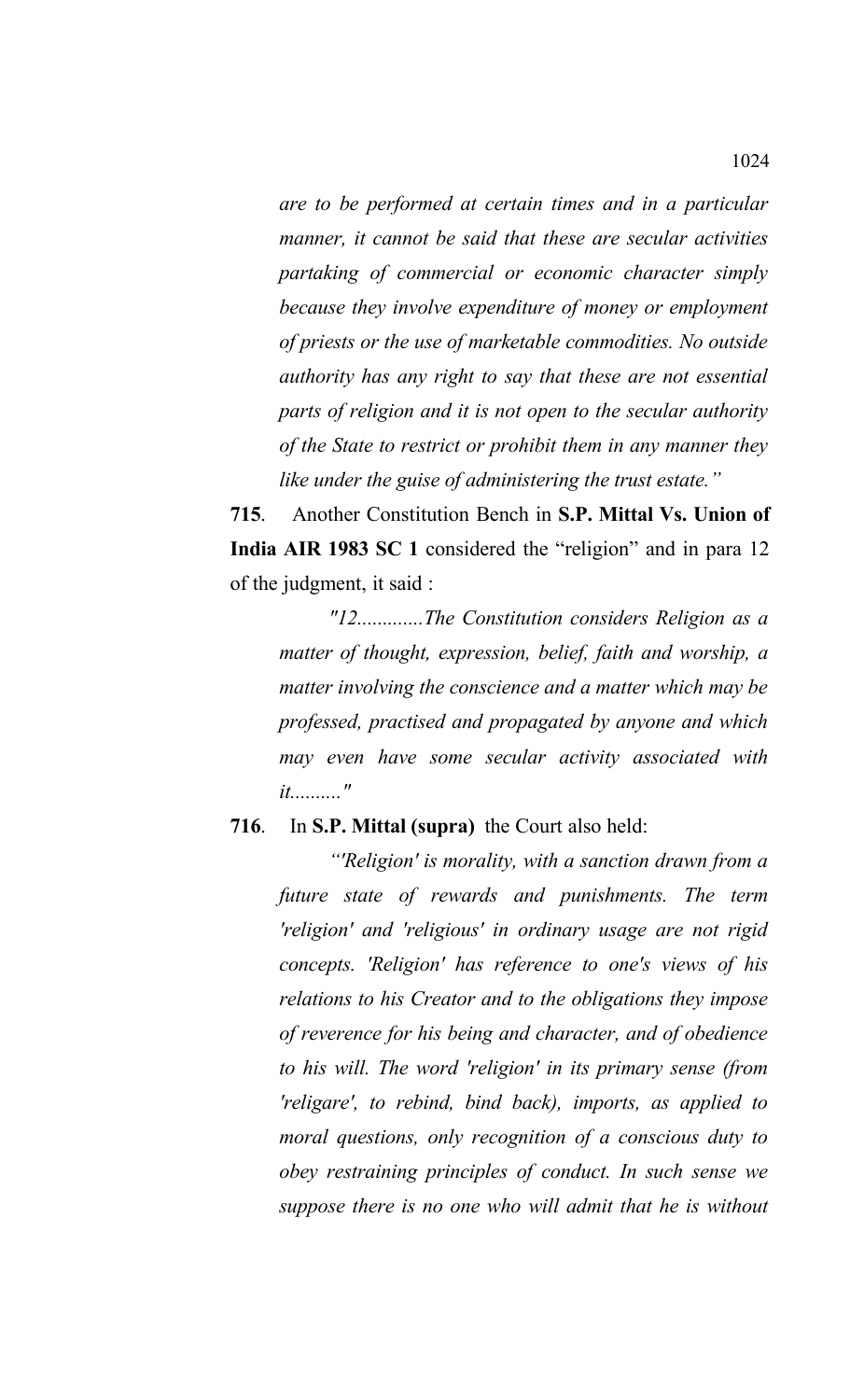*are to be performed at certain times and in a particular manner, it cannot be said that these are secular activities partaking of commercial or economic character simply because they involve expenditure of money or employment of priests or the use of marketable commodities. No outside authority has any right to say that these are not essential parts of religion and it is not open to the secular authority of the State to restrict or prohibit them in any manner they like under the guise of administering the trust estate."*

**715**. Another Constitution Bench in **S.P. Mittal Vs. Union of India AIR 1983 SC 1** considered the "religion" and in para 12 of the judgment, it said :

*"12.............The Constitution considers Religion as a matter of thought, expression, belief, faith and worship, a matter involving the conscience and a matter which may be professed, practised and propagated by anyone and which may even have some secular activity associated with it.........."* 

## **716**. In **S.P. Mittal (supra)** the Court also held:

*"'Religion' is morality, with a sanction drawn from a future state of rewards and punishments. The term 'religion' and 'religious' in ordinary usage are not rigid concepts. 'Religion' has reference to one's views of his relations to his Creator and to the obligations they impose of reverence for his being and character, and of obedience to his will. The word 'religion' in its primary sense (from 'religare', to rebind, bind back), imports, as applied to moral questions, only recognition of a conscious duty to obey restraining principles of conduct. In such sense we suppose there is no one who will admit that he is without*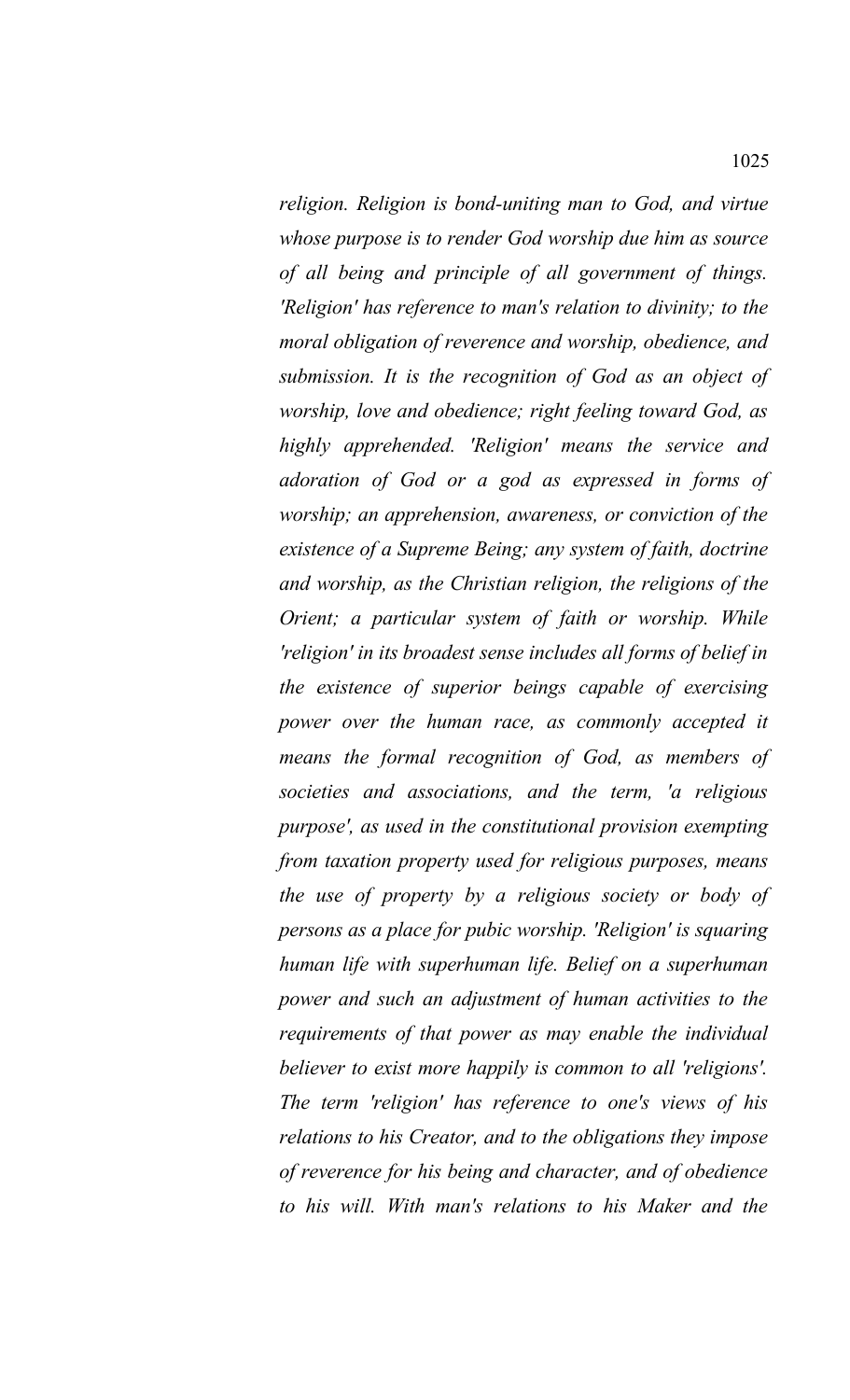*religion. Religion is bond-uniting man to God, and virtue whose purpose is to render God worship due him as source of all being and principle of all government of things. 'Religion' has reference to man's relation to divinity; to the moral obligation of reverence and worship, obedience, and submission. It is the recognition of God as an object of worship, love and obedience; right feeling toward God, as highly apprehended. 'Religion' means the service and adoration of God or a god as expressed in forms of worship; an apprehension, awareness, or conviction of the existence of a Supreme Being; any system of faith, doctrine and worship, as the Christian religion, the religions of the Orient; a particular system of faith or worship. While 'religion' in its broadest sense includes all forms of belief in the existence of superior beings capable of exercising power over the human race, as commonly accepted it means the formal recognition of God, as members of societies and associations, and the term, 'a religious purpose', as used in the constitutional provision exempting from taxation property used for religious purposes, means the use of property by a religious society or body of persons as a place for pubic worship. 'Religion' is squaring human life with superhuman life. Belief on a superhuman power and such an adjustment of human activities to the requirements of that power as may enable the individual believer to exist more happily is common to all 'religions'. The term 'religion' has reference to one's views of his relations to his Creator, and to the obligations they impose of reverence for his being and character, and of obedience to his will. With man's relations to his Maker and the*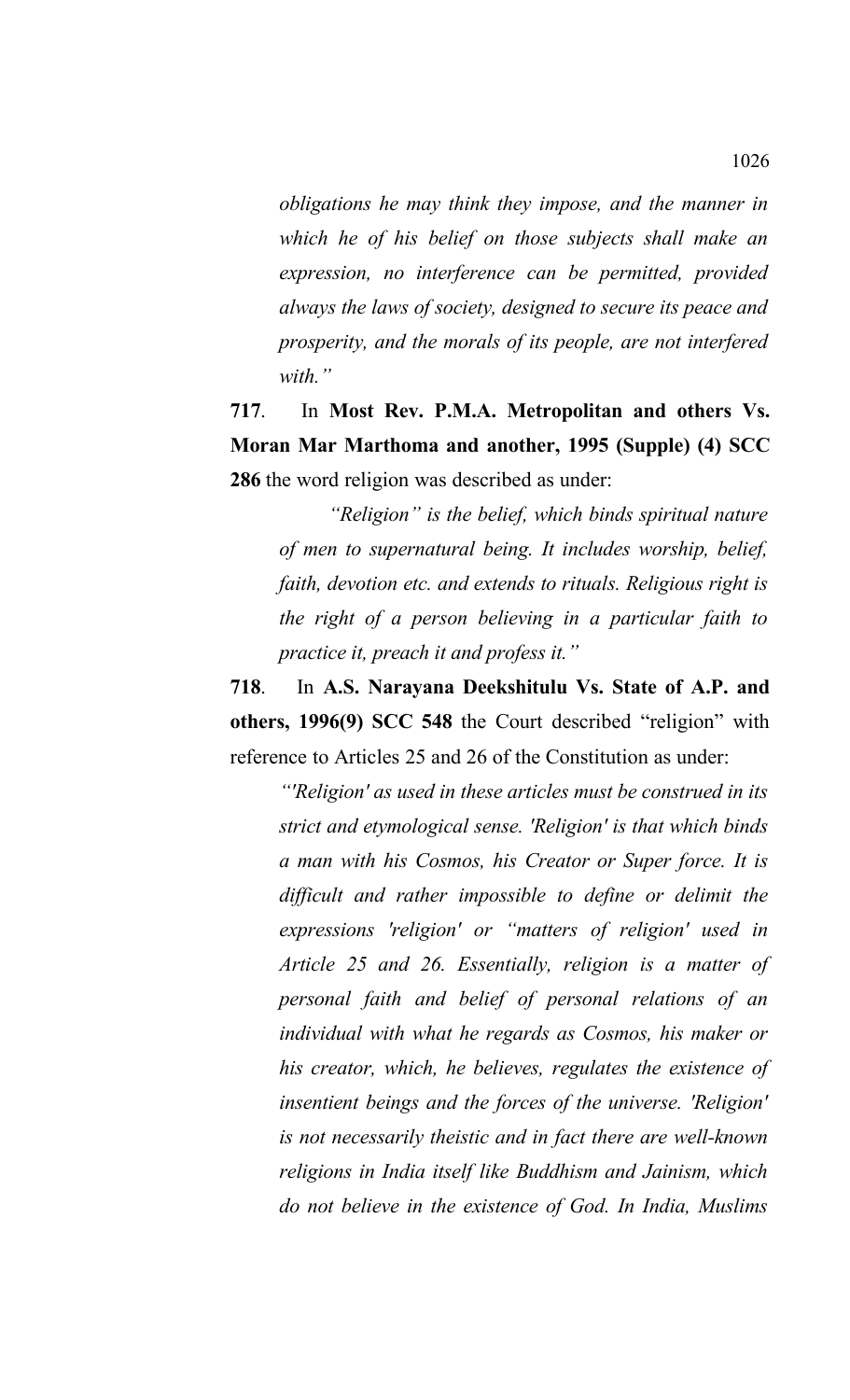*obligations he may think they impose, and the manner in which he of his belief on those subjects shall make an expression, no interference can be permitted, provided always the laws of society, designed to secure its peace and prosperity, and the morals of its people, are not interfered with."*

**717**. In **Most Rev. P.M.A. Metropolitan and others Vs. Moran Mar Marthoma and another, 1995 (Supple) (4) SCC 286** the word religion was described as under:

*"Religion" is the belief, which binds spiritual nature of men to supernatural being. It includes worship, belief, faith, devotion etc. and extends to rituals. Religious right is the right of a person believing in a particular faith to practice it, preach it and profess it."*

**718**. In **A.S. Narayana Deekshitulu Vs. State of A.P. and others, 1996(9) SCC 548** the Court described "religion" with reference to Articles 25 and 26 of the Constitution as under:

*"'Religion' as used in these articles must be construed in its strict and etymological sense. 'Religion' is that which binds a man with his Cosmos, his Creator or Super force. It is difficult and rather impossible to define or delimit the expressions 'religion' or "matters of religion' used in Article 25 and 26. Essentially, religion is a matter of personal faith and belief of personal relations of an individual with what he regards as Cosmos, his maker or his creator, which, he believes, regulates the existence of insentient beings and the forces of the universe. 'Religion' is not necessarily theistic and in fact there are well-known religions in India itself like Buddhism and Jainism, which do not believe in the existence of God. In India, Muslims*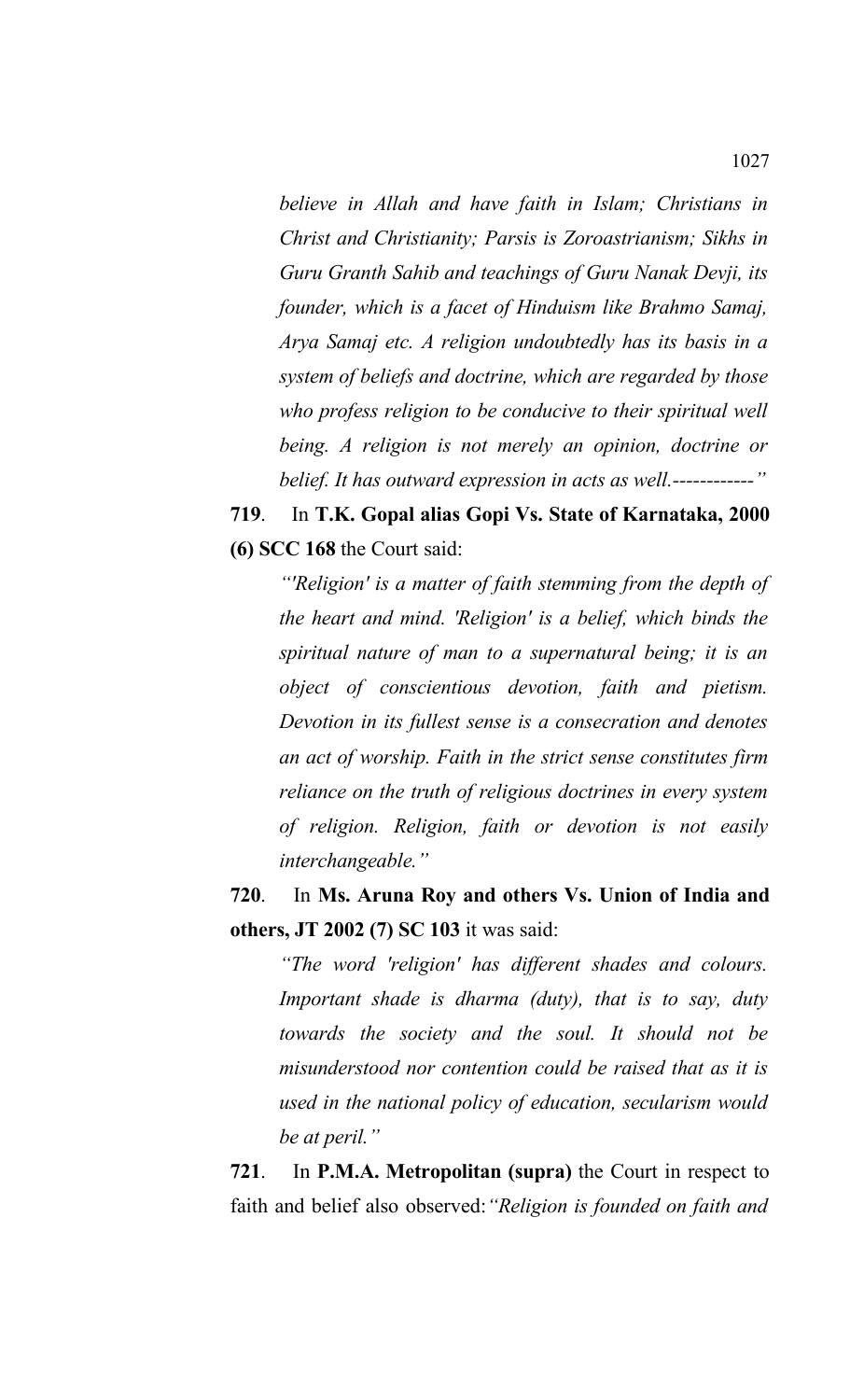*believe in Allah and have faith in Islam; Christians in Christ and Christianity; Parsis is Zoroastrianism; Sikhs in Guru Granth Sahib and teachings of Guru Nanak Devji, its founder, which is a facet of Hinduism like Brahmo Samaj, Arya Samaj etc. A religion undoubtedly has its basis in a system of beliefs and doctrine, which are regarded by those who profess religion to be conducive to their spiritual well being. A religion is not merely an opinion, doctrine or belief. It has outward expression in acts as well.------------"*

**719**.In **T.K. Gopal alias Gopi Vs. State of Karnataka, 2000 (6) SCC 168** the Court said:

*"'Religion' is a matter of faith stemming from the depth of the heart and mind. 'Religion' is a belief, which binds the spiritual nature of man to a supernatural being; it is an object of conscientious devotion, faith and pietism. Devotion in its fullest sense is a consecration and denotes an act of worship. Faith in the strict sense constitutes firm reliance on the truth of religious doctrines in every system of religion. Religion, faith or devotion is not easily interchangeable."*

**720**. In **Ms. Aruna Roy and others Vs. Union of India and others, JT 2002 (7) SC 103** it was said:

*"The word 'religion' has different shades and colours. Important shade is dharma (duty), that is to say, duty towards the society and the soul. It should not be misunderstood nor contention could be raised that as it is used in the national policy of education, secularism would be at peril."*

**721**. In **P.M.A. Metropolitan (supra)** the Court in respect to faith and belief also observed:*"Religion is founded on faith and*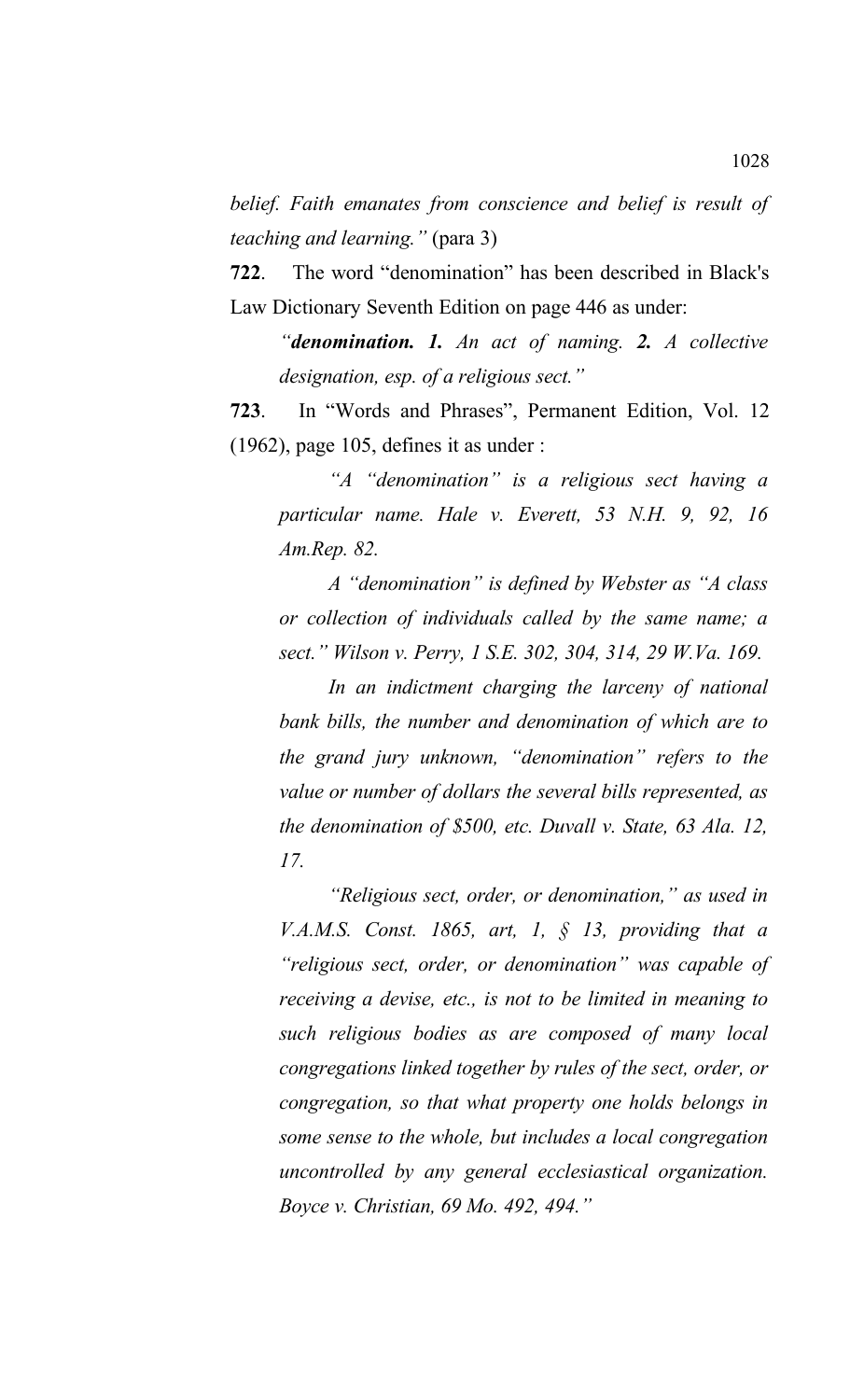*belief. Faith emanates from conscience and belief is result of teaching and learning."* (para 3)

**722**. The word "denomination" has been described in Black's Law Dictionary Seventh Edition on page 446 as under:

*"denomination. 1. An act of naming. 2. A collective designation, esp. of a religious sect."*

**723**. In "Words and Phrases", Permanent Edition, Vol. 12  $(1962)$ , page 105, defines it as under :

*"A "denomination" is a religious sect having a particular name. Hale v. Everett, 53 N.H. 9, 92, 16 Am.Rep. 82.*

*A "denomination" is defined by Webster as "A class or collection of individuals called by the same name; a sect." Wilson v. Perry, 1 S.E. 302, 304, 314, 29 W.Va. 169.* 

*In an indictment charging the larceny of national bank bills, the number and denomination of which are to the grand jury unknown, "denomination" refers to the value or number of dollars the several bills represented, as the denomination of \$500, etc. Duvall v. State, 63 Ala. 12, 17.* 

*"Religious sect, order, or denomination," as used in V.A.M.S. Const. 1865, art, 1, § 13, providing that a "religious sect, order, or denomination" was capable of receiving a devise, etc., is not to be limited in meaning to such religious bodies as are composed of many local congregations linked together by rules of the sect, order, or congregation, so that what property one holds belongs in some sense to the whole, but includes a local congregation uncontrolled by any general ecclesiastical organization. Boyce v. Christian, 69 Mo. 492, 494."*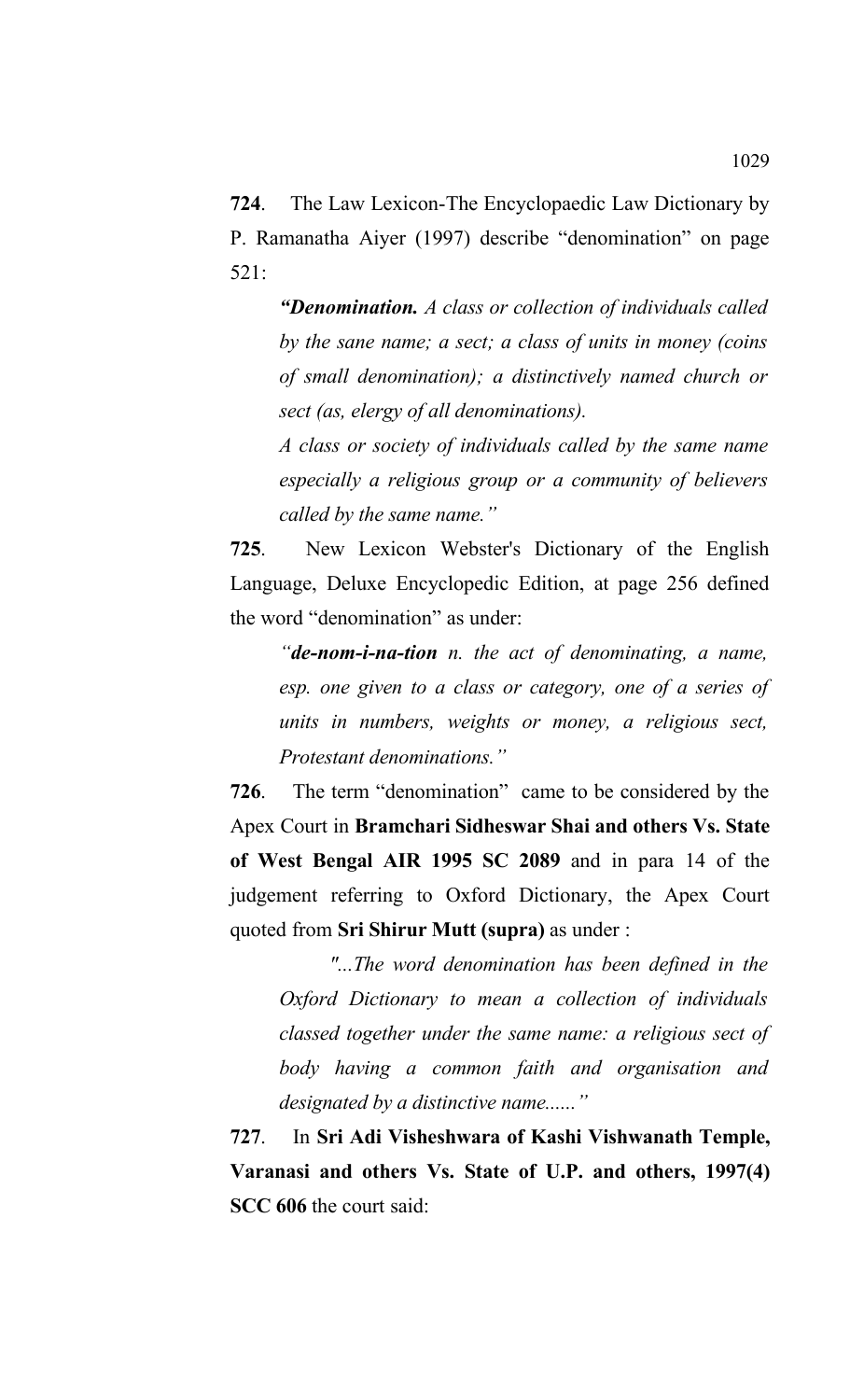**724**. The Law Lexicon-The Encyclopaedic Law Dictionary by P. Ramanatha Aiyer (1997) describe "denomination" on page 521:

*"Denomination. A class or collection of individuals called by the sane name; a sect; a class of units in money (coins of small denomination); a distinctively named church or sect (as, elergy of all denominations).*

*A class or society of individuals called by the same name especially a religious group or a community of believers called by the same name."*

**725**. New Lexicon Webster's Dictionary of the English Language, Deluxe Encyclopedic Edition, at page 256 defined the word "denomination" as under:

*"de-nom-i-na-tion n. the act of denominating, a name, esp. one given to a class or category, one of a series of units in numbers, weights or money, a religious sect, Protestant denominations."*

**726**. The term "denomination" came to be considered by the Apex Court in **Bramchari Sidheswar Shai and others Vs. State of West Bengal AIR 1995 SC 2089** and in para 14 of the judgement referring to Oxford Dictionary, the Apex Court quoted from **Sri Shirur Mutt (supra)** as under :

*"...The word denomination has been defined in the Oxford Dictionary to mean a collection of individuals classed together under the same name: a religious sect of body having a common faith and organisation and designated by a distinctive name......"*

**727**. In **Sri Adi Visheshwara of Kashi Vishwanath Temple, Varanasi and others Vs. State of U.P. and others, 1997(4) SCC 606** the court said: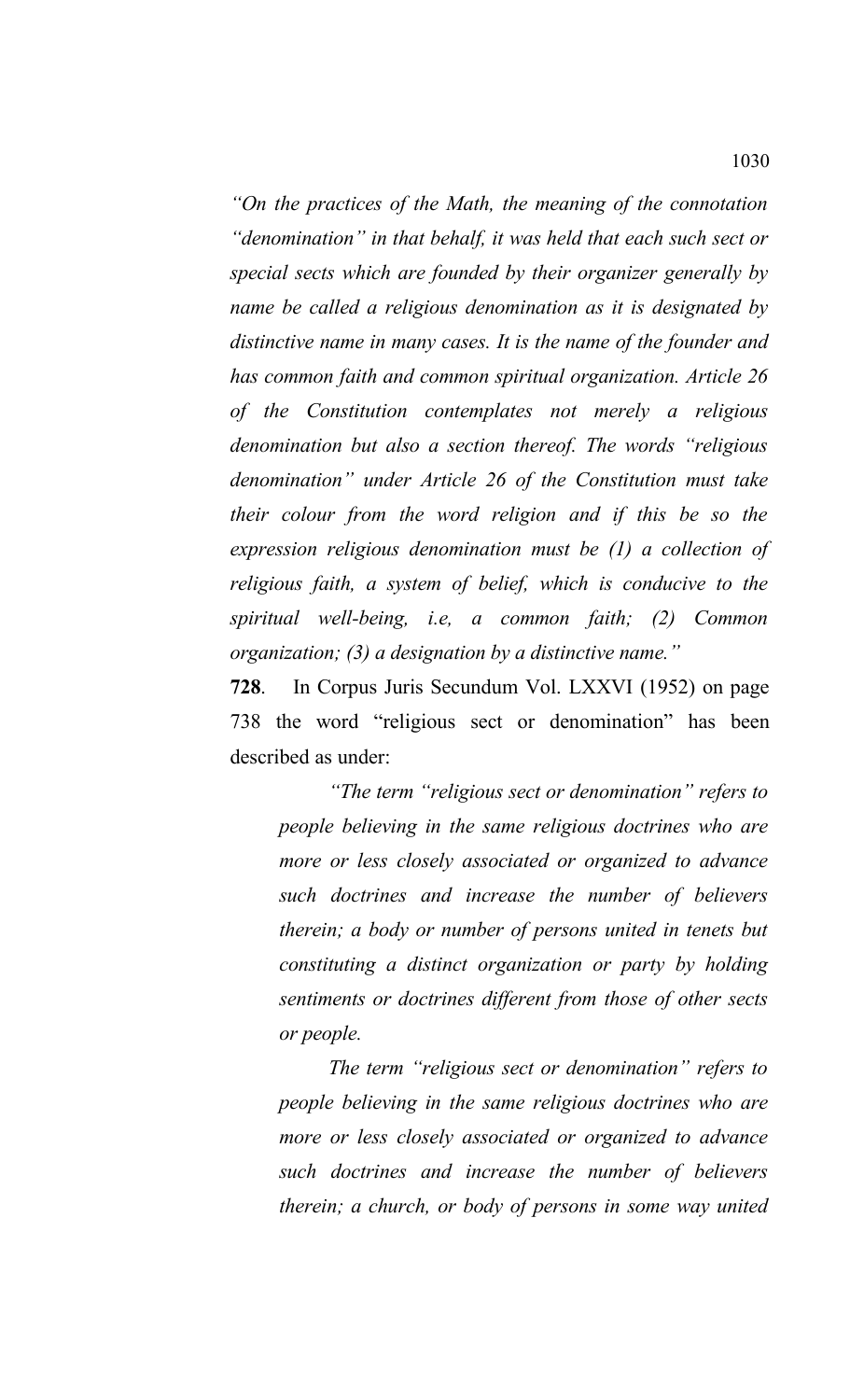*"On the practices of the Math, the meaning of the connotation "denomination" in that behalf, it was held that each such sect or special sects which are founded by their organizer generally by name be called a religious denomination as it is designated by distinctive name in many cases. It is the name of the founder and has common faith and common spiritual organization. Article 26 of the Constitution contemplates not merely a religious denomination but also a section thereof. The words "religious denomination" under Article 26 of the Constitution must take their colour from the word religion and if this be so the expression religious denomination must be (1) a collection of religious faith, a system of belief, which is conducive to the spiritual well-being, i.e, a common faith; (2) Common organization; (3) a designation by a distinctive name."*

**728**. In Corpus Juris Secundum Vol. LXXVI (1952) on page 738 the word "religious sect or denomination" has been described as under:

*"The term "religious sect or denomination" refers to people believing in the same religious doctrines who are more or less closely associated or organized to advance such doctrines and increase the number of believers therein; a body or number of persons united in tenets but constituting a distinct organization or party by holding sentiments or doctrines different from those of other sects or people.* 

*The term "religious sect or denomination" refers to people believing in the same religious doctrines who are more or less closely associated or organized to advance such doctrines and increase the number of believers therein; a church, or body of persons in some way united*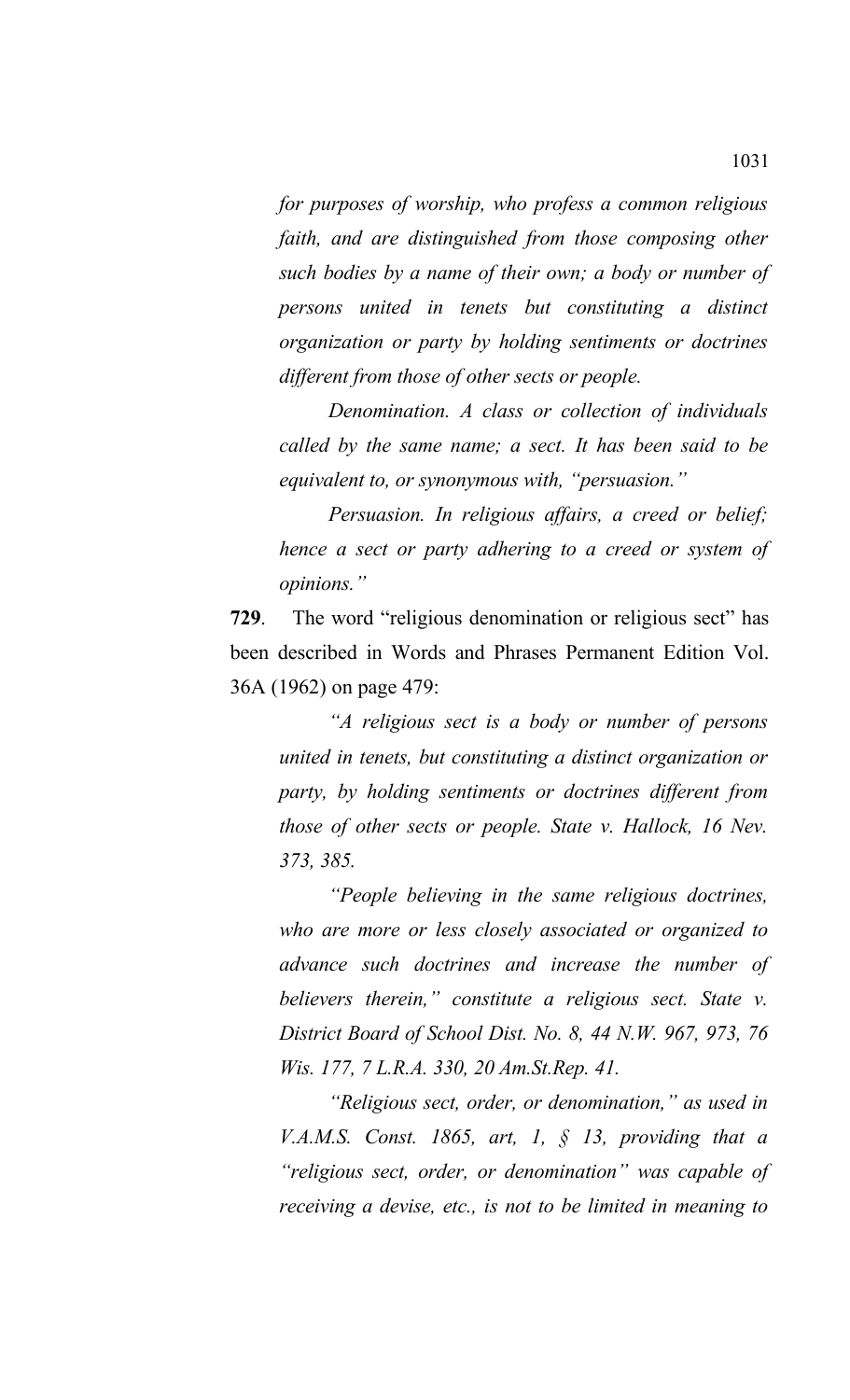*for purposes of worship, who profess a common religious faith, and are distinguished from those composing other such bodies by a name of their own; a body or number of persons united in tenets but constituting a distinct organization or party by holding sentiments or doctrines different from those of other sects or people.* 

*Denomination. A class or collection of individuals called by the same name; a sect. It has been said to be equivalent to, or synonymous with, "persuasion."*

*Persuasion. In religious affairs, a creed or belief; hence a sect or party adhering to a creed or system of opinions."*

**729**. The word "religious denomination or religious sect" has been described in Words and Phrases Permanent Edition Vol. 36A (1962) on page 479:

*"A religious sect is a body or number of persons united in tenets, but constituting a distinct organization or party, by holding sentiments or doctrines different from those of other sects or people. State v. Hallock, 16 Nev. 373, 385.* 

*"People believing in the same religious doctrines, who are more or less closely associated or organized to advance such doctrines and increase the number of believers therein," constitute a religious sect. State v. District Board of School Dist. No. 8, 44 N.W. 967, 973, 76 Wis. 177, 7 L.R.A. 330, 20 Am.St.Rep. 41.*

*"Religious sect, order, or denomination," as used in V.A.M.S. Const. 1865, art, 1, § 13, providing that a "religious sect, order, or denomination" was capable of receiving a devise, etc., is not to be limited in meaning to*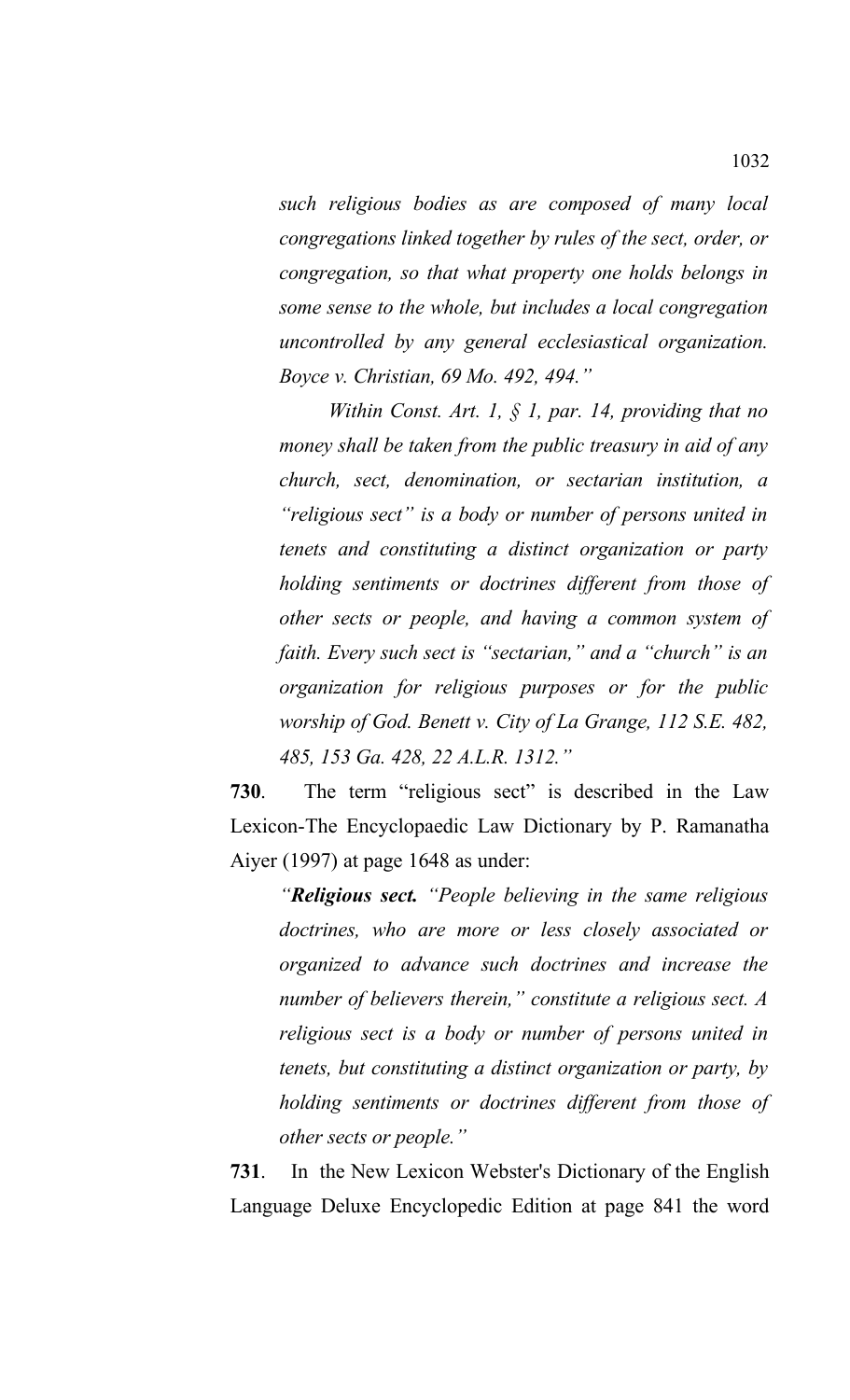*such religious bodies as are composed of many local congregations linked together by rules of the sect, order, or congregation, so that what property one holds belongs in some sense to the whole, but includes a local congregation uncontrolled by any general ecclesiastical organization. Boyce v. Christian, 69 Mo. 492, 494."*

*Within Const. Art. 1, § 1, par. 14, providing that no money shall be taken from the public treasury in aid of any church, sect, denomination, or sectarian institution, a "religious sect" is a body or number of persons united in tenets and constituting a distinct organization or party holding sentiments or doctrines different from those of other sects or people, and having a common system of faith. Every such sect is "sectarian," and a "church" is an organization for religious purposes or for the public worship of God. Benett v. City of La Grange, 112 S.E. 482, 485, 153 Ga. 428, 22 A.L.R. 1312."*

**730**. The term "religious sect" is described in the Law Lexicon-The Encyclopaedic Law Dictionary by P. Ramanatha Aiyer (1997) at page 1648 as under:

*"Religious sect. "People believing in the same religious doctrines, who are more or less closely associated or organized to advance such doctrines and increase the number of believers therein," constitute a religious sect. A religious sect is a body or number of persons united in tenets, but constituting a distinct organization or party, by holding sentiments or doctrines different from those of other sects or people."*

**731**. In the New Lexicon Webster's Dictionary of the English Language Deluxe Encyclopedic Edition at page 841 the word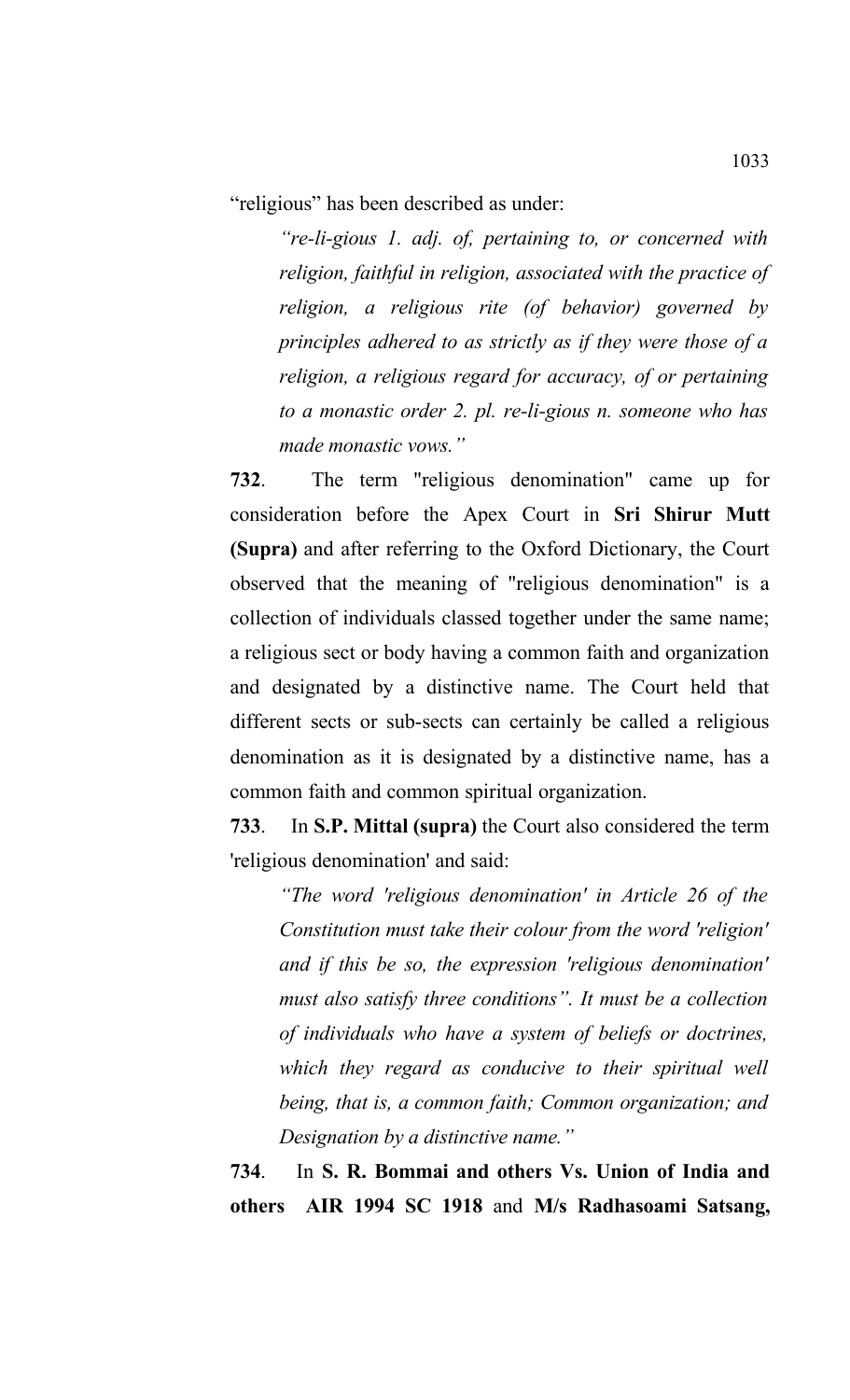"religious" has been described as under:

*"re-li-gious 1. adj. of, pertaining to, or concerned with religion, faithful in religion, associated with the practice of religion, a religious rite (of behavior) governed by principles adhered to as strictly as if they were those of a religion, a religious regard for accuracy, of or pertaining to a monastic order 2. pl. re-li-gious n. someone who has made monastic vows."*

**732**. The term "religious denomination" came up for consideration before the Apex Court in **Sri Shirur Mutt (Supra)** and after referring to the Oxford Dictionary, the Court observed that the meaning of "religious denomination" is a collection of individuals classed together under the same name; a religious sect or body having a common faith and organization and designated by a distinctive name. The Court held that different sects or sub-sects can certainly be called a religious denomination as it is designated by a distinctive name, has a common faith and common spiritual organization.

**733**. In **S.P. Mittal (supra)** the Court also considered the term 'religious denomination' and said:

*"The word 'religious denomination' in Article 26 of the Constitution must take their colour from the word 'religion' and if this be so, the expression 'religious denomination' must also satisfy three conditions". It must be a collection of individuals who have a system of beliefs or doctrines, which they regard as conducive to their spiritual well being, that is, a common faith; Common organization; and Designation by a distinctive name."*

**734**. In **S. R. Bommai and others Vs. Union of India and others AIR 1994 SC 1918** and **M/s Radhasoami Satsang,**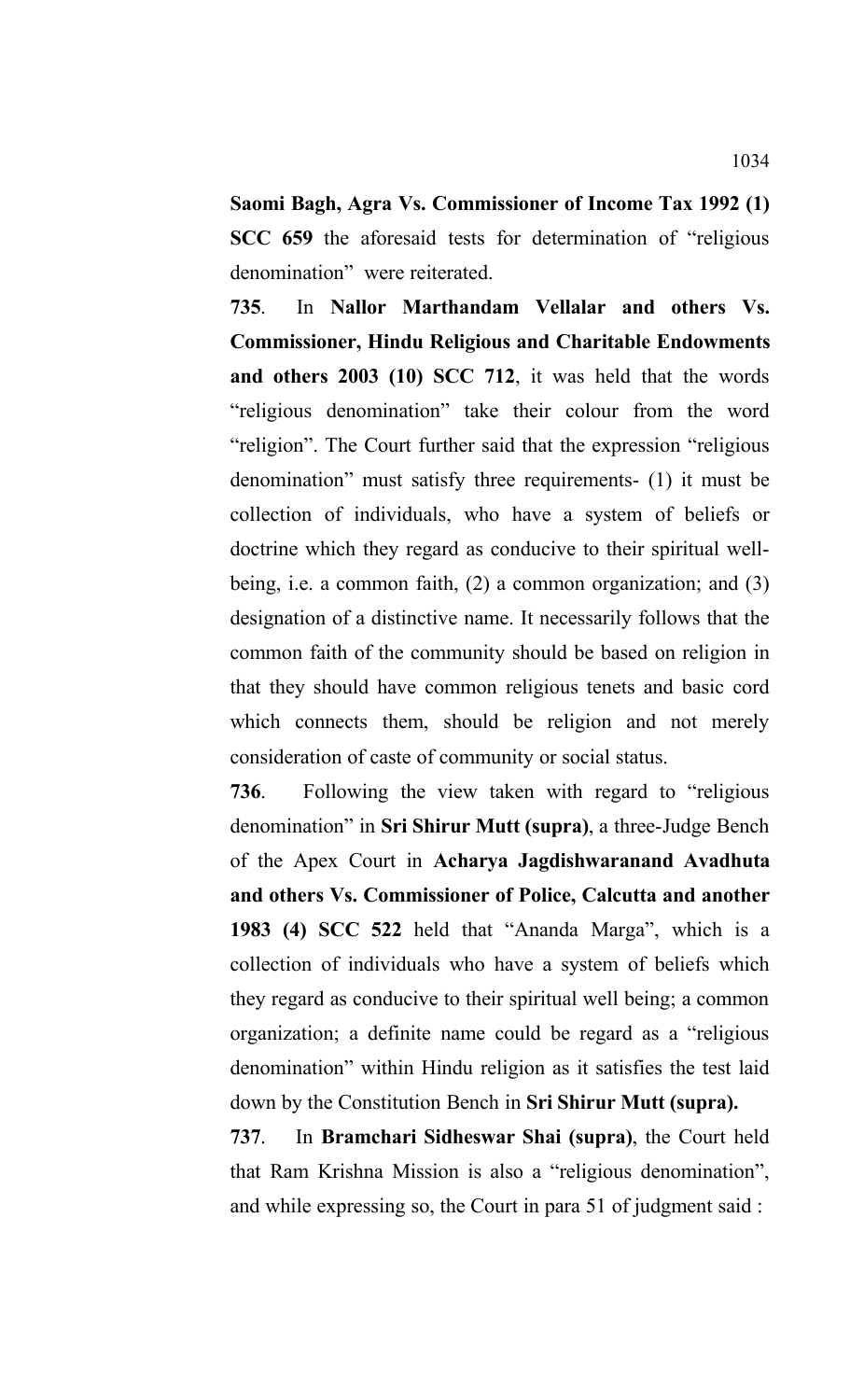**Saomi Bagh, Agra Vs. Commissioner of Income Tax 1992 (1) SCC 659** the aforesaid tests for determination of "religious denomination" were reiterated.

**735**. In **Nallor Marthandam Vellalar and others Vs. Commissioner, Hindu Religious and Charitable Endowments and others 2003 (10) SCC 712**, it was held that the words "religious denomination" take their colour from the word "religion". The Court further said that the expression "religious denomination" must satisfy three requirements- (1) it must be collection of individuals, who have a system of beliefs or doctrine which they regard as conducive to their spiritual wellbeing, i.e. a common faith, (2) a common organization; and (3) designation of a distinctive name. It necessarily follows that the common faith of the community should be based on religion in that they should have common religious tenets and basic cord which connects them, should be religion and not merely consideration of caste of community or social status.

**736**. Following the view taken with regard to "religious denomination" in **Sri Shirur Mutt (supra)**, a three-Judge Bench of the Apex Court in **Acharya Jagdishwaranand Avadhuta and others Vs. Commissioner of Police, Calcutta and another 1983 (4) SCC 522** held that "Ananda Marga", which is a collection of individuals who have a system of beliefs which they regard as conducive to their spiritual well being; a common organization; a definite name could be regard as a "religious denomination" within Hindu religion as it satisfies the test laid down by the Constitution Bench in **Sri Shirur Mutt (supra).**

**737**. In **Bramchari Sidheswar Shai (supra)**, the Court held that Ram Krishna Mission is also a "religious denomination", and while expressing so, the Court in para 51 of judgment said :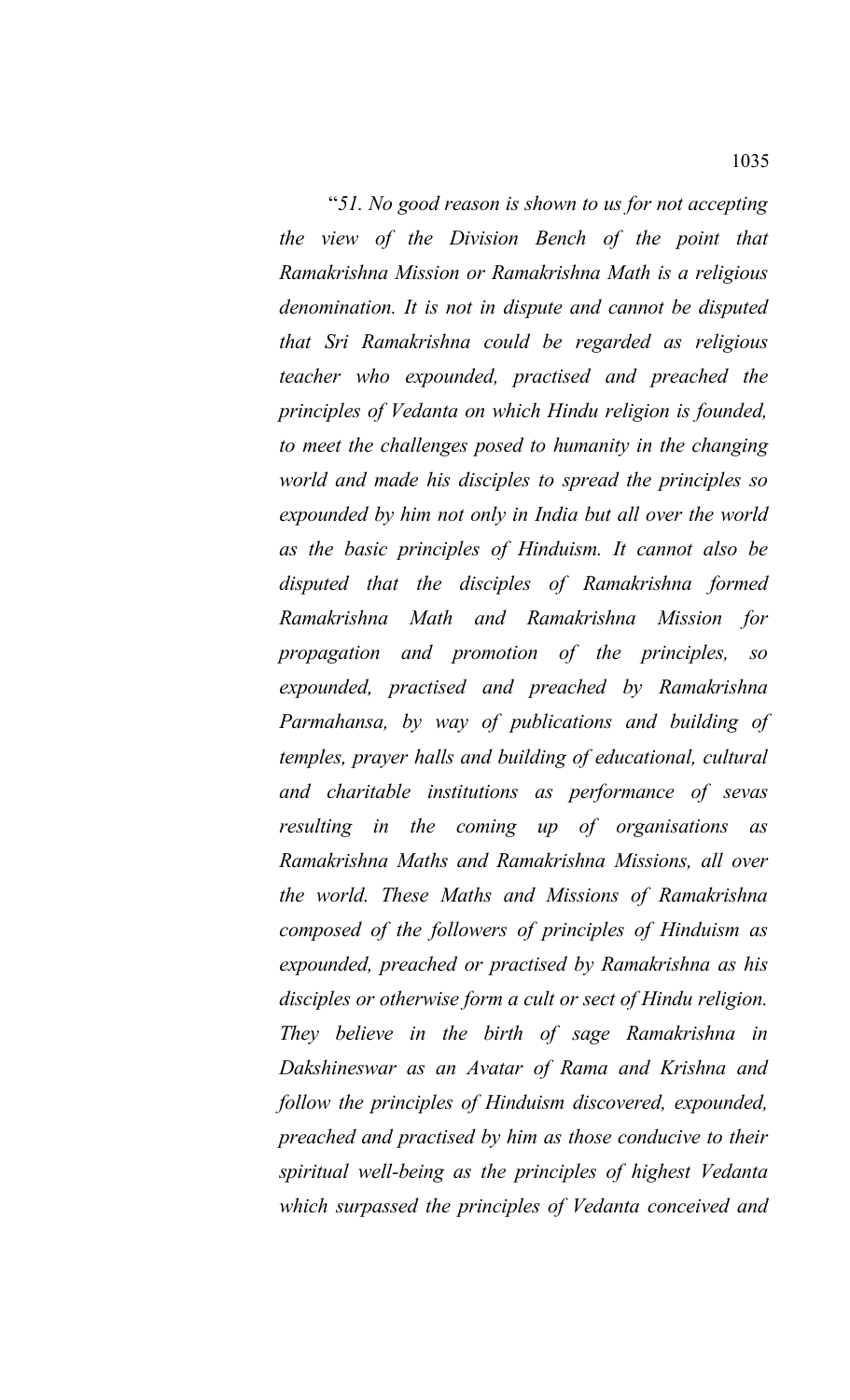"*51. No good reason is shown to us for not accepting the view of the Division Bench of the point that Ramakrishna Mission or Ramakrishna Math is a religious denomination. It is not in dispute and cannot be disputed that Sri Ramakrishna could be regarded as religious teacher who expounded, practised and preached the principles of Vedanta on which Hindu religion is founded, to meet the challenges posed to humanity in the changing world and made his disciples to spread the principles so expounded by him not only in India but all over the world as the basic principles of Hinduism. It cannot also be disputed that the disciples of Ramakrishna formed Ramakrishna Math and Ramakrishna Mission for propagation and promotion of the principles, so expounded, practised and preached by Ramakrishna Parmahansa, by way of publications and building of temples, prayer halls and building of educational, cultural and charitable institutions as performance of sevas resulting in the coming up of organisations as Ramakrishna Maths and Ramakrishna Missions, all over the world. These Maths and Missions of Ramakrishna composed of the followers of principles of Hinduism as expounded, preached or practised by Ramakrishna as his disciples or otherwise form a cult or sect of Hindu religion. They believe in the birth of sage Ramakrishna in Dakshineswar as an Avatar of Rama and Krishna and follow the principles of Hinduism discovered, expounded, preached and practised by him as those conducive to their spiritual well-being as the principles of highest Vedanta which surpassed the principles of Vedanta conceived and*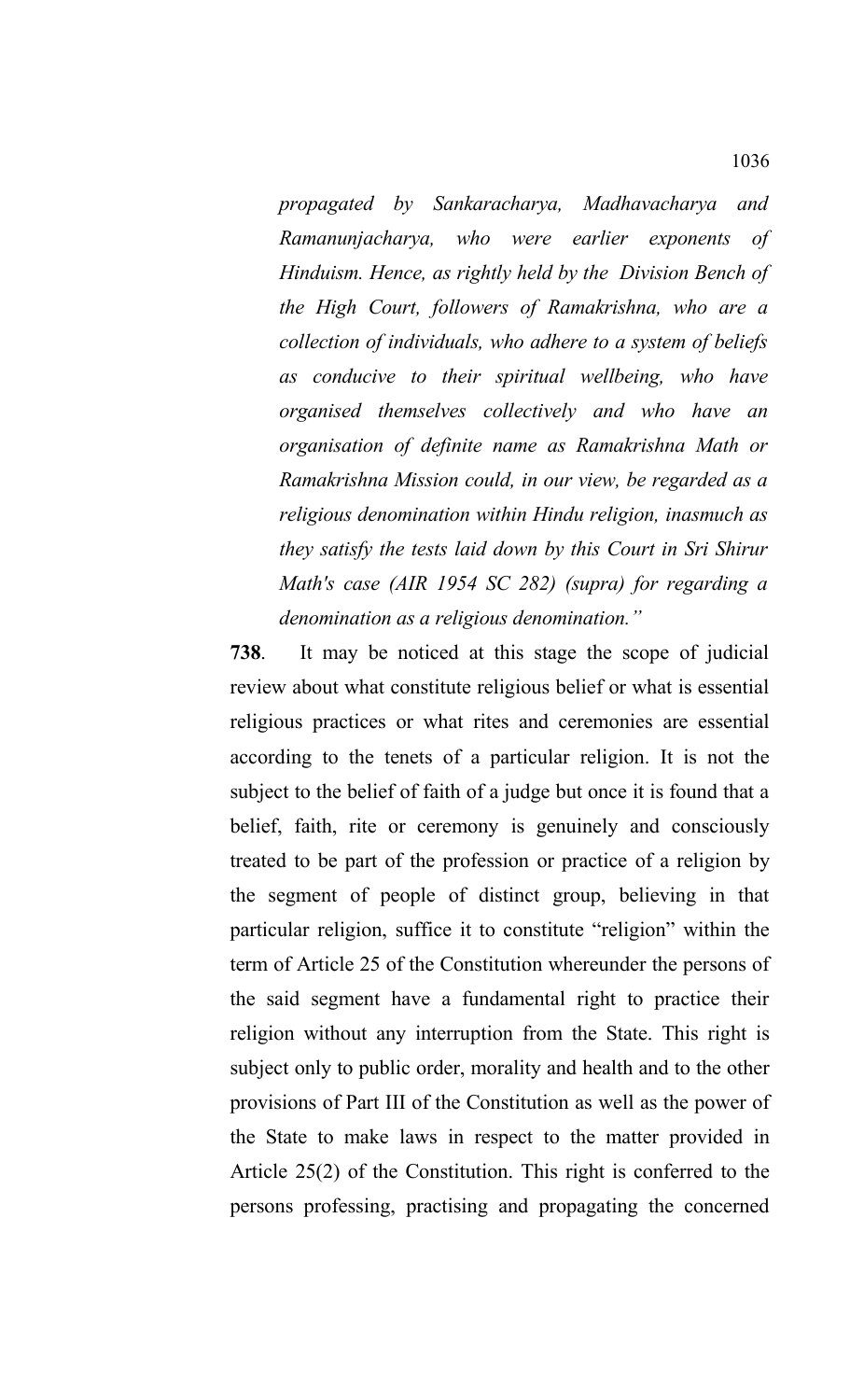*propagated by Sankaracharya, Madhavacharya and Ramanunjacharya, who were earlier exponents of Hinduism. Hence, as rightly held by the Division Bench of the High Court, followers of Ramakrishna, who are a collection of individuals, who adhere to a system of beliefs as conducive to their spiritual wellbeing, who have organised themselves collectively and who have an organisation of definite name as Ramakrishna Math or Ramakrishna Mission could, in our view, be regarded as a religious denomination within Hindu religion, inasmuch as they satisfy the tests laid down by this Court in Sri Shirur Math's case (AIR 1954 SC 282) (supra) for regarding a denomination as a religious denomination."*

**738**. It may be noticed at this stage the scope of judicial review about what constitute religious belief or what is essential religious practices or what rites and ceremonies are essential according to the tenets of a particular religion. It is not the subject to the belief of faith of a judge but once it is found that a belief, faith, rite or ceremony is genuinely and consciously treated to be part of the profession or practice of a religion by the segment of people of distinct group, believing in that particular religion, suffice it to constitute "religion" within the term of Article 25 of the Constitution whereunder the persons of the said segment have a fundamental right to practice their religion without any interruption from the State. This right is subject only to public order, morality and health and to the other provisions of Part III of the Constitution as well as the power of the State to make laws in respect to the matter provided in Article 25(2) of the Constitution. This right is conferred to the persons professing, practising and propagating the concerned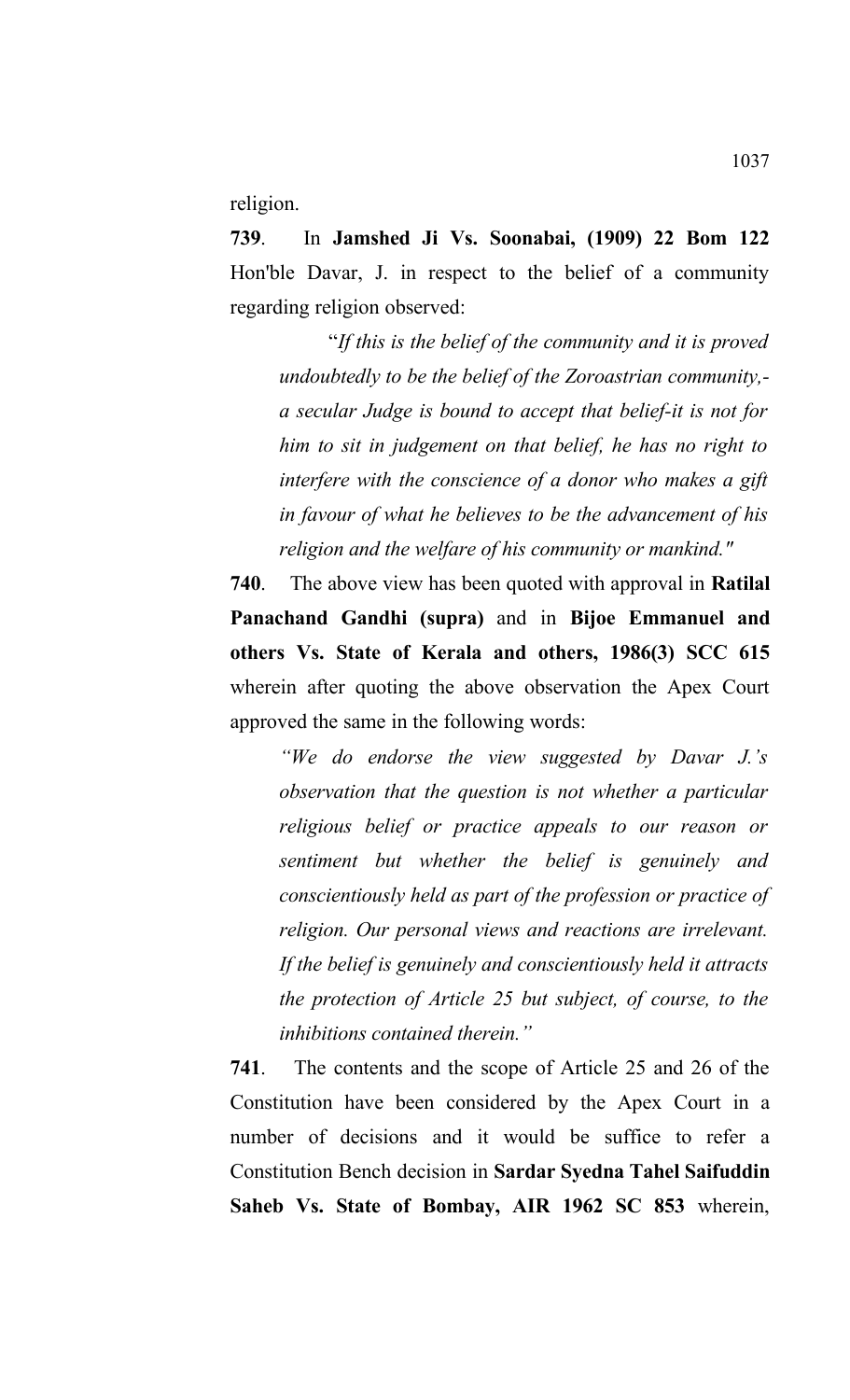religion.

**739**. In **Jamshed Ji Vs. Soonabai, (1909) 22 Bom 122** Hon'ble Davar, J. in respect to the belief of a community regarding religion observed:

"*If this is the belief of the community and it is proved undoubtedly to be the belief of the Zoroastrian community, a secular Judge is bound to accept that belief-it is not for him to sit in judgement on that belief, he has no right to interfere with the conscience of a donor who makes a gift in favour of what he believes to be the advancement of his religion and the welfare of his community or mankind."*

**740**. The above view has been quoted with approval in **Ratilal Panachand Gandhi (supra)** and in **Bijoe Emmanuel and others Vs. State of Kerala and others, 1986(3) SCC 615** wherein after quoting the above observation the Apex Court approved the same in the following words:

*"We do endorse the view suggested by Davar J.'s observation that the question is not whether a particular religious belief or practice appeals to our reason or sentiment but whether the belief is genuinely and conscientiously held as part of the profession or practice of religion. Our personal views and reactions are irrelevant. If the belief is genuinely and conscientiously held it attracts the protection of Article 25 but subject, of course, to the inhibitions contained therein."*

**741**. The contents and the scope of Article 25 and 26 of the Constitution have been considered by the Apex Court in a number of decisions and it would be suffice to refer a Constitution Bench decision in **Sardar Syedna Tahel Saifuddin Saheb Vs. State of Bombay, AIR 1962 SC 853** wherein,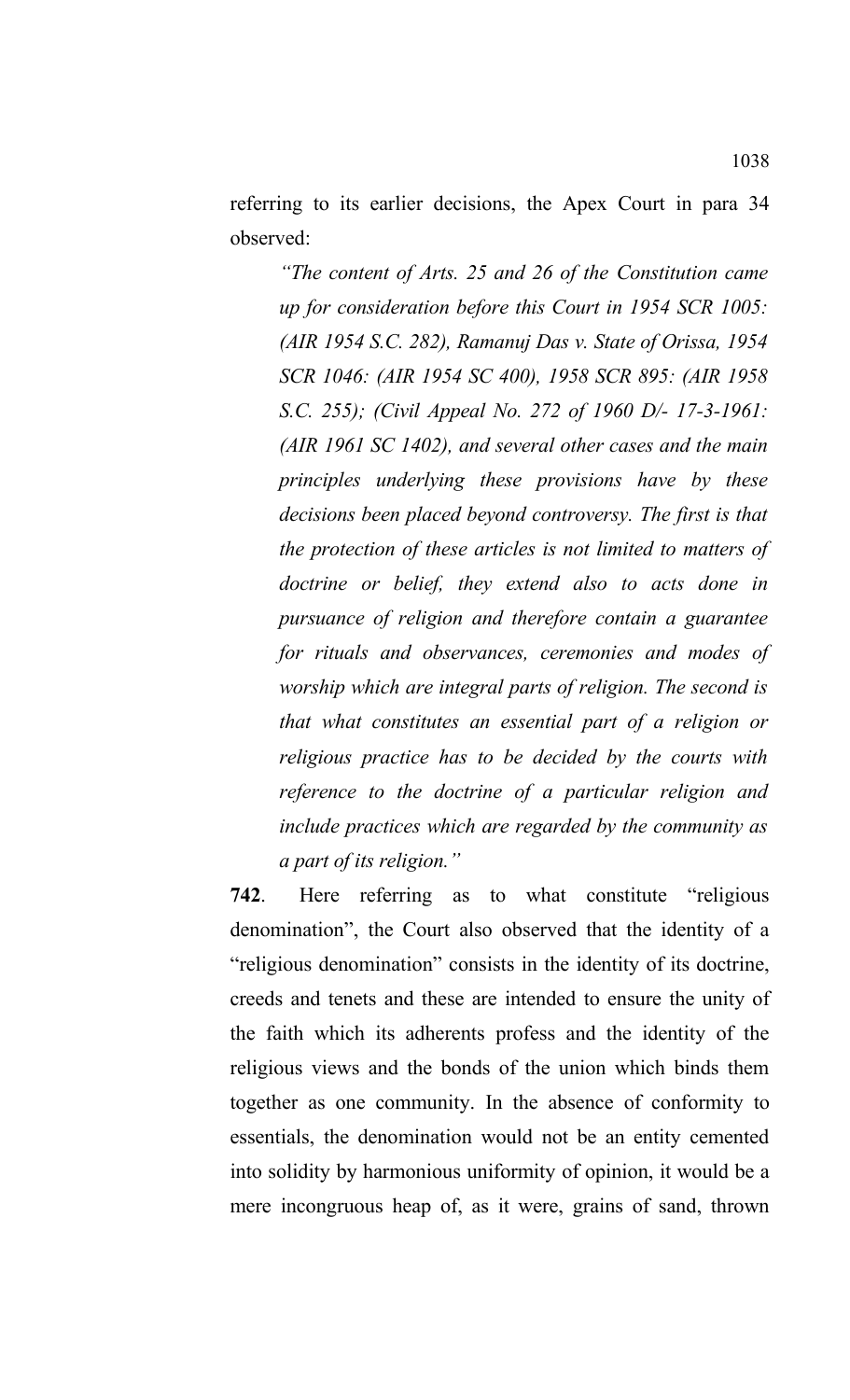referring to its earlier decisions, the Apex Court in para 34 observed:

*"The content of Arts. 25 and 26 of the Constitution came up for consideration before this Court in 1954 SCR 1005: (AIR 1954 S.C. 282), Ramanuj Das v. State of Orissa, 1954 SCR 1046: (AIR 1954 SC 400), 1958 SCR 895: (AIR 1958 S.C. 255); (Civil Appeal No. 272 of 1960 D/- 17-3-1961: (AIR 1961 SC 1402), and several other cases and the main principles underlying these provisions have by these decisions been placed beyond controversy. The first is that the protection of these articles is not limited to matters of doctrine or belief, they extend also to acts done in pursuance of religion and therefore contain a guarantee for rituals and observances, ceremonies and modes of worship which are integral parts of religion. The second is that what constitutes an essential part of a religion or religious practice has to be decided by the courts with reference to the doctrine of a particular religion and include practices which are regarded by the community as a part of its religion."*

**742**. Here referring as to what constitute "religious denomination", the Court also observed that the identity of a "religious denomination" consists in the identity of its doctrine, creeds and tenets and these are intended to ensure the unity of the faith which its adherents profess and the identity of the religious views and the bonds of the union which binds them together as one community. In the absence of conformity to essentials, the denomination would not be an entity cemented into solidity by harmonious uniformity of opinion, it would be a mere incongruous heap of, as it were, grains of sand, thrown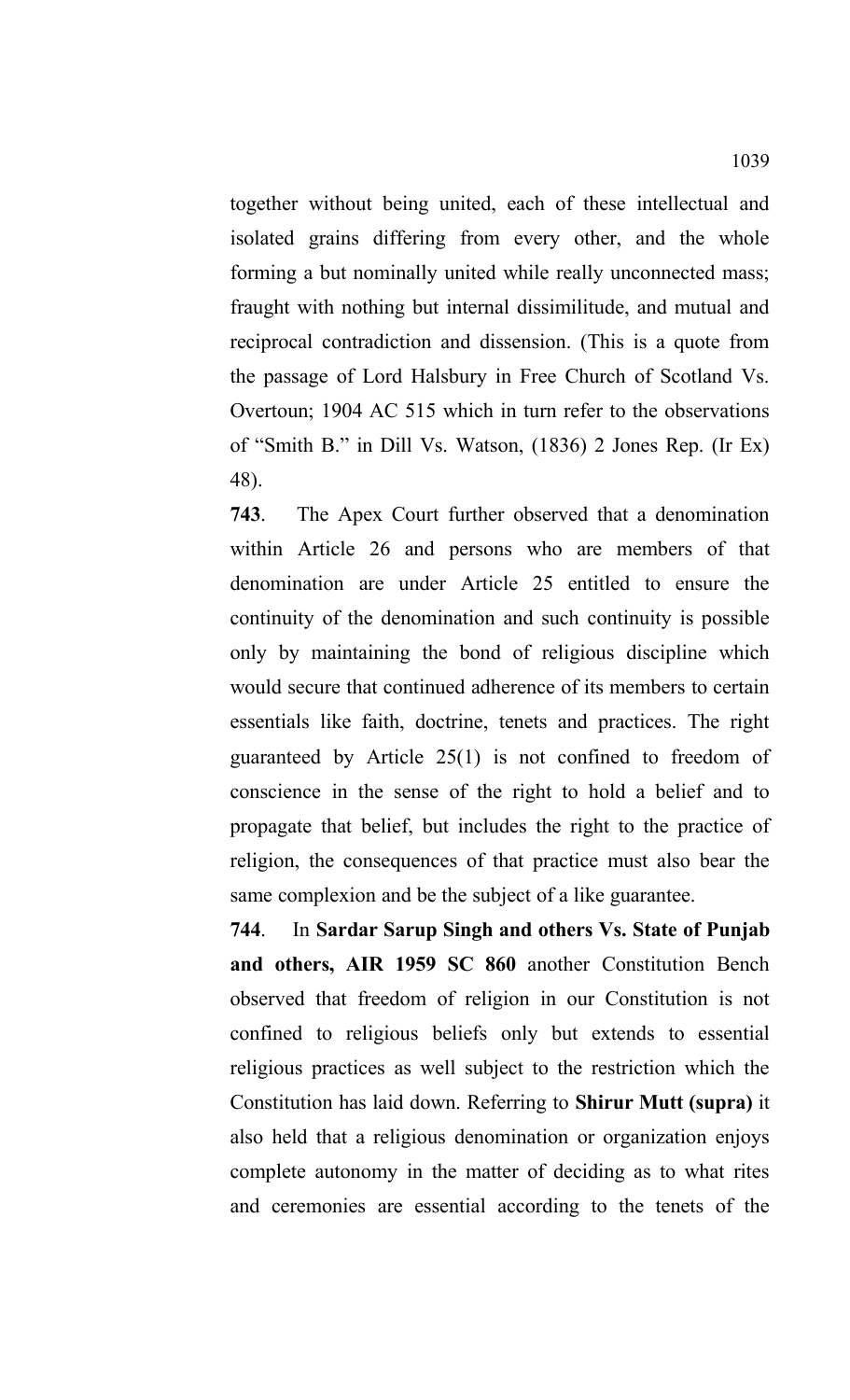together without being united, each of these intellectual and isolated grains differing from every other, and the whole forming a but nominally united while really unconnected mass; fraught with nothing but internal dissimilitude, and mutual and reciprocal contradiction and dissension. (This is a quote from the passage of Lord Halsbury in Free Church of Scotland Vs. Overtoun; 1904 AC 515 which in turn refer to the observations of "Smith B." in Dill Vs. Watson, (1836) 2 Jones Rep. (Ir Ex) 48).

**743**. The Apex Court further observed that a denomination within Article 26 and persons who are members of that denomination are under Article 25 entitled to ensure the continuity of the denomination and such continuity is possible only by maintaining the bond of religious discipline which would secure that continued adherence of its members to certain essentials like faith, doctrine, tenets and practices. The right guaranteed by Article 25(1) is not confined to freedom of conscience in the sense of the right to hold a belief and to propagate that belief, but includes the right to the practice of religion, the consequences of that practice must also bear the same complexion and be the subject of a like guarantee.

**744**. In **Sardar Sarup Singh and others Vs. State of Punjab and others, AIR 1959 SC 860** another Constitution Bench observed that freedom of religion in our Constitution is not confined to religious beliefs only but extends to essential religious practices as well subject to the restriction which the Constitution has laid down. Referring to **Shirur Mutt (supra)** it also held that a religious denomination or organization enjoys complete autonomy in the matter of deciding as to what rites and ceremonies are essential according to the tenets of the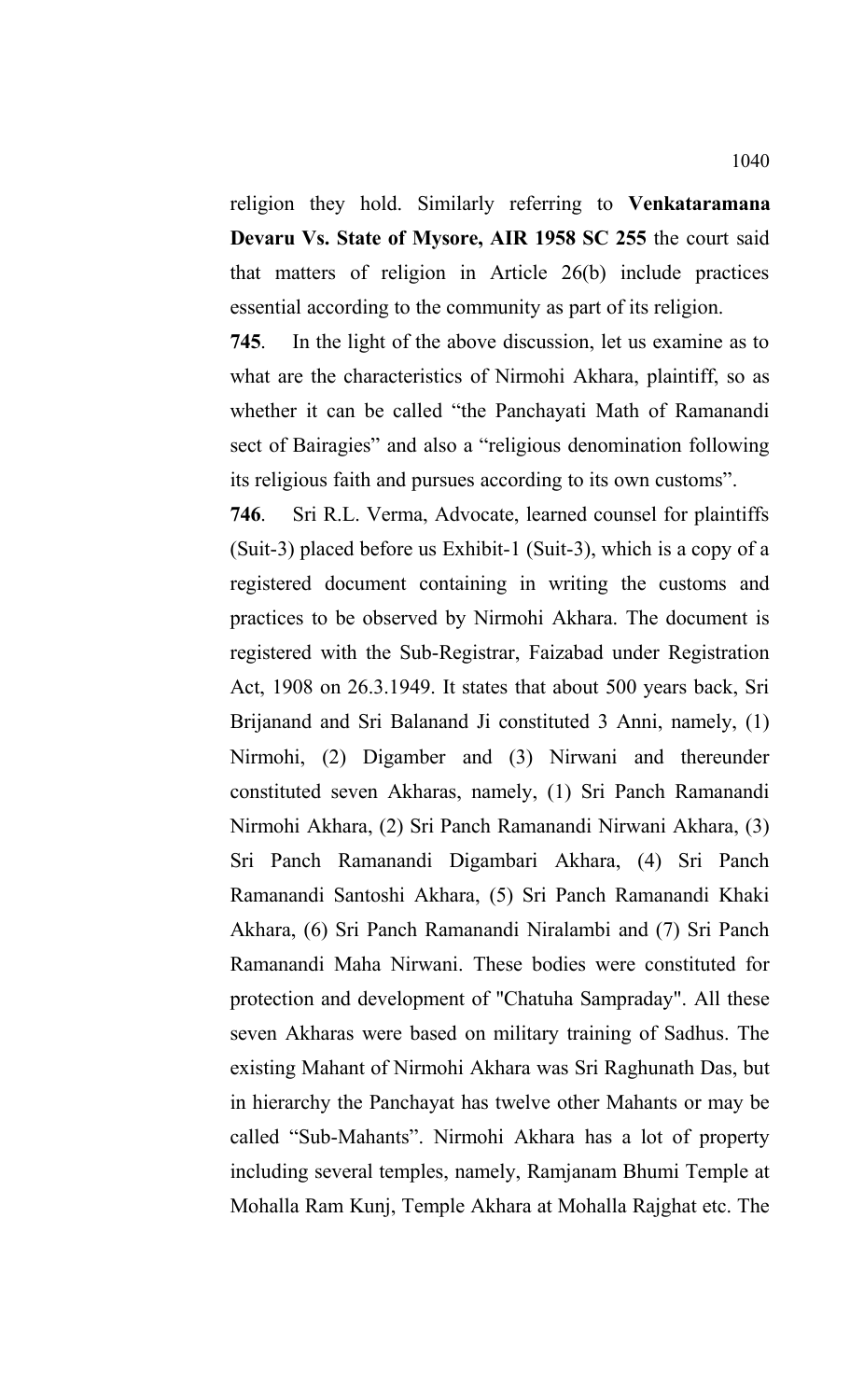religion they hold. Similarly referring to **Venkataramana Devaru Vs. State of Mysore, AIR 1958 SC 255** the court said that matters of religion in Article 26(b) include practices essential according to the community as part of its religion.

**745**. In the light of the above discussion, let us examine as to what are the characteristics of Nirmohi Akhara, plaintiff, so as whether it can be called "the Panchayati Math of Ramanandi sect of Bairagies" and also a "religious denomination following its religious faith and pursues according to its own customs".

**746**. Sri R.L. Verma, Advocate, learned counsel for plaintiffs (Suit-3) placed before us Exhibit-1 (Suit-3), which is a copy of a registered document containing in writing the customs and practices to be observed by Nirmohi Akhara. The document is registered with the Sub-Registrar, Faizabad under Registration Act, 1908 on 26.3.1949. It states that about 500 years back, Sri Brijanand and Sri Balanand Ji constituted 3 Anni, namely, (1) Nirmohi, (2) Digamber and (3) Nirwani and thereunder constituted seven Akharas, namely, (1) Sri Panch Ramanandi Nirmohi Akhara, (2) Sri Panch Ramanandi Nirwani Akhara, (3) Sri Panch Ramanandi Digambari Akhara, (4) Sri Panch Ramanandi Santoshi Akhara, (5) Sri Panch Ramanandi Khaki Akhara, (6) Sri Panch Ramanandi Niralambi and (7) Sri Panch Ramanandi Maha Nirwani. These bodies were constituted for protection and development of "Chatuha Sampraday". All these seven Akharas were based on military training of Sadhus. The existing Mahant of Nirmohi Akhara was Sri Raghunath Das, but in hierarchy the Panchayat has twelve other Mahants or may be called "Sub-Mahants". Nirmohi Akhara has a lot of property including several temples, namely, Ramjanam Bhumi Temple at Mohalla Ram Kunj, Temple Akhara at Mohalla Rajghat etc. The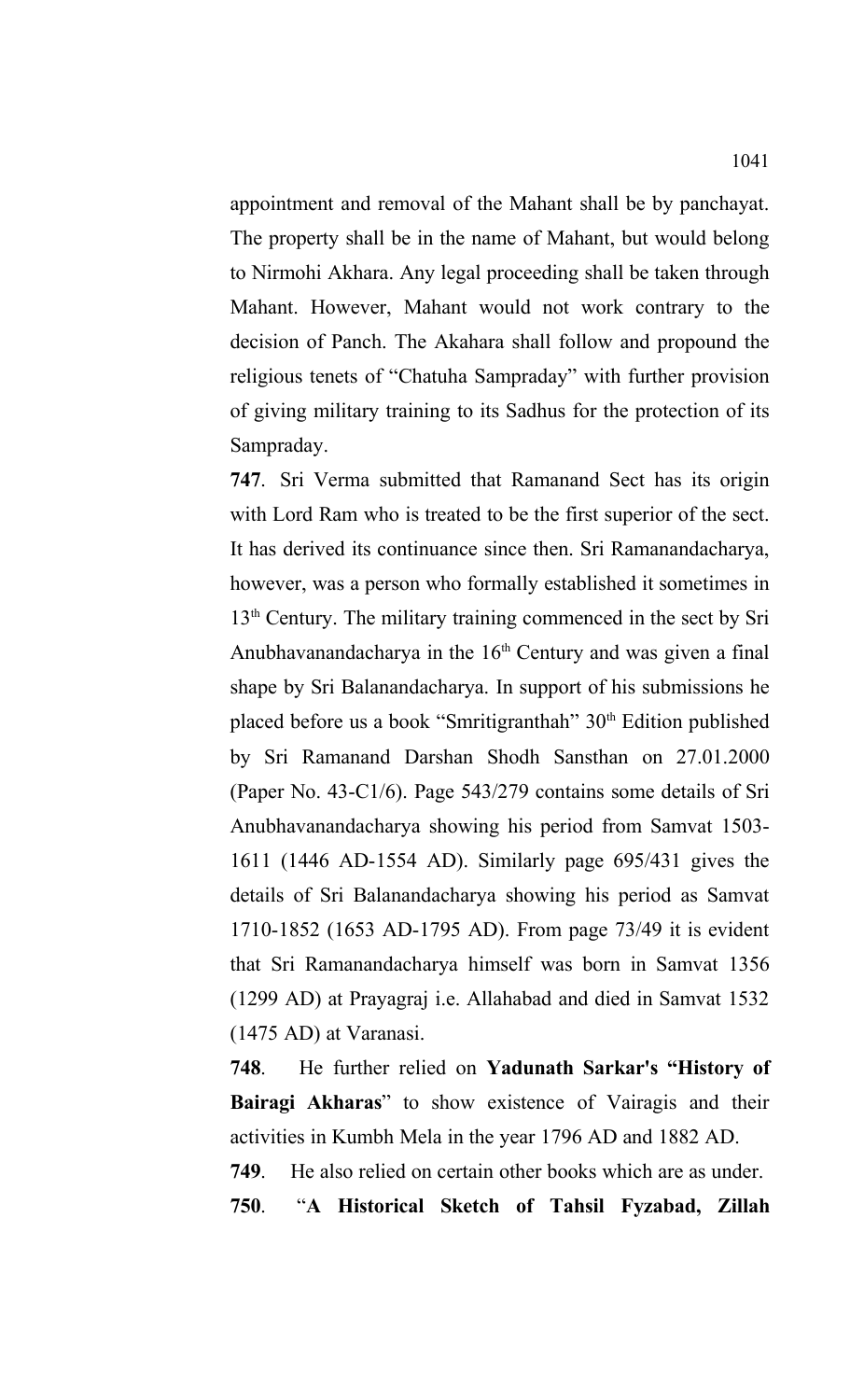appointment and removal of the Mahant shall be by panchayat. The property shall be in the name of Mahant, but would belong to Nirmohi Akhara. Any legal proceeding shall be taken through Mahant. However, Mahant would not work contrary to the decision of Panch. The Akahara shall follow and propound the religious tenets of "Chatuha Sampraday" with further provision of giving military training to its Sadhus for the protection of its Sampraday.

**747**. Sri Verma submitted that Ramanand Sect has its origin with Lord Ram who is treated to be the first superior of the sect. It has derived its continuance since then. Sri Ramanandacharya, however, was a person who formally established it sometimes in 13<sup>th</sup> Century. The military training commenced in the sect by Sri Anubhavanandacharya in the  $16<sup>th</sup>$  Century and was given a final shape by Sri Balanandacharya. In support of his submissions he placed before us a book "Smritigranthah" 30<sup>th</sup> Edition published by Sri Ramanand Darshan Shodh Sansthan on 27.01.2000 (Paper No. 43-C1/6). Page 543/279 contains some details of Sri Anubhavanandacharya showing his period from Samvat 1503- 1611 (1446 AD-1554 AD). Similarly page 695/431 gives the details of Sri Balanandacharya showing his period as Samvat 1710-1852 (1653 AD-1795 AD). From page 73/49 it is evident that Sri Ramanandacharya himself was born in Samvat 1356 (1299 AD) at Prayagraj i.e. Allahabad and died in Samvat 1532 (1475 AD) at Varanasi.

**748**. He further relied on **Yadunath Sarkar's "History of Bairagi Akharas**" to show existence of Vairagis and their activities in Kumbh Mela in the year 1796 AD and 1882 AD.

**749**. He also relied on certain other books which are as under.

**750**. "**A Historical Sketch of Tahsil Fyzabad, Zillah**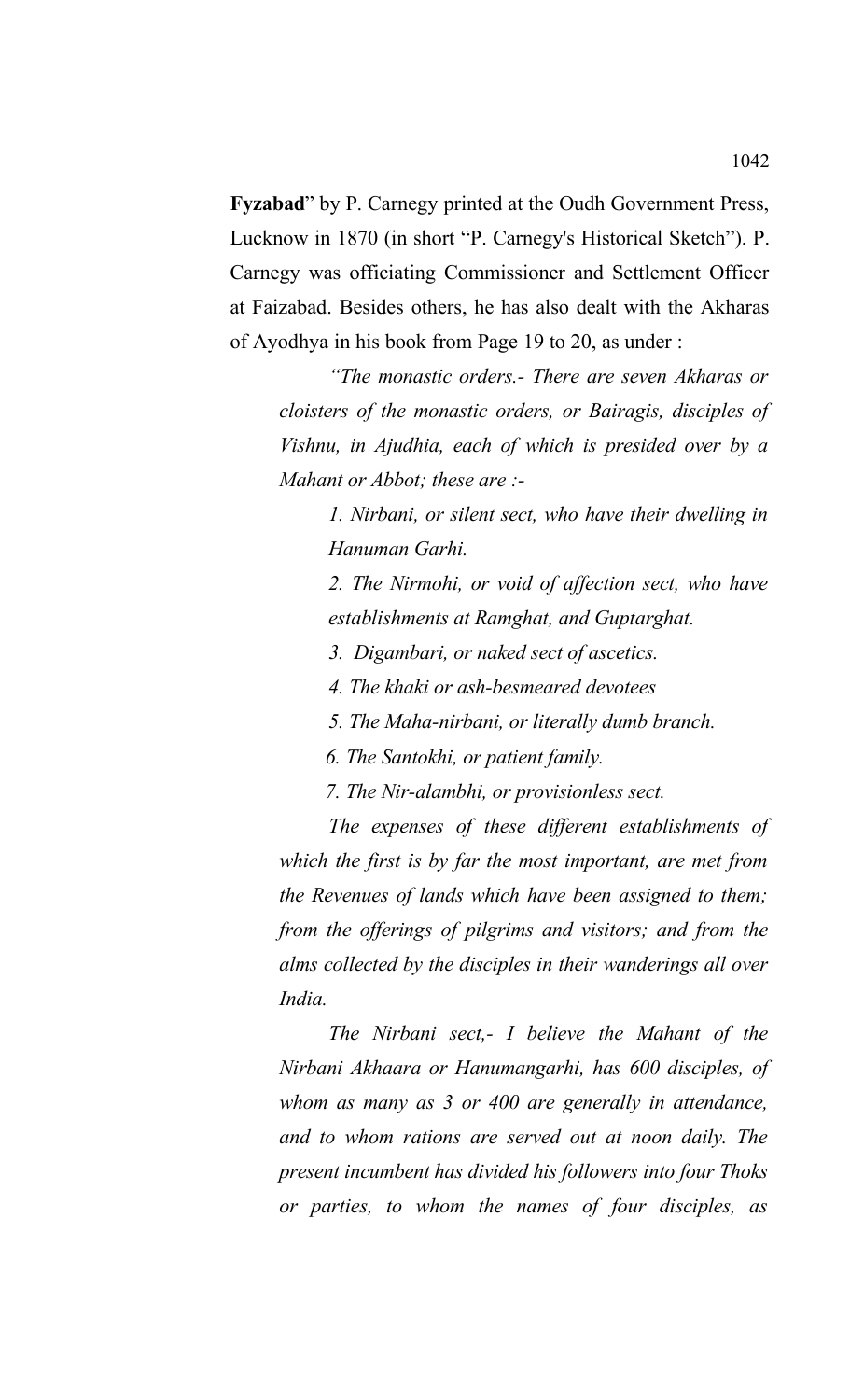**Fyzabad**" by P. Carnegy printed at the Oudh Government Press, Lucknow in 1870 (in short "P. Carnegy's Historical Sketch"). P. Carnegy was officiating Commissioner and Settlement Officer at Faizabad. Besides others, he has also dealt with the Akharas of Ayodhya in his book from Page 19 to 20, as under :

*"The monastic orders.- There are seven Akharas or cloisters of the monastic orders, or Bairagis, disciples of Vishnu, in Ajudhia, each of which is presided over by a Mahant or Abbot; these are :-*

*1. Nirbani, or silent sect, who have their dwelling in Hanuman Garhi.*

*2. The Nirmohi, or void of affection sect, who have establishments at Ramghat, and Guptarghat.*

*3. Digambari, or naked sect of ascetics.*

*4. The khaki or ash-besmeared devotees*

*5. The Maha-nirbani, or literally dumb branch.*

 *6. The Santokhi, or patient family.*

 *7. The Nir-alambhi, or provisionless sect.*

*The expenses of these different establishments of which the first is by far the most important, are met from the Revenues of lands which have been assigned to them; from the offerings of pilgrims and visitors; and from the alms collected by the disciples in their wanderings all over India.* 

*The Nirbani sect,- I believe the Mahant of the Nirbani Akhaara or Hanumangarhi, has 600 disciples, of whom as many as 3 or 400 are generally in attendance, and to whom rations are served out at noon daily. The present incumbent has divided his followers into four Thoks or parties, to whom the names of four disciples, as*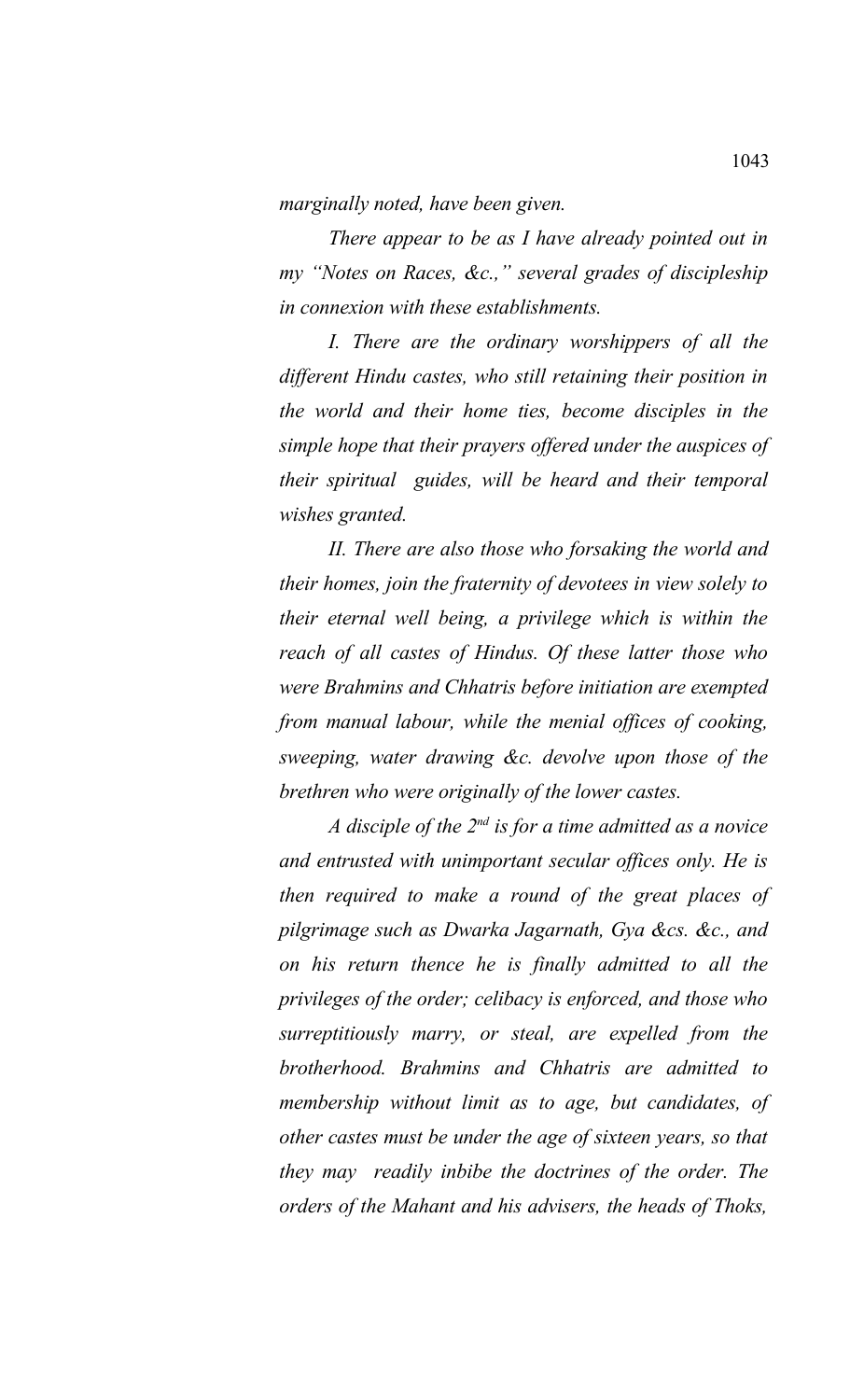*marginally noted, have been given.* 

*There appear to be as I have already pointed out in my "Notes on Races, &c.," several grades of discipleship in connexion with these establishments.* 

*I. There are the ordinary worshippers of all the different Hindu castes, who still retaining their position in the world and their home ties, become disciples in the simple hope that their prayers offered under the auspices of their spiritual guides, will be heard and their temporal wishes granted.*

*II. There are also those who forsaking the world and their homes, join the fraternity of devotees in view solely to their eternal well being, a privilege which is within the reach of all castes of Hindus. Of these latter those who were Brahmins and Chhatris before initiation are exempted from manual labour, while the menial offices of cooking, sweeping, water drawing &c. devolve upon those of the brethren who were originally of the lower castes.* 

*A disciple of the 2nd is for a time admitted as a novice and entrusted with unimportant secular offices only. He is then required to make a round of the great places of pilgrimage such as Dwarka Jagarnath, Gya &cs. &c., and on his return thence he is finally admitted to all the privileges of the order; celibacy is enforced, and those who surreptitiously marry, or steal, are expelled from the brotherhood. Brahmins and Chhatris are admitted to membership without limit as to age, but candidates, of other castes must be under the age of sixteen years, so that they may readily inbibe the doctrines of the order. The orders of the Mahant and his advisers, the heads of Thoks,*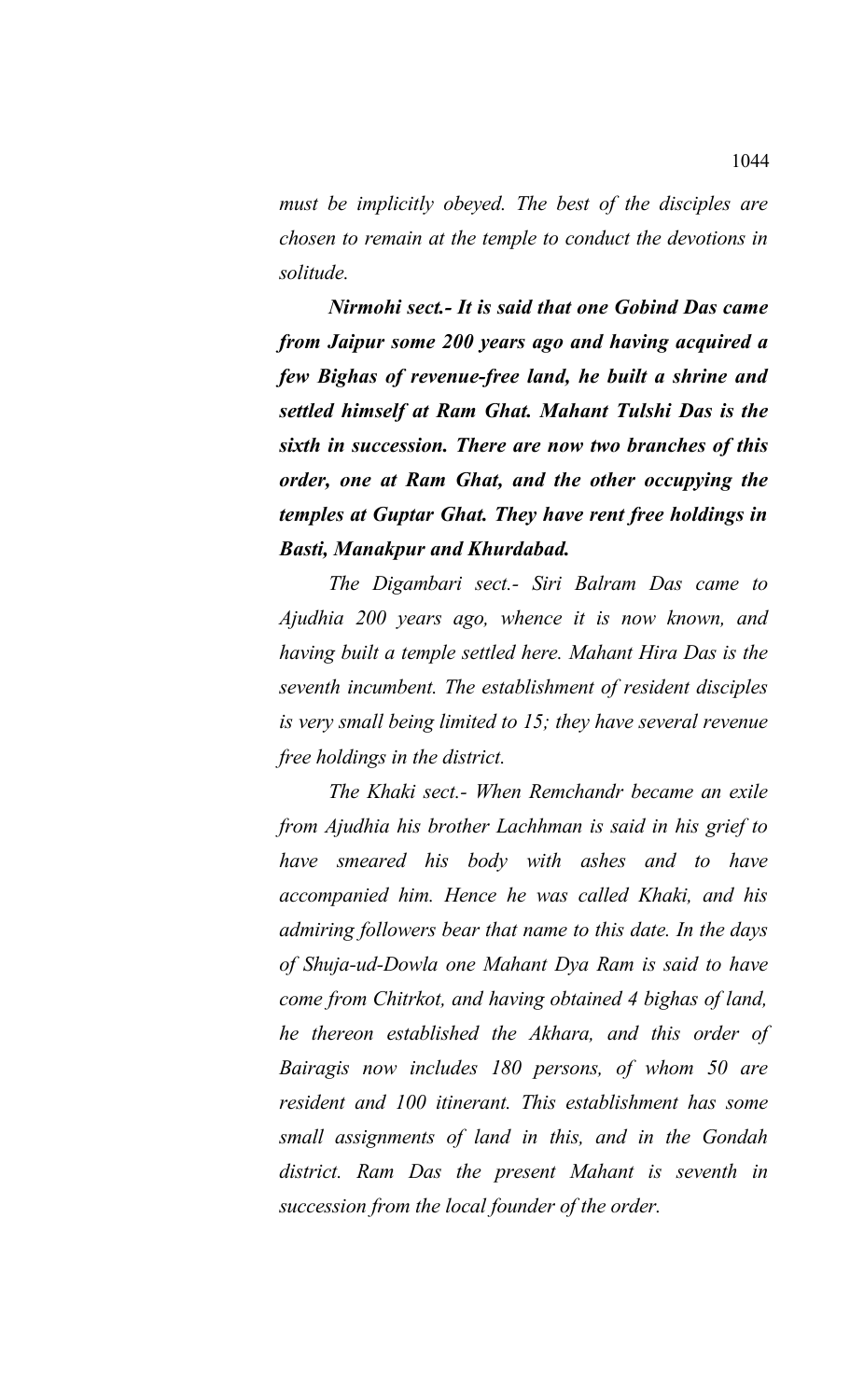*must be implicitly obeyed. The best of the disciples are chosen to remain at the temple to conduct the devotions in solitude.* 

*Nirmohi sect.- It is said that one Gobind Das came from Jaipur some 200 years ago and having acquired a few Bighas of revenue-free land, he built a shrine and settled himself at Ram Ghat. Mahant Tulshi Das is the sixth in succession. There are now two branches of this order, one at Ram Ghat, and the other occupying the temples at Guptar Ghat. They have rent free holdings in Basti, Manakpur and Khurdabad.* 

*The Digambari sect.- Siri Balram Das came to Ajudhia 200 years ago, whence it is now known, and having built a temple settled here. Mahant Hira Das is the seventh incumbent. The establishment of resident disciples is very small being limited to 15; they have several revenue free holdings in the district.* 

*The Khaki sect.- When Remchandr became an exile from Ajudhia his brother Lachhman is said in his grief to have smeared his body with ashes and to have accompanied him. Hence he was called Khaki, and his admiring followers bear that name to this date. In the days of Shuja-ud-Dowla one Mahant Dya Ram is said to have come from Chitrkot, and having obtained 4 bighas of land, he thereon established the Akhara, and this order of Bairagis now includes 180 persons, of whom 50 are resident and 100 itinerant. This establishment has some small assignments of land in this, and in the Gondah district. Ram Das the present Mahant is seventh in succession from the local founder of the order.*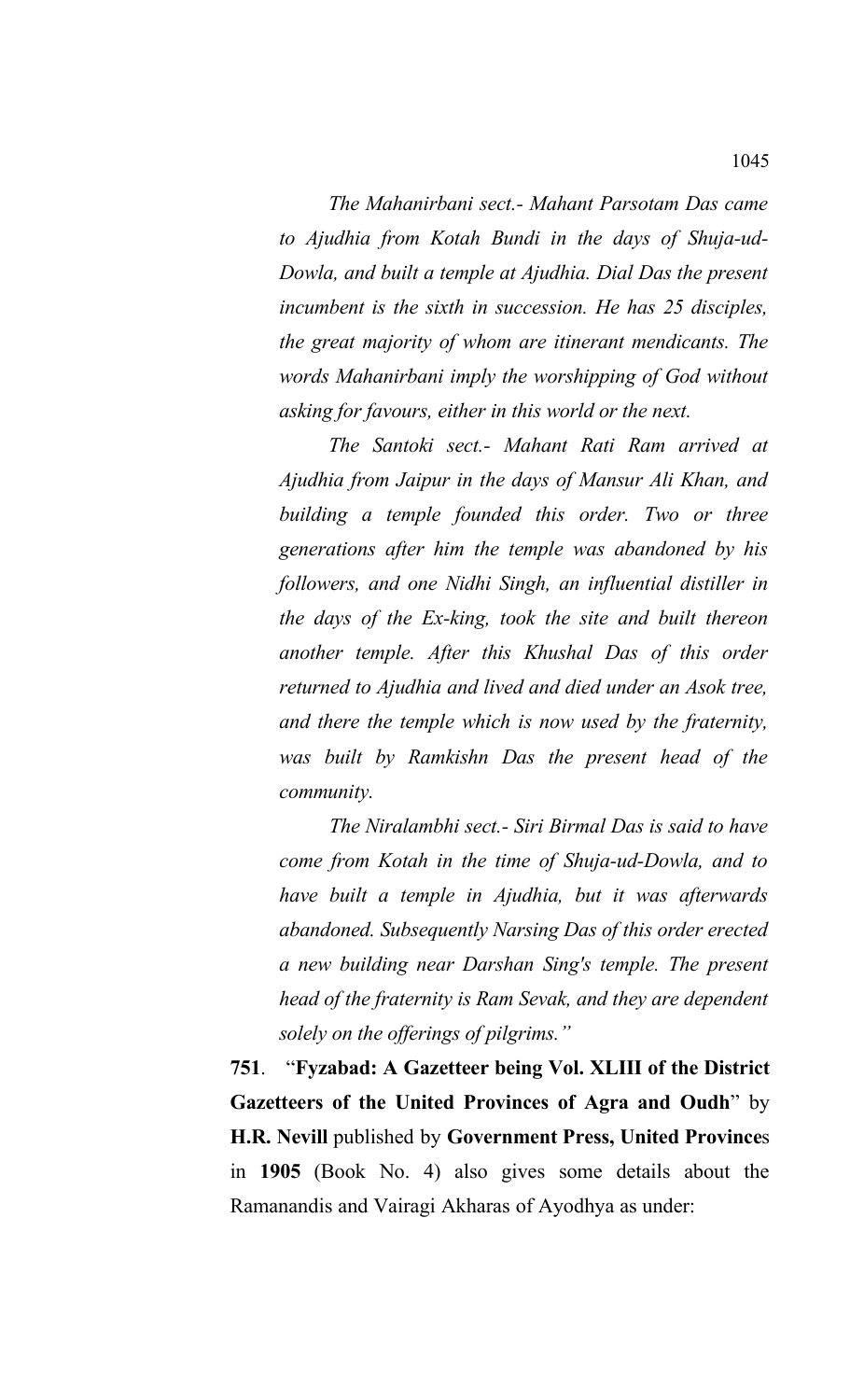*The Mahanirbani sect.- Mahant Parsotam Das came to Ajudhia from Kotah Bundi in the days of Shuja-ud-Dowla, and built a temple at Ajudhia. Dial Das the present incumbent is the sixth in succession. He has 25 disciples, the great majority of whom are itinerant mendicants. The words Mahanirbani imply the worshipping of God without asking for favours, either in this world or the next.* 

*The Santoki sect.- Mahant Rati Ram arrived at Ajudhia from Jaipur in the days of Mansur Ali Khan, and building a temple founded this order. Two or three generations after him the temple was abandoned by his followers, and one Nidhi Singh, an influential distiller in the days of the Ex-king, took the site and built thereon another temple. After this Khushal Das of this order returned to Ajudhia and lived and died under an Asok tree, and there the temple which is now used by the fraternity, was built by Ramkishn Das the present head of the community.* 

*The Niralambhi sect.- Siri Birmal Das is said to have come from Kotah in the time of Shuja-ud-Dowla, and to have built a temple in Ajudhia, but it was afterwards abandoned. Subsequently Narsing Das of this order erected a new building near Darshan Sing's temple. The present head of the fraternity is Ram Sevak, and they are dependent solely on the offerings of pilgrims."*

**751**. "**Fyzabad: A Gazetteer being Vol. XLIII of the District Gazetteers of the United Provinces of Agra and Oudh**" by **H.R. Nevill** published by **Government Press, United Province**s in **1905** (Book No. 4) also gives some details about the Ramanandis and Vairagi Akharas of Ayodhya as under: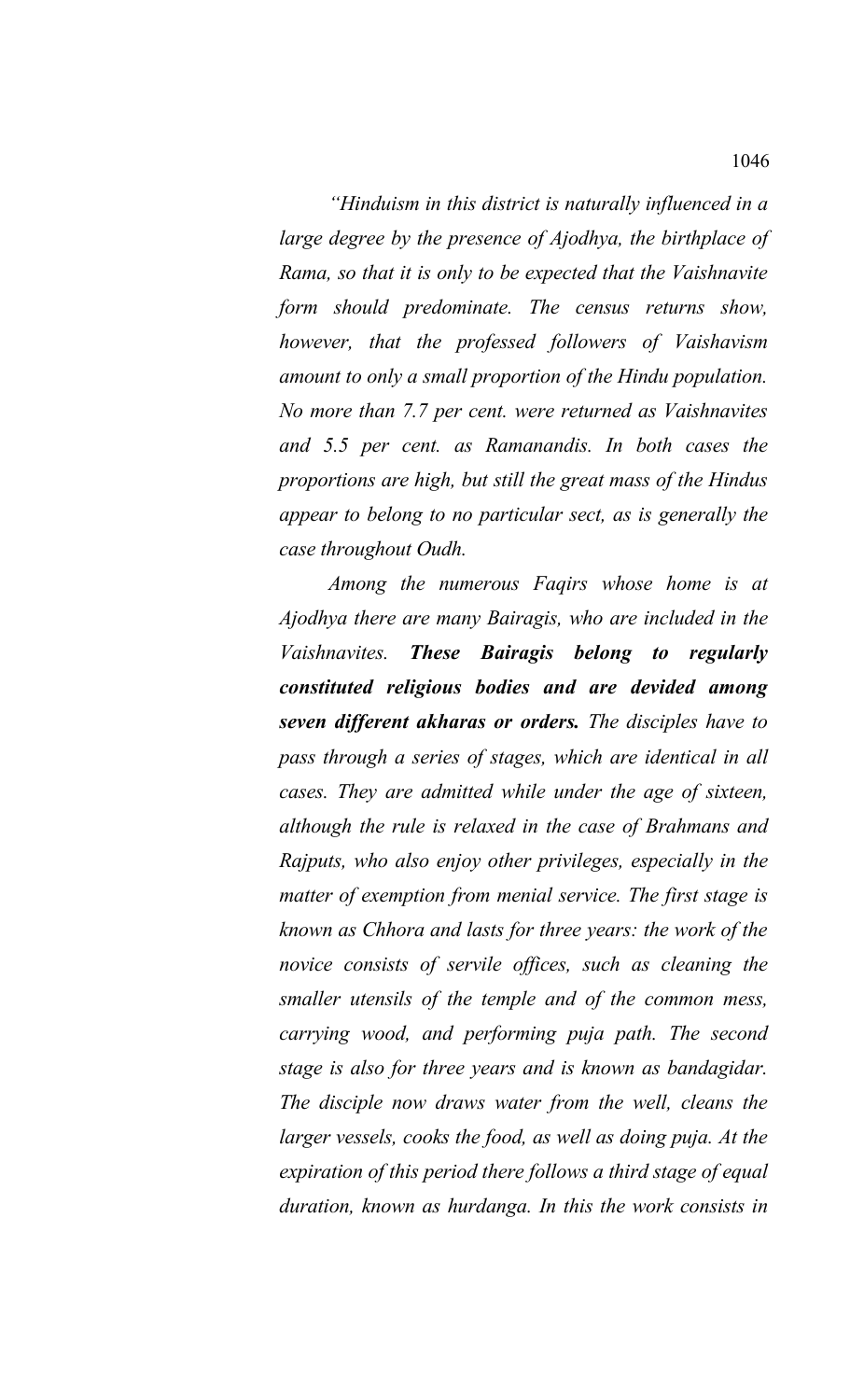*"Hinduism in this district is naturally influenced in a large degree by the presence of Ajodhya, the birthplace of Rama, so that it is only to be expected that the Vaishnavite form should predominate. The census returns show, however, that the professed followers of Vaishavism amount to only a small proportion of the Hindu population. No more than 7.7 per cent. were returned as Vaishnavites and 5.5 per cent. as Ramanandis. In both cases the proportions are high, but still the great mass of the Hindus appear to belong to no particular sect, as is generally the case throughout Oudh.* 

*Among the numerous Faqirs whose home is at Ajodhya there are many Bairagis, who are included in the Vaishnavites. These Bairagis belong to regularly constituted religious bodies and are devided among seven different akharas or orders. The disciples have to pass through a series of stages, which are identical in all cases. They are admitted while under the age of sixteen, although the rule is relaxed in the case of Brahmans and Rajputs, who also enjoy other privileges, especially in the matter of exemption from menial service. The first stage is known as Chhora and lasts for three years: the work of the novice consists of servile offices, such as cleaning the smaller utensils of the temple and of the common mess, carrying wood, and performing puja path. The second stage is also for three years and is known as bandagidar. The disciple now draws water from the well, cleans the larger vessels, cooks the food, as well as doing puja. At the expiration of this period there follows a third stage of equal duration, known as hurdanga. In this the work consists in*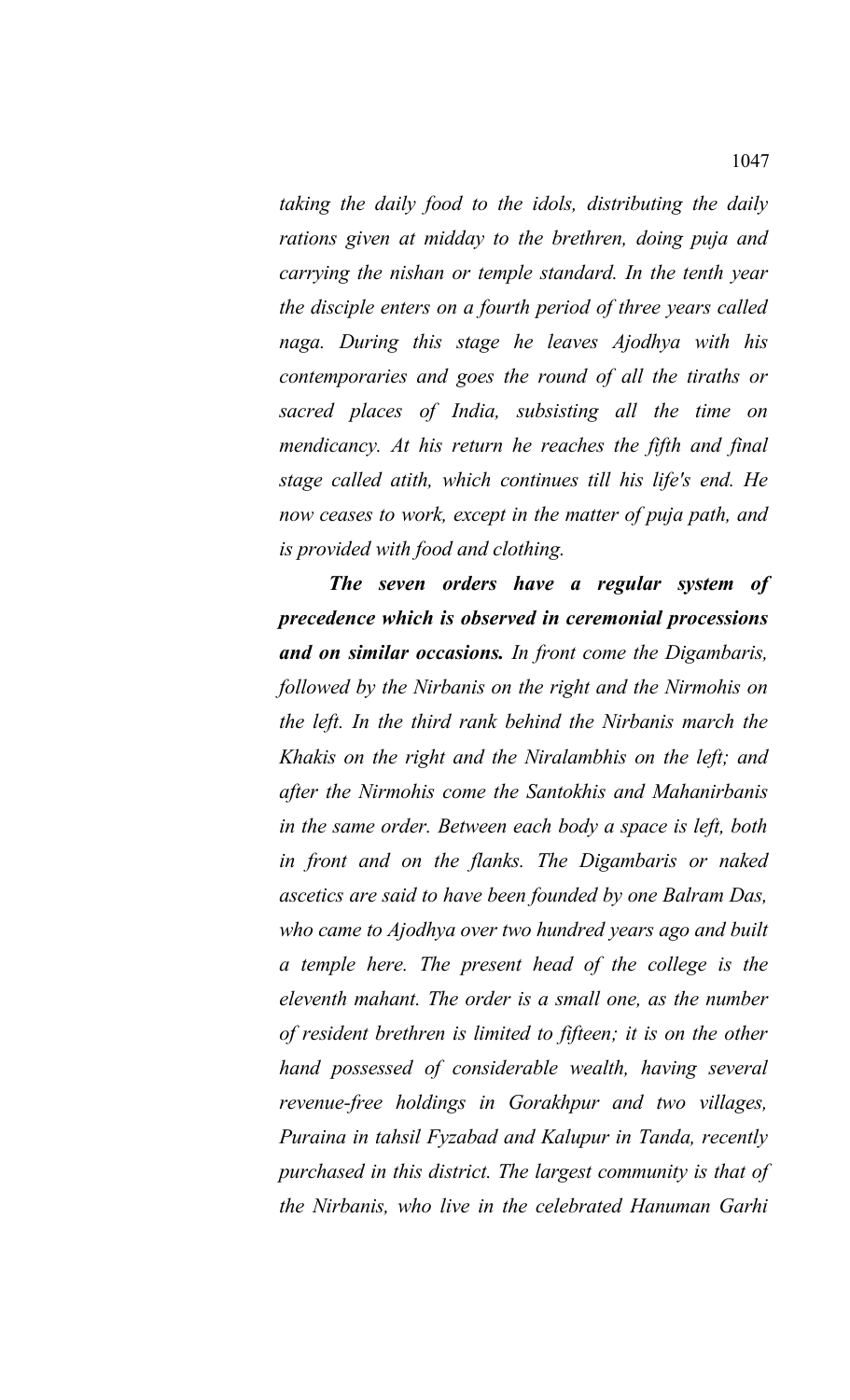*taking the daily food to the idols, distributing the daily rations given at midday to the brethren, doing puja and carrying the nishan or temple standard. In the tenth year the disciple enters on a fourth period of three years called naga. During this stage he leaves Ajodhya with his contemporaries and goes the round of all the tiraths or sacred places of India, subsisting all the time on mendicancy. At his return he reaches the fifth and final stage called atith, which continues till his life's end. He now ceases to work, except in the matter of puja path, and is provided with food and clothing.* 

*The seven orders have a regular system of precedence which is observed in ceremonial processions and on similar occasions. In front come the Digambaris, followed by the Nirbanis on the right and the Nirmohis on the left. In the third rank behind the Nirbanis march the Khakis on the right and the Niralambhis on the left; and after the Nirmohis come the Santokhis and Mahanirbanis in the same order. Between each body a space is left, both in front and on the flanks. The Digambaris or naked ascetics are said to have been founded by one Balram Das, who came to Ajodhya over two hundred years ago and built a temple here. The present head of the college is the eleventh mahant. The order is a small one, as the number of resident brethren is limited to fifteen; it is on the other hand possessed of considerable wealth, having several revenue-free holdings in Gorakhpur and two villages, Puraina in tahsil Fyzabad and Kalupur in Tanda, recently purchased in this district. The largest community is that of the Nirbanis, who live in the celebrated Hanuman Garhi*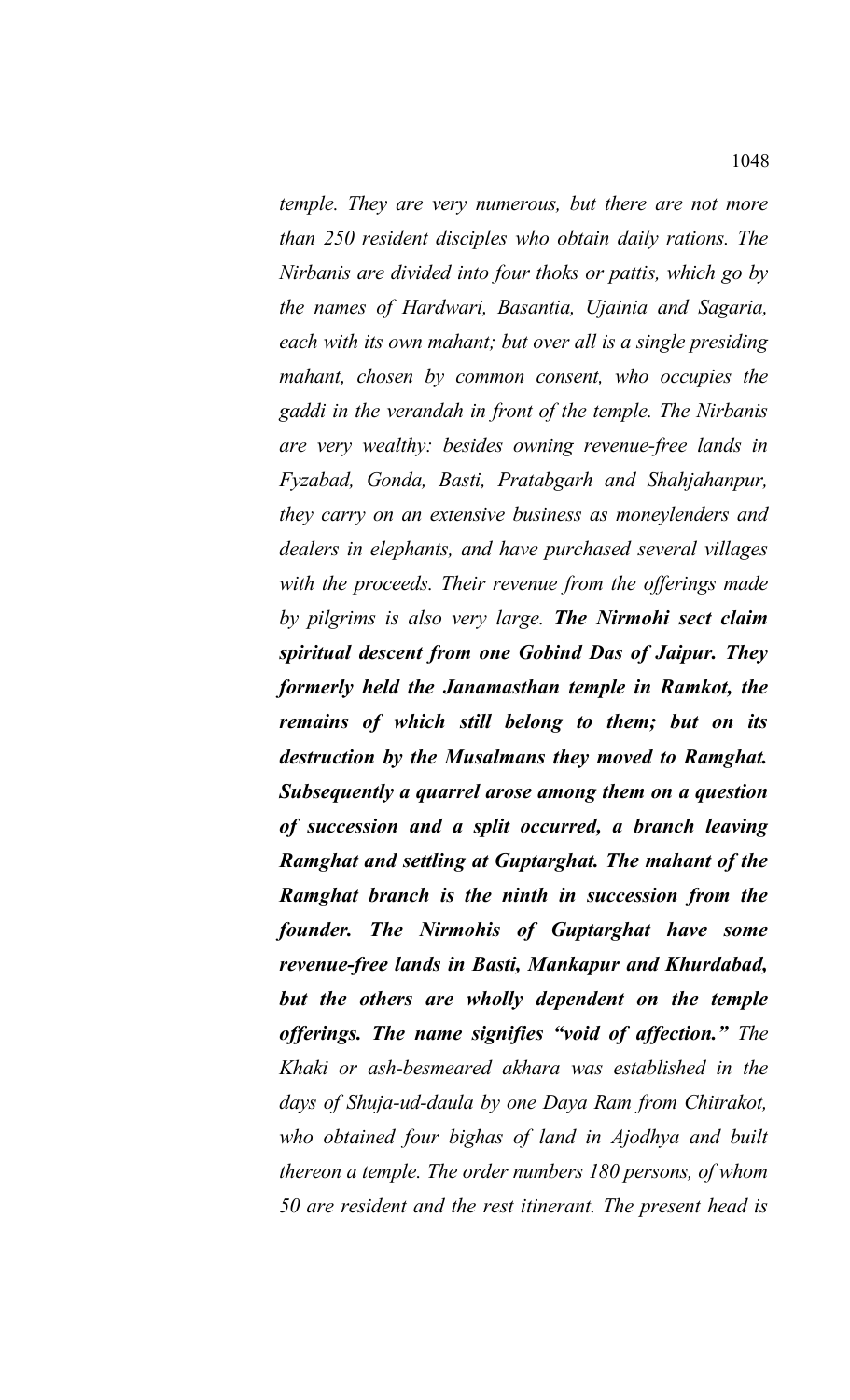*temple. They are very numerous, but there are not more than 250 resident disciples who obtain daily rations. The Nirbanis are divided into four thoks or pattis, which go by the names of Hardwari, Basantia, Ujainia and Sagaria, each with its own mahant; but over all is a single presiding mahant, chosen by common consent, who occupies the gaddi in the verandah in front of the temple. The Nirbanis are very wealthy: besides owning revenue-free lands in Fyzabad, Gonda, Basti, Pratabgarh and Shahjahanpur, they carry on an extensive business as moneylenders and dealers in elephants, and have purchased several villages with the proceeds. Their revenue from the offerings made by pilgrims is also very large. The Nirmohi sect claim spiritual descent from one Gobind Das of Jaipur. They formerly held the Janamasthan temple in Ramkot, the remains of which still belong to them; but on its destruction by the Musalmans they moved to Ramghat. Subsequently a quarrel arose among them on a question of succession and a split occurred, a branch leaving Ramghat and settling at Guptarghat. The mahant of the Ramghat branch is the ninth in succession from the founder. The Nirmohis of Guptarghat have some revenue-free lands in Basti, Mankapur and Khurdabad, but the others are wholly dependent on the temple offerings. The name signifies "void of affection." The Khaki or ash-besmeared akhara was established in the days of Shuja-ud-daula by one Daya Ram from Chitrakot, who obtained four bighas of land in Ajodhya and built thereon a temple. The order numbers 180 persons, of whom 50 are resident and the rest itinerant. The present head is*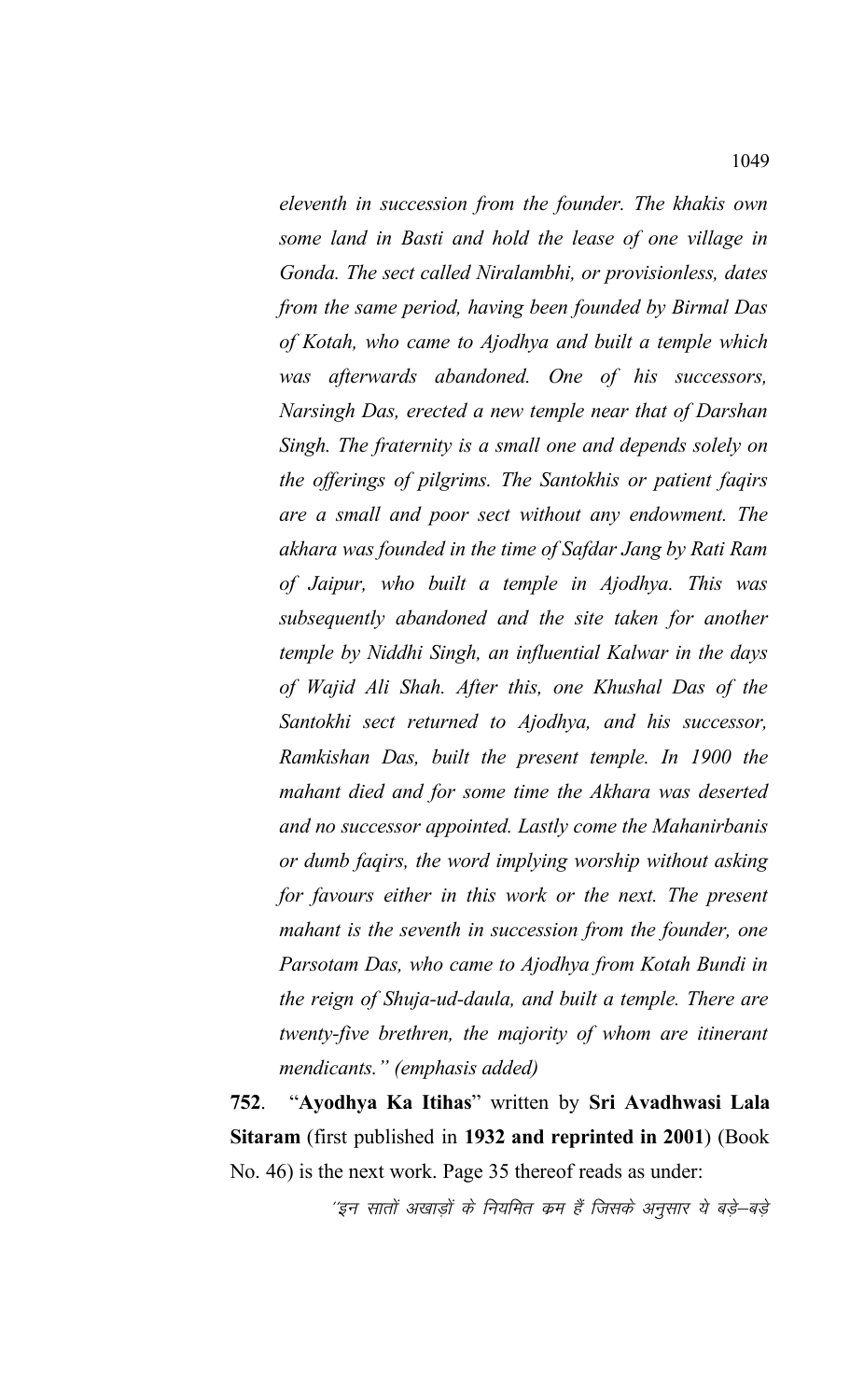*eleventh in succession from the founder. The khakis own some land in Basti and hold the lease of one village in Gonda. The sect called Niralambhi, or provisionless, dates from the same period, having been founded by Birmal Das of Kotah, who came to Ajodhya and built a temple which was afterwards abandoned. One of his successors, Narsingh Das, erected a new temple near that of Darshan Singh. The fraternity is a small one and depends solely on the offerings of pilgrims. The Santokhis or patient faqirs are a small and poor sect without any endowment. The akhara was founded in the time of Safdar Jang by Rati Ram of Jaipur, who built a temple in Ajodhya. This was subsequently abandoned and the site taken for another temple by Niddhi Singh, an influential Kalwar in the days of Wajid Ali Shah. After this, one Khushal Das of the Santokhi sect returned to Ajodhya, and his successor, Ramkishan Das, built the present temple. In 1900 the mahant died and for some time the Akhara was deserted and no successor appointed. Lastly come the Mahanirbanis or dumb faqirs, the word implying worship without asking for favours either in this work or the next. The present mahant is the seventh in succession from the founder, one Parsotam Das, who came to Ajodhya from Kotah Bundi in the reign of Shuja-ud-daula, and built a temple. There are twenty-five brethren, the majority of whom are itinerant mendicants." (emphasis added)*

**752**. "**Ayodhya Ka Itihas**" written by **Sri Avadhwasi Lala Sitaram** (first published in **1932 and reprinted in 2001**) (Book No. 46) is the next work. Page 35 thereof reads as under:

''इन सातों अखाड़ों के नियमित कम हैं जिसके अनुसार ये बड़े–बड़े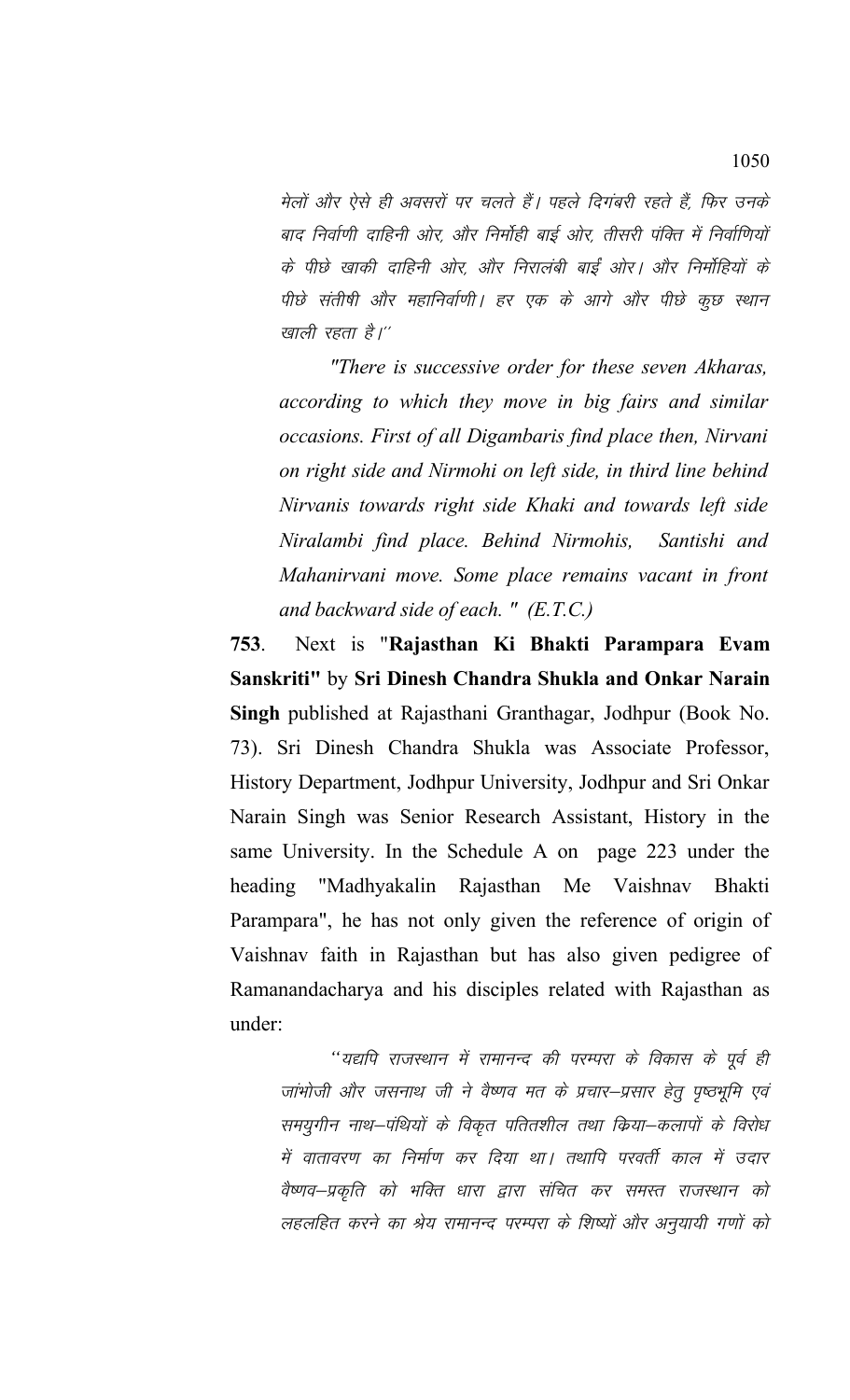मेलों और ऐसे ही अवसरों पर चलते हैं। पहले दिगंबरी रहते हैं, फिर उनके बाद निर्वाणी दाहिनी ओर, और निर्मोही बाई ओर, तीसरी पंक्ति में निर्वाणियों के पीछे खाकी दाहिनी ओर, और निरालंबी बाईं ओर। और निर्मोहियों के पीछे संतीषी और महानिर्वाणी। हर एक के आगे और पीछे कूछ स्थान खाली रहता है।''

*"There is successive order for these seven Akharas, according to which they move in big fairs and similar occasions. First of all Digambaris find place then, Nirvani on right side and Nirmohi on left side, in third line behind Nirvanis towards right side Khaki and towards left side Niralambi find place. Behind Nirmohis, Santishi and Mahanirvani move. Some place remains vacant in front and backward side of each. " (E.T.C.)*

**753**. Next is "**Rajasthan Ki Bhakti Parampara Evam Sanskriti"** by **Sri Dinesh Chandra Shukla and Onkar Narain Singh** published at Rajasthani Granthagar, Jodhpur (Book No. 73). Sri Dinesh Chandra Shukla was Associate Professor, History Department, Jodhpur University, Jodhpur and Sri Onkar Narain Singh was Senior Research Assistant, History in the same University. In the Schedule A on page 223 under the heading "Madhyakalin Rajasthan Me Vaishnav Bhakti Parampara", he has not only given the reference of origin of Vaishnav faith in Rajasthan but has also given pedigree of Ramanandacharya and his disciples related with Rajasthan as under:

''यद्यपि राजस्थान में रामानन्द की परम्परा के विकास के पूर्व ही जांभोजी और जसनाथ जी ने वैष्णव मत के प्रचार–प्रसार हेतु पृष्ठभूमि एवं समयुगीन नाथ–पंथियों के विकृत पतितशील तथा किया–कलापों के विरोध में वातावरण का निर्माण कर दिया था। तथापि परवर्ती काल में उदार वैष्णव–प्रकृति को भक्ति धारा द्वारा संचित कर समस्त राजस्थान को लहलहित करने का श्रेय रामानन्द परम्परा के शिष्यों और अनुयायी गणों को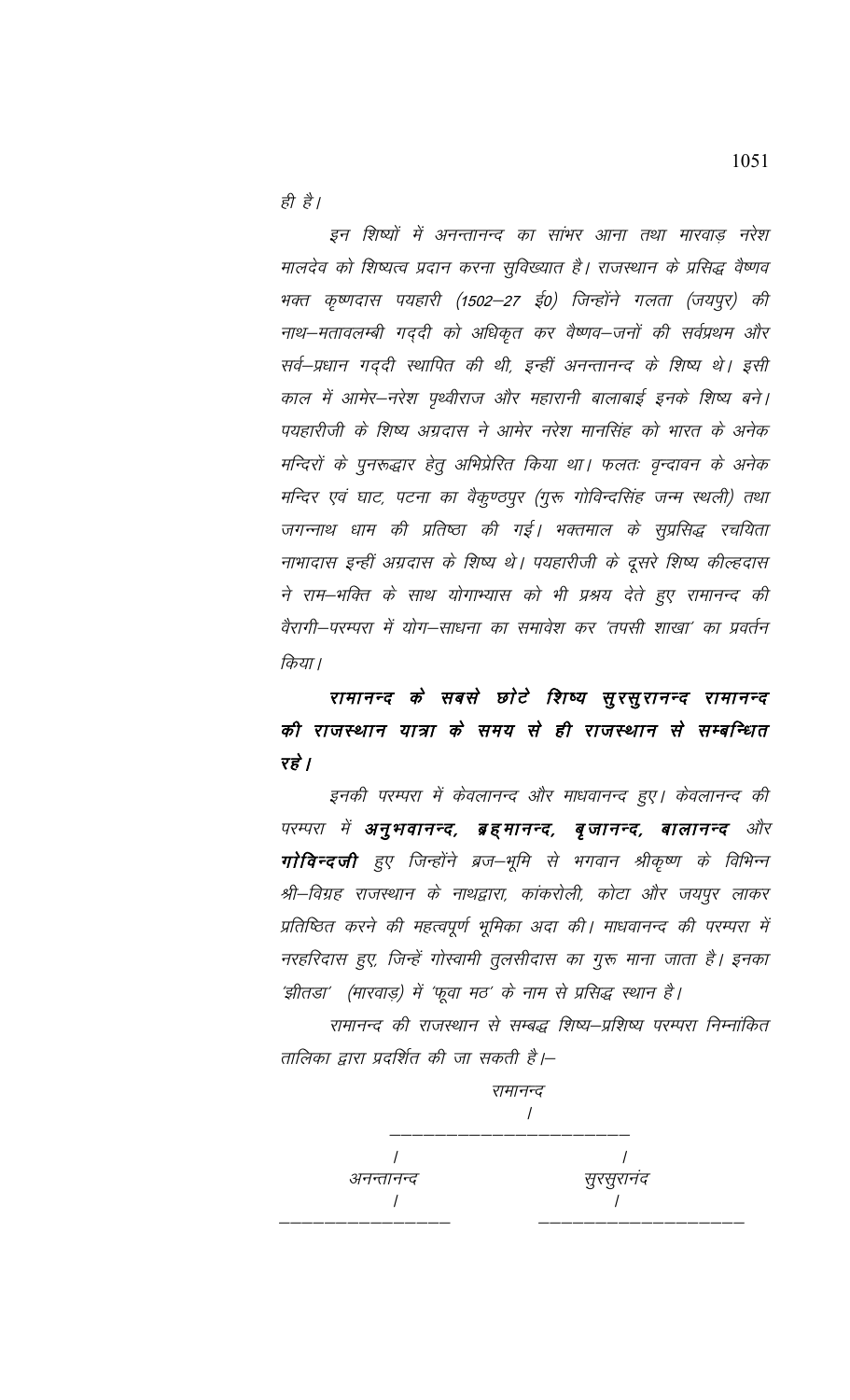ही है।

इन शिष्यों में अनन्तानन्द का सांभर आना तथा मारवाड़ नरेश मालदेव को शिष्यत्व प्रदान करना सुविख्यात है। राजस्थान के प्रसिद्ध वैष्णव भक्त कृष्णदास पयहारी (1502–27 ई0) जिन्होंने गलता (जयपुर) की नाथ–मतावलम्बी गद्दी को अधिकृत कर वैष्णव–जनों की सर्वप्रथम और सर्व–प्रधान गद्दी स्थापित की थी, इन्हीं अनन्तानन्द के शिष्य थे। इसी काल में आमेर–नरेश पृथ्वीराज और महारानी बालाबाई इनके शिष्य बने। पयहारीजी के शिष्य अग्रदास ने आमेर नरेश मानसिंह को भारत के अनेक मन्दिरों के पुनरूद्धार हेतु अभिप्रेरित किया था। फलतः वृन्दावन के अनेक मन्दिर एवं घाट, पटना का वैकुण्ठपुर (गुरू गोविन्दसिंह जन्म स्थली) तथा जगन्नाथ धाम की प्रतिष्ठा की गई। भक्तमाल के सुप्रसिद्ध रचयिता नाभादास इन्हीं अग्रदास के शिष्य थे। पयहारीजी के दूसरे शिष्य कील्हदास ने राम–भक्ति के साथ योगाभ्यास को भी प्रश्रय देते हुए रामानन्द की वैरागी–परम्परा में योग–साधना का समावेश कर 'तपसी शाखा' का प्रवर्तन किया।

रामानन्द के सबसे छोटे शिष्य सुरसुरानन्द रामानन्द की राजस्थान यात्रा के समय से ही राजस्थान से सम्बन्धित रहे $\overrightarrow{B}$ 

इनकी परम्परा में केवलानन्द और माधवानन्द हुए। केवलानन्द की परम्परा में **अनुभवानन्द, ब्रह्मानन्द, बृजानन्द, बालानन्द** और गोविन्दजी हुए जिन्होंने ब्रज–भूमि से भगवान श्रीकृष्ण के विभिन्न श्री–विग्रह राजस्थान के नाथद्वारा, कांकरोली, कोटा और जयपुर लाकर प्रतिष्ठित करने की महत्वपूर्ण भूमिका अदा की। माधवानन्द की परम्परा में नरहरिदास हुए, जिन्हें गोस्वामी तुलसीदास का गुरू माना जाता है। इनका 'झीतडा' (मारवाड़) में 'फूवा मठ' के नाम से प्रसिद्ध स्थान है।

रामानन्द की राजस्थान से सम्बद्ध शिष्य–प्रशिष्य परम्परा निम्नांकित तालिका द्वारा प्रदर्शित की जा सकती है।–



1051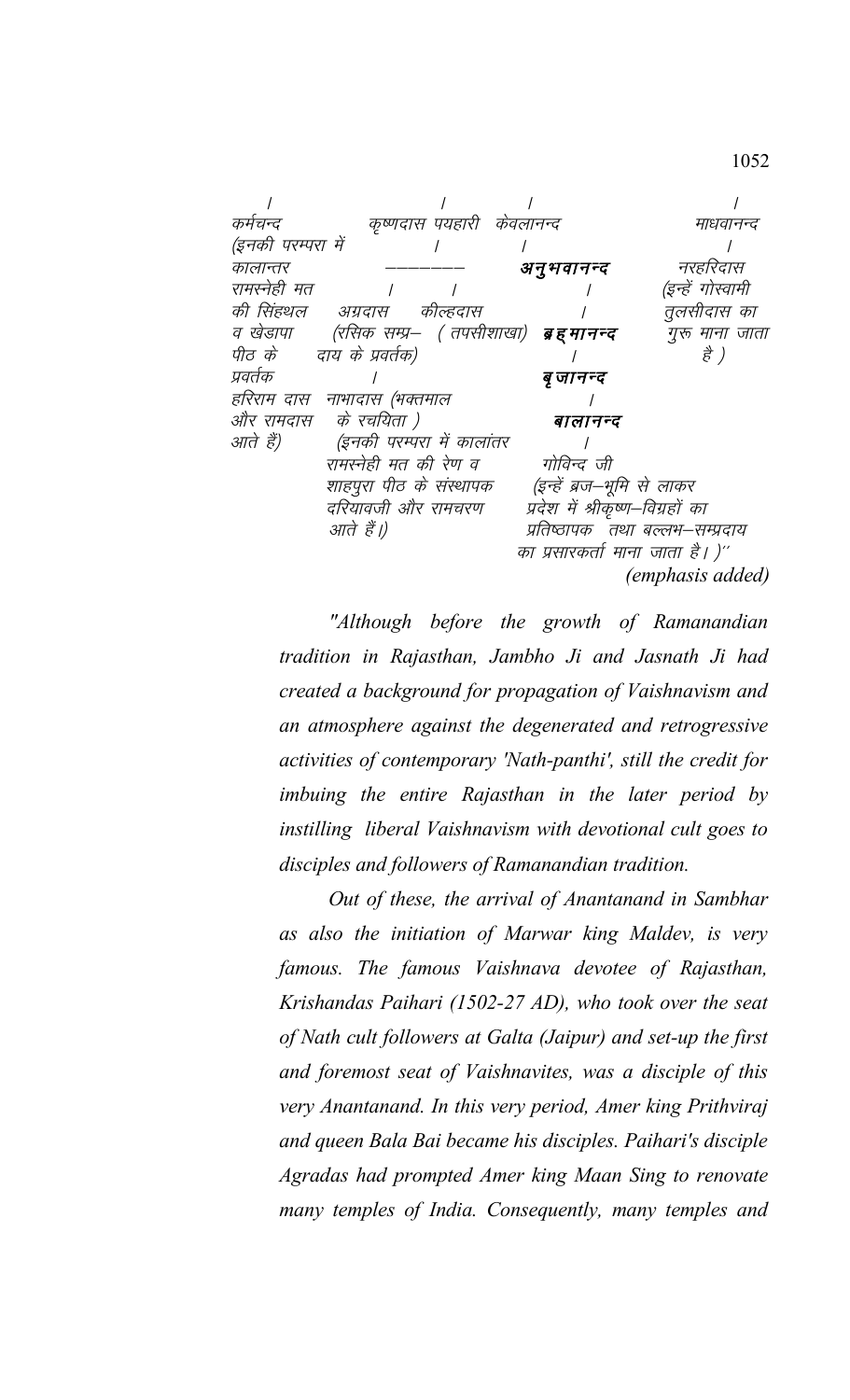| कर्मचन्द          | कृष्णदास पयहारी केवलानन्द    |                                  | माधवानन्द               |
|-------------------|------------------------------|----------------------------------|-------------------------|
| (इनकी परम्परा में |                              |                                  |                         |
| कालान्तर          |                              | अनुभवानन्द                       | नरहरिदास                |
| रामरनेही मत       |                              |                                  | (इन्हें गोस्वामी        |
| की सिंहथल         | अग्रदास कील्हदास             |                                  | तूलसीदास का             |
| व खेडापा          | (रसिक सम्प्र—  ( तपसीशाखा)   | ब्र ह मानन्द                     | गुरू माना जाता          |
|                   | पीठ के वाय के प्रवर्तक)      |                                  | है )                    |
| प्रवर्तक          |                              | बृ जानन्द                        |                         |
|                   | हरिराम दास  नाभादास (भक्तमाल |                                  |                         |
| और रामदास         | के रचयिता )                  | बालानन्द                         |                         |
| आते हैं)          | (इनकी परम्परा में कालांतर    |                                  |                         |
|                   | रामरनेही मत की रेण व         | गोविन्द जी                       |                         |
|                   | शाहपुरा पीठ के संस्थापक      | (इन्हें ब्रज–भूमि से लाकर        |                         |
|                   | दरियावजी और रामचरण           | प्रदेश में श्रीकृष्ण–विग्रहों का |                         |
|                   | आते हैं।)                    | प्रतिष्ठापक तथा बल्लभ–सम्प्रदाय  |                         |
|                   |                              | का प्रसारकर्ता माना जाता है। )'' |                         |
|                   |                              |                                  | <i>(emphasis added)</i> |
|                   |                              |                                  |                         |

"Although before the growth of Ramanandian tradition in Rajasthan, Jambho Ji and Jasnath Ji had created a background for propagation of Vaishnavism and an atmosphere against the degenerated and retrogressive activities of contemporary 'Nath-panthi', still the credit for imbuing the entire Rajasthan in the later period by instilling liberal Vaishnavism with devotional cult goes to disciples and followers of Ramanandian tradition.

Out of these, the arrival of Anantanand in Sambhar as also the initiation of Marwar king Maldev, is very famous. The famous Vaishnava devotee of Rajasthan, Krishandas Paihari (1502-27 AD), who took over the seat of Nath cult followers at Galta (Jaipur) and set-up the first and foremost seat of Vaishnavites, was a disciple of this very Anantanand. In this very period, Amer king Prithviraj and queen Bala Bai became his disciples. Paihari's disciple Agradas had prompted Amer king Maan Sing to renovate many temples of India. Consequently, many temples and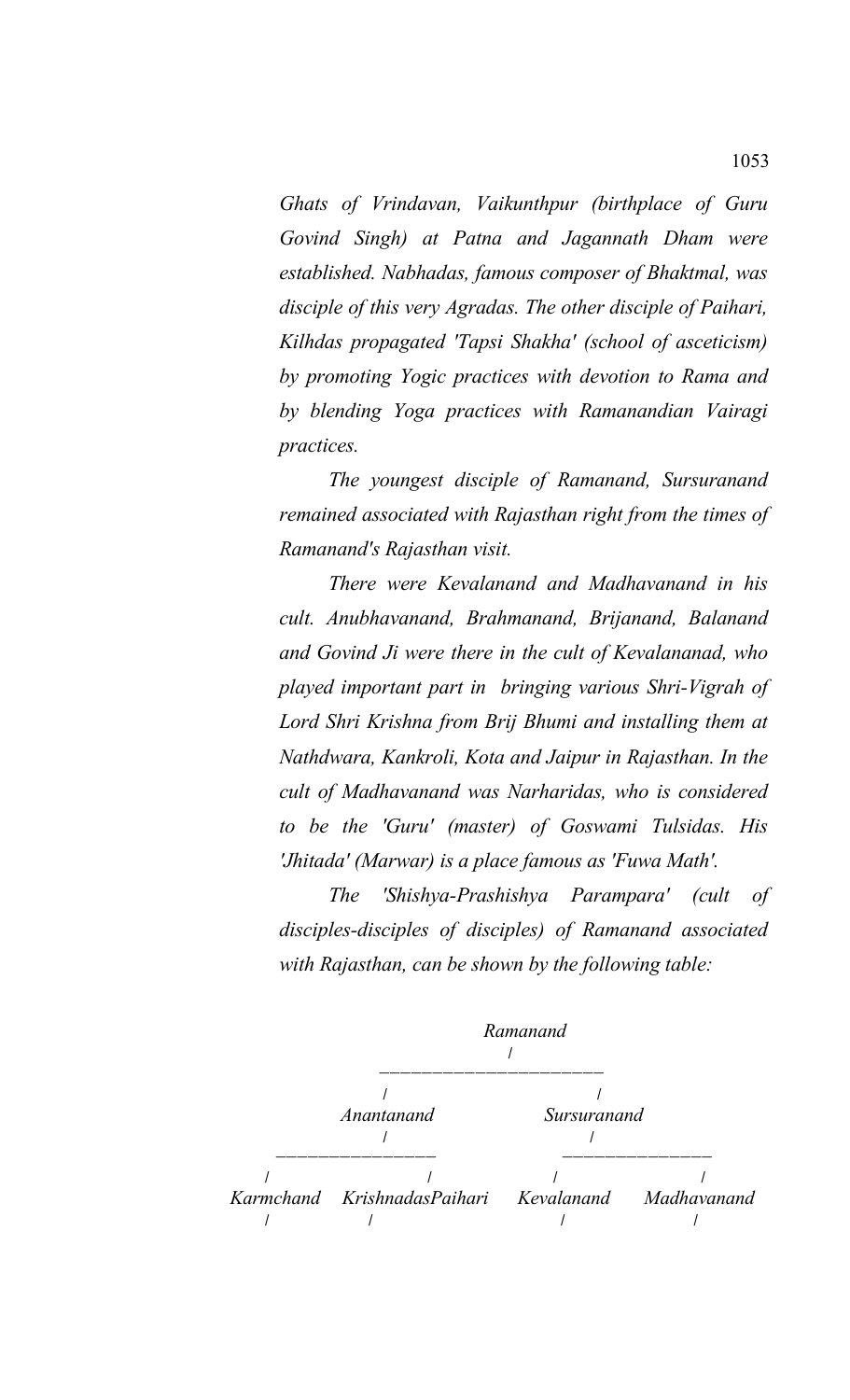*Ghats of Vrindavan, Vaikunthpur (birthplace of Guru Govind Singh) at Patna and Jagannath Dham were established. Nabhadas, famous composer of Bhaktmal, was disciple of this very Agradas. The other disciple of Paihari, Kilhdas propagated 'Tapsi Shakha' (school of asceticism) by promoting Yogic practices with devotion to Rama and by blending Yoga practices with Ramanandian Vairagi practices.*

*The youngest disciple of Ramanand, Sursuranand remained associated with Rajasthan right from the times of Ramanand's Rajasthan visit.*

*There were Kevalanand and Madhavanand in his cult. Anubhavanand, Brahmanand, Brijanand, Balanand and Govind Ji were there in the cult of Kevalananad, who played important part in bringing various Shri-Vigrah of Lord Shri Krishna from Brij Bhumi and installing them at Nathdwara, Kankroli, Kota and Jaipur in Rajasthan. In the cult of Madhavanand was Narharidas, who is considered to be the 'Guru' (master) of Goswami Tulsidas. His 'Jhitada' (Marwar) is a place famous as 'Fuwa Math'.*

*The 'Shishya-Prashishya Parampara' (cult of disciples-disciples of disciples) of Ramanand associated with Rajasthan, can be shown by the following table:*

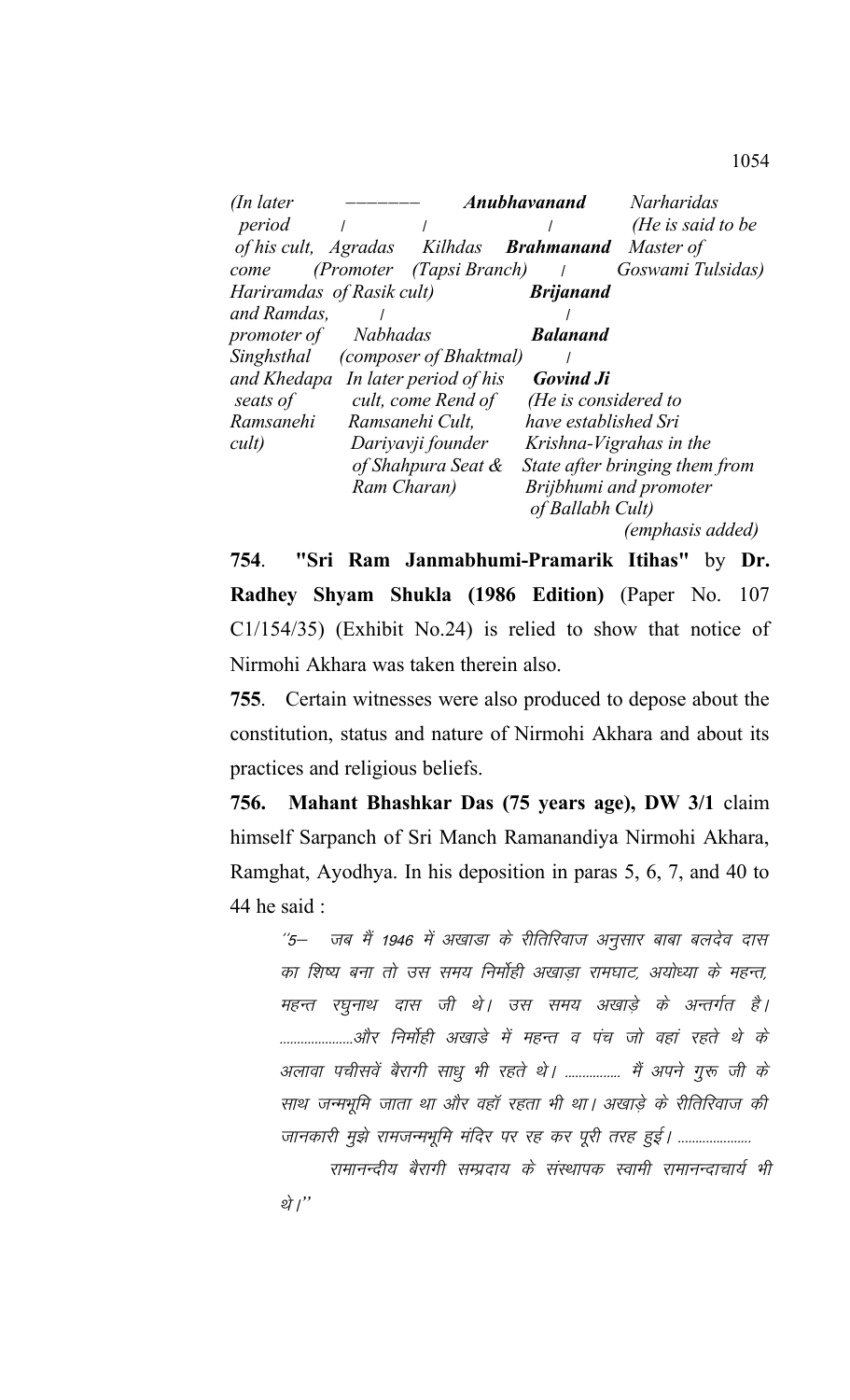| $($ In later    |                                         | <b>Anubhavanand</b>  | <i>Narharidas</i>              |
|-----------------|-----------------------------------------|----------------------|--------------------------------|
| period          |                                         |                      | (He is said to be              |
|                 | of his cult, Agradas Kilhdas Brahmanand |                      | Master of                      |
| come            | (Promoter (Tapsi Branch)                |                      | Goswami Tulsidas)              |
|                 | Hariramdas of Rasik cult)               | <b>Brijanand</b>     |                                |
| and Ramdas,     |                                         |                      |                                |
| promoter of     | Nabhadas                                | <b>Balanand</b>      |                                |
|                 | Singhsthal (composer of Bhaktmal)       |                      |                                |
| and Khedapa     | In later period of his                  | <b>Govind Ji</b>     |                                |
| seats of        | cult, come Rend of                      | (He is considered to |                                |
| Ramsanehi       | Ramsanehi Cult,                         | have established Sri |                                |
| $\textit{curl}$ | Dariyavji founder                       |                      | Krishna-Vigrahas in the        |
|                 | of Shahpura Seat &                      |                      | State after bringing them from |
|                 | Ram Charan)                             |                      | Brijbhumi and promoter         |
|                 |                                         | of Ballabh Cult)     |                                |
|                 |                                         |                      | (emphasis added)               |

**754**. **"Sri Ram Janmabhumi-Pramarik Itihas"** by **Dr. Radhey Shyam Shukla (1986 Edition)** (Paper No. 107 C1/154/35) (Exhibit No.24) is relied to show that notice of Nirmohi Akhara was taken therein also.

**755**. Certain witnesses were also produced to depose about the constitution, status and nature of Nirmohi Akhara and about its practices and religious beliefs.

**756. Mahant Bhashkar Das (75 years age), DW 3/1** claim himself Sarpanch of Sri Manch Ramanandiya Nirmohi Akhara, Ramghat, Ayodhya. In his deposition in paras 5, 6, 7, and 40 to 44 he said :

''5– जब मैं 1946 में अखाडा के रीतिरिवाज अनुसार बाबा बलदेव दास का शिष्य बना तो उस समय निर्मोही अखाडा रामघाट, अयोध्या के महन्त, महन्त रघुनाथ दास जी थे। उस समय अखाड़े के अन्तर्गत है। .....................और निर्मोही अखाडे में महन्त व पंच जो वहां रहते थे के अलावा पचीसवें बैरागी साधु भी रहते थे। ................ मैं अपने गुरू जी के साथ जन्मभूमि जाता था और वहाँ रहता भी था। अखाड़े के रीतिरिवाज की जानकारी मुझे रामजन्मभूमि मंदिर पर रह कर पूरी तरह हुई। ......................

रामानन्दीय बैरागी सम्प्रदाय के संस्थापक स्वामी रामानन्दाचार्य भी थे।"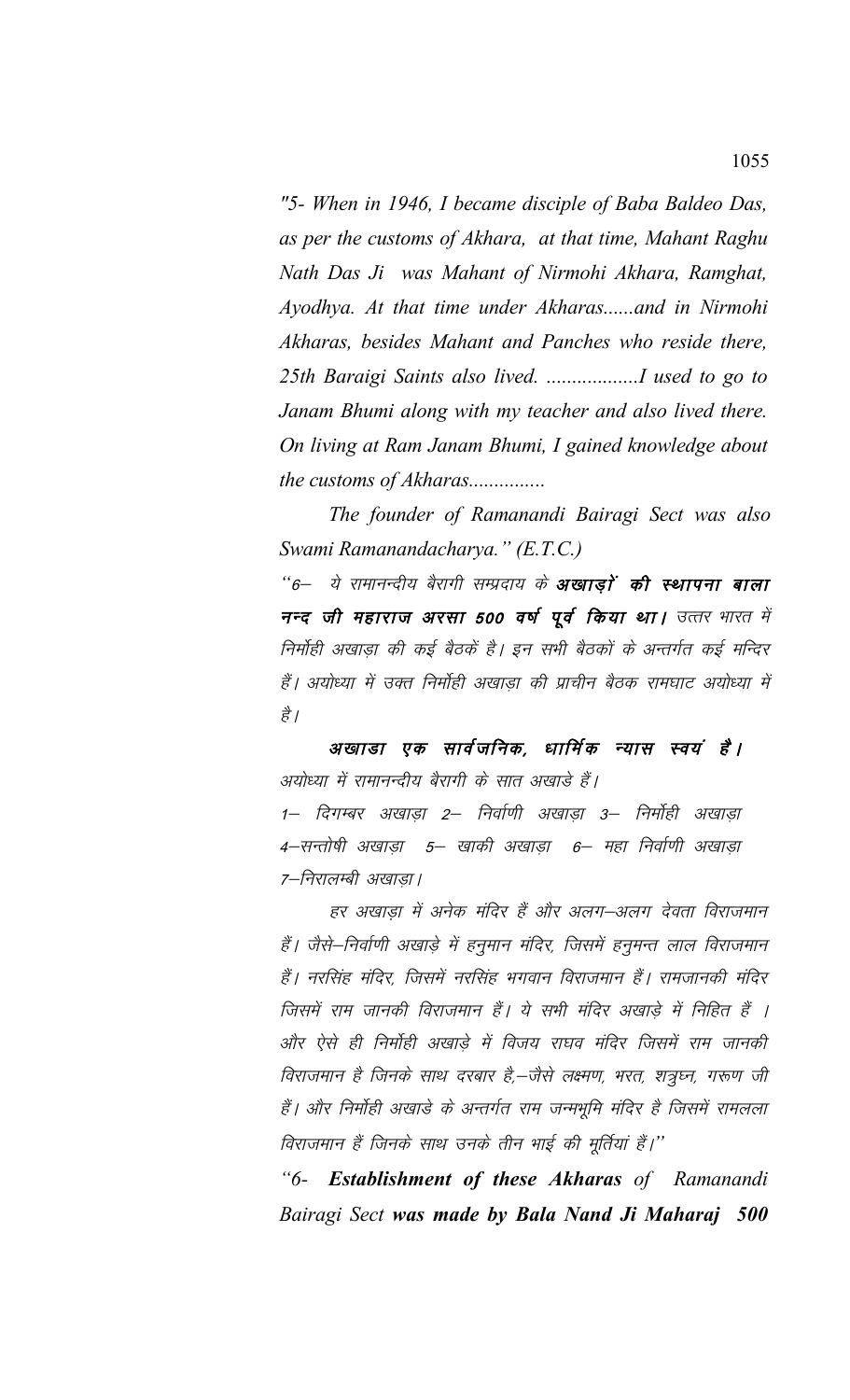"5- When in 1946, I became disciple of Baba Baldeo Das, as per the customs of Akhara, at that time, Mahant Raghu Nath Das Ji was Mahant of Nirmohi Akhara, Ramghat, Ayodhya. At that time under Akharas......and in Nirmohi Akharas, besides Mahant and Panches who reside there, Janam Bhumi along with my teacher and also lived there. On living at Ram Janam Bhumi, I gained knowledge about the customs of Akharas...............

The founder of Ramanandi Bairagi Sect was also Swami Ramanandacharya." (E.T.C.)

"6– ये रामानन्दीय बैरागी सम्प्रदाय के **अखाड़ों की स्थापना बाला** नन्द जी महाराज अरसा 500 वर्ष पूर्व किया था। उत्तर भारत में निर्मोही अखाडा की कई बैठकें है। इन सभी बैठकों के अन्तर्गत कई मन्दिर हैं। अयोध्या में उक्त निर्मोही अखाड़ा की प्राचीन बैठक रामघाट अयोध्या में है ।

अखाडा एक सार्वजनिक, धार्मिक न्यास स्वयं है। अयोध्या में रामानन्दीय बैरागी के सात अखाड़े हैं। 1– दिगम्बर अखाडा 2– निर्वाणी अखाडा 3– निर्मोही अखाडा 4–सन्तोषी अखाड़ा 5– खाकी अखाड़ा 6– महा निर्वाणी अखाड़ा 7-निरालम्बी अखाड़ा।

हर अखाड़ा में अनेक मंदिर हैं और अलग–अलग देवता विराजमान हैं। जैसे–निर्वाणी अखाड़े में हनुमान मंदिर, जिसमें हनुमन्त लाल विराजमान हैं। नरसिंह मंदिर, जिसमें नरसिंह भगवान विराजमान हैं। रामजानकी मंदिर जिसमें राम जानकी विराजमान हैं। ये सभी मंदिर अखाड़े में निहित हैं । और ऐसे ही निर्मोही अखाडे में विजय राघव मंदिर जिसमें राम जानकी विराजमान है जिनके साथ दरबार है,—जैसे लक्ष्मण, भरत, शत्रुघ्न, गरूण जी हैं। और निर्मोही अखाड़े के अन्तर्गत राम जन्मभूमि मंदिर है जिसमें रामलला विराजमान हैं जिनके साथ उनके तीन भाई की मूर्तियां हैं।''

"6- Establishment of these Akharas of Ramanandi Bairagi Sect was made by Bala Nand Ji Maharaj 500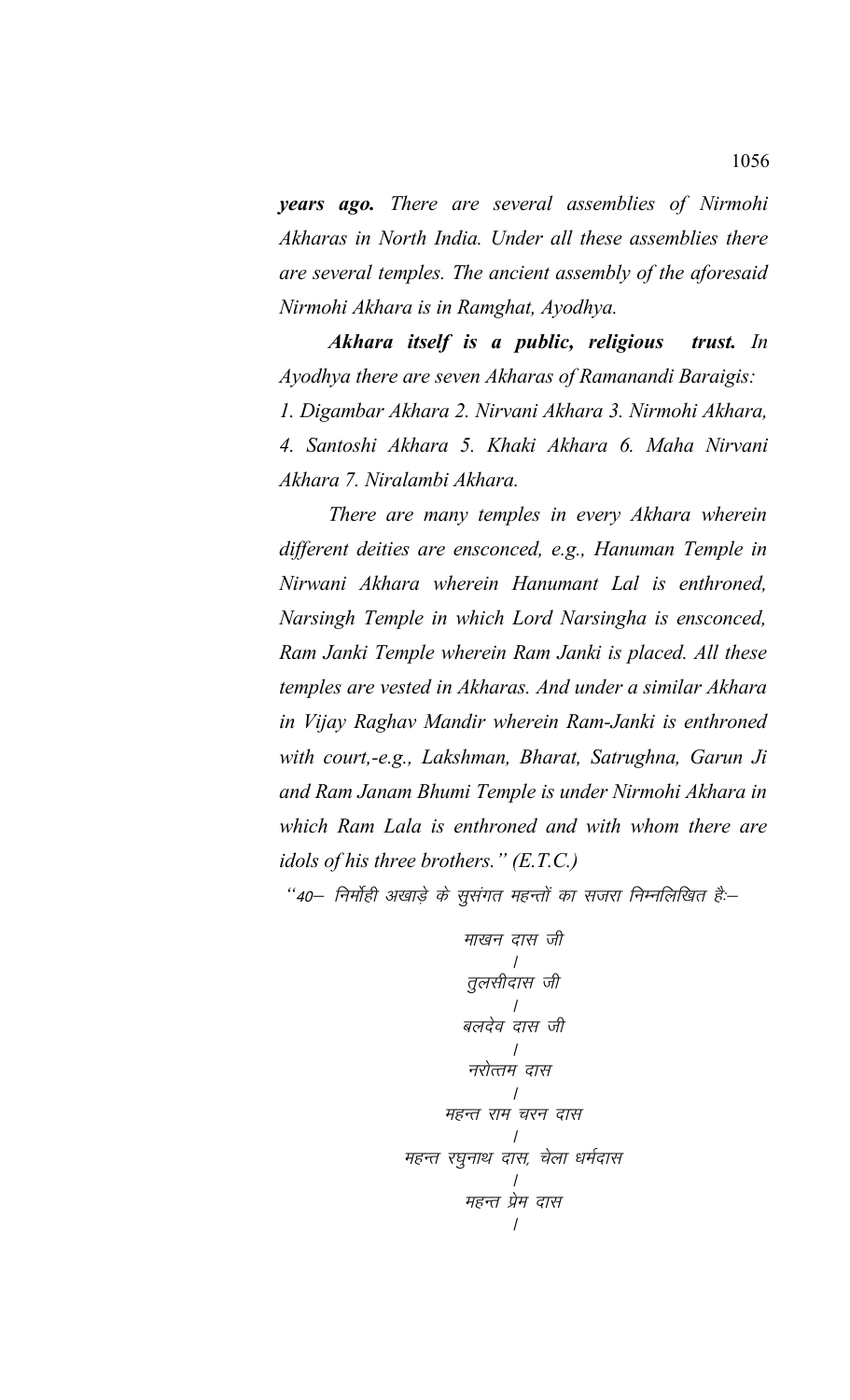*years ago. There are several assemblies of Nirmohi Akharas in North India. Under all these assemblies there are several temples. The ancient assembly of the aforesaid Nirmohi Akhara is in Ramghat, Ayodhya.* 

*Akhara itself is a public, religious trust. In Ayodhya there are seven Akharas of Ramanandi Baraigis: 1. Digambar Akhara 2. Nirvani Akhara 3. Nirmohi Akhara, 4. Santoshi Akhara 5. Khaki Akhara 6. Maha Nirvani Akhara 7. Niralambi Akhara.* 

*There are many temples in every Akhara wherein different deities are ensconced, e.g., Hanuman Temple in Nirwani Akhara wherein Hanumant Lal is enthroned, Narsingh Temple in which Lord Narsingha is ensconced, Ram Janki Temple wherein Ram Janki is placed. All these temples are vested in Akharas. And under a similar Akhara in Vijay Raghav Mandir wherein Ram-Janki is enthroned with court,-e.g., Lakshman, Bharat, Satrughna, Garun Ji and Ram Janam Bhumi Temple is under Nirmohi Akhara in which Ram Lala is enthroned and with whom there are idols of his three brothers." (E.T.C.)*

"40— निर्मोही अखाड़े के सुसंगत महन्तों का सजरा निम्नलिखित हैं:–

ek[ku nkl th A rqylhnkl th A cynso nkl th A ujksRre nkl A egUr jke pju nkl A egUr j?kqukFk nkl] psyk /keZnkl A egUr iz se nkl A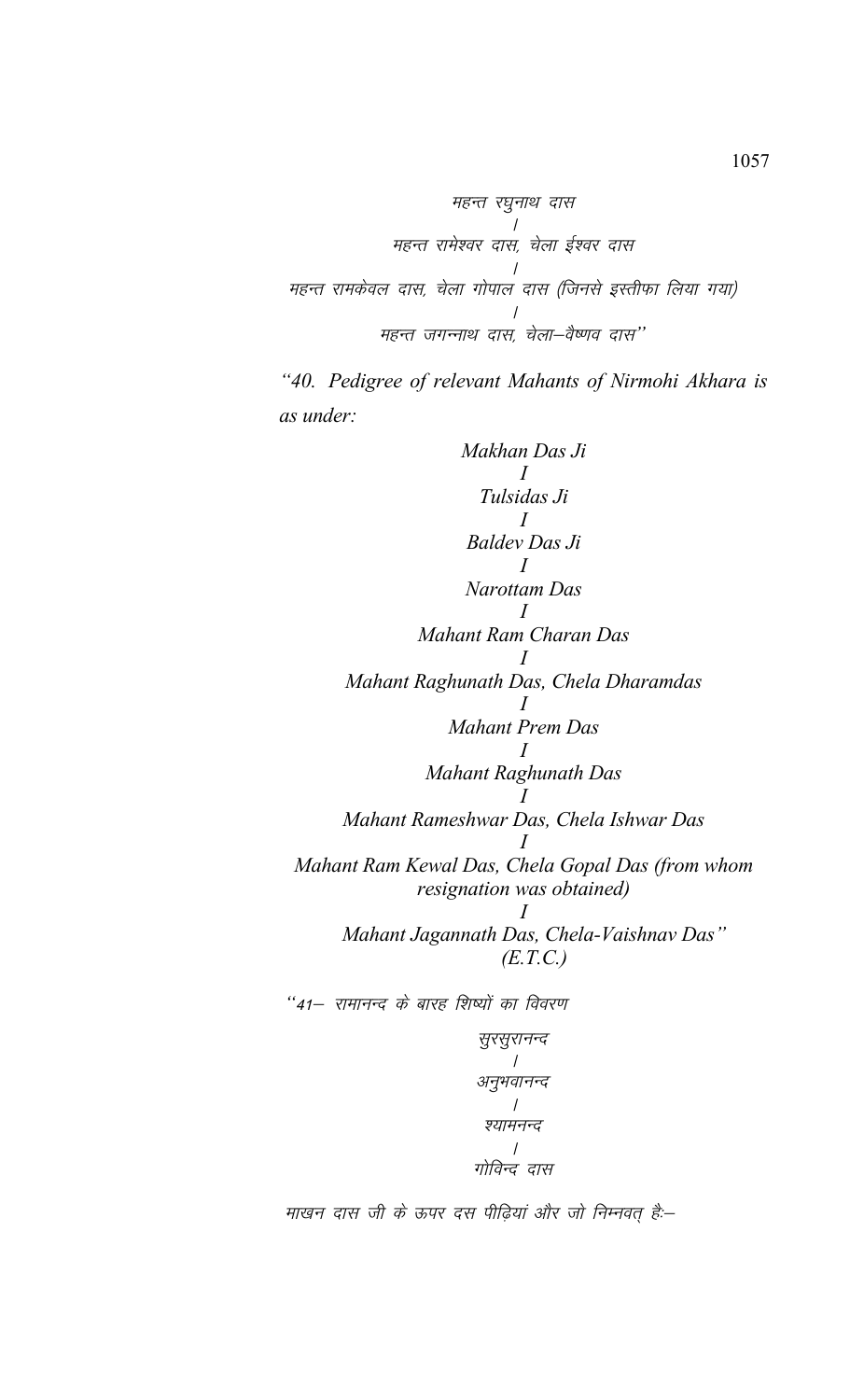महन्त रघुनाथ दास महन्त रामेश्वर दास, चेला ईश्वर दास महन्त रामकेवल दास, चेला गोपाल दास (जिनसे इस्तीफा लिया गया) महन्त जगन्नाथ दास, चेला-वैष्णव दास"

"40. Pedigree of relevant Mahants of Nirmohi Akhara is as under:

Makhan Das Ji  $\overline{I}$ Tulsidas Ji **Baldev Das Ji** Narottam Das Mahant Ram Charan Das Mahant Raghunath Das, Chela Dharamdas **Mahant Prem Das**  $\overline{I}$ Mahant Raghunath Das Mahant Rameshwar Das, Chela Ishwar Das Mahant Ram Kewal Das, Chela Gopal Das (from whom resignation was obtained)  $\prime$ Mahant Jagannath Das, Chela-Vaishnav Das"  $(E.T.C.)$ 

"41– रामानन्द के बारह शिष्यों का विवरण

माखन दास जी के ऊपर दस पीढ़ियां और जो निम्नवत् हैं:--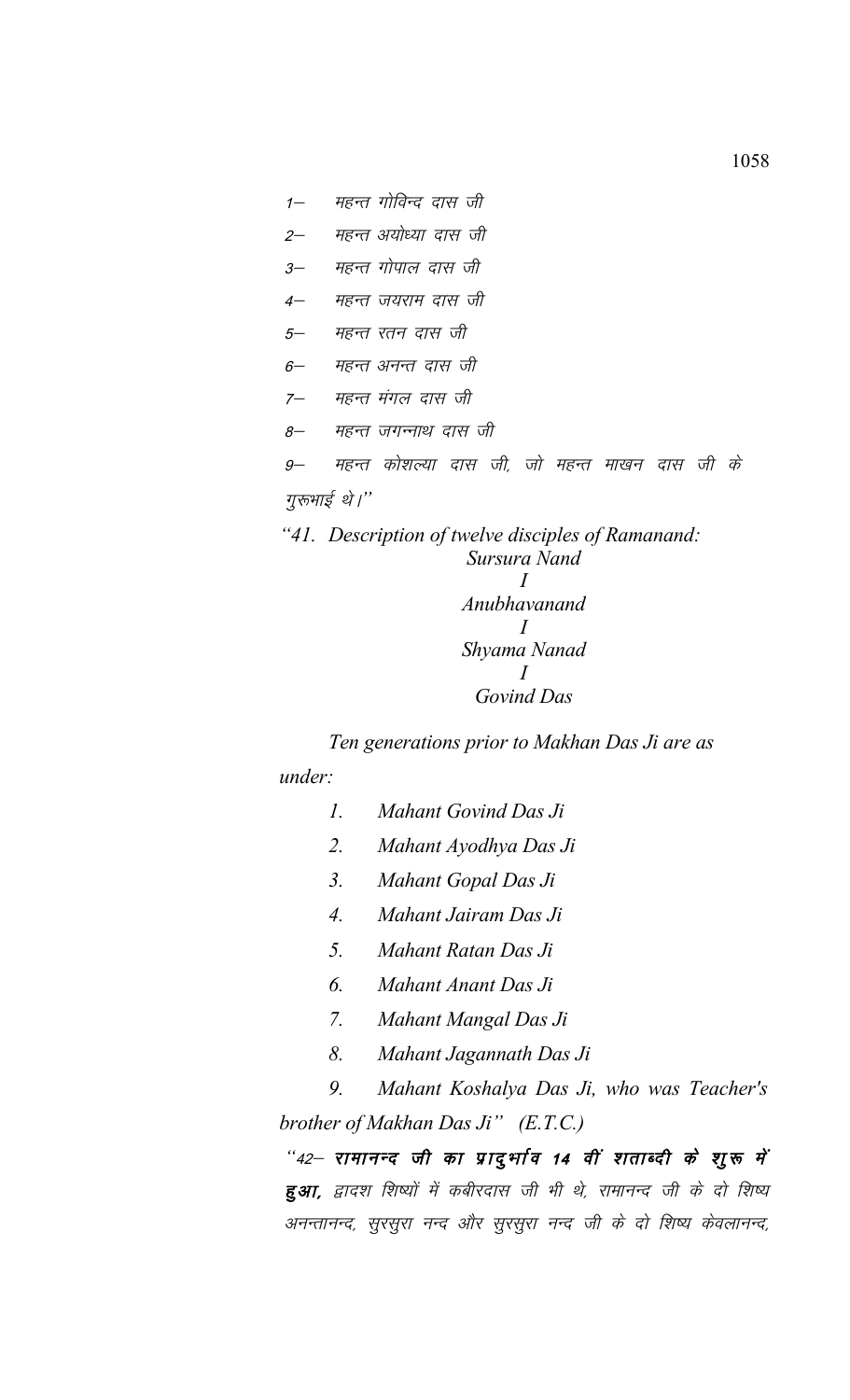- 1– महन्त गोविन्द दास जी
- 2— महन्त अयोध्या दास जी
- 3– महन्त गोपाल दास जी
- 4— महन्त जयराम दास जी
- 5— महन्त रतन दास जी
- 6— महन्त अनन्त दास जी
- 7— महन्त मंगल दास जी
- 8– महन्त जगन्नाथ दास जी
- 9– महन्त कोशल्या दास जी, जो महन्त माखन दास जी के

## गुरुभाई थे।"

*"41. Description of twelve disciples of Ramanand: Sursura Nand I Anubhavanand*

*I Shyama Nanad I Govind Das*

*Ten generations prior to Makhan Das Ji are as under:*

- *1. Mahant Govind Das Ji*
- *2. Mahant Ayodhya Das Ji*
- *3. Mahant Gopal Das Ji*
- *4. Mahant Jairam Das Ji*
- *5. Mahant Ratan Das Ji*
- *6. Mahant Anant Das Ji*
- *7. Mahant Mangal Das Ji*
- *8. Mahant Jagannath Das Ji*

*9. Mahant Koshalya Das Ji, who was Teacher's brother of Makhan Das Ji" (E.T.C.)*

*"42– रामानन्द जी का प्रादुर्भाव 14 वीं शताब्दी के शुरू में* हुआ, द्वादश शिष्यों में कबीरदास जी भी थे, रामानन्द जी के दो शिष्य अनन्तानन्द, सुरसुरा नन्द और सुरसुरा नन्द जी के दो शिष्य केवलानन्द,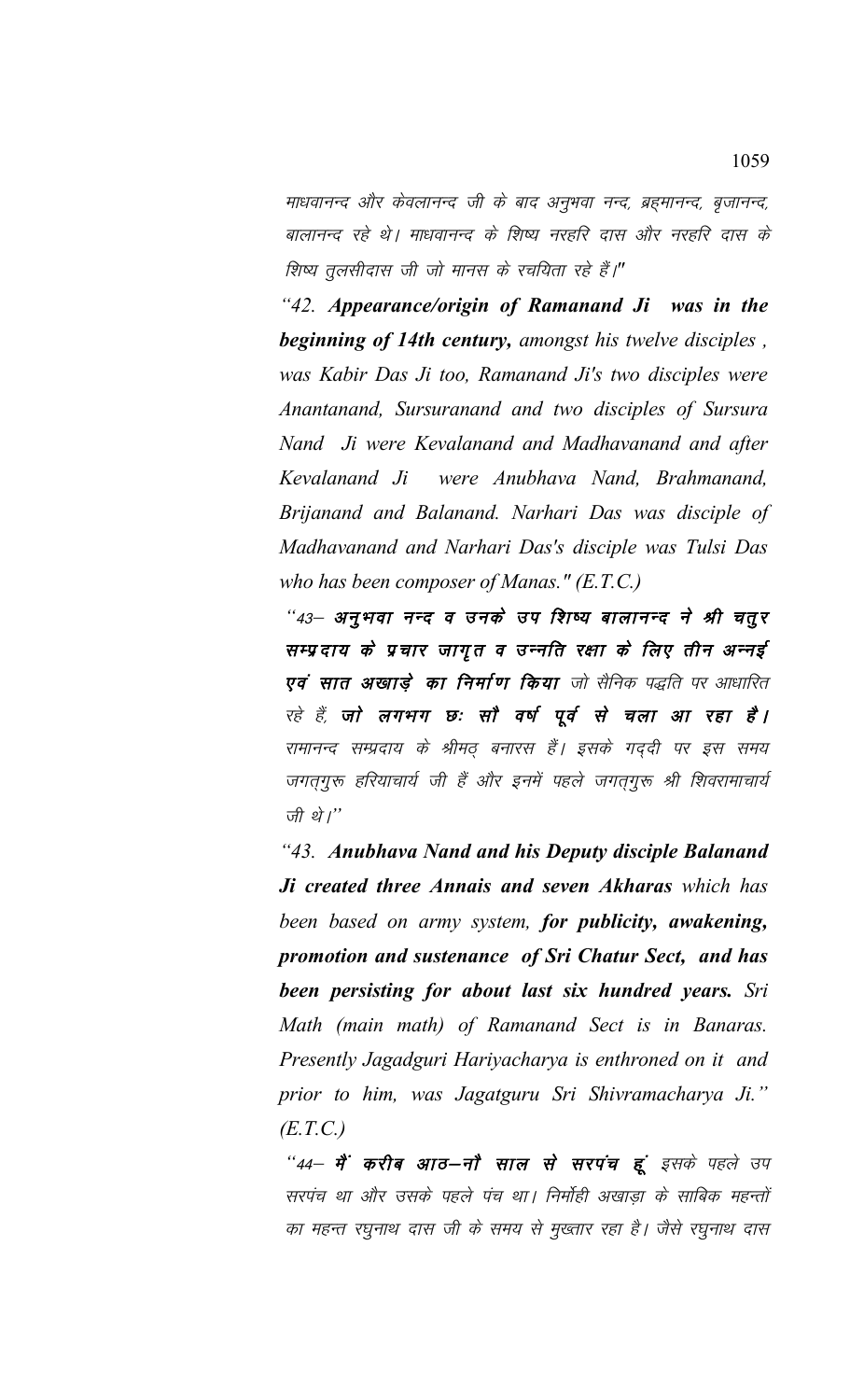माधवानन्द और केवलानन्द जी के बाद अनुभवा नन्द, ब्रह्मानन्द, बृजानन्द, बालानन्द रहे थे। माधवानन्द के शिष्य नरहरि दास और नरहरि दास के *शिष्य तुलसीदास जी जो मानस के रचयिता रहे हैं।*"

*"42. Appearance/origin of Ramanand Ji was in the beginning of 14th century, amongst his twelve disciples , was Kabir Das Ji too, Ramanand Ji's two disciples were Anantanand, Sursuranand and two disciples of Sursura Nand Ji were Kevalanand and Madhavanand and after Kevalanand Ji were Anubhava Nand, Brahmanand, Brijanand and Balanand. Narhari Das was disciple of Madhavanand and Narhari Das's disciple was Tulsi Das who has been composer of Manas." (E.T.C.)*

*"43— अनुभवा नन्द व उनके उप शिष्य बालानन्द ने श्री चत्*र सम्प्रदाय के प्रचार जागृत व उन्नति रक्षा के लिए तीन अन्नई एवं सात अखाड़े का निर्माण किया जो सैनिक पद्धति पर आधारित रहे हैं, **जो लगभग छः सौ वर्ष पूर्व से चला आ रहा है।** रामानन्द सम्प्रदाय के श्रीमठ् बनारस हैं। इसके गद्दी पर इस समय जगतगुरू हरियाचार्य जी हैं और इनमें पहले जगतगुरू श्री शिवरामाचार्य *जी थे।*"

*"43. Anubhava Nand and his Deputy disciple Balanand Ji created three Annais and seven Akharas which has been based on army system, for publicity, awakening, promotion and sustenance of Sri Chatur Sect, and has been persisting for about last six hundred years. Sri Math (main math) of Ramanand Sect is in Banaras. Presently Jagadguri Hariyacharya is enthroned on it and prior to him, was Jagatguru Sri Shivramacharya Ji." (E.T.C.)*

"44— **में करीब आठ—नौ साल से सरपंच हूं** इसके पहले उप सरपंच था और उसके पहले पंच था। निर्मोही अखाड़ा के साबिक महन्तों का महन्त रघुनाथ दास जी के समय से मुख्तार रहा है। जैसे रघुनाथ दास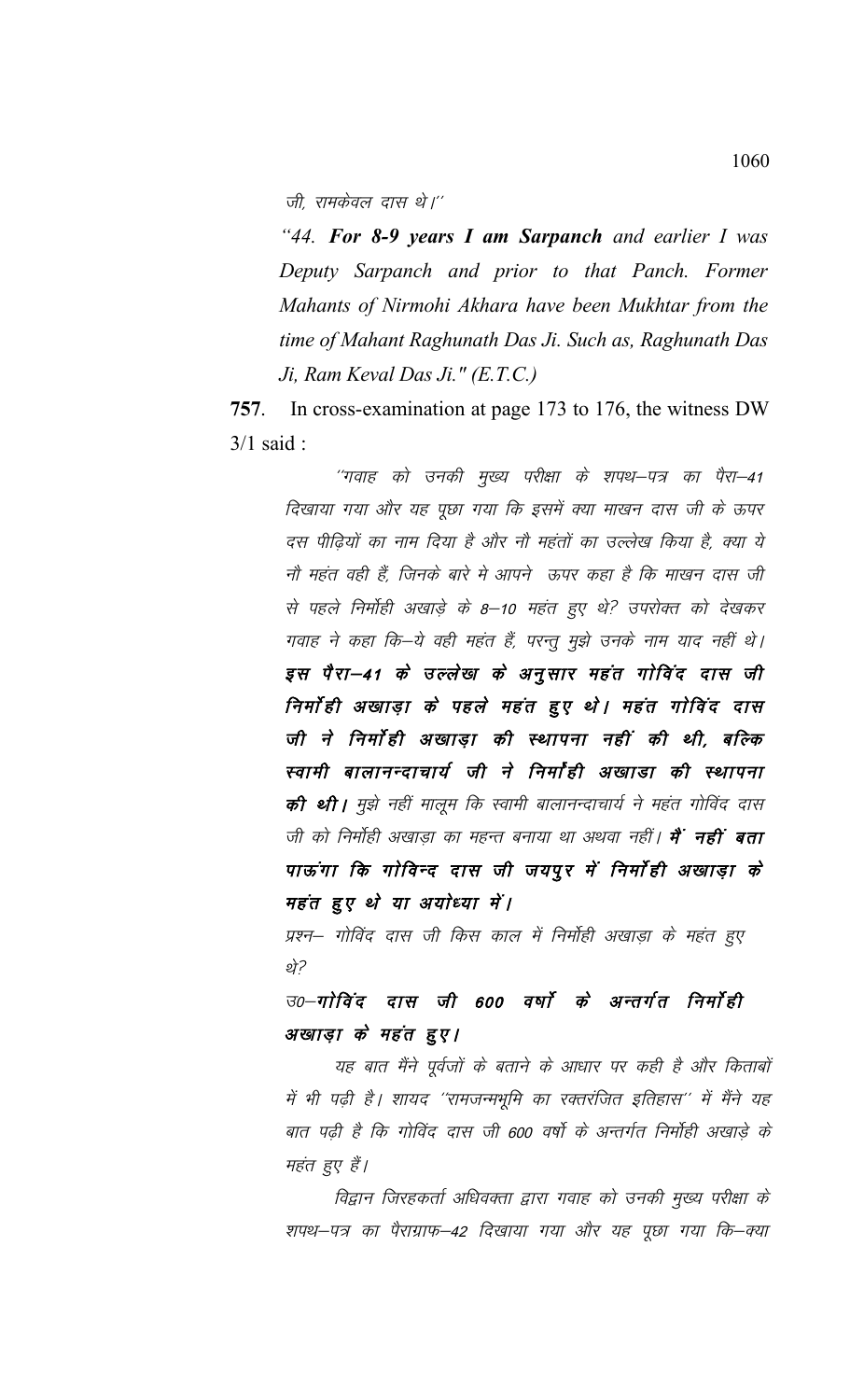जी. रामकेवल दास थे।''

"44. For 8-9 years I am Sarpanch and earlier I was Deputy Sarpanch and prior to that Panch. Former Mahants of Nirmohi Akhara have been Mukhtar from the time of Mahant Raghunath Das Ji. Such as, Raghunath Das Ji, Ram Keval Das Ji." (E.T.C.)

In cross-examination at page 173 to 176, the witness DW 757.  $3/1$  said:

> ''गवाह को उनकी मुख्य परीक्षा के शपथ—पत्र का पैरा—41 दिखाया गया और यह पूछा गया कि इसमें क्या माखन दास जी के ऊपर दस पीढ़ियों का नाम दिया है और नौ महंतों का उल्लेख किया है, क्या ये नौ महंत वही हैं. जिनके बारे मे आपने ऊपर कहा है कि माखन दास जी से पहले निर्मोही अखाड़े के 8–10 महंत हुए थे? उपरोक्त को देखकर गवाह ने कहा कि–ये वही महंत हैं, परन्तू मुझे उनके नाम याद नहीं थे। इस पैरा–41 के उल्लेख के अनुसार महंत गोविंद दास जी निर्मा ही अखाड़ा के पहले महंत हुए थे। महंत गोविंद दास जी ने निर्मोही अखाड़ा की स्थापना नहीं की थी, बल्कि स्वामी बालानन्दाचार्य जी ने निर्मांही अखाडा की स्थापना **की थी।** मुझे नहीं मालूम कि स्वामी बालानन्दाचार्य ने महंत गोविंद दास जी को निर्मोही अखाड़ा का महन्त बनाया था अथवा नहीं। **मैं नहीं बता** पाऊंगा कि गोविन्द दास जी जयपुर में निर्मोही अखाड़ा के महंत हुए थे या अयोध्या में।

प्रश्न– गोविंद दास जी किस काल में निर्मोही अखाड़ा के महंत हुए र्थ?

उ०–गोविंद दास जी 600 वर्षों के अन्तर्गत निर्मोही अखाड़ा के महंत हुए।

यह बात मैंने पूर्वजों के बताने के आधार पर कही है और किताबों में भी पढ़ी है। शायद ''रामजन्मभूमि का रक्तरंजित इतिहास'' में मैंने यह बात पढ़ी है कि गोविंद दास जी 600 वर्षो के अन्तर्गत निर्मोही अखाड़े के महंत हुए हैं।

विद्वान जिरहकर्ता अधिवक्ता द्वारा गवाह को उनकी मुख्य परीक्षा के शपथ–पत्र का पैराग्राफ–42 दिखाया गया और यह पूछा गया कि–क्या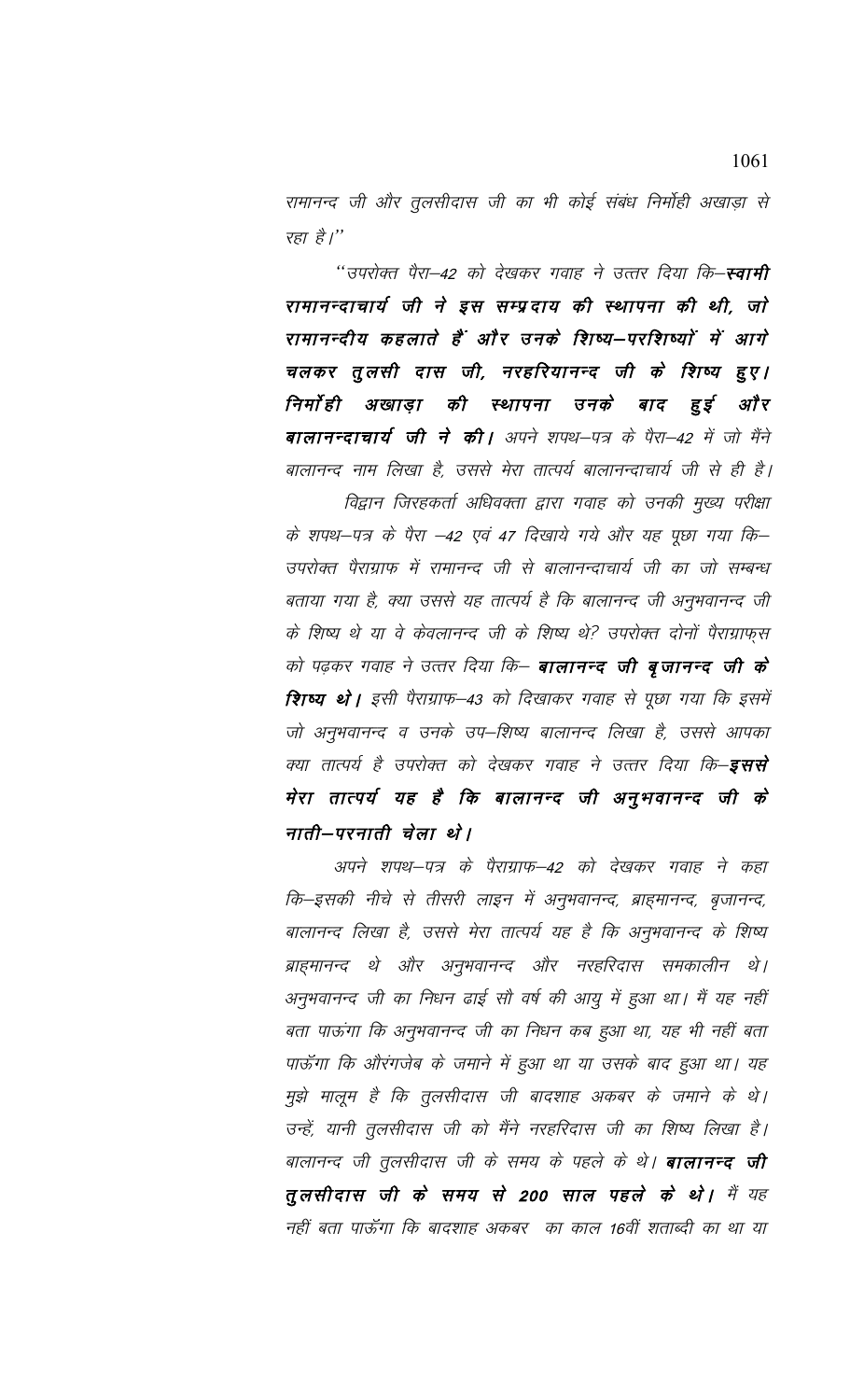रामानन्द जी और तूलसीदास जी का भी कोई संबंध निर्मोही अखाड़ा से रहा है।"

''उपरोक्त पैरा–42 को देखकर गवाह ने उत्तर दिया कि–**स्वामी** रामानन्दाचार्य जी ने इस सम्प्रदाय की स्थापना की थी, जो रामानन्दीय कहलाते हैं और उनके शिष्य—परशिष्यों में आगे चलकर तुलसी दास जी, नरहरियानन्द जी के शिष्य हुए। निर्मा ही अखाड़ा की स्थापना उनके हुई अौ र बाद **बालानन्दाचार्य जी ने की।** अपने शपथ—पत्र के पैरा—42 में जो मैंने बालानन्द नाम लिखा है, उससे मेरा तात्पर्य बालानन्दाचार्य जी से ही है।

विद्वान जिरहकर्ता अधिवक्ता द्वारा गवाह को उनकी मुख्य परीक्षा के शपथ–पत्र के पैरा –42 एवं 47 दिखाये गये और यह पूछा गया कि– उपरोक्त पैराग्राफ में रामानन्द जी से बालानन्दाचार्य जी का जो सम्बन्ध बताया गया है, क्या उससे यह तात्पर्य है कि बालानन्द जी अनुभवानन्द जी के शिष्य थे या वे केवलानन्द जी के शिष्य थे? उपरोक्त दोनों पैराग्राफुस को पढ़कर गवाह ने उत्तर दिया कि— **बालानन्द जी बृजानन्द जी के** शिष्य थे। इसी पैराग्राफ–43 को दिखाकर गवाह से पूछा गया कि इसमें जो अनुभवानन्द व उनके उप–शिष्य बालानन्द लिखा है, उससे आपका क्या तात्पर्य है उपरोक्त को देखकर गवाह ने उत्तर दिया कि–**इससे** मेरा तात्पर्य यह है कि बालानन्द जी अनुभवानन्द जी के नाती–परनाती चेला थे।

अपने शपथ–पत्र के पैराग्राफ–42 को देखकर गवाह ने कहा कि–इसकी नीचे से तीसरी लाइन में अनुभवानन्द, ब्राह्मानन्द, बृजानन्द, बालानन्द लिखा है, उससे मेरा तात्पर्य यह है कि अनुभवानन्द के शिष्य ब्राहमानन्द थे और अनुभवानन्द और नरहरिदास समकालीन थे। अनुभवानन्द जी का निधन ढाई सौ वर्ष की आयु में हुआ था। मैं यह नहीं बता पाऊंगा कि अनुभवानन्द जी का निधन कब हुआ था, यह भी नहीं बता पाऊँगा कि औरंगजेब के जमाने में हुआ था या उसके बाद हुआ था। यह मुझे मालूम है कि तुलसीदास जी बादशाह अकबर के जमाने के थे। उन्हें, यानी तुलसीदास जी को मैंने नरहरिदास जी का शिष्य लिखा है। बालानन्द जी तुलसीदास जी के समय के पहले के थे। **बालानन्द जी** तुलसीदास जी के समय से 200 साल पहले के थे। मैं यह नहीं बता पाऊँगा कि बादशाह अकबर का काल 16वीं शताब्दी का था या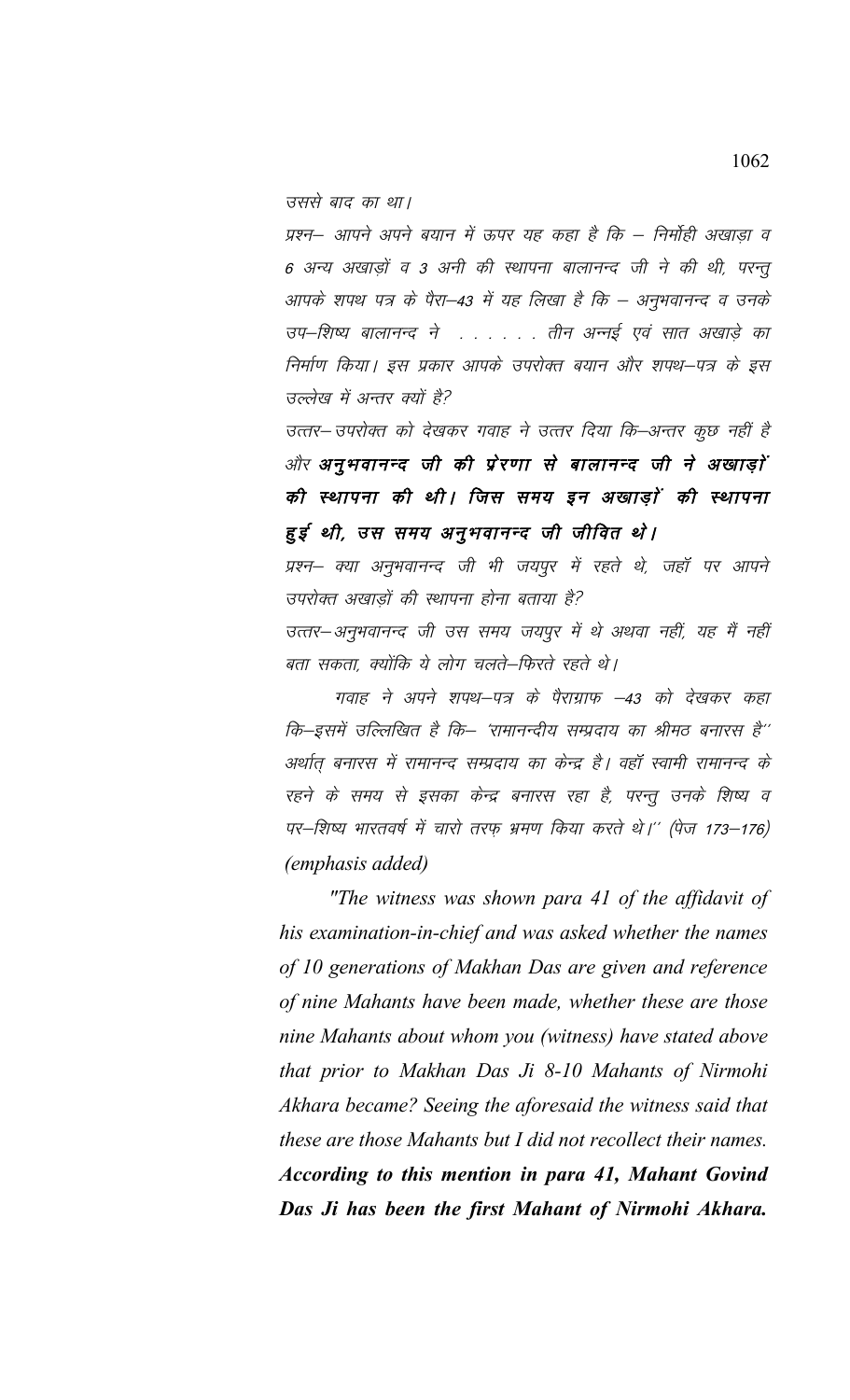उससे बाद का था।

प्रश्न– आपने अपने बयान में ऊपर यह कहा है कि – निर्मोही अखाड़ा व 6 अन्य अखाड़ों व 3 अनी की स्थापना बालानन्द जी ने की थी, परन्तू आपके शपथ पत्र के पैरा–43 में यह लिखा है कि – अनुभवानन्द व उनके उप–शिष्य बालानन्द ने . . . . . . तीन अन्नई एवं सात अखाड़े का निर्माण किया। इस प्रकार आपके उपरोक्त बयान और शपथ–पत्र के इस उल्लेख में अन्तर क्यों है?

उत्तर– उपरोक्त को देखकर गवाह ने उत्तर दिया कि–अन्तर कुछ नहीं है और अनुभवानन्द जी की प्रेरणा से बालानन्द जी ने अखाड़ों की स्थापना की थी। जिस समय इन अखाड़ों की स्थापना हुई थी, उस समय अनुभवानन्द जी जीवित थे।

प्रश्न– क्या अनुभवानन्द जी भी जयपुर में रहते थे, जहाँ पर आपने उपरोक्त अखाड़ों की स्थापना होना बताया है?

उत्तर–अनुभवानन्द जी उस समय जयपूर में थे अथवा नहीं, यह मैं नहीं बता सकता, क्योंकि ये लोग चलते–फिरते रहते थे।

गवाह ने अपने शपथ–पत्र के पैराग्राफ –43 को देखकर कहा कि-इसमें उल्लिखित है कि– 'रामानन्दीय सम्प्रदाय का श्रीमठ बनारस है'' अर्थात् बनारस में रामानन्द सम्प्रदाय का केन्द्र है। वहाँ स्वामी रामानन्द के रहने के समय से इसका केन्द्र बनारस रहा है, परन्तू उनके शिष्य व पर–शिष्य भारतवर्ष में चारो तरफ़ भ्रमण किया करते थे।'' (पेज 173–176) *(emphasis added)* 

"The witness was shown para 41 of the affidavit of his examination-in-chief and was asked whether the names of 10 generations of Makhan Das are given and reference of nine Mahants have been made, whether these are those nine Mahants about whom you (witness) have stated above that prior to Makhan Das Ji 8-10 Mahants of Nirmohi Akhara became? Seeing the aforesaid the witness said that these are those Mahants but I did not recollect their names. According to this mention in para 41, Mahant Govind Das Ji has been the first Mahant of Nirmohi Akhara.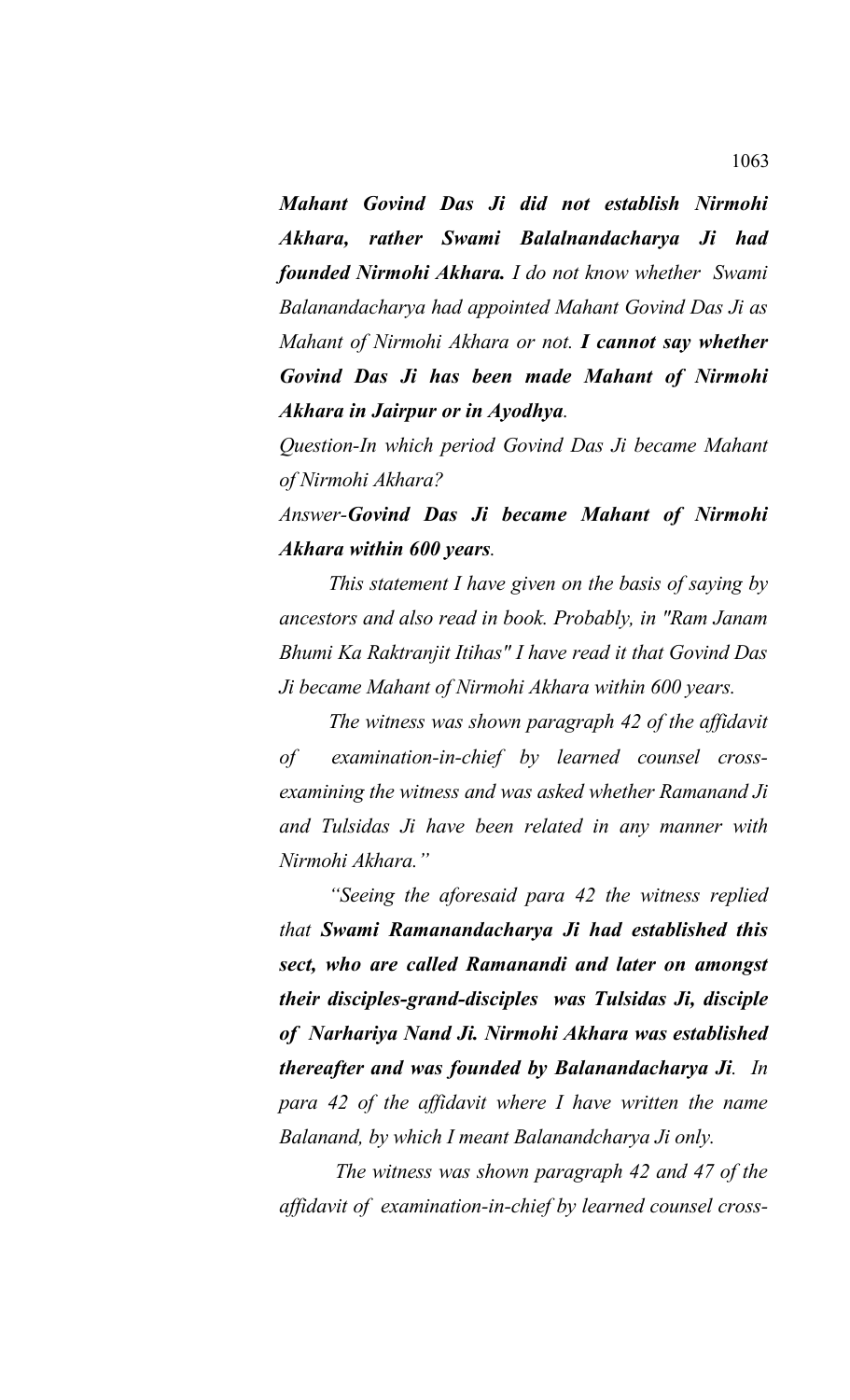*Mahant Govind Das Ji did not establish Nirmohi Akhara, rather Swami Balalnandacharya Ji had founded Nirmohi Akhara. I do not know whether Swami Balanandacharya had appointed Mahant Govind Das Ji as Mahant of Nirmohi Akhara or not. I cannot say whether Govind Das Ji has been made Mahant of Nirmohi Akhara in Jairpur or in Ayodhya.*

*Question-In which period Govind Das Ji became Mahant of Nirmohi Akhara?*

*Answer-Govind Das Ji became Mahant of Nirmohi Akhara within 600 years.* 

*This statement I have given on the basis of saying by ancestors and also read in book. Probably, in "Ram Janam Bhumi Ka Raktranjit Itihas" I have read it that Govind Das Ji became Mahant of Nirmohi Akhara within 600 years.* 

*The witness was shown paragraph 42 of the affidavit of examination-in-chief by learned counsel crossexamining the witness and was asked whether Ramanand Ji and Tulsidas Ji have been related in any manner with Nirmohi Akhara."*

*"Seeing the aforesaid para 42 the witness replied that Swami Ramanandacharya Ji had established this sect, who are called Ramanandi and later on amongst their disciples-grand-disciples was Tulsidas Ji, disciple of Narhariya Nand Ji. Nirmohi Akhara was established thereafter and was founded by Balanandacharya Ji. In para 42 of the affidavit where I have written the name Balanand, by which I meant Balanandcharya Ji only.*

 *The witness was shown paragraph 42 and 47 of the affidavit of examination-in-chief by learned counsel cross-*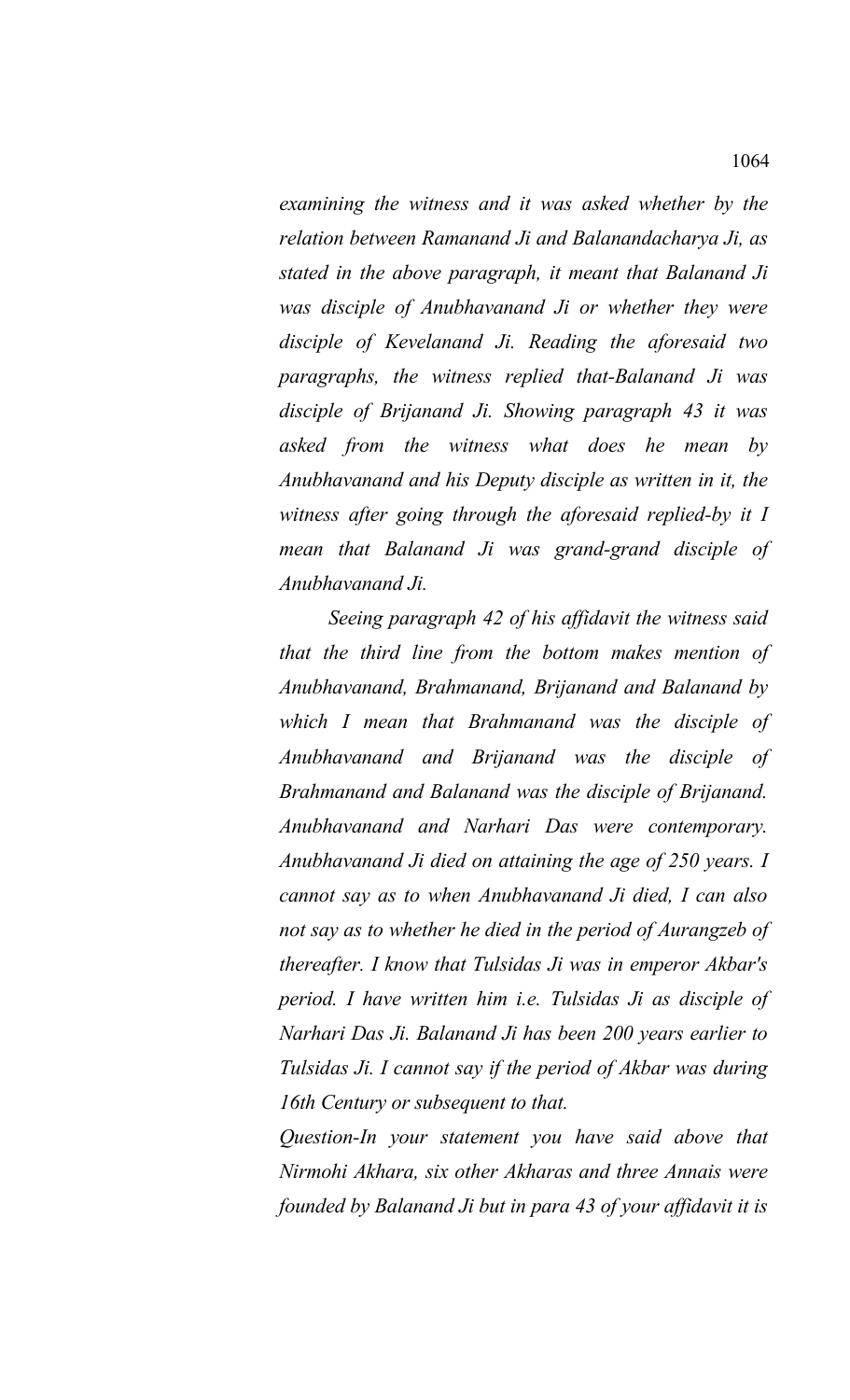*examining the witness and it was asked whether by the relation between Ramanand Ji and Balanandacharya Ji, as stated in the above paragraph, it meant that Balanand Ji was disciple of Anubhavanand Ji or whether they were disciple of Kevelanand Ji. Reading the aforesaid two paragraphs, the witness replied that-Balanand Ji was disciple of Brijanand Ji. Showing paragraph 43 it was asked from the witness what does he mean by Anubhavanand and his Deputy disciple as written in it, the witness after going through the aforesaid replied-by it I mean that Balanand Ji was grand-grand disciple of Anubhavanand Ji.*

*Seeing paragraph 42 of his affidavit the witness said that the third line from the bottom makes mention of Anubhavanand, Brahmanand, Brijanand and Balanand by which I mean that Brahmanand was the disciple of Anubhavanand and Brijanand was the disciple of Brahmanand and Balanand was the disciple of Brijanand. Anubhavanand and Narhari Das were contemporary. Anubhavanand Ji died on attaining the age of 250 years. I cannot say as to when Anubhavanand Ji died, I can also not say as to whether he died in the period of Aurangzeb of thereafter. I know that Tulsidas Ji was in emperor Akbar's period. I have written him i.e. Tulsidas Ji as disciple of Narhari Das Ji. Balanand Ji has been 200 years earlier to Tulsidas Ji. I cannot say if the period of Akbar was during 16th Century or subsequent to that.* 

*Question-In your statement you have said above that Nirmohi Akhara, six other Akharas and three Annais were founded by Balanand Ji but in para 43 of your affidavit it is*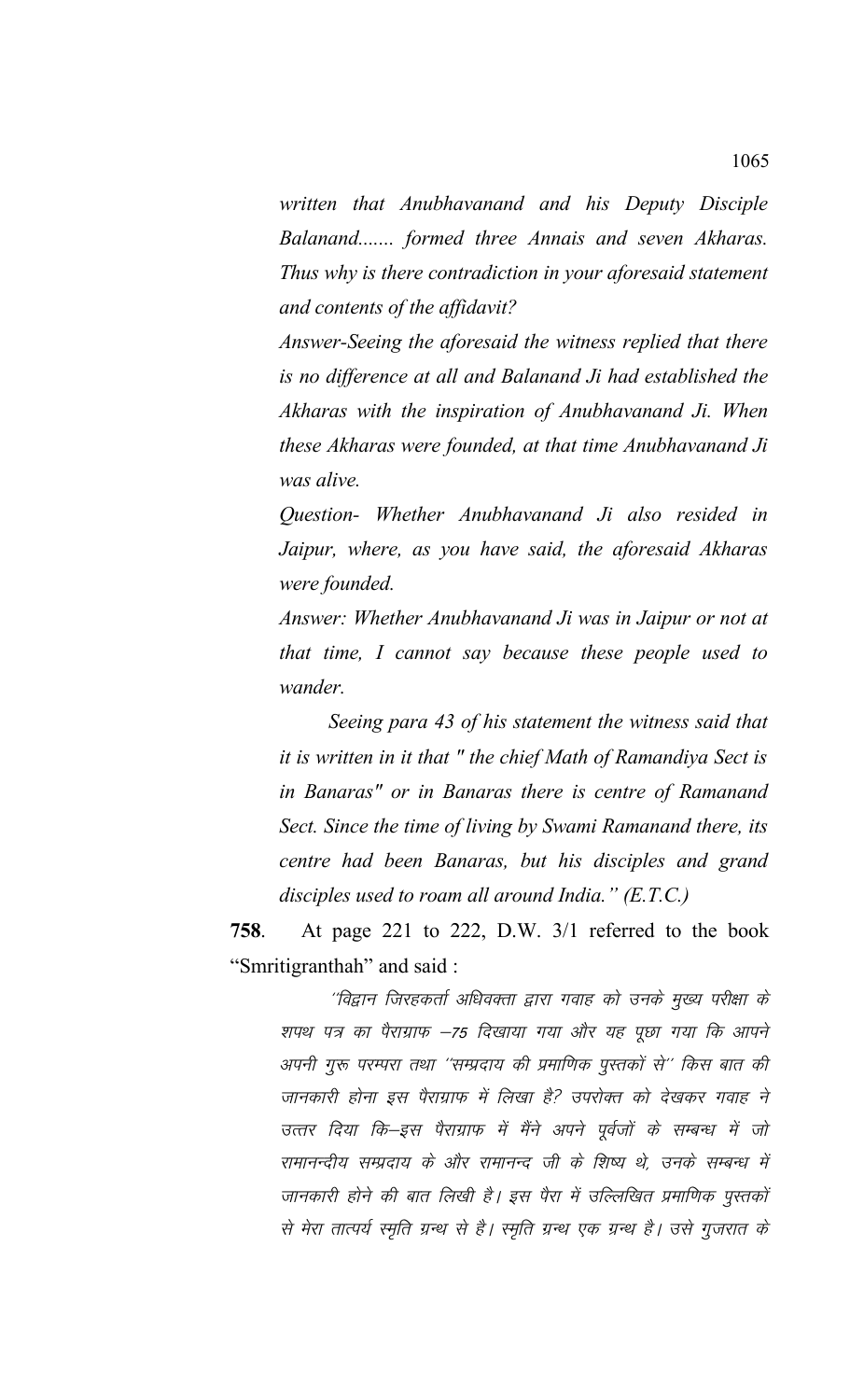written that Anubhavanand and his Deputy Disciple Balanand....... formed three Annais and seven Akharas. Thus why is there contradiction in your aforesaid statement and contents of the affidavit?

Answer-Seeing the aforesaid the witness replied that there is no difference at all and Balanand Ji had established the Akharas with the inspiration of Anubhavanand Ji. When these Akharas were founded, at that time Anubhavanand Ji was alive.

Question- Whether Anubhavanand Ji also resided in Jaipur, where, as you have said, the aforesaid Akharas were founded.

Answer: Whether Anubhavanand Ji was in Jaipur or not at that time, I cannot say because these people used to wander.

Seeing para 43 of his statement the witness said that *it is written in it that* " *the chief Math of Ramandiya Sect is* in Banaras" or in Banaras there is centre of Ramanand Sect. Since the time of living by Swami Ramanand there, its centre had been Banaras, but his disciples and grand disciples used to roam all around India."  $(E.T.C.)$ 

758. At page 221 to 222, D.W. 3/1 referred to the book "Smritigranthah" and said:

''विद्वान जिरहकर्ता अधिवक्ता द्वारा गवाह को उनके मुख्य परीक्षा के शपथ पत्र का पैराग्राफ –75 दिखाया गया और यह पूछा गया कि आपने अपनी गुरू परम्परा तथा ''सम्प्रदाय की प्रमाणिक पुस्तकों से'' किस बात की जानकारी होना इस पैराग्राफ में लिखा है? उपरोक्त को देखकर गवाह ने उत्तर दिया कि–इस पैराग्राफ में मैंने अपने पूर्वजों के सम्बन्ध में जो रामानन्दीय सम्प्रदाय के और रामानन्द जी के शिष्य थे, उनके सम्बन्ध में जानकारी होने की बात लिखी है। इस पैरा में उल्लिखित प्रमाणिक पुस्तकों से मेरा तात्पर्य स्मृति ग्रन्थ से है। स्मृति ग्रन्थ एक ग्रन्थ है। उसे गुजरात के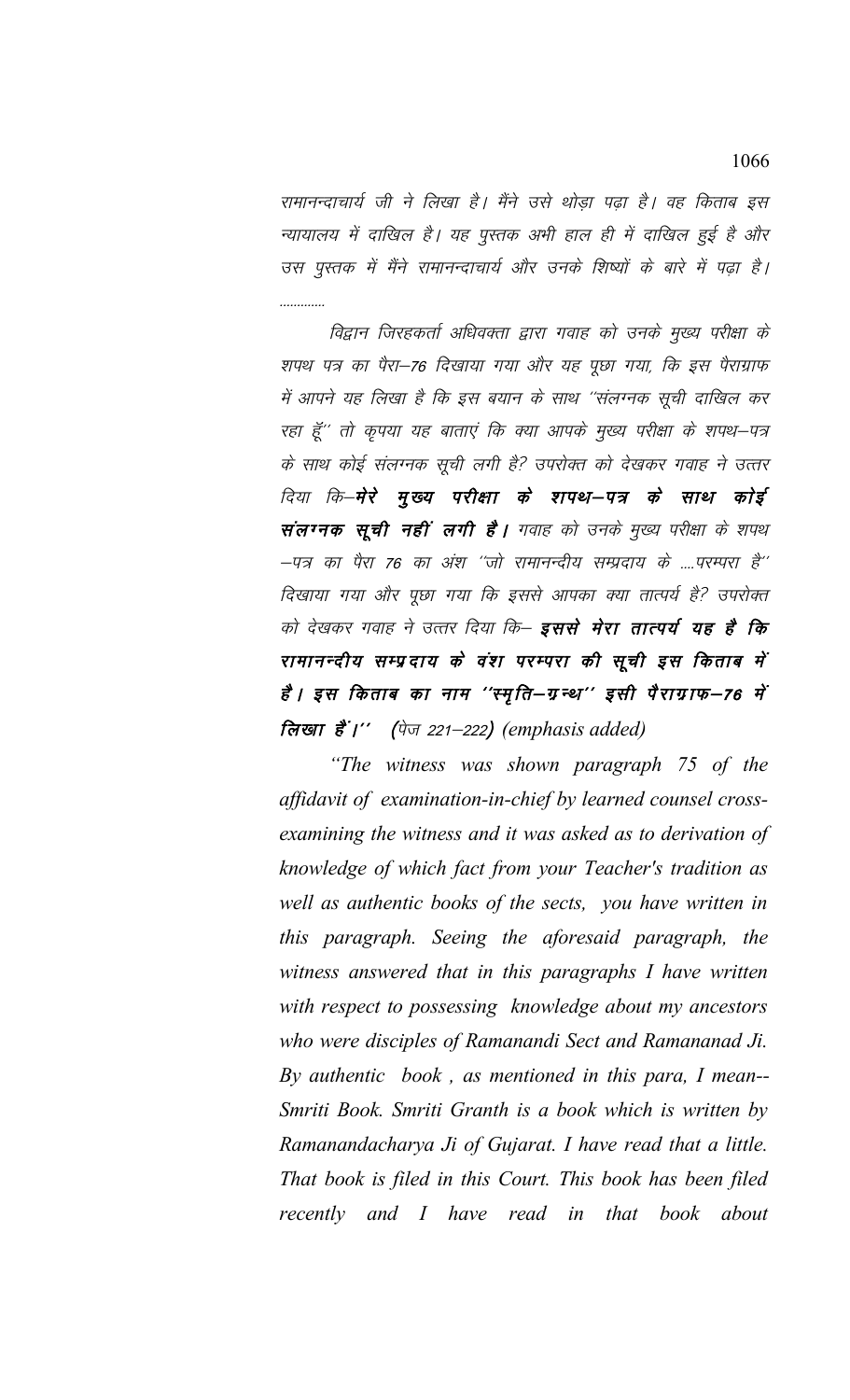रामानन्दाचार्य जी ने लिखा है। मैंने उसे थोड़ा पढ़ा है। वह किताब इस न्यायालय में दाखिल है। यह पुस्तक अभी हाल ही में दाखिल हुई है और उस पुस्तक में मैंने रामानन्दाचार्य और उनके शिष्यों के बारे में पढ़ा है। . . . . . . . . . . . . .

विद्वान जिरहकर्ता अधिवक्ता द्वारा गवाह को उनके मुख्य परीक्षा के शपथ पत्र का पैरा–76 दिखाया गया और यह पूछा गया, कि इस पैराग्राफ में आपने यह लिखा है कि इस बयान के साथ ''संलग्नक सूची दाखिल कर रहा हूँ'' तो कृपया यह बाताएं कि क्या आपके मुख्य परीक्षा के शपथ–पत्र के साथ कोई संलग्नक सूची लगी है? उपरोक्त को देखकर गवाह ने उत्तर दिया कि–मेरे मुख्य परीक्षा के शपथ–पत्र के साथ कोई संलग्नक सूची नहीं लगी है। गवाह को उनके मुख्य परीक्षा के शपथ –पत्र का पैरा 76 का अंश ''जो रामानन्दीय सम्प्रदाय के ....परम्परा है'' दिखाया गया और पूछा गया कि इससे आपका क्या तात्पर्य है? उपरोक्त को देखकर गवाह ने उत्तर दिया कि– इससे मेरा तात्पर्य यह है कि रामानन्दीय सम्प्रदाय के वंश परम्परा की सूची इस किताब में हैं । इस किताब का नाम ''स्मृति—ग्रन्थ'' इसी पैराग्राफ—76 में लिखा हैं।" (पेज 221-222) (emphasis added)

"The witness was shown paragraph 75 of the affidavit of examination-in-chief by learned counsel crossexamining the witness and it was asked as to derivation of knowledge of which fact from your Teacher's tradition as well as authentic books of the sects, you have written in this paragraph. Seeing the aforesaid paragraph, the witness answered that in this paragraphs I have written with respect to possessing knowledge about my ancestors who were disciples of Ramanandi Sect and Ramananad Ji. By authentic book, as mentioned in this para, I mean--Smriti Book. Smriti Granth is a book which is written by Ramanandacharya Ji of Gujarat. I have read that a little. That book is filed in this Court. This book has been filed recently and I have read in that book about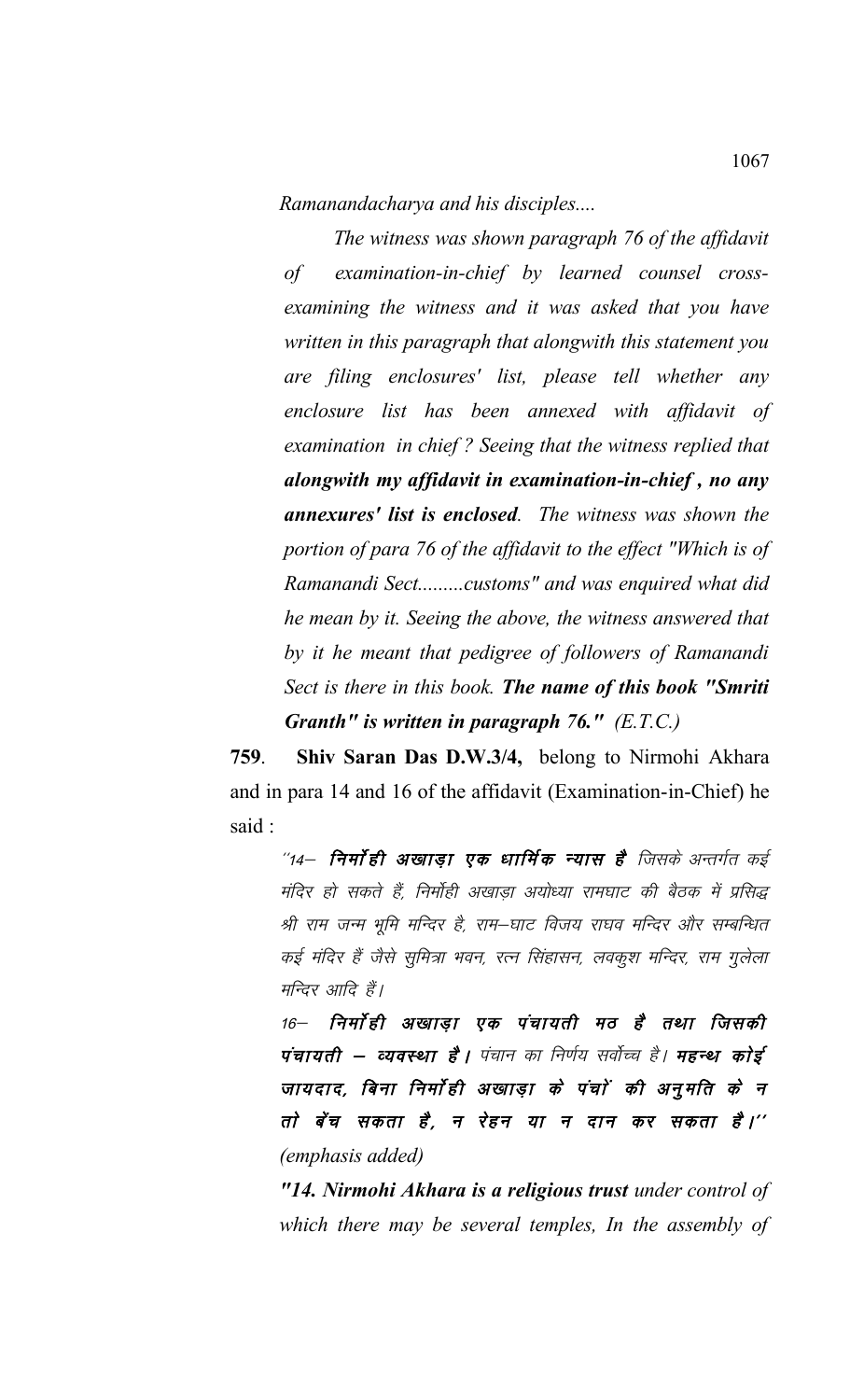*Ramanandacharya and his disciples....*

*The witness was shown paragraph 76 of the affidavit of examination-in-chief by learned counsel crossexamining the witness and it was asked that you have written in this paragraph that alongwith this statement you are filing enclosures' list, please tell whether any enclosure list has been annexed with affidavit of examination in chief ? Seeing that the witness replied that alongwith my affidavit in examination-in-chief , no any annexures' list is enclosed. The witness was shown the portion of para 76 of the affidavit to the effect "Which is of Ramanandi Sect.........customs" and was enquired what did he mean by it. Seeing the above, the witness answered that by it he meant that pedigree of followers of Ramanandi Sect is there in this book. The name of this book "Smriti Granth" is written in paragraph 76." (E.T.C.)*

**759**. **Shiv Saran Das D.W.3/4,** belong to Nirmohi Akhara and in para 14 and 16 of the affidavit (Examination-in-Chief) he said :

 $^{\prime\prime}$ 14— **निर्मा ही अखाड़ा एक धार्मिक न्यास है** जिसके अन्तर्गत कई मंदिर हो सकते हैं, निर्मोही अखाडा अयोध्या रामघाट की बैठक में प्रसिद्ध श्री राम जन्म भूमि मन्दिर है, राम–घाट विजय राघव मन्दिर और सम्बन्धित कई मंदिर हैं जैसे सुमित्रा भवन, रत्न सिंहासन, लवकुश मन्दिर, राम गुलेला मन्दिर आदि हैं।

16– निर्मो ही अखाडा एक पंचायती मठ है तथा जिसकी पंचायती – व्यवस्था है। पंचान का निर्णय सर्वोच्च है। **महन्थ कोई** जायदाद, बिना निर्मोही अखाड़ा के पंचों की अनुमति के न तो बेंच सकता है, न रेहन या न दान कर सकता है।'' *(emphasis added)*

*"14. Nirmohi Akhara is a religious trust under control of which there may be several temples, In the assembly of*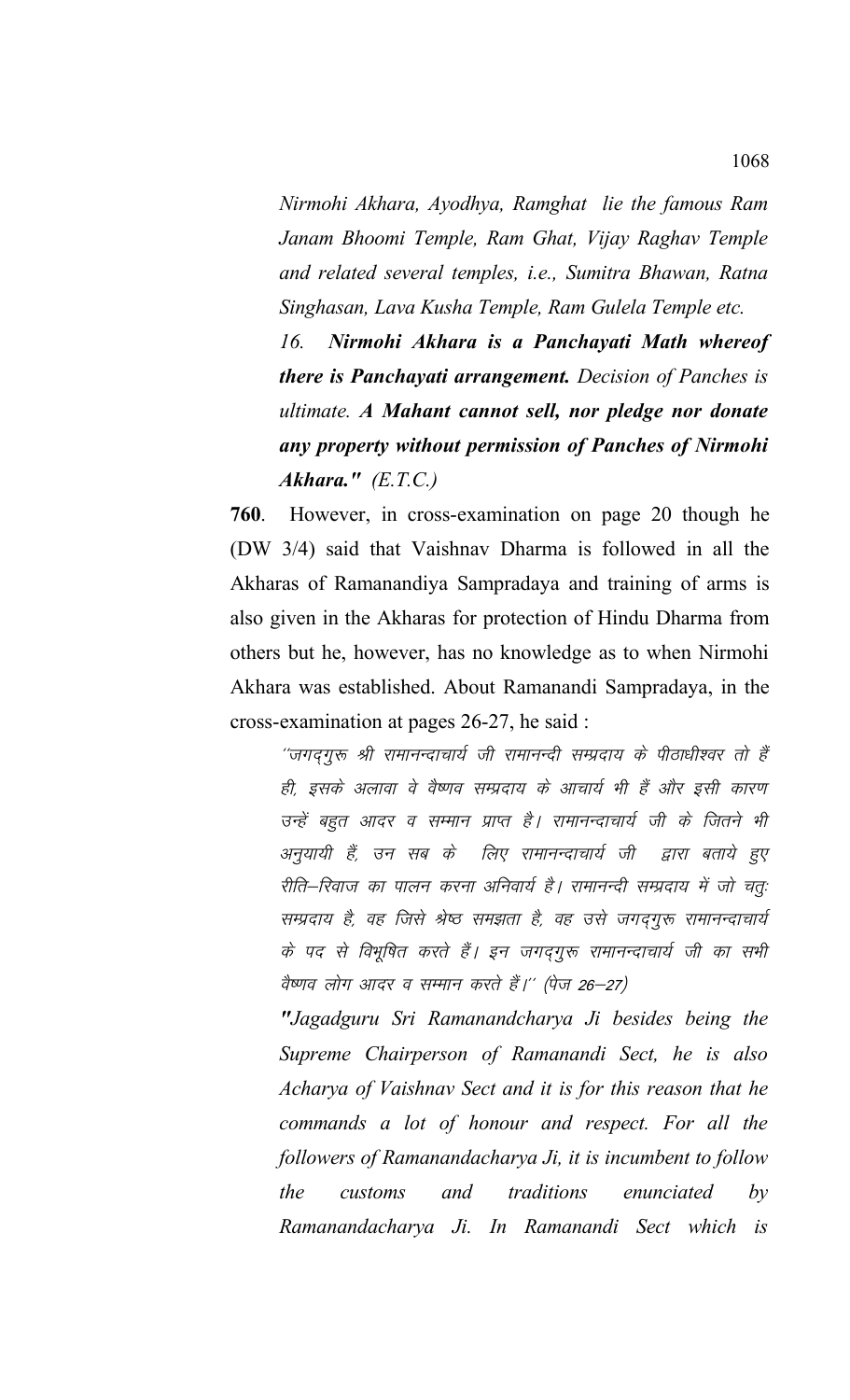*Nirmohi Akhara, Ayodhya, Ramghat lie the famous Ram Janam Bhoomi Temple, Ram Ghat, Vijay Raghav Temple and related several temples, i.e., Sumitra Bhawan, Ratna Singhasan, Lava Kusha Temple, Ram Gulela Temple etc.* 

*16. Nirmohi Akhara is a Panchayati Math whereof there is Panchayati arrangement. Decision of Panches is ultimate. A Mahant cannot sell, nor pledge nor donate any property without permission of Panches of Nirmohi Akhara." (E.T.C.)*

**760**. However, in cross-examination on page 20 though he (DW 3/4) said that Vaishnav Dharma is followed in all the Akharas of Ramanandiya Sampradaya and training of arms is also given in the Akharas for protection of Hindu Dharma from others but he, however, has no knowledge as to when Nirmohi Akhara was established. About Ramanandi Sampradaya, in the cross-examination at pages 26-27, he said :

''जगद्गुरू श्री रामानन्दाचार्य जी रामानन्दी सम्प्रदाय के पीठाधीश्वर तो हैं ही, इसके अलावा वे वैष्णव सम्प्रदाय के आचार्य भी हैं और इसी कारण उन्हें बहुत आदर व सम्मान प्राप्त है। रामानन्दाचार्य जी के जितने भी अनुयायी हैं, उन सब के लिए रामानन्दाचार्य जी द्वारा बताये हुए रीति–रिवाज का पालन करना अनिवार्य है। रामानन्दी सम्प्रदाय में जो चतुः सम्प्रदाय है, वह जिसे श्रेष्ठ समझता है, वह उसे जगदगुरू रामानन्दाचार्य के पद से विभूषित करते हैं। इन जगदगुरू रामानन्दाचार्य जी का सभी वैष्णव लोग आदर व सम्मान करते हैं।'' (पेज 26–27)

*"Jagadguru Sri Ramanandcharya Ji besides being the Supreme Chairperson of Ramanandi Sect, he is also Acharya of Vaishnav Sect and it is for this reason that he commands a lot of honour and respect. For all the followers of Ramanandacharya Ji, it is incumbent to follow the customs and traditions enunciated by Ramanandacharya Ji. In Ramanandi Sect which is*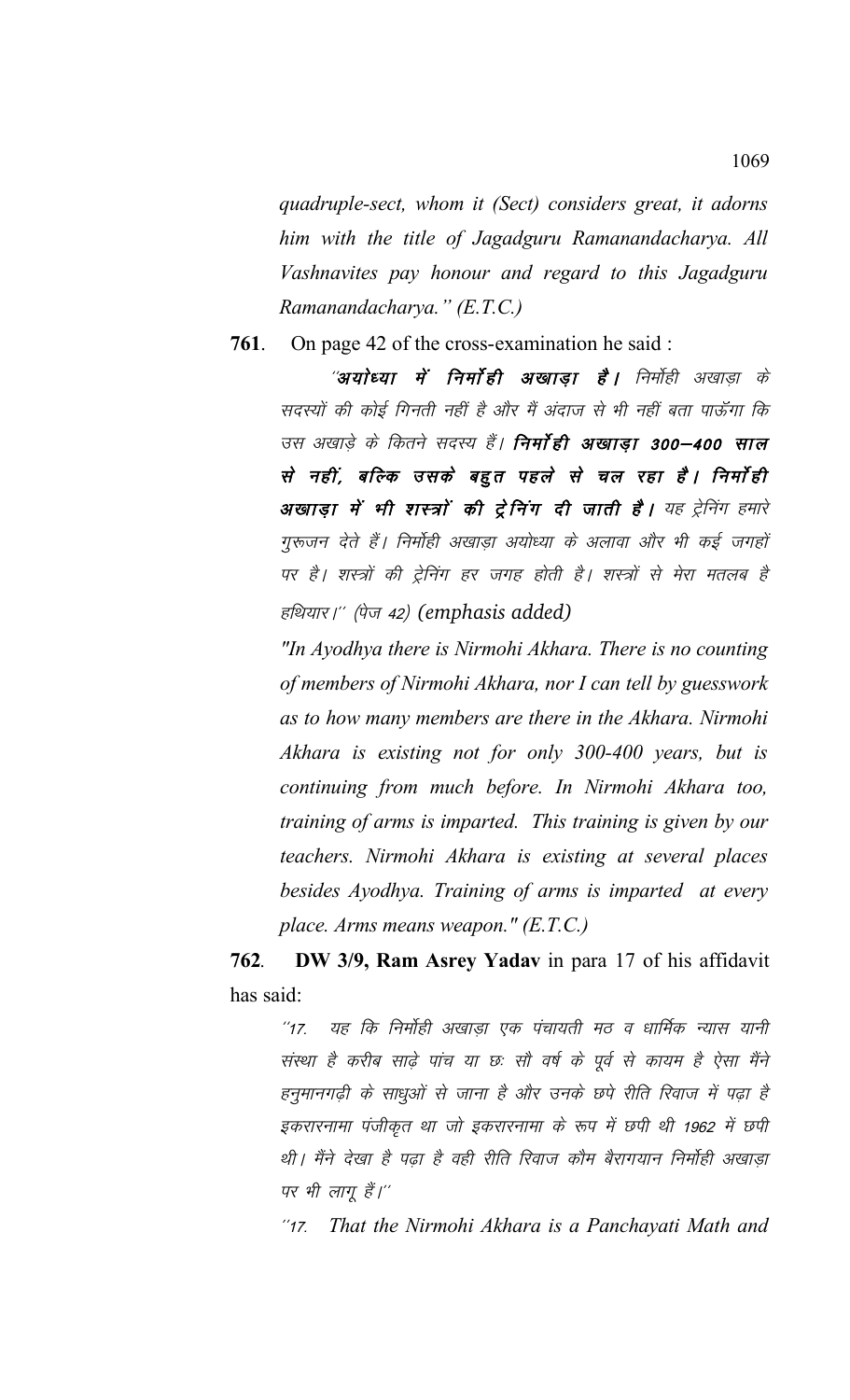*quadruple-sect, whom it (Sect) considers great, it adorns him with the title of Jagadguru Ramanandacharya. All Vashnavites pay honour and regard to this Jagadguru Ramanandacharya." (E.T.C.)*

**761**. On page 42 of the cross-examination he said :

''**अयोध्या में निर्माही अखाडा है।** निर्मोही अखाडा के सदस्यों की कोई गिनती नहीं है और मैं अंदाज से भी नहीं बता पाऊँगा कि उस अखाडे के कितने सदस्य हैं। **निर्मा ही अखाडा 300–400 साल** से नहीं, बल्कि उसके बहुत पहले से चल रहा है। निर्माही **अखाड़ा में भी शस्त्रों की ट्रेनिंग दी जाती है।** यह ट्रेनिंग हमारे गुरूजन देते हैं। निर्मोही अखाडा अयोध्या के अलावा और भी कई जगहों पर है। शस्त्रों की ट्रेनिंग हर जगह होती है। शस्त्रों से मेरा मतलब है हथियार।" (पेज 42) (emphasis added)

*"In Ayodhya there is Nirmohi Akhara. There is no counting of members of Nirmohi Akhara, nor I can tell by guesswork as to how many members are there in the Akhara. Nirmohi Akhara is existing not for only 300-400 years, but is continuing from much before. In Nirmohi Akhara too, training of arms is imparted. This training is given by our teachers. Nirmohi Akhara is existing at several places besides Ayodhya. Training of arms is imparted at every place. Arms means weapon." (E.T.C.)*

**762***.* **DW 3/9, Ram Asrey Yadav** in para 17 of his affidavit has said:

"17. यह कि निर्मोही अखाडा एक पंचायती मठ व धार्मिक न्यास यानी संस्था है करीब साढे पांच या छः सौ वर्ष के पूर्व से कायम है ऐसा मैंने हनुमानगढ़ी के साधुओं से जाना है और उनके छपे रीति रिवाज में पढ़ा है इकरारनामा पंजीकृत था जो इकरारनामा के रूप में छपी थी 1962 में छपी थी। मैंने देखा है पढ़ा है वही रीति रिवाज कौम बैरागयान निर्मोही अखाड़ा पर भी लागू हैं।''

\*\*17- *That the Nirmohi Akhara is a Panchayati Math and*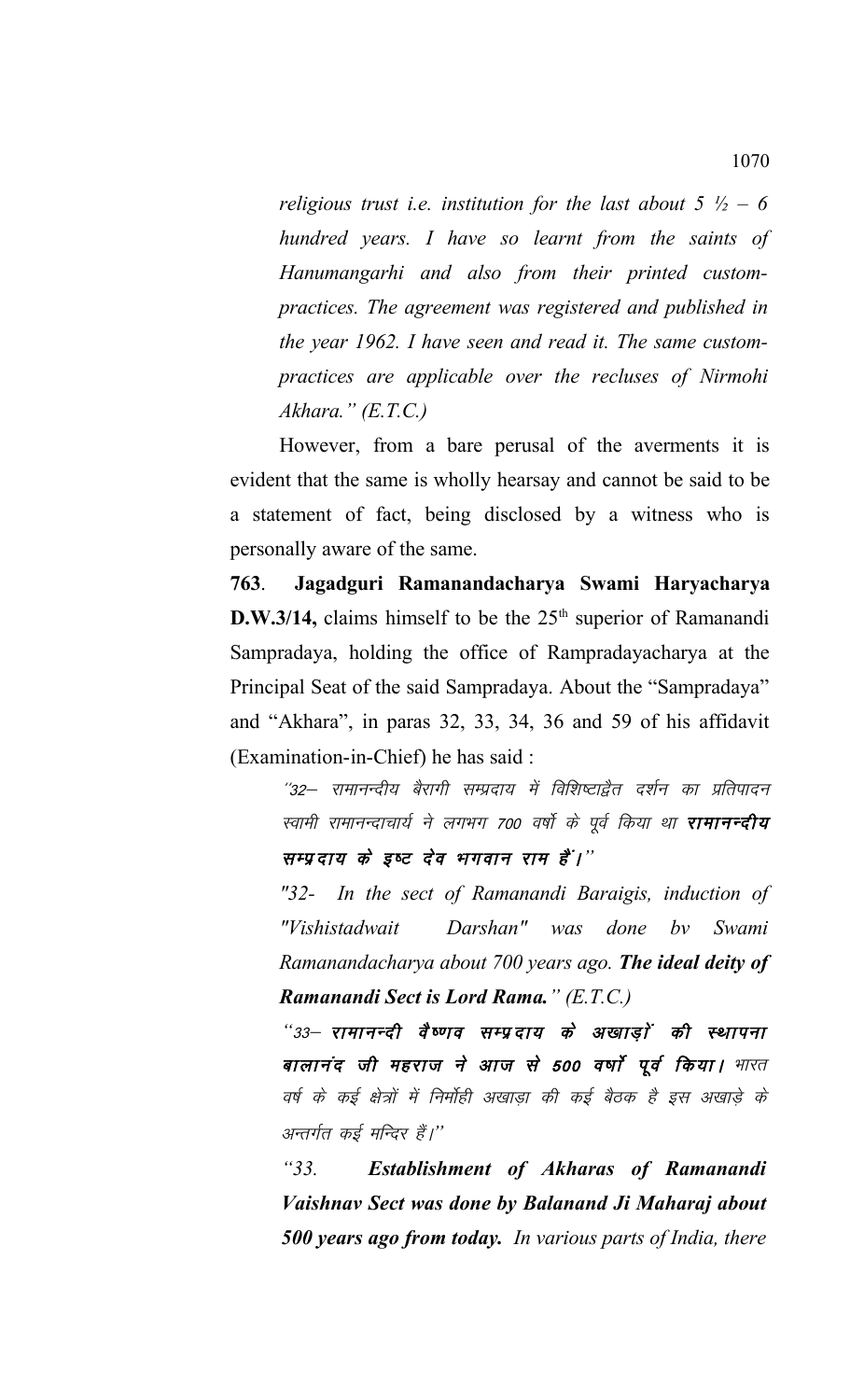*religious trust i.e. institution for the last about 5 ½ – 6 hundred years. I have so learnt from the saints of Hanumangarhi and also from their printed custompractices. The agreement was registered and published in the year 1962. I have seen and read it. The same custompractices are applicable over the recluses of Nirmohi Akhara." (E.T.C.)*

However, from a bare perusal of the averments it is evident that the same is wholly hearsay and cannot be said to be a statement of fact, being disclosed by a witness who is personally aware of the same.

**763**. **Jagadguri Ramanandacharya Swami Haryacharya D.W.3/14,** claims himself to be the 25<sup>th</sup> superior of Ramanandi Sampradaya, holding the office of Rampradayacharya at the Principal Seat of the said Sampradaya. About the "Sampradaya" and "Akhara", in paras 32, 33, 34, 36 and 59 of his affidavit (Examination-in-Chief) he has said :

"32— रामानन्दीय बैरागी सम्प्रदाय में विशिष्टाद्वैत दर्शन का प्रतिपादन स्वामी रामानन्दाचार्य ने लगभग 700 वर्षो के पूर्व किया था **रामानन्दीय** सम्प्रदाय के इष्ट देव भगवान राम है<sup>'</sup>।''

*"32- In the sect of Ramanandi Baraigis, induction of "Vishistadwait Darshan" was done bv Swami Ramanandacharya about 700 years ago. The ideal deity of Ramanandi Sect is Lord Rama." (E.T.C.)*

"33– रामानन्दी वैष्णव सम्प्रदाय के अखाडों की स्थापना बालानंद जी महराज ने आज से 500 वर्षों पूर्व किया। भारत वर्ष के कई क्षेत्रों में निर्मोही अखाडा की कई बैठक है इस अखाड़े के अन्तर्गत कई मन्दिर हैं।''

*"33. Establishment of Akharas of Ramanandi Vaishnav Sect was done by Balanand Ji Maharaj about 500 years ago from today. In various parts of India, there*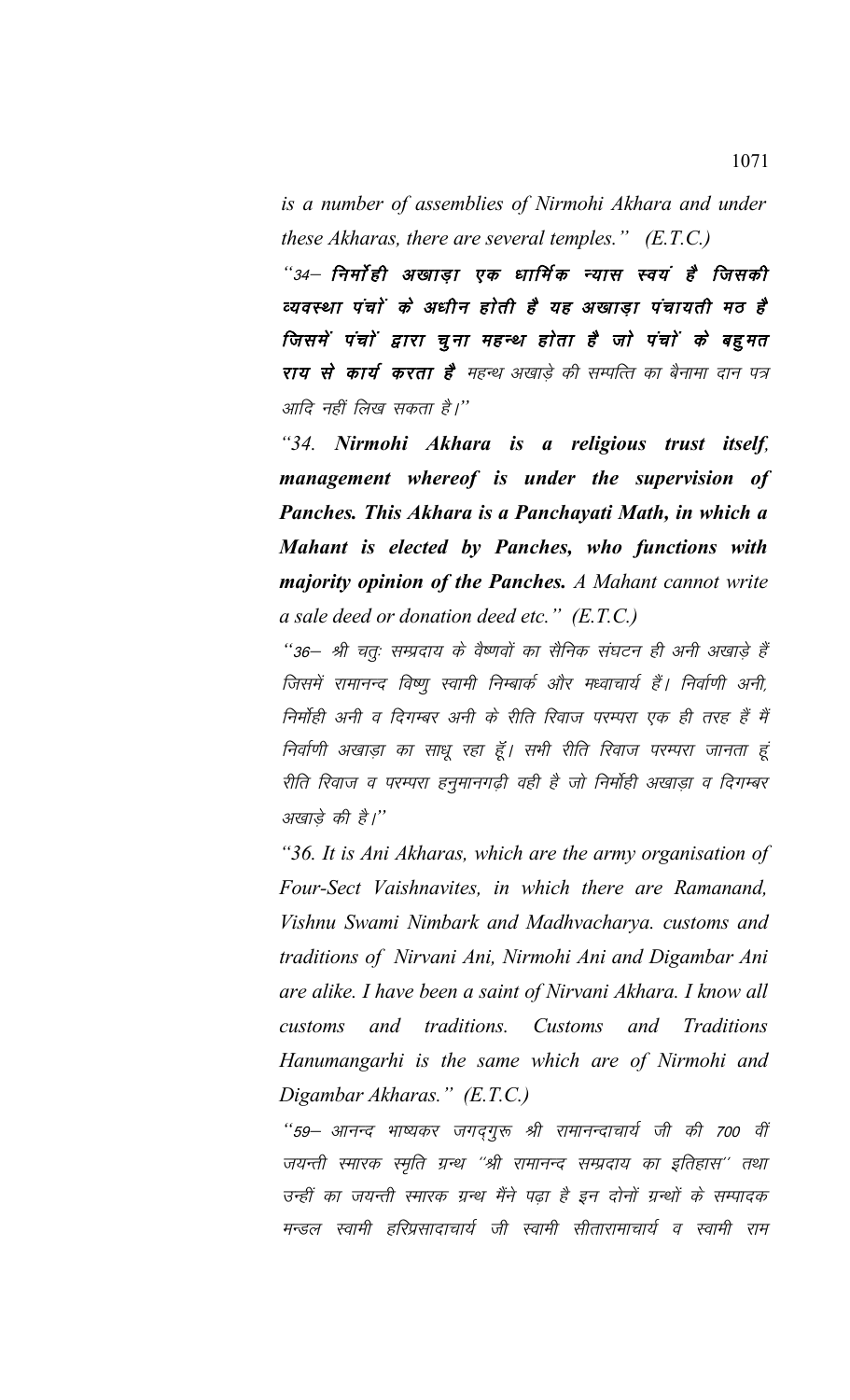*is a number of assemblies of Nirmohi Akhara and under these Akharas, there are several temples." (E.T.C.)*

"34– निर्मो ही अखाड़ा एक धार्मिक न्यास स्वयं है जिसकी व्यवस्था पंचों के अधीन होती है यह अखाड़ा पंचायती मठ है जिसमें पंचों द्वारा चूना महन्थ होता है जो पंचों के बहुमत राय से कार्य करता है<sup>,</sup> महन्थ अखाडे की सम्पत्ति का बैनामा दान पत्र आदि नहीं लिख सकता है।''

*"34. Nirmohi Akhara is a religious trust itself, management whereof is under the supervision of Panches. This Akhara is a Panchayati Math, in which a Mahant is elected by Panches, who functions with majority opinion of the Panches. A Mahant cannot write a sale deed or donation deed etc." (E.T.C.)*

..<br>''36— श्री चतः सम्प्रदाय के वैष्णवों का सैनिक संघटन ही अनी अखाड़े हैं जिसमें रामानन्द विष्णू स्वामी निम्बार्क और मध्वाचार्य हैं। निर्वाणी अनी, निर्मोही अनी व दिगम्बर अनी के रीति रिवाज परम्परा एक ही तरह हैं मैं निर्वाणी अखाड़ा का साधू रहा हूँ। सभी रीति रिवाज परम्परा जानता हूं रीति रिवाज व परम्परा हनुमानगढ़ी वही है जो निर्मोही अखाड़ा व दिगम्बर अखाड़े की है।''

*"36. It is Ani Akharas, which are the army organisation of Four-Sect Vaishnavites, in which there are Ramanand, Vishnu Swami Nimbark and Madhvacharya. customs and traditions of Nirvani Ani, Nirmohi Ani and Digambar Ani are alike. I have been a saint of Nirvani Akhara. I know all customs and traditions. Customs and Traditions Hanumangarhi is the same which are of Nirmohi and Digambar Akharas." (E.T.C.)*

"59— आनन्द भाष्यकर जगद्**गुरू श्री रामानन्दाचार्य जी की 700 वीं** जयन्ती स्मारक स्मृति ग्रन्थ ''श्री रामानन्द सम्प्रदाय का इतिहास'' तथा उन्हीं का जयन्ती स्मारक ग्रन्थ मैंने पढा है इन दोनों ग्रन्थों के सम्पादक मन्डल स्वामी हरिप्रसादाचार्य जी स्वामी सीतारामाचार्य व स्वामी राम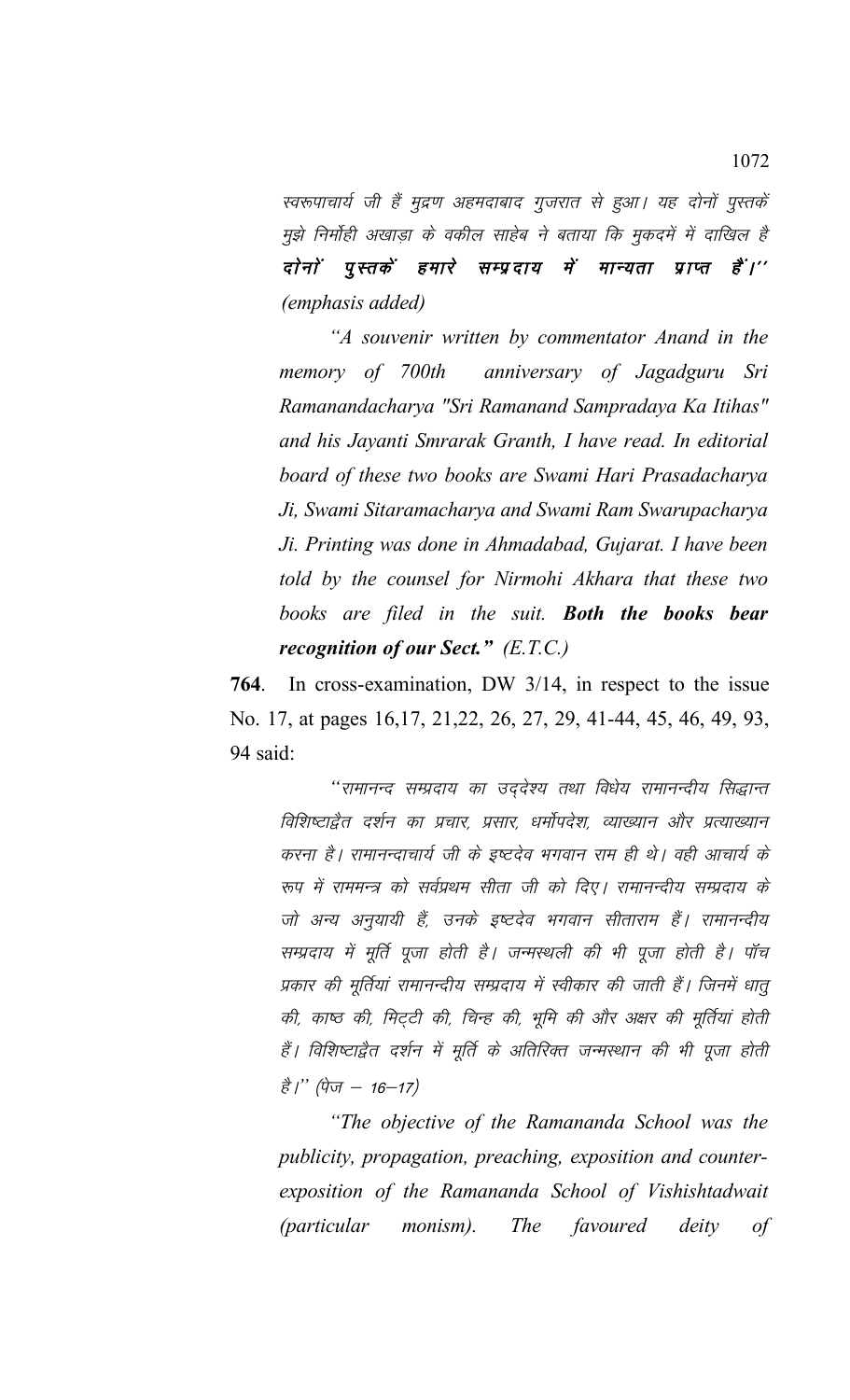स्वरूपाचार्य जी हैं मुद्रण अहमदाबाद गुजरात से हुआ। यह दोनों पुस्तकें मुझे निर्मोही अखाडा के वकील साहेब ने बताया कि मुकदमें में दाखिल है दोनों पुस्तकें हमारे सम्प्रदाय में मान्यता प्राप्त हैं।'' *(emphasis added)*

*"A souvenir written by commentator Anand in the memory of 700th anniversary of Jagadguru Sri Ramanandacharya "Sri Ramanand Sampradaya Ka Itihas" and his Jayanti Smrarak Granth, I have read. In editorial board of these two books are Swami Hari Prasadacharya Ji, Swami Sitaramacharya and Swami Ram Swarupacharya Ji. Printing was done in Ahmadabad, Gujarat. I have been told by the counsel for Nirmohi Akhara that these two books are filed in the suit. Both the books bear recognition of our Sect." (E.T.C.)*

**764**. In cross-examination, DW 3/14, in respect to the issue No. 17, at pages 16,17, 21,22, 26, 27, 29, 41-44, 45, 46, 49, 93, 94 said:

"रामानन्द सम्प्रदाय का उददेश्य तथा विधेय रामानन्दीय सिद्धान्त विशिष्टाद्वैत दर्शन का प्रचार, प्रसार, धर्मोपदेश, व्याख्यान और प्रत्याख्यान करना है। रामानन्दाचार्य जी के इष्टदेव भगवान राम ही थे। वही आचार्य के रूप में राममन्त्र को सर्वप्रथम सीता जी को दिए। रामानन्दीय सम्प्रदाय के जो अन्य अनुयायी हैं, उनके इष्टदेव भगवान सीताराम हैं। रामानन्दीय सम्प्रदाय में मूर्ति पूजा होती है। जन्मस्थली की भी पूजा होती है। पॉच प्रकार की मूर्तियां रामानन्दीय सम्प्रदाय में स्वीकार की जाती हैं। जिनमें धातू की, काष्ठ की, मिट्टी की, चिन्ह की, भूमि की और अक्षर की मूर्तियां होती हैं। विशिष्टाद्वैत दर्शन में मूर्ति के अतिरिक्त जन्मस्थान की भी पूजा होती है*।*" (पेज - 16-17)

*"The objective of the Ramananda School was the publicity, propagation, preaching, exposition and counterexposition of the Ramananda School of Vishishtadwait (particular monism). The favoured deity of*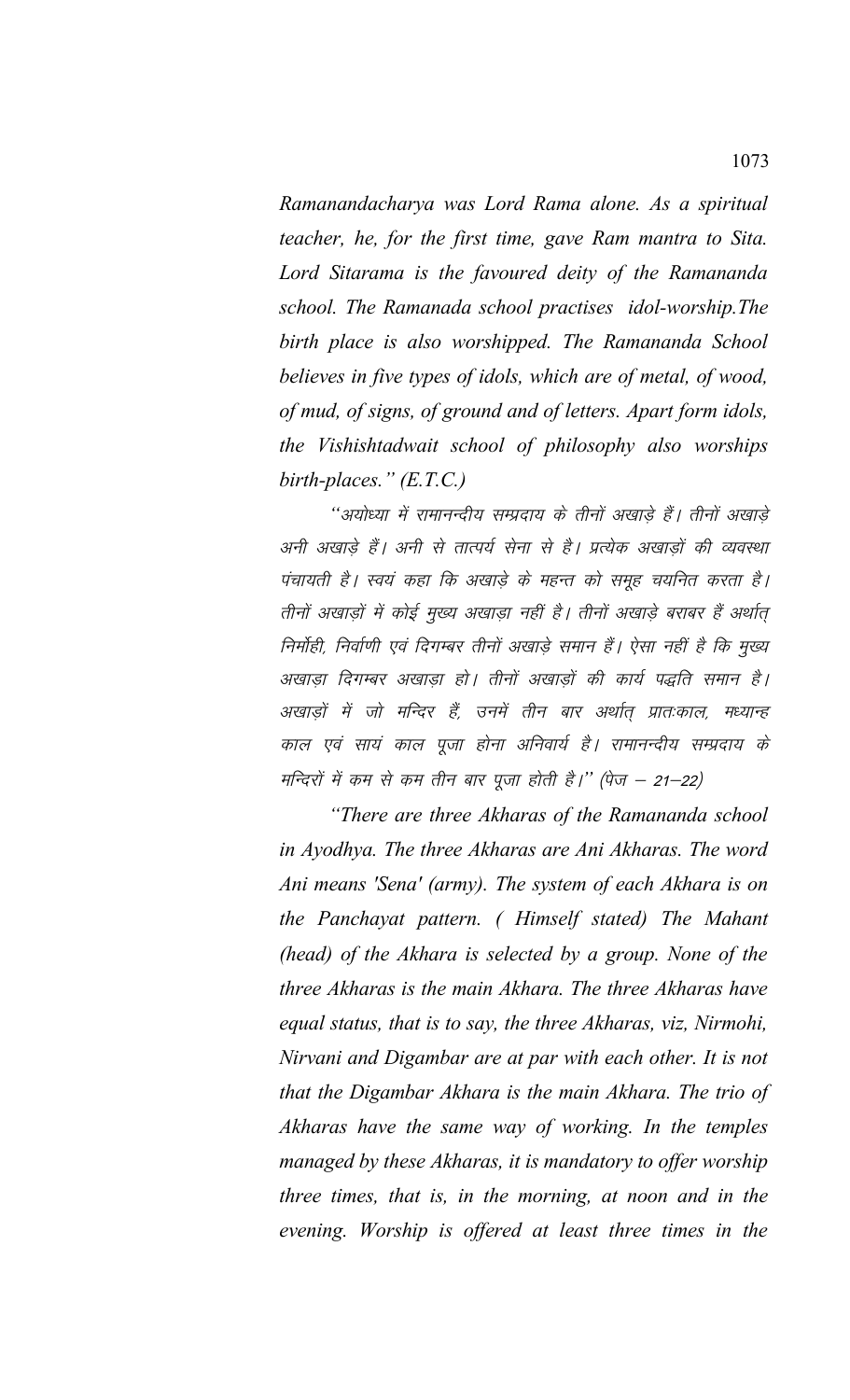*Ramanandacharya was Lord Rama alone. As a spiritual teacher, he, for the first time, gave Ram mantra to Sita. Lord Sitarama is the favoured deity of the Ramananda school. The Ramanada school practises idol-worship.The birth place is also worshipped. The Ramananda School believes in five types of idols, which are of metal, of wood, of mud, of signs, of ground and of letters. Apart form idols, the Vishishtadwait school of philosophy also worships birth-places." (E.T.C.)*

"अयोध्या में रामानन्दीय सम्प्रदाय के तीनों अखा<del>डे</del> हैं। तीनों अखाडे अनी अखाड़े हैं। अनी से तात्पर्य सेना से है। प्रत्येक अखाड़ों की व्यवस्था पंचायती है। स्वयं कहा कि अखाड़े के महन्त को समूह चयनित करता है। तीनों अखाड़ों में कोई मुख्य अखाड़ा नहीं है। तीनों अखाड़े बराबर हैं अर्थात् निर्मोही, निर्वाणी एवं दिगम्बर तीनों अखाड़े समान हैं। ऐसा नहीं है कि मुख्य अखाडा दिगम्बर अखाडा हो। तीनों अखाडों की कार्य पद्धति समान है। अखाड़ों में जो मन्दिर हैं, उनमें तीन बार अर्थात प्रातःकाल, मध्यान्ह काल एवं सायं काल पूजा होना अनिवार्य है। रामानन्दीय सम्प्रदाय के मन्दिरों में कम से कम तीन बार पूजा होती है।'' (पेज – 21–22)

*"There are three Akharas of the Ramananda school in Ayodhya. The three Akharas are Ani Akharas. The word Ani means 'Sena' (army). The system of each Akhara is on the Panchayat pattern. ( Himself stated) The Mahant (head) of the Akhara is selected by a group. None of the three Akharas is the main Akhara. The three Akharas have equal status, that is to say, the three Akharas, viz, Nirmohi, Nirvani and Digambar are at par with each other. It is not that the Digambar Akhara is the main Akhara. The trio of Akharas have the same way of working. In the temples managed by these Akharas, it is mandatory to offer worship three times, that is, in the morning, at noon and in the evening. Worship is offered at least three times in the*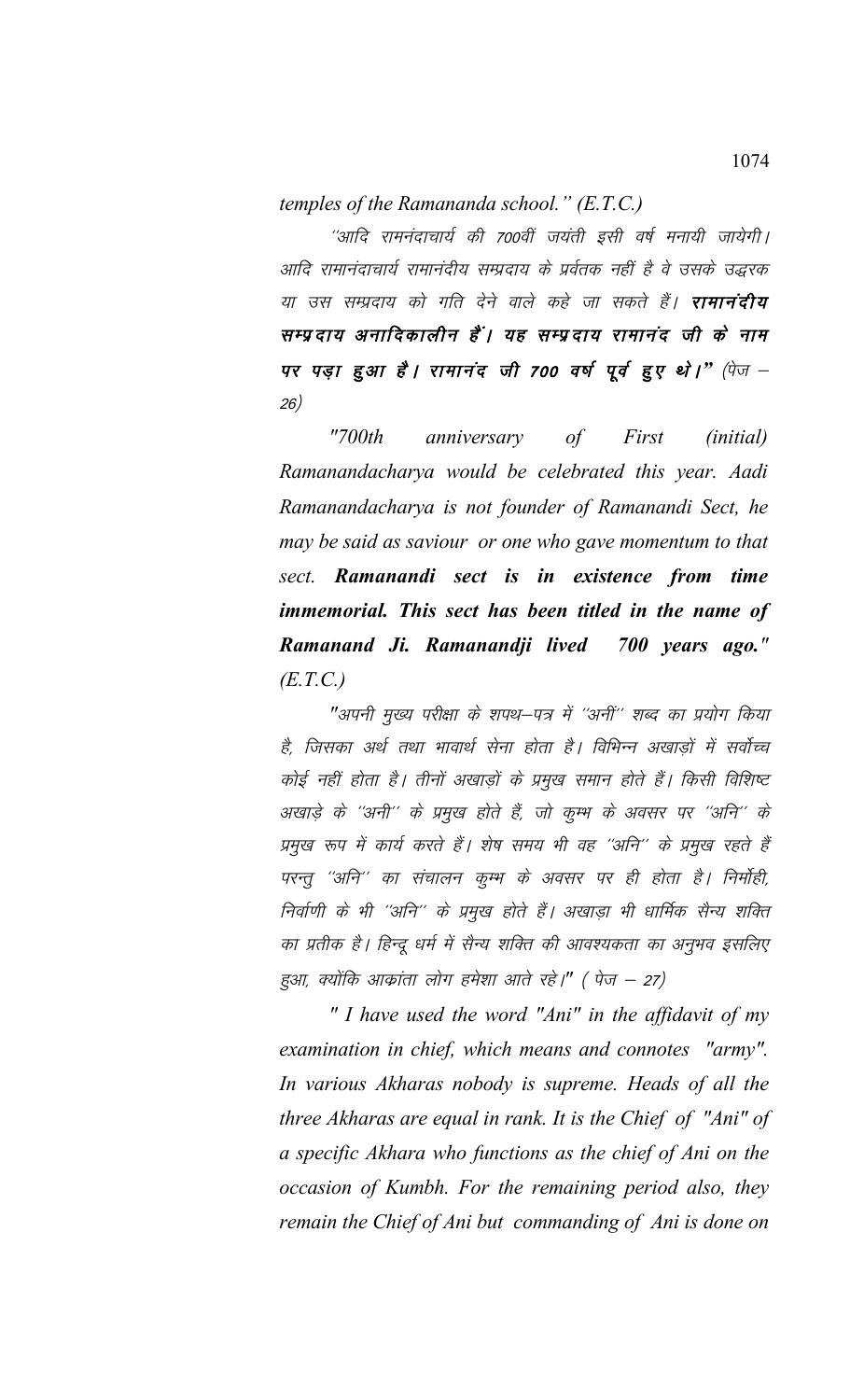*temples of the Ramananda school." (E.T.C.)*

"आदि रामनंदाचार्य की 700वीं जयंती इसी वर्ष मनायी जायेगी। आदि रामानंदाचार्य रामानंदीय सम्प्रदाय के प्रर्वतक नहीं है वे उसके उद्धरक या उस सम्प्रदाय को गति देने वाले कहे जा सकते हैं। **रामानंदीय** सम्प्रदाय अनादिकालीन हैं। यह सम्प्रदाय रामानंद जी के नाम पर पड़ा हुआ है। रामानंद जी 700 वर्ष पूर्व हुए थो।" (पेज – 26)

*"700th anniversary of First (initial) Ramanandacharya would be celebrated this year. Aadi Ramanandacharya is not founder of Ramanandi Sect, he may be said as saviour or one who gave momentum to that sect. Ramanandi sect is in existence from time immemorial. This sect has been titled in the name of Ramanand Ji. Ramanandji lived 700 years ago." (E.T.C.)*

"अपनी मुख्य परीक्षा के शपथ–पत्र में ''अनीं'' शब्द का प्रयोग किया है, जिसका अर्थ तथा भावार्थ सेना होता है। विभिन्न अखाडों में सर्वोच्च कोई नहीं होता है। तीनों अखाड़ों के प्रमुख समान होते हैं। किसी विशिष्ट अखाड़े के ''अनी'' के प्रमुख होते हैं, जो कूम्भ के अवसर पर ''अनि'' के प्रमुख रूप में कार्य करते हैं। शेष समय भी वह ''अनि'' के प्रमुख रहते हैं परन्तू ''अनि'' का संचालन कूम्भ के अवसर पर ही होता है। निर्मोही, निर्वाणी के भी ''अनि'' के प्रमुख होते हैं। अखाड़ा भी धार्मिक सैन्य शक्ति का प्रतीक है। हिन्दू धर्म में सैन्य शक्ति की आवश्यकता का अनुभव इसलिए हुआ, क्योंकि आक्रांता लोग हमेशा आते रहे।" (पेज – 27)

*" I have used the word "Ani" in the affidavit of my examination in chief, which means and connotes "army". In various Akharas nobody is supreme. Heads of all the three Akharas are equal in rank. It is the Chief of "Ani" of a specific Akhara who functions as the chief of Ani on the occasion of Kumbh. For the remaining period also, they remain the Chief of Ani but commanding of Ani is done on*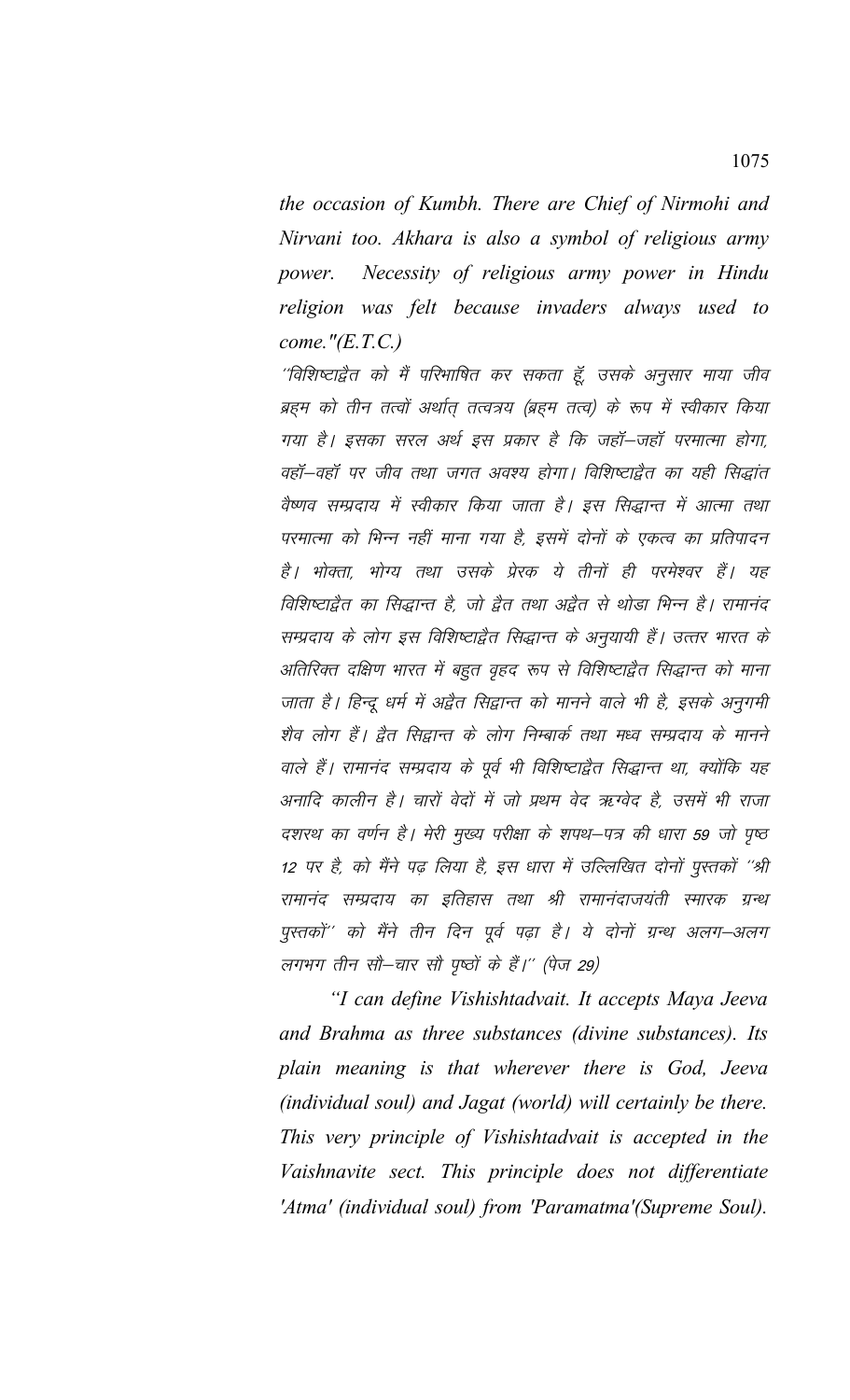the occasion of Kumbh. There are Chief of Nirmohi and Nirvani too. Akhara is also a symbol of religious army power. Necessity of religious army power in Hindu religion was felt because invaders always used to come." $(E.T.C.)$ 

''विशिष्टाद्वैत को मैं परिभाषित कर सकता हूँ, उसके अनुसार माया जीव ब्रहम को तीन तत्वों अर्थात् तत्वत्रय (ब्रहम तत्व) के रूप में स्वीकार किया गया है। इसका सरल अर्थ इस प्रकार है कि जहॉं–जहॉं परमात्मा होगा, वहॉं-वहॉं पर जीव तथा जगत अवश्य होगा। विशिष्टाद्वैत का यही सिद्धांत वैष्णव सम्प्रदाय में स्वीकार किया जाता है। इस सिद्धान्त में आत्मा तथा परमात्मा को भिन्न नहीं माना गया है, इसमें दोनों के एकत्व का प्रतिपादन है। भोक्ता, भोग्य तथा उसके प्रेरक ये तीनों ही परमेश्वर हैं। यह विशिष्टाद्वैत का सिद्धान्त है, जो द्वैत तथा अद्वैत से थोड़ा भिन्न है। रामानंद सम्प्रदाय के लोग इस विशिष्टाद्वैत सिद्धान्त के अनुयायी हैं। उत्तर भारत के अतिरिक्त दक्षिण भारत में बहुत वृहद रूप से विशिष्टाद्वैत सिद्धान्त को माना जाता है। हिन्दू धर्म में अद्वैत सिद्वान्त को मानने वाले भी है, इसके अनुगमी शैव लोग हैं। द्वैत सिद्वान्त के लोग निम्बार्क तथा मध्व सम्प्रदाय के मानने वाले हैं। रामानंद सम्प्रदाय के पूर्व भी विशिष्टाद्वैत सिद्धान्त था, क्योंकि यह अनादि कालीन है। चारों वेदों में जो प्रथम वेद ऋग्वेद है, उसमें भी राजा दशरथ का वर्णन है। मेरी मुख्य परीक्षा के शपथ–पत्र की धारा 59 जो पृष्ठ 12 पर है, को मैंने पढ़ लिया है, इस धारा में उल्लिखित दोनों पुस्तकों ''श्री रामानंद सम्प्रदाय का इतिहास तथा श्री रामानंदाजयंती स्मारक ग्रन्थ पुस्तकों'' को मैंने तीन दिन पूर्व पढ़ा है। ये दोनों ग्रन्थ अलग-अलग लगभग तीन सौ–चार सौ पृष्ठों के हैं।'' (पेज 29)

"I can define Vishishtadvait. It accepts Maya Jeeva and Brahma as three substances (divine substances). Its plain meaning is that wherever there is God, Jeeva (individual soul) and Jagat (world) will certainly be there. This very principle of Vishishtadvait is accepted in the Vaishnavite sect. This principle does not differentiate 'Atma' (individual soul) from 'Paramatma' (Supreme Soul).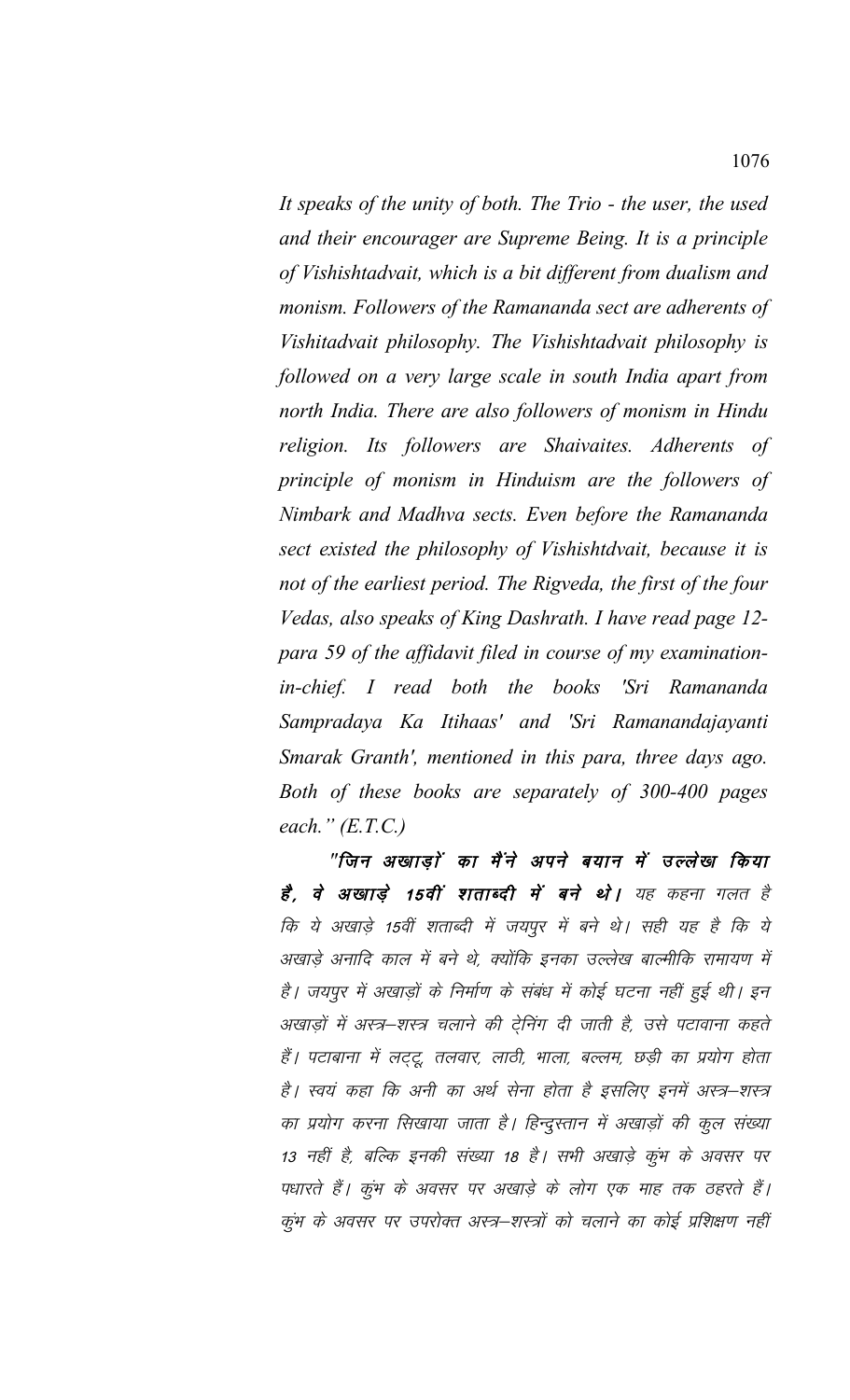It speaks of the unity of both. The Trio - the user, the used and their encourager are Supreme Being. It is a principle of Vishishtadvait, which is a bit different from dualism and monism. Followers of the Ramananda sect are adherents of Vishitadvait philosophy. The Vishishtadvait philosophy is followed on a very large scale in south India apart from north India. There are also followers of monism in Hindu religion. Its followers are Shaivaites. Adherents of principle of monism in Hinduism are the followers of Nimbark and Madhva sects. Even before the Ramananda sect existed the philosophy of Vishishtdvait, because it is not of the earliest period. The Rigveda, the first of the four Vedas, also speaks of King Dashrath. I have read page 12para 59 of the affidavit filed in course of my examinationin-chief. I read both the books 'Sri Ramananda Sampradaya Ka Itihaas' and 'Sri Ramanandajayanti Smarak Granth', mentioned in this para, three days ago. Both of these books are separately of 300-400 pages each."  $(E.T.C.)$ 

"जिन अखाडों का मैंने अपने बयान में उल्लेख किया है, वे अखाड़े 15वीं शताब्दी में बने थे। यह कहना गलत है कि ये अखाड़े 15वीं शताब्दी में जयपूर में बने थे। सही यह है कि ये अखाड़े अनादि काल में बने थे, क्योंकि इनका उल्लेख बाल्मीकि रामायण में है। जयपुर में अखाड़ों के निर्माण के संबंध में कोई घटना नहीं हुई थी। इन अखाड़ों में अस्त्र-शस्त्र चलाने की ट्रेनिंग दी जाती है, उसे पटावाना कहते हैं। पटाबाना में लट्टू, तलवार, लाठी, भाला, बल्लम, छड़ी का प्रयोग होता है। स्वयं कहा कि अनी का अर्थ सेना होता है इसलिए इनमें अस्त्र–शस्त्र का प्रयोग करना सिखाया जाता है। हिन्दुस्तान में अखाड़ों की कूल संख्या 13 नहीं है, बल्कि इनकी संख्या 18 है। सभी अखाड़े कुंभ के अवसर पर पधारते हैं। कुंभ के अवसर पर अखाड़े के लोग एक माह तक ठहरते हैं। कुंभ के अवसर पर उपरोक्त अस्त्र–शस्त्रों को चलाने का कोई प्रशिक्षण नहीं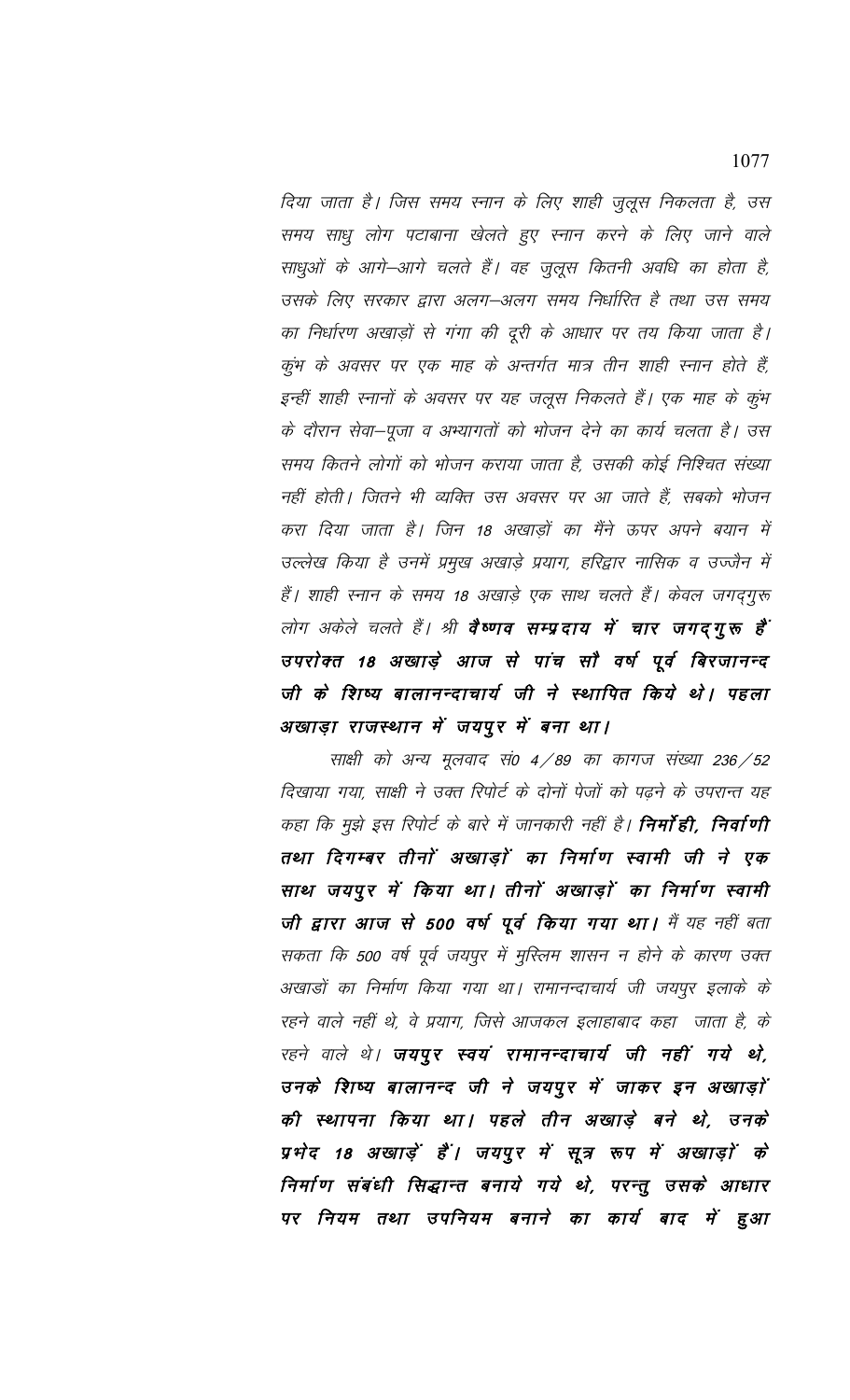दिया जाता है। जिस समय स्नान के लिए शाही जुलूस निकलता है, उस समय साधु लोग पटाबाना खेलते हुए स्नान करने के लिए जाने वाले साधुओं के आगे—आगे चलते हैं। वह जुलूस कितनी अवधि का होता है, उसके लिए सरकार द्वारा अलग–अलग समय निर्धारित है तथा उस समय का निर्धारण अखाड़ों से गंगा की दूरी के आधार पर तय किया जाता है। कुंभ के अवसर पर एक माह के अन्तर्गत मात्र तीन शाही स्नान होते हैं, इन्हीं शाही स्नानों के अवसर पर यह जलूस निकलते हैं। एक माह के कुंभ के दौरान सेवा–पूजा व अभ्यागतों को भोजन देने का कार्य चलता है। उस समय कितने लोगों को भोजन कराया जाता है, उसकी कोई निश्चित संख्या नहीं होती। जितने भी व्यक्ति उस अवसर पर आ जाते हैं, सबको भोजन करा दिया जाता है। जिन 18 अखाड़ों का मैंने ऊपर अपने बयान में उल्लेख किया है उनमें प्रमुख अखाड़े प्रयाग, हरिद्वार नासिक व उज्जैन में हैं। शाही स्नान के समय 18 अखाड़े एक साथ चलते हैं। केवल जगद्गुरू लोग अकेले चलते हैं। श्री **वैष्णव सम्प्रदाय में चार जगद्गुरू है**ं उपरोक्त 18 अखाड़े आज से पांच सौ वर्ष पूर्व बिरजानन्द जी के शिष्य बालानन्दाचार्य जी ने स्थापित किये थे। पहला अखाड़ा राजस्थान में जयपुर में बना था।

साक्षी को अन्य मूलवाद सं0 4/89 का कागज संख्या 236/52 दिखाया गया, साक्षी ने उक्त रिपोर्ट के दोनों पेजों को पढ़ने के उपरान्त यह कहा कि मुझे इस रिपोर्ट के बारे में जानकारी नहीं है। **निर्मा ही, निर्वाणी** तथा दिगम्बर तीनों अखाड़ों का निर्माण स्वामी जी ने एक साथ जयपुर में किया था। तीनों अखाड़ों का निर्माण स्वामी जी द्वारा आज से 500 वर्ष पूर्व किया गया था। मैं यह नहीं बता सकता कि 500 वर्ष पूर्व जयपुर में मुस्लिम शासन न होने के कारण उक्त अखाडों का निर्माण किया गया था। रामानन्दाचार्य जी जयपुर इलाके के रहने वाले नहीं थे, वे प्रयाग, जिसे आजकल इलाहाबाद कहा जाता है, के रहने वाले थे। **जयपुर स्वयं रामानन्दाचार्य जी नहीं गये थे,** उनके शिष्य बालानन्द जी ने जयपुर में जाकर इन अखाड़ों की स्थापना किया था। पहले तीन अखाड़े बने थे, उनके प्रभेद 18 अखाड़ें हैं। जयपुर में सूत्र रूप में अखाड़ों के निर्माण संबंधी सिद्धान्त बनाये गये थे, परन्तु उसके आधार पर नियम तथा उपनियम बनाने का कार्य बाद में हुआ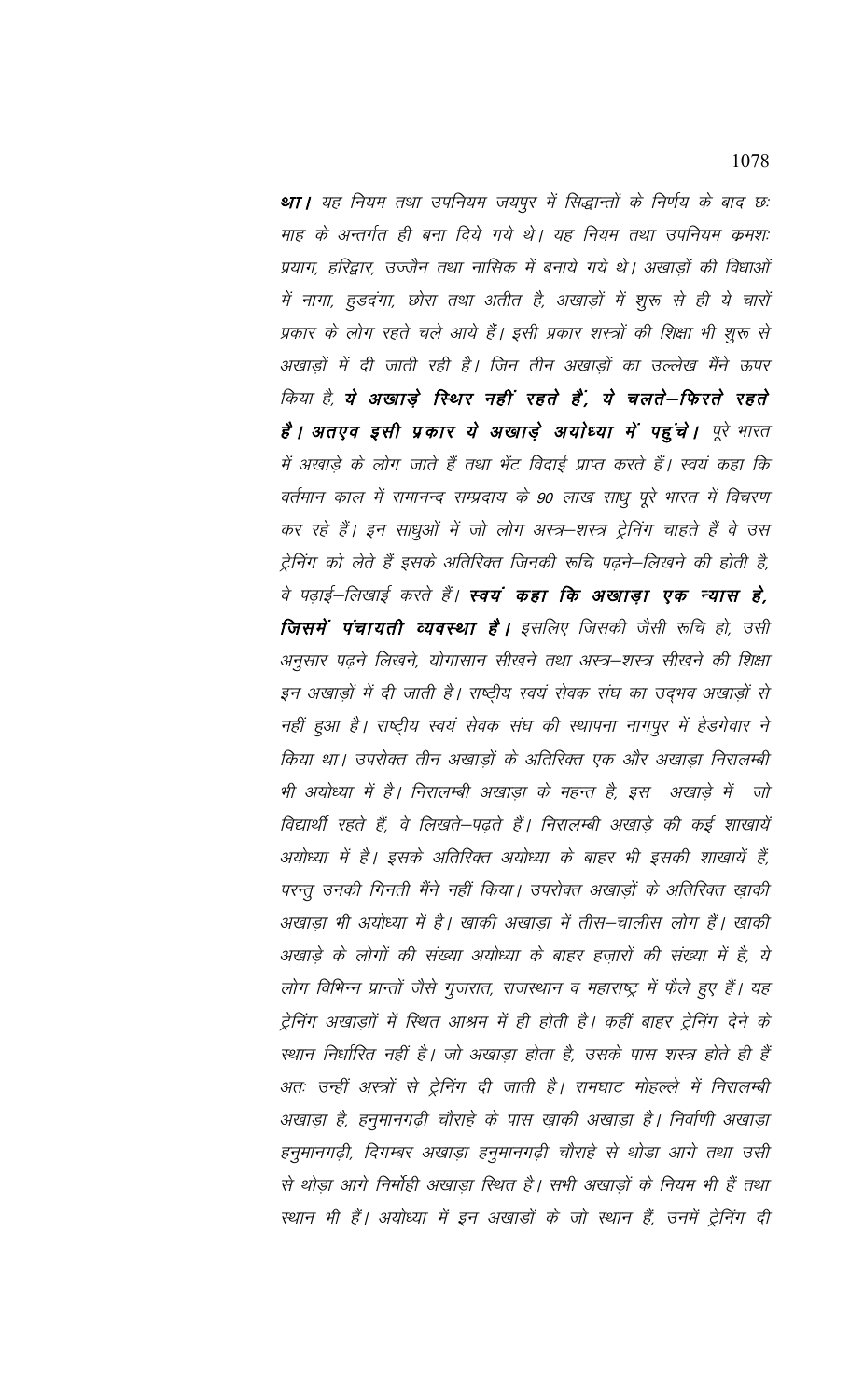था। यह नियम तथा उपनियम जयपूर में सिद्धान्तों के निर्णय के बाद छ: माह के अन्तर्गत ही बना दिये गये थे। यह नियम तथा उपनियम क्रमशः प्रयाग, हरिद्वार, उज्जैन तथा नासिक में बनाये गये थे। अखाड़ों की विधाओं में नागा, हुडदंगा, छोरा तथा अतीत है, अखाड़ों में शुरू से ही ये चारों प्रकार के लोग रहते चले आये हैं। इसी प्रकार शस्त्रों की शिक्षा भी शुरू से अखाड़ों में दी जाती रही है। जिन तीन अखाड़ों का उल्लेख मैंने ऊपर किया है, ये अखाड़े स्थिर नहीं रहते हैं, ये चलते-फिरते रहते हैं। अतएव इसी प्रकार ये अखाड़े अयोध्या में पहुंचे। पूरे भारत में अखाड़े के लोग जाते हैं तथा भेंट विदाई प्राप्त करते हैं। स्वयं कहा कि वर्तमान काल में रामानन्द सम्प्रदाय के 90 लाख साधु पूरे भारत में विचरण कर रहे हैं। इन साधुओं में जो लोग अस्त्र–शस्त्र ट्रेनिंग चाहते हैं वे उस ट्रेनिंग को लेते हैं इसके अतिरिक्त जिनकी रूचि पढ़ने–लिखने की होती है, वे पढ़ाई–लिखाई करते हैं। **स्वयं कहा कि अखाड़ा एक न्यास हे**, जिसमें पंचायती व्यवस्था है। इसलिए जिसकी जैसी रूचि हो, उसी अनुसार पढ़ने लिखने, योगासान सीखने तथा अस्त्र–शस्त्र सीखने की शिक्षा इन अखाड़ों में दी जाती है। राष्ट्रीय स्वयं सेवक संघ का उद्भव अखाड़ों से नहीं हुआ है। राष्ट्रीय स्वयं सेवक संघ की स्थापना नागपूर में हेडगेवार ने किया था। उपरोक्त तीन अखाड़ों के अतिरिक्त एक और अखाड़ा निरालम्बी भी अयोध्या में है। निरालम्बी अखाड़ा के महन्त है, इस अखाड़े में जो विद्यार्थी रहते हैं, वे लिखते–पढ़ते हैं। निरालम्बी अखाड़े की कई शाखायें अयोध्या में है। इसके अतिरिक्त अयोध्या के बाहर भी इसकी शाखायें हैं, परन्तु उनकी गिनती मैंने नहीं किया। उपरोक्त अखाड़ों के अतिरिक्त ख़ाकी अखाड़ा भी अयोध्या में है। खाकी अखाड़ा में तीस–चालीस लोग हैं। खाकी अखाड़े के लोगों की संख्या अयोध्या के बाहर हज़ारों की संख्या में है, ये लोग विभिन्न प्रान्तों जैसे गुजरात, राजस्थान व महाराष्ट्र में फैले हुए हैं। यह ट्रेनिंग अखाड़ाों में स्थित आश्रम में ही होती है। कहीं बाहर ट्रेनिंग देने के स्थान निर्धारित नहीं है। जो अखाड़ा होता है, उसके पास शस्त्र होते ही हैं अतः उन्हीं अस्त्रों से ट्रेनिंग दी जाती है। रामघाट मोहल्ले में निरालम्बी अखाड़ा है, हनुमानगढ़ी चौराहे के पास ख़ाकी अखाड़ा है। निर्वाणी अखाड़ा हनुमानगढ़ी, दिगम्बर अखाड़ा हनुमानगढ़ी चौराहे से थोड़ा आगे तथा उसी से थोड़ा आगे निर्मोही अखाड़ा स्थित है। सभी अखाड़ों के नियम भी हैं तथा स्थान भी हैं। अयोध्या में इन अखाड़ों के जो स्थान हैं, उनमें ट्रेनिंग दी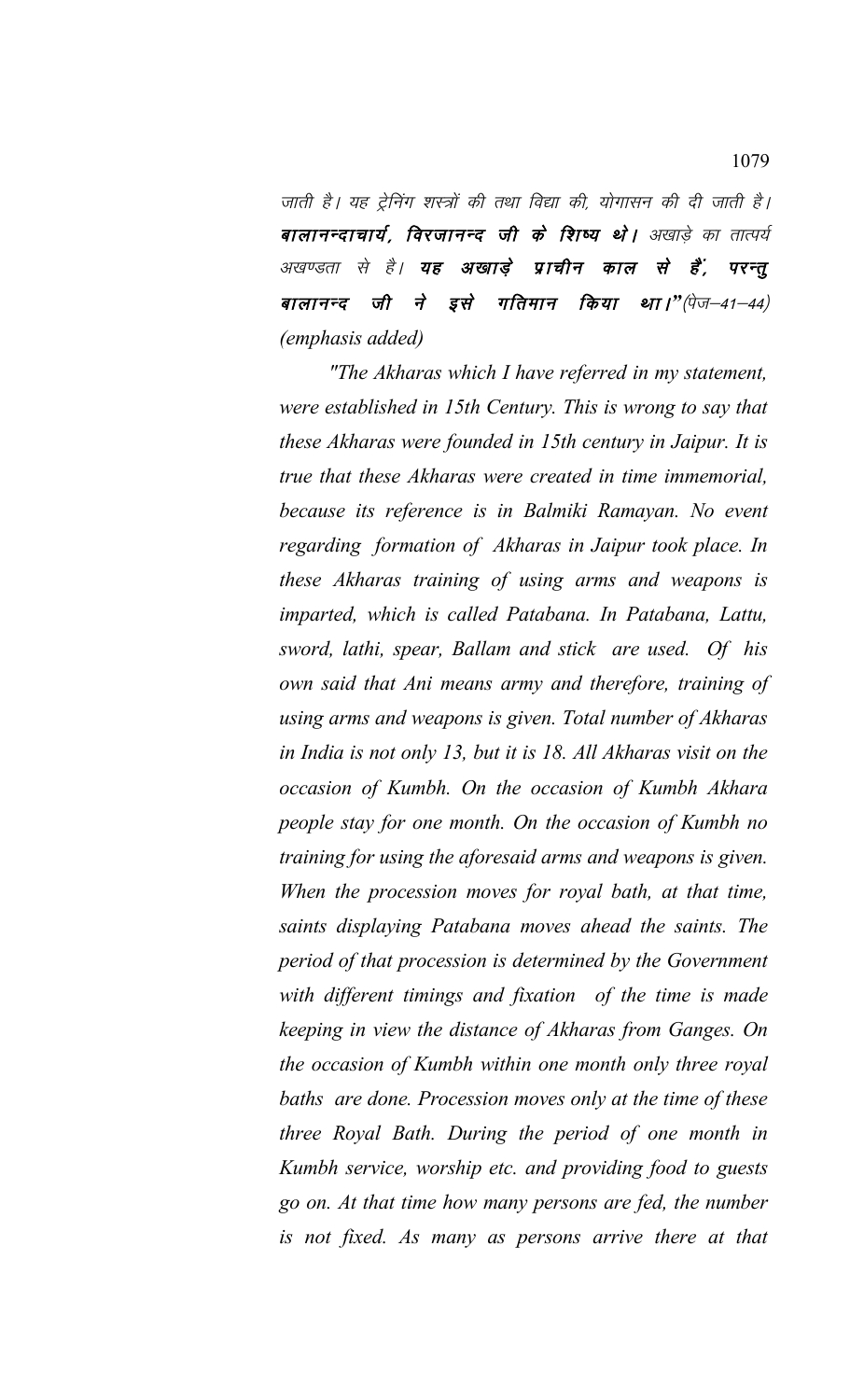जाती है। यह ट्रेनिंग शस्त्रों की तथा विद्या की, योगासन की दी जाती है। बालानन्दाचार्य, विरजानन्द जी के शिष्य थे। अखाडे का तात्पर्य अखण्डता से है। **यह अखाड़े प्राचीन काल से हैं**, **परन्तू** <u>बालानन्द</u> जी ने इसे गतिमान किया था।"(पेज–41–44) *(emphasis added)*

*"The Akharas which I have referred in my statement, were established in 15th Century. This is wrong to say that these Akharas were founded in 15th century in Jaipur. It is true that these Akharas were created in time immemorial, because its reference is in Balmiki Ramayan. No event regarding formation of Akharas in Jaipur took place. In these Akharas training of using arms and weapons is imparted, which is called Patabana. In Patabana, Lattu, sword, lathi, spear, Ballam and stick are used. Of his own said that Ani means army and therefore, training of using arms and weapons is given. Total number of Akharas in India is not only 13, but it is 18. All Akharas visit on the occasion of Kumbh. On the occasion of Kumbh Akhara people stay for one month. On the occasion of Kumbh no training for using the aforesaid arms and weapons is given. When the procession moves for royal bath, at that time, saints displaying Patabana moves ahead the saints. The period of that procession is determined by the Government with different timings and fixation of the time is made keeping in view the distance of Akharas from Ganges. On the occasion of Kumbh within one month only three royal baths are done. Procession moves only at the time of these three Royal Bath. During the period of one month in Kumbh service, worship etc. and providing food to guests go on. At that time how many persons are fed, the number is not fixed. As many as persons arrive there at that*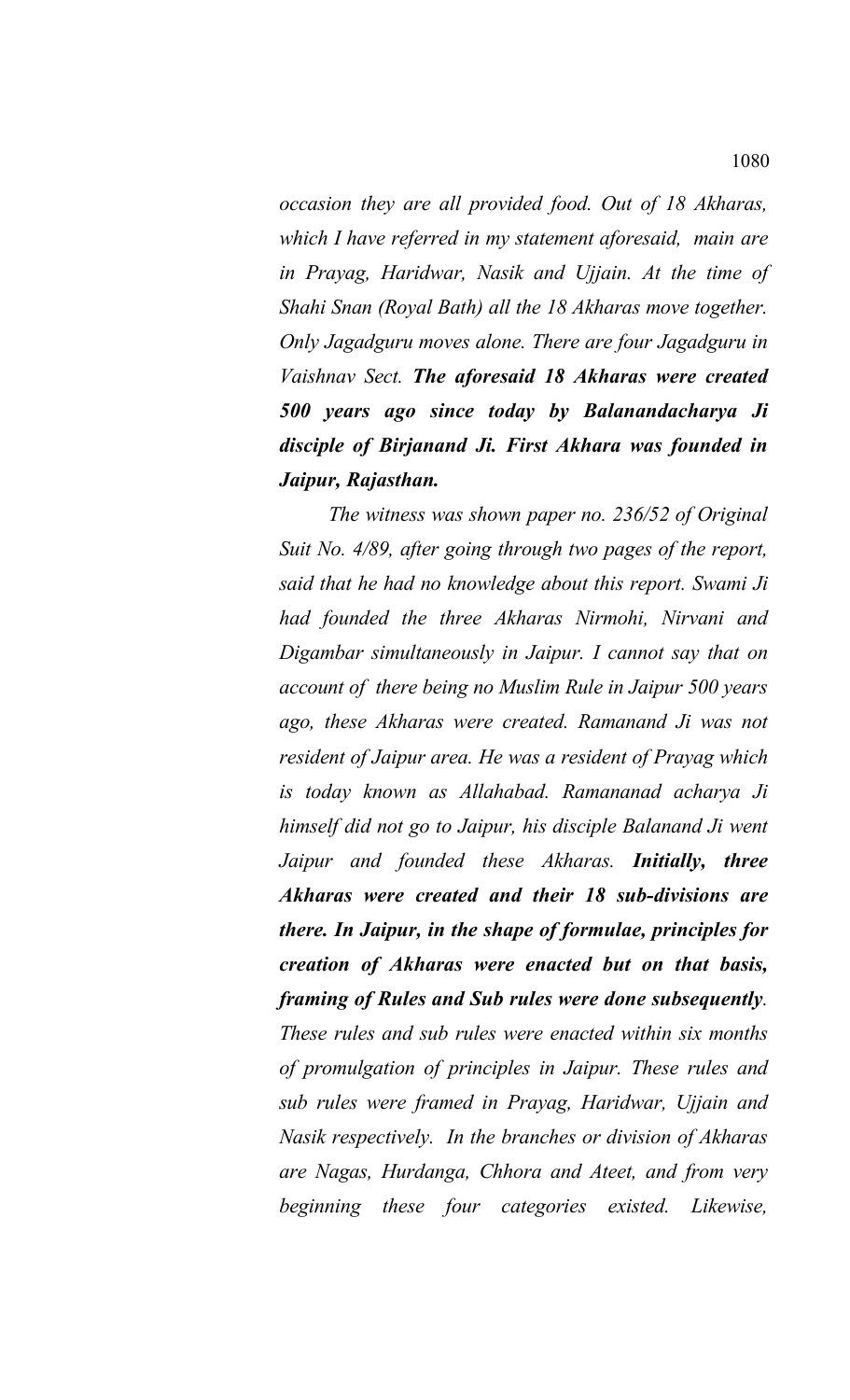*occasion they are all provided food. Out of 18 Akharas, which I have referred in my statement aforesaid, main are in Prayag, Haridwar, Nasik and Ujjain. At the time of Shahi Snan (Royal Bath) all the 18 Akharas move together. Only Jagadguru moves alone. There are four Jagadguru in Vaishnav Sect. The aforesaid 18 Akharas were created 500 years ago since today by Balanandacharya Ji disciple of Birjanand Ji. First Akhara was founded in Jaipur, Rajasthan.*

*The witness was shown paper no. 236/52 of Original Suit No. 4/89, after going through two pages of the report, said that he had no knowledge about this report. Swami Ji had founded the three Akharas Nirmohi, Nirvani and Digambar simultaneously in Jaipur. I cannot say that on account of there being no Muslim Rule in Jaipur 500 years ago, these Akharas were created. Ramanand Ji was not resident of Jaipur area. He was a resident of Prayag which is today known as Allahabad. Ramananad acharya Ji himself did not go to Jaipur, his disciple Balanand Ji went Jaipur and founded these Akharas. Initially, three Akharas were created and their 18 sub-divisions are there. In Jaipur, in the shape of formulae, principles for creation of Akharas were enacted but on that basis, framing of Rules and Sub rules were done subsequently. These rules and sub rules were enacted within six months of promulgation of principles in Jaipur. These rules and sub rules were framed in Prayag, Haridwar, Ujjain and Nasik respectively. In the branches or division of Akharas are Nagas, Hurdanga, Chhora and Ateet, and from very beginning these four categories existed. Likewise,*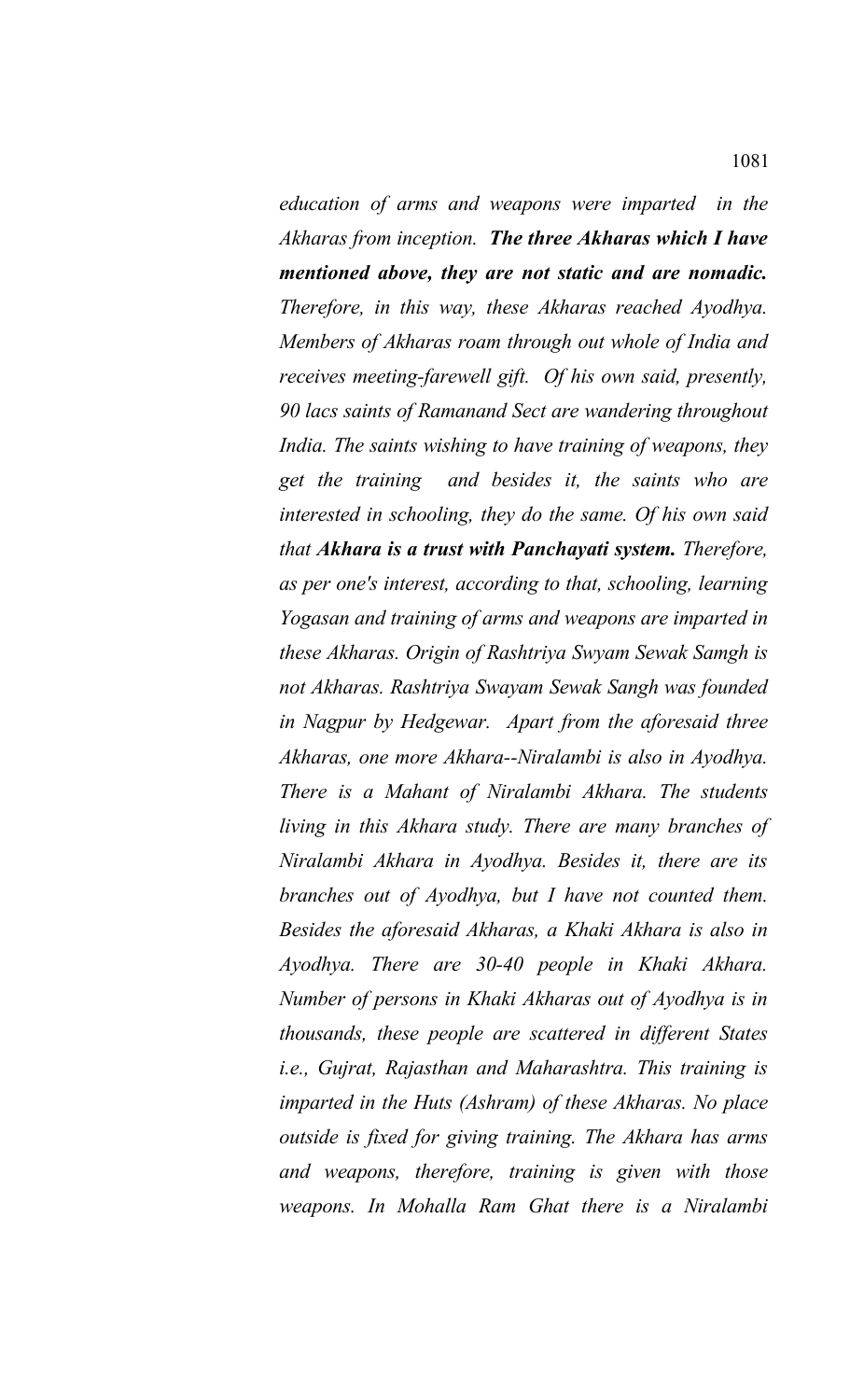*education of arms and weapons were imparted in the Akharas from inception. The three Akharas which I have mentioned above, they are not static and are nomadic. Therefore, in this way, these Akharas reached Ayodhya. Members of Akharas roam through out whole of India and receives meeting-farewell gift. Of his own said, presently, 90 lacs saints of Ramanand Sect are wandering throughout India. The saints wishing to have training of weapons, they get the training and besides it, the saints who are interested in schooling, they do the same. Of his own said that Akhara is a trust with Panchayati system. Therefore, as per one's interest, according to that, schooling, learning Yogasan and training of arms and weapons are imparted in these Akharas. Origin of Rashtriya Swyam Sewak Samgh is not Akharas. Rashtriya Swayam Sewak Sangh was founded in Nagpur by Hedgewar. Apart from the aforesaid three Akharas, one more Akhara--Niralambi is also in Ayodhya. There is a Mahant of Niralambi Akhara. The students living in this Akhara study. There are many branches of Niralambi Akhara in Ayodhya. Besides it, there are its branches out of Ayodhya, but I have not counted them. Besides the aforesaid Akharas, a Khaki Akhara is also in Ayodhya. There are 30-40 people in Khaki Akhara. Number of persons in Khaki Akharas out of Ayodhya is in thousands, these people are scattered in different States i.e., Gujrat, Rajasthan and Maharashtra. This training is imparted in the Huts (Ashram) of these Akharas. No place outside is fixed for giving training. The Akhara has arms and weapons, therefore, training is given with those weapons. In Mohalla Ram Ghat there is a Niralambi*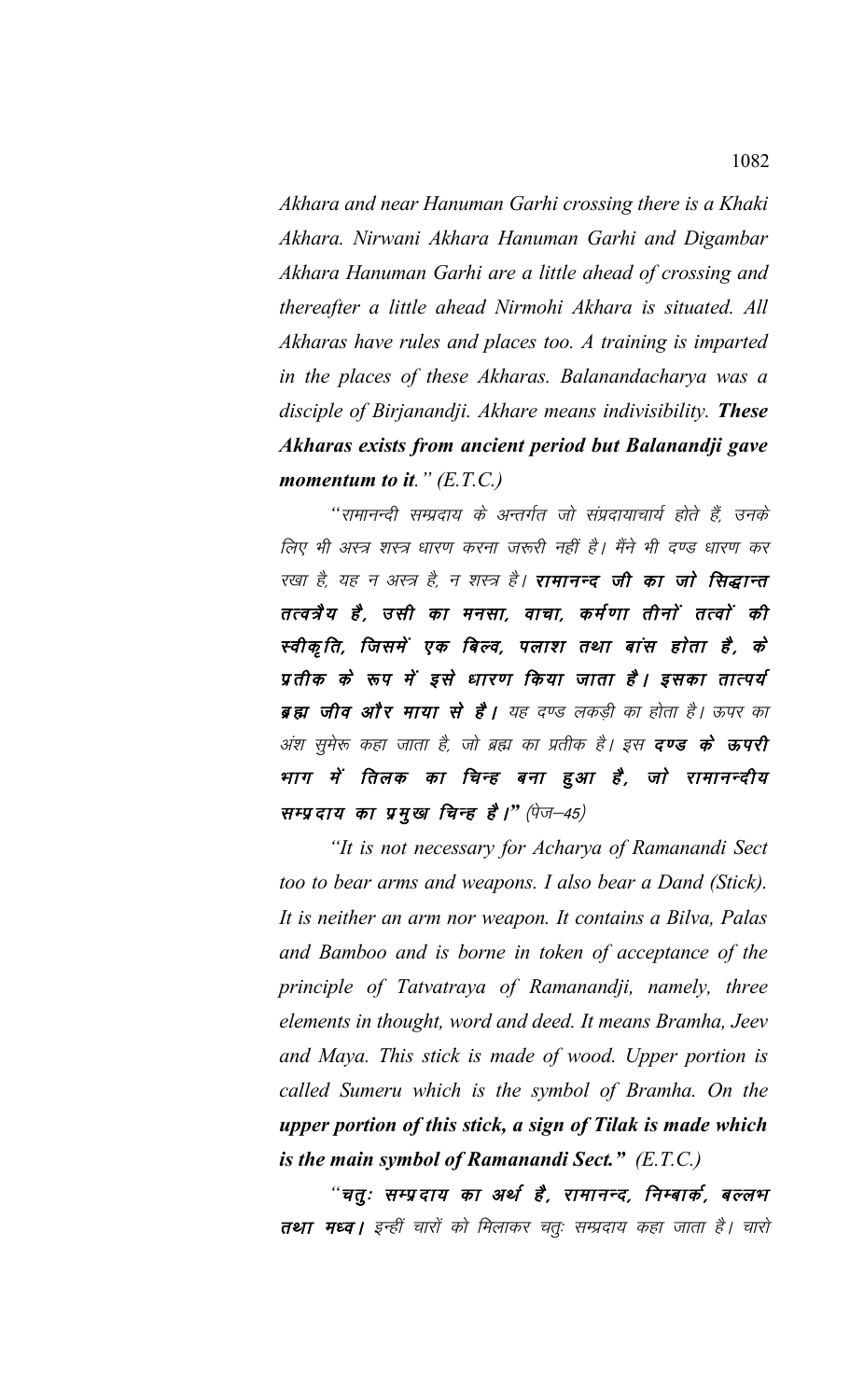Akhara and near Hanuman Garhi crossing there is a Khaki Akhara. Nirwani Akhara Hanuman Garhi and Digambar Akhara Hanuman Garhi are a little ahead of crossing and thereafter a little ahead Nirmohi Akhara is situated. All Akharas have rules and places too. A training is imparted in the places of these Akharas. Balanandacharya was a disciple of Birjanandji. Akhare means indivisibility. These Akharas exists from ancient period but Balanandji gave momentum to it."  $(E.T.C.)$ 

''रामानन्दी सम्प्रदाय के अन्तर्गत जो संप्रदायाचार्य होते हैं, उनके लिए भी अस्त्र शस्त्र धारण करना जरूरी नहीं है। मैंने भी दण्ड धारण कर रखा है, यह न अस्त्र है, न शस्त्र है। **रामानन्द जी का जो सिद्धान्त** तत्वत्रैय है, उसी का मनसा, वाचा, कर्मणा तीनों तत्वों की स्वीकृति, जिसमें एक बिल्व, पलाश तथा बांस होता है, के प्रतीक के रूप में इसे धारण किया जाता है। इसका तात्पर्य ब्रह्म जीव और माया से है। यह दण्ड लकड़ी का होता है। ऊपर का अंश सुमेरू कहा जाता है, जो ब्रह्म का प्रतीक है। इस **दण्ड के ऊपरी** भाग में तिलक का चिन्ह बना हुआ है, जो रामानन्दीय सम्प्रदाय का प्रमुख चिन्ह है।" (पेज-45)

"It is not necessary for Acharya of Ramanandi Sect too to bear arms and weapons. I also bear a Dand (Stick). It is neither an arm nor weapon. It contains a Bilva, Palas and Bamboo and is borne in token of acceptance of the principle of Tatvatraya of Ramanandji, namely, three elements in thought, word and deed. It means Bramha, Jeev and Maya. This stick is made of wood. Upper portion is called Sumeru which is the symbol of Bramha. On the upper portion of this stick, a sign of Tilak is made which is the main symbol of Ramanandi Sect."  $(E.T.C.)$ 

"चतुः सम्प्रदाय का अर्थ है, रामानन्द, निम्बार्क, बल्लभ तथा मध्व | इन्हीं चारों को मिलाकर चतुः सम्प्रदाय कहा जाता है | चारो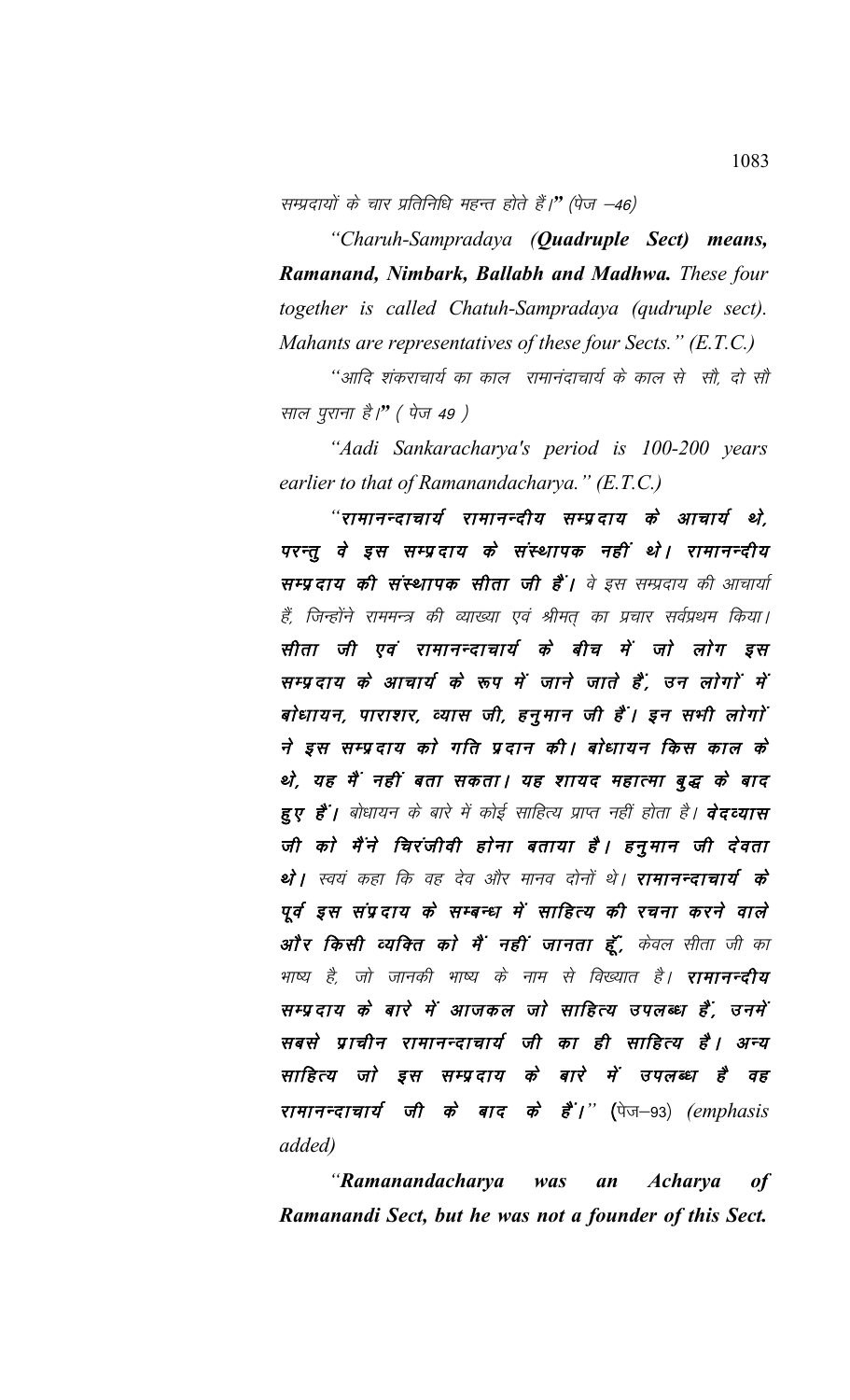सम्प्रदायों के चार प्रतिनिधि महन्त होते हैं।" (पेज –46)

"Charuh-Sampradaya (**Quadruple Sect**) means, Ramanand, Nimbark, Ballabh and Madhwa. These four together is called Chatuh-Sampradaya (qudruple sect). Mahants are representatives of these four Sects." (E.T.C.)

''आदि शंकराचार्य का काल रामानंदाचार्य के काल से सौ, दो सौ साल पूराना है।" (पेज 49 )

"Aadi Sankaracharya's period is 100-200 years earlier to that of Ramanandacharya."  $(E.T.C.)$ 

"रामानन्दाचार्य रामानन्दीय सम्प्रदाय के आचार्य थे, परन्तू वे इस सम्प्रदाय के संस्थापक नहीं थे। रामानन्दीय सम्प्रदाय की संस्थापक सीता जी हैं। वे इस सम्प्रदाय की आचार्या हैं, जिन्होंने राममन्त्र की व्याख्या एवं श्रीमत् का प्रचार सर्वप्रथम किया। सीता जी एवं रामानन्दाचार्य के बीच में जो लोग इस सम्प्रदाय के आचार्य के रूप में जाने जाते हैं, उन लोगों में बोधायन, पाराशर, व्यास जी, हनुमान जी हैं। इन सभी लोगों ने इस सम्प्रदाय को गति प्रदान की। बोधायन किस काल के थे, यह मैं नहीं बता सकता। यह शायद महात्मा बुद्ध के बाद हुए हैं। बोधायन के बारे में कोई साहित्य प्राप्त नहीं होता है। **वेदव्यास** जी को मैंने चिरंजीवी होना बताया है। हनुमान जी देवता थे। स्वयं कहा कि वह देव और मानव दोनों थे। रामानन्दाचार्य के पूर्व इस संप्रदाय के सम्बन्ध में साहित्य की रचना करने वाले ओं र किसी व्यक्ति को मैं नहीं जानता हूँ, केवल सीता जी का भाष्य है, जो जानकी भाष्य के नाम से विख्यात है। **रामानन्दीय** सम्प्रदाय के बारे में आजकल जो साहित्य उपलब्ध हैं, उनमें सबसे प्राचीन रामानन्दाचार्य जी का ही साहित्य है। अन्य साहित्य जो इस सम्प्रदाय के बारे में उपलब्ध है वह रामानन्दाचार्य जी के बाद के हैं<sup>'</sup>।'' (पेज-93) (emphasis *added*)

"Ramanandacharya was an *Acharya*  $of$ Ramanandi Sect, but he was not a founder of this Sect.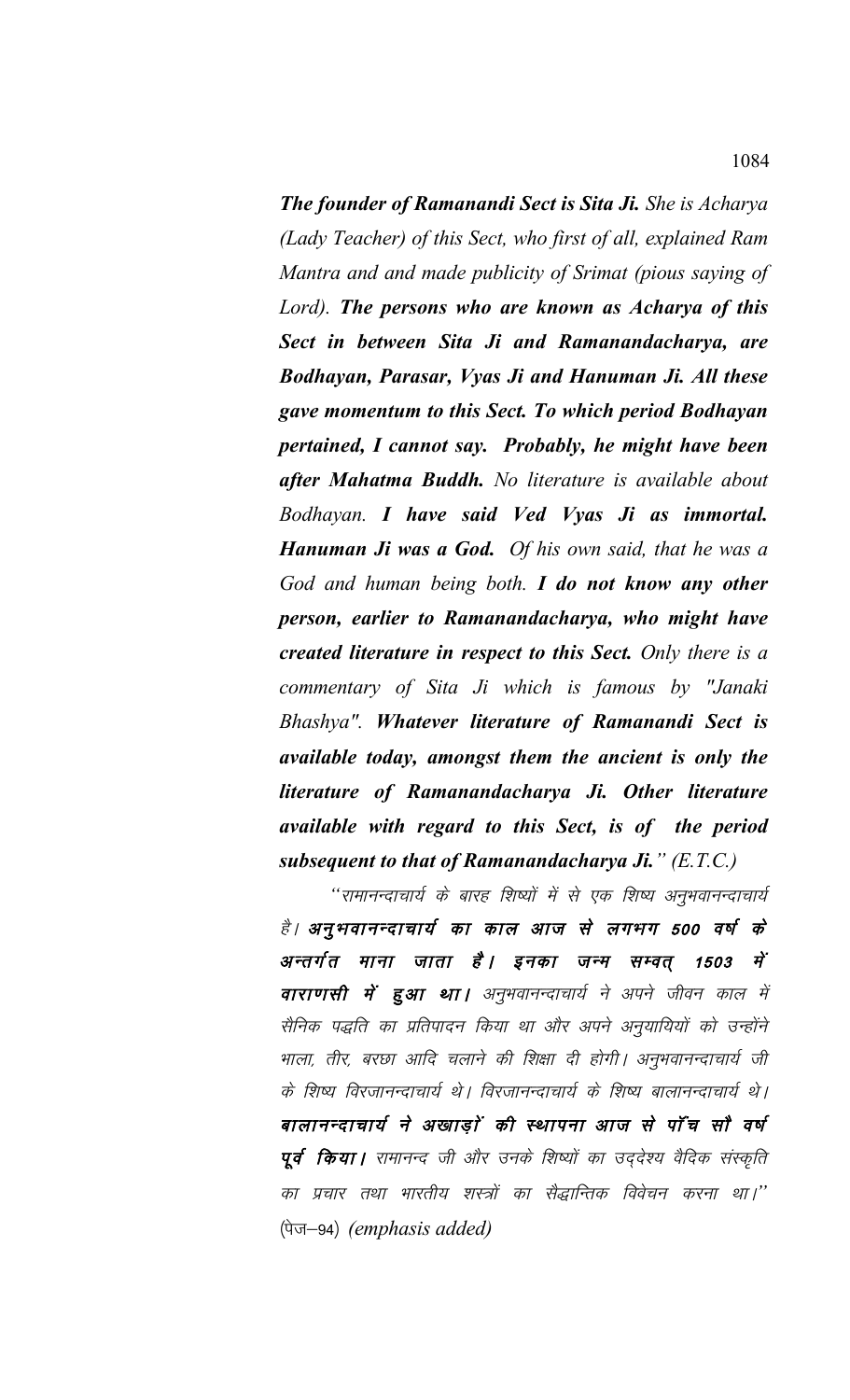*The founder of Ramanandi Sect is Sita Ji. She is Acharya (Lady Teacher) of this Sect, who first of all, explained Ram Mantra and and made publicity of Srimat (pious saying of Lord). The persons who are known as Acharya of this Sect in between Sita Ji and Ramanandacharya, are Bodhayan, Parasar, Vyas Ji and Hanuman Ji. All these gave momentum to this Sect. To which period Bodhayan pertained, I cannot say. Probably, he might have been after Mahatma Buddh. No literature is available about Bodhayan. I have said Ved Vyas Ji as immortal. Hanuman Ji was a God. Of his own said, that he was a God and human being both. I do not know any other person, earlier to Ramanandacharya, who might have created literature in respect to this Sect. Only there is a commentary of Sita Ji which is famous by "Janaki Bhashya". Whatever literature of Ramanandi Sect is available today, amongst them the ancient is only the literature of Ramanandacharya Ji. Other literature available with regard to this Sect, is of the period subsequent to that of Ramanandacharya Ji." (E.T.C.)*

"रामानन्दाचार्य के बारह शिष्यों में से एक शिष्य अनुभवानन्दाचार्य है। अनुभवानन्दाचार्य का काल आज से लगभग 500 वर्ष के अन्तर्गत माना जाता है। इनका जन्म सम्वत् 1503 में **वाराणसी में हुआ था।** अनुभवानन्दाचार्य ने अपने जीवन काल में सैनिक पद्धति का प्रतिपादन किया था और अपने अनुयायियों को उन्होंने भाला, तीर, बरछा आदि चलाने की शिक्षा दी होगी। अनुभवानन्दाचार्य जी के शिष्य विरजानन्दाचार्य थे। विरजानन्दाचार्य के शिष्य बालानन्दाचार्य थे। बालानन्दाचार्य ने अखाड़ों की स्थापना आज से पाँच सौ वर्ष पूर्व किया। रामानन्द जी और उनके शिष्यों का उद्देश्य वैदिक संस्कृति का प्रचार तथा भारतीय शस्त्रों का सैद्धान्तिक विवेचन करना था।'' (पेज-94) *(emphasis added)*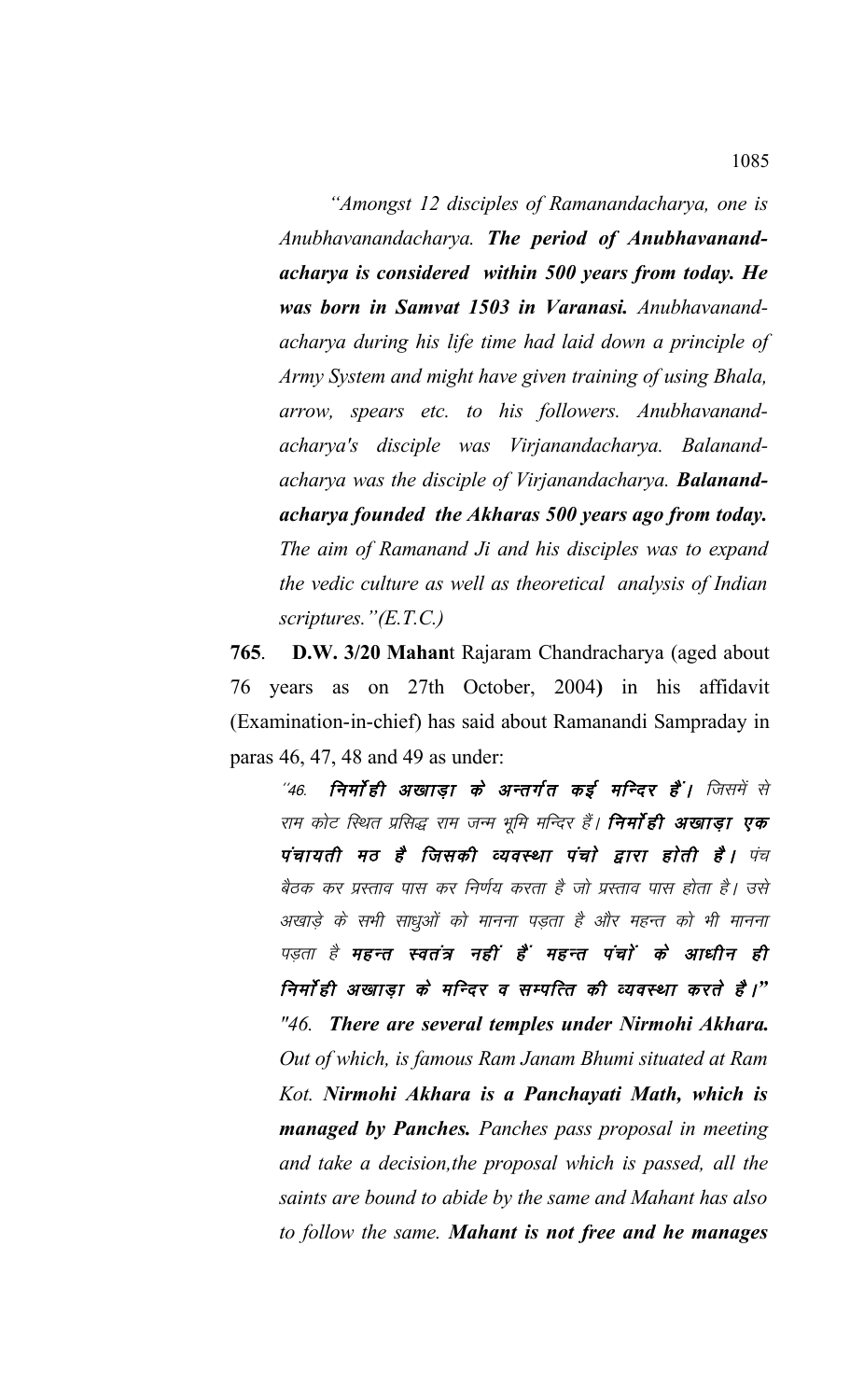*"Amongst 12 disciples of Ramanandacharya, one is Anubhavanandacharya. The period of Anubhavanandacharya is considered within 500 years from today. He was born in Samvat 1503 in Varanasi. Anubhavanandacharya during his life time had laid down a principle of Army System and might have given training of using Bhala, arrow, spears etc. to his followers. Anubhavanandacharya's disciple was Virjanandacharya. Balanandacharya was the disciple of Virjanandacharya. Balanandacharya founded the Akharas 500 years ago from today. The aim of Ramanand Ji and his disciples was to expand the vedic culture as well as theoretical analysis of Indian scriptures."(E.T.C.)*

**765**. **D.W. 3/20 Mahan**t Rajaram Chandracharya (aged about 76 years as on 27th October, 2004**)** in his affidavit (Examination-in-chief) has said about Ramanandi Sampraday in paras 46, 47, 48 and 49 as under:

 $^{\prime\prime}$ 46. निर्मा ही अखाडा के अन्तर्गत कई मन्दिर हैं। जिसमें से राम कोट स्थित प्रसिद्ध राम जन्म भूमि मन्दिर हैं। **निर्मा ही अखाड़ा एक** पंचायती मठ है जिसकी व्यवस्था पंचो द्वारा होती है। पंच बैठक कर प्रस्ताव पास कर निर्णय करता है जो प्रस्ताव पास होता है। उसे अखाड़े के सभी साधुओं को मानना पड़ता है और महन्त को भी मानना पड़ता है महन्त स्वतंत्र नहीं हैं महन्त पंचों के आधीन ही निर्मा ही अखाड़ा के मन्दिर व सम्पत्ति की व्यवस्था करते हैं।" *"46. There are several temples under Nirmohi Akhara. Out of which, is famous Ram Janam Bhumi situated at Ram Kot. Nirmohi Akhara is a Panchayati Math, which is managed by Panches. Panches pass proposal in meeting and take a decision,the proposal which is passed, all the saints are bound to abide by the same and Mahant has also to follow the same. Mahant is not free and he manages*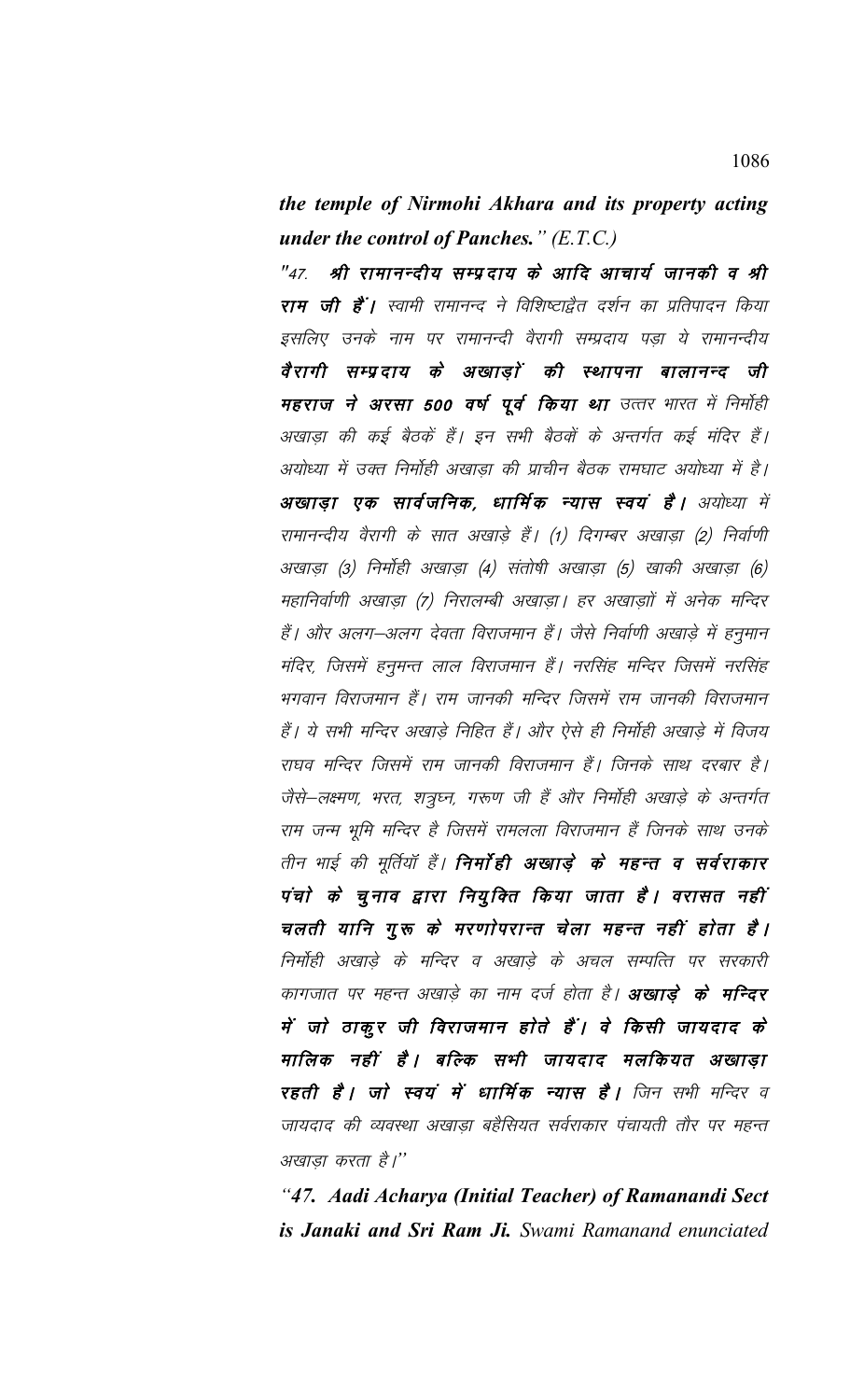the temple of Nirmohi Akhara and its property acting under the control of Panches."  $(E.T.C.)$ 

"47. श्री रामानन्दीय सम्प्रदाय के आदि आचार्य जानकी व श्री राम जी हैं। स्वामी रामानन्द ने विशिष्टाद्वैत दर्शन का प्रतिपादन किया इसलिए उनके नाम पर रामानन्दी वैरागी सम्प्रदाय पड़ा ये रामानन्दीय वैरागी सम्प्रदाय के अखाड़ों की स्थापना बालानन्द जी महराज ने अरसा 500 वर्ष पूर्व किया था उत्तर भारत में निर्मोही अखाड़ा की कई बैठकें हैं। इन सभी बैठकों के अन्तर्गत कई मंदिर हैं। अयोध्या में उक्त निर्मोही अखाड़ा की प्राचीन बैठक रामघाट अयोध्या में है। अखाडा एक सार्वजनिक, धार्मिक न्यास स्वयं है। अयोध्या में रामानन्दीय वैरागी के सात अखाड़े हैं। (1) दिगम्बर अखाड़ा (2) निर्वाणी अखाड़ा (3) निर्मोही अखाड़ा (4) संतोषी अखाड़ा (5) खाकी अखाड़ा (6) महानिर्वाणी अखाडा (7) निरालम्बी अखाडा | हर अखाडाों में अनेक मन्दिर हैं। और अलग-अलग देवता विराजमान हैं। जैसे निर्वाणी अखाड़े में हनुमान मंदिर, जिसमें हनुमन्त लाल विराजमान हैं। नरसिंह मन्दिर जिसमें नरसिंह भगवान विराजमान हैं। राम जानकी मन्दिर जिसमें राम जानकी विराजमान हैं। ये सभी मन्दिर अखाड़े निहित हैं। और ऐसे ही निर्मोही अखाड़े में विजय राघव मन्दिर जिसमें राम जानकी विराजमान हैं। जिनके साथ दरबार है। जैसे-लक्ष्मण, भरत, शत्रुघ्न, गरूण जी हैं और निर्मोही अखाड़े के अन्तर्गत राम जन्म भूमि मन्दिर है जिसमें रामलला विराजमान हैं जिनके साथ उनके तीन भाई की मूर्तियाँ हैं। **निर्मा ही अखाड़े के महन्त व सर्वराकार** पंचो के चुनाव द्वारा नियुक्ति किया जाता है। वरासत नहीं चलती यानि गुरू के मरणोपरान्त चेला महन्त नहीं होता है। निर्मोही अखाड़े के मन्दिर व अखाड़े के अचल सम्पत्ति पर सरकारी कागजात पर महन्त अखाड़े का नाम दर्ज होता है। **अखाड़े के मन्दिर** में जो ठाकूर जी विराजमान होते हैं। वे किसी जायदाद के मालिक नहीं है। बल्कि सभी जायदाद मलकियत अखाडा **रहती है। जो स्वयं में धार्मिक न्यास है।** जिन सभी मन्दिर व जायदाद की व्यवस्था अखाड़ा बहैसियत सर्वराकार पंचायती तौर पर महन्त अखाडा करता है।"

"47. Aadi Acharya (Initial Teacher) of Ramanandi Sect is Janaki and Sri Ram Ji. Swami Ramanand enunciated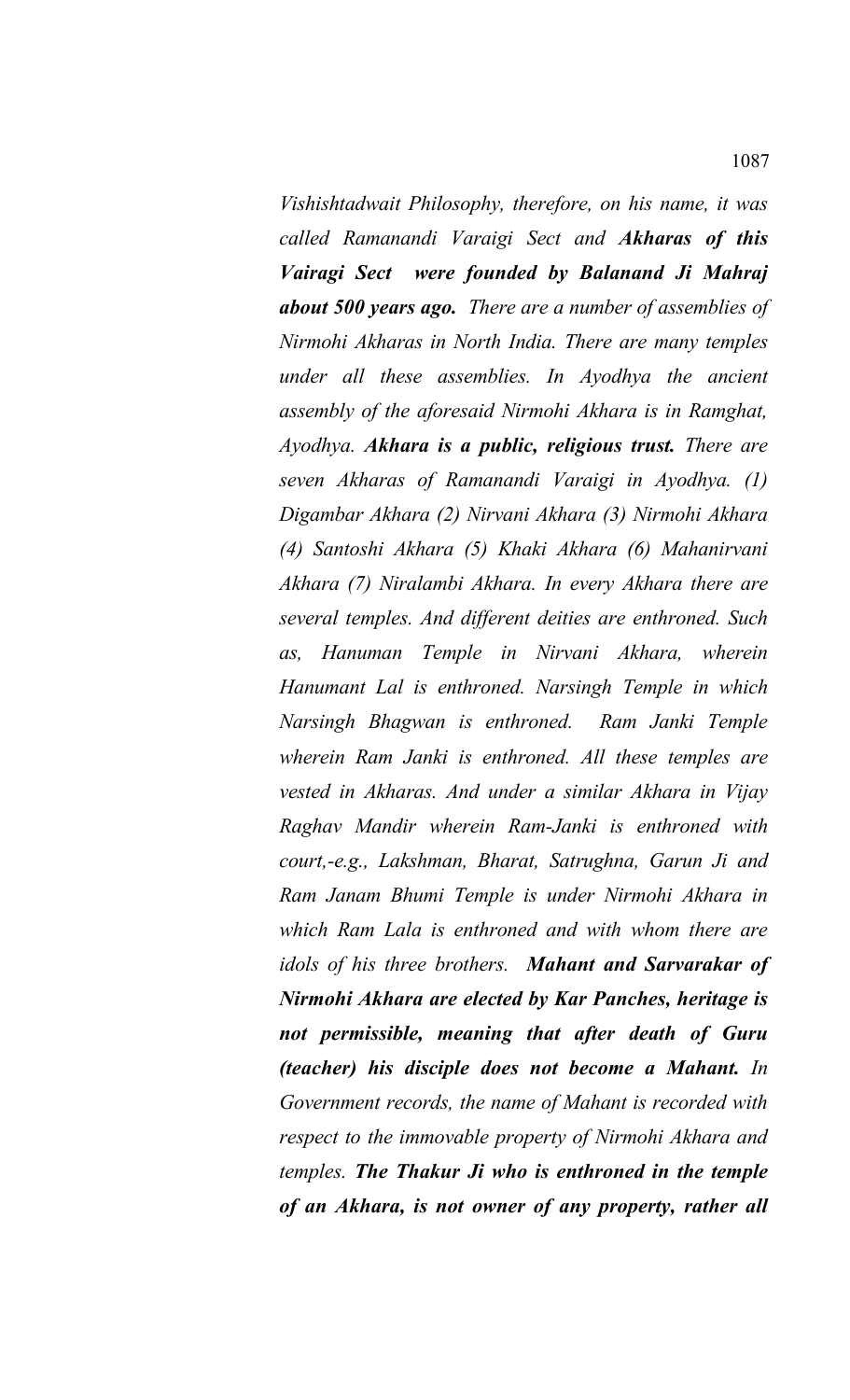*Vishishtadwait Philosophy, therefore, on his name, it was called Ramanandi Varaigi Sect and Akharas of this Vairagi Sect were founded by Balanand Ji Mahraj about 500 years ago. There are a number of assemblies of Nirmohi Akharas in North India. There are many temples under all these assemblies. In Ayodhya the ancient assembly of the aforesaid Nirmohi Akhara is in Ramghat, Ayodhya. Akhara is a public, religious trust. There are seven Akharas of Ramanandi Varaigi in Ayodhya. (1) Digambar Akhara (2) Nirvani Akhara (3) Nirmohi Akhara (4) Santoshi Akhara (5) Khaki Akhara (6) Mahanirvani Akhara (7) Niralambi Akhara. In every Akhara there are several temples. And different deities are enthroned. Such as, Hanuman Temple in Nirvani Akhara, wherein Hanumant Lal is enthroned. Narsingh Temple in which Narsingh Bhagwan is enthroned. Ram Janki Temple wherein Ram Janki is enthroned. All these temples are vested in Akharas. And under a similar Akhara in Vijay Raghav Mandir wherein Ram-Janki is enthroned with court,-e.g., Lakshman, Bharat, Satrughna, Garun Ji and Ram Janam Bhumi Temple is under Nirmohi Akhara in which Ram Lala is enthroned and with whom there are idols of his three brothers. Mahant and Sarvarakar of Nirmohi Akhara are elected by Kar Panches, heritage is not permissible, meaning that after death of Guru (teacher) his disciple does not become a Mahant. In Government records, the name of Mahant is recorded with respect to the immovable property of Nirmohi Akhara and temples. The Thakur Ji who is enthroned in the temple of an Akhara, is not owner of any property, rather all*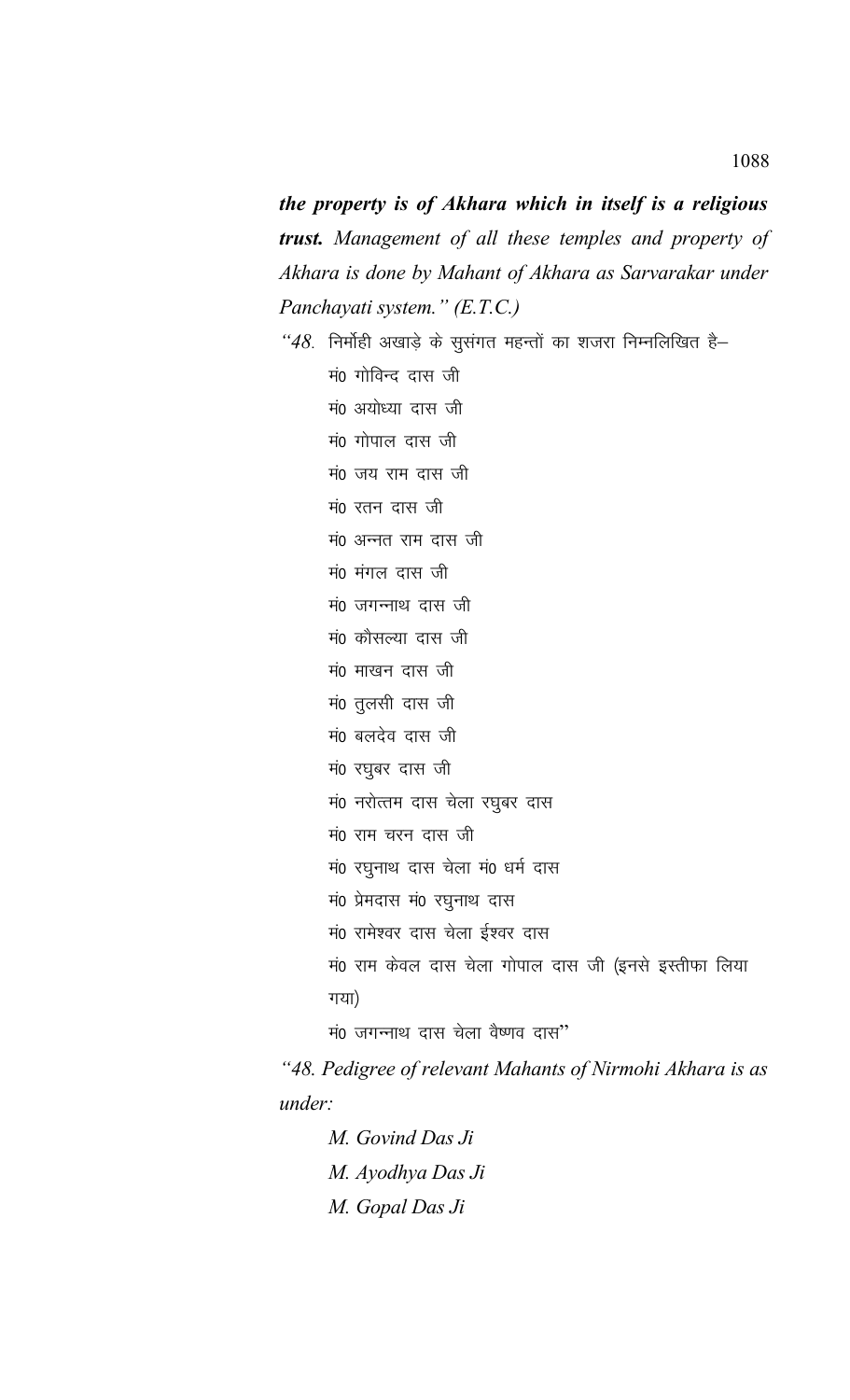the property is of Akhara which in itself is a religious trust. Management of all these temples and property of Akhara is done by Mahant of Akhara as Sarvarakar under Panchayati system." (E.T.C.)

"48. निर्मोही अखाड़े के सुसंगत महन्तों का शजरा निम्नलिखित है-मं0 गोविन्द दास जी मं0 अयोध्या दास जी मं0 गोपाल दास जी मं0 जय राम दास जी मं0 रतन दास जी मं0 अन्नत राम दास जी मं0 मंगल दास जी मं0 जगन्नाथ दास जी मं0 कौसल्या दास जी मं0 माखन दास जी मं0 तुलसी दास जी मं0 बलदेव दास जी मं0 रघुबर दास जी मं0 नरोत्तम दास चेला रघुबर दास मं0 राम चरन दास जी मं0 रघुनाथ दास चेला मं0 धर्म दास मं0 प्रेमदास मं0 रघुनाथ दास मं0 रामेश्वर दास चेला ईश्वर दास मं0 राम केवल दास चेला गोपाल दास जी (इनसे इस्तीफा लिया गया) मं0 जगन्नाथ दास चेला वैष्णव दास"

"48. Pedigree of relevant Mahants of Nirmohi Akhara is as under:

M. Govind Das Ji M. Ayodhya Das Ji M. Gopal Das Ji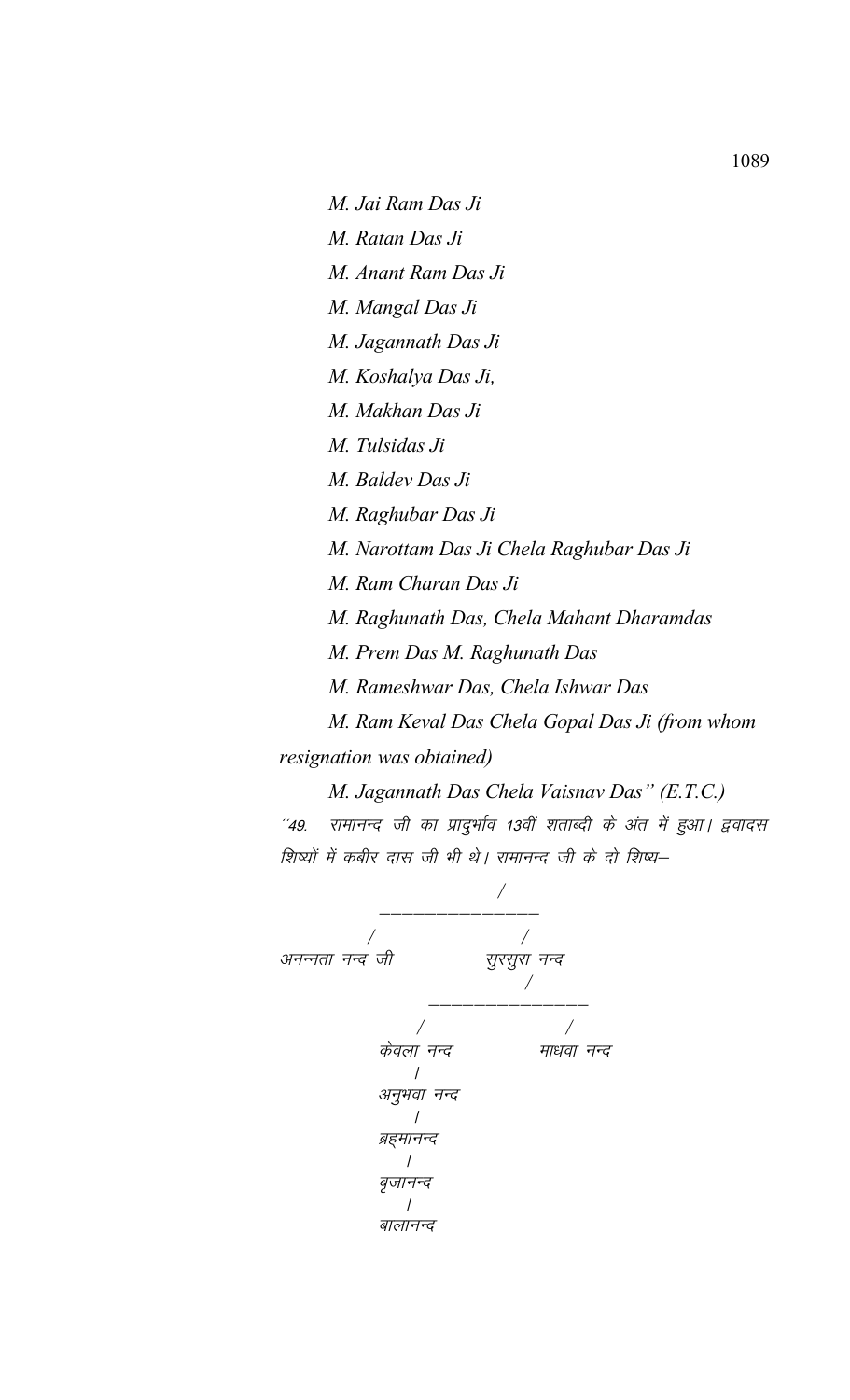M. Jai Ram Das Ji M. Ratan Das Ji M. Anant Ram Das Ji M. Mangal Das Ji M. Jagannath Das Ji M. Koshalya Das Ji, M. Makhan Das Ji M. Tulsidas Ji M. Baldev Das Ji M. Raghubar Das Ji M. Narottam Das Ji Chela Raghubar Das Ji M. Ram Charan Das Ji M. Raghunath Das, Chela Mahant Dharamdas M. Prem Das M. Raghunath Das M. Rameshwar Das, Chela Ishwar Das M. Ram Keval Das Chela Gopal Das Ji (from whom resignation was obtained)

M. Jagannath Das Chela Vaisnav Das" (E.T.C.) ''49. रामानन्द जी का प्रादुर्भाव 13वीं शताब्दी के अंत में हुआ। द्ववादस शिष्यों में कबीर दास जी भी थे। रामानन्द जी के दो शिष्य–

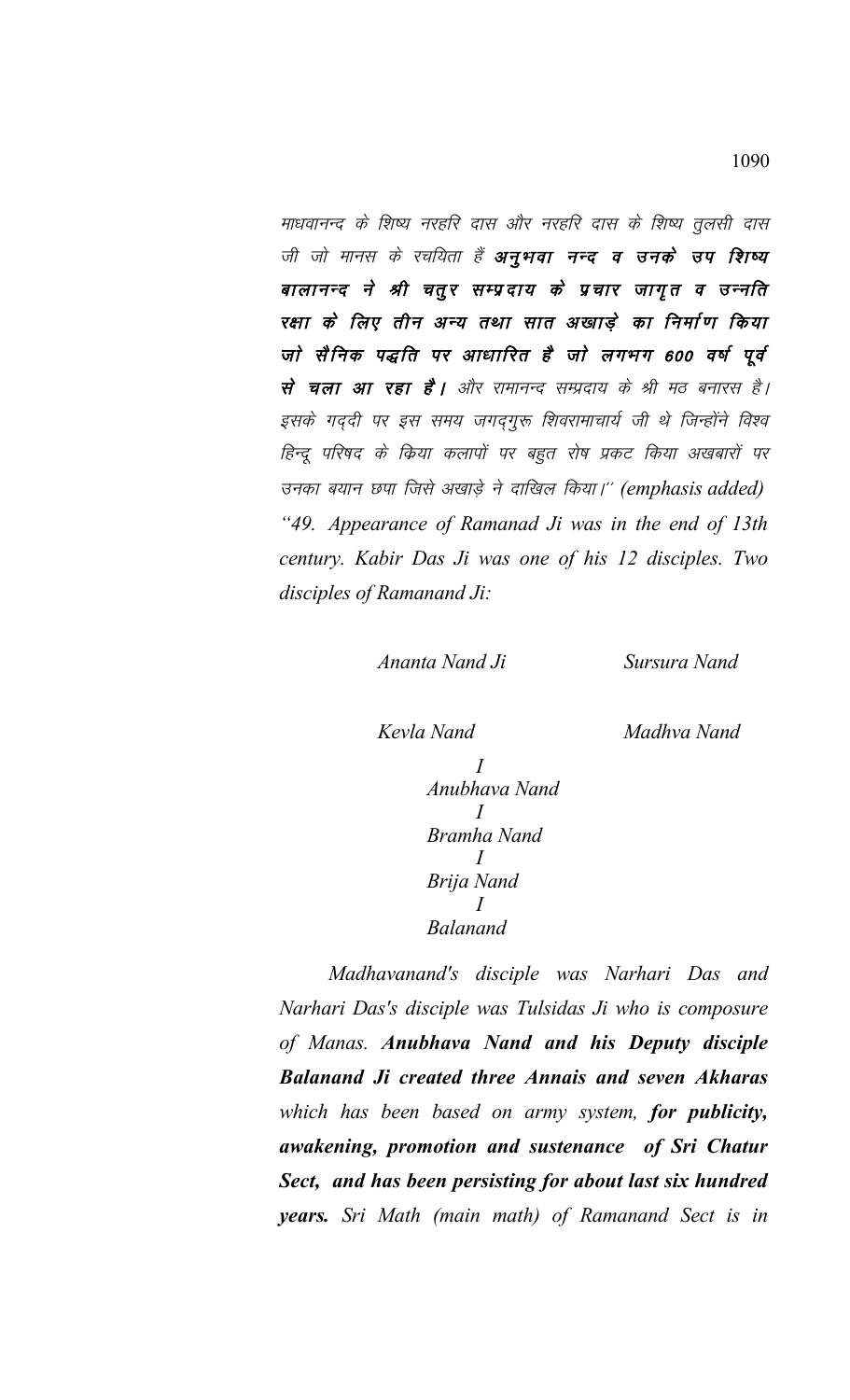माधवानन्द के शिष्य नरहरि दास और नरहरि दास के शिष्य तुलसी दास जी जो मानस के रचयिता हैं **अनुभवा नन्द व उनके उप शिष्य** बालानन्द ने श्री चतुर सम्प्रदाय के प्रचार जागृत व उन्नति रक्षा के लिए तीन अन्य तथा सात अखाड़े का निर्माण किया जो सैनिक पद्धति पर आधारित है जो लगभग 600 वर्ष पूर्व से चला आ रहा है। और रामानन्द सम्प्रदाय के श्री मठ बनारस है। इसके गद्दी पर इस समय जगद्गुरू शिवरामाचार्य जी थे जिन्होंने विश्व हिन्दू परिषद के किया कलापों पर बहुत रोष प्रकट किया अखबारों पर उनका बयान छपा जिसे अखाड़े ने दाखिल किया।" (emphasis added) *"49. Appearance of Ramanad Ji was in the end of 13th century. Kabir Das Ji was one of his 12 disciples. Two disciples of Ramanand Ji:*

*Ananta Nand Ji Sursura Nand*

*Kevla Nand Madhva Nand*

*I Anubhava Nand I Bramha Nand I Brija Nand I Balanand*

*Madhavanand's disciple was Narhari Das and Narhari Das's disciple was Tulsidas Ji who is composure of Manas. Anubhava Nand and his Deputy disciple Balanand Ji created three Annais and seven Akharas which has been based on army system, for publicity, awakening, promotion and sustenance of Sri Chatur Sect, and has been persisting for about last six hundred years. Sri Math (main math) of Ramanand Sect is in*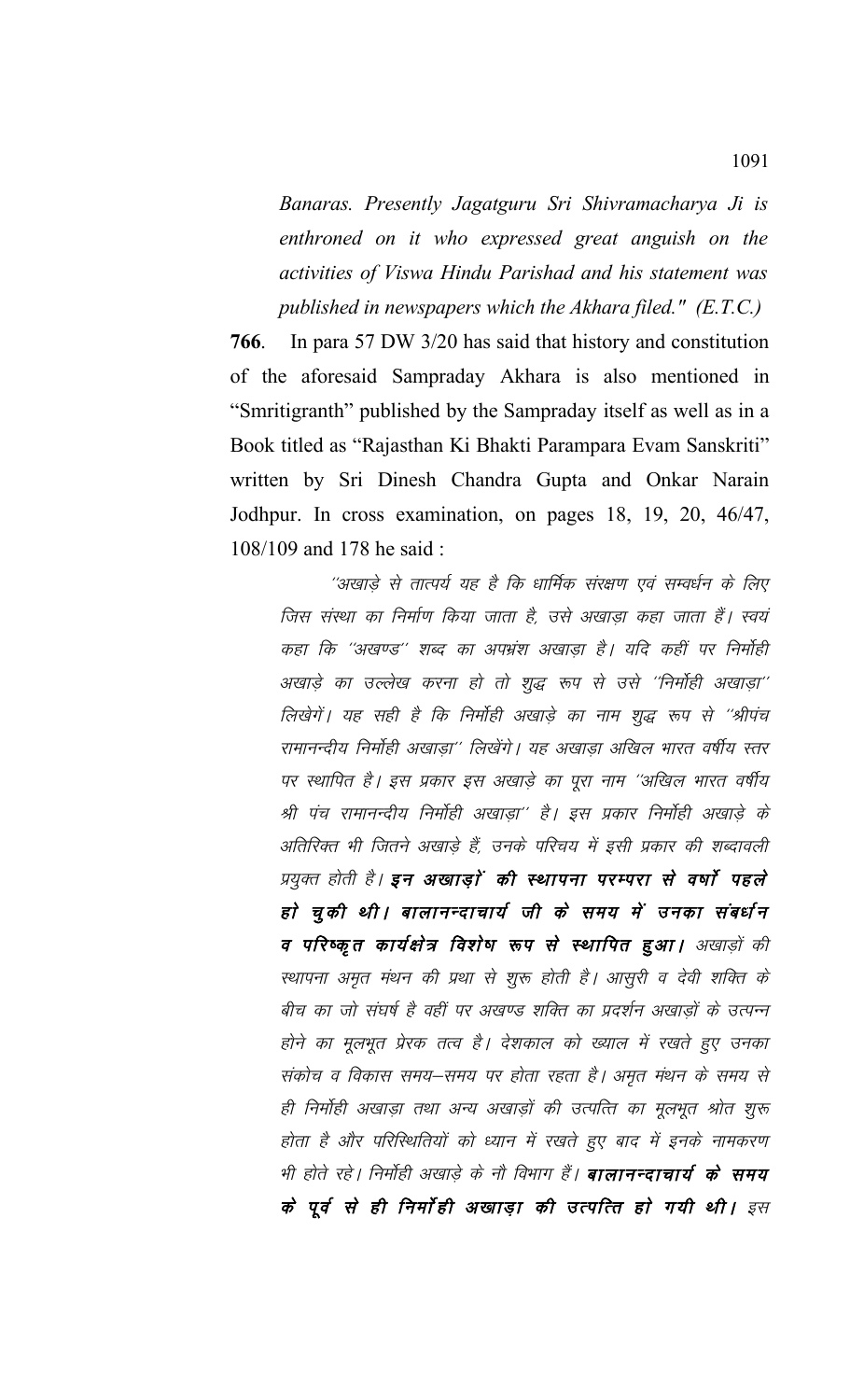*Banaras. Presently Jagatguru Sri Shivramacharya Ji is enthroned on it who expressed great anguish on the activities of Viswa Hindu Parishad and his statement was published in newspapers which the Akhara filed." (E.T.C.)*

**766**. In para 57 DW 3/20 has said that history and constitution of the aforesaid Sampraday Akhara is also mentioned in "Smritigranth" published by the Sampraday itself as well as in a Book titled as "Rajasthan Ki Bhakti Parampara Evam Sanskriti" written by Sri Dinesh Chandra Gupta and Onkar Narain Jodhpur. In cross examination, on pages 18, 19, 20, 46/47, 108/109 and 178 he said :

''अखाड़े से तात्पर्य यह है कि धार्मिक संरक्षण एवं सम्वर्धन के लिए जिस संस्था का निर्माण किया जाता है, उसे अखाडा कहा जाता हैं। स्वयं कहा कि ''अखण्ड'' शब्द का अपभ्रंश अखाडा है। यदि कहीं पर निर्मोही अखाड़े का उल्लेख करना हो तो शुद्ध रूप से उसे ''निर्मोही अखाड़ा'' लिखेगें। यह सही है कि निर्मोही अखाड़े का नाम शुद्ध रूप से ''श्रीपंच रामानन्दीय निर्मोही अखाडा'' लिखेंगे। यह अखाडा अखिल भारत वर्षीय स्तर पर स्थापित है। इस प्रकार इस अखाड़े का पूरा नाम ''अखिल भारत वर्षीय श्री पंच रामानन्दीय निर्मोही अखाडा'' है। इस प्रकार निर्मोही अखाडे के अतिरिक्त भी जितने अखाड़े हैं, उनके परिचय में इसी प्रकार की शब्दावली प्रयुक्त होती है। इन अखाड़ां की स्थापना परम्परा से वर्षा पहले हो चुकी थी। बालानन्दाचार्य जी के समय में उनका संबर्धन व परिष्कृत कार्यक्षेत्र विशेष रूप से स्थापित हुआ। अखाड़ों की स्थापना अमृत मंथन की प्रथा से शुरू होती है। आसुरी व देवी शक्ति के बीच का जो संघर्ष है वहीं पर अखण्ड शक्ति का प्रदर्शन अखाड़ों के उत्पन्न होने का मूलभूत प्रेरक तत्व है। देशकाल को ख्याल में रखते हुए उनका संकोच व विकास समय–समय पर होता रहता है। अमृत मंथन के समय से ही निर्मोही अखाड़ा तथा अन्य अखाड़ों की उत्पत्ति का मूलभूत श्रोत शूरू होता है और परिस्थितियों को ध्यान में रखते हुए बाद में इनके नामकरण भी होते रहे। निर्माही अखाड़े के नौ विभाग हैं। **बालानन्दाचार्य के समय** के पूर्व से ही निर्मोही अखाड़ा की उत्पत्ति हो गयी थी। इस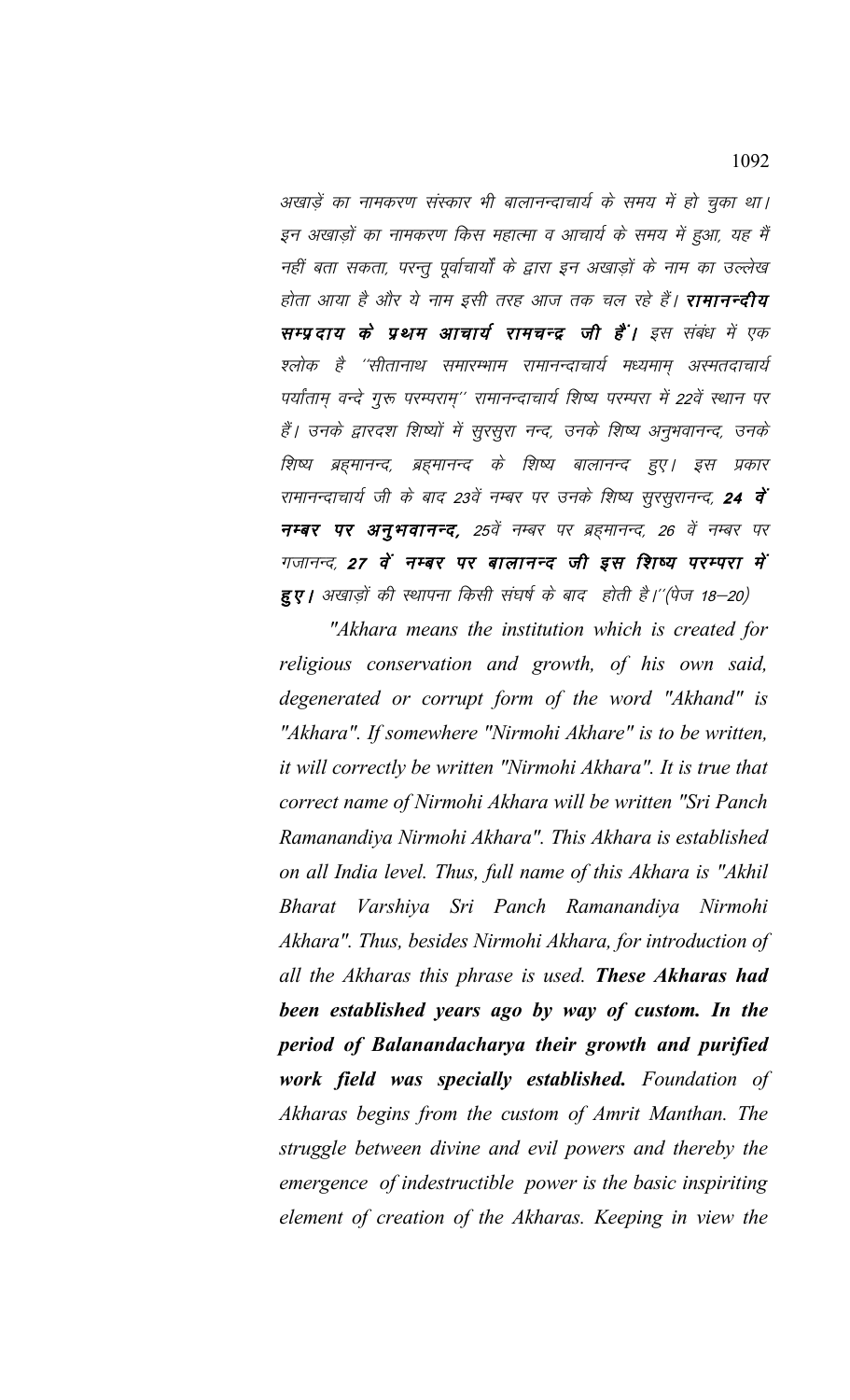अखाड़ें का नामकरण संस्कार भी बालानन्दाचार्य के समय में हो चुका था। इन अखाड़ों का नामकरण किस महात्मा व आचार्य के समय में हुआ, यह मैं नहीं बता सकता, परन्तू पूर्वाचार्यों के द्वारा इन अखाड़ों के नाम का उल्लेख होता आया है और ये नाम इसी तरह आज तक चल रहे हैं। **रामानन्दीय** सम्प्रदाय के प्रथम आचार्य रामचन्द्र जी हैं। इस संबंध में एक श्लोक है ''सीतानाथ समारम्भाम रामानन्दाचार्य मध्यमाम् अस्मतदाचार्य पर्यांताम् वन्दे गुरू परम्पराम्'' रामानन्दाचार्य शिष्य परम्परा में 22वें स्थान पर हैं। उनके द्वारदश शिष्यों में सुरसुरा नन्द, उनके शिष्य अनुभवानन्द, उनके शिष्य ब्रह्मानन्द, ब्रह्मानन्द के शिष्य बालानन्द हुए। इस प्रकार रामानन्दाचार्य जी के बाद 23वें नम्बर पर उनके शिष्य सुरसुरानन्द, **24 वें** नम्बर पर अनुभवानन्द, 25वें नम्बर पर ब्रहमानन्द, 26 वें नम्बर पर गजानन्द, 27 वें नम्बर पर बालानन्द जी इस शिष्य परम्परा में हुए। अखाड़ों की स्थापना किसी संघर्ष के बाद होती है।"(पेज 18-20)

"Akhara means the institution which is created for religious conservation and growth, of his own said, degenerated or corrupt form of the word "Akhand" is "Akhara". If somewhere "Nirmohi Akhare" is to be written, it will correctly be written "Nirmohi Akhara". It is true that correct name of Nirmohi Akhara will be written "Sri Panch" Ramanandiya Nirmohi Akhara". This Akhara is established on all India level. Thus, full name of this Akhara is "Akhil Bharat Varshiya Sri Panch Ramanandiya Nirmohi Akhara". Thus, besides Nirmohi Akhara, for introduction of all the Akharas this phrase is used. These Akharas had been established years ago by way of custom. In the period of Balanandacharya their growth and purified work field was specially established. Foundation of Akharas begins from the custom of Amrit Manthan. The struggle between divine and evil powers and thereby the emergence of indestructible power is the basic inspiriting element of creation of the Akharas. Keeping in view the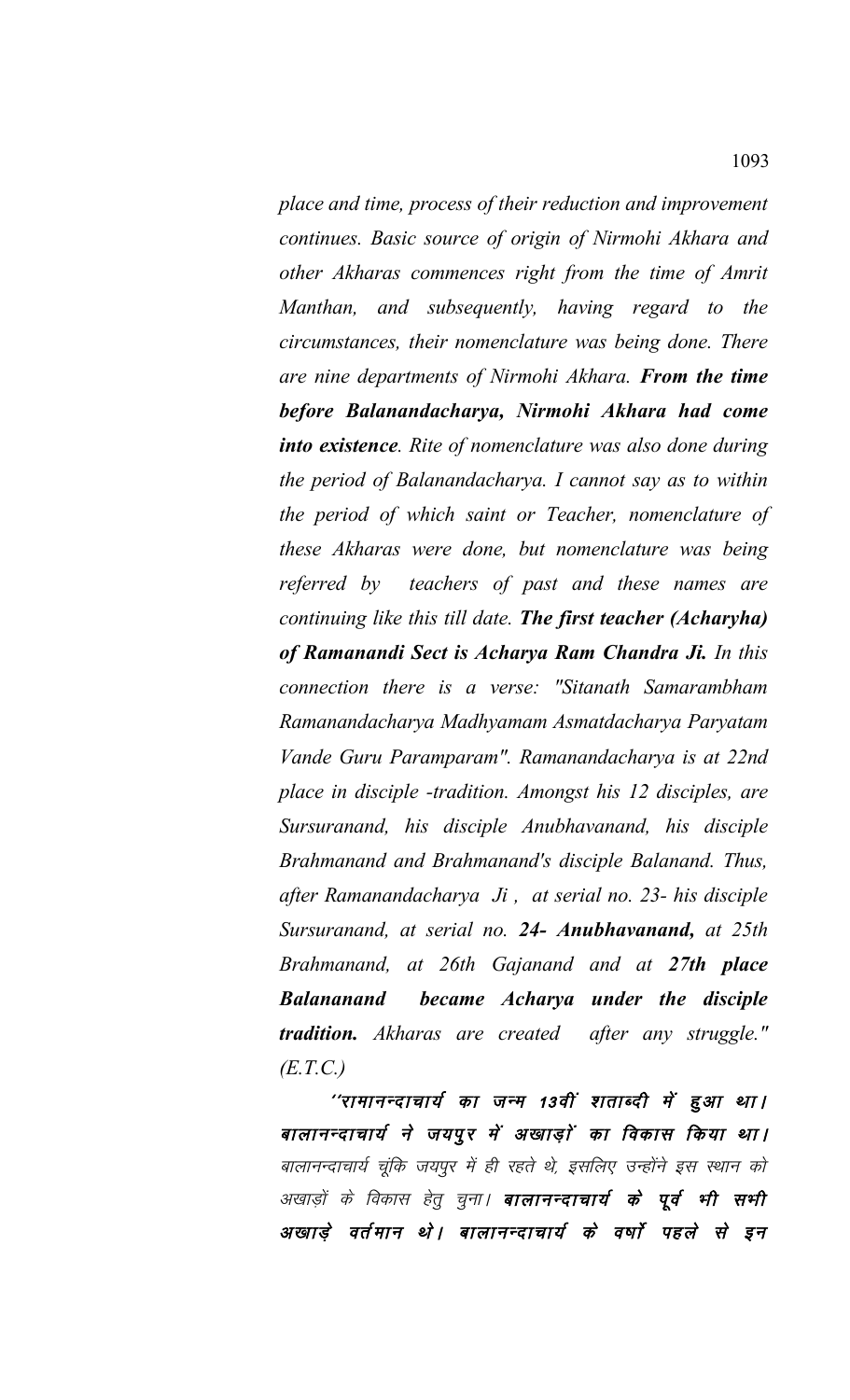*place and time, process of their reduction and improvement continues. Basic source of origin of Nirmohi Akhara and other Akharas commences right from the time of Amrit Manthan, and subsequently, having regard to the circumstances, their nomenclature was being done. There are nine departments of Nirmohi Akhara. From the time before Balanandacharya, Nirmohi Akhara had come into existence. Rite of nomenclature was also done during the period of Balanandacharya. I cannot say as to within the period of which saint or Teacher, nomenclature of these Akharas were done, but nomenclature was being referred by teachers of past and these names are continuing like this till date. The first teacher (Acharyha) of Ramanandi Sect is Acharya Ram Chandra Ji. In this connection there is a verse: "Sitanath Samarambham Ramanandacharya Madhyamam Asmatdacharya Paryatam Vande Guru Paramparam". Ramanandacharya is at 22nd place in disciple -tradition. Amongst his 12 disciples, are Sursuranand, his disciple Anubhavanand, his disciple Brahmanand and Brahmanand's disciple Balanand. Thus, after Ramanandacharya Ji , at serial no. 23- his disciple Sursuranand, at serial no. 24- Anubhavanand, at 25th Brahmanand, at 26th Gajanand and at 27th place Balananand became Acharya under the disciple tradition. Akharas are created after any struggle." (E.T.C.)*

"रामानन्दाचार्य का जन्म 13वीं शताब्दी में हुआ था। बालानन्दाचार्य ने जयपुर में अखाड़ों का विकास किया था। बालानन्दाचार्य चूंकि जयपुर में ही रहते थे, इसलिए उन्होंने इस स्थान को अखाड़ों के विकास हेतु चुना। **बालानन्दाचार्य के पूर्व भी सभी** अखाड़े वर्तमान थे। बालानन्दाचार्य के वर्षा पहले से इन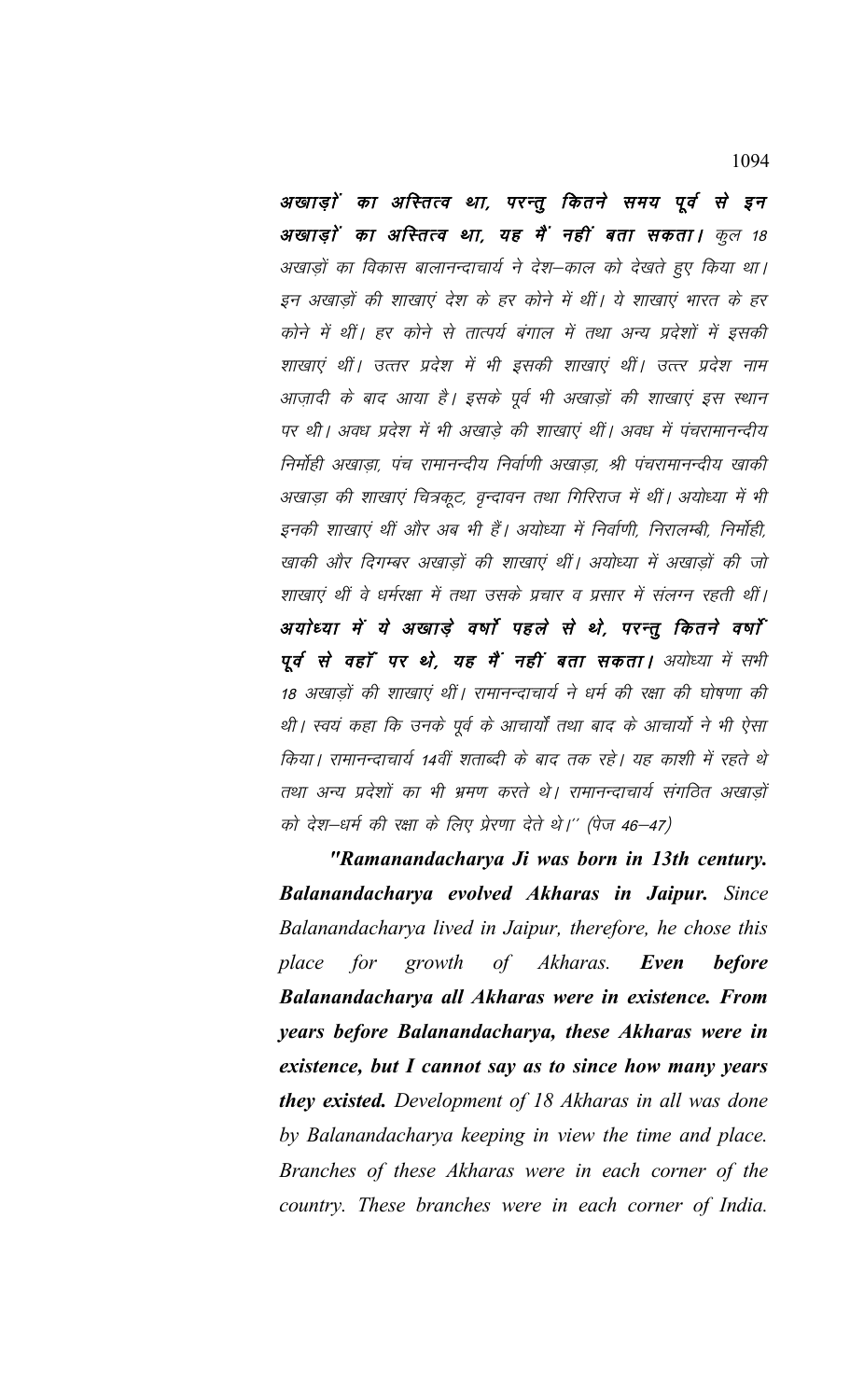अखाड़ों का अस्तित्व था, परन्तु कितने समय पूर्व से इन अखाड़ों का अस्तित्व था, यह मैं नहीं बता सकता। कुल 18 अखाड़ों का विकास बालानन्दाचार्य ने देश–काल को देखते हुए किया था। इन अखाड़ों की शाखाएं देश के हर कोने में थीं। ये शाखाएं भारत के हर कोने में थीं। हर कोने से तात्पर्य बंगाल में तथा अन्य प्रदेशों में इसकी शाखाएं थीं। उत्तर प्रदेश में भी इसकी शाखाएं थीं। उत्तर प्रदेश नाम आज़ादी के बाद आया है। इसके पूर्व भी अखाड़ों की शाखाएं इस स्थान पर थी। अवध प्रदेश में भी अखाड़े की शाखाएं थीं। अवध में पंचरामानन्दीय निर्मोही अखाडा, पंच रामानन्दीय निर्वाणी अखाडा, श्री पंचरामानन्दीय खाकी अखाड़ा की शाखाएं चित्रकूट, वृन्दावन तथा गिरिराज में थीं। अयोध्या में भी इनकी शाखाएं थीं और अब भी हैं। अयोध्या में निर्वाणी, निरालम्बी, निर्मोही, खाकी और दिगम्बर अखाड़ों की शाखाएं थीं। अयोध्या में अखाड़ों की जो शाखाएं थीं वे धर्मरक्षा में तथा उसके प्रचार व प्रसार में संलग्न रहती थीं। अयोध्या में ये अखाड़े वर्षों पहले से थे, परन्तू कितने वर्षों पूर्व से वहाँ पर थे, यह मैं नहीं बता सकता। अयोध्या में सभी 18 अखाड़ों की शाखाएं थीं। रामानन्दाचार्य ने धर्म की रक्षा की घोषणा की थी। स्वयं कहा कि उनके पूर्व के आचार्यों तथा बाद के आचार्यो ने भी ऐसा किया। रामानन्दाचार्य 14वीं शताब्दी के बाद तक रहे। यह काशी में रहते थे तथा अन्य प्रदेशों का भी भ्रमण करते थे। रामानन्दाचार्य संगठित अखाड़ों को देश—धर्म की रक्षा के लिए प्रेरणा देते थे।'' (पेज 46—47)

"Ramanandacharya Ji was born in 13th century. Balanandacharya evolved Akharas in Jaipur. Since Balanandacharya lived in Jaipur, therefore, he chose this of Akharas. place for growth Even **before** Balanandacharya all Akharas were in existence. From years before Balanandacharya, these Akharas were in existence, but I cannot say as to since how many years they existed. Development of 18 Akharas in all was done by Balanandacharya keeping in view the time and place. Branches of these Akharas were in each corner of the country. These branches were in each corner of India.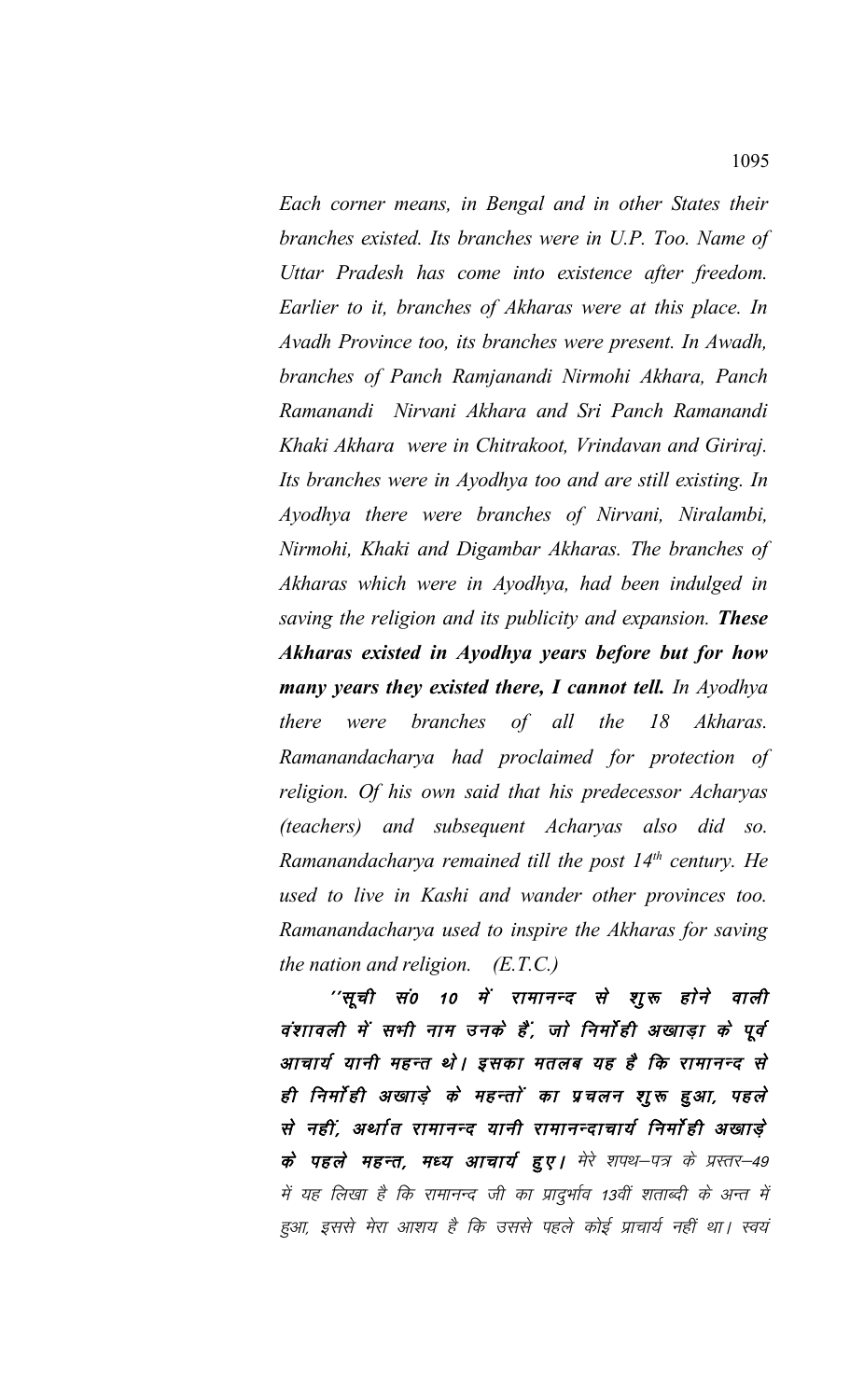*Each corner means, in Bengal and in other States their branches existed. Its branches were in U.P. Too. Name of Uttar Pradesh has come into existence after freedom. Earlier to it, branches of Akharas were at this place. In Avadh Province too, its branches were present. In Awadh, branches of Panch Ramjanandi Nirmohi Akhara, Panch Ramanandi Nirvani Akhara and Sri Panch Ramanandi Khaki Akhara were in Chitrakoot, Vrindavan and Giriraj. Its branches were in Ayodhya too and are still existing. In Ayodhya there were branches of Nirvani, Niralambi, Nirmohi, Khaki and Digambar Akharas. The branches of Akharas which were in Ayodhya, had been indulged in saving the religion and its publicity and expansion. These Akharas existed in Ayodhya years before but for how many years they existed there, I cannot tell. In Ayodhya there were branches of all the 18 Akharas. Ramanandacharya had proclaimed for protection of religion. Of his own said that his predecessor Acharyas (teachers) and subsequent Acharyas also did so. Ramanandacharya remained till the post 14th century. He used to live in Kashi and wander other provinces too. Ramanandacharya used to inspire the Akharas for saving the nation and religion. (E.T.C.)*

''सूची सं0 10 में रामानन्द से शुरू होने वाली वंशावली में सभी नाम उनके हैं, जो निर्मोही अखाड़ा के पूर्व आचार्य यानी महन्त थे। इसका मतलब यह है कि रामानन्द से ही निर्माही अखाड़े के महन्तों का प्रचलन शुरू हुआ, पहले से नहीं, अर्थात रामानन्द यानी रामानन्दाचार्य निर्मोही अखाड़े के पहले महन्त, मध्य आचार्य हुए। मेरे शपथ–पत्र के प्रस्तर–49 में यह लिखा है कि रामानन्द जी का प्रादुर्भाव 13वीं शताब्दी के अन्त में हुआ, इससे मेरा आशय है कि उससे पहले कोई प्राचार्य नहीं था। स्वयं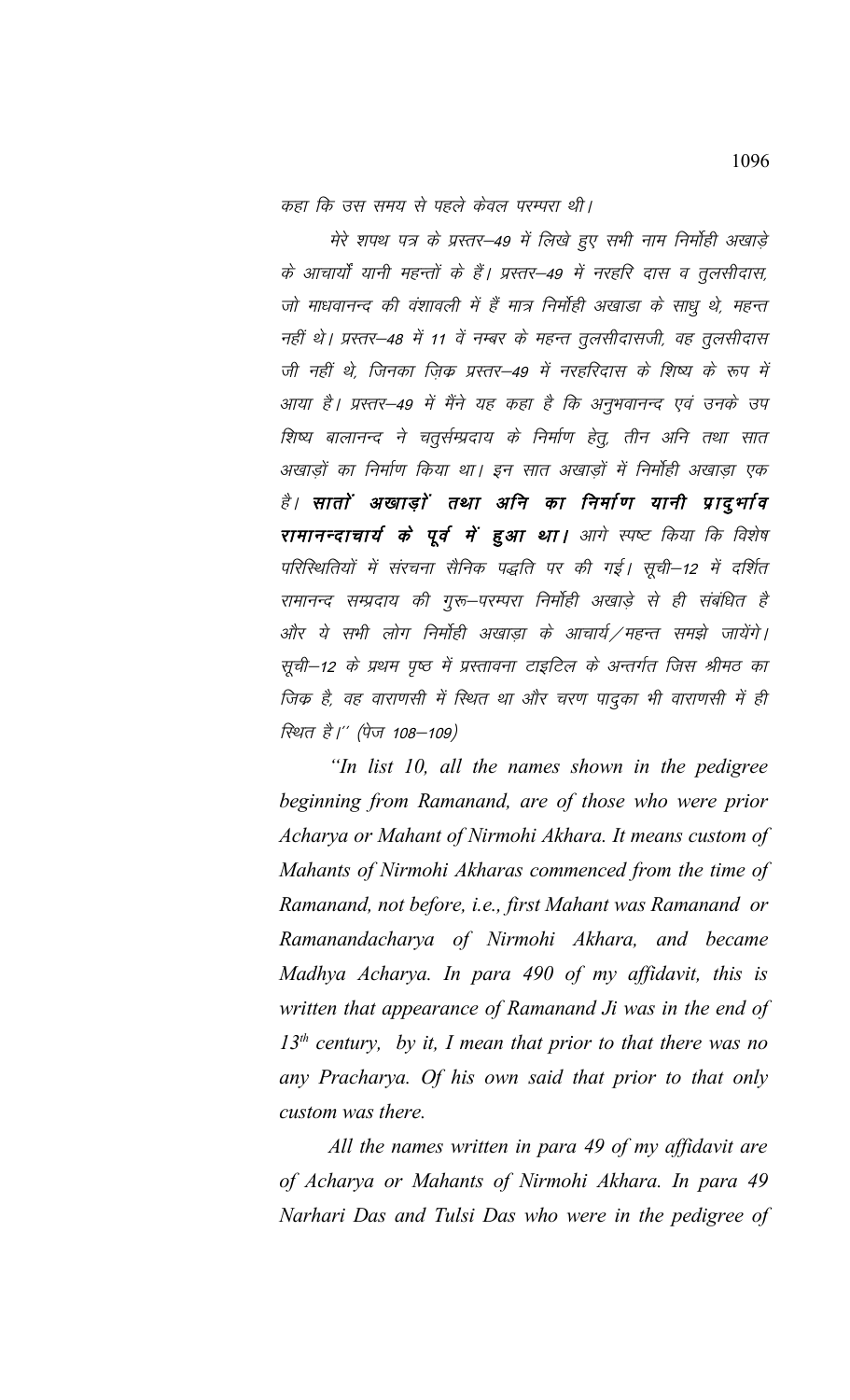कहा कि उस समय से पहले केवल परम्परा थी।

मेरे शपथ पत्र के प्रस्तर-49 में लिखे हुए सभी नाम निर्मोही अखाड़े के आचार्यों यानी महन्तों के हैं। प्रस्तर–49 में नरहरि दास व तुलसीदास, जो माधवानन्द की वंशावली में हैं मात्र निर्मोही अखाड़ा के साधु थे, महन्त नहीं थे। प्रस्तर-48 में 11 वें नम्बर के महन्त तूलसीदासजी, वह तूलसीदास जी नहीं थे, जिनका ज़िक्र प्रस्तर–49 में नरहरिदास के शिष्य के रूप में आया है। प्रस्तर–49 में मैंने यह कहा है कि अनुभवानन्द एवं उनके उप शिष्य बालानन्द ने चतुर्सम्प्रदाय के निर्माण हेतू, तीन अनि तथा सात अखाड़ों का निर्माण किया था। इन सात अखाड़ों में निर्मोही अखाड़ा एक है। सातों अखाड़ों तथा अनि का निर्माण यानी प्रादुर्भाव रामानन्दाचार्य के पूर्व में हुआ था। आगे स्पष्ट किया कि विशेष परिस्थितियों में संरचना सैनिक पद्धति पर की गई। सूची–12 में दर्शित रामानन्द सम्प्रदाय की गुरू–परम्परा निर्मोही अखाड़े से ही संबंधित है और ये सभी लोग निर्मोही अखाडा के आचार्य ⁄महन्त समझे जायेंगे। सूची-12 के प्रथम पृष्ठ में प्रस्तावना टाइटिल के अन्तर्गत जिस श्रीमठ का जिक है, वह वाराणसी में स्थित था और चरण पादुका भी वाराणसी में ही रिथत है।'' (पेज 108–109)

"In list 10, all the names shown in the pedigree beginning from Ramanand, are of those who were prior Acharya or Mahant of Nirmohi Akhara. It means custom of Mahants of Nirmohi Akharas commenced from the time of Ramanand, not before, i.e., first Mahant was Ramanand or Ramanandacharya of Nirmohi Akhara, and became Madhya Acharya. In para 490 of my affidavit, this is written that appearance of Ramanand Ji was in the end of  $13<sup>th</sup>$  century, by it, I mean that prior to that there was no any Pracharya. Of his own said that prior to that only custom was there.

All the names written in para 49 of my affidavit are of Acharya or Mahants of Nirmohi Akhara. In para 49 Narhari Das and Tulsi Das who were in the pedigree of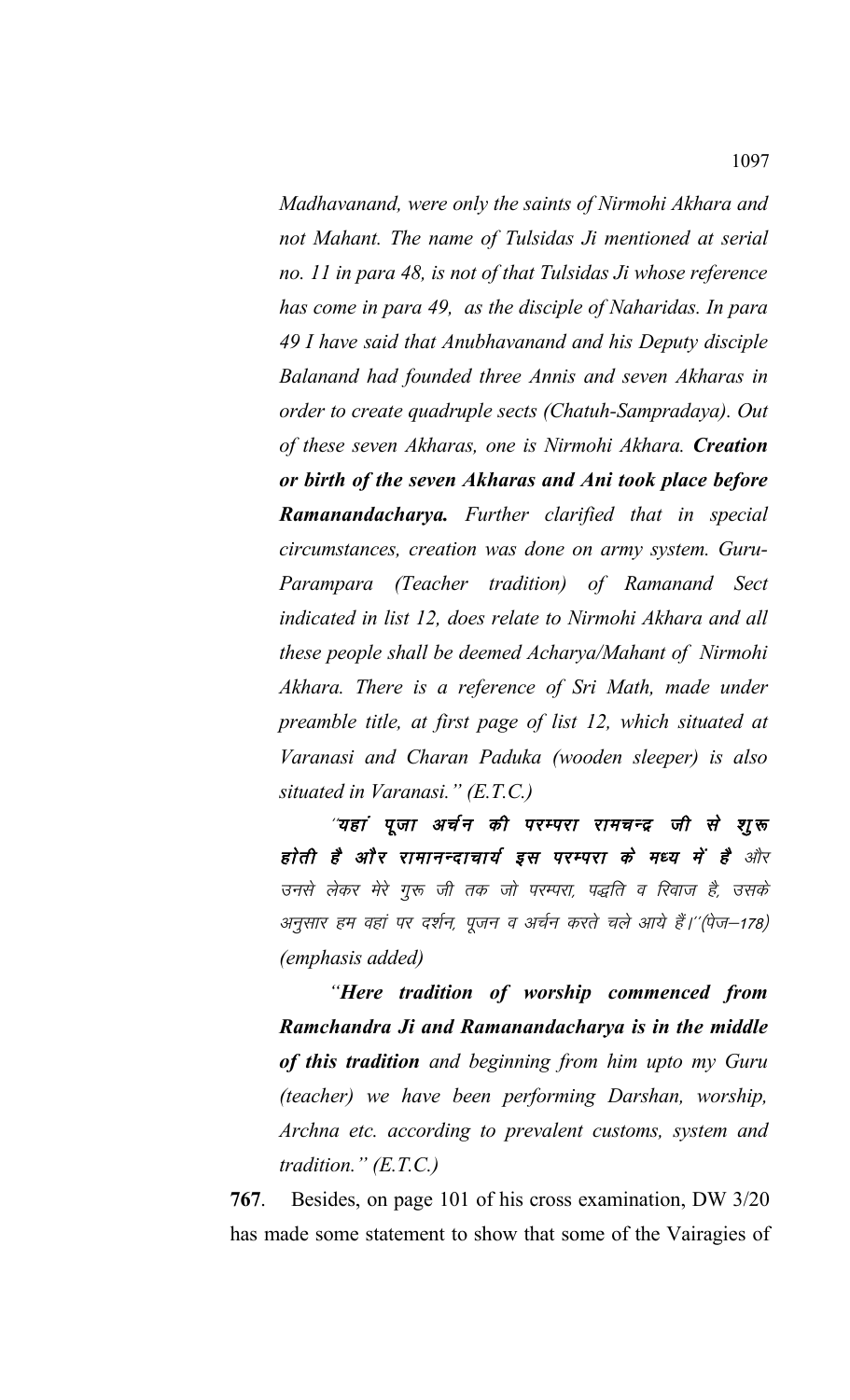*Madhavanand, were only the saints of Nirmohi Akhara and not Mahant. The name of Tulsidas Ji mentioned at serial no. 11 in para 48, is not of that Tulsidas Ji whose reference has come in para 49, as the disciple of Naharidas. In para 49 I have said that Anubhavanand and his Deputy disciple Balanand had founded three Annis and seven Akharas in order to create quadruple sects (Chatuh-Sampradaya). Out of these seven Akharas, one is Nirmohi Akhara. Creation or birth of the seven Akharas and Ani took place before Ramanandacharya. Further clarified that in special circumstances, creation was done on army system. Guru-Parampara (Teacher tradition) of Ramanand Sect indicated in list 12, does relate to Nirmohi Akhara and all these people shall be deemed Acharya/Mahant of Nirmohi Akhara. There is a reference of Sri Math, made under preamble title, at first page of list 12, which situated at Varanasi and Charan Paduka (wooden sleeper) is also situated in Varanasi." (E.T.C.)*

"यहां पूजा अर्चन की परम्परा रामचन्द्र जी से शूरू होती है और रामानन्दाचार्य इस परम्परा के मध्य में है और उनसे लेकर मेरे गुरू जी तक जो परम्परा, पद्धति व रिवाज है, उसके अनुसार हम वहां पर दर्शन, पूजन व अर्चन करते चले आये हैं।''(पेज–178) *(emphasis added)*

*"Here tradition of worship commenced from Ramchandra Ji and Ramanandacharya is in the middle of this tradition and beginning from him upto my Guru (teacher) we have been performing Darshan, worship, Archna etc. according to prevalent customs, system and tradition." (E.T.C.)*

**767**. Besides, on page 101 of his cross examination, DW 3/20 has made some statement to show that some of the Vairagies of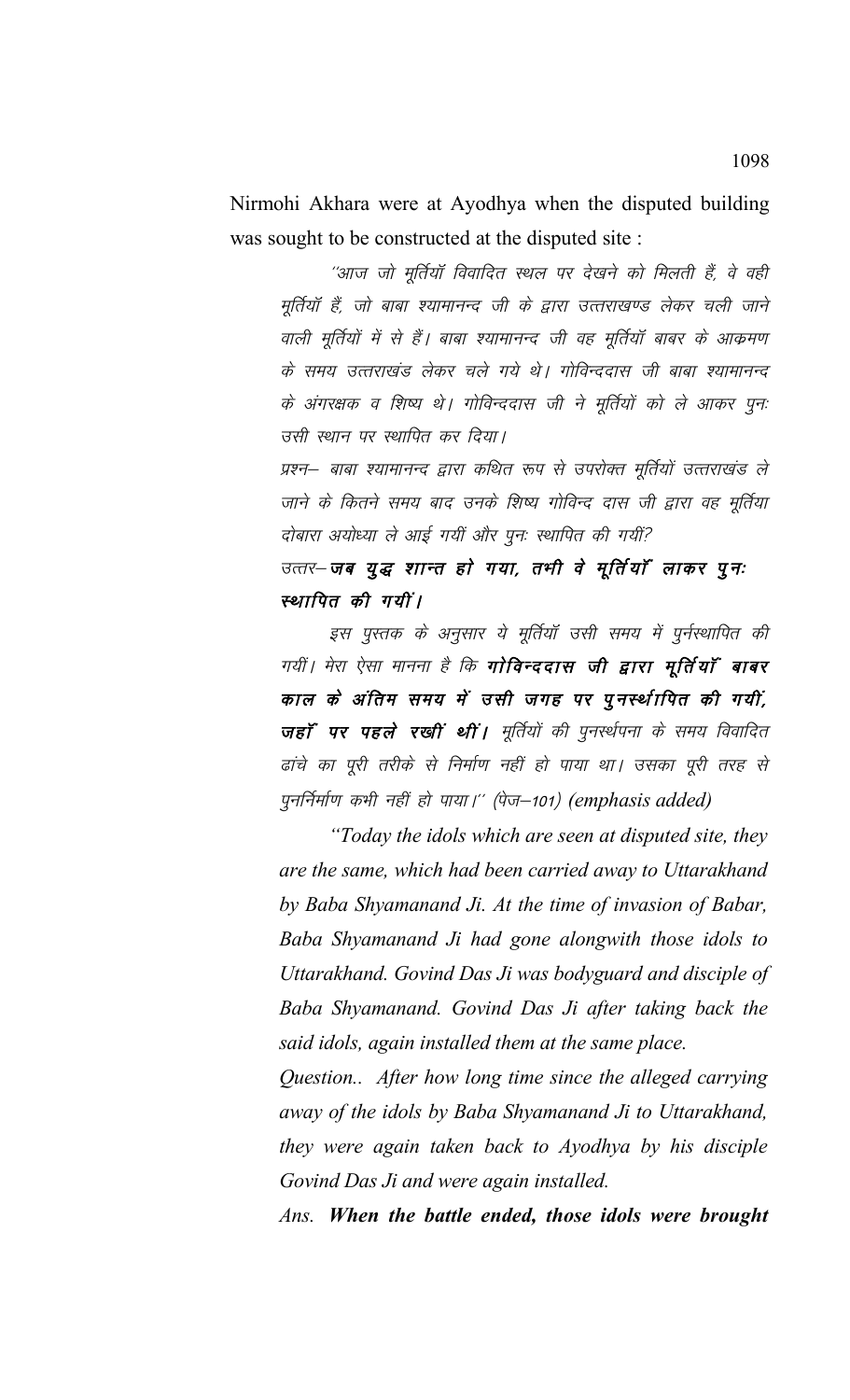Nirmohi Akhara were at Ayodhya when the disputed building was sought to be constructed at the disputed site :

''आज जो मूर्तियॉ विवादित स्थल पर देखने को मिलती हैं, वे वही मूर्तियाँ हैं, जो बाबा श्यामानन्द जी के द्वारा उत्तराखण्ड लेकर चली जाने वाली मूर्तियों में से हैं। बाबा श्यामानन्द जी वह मूर्तियाँ बाबर के आक्रमण के समय उत्तराखंड लेकर चले गये थे। गोविन्ददास जी बाबा श्यामानन्द के अंगरक्षक व शिष्य थे। गोविन्ददास जी ने मूर्तियों को ले आकर पून: उसी स्थान पर स्थापित कर दिया।

प्रश्न– बाबा श्यामानन्द द्वारा कथित रूप से उपरोक्त मूर्तियों उत्तराखंड ले जाने के कितने समय बाद उनके शिष्य गोविन्द दास जी द्वारा वह मूर्तिया दोबारा अयोध्या ले आई गयीं और पुनः स्थापित की गयीं?

उत्तर-जब युद्ध शान्त हो गया, तभी वे मूर्तियाँ लाकर पुनः स्थापित की गयीं।

इस पुस्तक के अनुसार ये मूर्तियाँ उसी समय में पुर्नस्थापित की गयीं। मेरा ऐसा मानना है कि **गोविन्ददास जी द्वारा मूर्तियाँ बाबर** काल के अंतिम समय में उसी जगह पर पूनर्स्थापित की गयीं, जहाँ पर पहले रखीं थीं। मूर्तियों की पुनर्स्थपना के समय विवादित ढांचे का पूरी तरीके से निर्माण नहीं हो पाया था। उसका पूरी तरह से पुनर्निर्माण कभी नहीं हो पाया।" (पेज-101) (emphasis added)

"Today the idols which are seen at disputed site, they are the same, which had been carried away to Uttarakhand by Baba Shyamanand Ji. At the time of invasion of Babar, Baba Shyamanand Ji had gone alongwith those idols to Uttarakhand. Govind Das Ji was bodyguard and disciple of Baba Shyamanand. Govind Das Ji after taking back the said idols, again installed them at the same place.

Question... After how long time since the alleged carrying away of the idols by Baba Shyamanand Ji to Uttarakhand, they were again taken back to Ayodhya by his disciple Govind Das Ji and were again installed.

Ans. When the battle ended, those idols were brought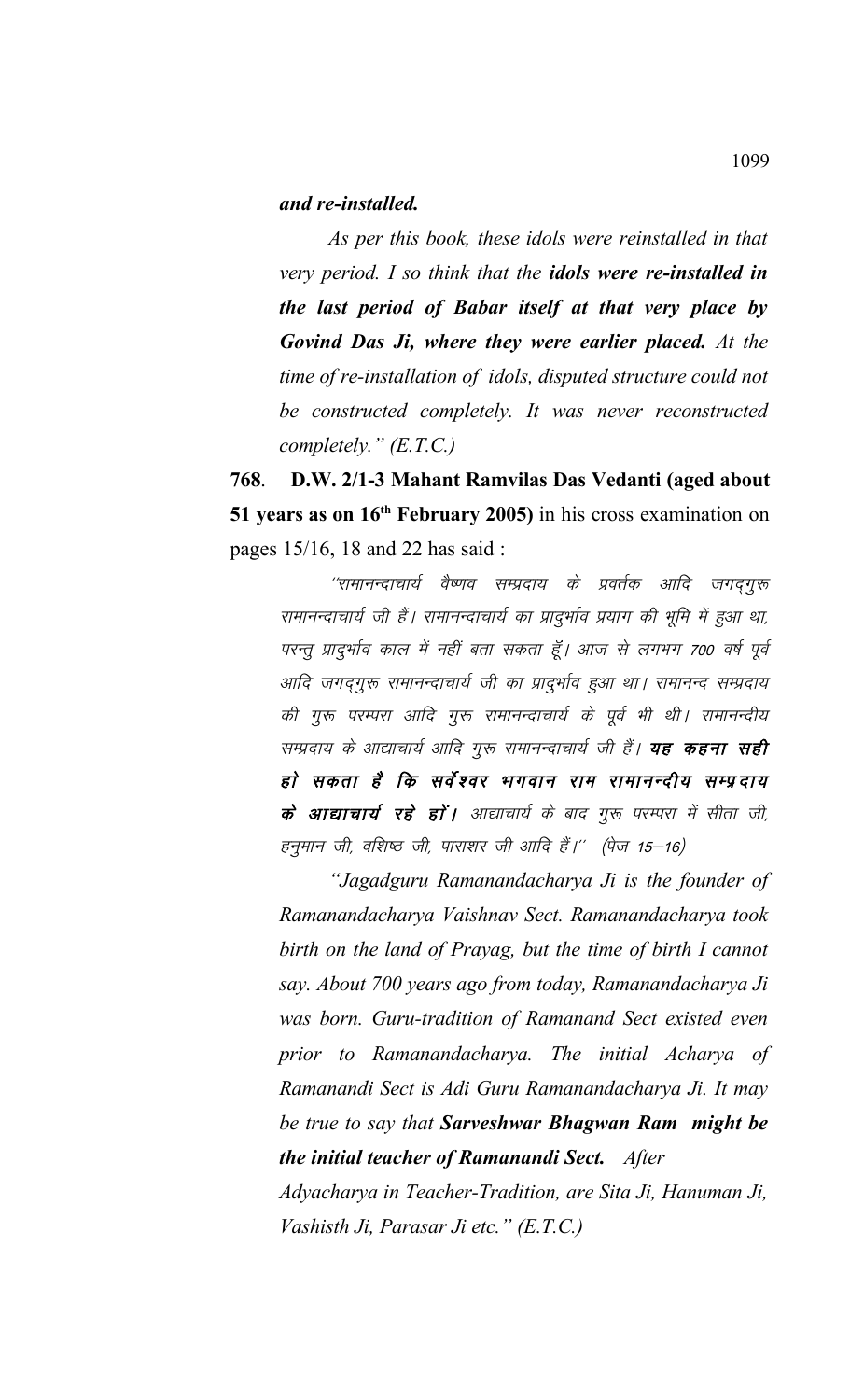## *and re-installed.*

*As per this book, these idols were reinstalled in that very period. I so think that the idols were re-installed in the last period of Babar itself at that very place by Govind Das Ji, where they were earlier placed. At the time of re-installation of idols, disputed structure could not be constructed completely. It was never reconstructed completely." (E.T.C.)*

**768**. **D.W. 2/1-3 Mahant Ramvilas Das Vedanti (aged about 51 years as on 16th February 2005)** in his cross examination on pages 15/16, 18 and 22 has said :

''रामानन्दाचार्य वैष्णव सम्प्रदाय के प्रवर्तक आदि जगदगुरू रामानन्दाचार्य जी हैं। रामानन्दाचार्य का प्रादुर्भाव प्रयाग की भूमि में हुआ था, परन्तु प्रादुर्भाव काल में नहीं बता सकता हूँ। आज से लगभग 700 वर्ष पूर्व आदि जगद्गुरू रामानन्दाचार्य जी का प्रादुर्भाव हुआ था। रामानन्द सम्प्रदाय की गुरू परम्परा आदि गुरू रामानन्दाचार्य के पूर्व भी थी। रामानन्दीय सम्प्रदाय के आद्याचार्य आदि गुरू रामानन्दाचार्य जी हैं। **यह कहना सही** हो सकता है कि सर्वेश्वर भगवान राम रामानन्दीय सम्प्रदाय के आद्याचार्य रहे हों | आद्याचार्य के बाद गुरू परम्परा में सीता जी, हनुमान जी, वशिष्ठ जी, पाराशर जी आदि हैं।'' (पेज 15–16)

*"Jagadguru Ramanandacharya Ji is the founder of Ramanandacharya Vaishnav Sect. Ramanandacharya took birth on the land of Prayag, but the time of birth I cannot say. About 700 years ago from today, Ramanandacharya Ji was born. Guru-tradition of Ramanand Sect existed even prior to Ramanandacharya. The initial Acharya of Ramanandi Sect is Adi Guru Ramanandacharya Ji. It may be true to say that Sarveshwar Bhagwan Ram might be the initial teacher of Ramanandi Sect. After*

*Adyacharya in Teacher-Tradition, are Sita Ji, Hanuman Ji, Vashisth Ji, Parasar Ji etc." (E.T.C.)*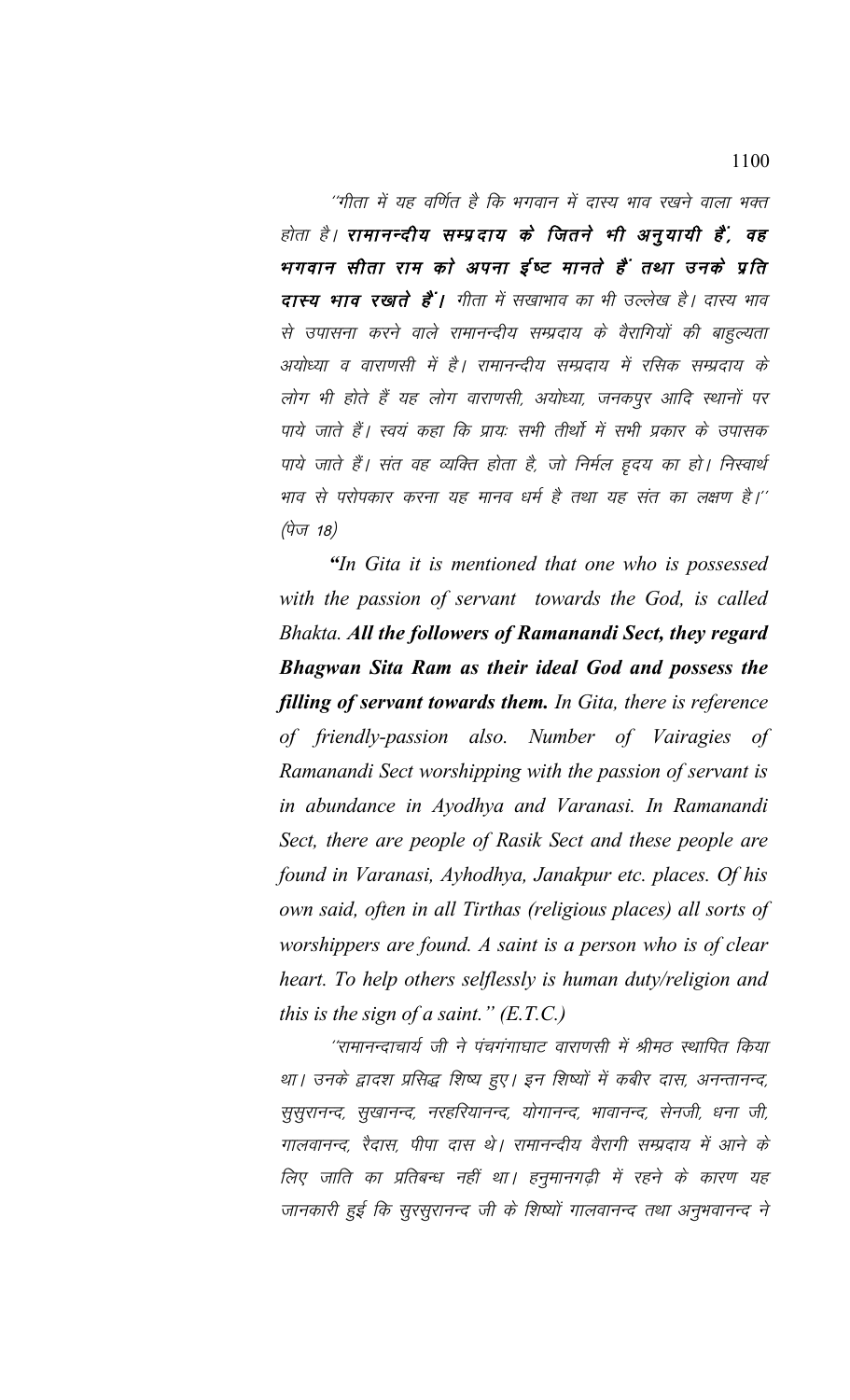''गीता में यह वर्णित है कि भगवान में दास्य भाव रखने वाला भक्त होता है। रामानन्दीय सम्प्रदाय के जितने भी अनुयायी हैं, वह भगवान सीता राम को अपना ईष्ट मानते हैं तथा उनके प्रति दास्य भाव रखाते हैं। गीता में सखाभाव का भी उल्लेख है। दास्य भाव से उपासना करने वाले रामानन्दीय सम्प्रदाय के वैरागियों की बाहुल्यता अयोध्या व वाराणसी में है। रामानन्दीय सम्प्रदाय में रसिक सम्प्रदाय के लोग भी होते हैं यह लोग वाराणसी, अयोध्या, जनकपूर आदि स्थानों पर पाये जाते हैं। स्वयं कहा कि प्रायः सभी तीर्थो में सभी प्रकार के उपासक पाये जाते हैं। संत वह व्यक्ति होता है, जो निर्मल हृदय का हो। निस्वार्थ भाव से परोपकार करना यह मानव धर्म है तथा यह संत का लक्षण है।'' (पेज 18)

"In Gita it is mentioned that one who is possessed with the passion of servant towards the God, is called Bhakta. All the followers of Ramanandi Sect, they regard Bhagwan Sita Ram as their ideal God and possess the filling of servant towards them. In Gita, there is reference of friendly-passion also. Number of Vairagies of Ramanandi Sect worshipping with the passion of servant is in abundance in Ayodhya and Varanasi. In Ramanandi Sect, there are people of Rasik Sect and these people are found in Varanasi, Ayhodhya, Janakpur etc. places. Of his own said, often in all Tirthas (religious places) all sorts of worshippers are found. A saint is a person who is of clear heart. To help others selflessly is human duty/religion and this is the sign of a saint."  $(E.T.C.)$ 

''रामानन्दाचार्य जी ने पंचगंगाघाट वाराणसी में श्रीमठ स्थापित किया था। उनके द्वादश प्रसिद्ध शिष्य हुए। इन शिष्यों में कबीर दास, अनन्तानन्द, सुसुरानन्द, सुखानन्द, नरहरियानन्द, योगानन्द, भावानन्द, सेनजी, धना जी, गालवानन्द, रैदास, पीपा दास थे। रामानन्दीय वैरागी सम्प्रदाय में आने के लिए जाति का प्रतिबन्ध नहीं था। हनुमानगढ़ी में रहने के कारण यह जानकारी हुई कि सुरसुरानन्द जी के शिष्यों गालवानन्द तथा अनुभवानन्द ने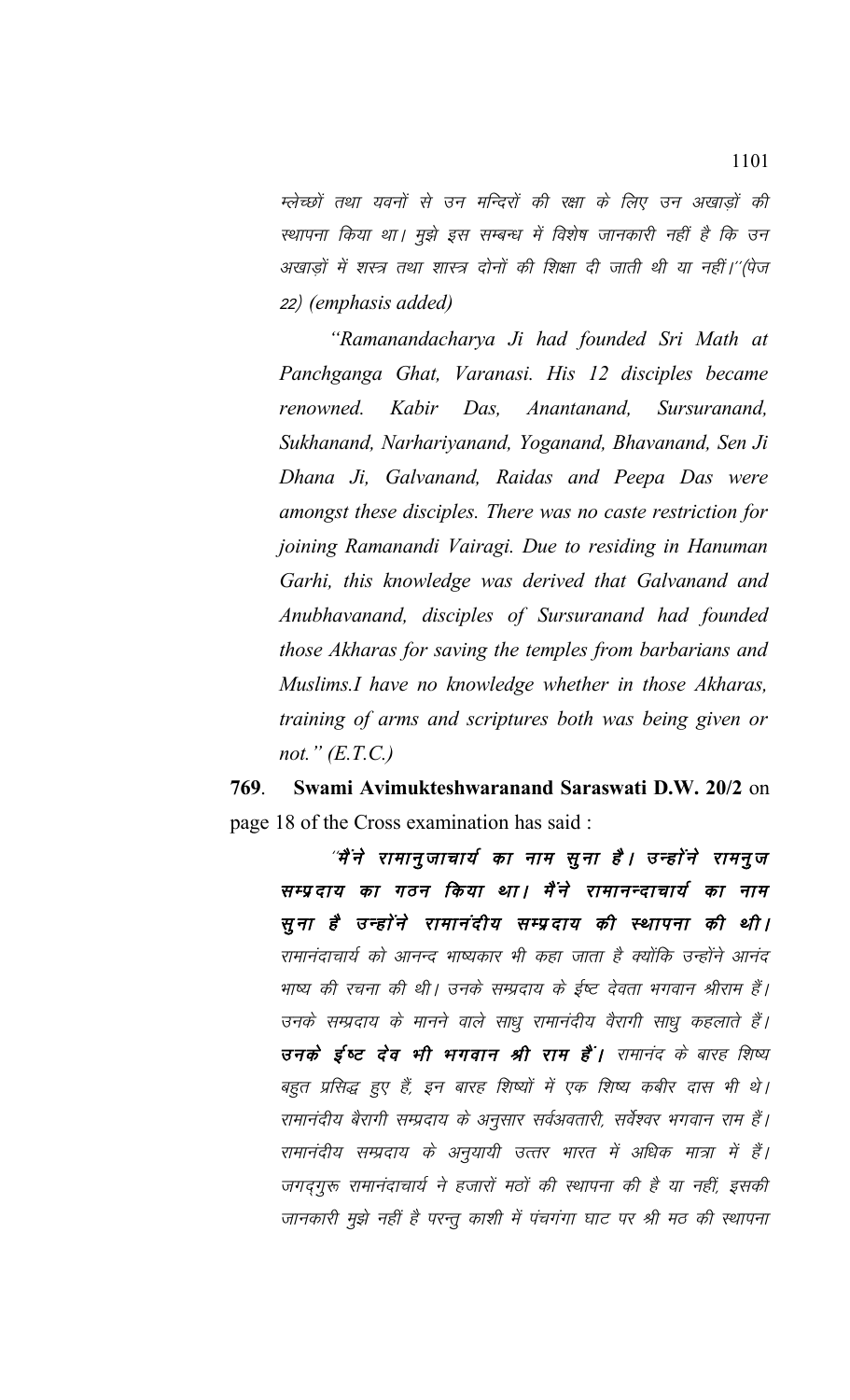म्लेच्छों तथा यवनों से उन मन्दिरों की रक्षा के लिए उन अखाडों की स्थापना किया था। मुझे इस सम्बन्ध में विशेष जानकारी नहीं है कि उन अखाड़ों में शस्त्र तथा शास्त्र दोनों की शिक्षा दी जाती थी या नहीं।''(पेज 22½ *(emphasis added)*

*"Ramanandacharya Ji had founded Sri Math at Panchganga Ghat, Varanasi. His 12 disciples became renowned. Kabir Das, Anantanand, Sursuranand, Sukhanand, Narhariyanand, Yoganand, Bhavanand, Sen Ji Dhana Ji, Galvanand, Raidas and Peepa Das were amongst these disciples. There was no caste restriction for joining Ramanandi Vairagi. Due to residing in Hanuman Garhi, this knowledge was derived that Galvanand and Anubhavanand, disciples of Sursuranand had founded those Akharas for saving the temples from barbarians and Muslims.I have no knowledge whether in those Akharas, training of arms and scriptures both was being given or not." (E.T.C.)*

**769**. **Swami Avimukteshwaranand Saraswati D.W. 20/2** on page 18 of the Cross examination has said :

*"मैं* ने रामानुजाचार्य का नाम सूना है। उन्होंने रामनुज सम्प्रदाय का गठन किया था। मैंने रामानन्दाचार्य का नाम सूना है उन्होंने रामानंदीय सम्प्रदाय की स्थापना की थी। रामानंदाचार्य को आनन्द भाष्यकार भी कहा जाता है क्योंकि उन्होंने आनंद भाष्य की रचना की थी। उनके सम्प्रदाय के ईष्ट देवता भगवान श्रीराम हैं। उनके सम्प्रदाय के मानने वाले साधु रामानंदीय वैरागी साधु कहलाते हैं। उनके ई्ष्ट देव भी भगवान श्री राम हैं। रामानंद के बारह शिष्य बहुत प्रसिद्ध हुए हैं, इन बारह शिष्यों में एक शिष्य कबीर दास भी थे। रामानंदीय बैरागी सम्प्रदाय के अनुसार सर्वअवतारी, सर्वेश्वर भगवान राम हैं। रामानंदीय सम्प्रदाय के अनुयायी उत्तर भारत में अधिक मात्रा में हैं। जगदगुरू रामानंदाचार्य ने हजारों मठों की स्थापना की है या नहीं, इसकी जानकारी मुझे नहीं है परन्तु काशी में पंचगंगा घाट पर श्री मठ की स्थापना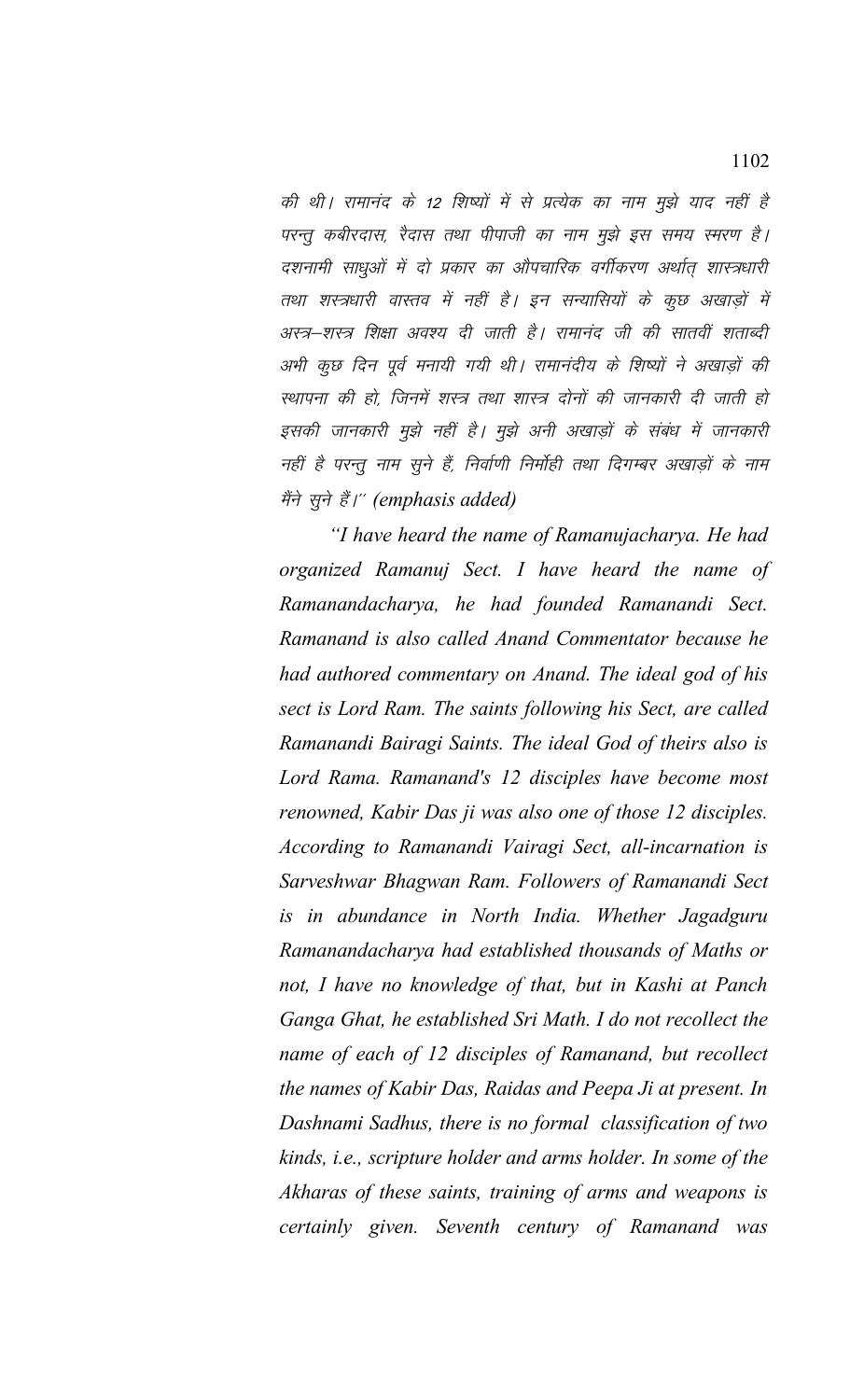की थी। रामानंद के 12 शिष्यों में से प्रत्येक का नाम मुझे याद नहीं है परन्तु कबीरदास, रैदास तथा पीपाजी का नाम मुझे इस समय स्मरण है। दशनामी साधुओं में दो प्रकार का औपचारिक वर्गीकरण अर्थात् शास्त्रधारी तथा शस्त्रधारी वास्तव में नहीं है। इन सन्यासियों के कूछ अखाड़ों में अस्त्र–शस्त्र शिक्षा अवश्य दी जाती है। रामानंद जी की सातवीं शताब्दी अभी कुछ दिन पूर्व मनायी गयी थी। रामानंदीय के शिष्यों ने अखाड़ों की स्थापना की हो, जिनमें शस्त्र तथा शास्त्र दोनों की जानकारी दी जाती हो इसकी जानकारी मुझे नहीं है। मुझे अनी अखाड़ों के संबंध में जानकारी नहीं है परन्तु नाम सुने हैं, निर्वाणी निर्मोही तथा दिगम्बर अखाड़ों के नाम मैंने सूने हैं।" (emphasis added)

*"I have heard the name of Ramanujacharya. He had organized Ramanuj Sect. I have heard the name of Ramanandacharya, he had founded Ramanandi Sect. Ramanand is also called Anand Commentator because he had authored commentary on Anand. The ideal god of his sect is Lord Ram. The saints following his Sect, are called Ramanandi Bairagi Saints. The ideal God of theirs also is Lord Rama. Ramanand's 12 disciples have become most renowned, Kabir Das ji was also one of those 12 disciples. According to Ramanandi Vairagi Sect, all-incarnation is Sarveshwar Bhagwan Ram. Followers of Ramanandi Sect is in abundance in North India. Whether Jagadguru Ramanandacharya had established thousands of Maths or not, I have no knowledge of that, but in Kashi at Panch Ganga Ghat, he established Sri Math. I do not recollect the name of each of 12 disciples of Ramanand, but recollect the names of Kabir Das, Raidas and Peepa Ji at present. In Dashnami Sadhus, there is no formal classification of two kinds, i.e., scripture holder and arms holder. In some of the Akharas of these saints, training of arms and weapons is certainly given. Seventh century of Ramanand was*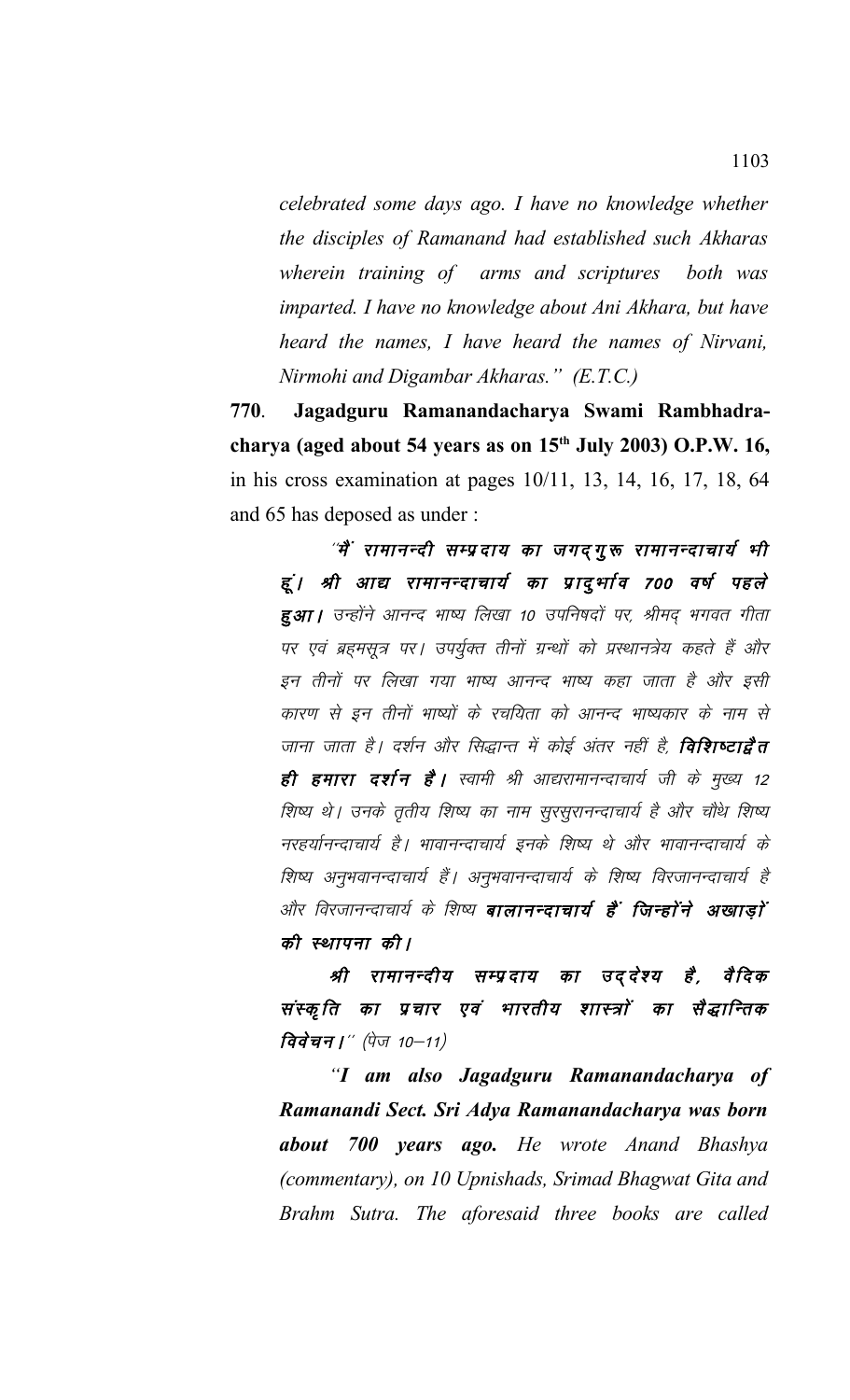*celebrated some days ago. I have no knowledge whether the disciples of Ramanand had established such Akharas wherein training of arms and scriptures both was imparted. I have no knowledge about Ani Akhara, but have heard the names, I have heard the names of Nirvani, Nirmohi and Digambar Akharas." (E.T.C.)*

**770**. **Jagadguru Ramanandacharya Swami Rambhadracharya (aged about 54 years as on 15th July 2003) O.P.W. 16,** in his cross examination at pages 10/11, 13, 14, 16, 17, 18, 64 and 65 has deposed as under :

*"मैं रामानन्दी सम्प्रदाय का जगदगुरू रामानन्दाचार्य भी* हूं। श्री आद्य रामानन्दाचार्य का प्रादुर्भाव 700 वर्ष पहले हुआ। उन्होंने आनन्द भाष्य लिखा 10 उपनिषदों पर, श्रीमद् भगवत गीता पर एवं ब्रहमसूत्र पर। उपर्युक्त तीनों ग्रन्थों को प्रस्थानत्रेय कहते हैं और इन तीनों पर लिखा गया भाष्य आनन्द भाष्य कहा जाता है और इसी कारण से इन तीनों भाष्यों के रचयिता को आनन्द भाष्यकार के नाम से जाना जाता है। दर्शन और सिद्धान्त में कोई अंतर नहीं है, **विशिष्टाद्वैत** ही हमारा दर्शन है। स्वामी श्री आद्यरामानन्दाचार्य जी के मुख्य 12 शिष्य थे। उनके तृतीय शिष्य का नाम सूरसूरानन्दाचार्य है और चौथे शिष्य नरहर्यानन्दाचार्य है। भावानन्दाचार्य इनके शिष्य थे और भावानन्दाचार्य के शिष्य अनुभवानन्दाचार्य हैं। अनुभवानन्दाचार्य के शिष्य विरजानन्दाचार्य है और विरजानन्दाचार्य के शिष्य **बालानन्दाचार्य हैं जिन्होंने अखाड़ों** की स्थापना की।

श्री रामानन्दीय सम्प्रदाय का उददेश्य है, संस्कृति का प्रचार एवं भारतीय शास्त्रों का सैद्धान्तिक विवेचन |" (पेज 10-11)

*"I am also Jagadguru Ramanandacharya of Ramanandi Sect. Sri Adya Ramanandacharya was born about 700 years ago. He wrote Anand Bhashya (commentary), on 10 Upnishads, Srimad Bhagwat Gita and Brahm Sutra. The aforesaid three books are called*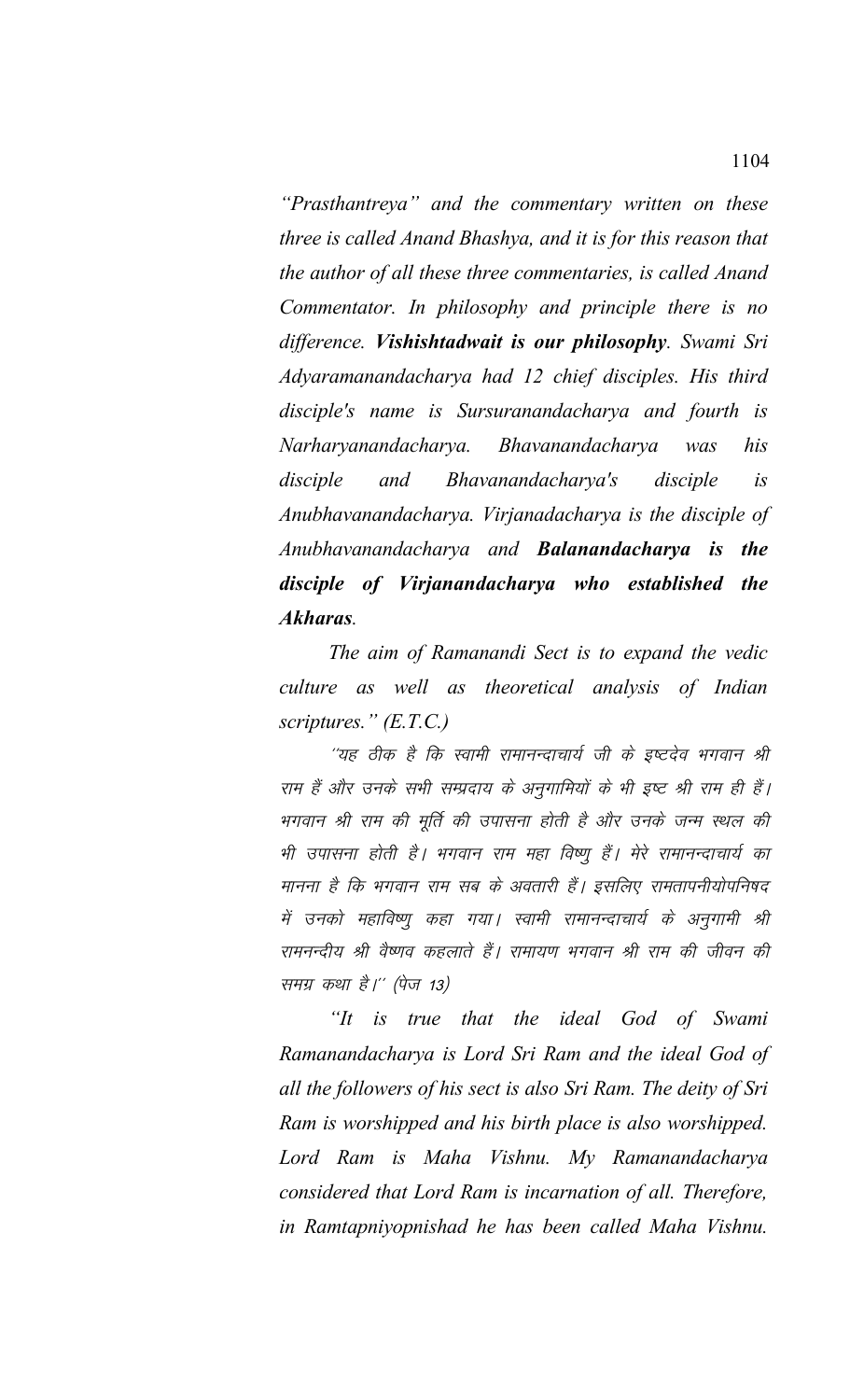"Prasthantreya" and the commentary written on these three is called Anand Bhashya, and it is for this reason that the author of all these three commentaries, is called Anand Commentator. In philosophy and principle there is no difference. Vishishtadwait is our philosophy. Swami Sri Adyaramanandacharya had 12 chief disciples. His third disciple's name is Sursuranandacharya and fourth is Narharyanandacharya. Bhavanandacharya his was Bhavanandacharya's disciple and disciple  $i<sub>S</sub>$ Anubhavanandacharya. Virjanadacharya is the disciple of Anubhavanandacharya and **Balanandacharya is the** disciple of Virjanandacharya who established the Akharas.

The aim of Ramanandi Sect is to expand the vedic culture as well as theoretical analysis of Indian scriptures."  $(E.T.C.)$ 

''यह ठीक है कि स्वामी रामानन्दाचार्य जी के इष्टदेव भगवान श्री राम हैं और उनके सभी सम्प्रदाय के अनुगामियों के भी इष्ट श्री राम ही हैं। भगवान श्री राम की मूर्ति की उपासना होती है और उनके जन्म स्थल की भी उपासना होती है। भगवान राम महा विष्णू हैं। मेरे रामानन्दाचार्य का मानना है कि भगवान राम सब के अवतारी हैं। इसलिए रामतापनीयोपनिषद में उनको महाविष्णू कहा गया। स्वामी रामानन्दाचार्य के अनुगामी श्री रामनन्दीय श्री वैष्णव कहलाते हैं। रामायण भगवान श्री राम की जीवन की समग्र कथा है।'' (पेज 13)

is true that the ideal God of Swami  $\lq H$ Ramanandacharya is Lord Sri Ram and the ideal God of all the followers of his sect is also Sri Ram. The deity of Sri Ram is worshipped and his birth place is also worshipped. Lord Ram is Maha Vishnu. My Ramanandacharya considered that Lord Ram is incarnation of all. Therefore, in Ramtapniyopnishad he has been called Maha Vishnu.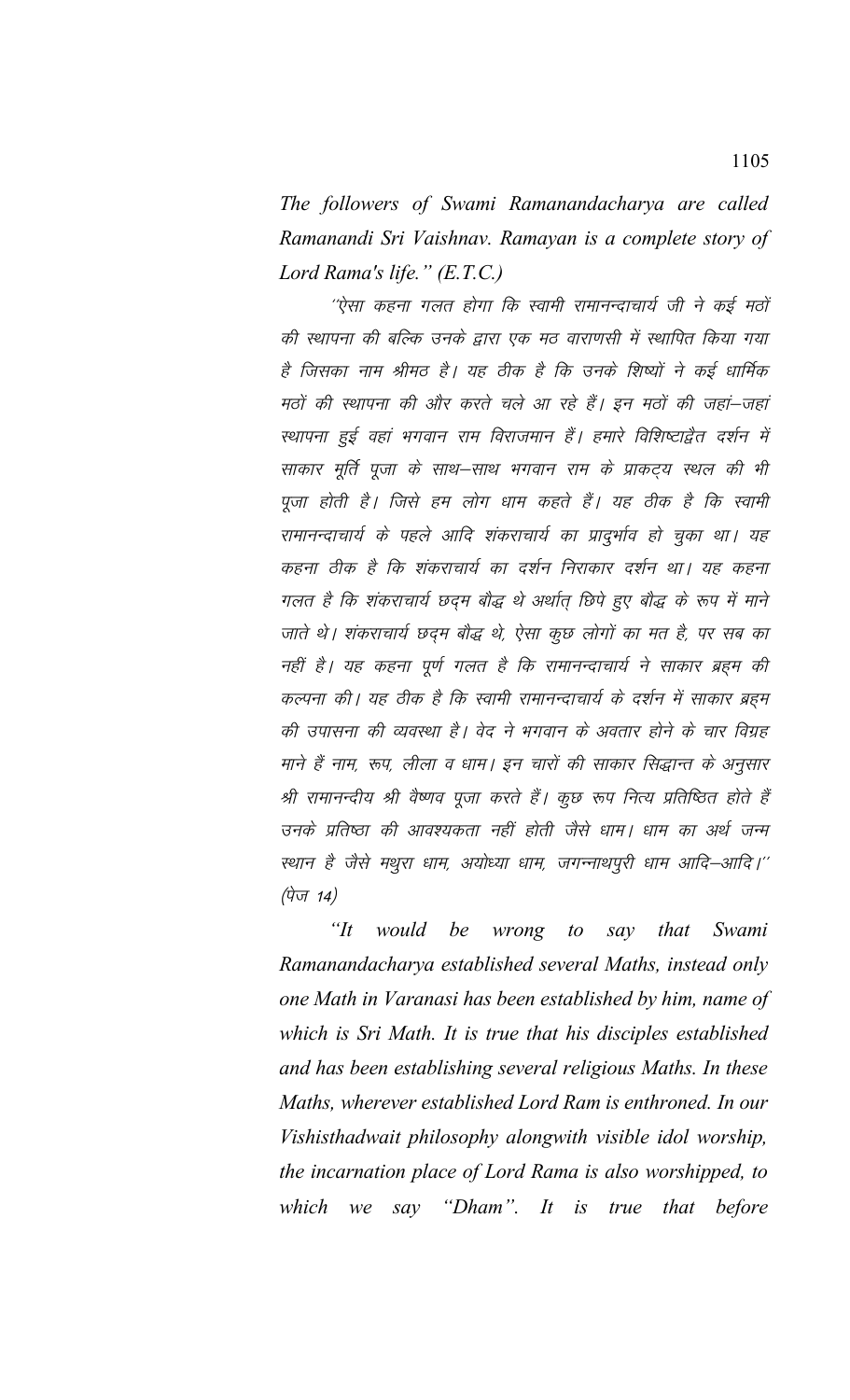The followers of Swami Ramanandacharya are called Ramanandi Sri Vaishnav. Ramayan is a complete story of Lord Rama's life." (E.T.C.)

''ऐसा कहना गलत होगा कि स्वामी रामानन्दाचार्य जी ने कई मठों की स्थापना की बल्कि उनके द्वारा एक मठ वाराणसी में स्थापित किया गया है जिसका नाम श्रीमठ है। यह ठीक है कि उनके शिष्यों ने कई धार्मिक मठों की स्थापना की और करते चले आ रहे हैं। इन मठों की जहां–जहां स्थापना हुई वहां भगवान राम विराजमान हैं। हमारे विशिष्टाद्वैत दर्शन में साकार मूर्ति पूजा के साथ–साथ भगवान राम के प्राकट्य स्थल की भी पूजा होती है। जिसे हम लोग धाम कहते हैं। यह ठीक है कि स्वामी रामानन्दाचार्य के पहले आदि शंकराचार्य का प्रादुर्भाव हो चुका था। यह कहना ठीक है कि शंकराचार्य का दर्शन निराकार दर्शन था। यह कहना गलत है कि शंकराचार्य छदम बौद्ध थे अर्थात् छिपे हुए बौद्ध के रूप में माने जाते थे। शंकराचार्य छद्म बौद्ध थे, ऐसा कुछ लोगों का मत है, पर सब का नहीं है। यह कहना पूर्ण गलत है कि रामानन्दाचार्य ने साकार ब्रहम की कल्पना की। यह ठीक है कि स्वामी रामानन्दाचार्य के दर्शन में साकार ब्रहम की उपासना की व्यवस्था है। वेद ने भगवान के अवतार होने के चार विग्रह माने हैं नाम, रूप, लीला व धाम। इन चारों की साकार सिद्धान्त के अनुसार श्री रामानन्दीय श्री वैष्णव पूजा करते हैं। कूछ रूप नित्य प्रतिष्ठित होते हैं उनके प्रतिष्ठा की आवश्यकता नहीं होती जैसे धाम। धाम का अर्थ जन्म स्थान है जैसे मथुरा धाम, अयोध्या धाम, जगन्नाथपूरी धाम आदि–आदि।'' (पेज 14)

" $It$ would be wrong  $to$ say that Swami Ramanandacharya established several Maths, instead only one Math in Varanasi has been established by him, name of which is Sri Math. It is true that his disciples established and has been establishing several religious Maths. In these Maths, wherever established Lord Ram is enthroned. In our Vishisthadwait philosophy alongwith visible idol worship, the incarnation place of Lord Rama is also worshipped, to we say "Dham". It is true that before which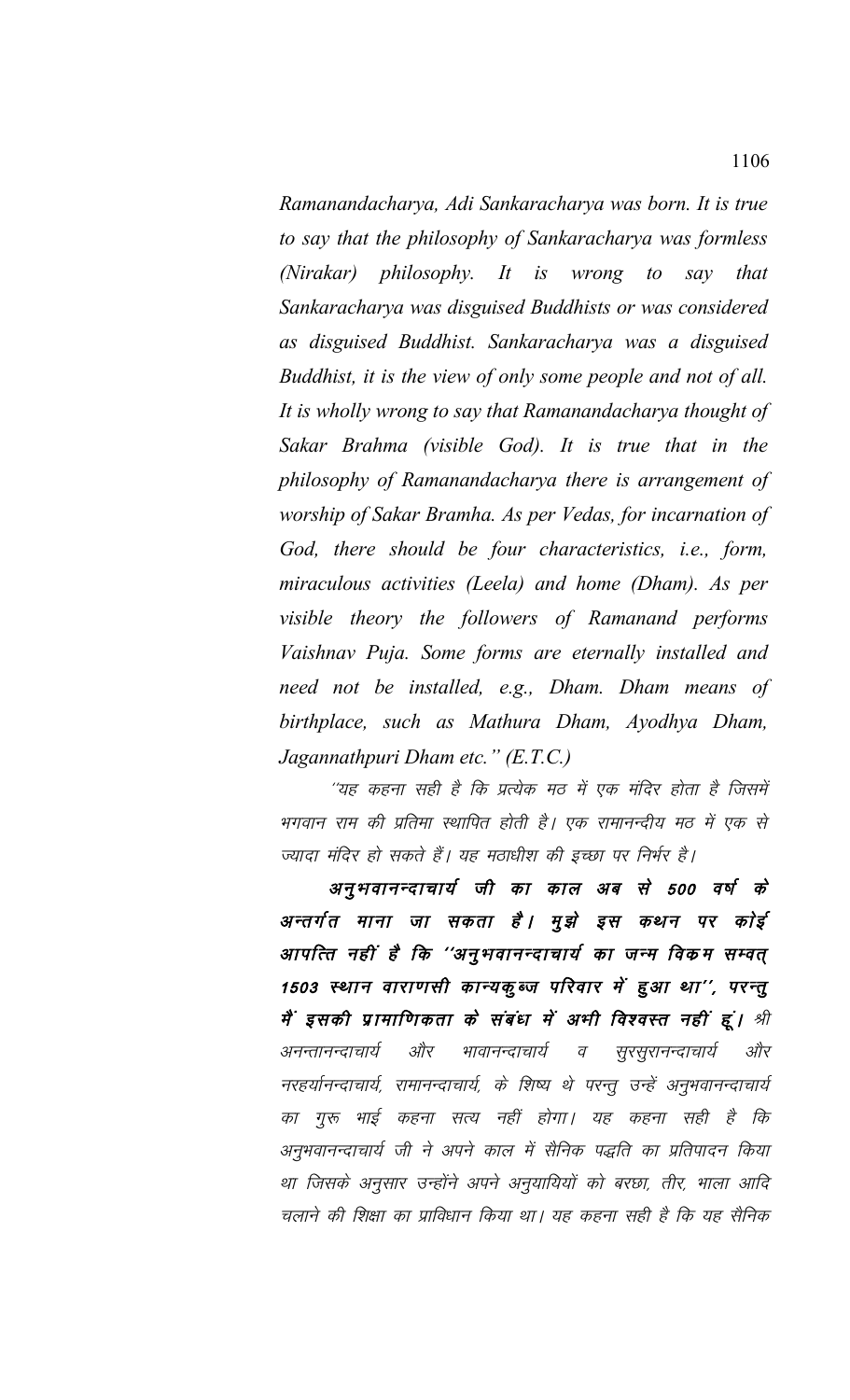*Ramanandacharya, Adi Sankaracharya was born. It is true to say that the philosophy of Sankaracharya was formless (Nirakar) philosophy. It is wrong to say that Sankaracharya was disguised Buddhists or was considered as disguised Buddhist. Sankaracharya was a disguised Buddhist, it is the view of only some people and not of all. It is wholly wrong to say that Ramanandacharya thought of Sakar Brahma (visible God). It is true that in the philosophy of Ramanandacharya there is arrangement of worship of Sakar Bramha. As per Vedas, for incarnation of God, there should be four characteristics, i.e., form, miraculous activities (Leela) and home (Dham). As per visible theory the followers of Ramanand performs Vaishnav Puja. Some forms are eternally installed and need not be installed, e.g., Dham. Dham means of birthplace, such as Mathura Dham, Ayodhya Dham, Jagannathpuri Dham etc." (E.T.C.)*

''यह कहना सही है कि प्रत्येक मठ में एक मंदिर होता है जिसमें भगवान राम की प्रतिमा स्थापित होती है। एक रामानन्दीय मठ में एक से ज्यादा मंदिर हो सकते हैं। यह मठाधीश की इच्छा पर निर्भर है।

अनुभवानन्दाचार्य जी का काल अब से 500 वर्ष के अन्तर्गत माना जा सकता है। मुझे इस कथन पर कोई आपत्ति नहीं है कि ''अनुभवानन्दाचार्य का जन्म विकम सम्वत् 1503 स्थान वाराणसी कान्यकुब्ज परिवार में हुआ था'', परन्तु मैं इसकी प्रामाणिकता के संबंध में अभी विश्वस्त नहीं हूं। श्री अनन्तानन्दाचार्य और भावानन्दाचार्य व सूरसूरानन्दाचार्य और नरहर्यानन्दाचार्य, रामानन्दाचार्य, के शिष्य थे परन्तू उन्हें अनुभवानन्दाचार्य का गुरू भाई कहना सत्य नहीं होगा। यह कहना सही है कि अनुभवानन्दाचार्य जी ने अपने काल में सैनिक पद्धति का प्रतिपादन किया था जिसके अनुसार उन्होंने अपने अनुयायियों को बरछा, तीर, भाला आदि चलाने की शिक्षा का प्राविधान किया था। यह कहना सही है कि यह सैनिक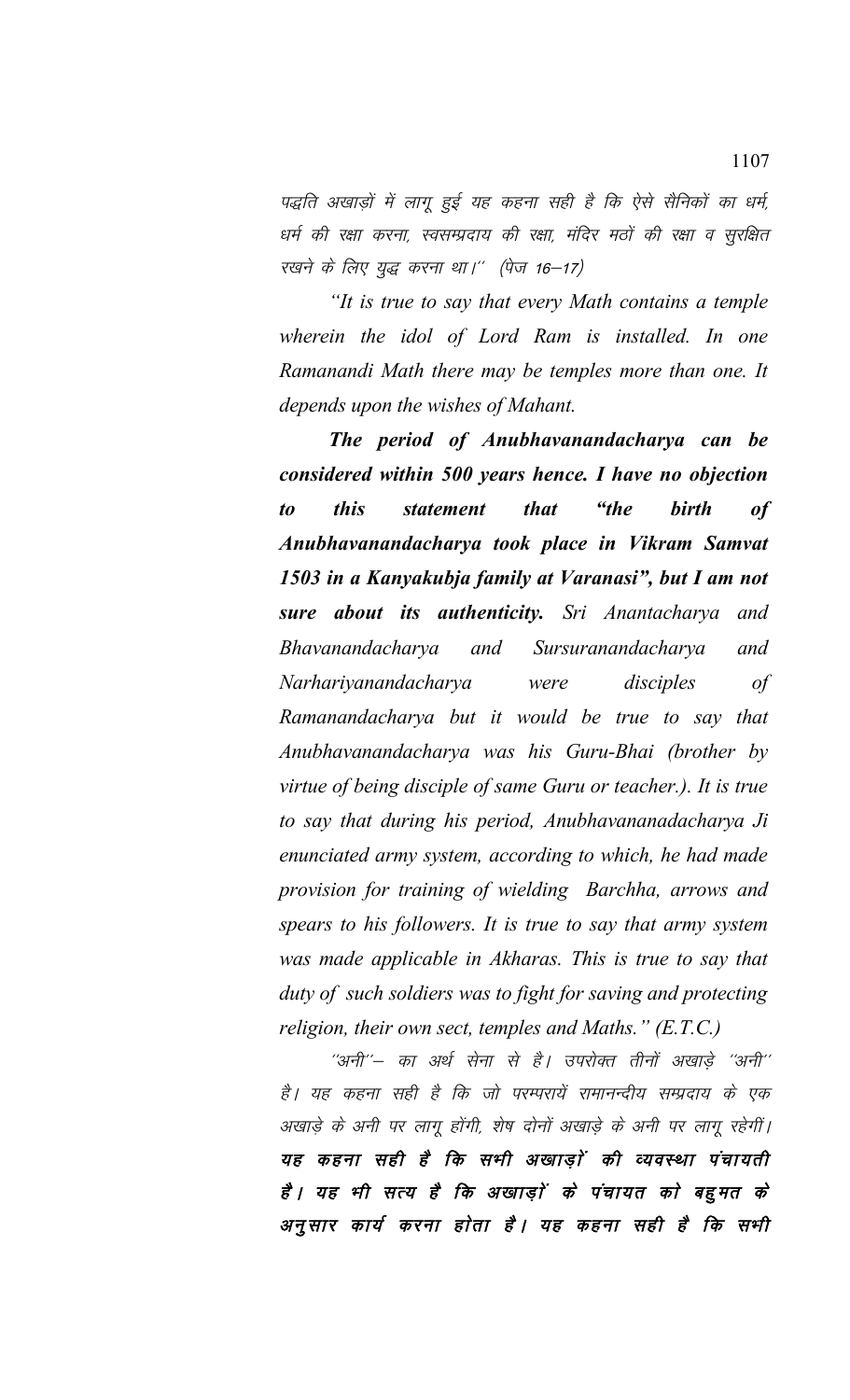पद्धति अखाड़ों में लागू हुई यह कहना सही है कि ऐसे सैनिकों का धर्म, धर्म की रक्षा करना, स्वसम्प्रदाय की रक्षा, मंदिर मठों की रक्षा व सुरक्षित रखने के लिए युद्ध करना था।" (पेज 16-17)

*"It is true to say that every Math contains a temple wherein the idol of Lord Ram is installed. In one Ramanandi Math there may be temples more than one. It depends upon the wishes of Mahant.* 

*The period of Anubhavanandacharya can be considered within 500 years hence. I have no objection to this statement that "the birth of Anubhavanandacharya took place in Vikram Samvat 1503 in a Kanyakubja family at Varanasi", but I am not sure about its authenticity. Sri Anantacharya and Bhavanandacharya and Sursuranandacharya and Narhariyanandacharya were disciples of Ramanandacharya but it would be true to say that Anubhavanandacharya was his Guru-Bhai (brother by virtue of being disciple of same Guru or teacher.). It is true to say that during his period, Anubhavananadacharya Ji enunciated army system, according to which, he had made provision for training of wielding Barchha, arrows and spears to his followers. It is true to say that army system was made applicable in Akharas. This is true to say that duty of such soldiers was to fight for saving and protecting religion, their own sect, temples and Maths." (E.T.C.)*

''अनी''– का अर्थ सेना से है। उपरोक्त तीनों अखाडे ''अनी'' है। यह कहना सही है कि जो परम्परायें रामानन्दीय सम्प्रदाय के एक अखाड़े के अनी पर लागू होंगी, शेष दोनों अखाड़े के अनी पर लागू रहेगीं। यह कहना सही है कि सभी अखाड़ों की व्यवस्था पंचायती है। यह भी सत्य है कि अखाड़ों के पंचायत को बहुमत के अनुसार कार्य करना होता है। यह कहना सही है कि सभी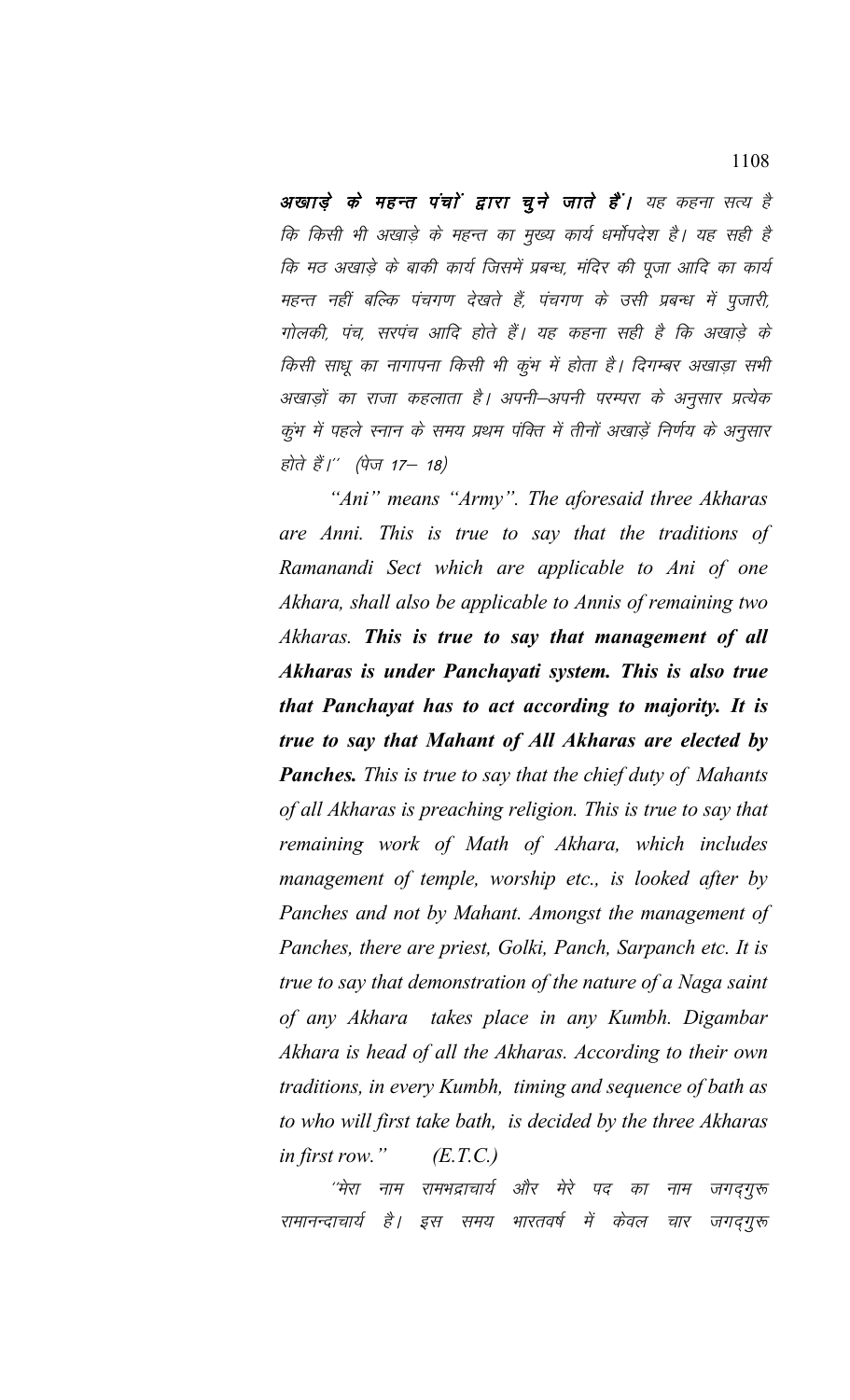अखाड़े के महन्त पंचाें द्वारा चुने जाते हैं। यह कहना सत्य है कि किसी भी अखाड़े के महन्त का मुख्य कार्य धर्मोपदेश है। यह सही है कि मठ अखाड़े के बाकी कार्य जिसमें प्रबन्ध, मंदिर की पूजा आदि का कार्य महन्त नहीं बल्कि पंचगण देखते हैं, पंचगण के उसी प्रबन्ध में पूजारी, गोलकी, पंच, सरपंच आदि होते हैं। यह कहना सही है कि अखाड़े के किसी साधू का नागापना किसी भी कूंभ में होता है। दिगम्बर अखाड़ा सभी अखाड़ों का राजा कहलाता है। अपनी–अपनी परम्परा के अनुसार प्रत्येक कूंभ में पहले स्नान के समय प्रथम पंक्ति में तीनों अखाड़ें निर्णय के अनुसार होते हैं।'' (पेज 17– 18)

*"Ani" means "Army". The aforesaid three Akharas are Anni. This is true to say that the traditions of Ramanandi Sect which are applicable to Ani of one Akhara, shall also be applicable to Annis of remaining two Akharas. This is true to say that management of all Akharas is under Panchayati system. This is also true that Panchayat has to act according to majority. It is true to say that Mahant of All Akharas are elected by Panches. This is true to say that the chief duty of Mahants of all Akharas is preaching religion. This is true to say that remaining work of Math of Akhara, which includes management of temple, worship etc., is looked after by Panches and not by Mahant. Amongst the management of Panches, there are priest, Golki, Panch, Sarpanch etc. It is true to say that demonstration of the nature of a Naga saint of any Akhara takes place in any Kumbh. Digambar Akhara is head of all the Akharas. According to their own traditions, in every Kumbh, timing and sequence of bath as to who will first take bath, is decided by the three Akharas in first row." (E.T.C.)*

<sup>''मेरा</sup> नाम रामभद्राचार्य और मेरे पद का नाम जगद्गुरू रामानन्दाचार्य है। इस समय भारतवर्ष में केवल चार जगद्गुरू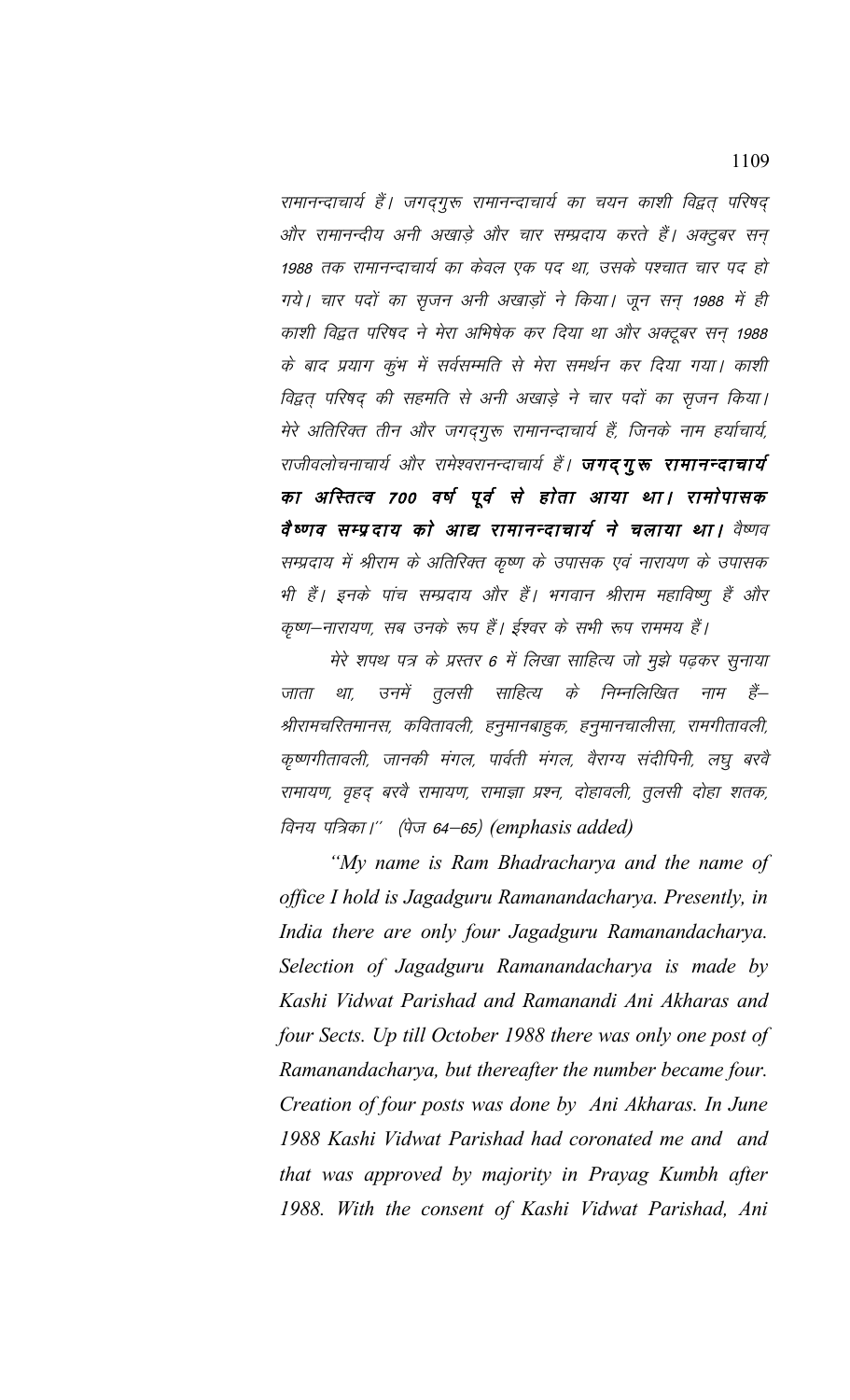रामानन्दाचार्य हैं। जगदगुरू रामानन्दाचार्य का चयन काशी विद्वत् परिषद् और रामानन्दीय अनी अखाड़े और चार सम्प्रदाय करते हैं। अक्टुबर सन् 1988 तक रामानन्दाचार्य का केवल एक पद था, उसके पश्चात चार पद हो गये। चार पदों का सृजन अनी अखाड़ों ने किया। जून सन 1988 में ही काशी विद्वत परिषद ने मेरा अभिषेक कर दिया था और अक्टूबर सन् 1988 के बाद प्रयाग कुंभ में सर्वसम्मति से मेरा समर्थन कर दिया गया। काशी विद्वत् परिषद् की सहमति से अनी अखाड़े ने चार पदों का सृजन किया। मेरे अतिरिक्त तीन और जगदगुरू रामानन्दाचार्य हैं, जिनके नाम हर्याचार्य, राजीवलोचनाचार्य और रामेश्वरानन्दाचार्य हैं। **जगद् गुरू रामानन्दाचार्य** का अस्तित्व 700 वर्ष पूर्व से होता आया था। रामोपासक वैष्णव सम्प्रदाय को आद्य रामानन्दाचार्य ने चलाया था। वैष्णव सम्प्रदाय में श्रीराम के अतिरिक्त कृष्ण के उपासक एवं नारायण के उपासक भी हैं। इनके पांच सम्प्रदाय और हैं। भगवान श्रीराम महाविष्णु हैं और कृष्ण–नारायण, सब उनके रूप हैं। ईश्वर के सभी रूप राममय हैं।

मेरे शपथ पत्र के प्रस्तर 6 में लिखा साहित्य जो मूझे पढ़कर सूनाया जाता था, उनमें तुलसी साहित्य के निम्नलिखित नाम हैं— श्रीरामचरितमानस, कवितावली, हनुमानबाहुक, हनुमानचालीसा, रामगीतावली, कृष्णगीतावली, जानकी मंगल, पार्वती मंगल, वैराग्य संदीपिनी, लघु बरवै रामायण, वृहद् बरवै रामायण, रामाज्ञा प्रश्न, दोहावली, तुलसी दोहा शतक, विनय पत्रिका।'' (पेज 64–65) (emphasis added)

*"My name is Ram Bhadracharya and the name of office I hold is Jagadguru Ramanandacharya. Presently, in India there are only four Jagadguru Ramanandacharya. Selection of Jagadguru Ramanandacharya is made by Kashi Vidwat Parishad and Ramanandi Ani Akharas and four Sects. Up till October 1988 there was only one post of Ramanandacharya, but thereafter the number became four. Creation of four posts was done by Ani Akharas. In June 1988 Kashi Vidwat Parishad had coronated me and and that was approved by majority in Prayag Kumbh after 1988. With the consent of Kashi Vidwat Parishad, Ani*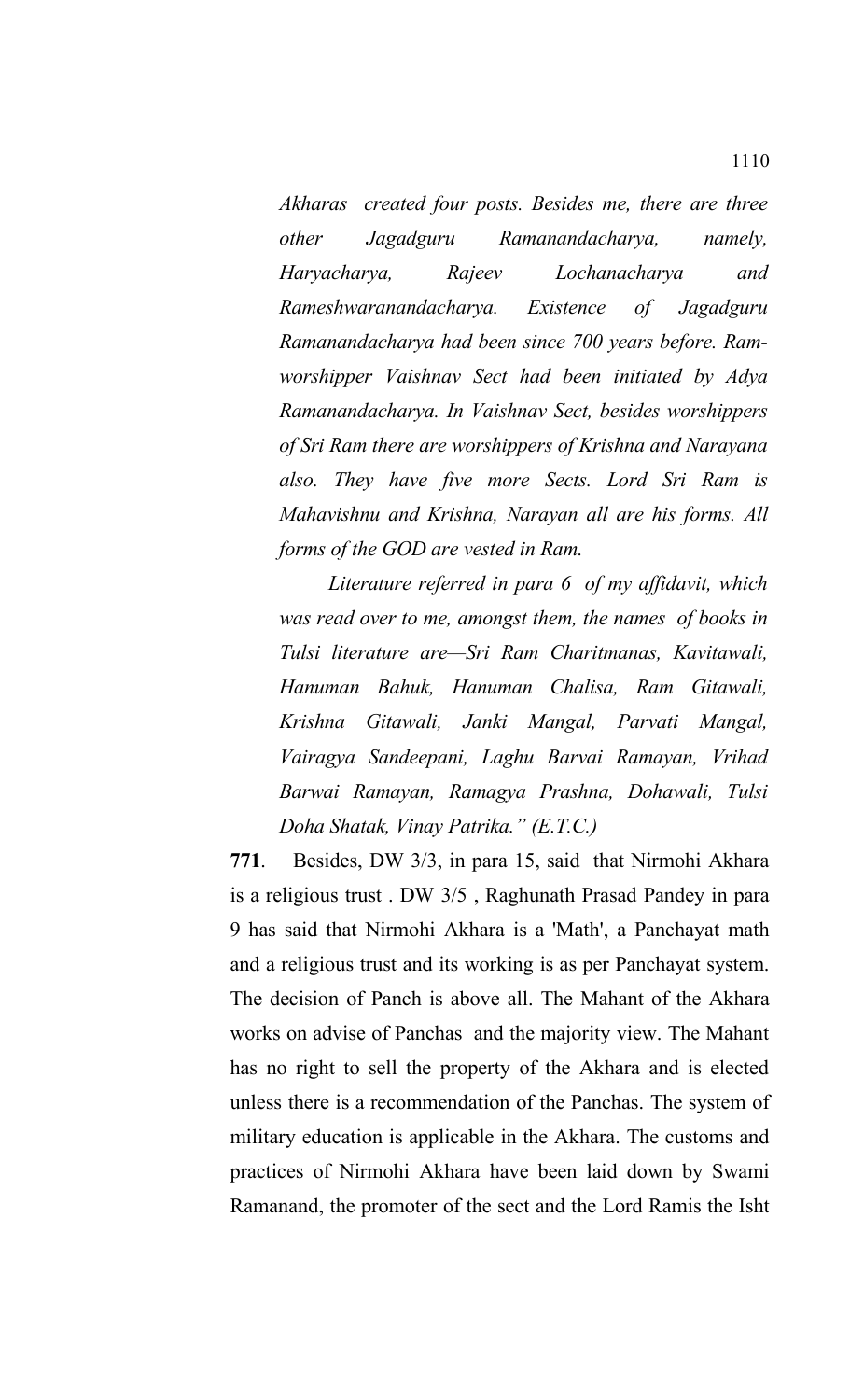*Akharas created four posts. Besides me, there are three other Jagadguru Ramanandacharya, namely, Haryacharya, Rajeev Lochanacharya and Rameshwaranandacharya. Existence of Jagadguru Ramanandacharya had been since 700 years before. Ramworshipper Vaishnav Sect had been initiated by Adya Ramanandacharya. In Vaishnav Sect, besides worshippers of Sri Ram there are worshippers of Krishna and Narayana also. They have five more Sects. Lord Sri Ram is Mahavishnu and Krishna, Narayan all are his forms. All forms of the GOD are vested in Ram.* 

*Literature referred in para 6 of my affidavit, which was read over to me, amongst them, the names of books in Tulsi literature are—Sri Ram Charitmanas, Kavitawali, Hanuman Bahuk, Hanuman Chalisa, Ram Gitawali, Krishna Gitawali, Janki Mangal, Parvati Mangal, Vairagya Sandeepani, Laghu Barvai Ramayan, Vrihad Barwai Ramayan, Ramagya Prashna, Dohawali, Tulsi Doha Shatak, Vinay Patrika." (E.T.C.)*

**771**. Besides, DW 3/3, in para 15, said that Nirmohi Akhara is a religious trust . DW 3/5 , Raghunath Prasad Pandey in para 9 has said that Nirmohi Akhara is a 'Math', a Panchayat math and a religious trust and its working is as per Panchayat system. The decision of Panch is above all. The Mahant of the Akhara works on advise of Panchas and the majority view. The Mahant has no right to sell the property of the Akhara and is elected unless there is a recommendation of the Panchas. The system of military education is applicable in the Akhara. The customs and practices of Nirmohi Akhara have been laid down by Swami Ramanand, the promoter of the sect and the Lord Ramis the Isht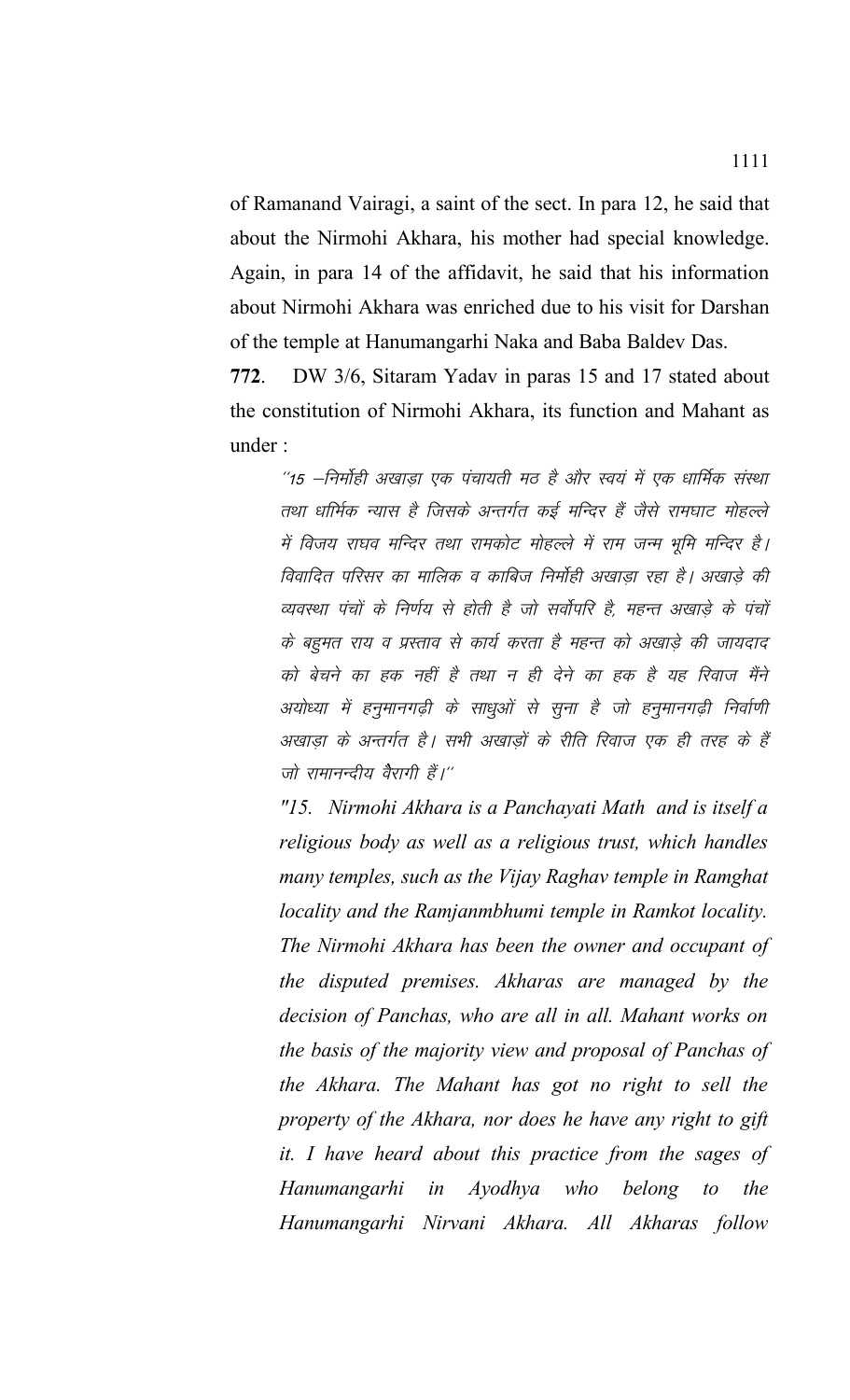of Ramanand Vairagi, a saint of the sect. In para 12, he said that about the Nirmohi Akhara, his mother had special knowledge. Again, in para 14 of the affidavit, he said that his information about Nirmohi Akhara was enriched due to his visit for Darshan of the temple at Hanumangarhi Naka and Baba Baldev Das.

**772**. DW 3/6, Sitaram Yadav in paras 15 and 17 stated about the constitution of Nirmohi Akhara, its function and Mahant as under :

 $^{\prime\prime}$ 15  $-$ निर्माही अखाड़ा एक पंचायती मठ है और स्वयं में एक धार्मिक संस्था तथा धार्मिक न्यास है जिसके अन्तर्गत कई मन्दिर हैं जैसे रामघाट मोहल्ले में विजय राघव मन्दिर तथा रामकोट मोहल्ले में राम जन्म भूमि मन्दिर है। विवादित परिसर का मालिक व काबिज निर्मोही अखाडा रहा है। अखाडे की व्यवस्था पंचों के निर्णय से होती है जो सर्वोपरि है, महन्त अखाडे के पंचों के बहुमत राय व प्रस्ताव से कार्य करता है महन्त को अखाड़े की जायदाद को बेचने का हक नहीं है तथा न ही देने का हक है यह रिवाज मैंने अयोध्या में हनुमानगढ़ी के साधुओं से सूना है जो हनुमानगढ़ी निर्वाणी अखाड़ा के अन्तर्गत है। सभी अखाड़ों के रीति रिवाज एक ही तरह के हैं जो रामानन्दीय वैरागी हैं।"

*"15. Nirmohi Akhara is a Panchayati Math and is itself a religious body as well as a religious trust, which handles many temples, such as the Vijay Raghav temple in Ramghat locality and the Ramjanmbhumi temple in Ramkot locality. The Nirmohi Akhara has been the owner and occupant of the disputed premises. Akharas are managed by the decision of Panchas, who are all in all. Mahant works on the basis of the majority view and proposal of Panchas of the Akhara. The Mahant has got no right to sell the property of the Akhara, nor does he have any right to gift it. I have heard about this practice from the sages of Hanumangarhi in Ayodhya who belong to the Hanumangarhi Nirvani Akhara. All Akharas follow*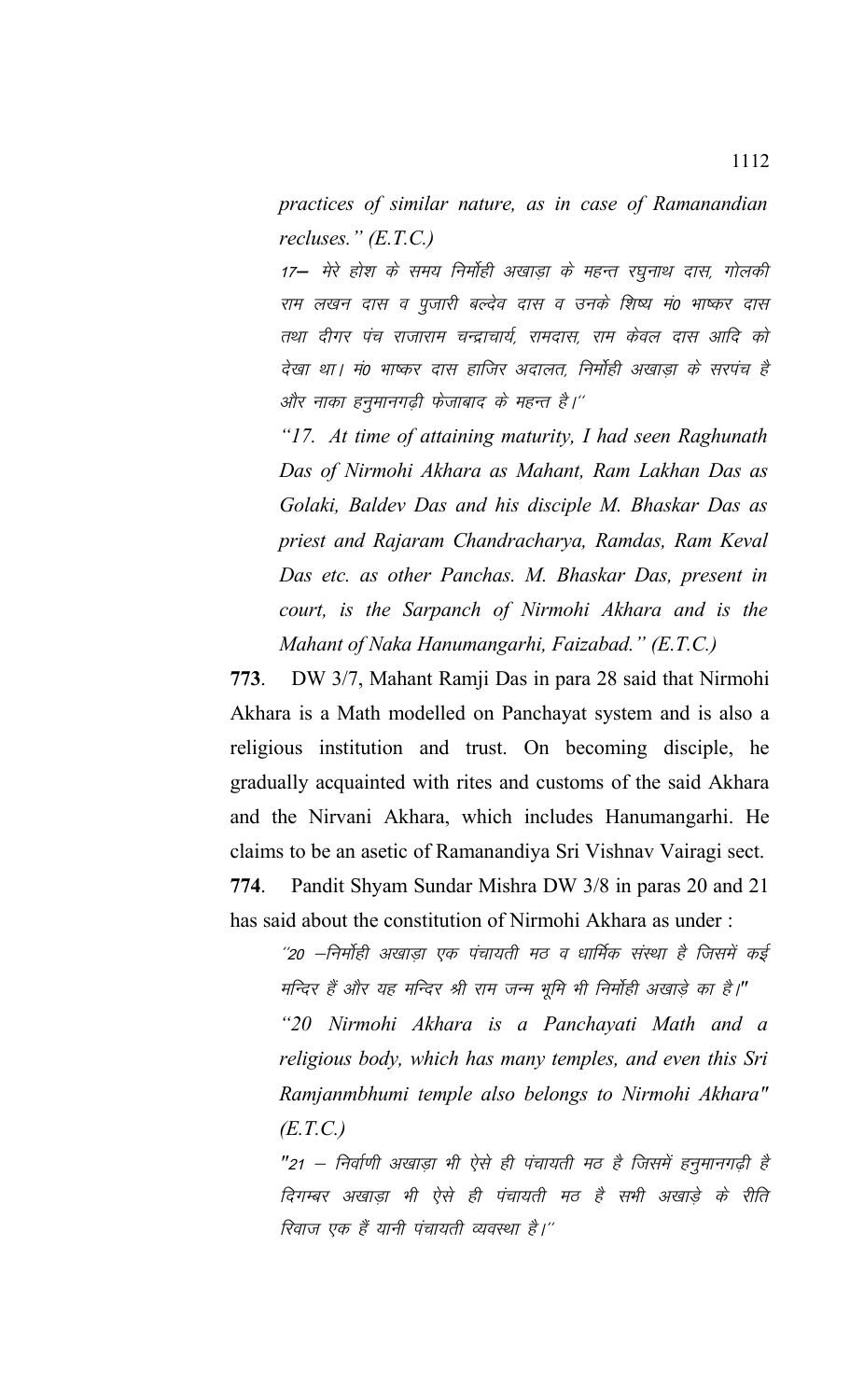*practices of similar nature, as in case of Ramanandian recluses." (E.T.C.)*

17— मेरे होश के समय निर्मोही अखाडा के महन्त रघनाथ दास, गोलकी राम लखन दास व पुजारी बल्देव दास व उनके शिष्य मं0 भाष्कर दास तथा दीगर पंच राजाराम चन्द्राचार्य, रामदास, राम केवल दास आदि को देखा था। मं0 भाष्कर दास हाजिर अदालत, निर्मोही अखाडा के सरपंच है और नाका हनुमानगढ़ी फेजाबाद के महन्त है।''

*"17. At time of attaining maturity, I had seen Raghunath Das of Nirmohi Akhara as Mahant, Ram Lakhan Das as Golaki, Baldev Das and his disciple M. Bhaskar Das as priest and Rajaram Chandracharya, Ramdas, Ram Keval Das etc. as other Panchas. M. Bhaskar Das, present in court, is the Sarpanch of Nirmohi Akhara and is the Mahant of Naka Hanumangarhi, Faizabad." (E.T.C.)*

**773**. DW 3/7, Mahant Ramji Das in para 28 said that Nirmohi Akhara is a Math modelled on Panchayat system and is also a religious institution and trust. On becoming disciple, he gradually acquainted with rites and customs of the said Akhara and the Nirvani Akhara, which includes Hanumangarhi. He claims to be an asetic of Ramanandiya Sri Vishnav Vairagi sect. **774**. Pandit Shyam Sundar Mishra DW 3/8 in paras 20 and 21 has said about the constitution of Nirmohi Akhara as under:

''20 –निर्मोही अखाड़ा एक पंचायती मठ व धार्मिक संस्था है जिसमें कई मन्दिर हैं और यह मन्दिर श्री राम जन्म भूमि भी निर्माही अखाड़े का है।" *"20 Nirmohi Akhara is a Panchayati Math and a religious body, which has many temples, and even this Sri Ramjanmbhumi temple also belongs to Nirmohi Akhara" (E.T.C.)*

"21 – निर्वाणी अखाड़ा भी ऐसे ही पंचायती मठ है जिसमें हनुमानगढ़ी है दिगम्बर अखाडा भी ऐसे ही पंचायती मठ है सभी अखाड़े के रीति रिवाज एक हैं यानी पंचायती व्यवस्था है।''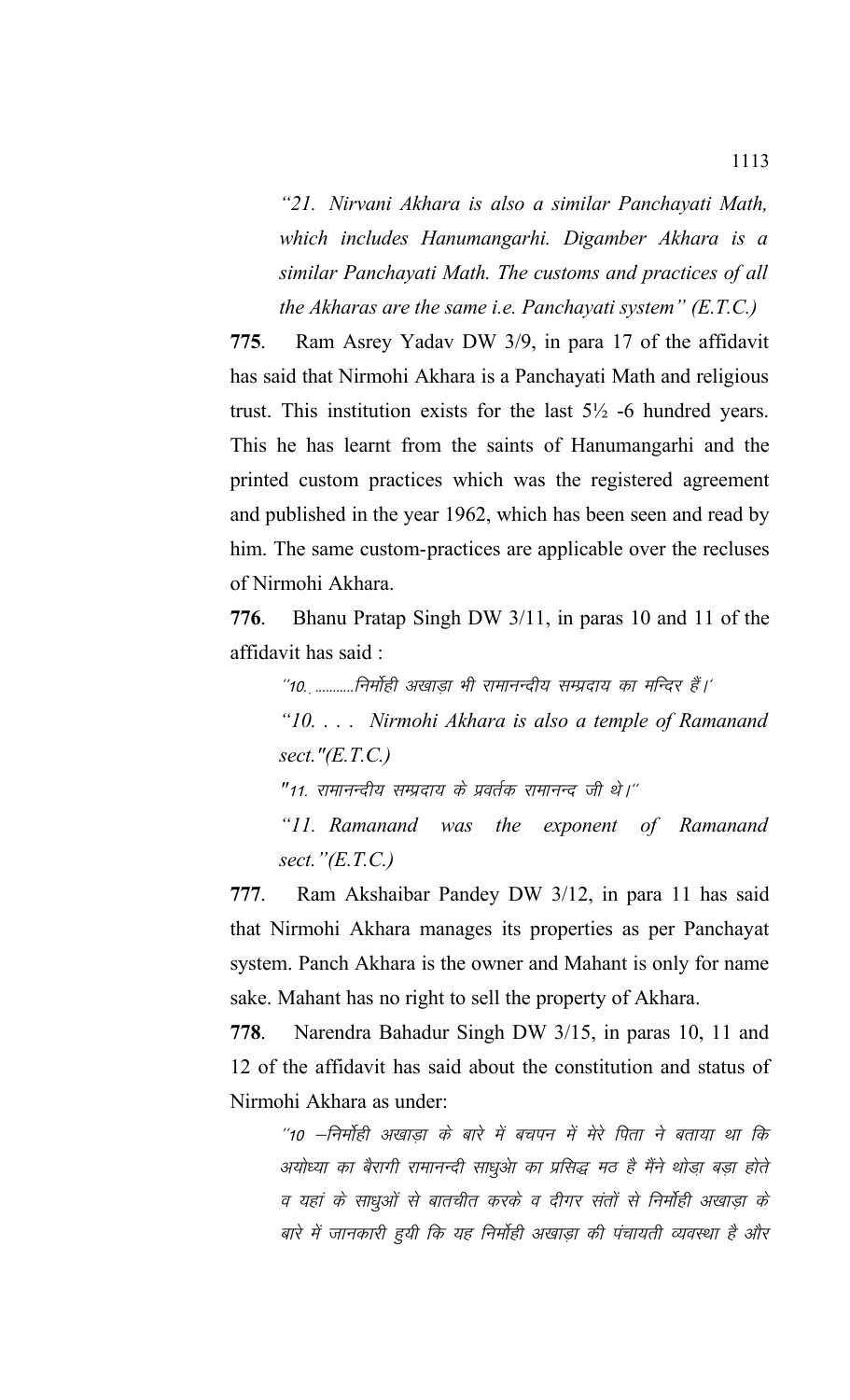*"21. Nirvani Akhara is also a similar Panchayati Math, which includes Hanumangarhi. Digamber Akhara is a similar Panchayati Math. The customs and practices of all the Akharas are the same i.e. Panchayati system" (E.T.C.)*

**775**. Ram Asrey Yadav DW 3/9, in para 17 of the affidavit has said that Nirmohi Akhara is a Panchayati Math and religious trust. This institution exists for the last 5½ -6 hundred years. This he has learnt from the saints of Hanumangarhi and the printed custom practices which was the registered agreement and published in the year 1962, which has been seen and read by him. The same custom-practices are applicable over the recluses of Nirmohi Akhara.

**776**. Bhanu Pratap Singh DW 3/11, in paras 10 and 11 of the affidavit has said :

"10. ...........निर्मोही अखाड़ा भी रामानन्दीय सम्प्रदाय का मन्दिर हैं।'

*"10. . . . Nirmohi Akhara is also a temple of Ramanand sect."(E.T.C.)*

"11. रामानन्दीय सम्प्रदाय के प्रवर्तक रामानन्द जी थे।''

*"11. Ramanand was the exponent of Ramanand sect."(E.T.C.)*

**777**. Ram Akshaibar Pandey DW 3/12, in para 11 has said that Nirmohi Akhara manages its properties as per Panchayat system. Panch Akhara is the owner and Mahant is only for name sake. Mahant has no right to sell the property of Akhara.

**778**. Narendra Bahadur Singh DW 3/15, in paras 10, 11 and 12 of the affidavit has said about the constitution and status of Nirmohi Akhara as under:

''10 –निर्मोही अखाडा के बारे में बचपन में मेरे पिता ने बताया था कि अयोध्या का बैरागी रामानन्दी साधुओ का प्रसिद्ध मठ है मैंने थोड़ा बड़ा होते व यहां के साधुओं से बातचीत करके व दीगर संतों से निर्मोही अखाड़ा के बारे में जानकारी हुयी कि यह निर्मोही अखाड़ा की पंचायती व्यवस्था है और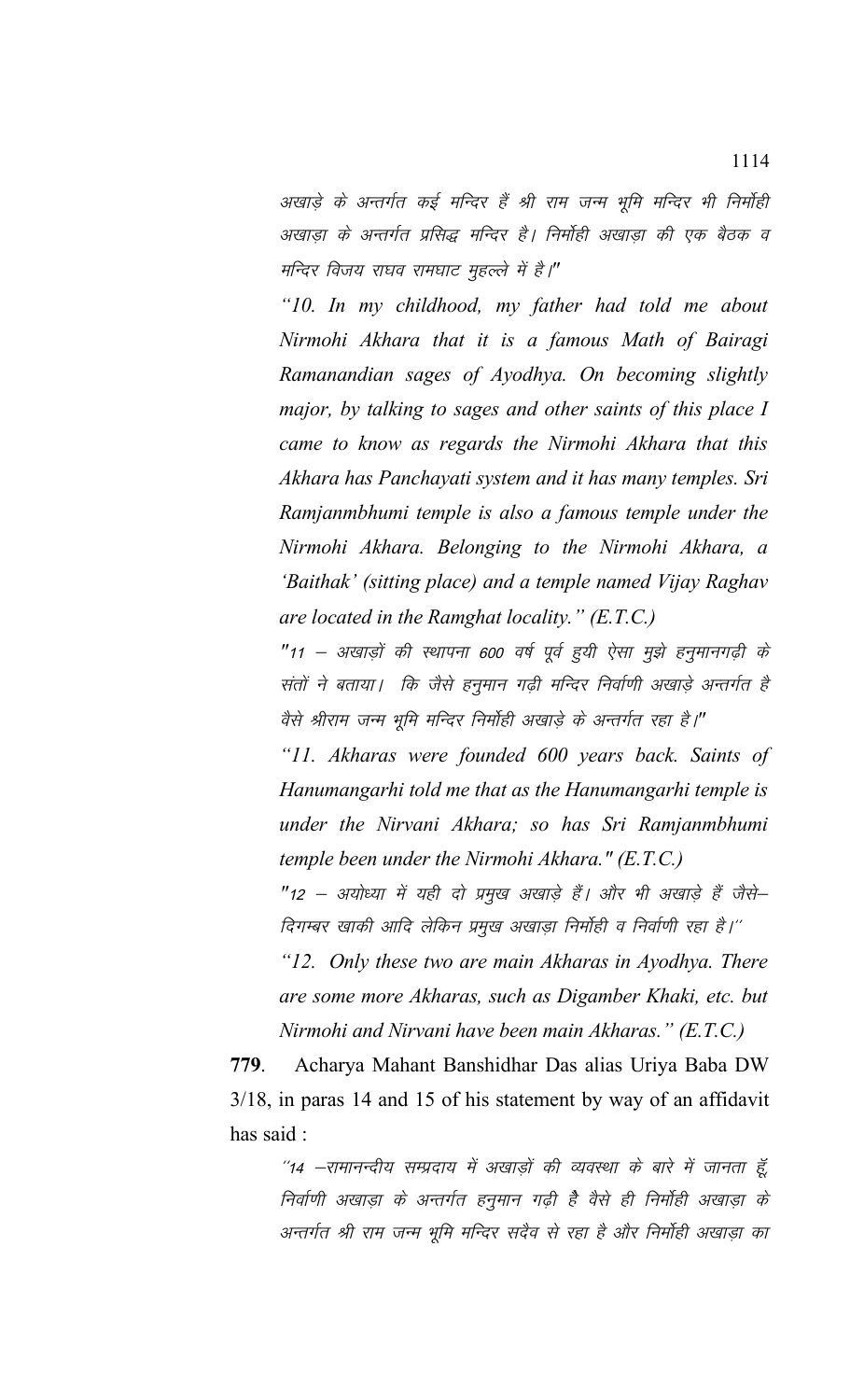अखाड़े के अन्तर्गत कई मन्दिर हैं श्री राम जन्म भूमि मन्दिर भी निर्मोही अखाडा के अन्तर्गत प्रसिद्ध मन्दिर है। निर्मोही अखाडा की एक बैठक व मन्दिर विजय राघव रामघाट मुहल्ले में है।"

*"10. In my childhood, my father had told me about Nirmohi Akhara that it is a famous Math of Bairagi Ramanandian sages of Ayodhya. On becoming slightly major, by talking to sages and other saints of this place I came to know as regards the Nirmohi Akhara that this Akhara has Panchayati system and it has many temples. Sri Ramjanmbhumi temple is also a famous temple under the Nirmohi Akhara. Belonging to the Nirmohi Akhara, a 'Baithak' (sitting place) and a temple named Vijay Raghav are located in the Ramghat locality." (E.T.C.)*

"11 – अखाड़ों की स्थापना 600 वर्ष पूर्व हूयी ऐसा मूझे हनूमानगढ़ी के संतों ने बताया। कि जैसे हनुमान गढ़ी मन्दिर निर्वाणी अखाड़े अन्तर्गत है वैसे श्रीराम जन्म भूमि मन्दिर निर्मोही अखाड़े के अन्तर्गत रहा है।"

*"11. Akharas were founded 600 years back. Saints of Hanumangarhi told me that as the Hanumangarhi temple is under the Nirvani Akhara; so has Sri Ramjanmbhumi temple been under the Nirmohi Akhara." (E.T.C.)*

"12 – अयोध्या में यही दो प्रमुख अखाड़े हैं। और भी अखाड़े हैं जैसे– दिगम्बर खाकी आदि लेकिन प्रमुख अखाड़ा निर्मोही व निर्वाणी रहा है।''

*"12. Only these two are main Akharas in Ayodhya. There are some more Akharas, such as Digamber Khaki, etc. but Nirmohi and Nirvani have been main Akharas." (E.T.C.)*

**779**. Acharya Mahant Banshidhar Das alias Uriya Baba DW 3/18, in paras 14 and 15 of his statement by way of an affidavit has said :

"14 –रामानन्दीय सम्प्रदाय में अखाड़ों की व्यवस्था के बारे में जानता हूँ, निर्वाणी अखाड़ा के अन्तर्गत हनुमान गढ़ी है वैसे ही निर्मोही अखाड़ा के अन्तर्गत श्री राम जन्म भूमि मन्दिर सदैव से रहा है और निर्मोही अखाड़ा का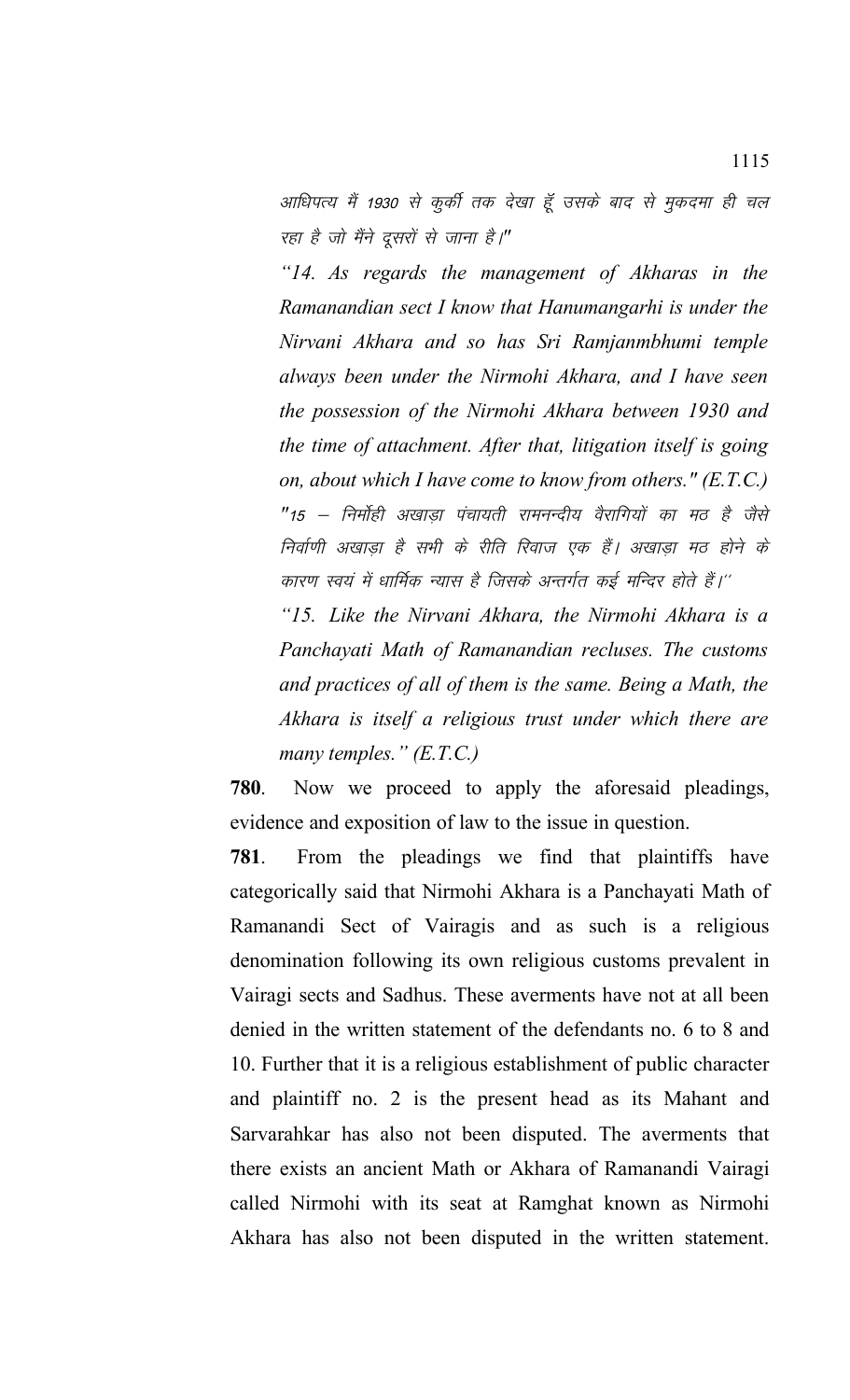आधिपत्य मैं 1930 से कुर्की तक देखा हूँ उसके बाद से मुकदमा ही चल रहा है जो मैंने दूसरों से जाना है।"

*"14. As regards the management of Akharas in the Ramanandian sect I know that Hanumangarhi is under the Nirvani Akhara and so has Sri Ramjanmbhumi temple always been under the Nirmohi Akhara, and I have seen the possession of the Nirmohi Akhara between 1930 and the time of attachment. After that, litigation itself is going on, about which I have come to know from others." (E.T.C.)* "15 – निर्माही अखाड़ा पंचायती रामनन्दीय वैरागियों का मठ है जैसे निर्वाणी अखाड़ा है सभी के रीति रिवाज एक हैं। अखाड़ा मठ होने के कारण स्वयं में धार्मिक न्यास है जिसके अन्तर्गत कई मन्दिर होते हैं।''

*"15. Like the Nirvani Akhara, the Nirmohi Akhara is a Panchayati Math of Ramanandian recluses. The customs and practices of all of them is the same. Being a Math, the Akhara is itself a religious trust under which there are many temples." (E.T.C.)*

**780**. Now we proceed to apply the aforesaid pleadings, evidence and exposition of law to the issue in question.

**781**. From the pleadings we find that plaintiffs have categorically said that Nirmohi Akhara is a Panchayati Math of Ramanandi Sect of Vairagis and as such is a religious denomination following its own religious customs prevalent in Vairagi sects and Sadhus. These averments have not at all been denied in the written statement of the defendants no. 6 to 8 and 10. Further that it is a religious establishment of public character and plaintiff no. 2 is the present head as its Mahant and Sarvarahkar has also not been disputed. The averments that there exists an ancient Math or Akhara of Ramanandi Vairagi called Nirmohi with its seat at Ramghat known as Nirmohi Akhara has also not been disputed in the written statement.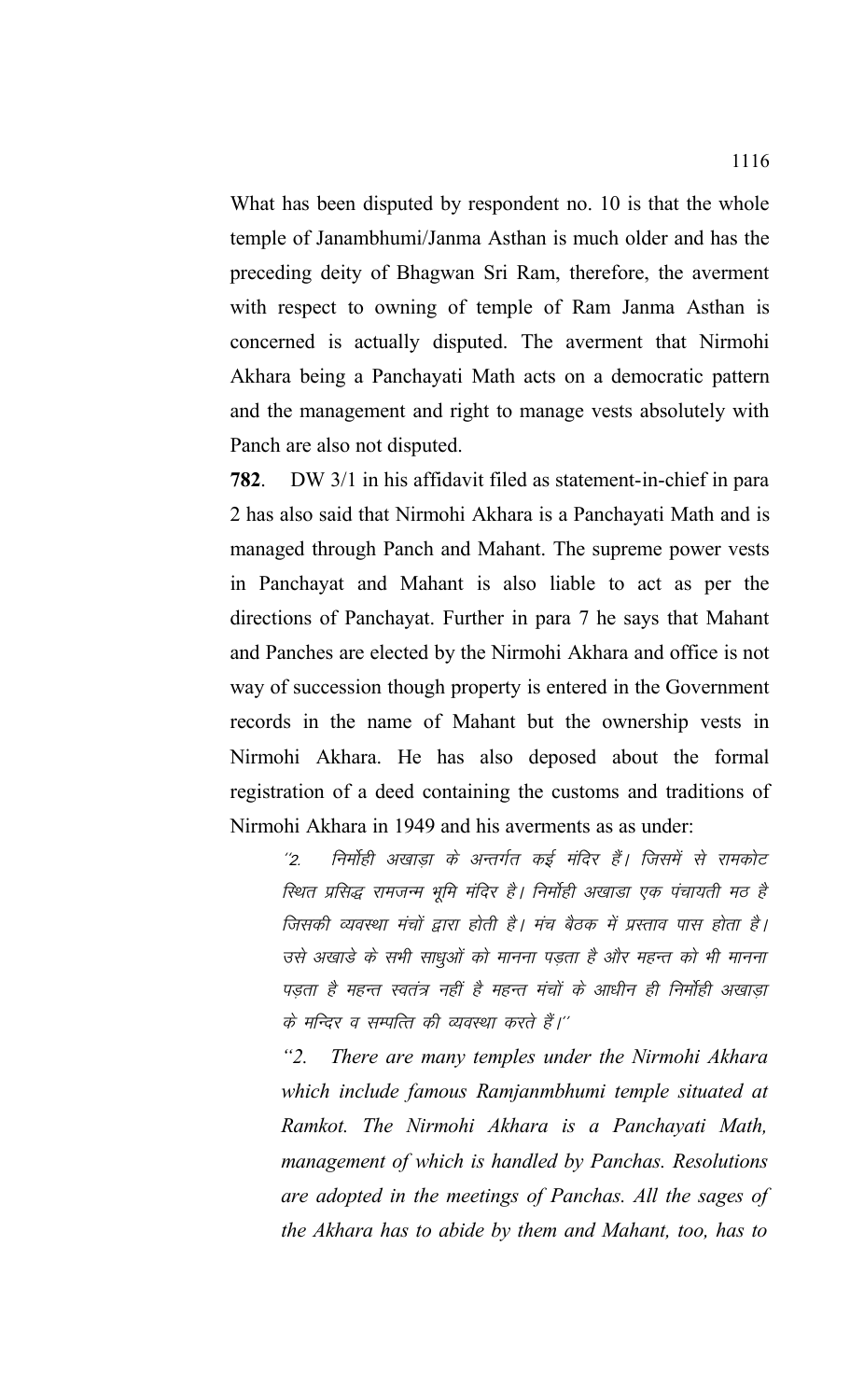What has been disputed by respondent no. 10 is that the whole temple of Janambhumi/Janma Asthan is much older and has the preceding deity of Bhagwan Sri Ram, therefore, the averment with respect to owning of temple of Ram Janma Asthan is concerned is actually disputed. The averment that Nirmohi Akhara being a Panchayati Math acts on a democratic pattern and the management and right to manage vests absolutely with Panch are also not disputed.

**782**. DW 3/1 in his affidavit filed as statement-in-chief in para 2 has also said that Nirmohi Akhara is a Panchayati Math and is managed through Panch and Mahant. The supreme power vests in Panchayat and Mahant is also liable to act as per the directions of Panchayat. Further in para 7 he says that Mahant and Panches are elected by the Nirmohi Akhara and office is not way of succession though property is entered in the Government records in the name of Mahant but the ownership vests in Nirmohi Akhara. He has also deposed about the formal registration of a deed containing the customs and traditions of Nirmohi Akhara in 1949 and his averments as as under:

''2. निर्मोही अखाड़ा के अन्तर्गत कई मंदिर हैं। जिसमें से रामकोट *रि*थत प्रसिद्ध रामजन्म भूमि मंदिर है। निर्मोही अखाडा एक पंचायती मठ है जिसकी व्यवस्था मंचों द्वारा होती है। मंच बैठक में प्रस्ताव पास होता है। उसे अखाड़े के सभी साधुओं को मानना पड़ता है और महन्त को भी मानना पड़ता है महन्त स्वतंत्र नहीं है महन्त मंचों के आधीन ही निर्मोही अखाड़ा के मन्दिर व सम्पत्ति की व्यवस्था करते हैं।''

*"2. There are many temples under the Nirmohi Akhara which include famous Ramjanmbhumi temple situated at Ramkot. The Nirmohi Akhara is a Panchayati Math, management of which is handled by Panchas. Resolutions are adopted in the meetings of Panchas. All the sages of the Akhara has to abide by them and Mahant, too, has to*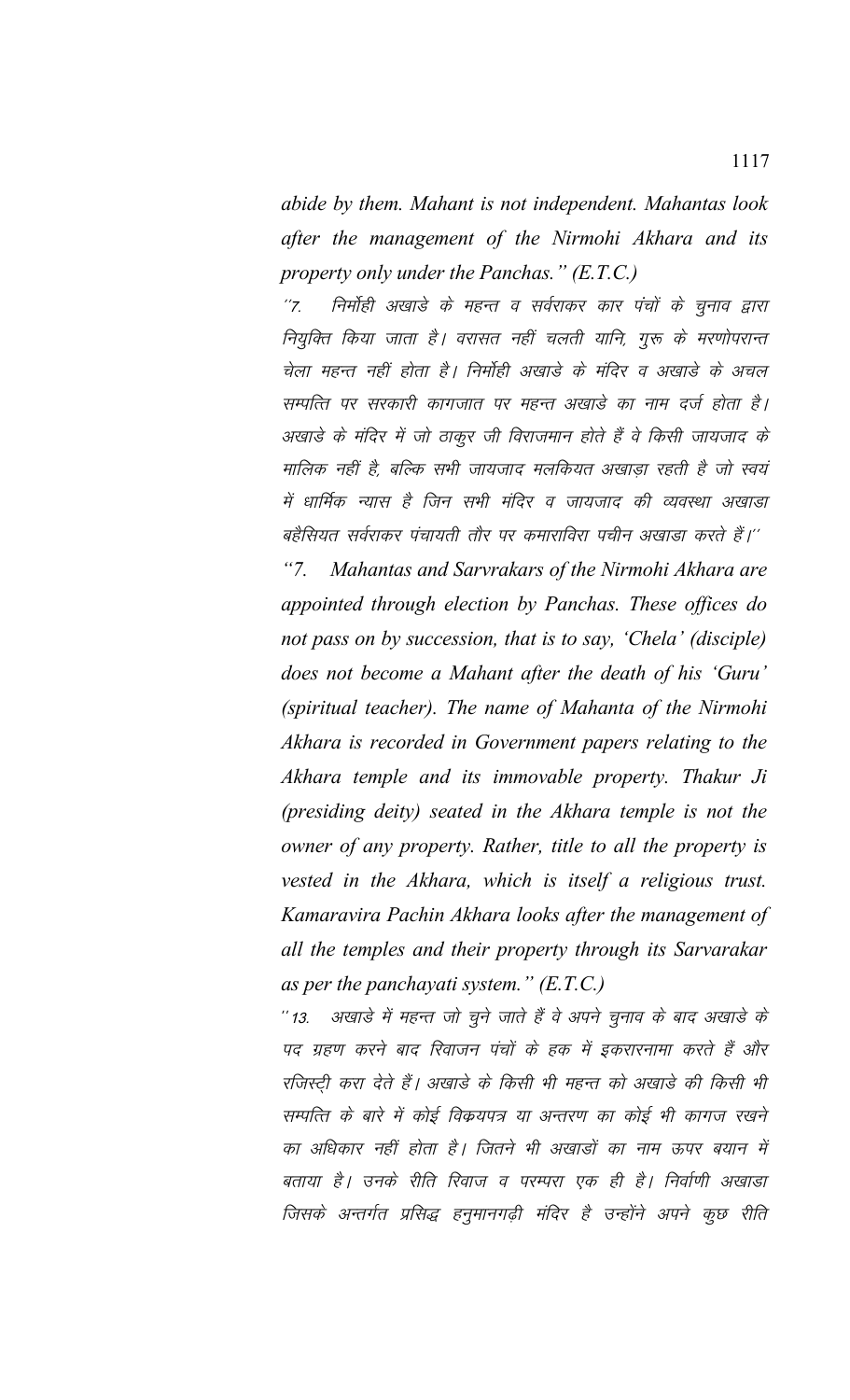*abide by them. Mahant is not independent. Mahantas look after the management of the Nirmohi Akhara and its property only under the Panchas." (E.T.C.)*

"7. निर्मोही अखाडे के महन्त व सर्वराकर कार पंचों के चुनाव द्वारा नियुक्ति किया जाता है। वरासत नहीं चलती यानि, गुरू के मरणोपरान्त चेला महन्त नहीं होता है। निर्मोही अखाड़े के मंदिर व अखाड़े के अचल सम्पत्ति पर सरकारी कागजात पर महन्त अखाडे का नाम दर्ज होता है। अखाड़े के मंदिर में जो ठाकूर जी विराजमान होते हैं वे किसी जायजाद के मालिक नहीं है, बल्कि सभी जायजाद मलकियत अखाडा रहती है जो स्वयं में धार्मिक न्यास है जिन सभी मंदिर व जायजाद की व्यवस्था अखाडा बहैसियत सर्वराकर पंचायती तौर पर कमाराविरा पचीन अखाडा करते हैं।''

*"7. Mahantas and Sarvrakars of the Nirmohi Akhara are appointed through election by Panchas. These offices do not pass on by succession, that is to say, 'Chela' (disciple) does not become a Mahant after the death of his 'Guru' (spiritual teacher). The name of Mahanta of the Nirmohi Akhara is recorded in Government papers relating to the Akhara temple and its immovable property. Thakur Ji (presiding deity) seated in the Akhara temple is not the owner of any property. Rather, title to all the property is vested in the Akhara, which is itself a religious trust. Kamaravira Pachin Akhara looks after the management of all the temples and their property through its Sarvarakar as per the panchayati system." (E.T.C.)*

'' 13. अखाड़े में महत्त्व जो चुने जाते हैं वे अपने चुनाव के बाद अखाड़े के पद ग्रहण करने बाद रिवाजन पंचों के हक में इकरारनामा करते हैं और रजिस्टी करा देते हैं। अखाड़े के किसी भी महन्त को अखाड़े की किसी भी सम्पत्ति के बारे में कोई विकयपत्र या अन्तरण का कोई भी कागज रखने का अधिकार नहीं होता है। जितने भी अखाडों का नाम ऊपर बयान में बताया है। उनके रीति रिवाज व परम्परा एक ही है। निर्वाणी अखाडा जिसके अन्तर्गत प्रसिद्ध हनुमानगढ़ी मंदिर है उन्होंने अपने कुछ रीति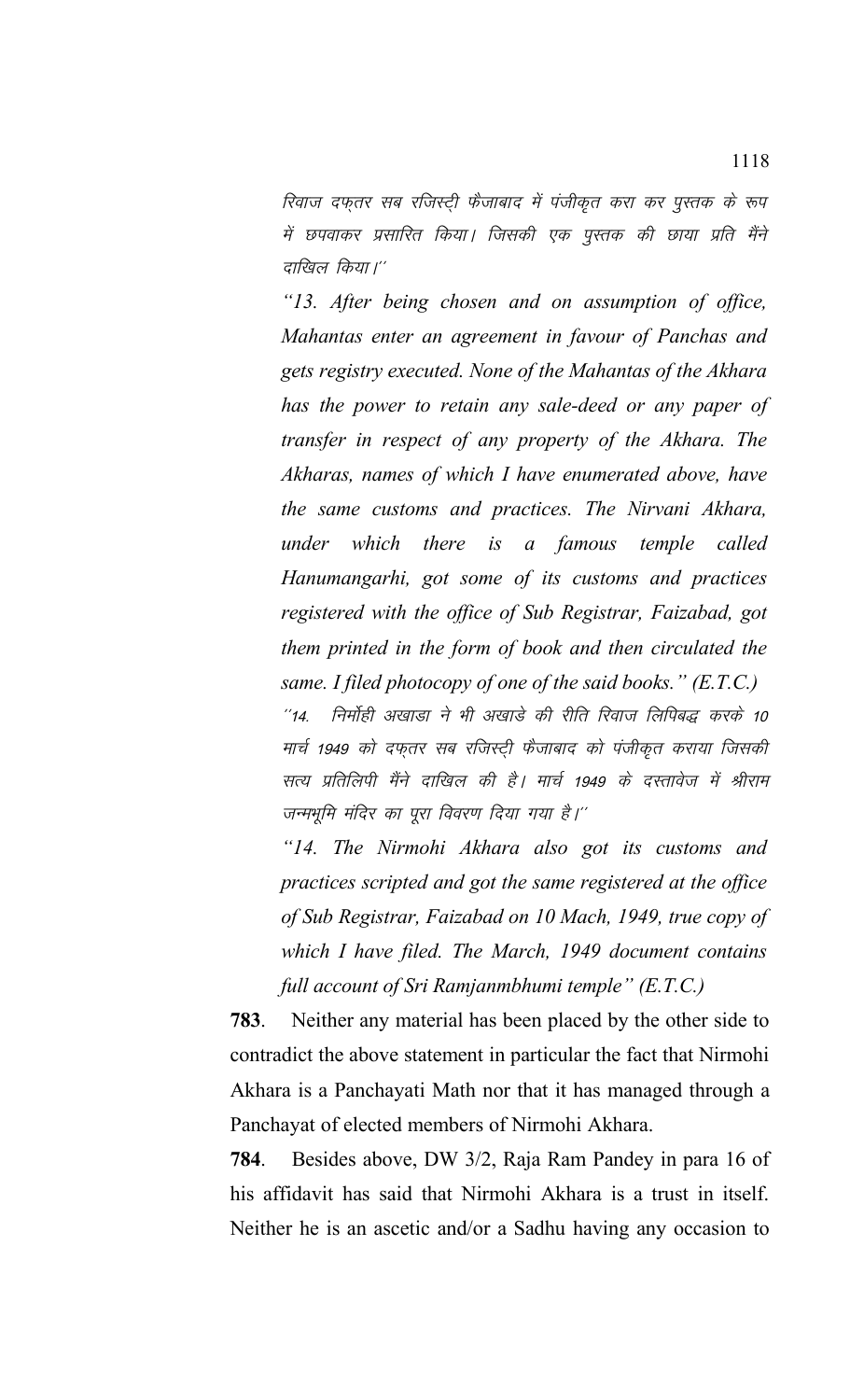रिवाज दफ़तर सब रजिस्टी फैजाबाद में पंजीकृत करा कर पुस्तक के रूप में छपवाकर प्रसारित किया। जिसकी एक पुस्तक की छाया प्रति मैंने दाखिल किया।''

*"13. After being chosen and on assumption of office, Mahantas enter an agreement in favour of Panchas and gets registry executed. None of the Mahantas of the Akhara has the power to retain any sale-deed or any paper of transfer in respect of any property of the Akhara. The Akharas, names of which I have enumerated above, have the same customs and practices. The Nirvani Akhara, under which there is a famous temple called Hanumangarhi, got some of its customs and practices registered with the office of Sub Registrar, Faizabad, got them printed in the form of book and then circulated the same. I filed photocopy of one of the said books." (E.T.C.)* ''14. निर्मोही अखाडा ने भी अखाडे की रीति रिवाज लिपिबद्ध करके 10 मार्च 1949 को दफ्तर सब रजिस्ट्री फैजाबाद को पंजीकृत कराया जिसकी

सत्य प्रतिलिपी मैंने दाखिल की है। मार्च 1949 के दस्तावेज में श्रीराम जन्मभूमि मंदिर का पूरा विवरण दिया गया है।''

*"14. The Nirmohi Akhara also got its customs and practices scripted and got the same registered at the office of Sub Registrar, Faizabad on 10 Mach, 1949, true copy of which I have filed. The March, 1949 document contains full account of Sri Ramjanmbhumi temple" (E.T.C.)*

**783**. Neither any material has been placed by the other side to contradict the above statement in particular the fact that Nirmohi Akhara is a Panchayati Math nor that it has managed through a Panchayat of elected members of Nirmohi Akhara.

**784**. Besides above, DW 3/2, Raja Ram Pandey in para 16 of his affidavit has said that Nirmohi Akhara is a trust in itself. Neither he is an ascetic and/or a Sadhu having any occasion to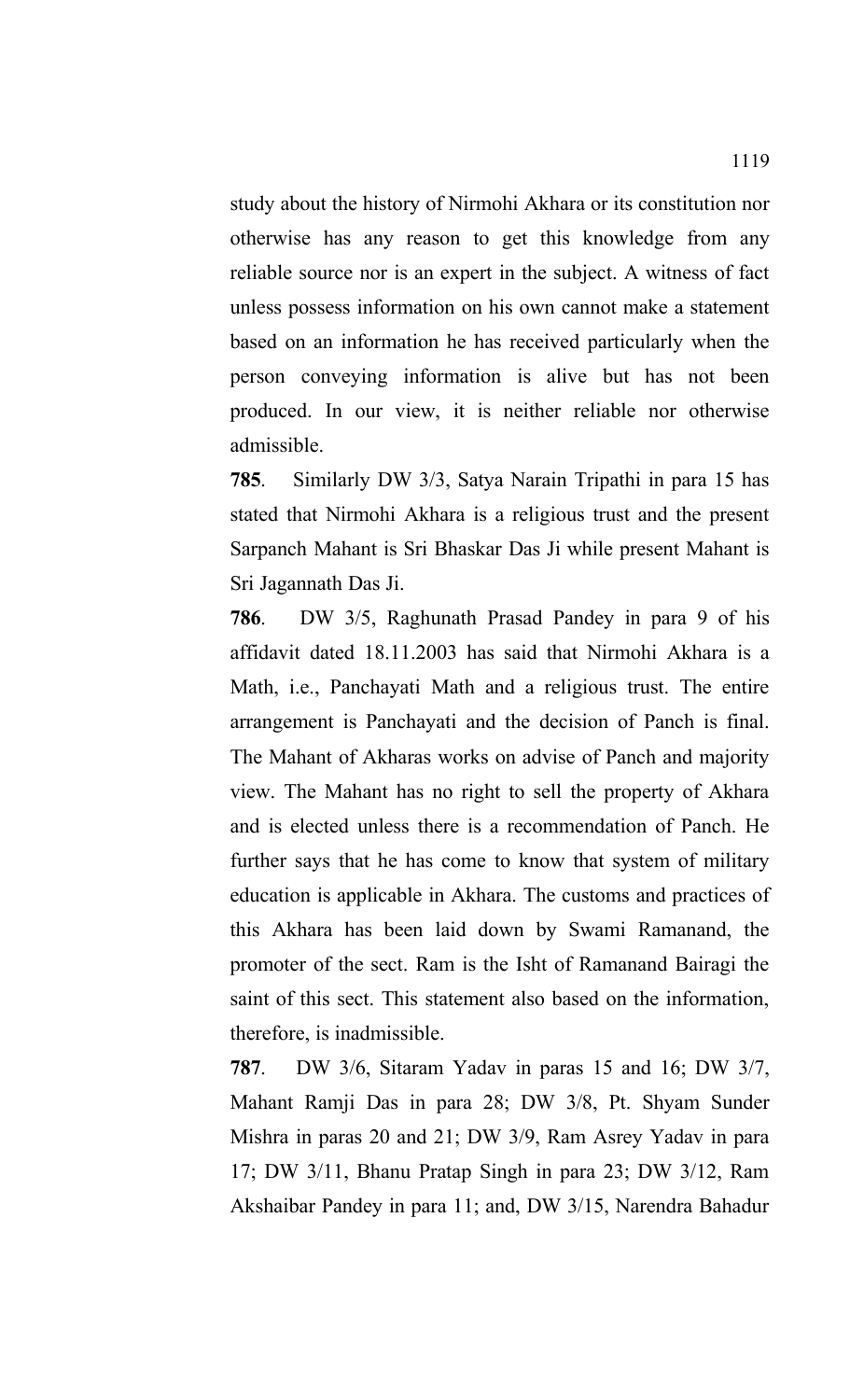study about the history of Nirmohi Akhara or its constitution nor otherwise has any reason to get this knowledge from any reliable source nor is an expert in the subject. A witness of fact unless possess information on his own cannot make a statement based on an information he has received particularly when the person conveying information is alive but has not been produced. In our view, it is neither reliable nor otherwise admissible.

**785**. Similarly DW 3/3, Satya Narain Tripathi in para 15 has stated that Nirmohi Akhara is a religious trust and the present Sarpanch Mahant is Sri Bhaskar Das Ji while present Mahant is Sri Jagannath Das Ji.

**786**. DW 3/5, Raghunath Prasad Pandey in para 9 of his affidavit dated 18.11.2003 has said that Nirmohi Akhara is a Math, i.e., Panchayati Math and a religious trust. The entire arrangement is Panchayati and the decision of Panch is final. The Mahant of Akharas works on advise of Panch and majority view. The Mahant has no right to sell the property of Akhara and is elected unless there is a recommendation of Panch. He further says that he has come to know that system of military education is applicable in Akhara. The customs and practices of this Akhara has been laid down by Swami Ramanand, the promoter of the sect. Ram is the Isht of Ramanand Bairagi the saint of this sect. This statement also based on the information, therefore, is inadmissible.

**787**. DW 3/6, Sitaram Yadav in paras 15 and 16; DW 3/7, Mahant Ramji Das in para 28; DW 3/8, Pt. Shyam Sunder Mishra in paras 20 and 21; DW 3/9, Ram Asrey Yadav in para 17; DW 3/11, Bhanu Pratap Singh in para 23; DW 3/12, Ram Akshaibar Pandey in para 11; and, DW 3/15, Narendra Bahadur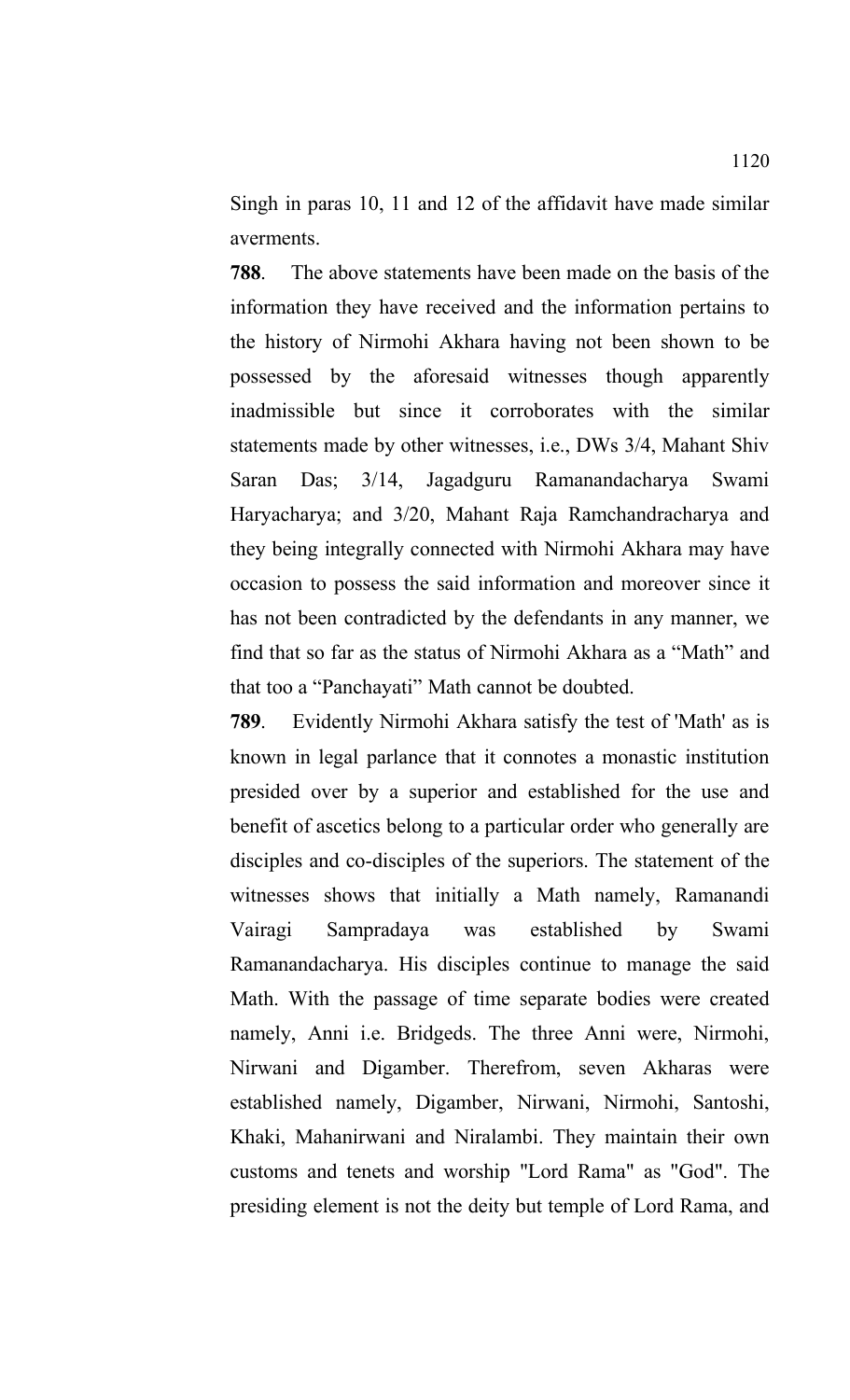Singh in paras 10, 11 and 12 of the affidavit have made similar averments.

**788**. The above statements have been made on the basis of the information they have received and the information pertains to the history of Nirmohi Akhara having not been shown to be possessed by the aforesaid witnesses though apparently inadmissible but since it corroborates with the similar statements made by other witnesses, i.e., DWs 3/4, Mahant Shiv Saran Das; 3/14, Jagadguru Ramanandacharya Swami Haryacharya; and 3/20, Mahant Raja Ramchandracharya and they being integrally connected with Nirmohi Akhara may have occasion to possess the said information and moreover since it has not been contradicted by the defendants in any manner, we find that so far as the status of Nirmohi Akhara as a "Math" and that too a "Panchayati" Math cannot be doubted.

**789**. Evidently Nirmohi Akhara satisfy the test of 'Math' as is known in legal parlance that it connotes a monastic institution presided over by a superior and established for the use and benefit of ascetics belong to a particular order who generally are disciples and co-disciples of the superiors. The statement of the witnesses shows that initially a Math namely, Ramanandi Vairagi Sampradaya was established by Swami Ramanandacharya. His disciples continue to manage the said Math. With the passage of time separate bodies were created namely, Anni i.e. Bridgeds. The three Anni were, Nirmohi, Nirwani and Digamber. Therefrom, seven Akharas were established namely, Digamber, Nirwani, Nirmohi, Santoshi, Khaki, Mahanirwani and Niralambi. They maintain their own customs and tenets and worship "Lord Rama" as "God". The presiding element is not the deity but temple of Lord Rama, and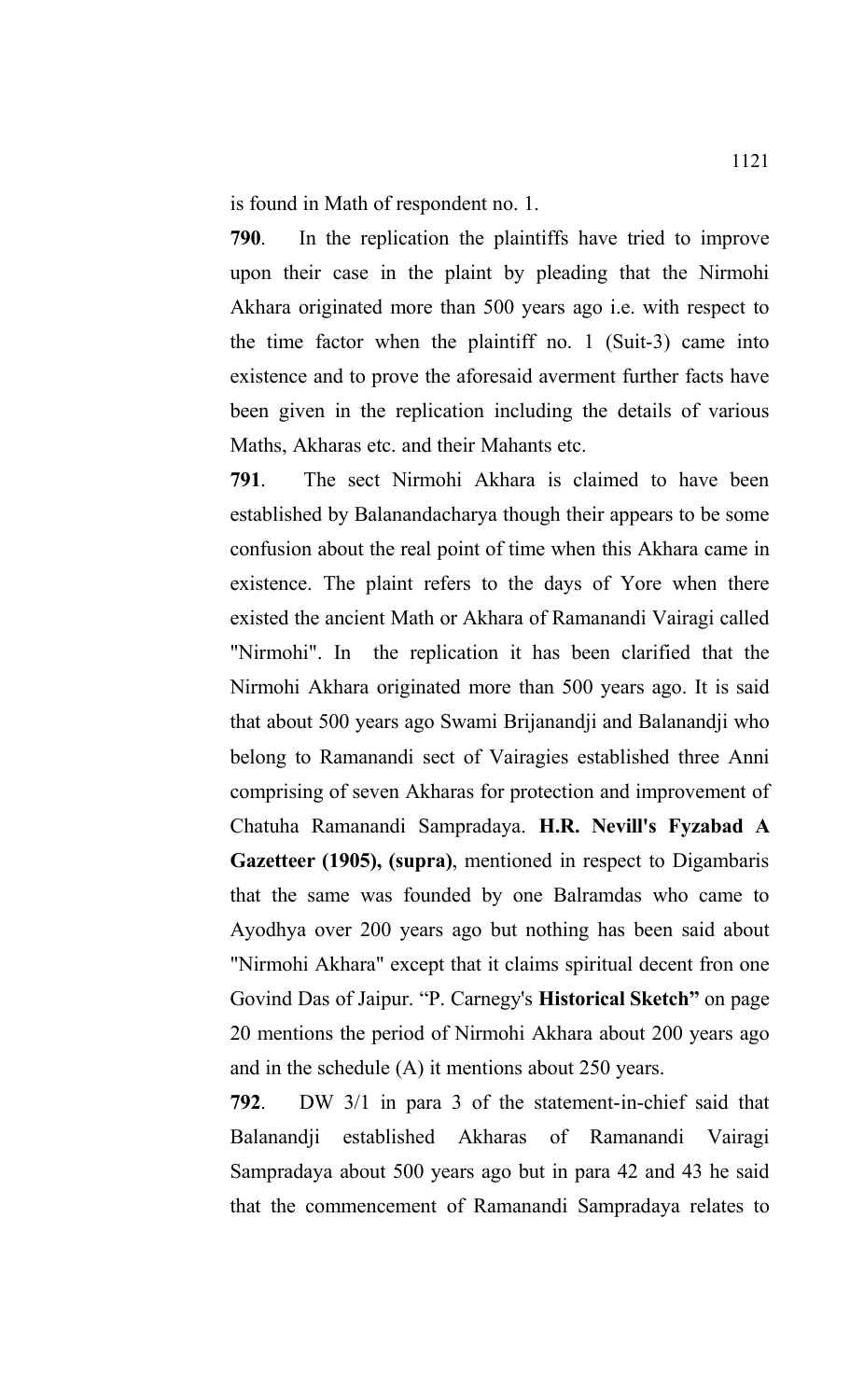is found in Math of respondent no. 1.

**790**. In the replication the plaintiffs have tried to improve upon their case in the plaint by pleading that the Nirmohi Akhara originated more than 500 years ago i.e. with respect to the time factor when the plaintiff no. 1 (Suit-3) came into existence and to prove the aforesaid averment further facts have been given in the replication including the details of various Maths, Akharas etc. and their Mahants etc.

**791**. The sect Nirmohi Akhara is claimed to have been established by Balanandacharya though their appears to be some confusion about the real point of time when this Akhara came in existence. The plaint refers to the days of Yore when there existed the ancient Math or Akhara of Ramanandi Vairagi called "Nirmohi". In the replication it has been clarified that the Nirmohi Akhara originated more than 500 years ago. It is said that about 500 years ago Swami Brijanandji and Balanandji who belong to Ramanandi sect of Vairagies established three Anni comprising of seven Akharas for protection and improvement of Chatuha Ramanandi Sampradaya. **H.R. Nevill's Fyzabad A Gazetteer (1905), (supra)**, mentioned in respect to Digambaris that the same was founded by one Balramdas who came to Ayodhya over 200 years ago but nothing has been said about "Nirmohi Akhara" except that it claims spiritual decent fron one Govind Das of Jaipur. "P. Carnegy's **Historical Sketch"** on page 20 mentions the period of Nirmohi Akhara about 200 years ago and in the schedule (A) it mentions about 250 years.

**792**. DW 3/1 in para 3 of the statement-in-chief said that Balanandji established Akharas of Ramanandi Vairagi Sampradaya about 500 years ago but in para 42 and 43 he said that the commencement of Ramanandi Sampradaya relates to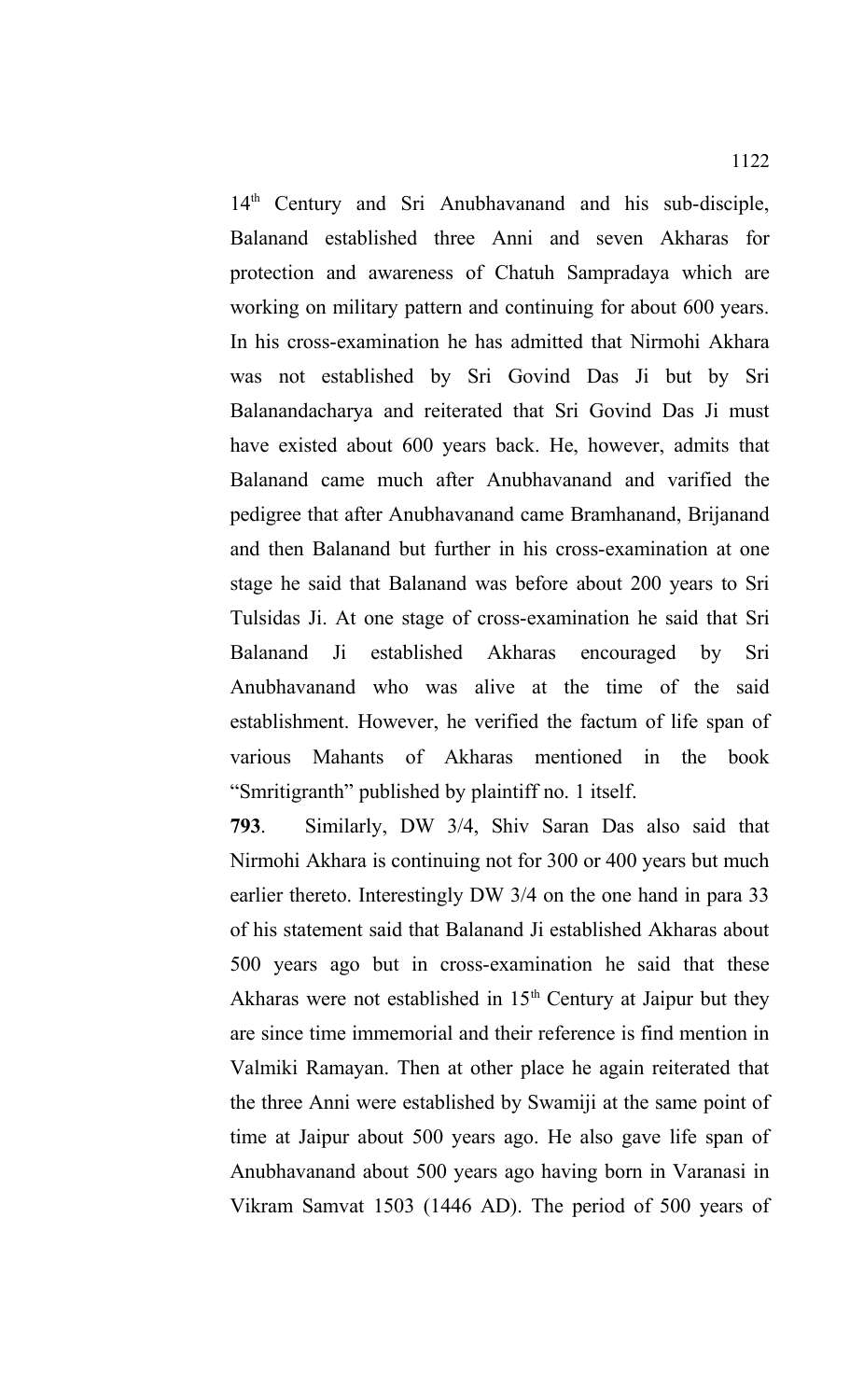14<sup>th</sup> Century and Sri Anubhavanand and his sub-disciple, Balanand established three Anni and seven Akharas for protection and awareness of Chatuh Sampradaya which are working on military pattern and continuing for about 600 years. In his cross-examination he has admitted that Nirmohi Akhara was not established by Sri Govind Das Ji but by Sri Balanandacharya and reiterated that Sri Govind Das Ji must have existed about 600 years back. He, however, admits that Balanand came much after Anubhavanand and varified the pedigree that after Anubhavanand came Bramhanand, Brijanand and then Balanand but further in his cross-examination at one stage he said that Balanand was before about 200 years to Sri Tulsidas Ji. At one stage of cross-examination he said that Sri Balanand Ji established Akharas encouraged by Sri Anubhavanand who was alive at the time of the said establishment. However, he verified the factum of life span of various Mahants of Akharas mentioned in the book "Smritigranth" published by plaintiff no. 1 itself.

**793**. Similarly, DW 3/4, Shiv Saran Das also said that Nirmohi Akhara is continuing not for 300 or 400 years but much earlier thereto. Interestingly DW 3/4 on the one hand in para 33 of his statement said that Balanand Ji established Akharas about 500 years ago but in cross-examination he said that these Akharas were not established in  $15<sup>th</sup>$  Century at Jaipur but they are since time immemorial and their reference is find mention in Valmiki Ramayan. Then at other place he again reiterated that the three Anni were established by Swamiji at the same point of time at Jaipur about 500 years ago. He also gave life span of Anubhavanand about 500 years ago having born in Varanasi in Vikram Samvat 1503 (1446 AD). The period of 500 years of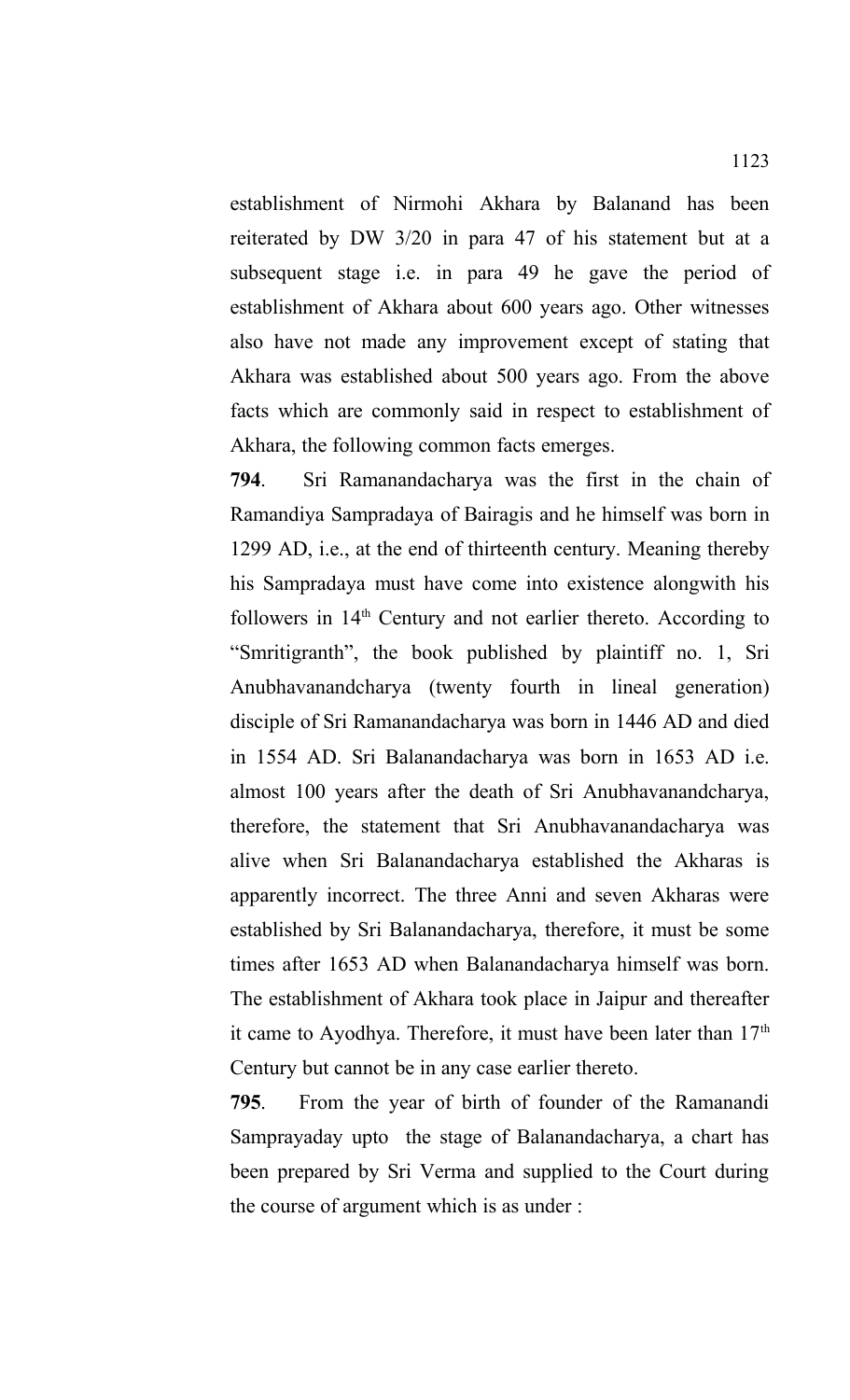establishment of Nirmohi Akhara by Balanand has been reiterated by DW 3/20 in para 47 of his statement but at a subsequent stage i.e. in para 49 he gave the period of establishment of Akhara about 600 years ago. Other witnesses also have not made any improvement except of stating that Akhara was established about 500 years ago. From the above facts which are commonly said in respect to establishment of Akhara, the following common facts emerges.

**794**. Sri Ramanandacharya was the first in the chain of Ramandiya Sampradaya of Bairagis and he himself was born in 1299 AD, i.e., at the end of thirteenth century. Meaning thereby his Sampradaya must have come into existence alongwith his followers in  $14<sup>th</sup>$  Century and not earlier thereto. According to "Smritigranth", the book published by plaintiff no. 1, Sri Anubhavanandcharya (twenty fourth in lineal generation) disciple of Sri Ramanandacharya was born in 1446 AD and died in 1554 AD. Sri Balanandacharya was born in 1653 AD i.e. almost 100 years after the death of Sri Anubhavanandcharya, therefore, the statement that Sri Anubhavanandacharya was alive when Sri Balanandacharya established the Akharas is apparently incorrect. The three Anni and seven Akharas were established by Sri Balanandacharya, therefore, it must be some times after 1653 AD when Balanandacharya himself was born. The establishment of Akhara took place in Jaipur and thereafter it came to Ayodhya. Therefore, it must have been later than  $17<sup>th</sup>$ Century but cannot be in any case earlier thereto.

**795**. From the year of birth of founder of the Ramanandi Samprayaday upto the stage of Balanandacharya, a chart has been prepared by Sri Verma and supplied to the Court during the course of argument which is as under :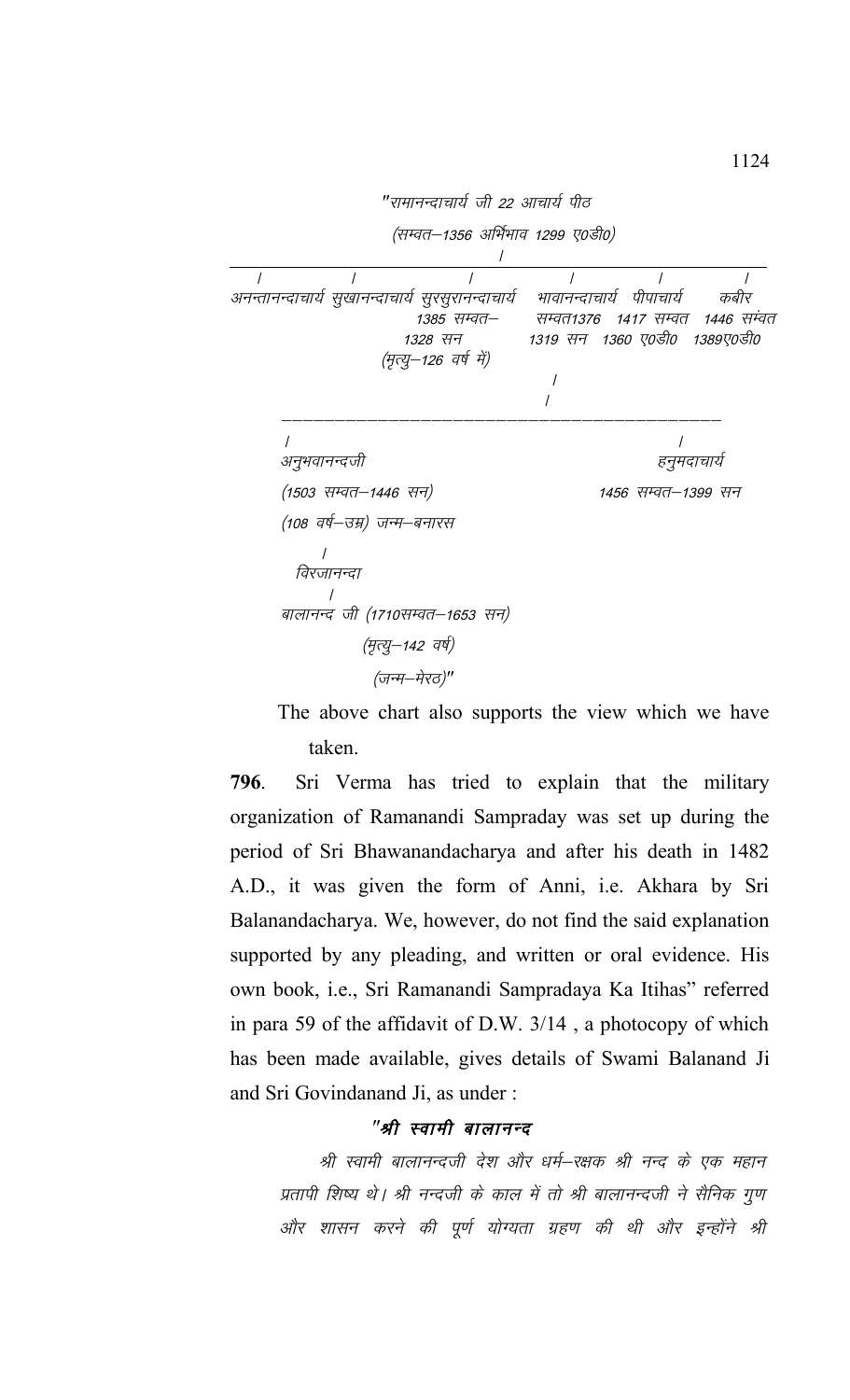

The above chart also supports the view which we have taken.

**796**. Sri Verma has tried to explain that the military organization of Ramanandi Sampraday was set up during the period of Sri Bhawanandacharya and after his death in 1482 A.D., it was given the form of Anni, i.e. Akhara by Sri Balanandacharya. We, however, do not find the said explanation supported by any pleading, and written or oral evidence. His own book, i.e., Sri Ramanandi Sampradaya Ka Itihas" referred in para 59 of the affidavit of D.W. 3/14 , a photocopy of which has been made available, gives details of Swami Balanand Ji and Sri Govindanand Ji, as under :

## "श्री स्वामी बालानन्द

श्री स्वामी बालानन्दजी देश और धर्म–रक्षक श्री नन्द के एक महान प्रतापी शिष्य थे। श्री नन्दजी के काल में तो श्री बालानन्दजी ने सैनिक गुण ओर शासन करने की पूर्ण योग्यता ग्रहण की थी और इन्होंने श्री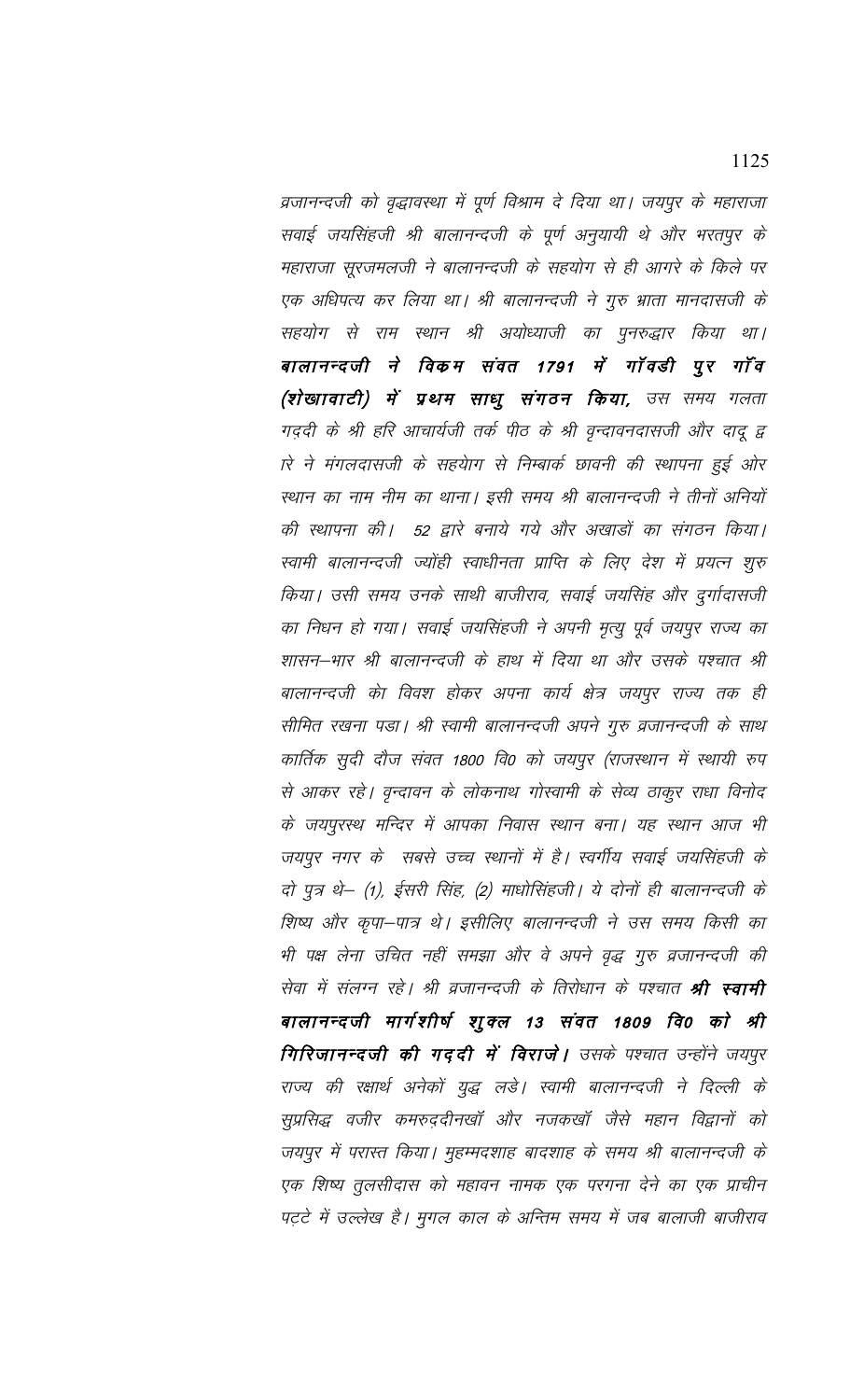व्रजानन्दजी को वृद्धावस्था में पूर्ण विश्राम दे दिया था। जयपुर के महाराजा सवाई जयसिंहजी श्री बालानन्दजी के पूर्ण अनुयायी थे और भरतपुर के महाराजा सूरजमलजी ने बालानन्दजी के सहयोग से ही आगरे के किले पर एक अधिपत्य कर लिया था। श्री बालानन्दजी ने गुरु भ्राता मानदासजी के सहयोग से राम स्थान श्री अयोध्याजी का पुनरुद्धार किया था। बालानन्दजी ने विकम संवत 1791 में गॉवडी पुर गॉंव (शेखावाटी) में प्रथम साधु संगठन किया, उस समय गलता गददी के श्री हरि आचार्यजी तर्क पीठ के श्री वृन्दावनदासजी और दादू द्व rरे ने मंगलदासजी के सहयेाग से निम्बार्क छावनी की स्थापना हुई ओर स्थान का नाम नीम का थाना। इसी समय श्री बालानन्दजी ने तीनों अनियों की स्थापना की। 52 द्वारे बनाये गये और अखाडों का संगठन किया। स्वामी बालानन्दजी ज्योंही स्वाधीनता प्राप्ति के लिए देश में प्रयत्न शुरु किया। उसी समय उनके साथी बाजीराव, सवाई जयसिंह और दुर्गादासजी का निधन हो गया। सवाई जयसिंहजी ने अपनी मृत्यु पूर्व जयपुर राज्य का शासन–भार श्री बालानन्दजी के हाथ में दिया था और उसके पश्चात श्री बालानन्दजी को विवश होकर अपना कार्य क्षेत्र जयपुर राज्य तक ही सीमित रखना पड़ा। श्री स्वामी बालानन्दजी अपने गुरु व्रजानन्दजी के साथ कार्तिक सुदी दौज संवत 1800 वि0 को जयपुर (राजस्थान में स्थायी रुप से आकर रहे। वृन्दावन के लोकनाथ गोस्वामी के सेव्य ठाकुर राधा विनोद के जयपुरस्थ मन्दिर में आपका निवास स्थान बना। यह स्थान आज भी जयपुर नगर के सबसे उच्च स्थानों में है। स्वर्गीय सवाई जयसिंहजी के दो पुत्र थे— (1), ईसरी सिंह, (2) माधोसिंहजी। ये दोनों ही बालानन्दजी के शिष्य और कृपा–पात्र थे। इसीलिए बालानन्दजी ने उस समय किसी का भी पक्ष लेना उचित नहीं समझा और वे अपने वृद्ध गुरु व्रजानन्दजी की सेवा में संलग्न रहे। श्री व्रजानन्दजी के तिरोधान के पश्चात **श्री स्वामी** बालानन्दजी मार्गशीर्ष शुक्ल 13 संवत 1809 वि0 को श्री गिरिजानन्दजी की गददी में विराजे। उसके पश्चात उन्होंने जयपुर राज्य की रक्षार्थ अनेकों युद्ध लडे। स्वामी बालानन्दजी ने दिल्ली के सुप्रसिद्ध वजीर कमरुददीनखॉ और नजकखॉ जैसे महान विद्वानों को जयपुर में परास्त किया। मुहम्मदशाह बादशाह के समय श्री बालानन्दजी के एक शिष्य तुलसीदास को महावन नामक एक परगना देने का एक प्राचीन पट़टे में उल्लेख है। मुगल काल के अन्तिम समय में जब बालाजी बाजीराव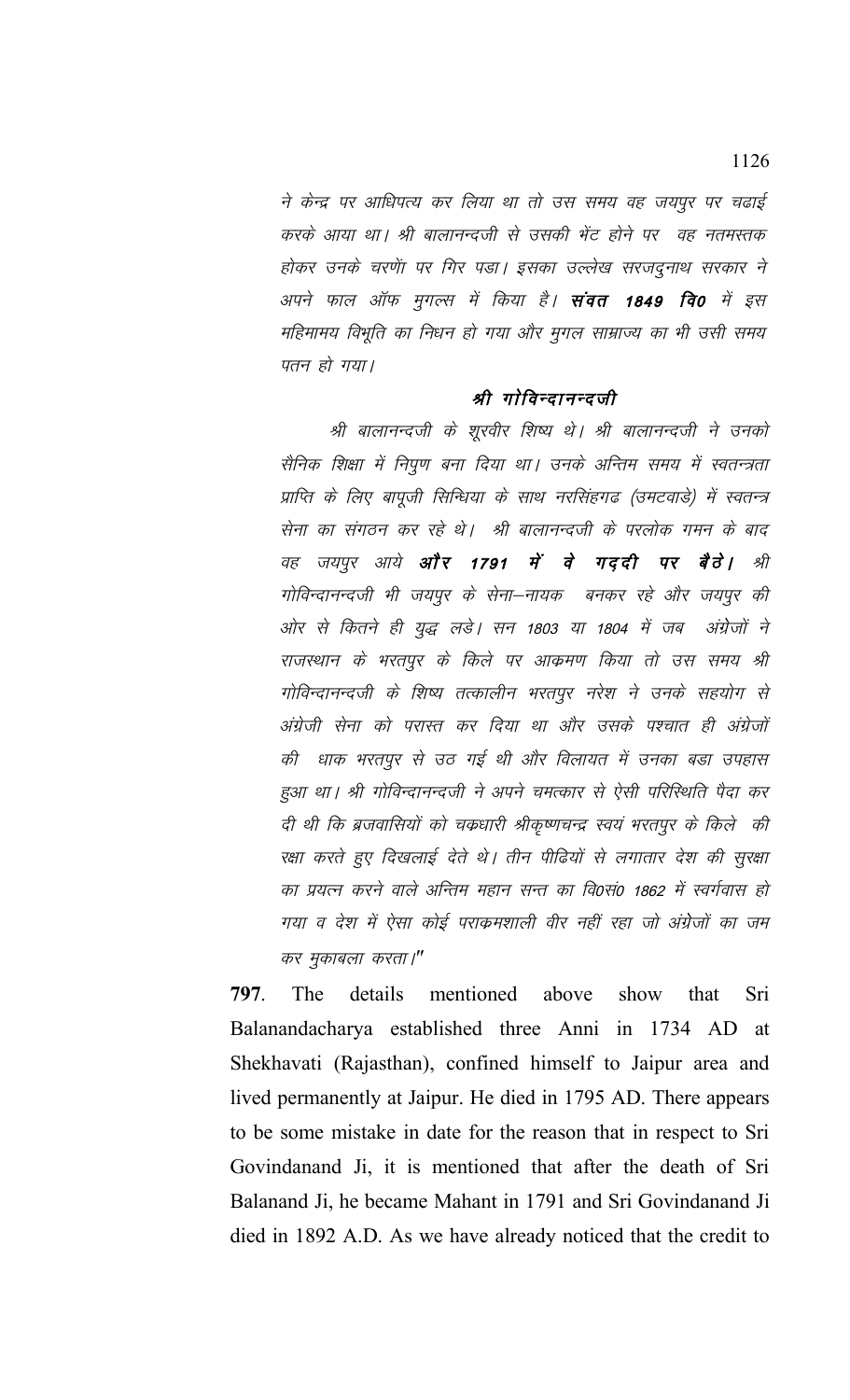ने केन्द्र पर आधिपत्य कर लिया था तो उस समय वह जयपुर पर चढाई करके आया था। श्री बालानन्दजी से उसकी भेंट होने पर वह नतमस्तक होकर उनके चरणें। पर गिर पड़ा। इसका उल्लेख सरजदुनाथ सरकार ने अपने फाल ऑफ मुगल्स में किया है। **संवत 1849 वि0** में इस महिमामय विभूति का निधन हो गया और मुगल साम्राज्य का भी उसी समय पतन हो गया।

## श्री गोविन्दानन्दजी

श्री बालानन्दजी के शूरवीर शिष्य थे। श्री बालानन्दजी ने उनको सैनिक शिक्षा में निपुण बना दिया था। उनके अन्तिम समय में स्वतन्त्रता प्राप्ति के लिए बापूजी सिन्धिया के साथ नरसिंहगढ (उमटवाडे) में स्वतन्त्र सेना का संगठन कर रहे थे। श्री बालानन्दजी के परलोक गमन के बाद वह जयपुर आये **और 1791 में वे गददी पर बैठे।** श्री गोविन्दानन्दजी भी जयपुर के सेना–नायक बनकर रहे और जयपुर की ओर से कितने ही युद्ध लडे। सन 1803 या 1804 में जब अंग्रेजों ने राजस्थान के भरतपुर के किले पर आक्रमण किया तो उस समय श्री गोविन्दानन्दजी के शिष्य तत्कालीन भरतपूर नरेश ने उनके सहयोग से अंग्रेजी सेना को परास्त कर दिया था और उसके पश्चात ही अंग्रेजों की धाक भरतपुर से उठ गई थी और विलायत में उनका बड़ा उपहास हुआ था। श्री गोविन्दानन्दजी ने अपने चमत्कार से ऐसी परिस्थिति पैदा कर दी थी कि ब्रजवासियों को चक्रधारी श्रीकृष्णचन्द्र स्वयं भरतपुर के किले की रक्षा करते हुए दिखलाई देते थे। तीन पीढियों से लगातार देश की सुरक्षा का प्रयत्न करने वाले अन्तिम महान सन्त का वि0सं0 1862 में स्वर्गवास हो गया व देश में ऐसा कोई पराकमशाली वीर नहीं रहा जो अंग्रेजों का जम कर मुकाबला करता।"

**797**. The details mentioned above show that Sri Balanandacharya established three Anni in 1734 AD at Shekhavati (Rajasthan), confined himself to Jaipur area and lived permanently at Jaipur. He died in 1795 AD. There appears to be some mistake in date for the reason that in respect to Sri Govindanand Ji, it is mentioned that after the death of Sri Balanand Ji, he became Mahant in 1791 and Sri Govindanand Ji died in 1892 A.D. As we have already noticed that the credit to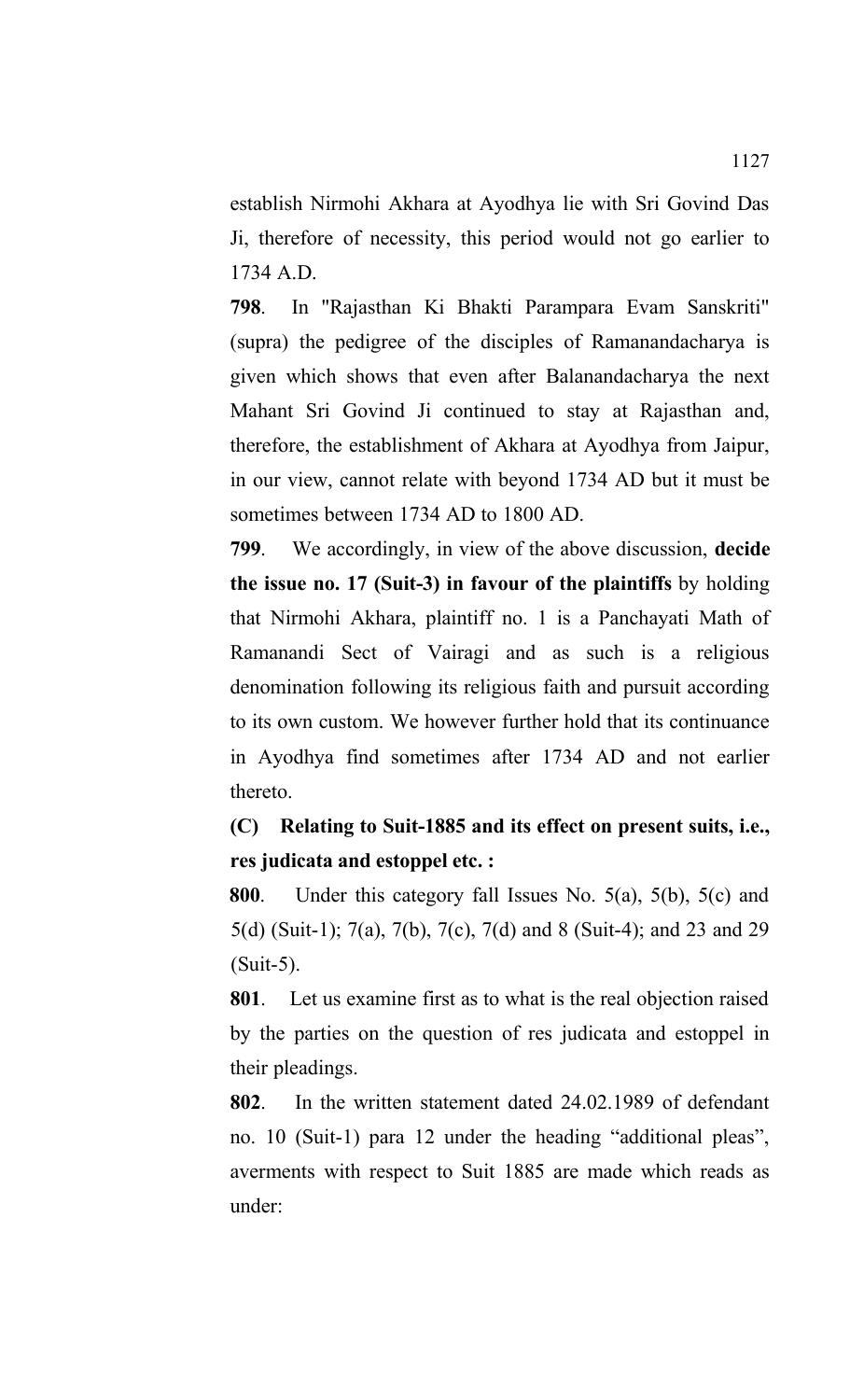establish Nirmohi Akhara at Ayodhya lie with Sri Govind Das Ji, therefore of necessity, this period would not go earlier to 1734 A.D.

**798**. In "Rajasthan Ki Bhakti Parampara Evam Sanskriti" (supra) the pedigree of the disciples of Ramanandacharya is given which shows that even after Balanandacharya the next Mahant Sri Govind Ji continued to stay at Rajasthan and, therefore, the establishment of Akhara at Ayodhya from Jaipur, in our view, cannot relate with beyond 1734 AD but it must be sometimes between 1734 AD to 1800 AD.

**799**. We accordingly, in view of the above discussion, **decide the issue no. 17 (Suit-3) in favour of the plaintiffs** by holding that Nirmohi Akhara, plaintiff no. 1 is a Panchayati Math of Ramanandi Sect of Vairagi and as such is a religious denomination following its religious faith and pursuit according to its own custom. We however further hold that its continuance in Ayodhya find sometimes after 1734 AD and not earlier thereto.

**(C) Relating to Suit-1885 and its effect on present suits, i.e., res judicata and estoppel etc. :**

**800**. Under this category fall Issues No. 5(a), 5(b), 5(c) and 5(d) (Suit-1); 7(a), 7(b), 7(c), 7(d) and 8 (Suit-4); and 23 and 29 (Suit-5).

**801**. Let us examine first as to what is the real objection raised by the parties on the question of res judicata and estoppel in their pleadings.

**802**. In the written statement dated 24.02.1989 of defendant no. 10 (Suit-1) para 12 under the heading "additional pleas", averments with respect to Suit 1885 are made which reads as under: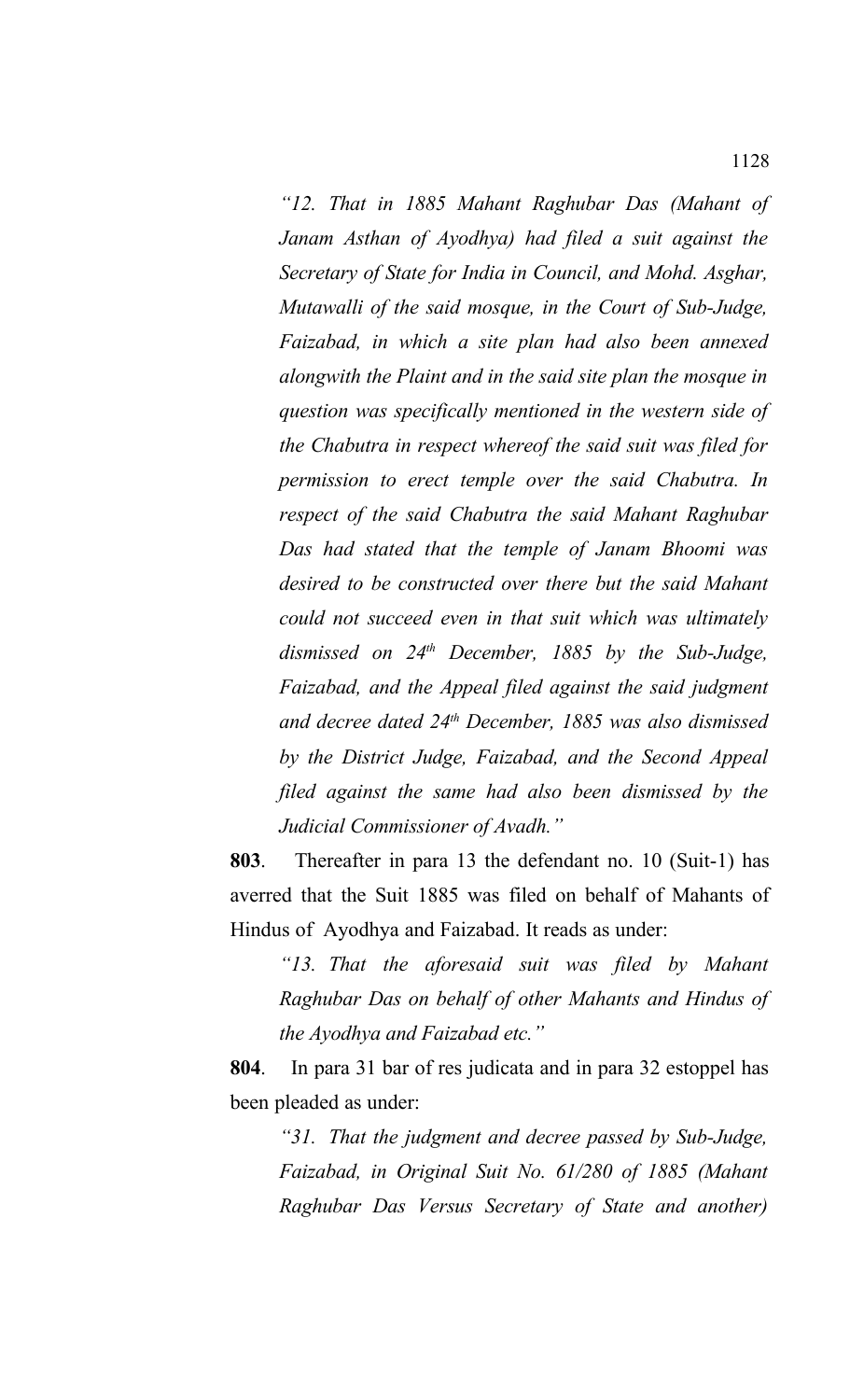*"12. That in 1885 Mahant Raghubar Das (Mahant of Janam Asthan of Ayodhya) had filed a suit against the Secretary of State for India in Council, and Mohd. Asghar, Mutawalli of the said mosque, in the Court of Sub-Judge, Faizabad, in which a site plan had also been annexed alongwith the Plaint and in the said site plan the mosque in question was specifically mentioned in the western side of the Chabutra in respect whereof the said suit was filed for permission to erect temple over the said Chabutra. In respect of the said Chabutra the said Mahant Raghubar Das had stated that the temple of Janam Bhoomi was desired to be constructed over there but the said Mahant could not succeed even in that suit which was ultimately dismissed on 24th December, 1885 by the Sub-Judge, Faizabad, and the Appeal filed against the said judgment and decree dated 24th December, 1885 was also dismissed by the District Judge, Faizabad, and the Second Appeal filed against the same had also been dismissed by the Judicial Commissioner of Avadh."*

**803**. Thereafter in para 13 the defendant no. 10 (Suit-1) has averred that the Suit 1885 was filed on behalf of Mahants of Hindus of Ayodhya and Faizabad. It reads as under:

*"13. That the aforesaid suit was filed by Mahant Raghubar Das on behalf of other Mahants and Hindus of the Ayodhya and Faizabad etc."*

**804**. In para 31 bar of res judicata and in para 32 estoppel has been pleaded as under:

*"31. That the judgment and decree passed by Sub-Judge, Faizabad, in Original Suit No. 61/280 of 1885 (Mahant Raghubar Das Versus Secretary of State and another)*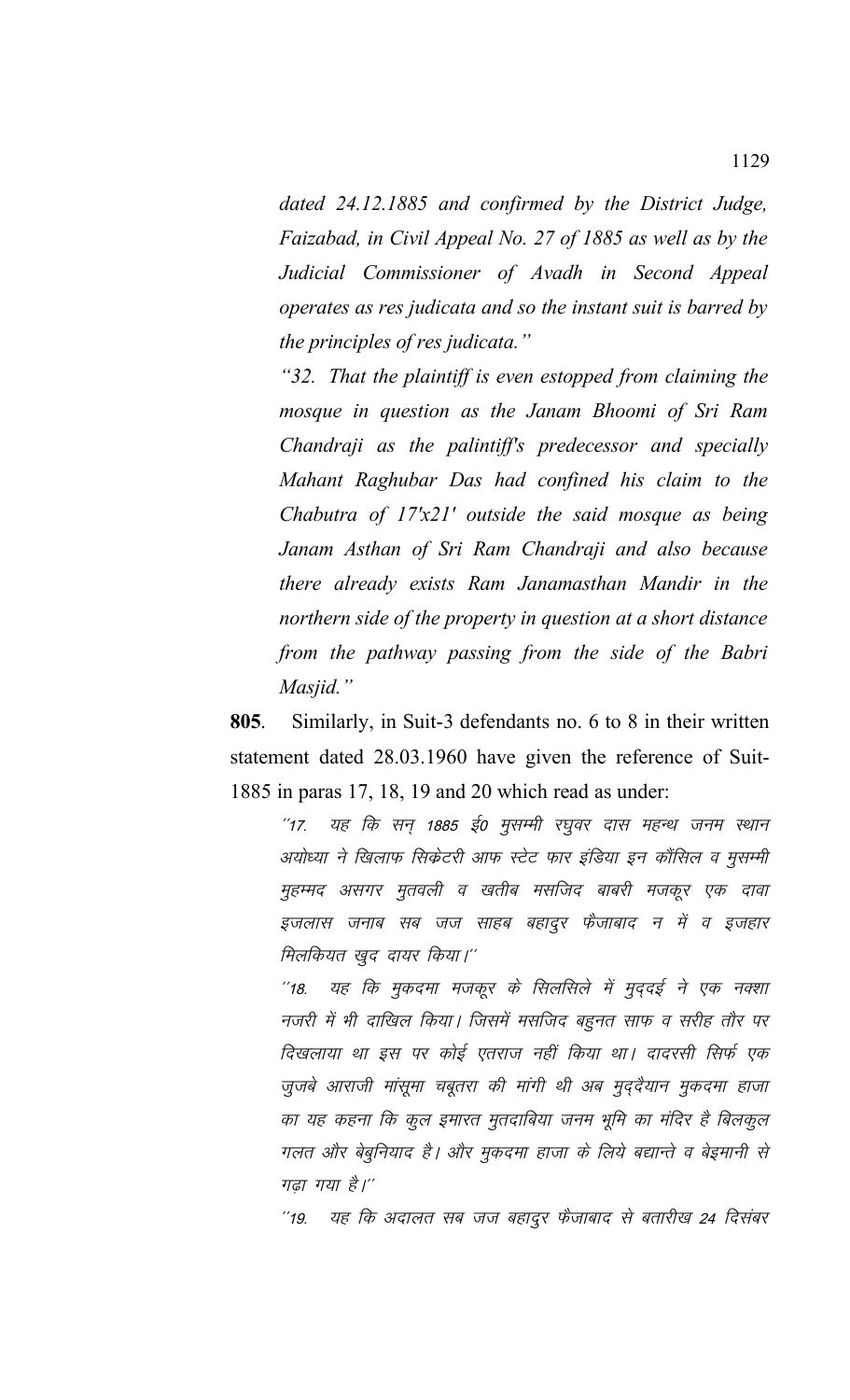*dated 24.12.1885 and confirmed by the District Judge, Faizabad, in Civil Appeal No. 27 of 1885 as well as by the Judicial Commissioner of Avadh in Second Appeal operates as res judicata and so the instant suit is barred by the principles of res judicata."*

*"32. That the plaintiff is even estopped from claiming the mosque in question as the Janam Bhoomi of Sri Ram Chandraji as the palintiff's predecessor and specially Mahant Raghubar Das had confined his claim to the Chabutra of 17'x21' outside the said mosque as being Janam Asthan of Sri Ram Chandraji and also because there already exists Ram Janamasthan Mandir in the northern side of the property in question at a short distance from the pathway passing from the side of the Babri Masjid."* 

**805**. Similarly, in Suit-3 defendants no. 6 to 8 in their written statement dated 28.03.1960 have given the reference of Suit-1885 in paras 17, 18, 19 and 20 which read as under:

''17. यह कि सन 1885 ई0 मुसम्मी रघुवर दास महन्थ जनम स्थान अयोध्या ने खिलाफ सिकेटरी आफ स्टेट फार इंडिया इन कौंसिल व मुसम्मी मुहम्मद असगर मुतवली व खतीब मसजिद बाबरी मजकूर एक दावा इजलास जनाब सब जज साहब बहादुर फैजाबाद न में व इजहार मिलकियत खुद दायर किया।''

''18. यह कि मुकदमा मजकूर के सिलसिले में मुददई ने एक नक्शा नजरी में भी दाखिल किया। जिसमें मसजिद बहुनत साफ व सरीह तौर पर दिखलाया था इस पर कोई एतराज नहीं किया था। दादरसी सिर्फ एक जुजबे आराजी मांसूमा चबूतरा की मांगी थी अब मुद्दैयान मुकदमा हाजा का यह कहना कि कुल इमारत मुतदाबिया जनम भूमि का मंदिर है बिलकुल गलत और बेबुनियाद है। और मुकदमा हाजा के लिये बद्यान्ते व बेइमानी से गढा गया है।''

"19. यह कि अदालत सब जज बहादुर फैजाबाद से बतारीख 24 दिसंबर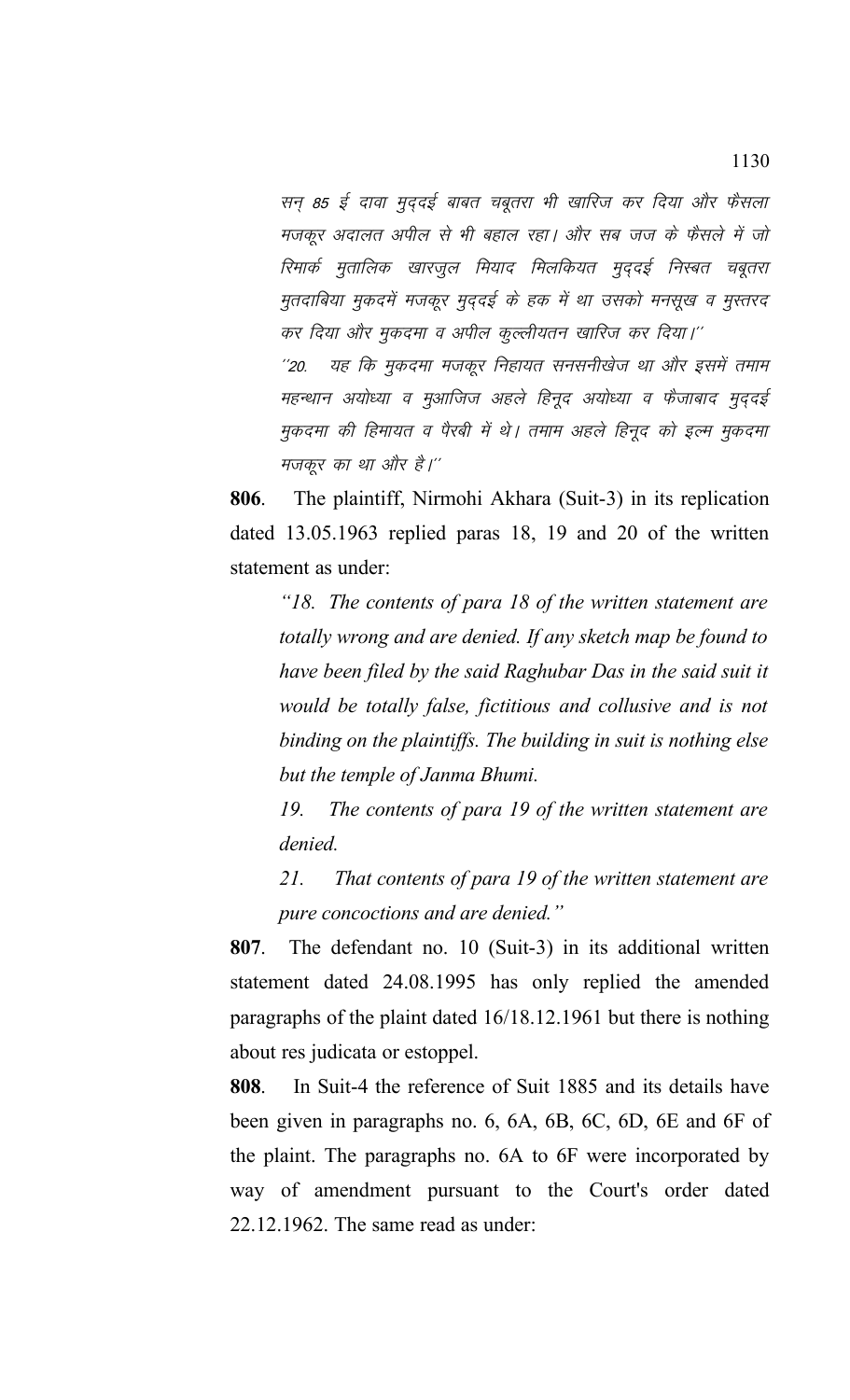सन् 85 ई दावा मुद्दई बाबत चबूतरा भी खारिज कर दिया और फैसला मजकूर अदालत अपील से भी बहाल रहा। और सब जज के फैसले में जो रिमार्क मुतालिक खारजूल मियाद मिलकियत मुद्दई निस्बत चबूतरा मुतदाबिया मुकदमें मजकूर मुदुदई के हक में था उसको मनसूख व मुस्तरद कर दिया और मुकदमा व अपील कुल्लीयतन खारिज कर दिया।'' ''20. यह कि मुकदमा मजकूर निहायत सनसनीखेज था और इसमें तमाम महन्थान अयोध्या व मुआजिज अहले हिनूद अयोध्या व फैजाबाद मुदुदई मुकदमा की हिमायत व पैरबी में थे। तमाम अहले हिनूद को इल्म मुकदमा मजकूर का था और है।''

**806**. The plaintiff, Nirmohi Akhara (Suit-3) in its replication dated 13.05.1963 replied paras 18, 19 and 20 of the written statement as under:

*"18. The contents of para 18 of the written statement are totally wrong and are denied. If any sketch map be found to have been filed by the said Raghubar Das in the said suit it would be totally false, fictitious and collusive and is not binding on the plaintiffs. The building in suit is nothing else but the temple of Janma Bhumi.*

*19. The contents of para 19 of the written statement are denied.*

*21. That contents of para 19 of the written statement are pure concoctions and are denied."*

**807**. The defendant no. 10 (Suit-3) in its additional written statement dated 24.08.1995 has only replied the amended paragraphs of the plaint dated 16/18.12.1961 but there is nothing about res judicata or estoppel.

**808**. In Suit-4 the reference of Suit 1885 and its details have been given in paragraphs no. 6, 6A, 6B, 6C, 6D, 6E and 6F of the plaint. The paragraphs no. 6A to 6F were incorporated by way of amendment pursuant to the Court's order dated 22.12.1962. The same read as under: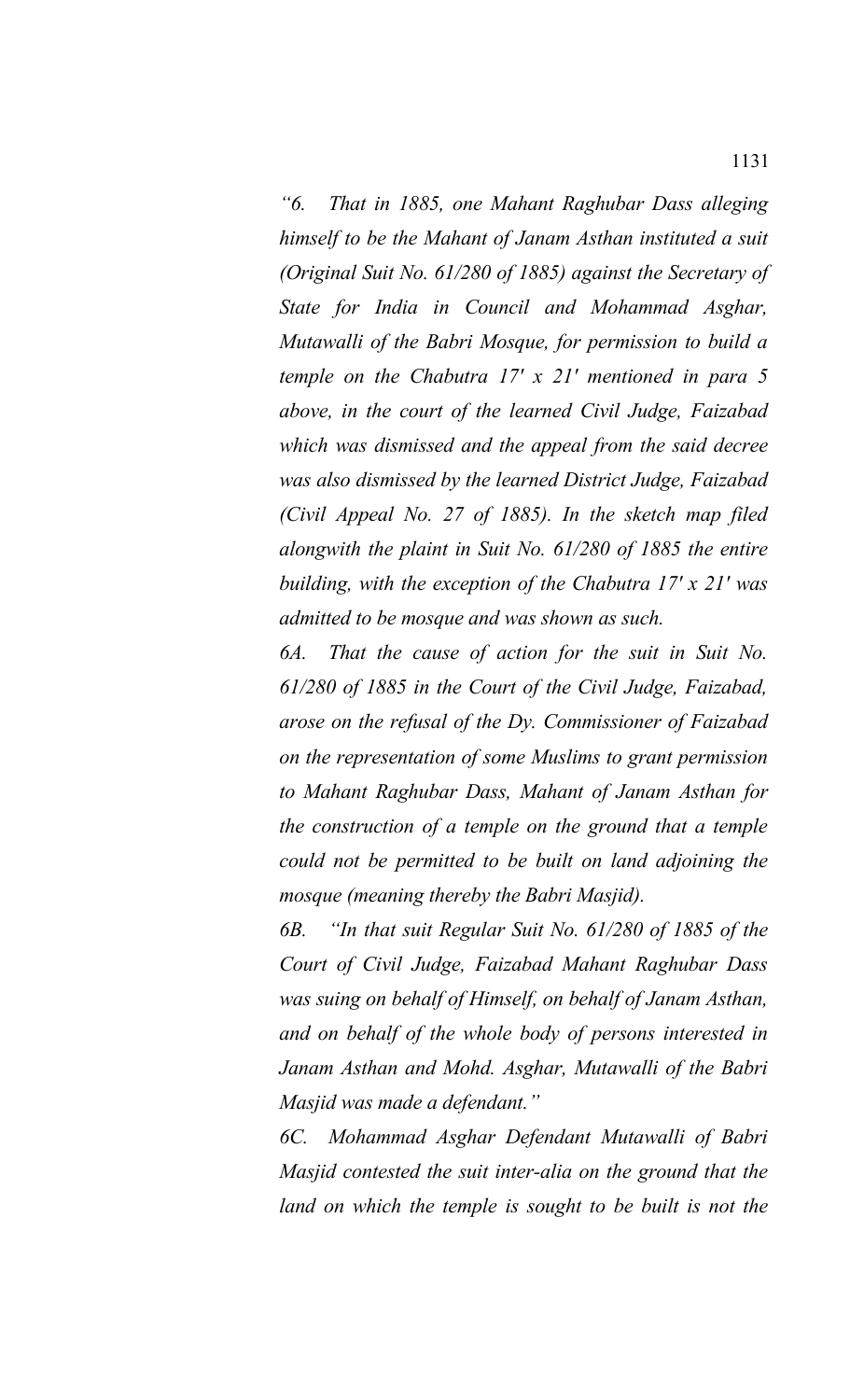*"6. That in 1885, one Mahant Raghubar Dass alleging himself to be the Mahant of Janam Asthan instituted a suit (Original Suit No. 61/280 of 1885) against the Secretary of State for India in Council and Mohammad Asghar, Mutawalli of the Babri Mosque, for permission to build a temple on the Chabutra 17' x 21' mentioned in para 5 above, in the court of the learned Civil Judge, Faizabad which was dismissed and the appeal from the said decree was also dismissed by the learned District Judge, Faizabad (Civil Appeal No. 27 of 1885). In the sketch map filed alongwith the plaint in Suit No. 61/280 of 1885 the entire building, with the exception of the Chabutra 17' x 21' was admitted to be mosque and was shown as such.* 

*6A. That the cause of action for the suit in Suit No. 61/280 of 1885 in the Court of the Civil Judge, Faizabad, arose on the refusal of the Dy. Commissioner of Faizabad on the representation of some Muslims to grant permission to Mahant Raghubar Dass, Mahant of Janam Asthan for the construction of a temple on the ground that a temple could not be permitted to be built on land adjoining the mosque (meaning thereby the Babri Masjid).*

*6B. "In that suit Regular Suit No. 61/280 of 1885 of the Court of Civil Judge, Faizabad Mahant Raghubar Dass was suing on behalf of Himself, on behalf of Janam Asthan, and on behalf of the whole body of persons interested in Janam Asthan and Mohd. Asghar, Mutawalli of the Babri Masjid was made a defendant."* 

*6C. Mohammad Asghar Defendant Mutawalli of Babri Masjid contested the suit inter-alia on the ground that the land on which the temple is sought to be built is not the*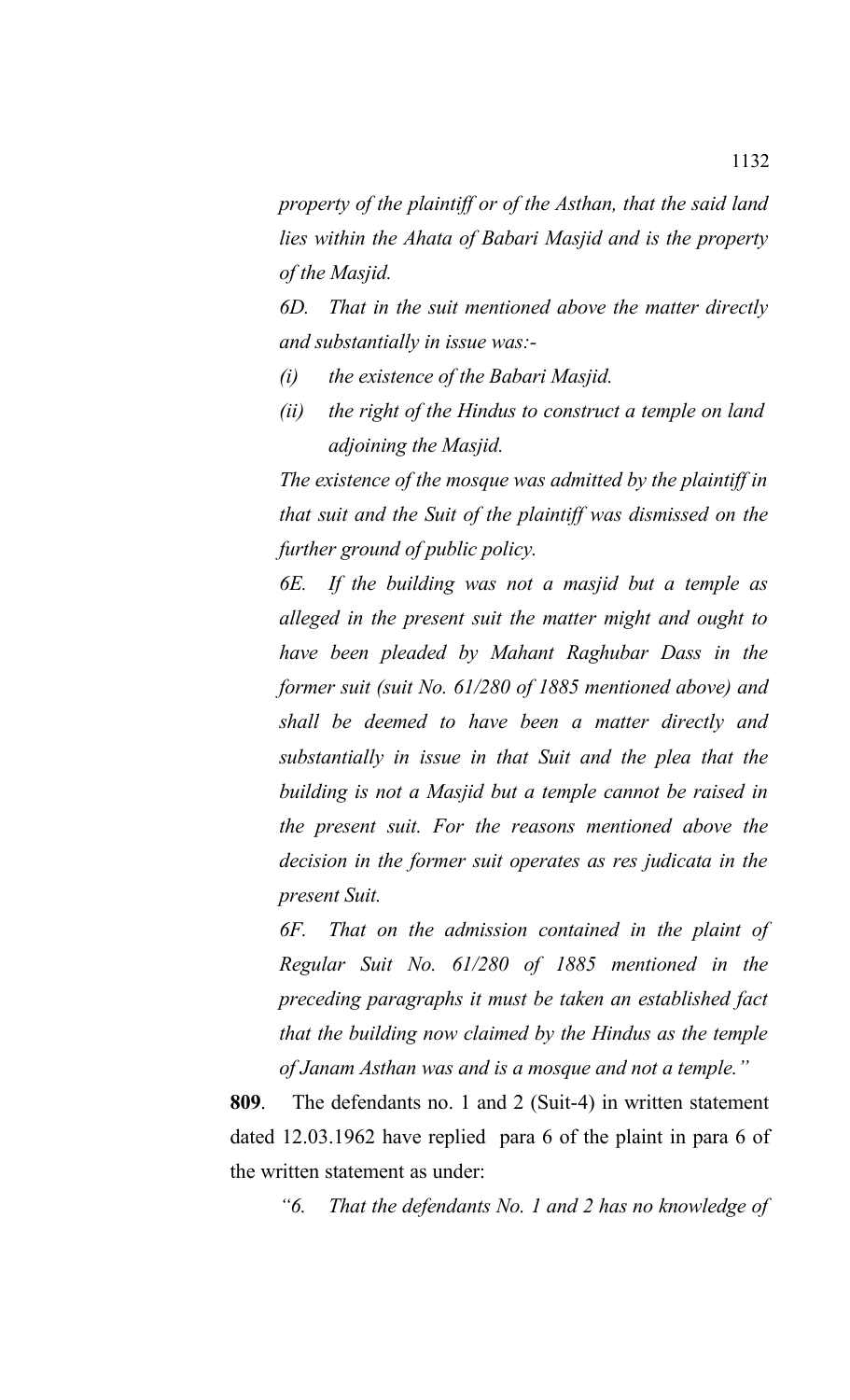*property of the plaintiff or of the Asthan, that the said land lies within the Ahata of Babari Masjid and is the property of the Masjid.* 

*6D. That in the suit mentioned above the matter directly and substantially in issue was:-*

- *(i) the existence of the Babari Masjid.*
- *(ii) the right of the Hindus to construct a temple on land adjoining the Masjid.*

*The existence of the mosque was admitted by the plaintiff in that suit and the Suit of the plaintiff was dismissed on the further ground of public policy.* 

*6E. If the building was not a masjid but a temple as alleged in the present suit the matter might and ought to have been pleaded by Mahant Raghubar Dass in the former suit (suit No. 61/280 of 1885 mentioned above) and shall be deemed to have been a matter directly and substantially in issue in that Suit and the plea that the building is not a Masjid but a temple cannot be raised in the present suit. For the reasons mentioned above the decision in the former suit operates as res judicata in the present Suit.*

*6F. That on the admission contained in the plaint of Regular Suit No. 61/280 of 1885 mentioned in the preceding paragraphs it must be taken an established fact that the building now claimed by the Hindus as the temple of Janam Asthan was and is a mosque and not a temple."*

**809**. The defendants no. 1 and 2 (Suit-4) in written statement dated 12.03.1962 have replied para 6 of the plaint in para 6 of the written statement as under:

*"6. That the defendants No. 1 and 2 has no knowledge of*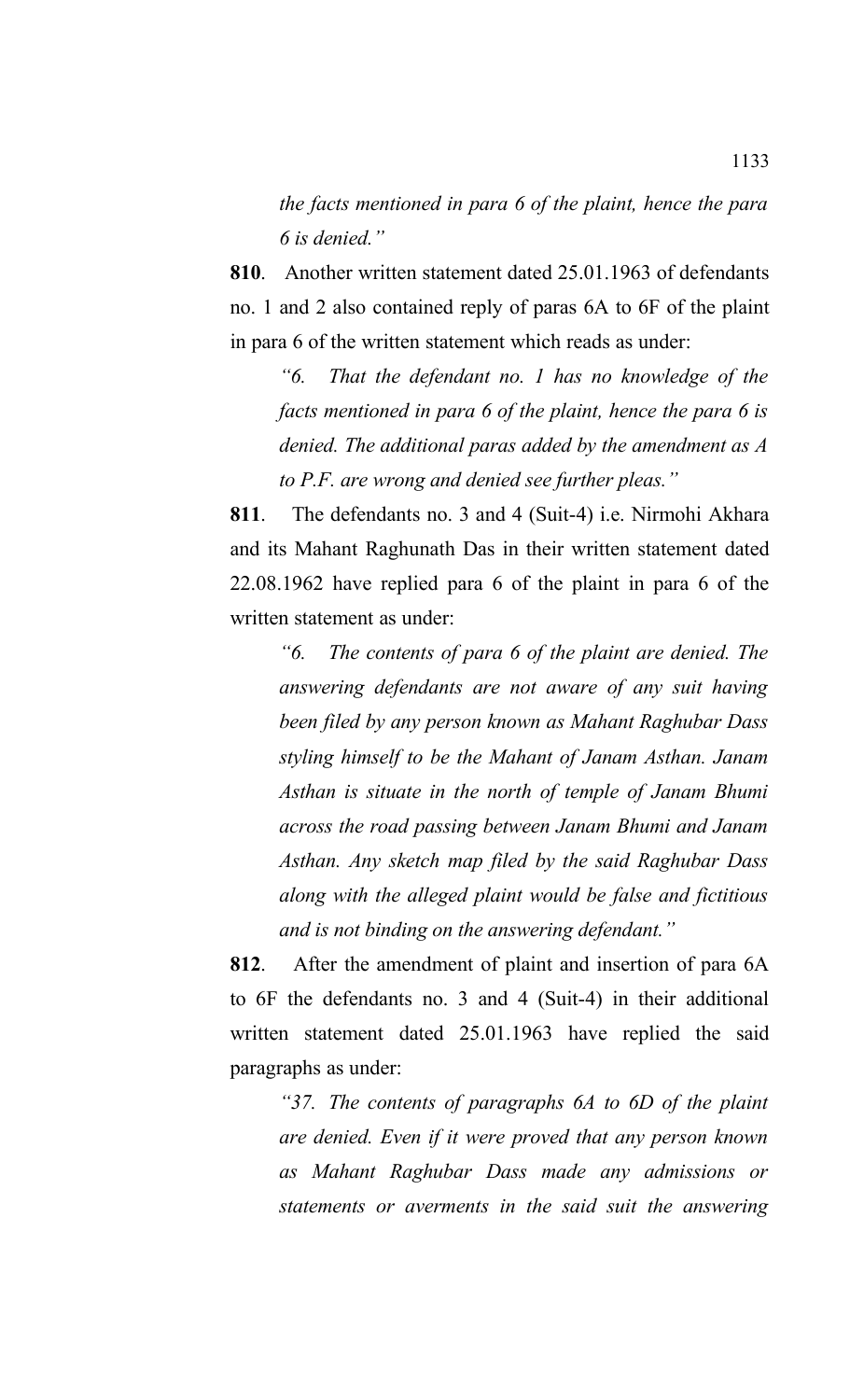*the facts mentioned in para 6 of the plaint, hence the para 6 is denied."*

**810**. Another written statement dated 25.01.1963 of defendants no. 1 and 2 also contained reply of paras 6A to 6F of the plaint in para 6 of the written statement which reads as under:

*"6. That the defendant no. 1 has no knowledge of the facts mentioned in para 6 of the plaint, hence the para 6 is denied. The additional paras added by the amendment as A to P.F. are wrong and denied see further pleas."*

**811**. The defendants no. 3 and 4 (Suit-4) i.e. Nirmohi Akhara and its Mahant Raghunath Das in their written statement dated 22.08.1962 have replied para 6 of the plaint in para 6 of the written statement as under:

*"6. The contents of para 6 of the plaint are denied. The answering defendants are not aware of any suit having been filed by any person known as Mahant Raghubar Dass styling himself to be the Mahant of Janam Asthan. Janam Asthan is situate in the north of temple of Janam Bhumi across the road passing between Janam Bhumi and Janam Asthan. Any sketch map filed by the said Raghubar Dass along with the alleged plaint would be false and fictitious and is not binding on the answering defendant."*

**812**. After the amendment of plaint and insertion of para 6A to 6F the defendants no. 3 and 4 (Suit-4) in their additional written statement dated 25.01.1963 have replied the said paragraphs as under:

*"37. The contents of paragraphs 6A to 6D of the plaint are denied. Even if it were proved that any person known as Mahant Raghubar Dass made any admissions or statements or averments in the said suit the answering*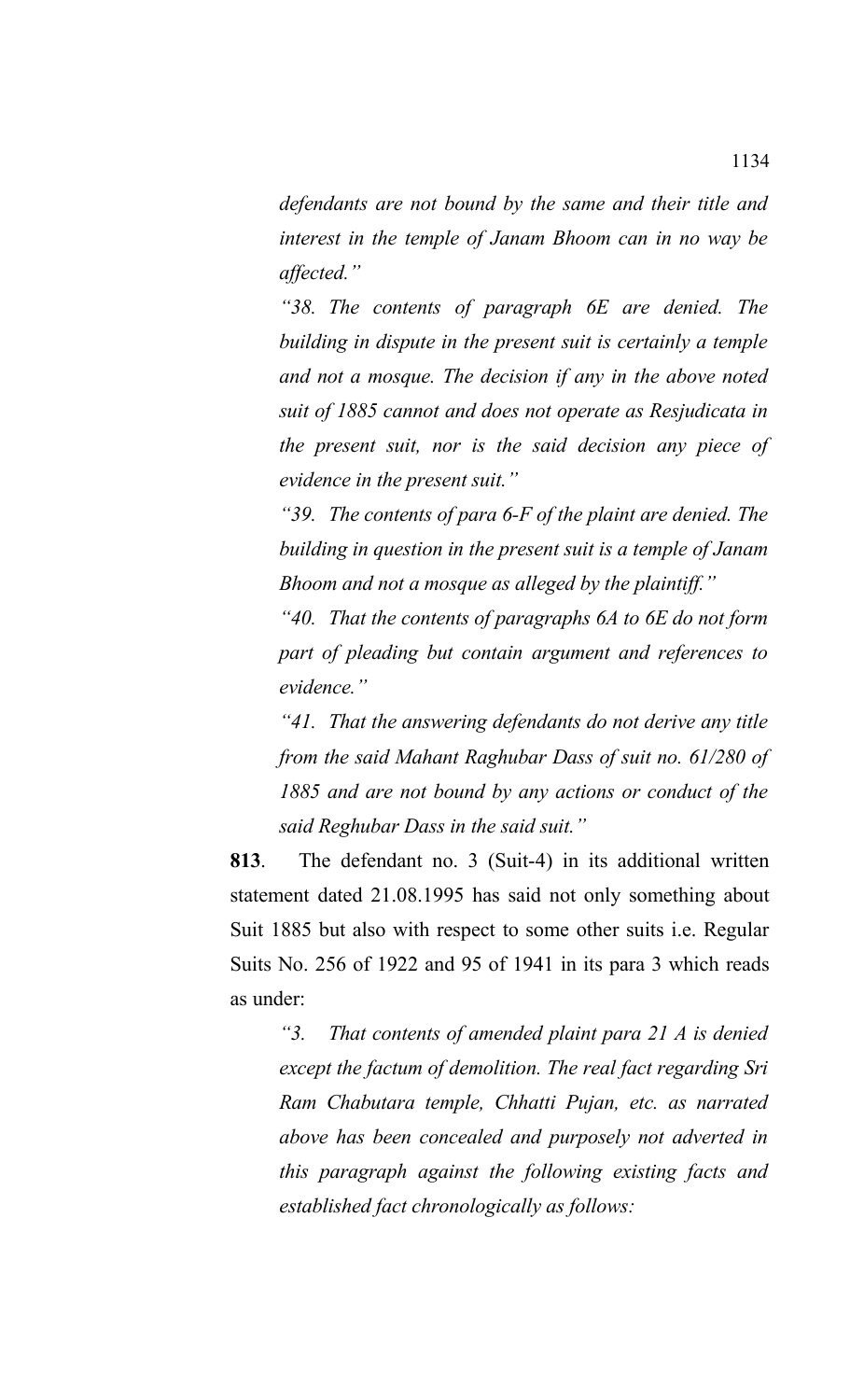*defendants are not bound by the same and their title and interest in the temple of Janam Bhoom can in no way be affected."* 

*"38. The contents of paragraph 6E are denied. The building in dispute in the present suit is certainly a temple and not a mosque. The decision if any in the above noted suit of 1885 cannot and does not operate as Resjudicata in the present suit, nor is the said decision any piece of evidence in the present suit."*

*"39. The contents of para 6-F of the plaint are denied. The building in question in the present suit is a temple of Janam Bhoom and not a mosque as alleged by the plaintiff."*

*"40. That the contents of paragraphs 6A to 6E do not form part of pleading but contain argument and references to evidence."*

*"41. That the answering defendants do not derive any title from the said Mahant Raghubar Dass of suit no. 61/280 of 1885 and are not bound by any actions or conduct of the said Reghubar Dass in the said suit."*

**813**. The defendant no. 3 (Suit-4) in its additional written statement dated 21.08.1995 has said not only something about Suit 1885 but also with respect to some other suits i.e. Regular Suits No. 256 of 1922 and 95 of 1941 in its para 3 which reads as under:

*"3. That contents of amended plaint para 21 A is denied except the factum of demolition. The real fact regarding Sri Ram Chabutara temple, Chhatti Pujan, etc. as narrated above has been concealed and purposely not adverted in this paragraph against the following existing facts and established fact chronologically as follows:*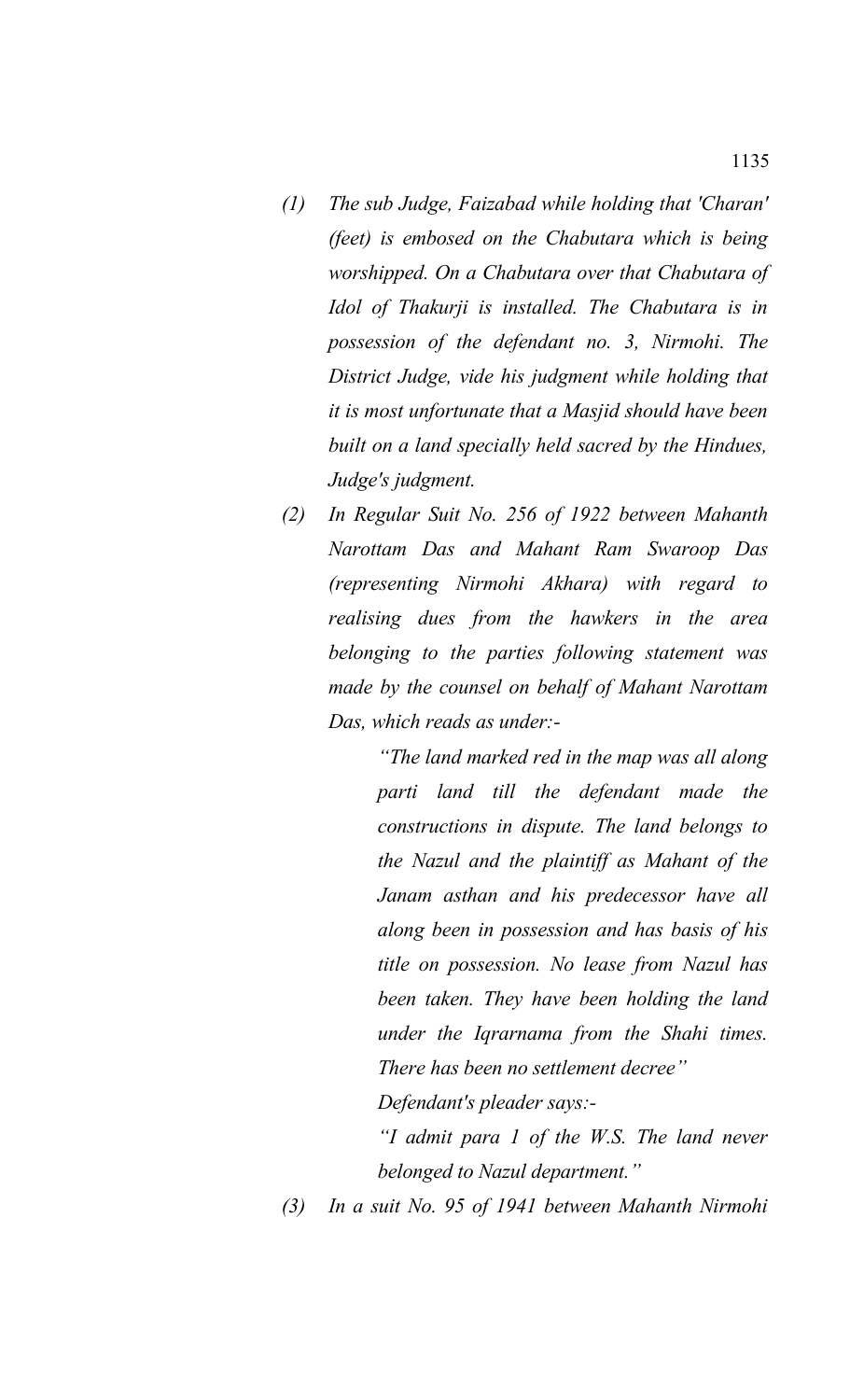- *(1) The sub Judge, Faizabad while holding that 'Charan' (feet) is embosed on the Chabutara which is being worshipped. On a Chabutara over that Chabutara of Idol of Thakurji is installed. The Chabutara is in possession of the defendant no. 3, Nirmohi. The District Judge, vide his judgment while holding that it is most unfortunate that a Masjid should have been built on a land specially held sacred by the Hindues, Judge's judgment.*
- *(2) In Regular Suit No. 256 of 1922 between Mahanth Narottam Das and Mahant Ram Swaroop Das (representing Nirmohi Akhara) with regard to realising dues from the hawkers in the area belonging to the parties following statement was made by the counsel on behalf of Mahant Narottam Das, which reads as under:-*

*"The land marked red in the map was all along parti land till the defendant made the constructions in dispute. The land belongs to the Nazul and the plaintiff as Mahant of the Janam asthan and his predecessor have all along been in possession and has basis of his title on possession. No lease from Nazul has been taken. They have been holding the land under the Iqrarnama from the Shahi times. There has been no settlement decree"*

*Defendant's pleader says:-*

*"I admit para 1 of the W.S. The land never belonged to Nazul department."*

*(3) In a suit No. 95 of 1941 between Mahanth Nirmohi*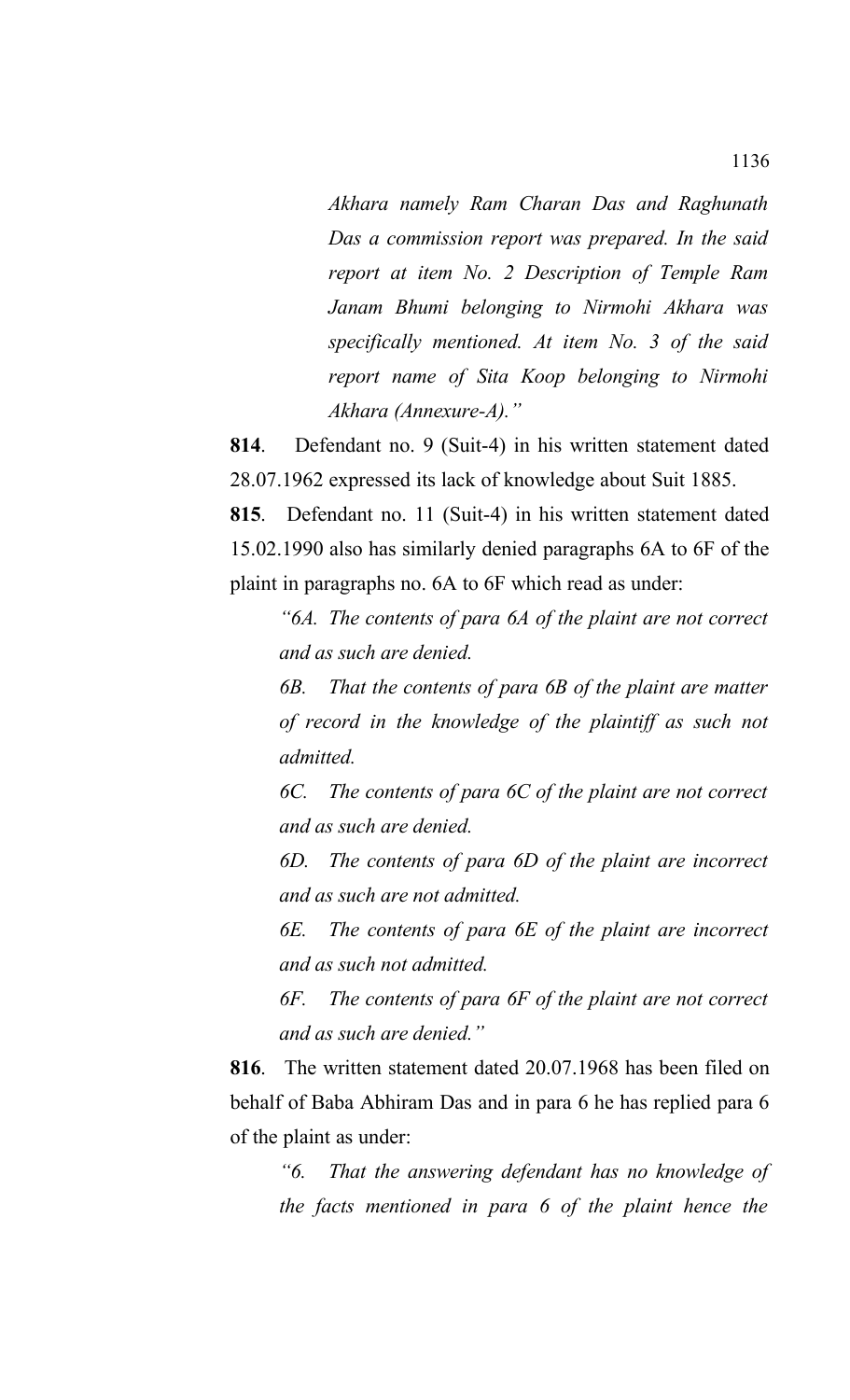*Akhara namely Ram Charan Das and Raghunath Das a commission report was prepared. In the said report at item No. 2 Description of Temple Ram Janam Bhumi belonging to Nirmohi Akhara was specifically mentioned. At item No. 3 of the said report name of Sita Koop belonging to Nirmohi Akhara (Annexure-A)."* 

**814**. Defendant no. 9 (Suit-4) in his written statement dated 28.07.1962 expressed its lack of knowledge about Suit 1885.

**815**. Defendant no. 11 (Suit-4) in his written statement dated 15.02.1990 also has similarly denied paragraphs 6A to 6F of the plaint in paragraphs no. 6A to 6F which read as under:

*"6A. The contents of para 6A of the plaint are not correct and as such are denied.* 

*6B. That the contents of para 6B of the plaint are matter of record in the knowledge of the plaintiff as such not admitted.*

*6C. The contents of para 6C of the plaint are not correct and as such are denied.*

*6D. The contents of para 6D of the plaint are incorrect and as such are not admitted.*

*6E. The contents of para 6E of the plaint are incorrect and as such not admitted.*

*6F. The contents of para 6F of the plaint are not correct and as such are denied."*

**816**. The written statement dated 20.07.1968 has been filed on behalf of Baba Abhiram Das and in para 6 he has replied para 6 of the plaint as under:

*"6. That the answering defendant has no knowledge of the facts mentioned in para 6 of the plaint hence the*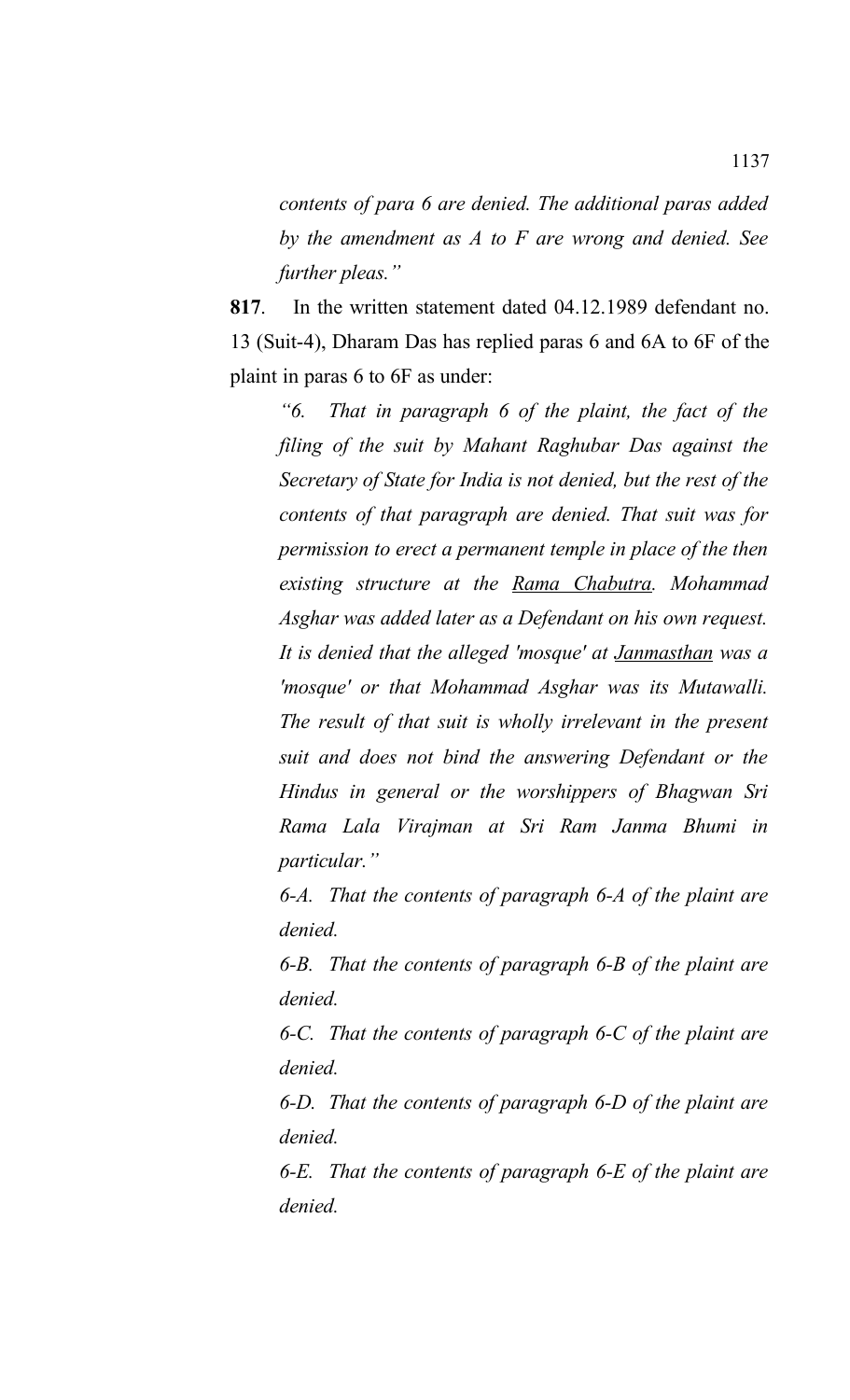*contents of para 6 are denied. The additional paras added by the amendment as A to F are wrong and denied. See further pleas."*

**817**. In the written statement dated 04.12.1989 defendant no. 13 (Suit-4), Dharam Das has replied paras 6 and 6A to 6F of the plaint in paras 6 to 6F as under:

*"6. That in paragraph 6 of the plaint, the fact of the filing of the suit by Mahant Raghubar Das against the Secretary of State for India is not denied, but the rest of the contents of that paragraph are denied. That suit was for permission to erect a permanent temple in place of the then existing structure at the Rama Chabutra. Mohammad Asghar was added later as a Defendant on his own request. It is denied that the alleged 'mosque' at Janmasthan was a 'mosque' or that Mohammad Asghar was its Mutawalli. The result of that suit is wholly irrelevant in the present suit and does not bind the answering Defendant or the Hindus in general or the worshippers of Bhagwan Sri Rama Lala Virajman at Sri Ram Janma Bhumi in particular."* 

*6-A. That the contents of paragraph 6-A of the plaint are denied.* 

*6-B. That the contents of paragraph 6-B of the plaint are denied.* 

*6-C. That the contents of paragraph 6-C of the plaint are denied.* 

*6-D. That the contents of paragraph 6-D of the plaint are denied.* 

*6-E. That the contents of paragraph 6-E of the plaint are denied.*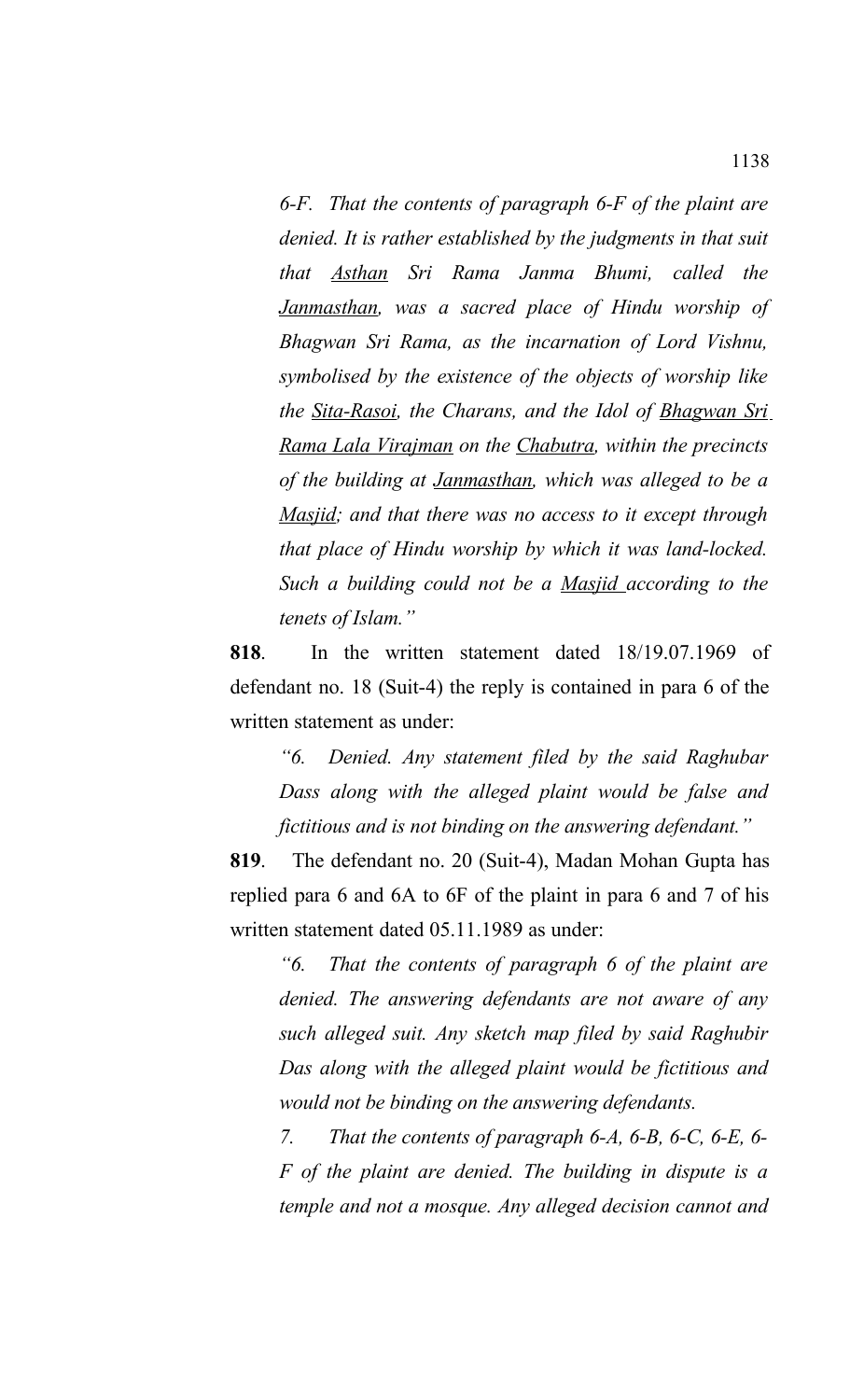*6-F. That the contents of paragraph 6-F of the plaint are denied. It is rather established by the judgments in that suit that Asthan Sri Rama Janma Bhumi, called the Janmasthan, was a sacred place of Hindu worship of Bhagwan Sri Rama, as the incarnation of Lord Vishnu, symbolised by the existence of the objects of worship like the Sita-Rasoi, the Charans, and the Idol of Bhagwan Sri Rama Lala Virajman on the Chabutra, within the precincts of the building at Janmasthan, which was alleged to be a Masjid; and that there was no access to it except through that place of Hindu worship by which it was land-locked. Such a building could not be a Masjid according to the tenets of Islam."*

**818**. In the written statement dated 18/19.07.1969 of defendant no. 18 (Suit-4) the reply is contained in para 6 of the written statement as under:

*"6. Denied. Any statement filed by the said Raghubar Dass along with the alleged plaint would be false and fictitious and is not binding on the answering defendant."*

**819**. The defendant no. 20 (Suit-4), Madan Mohan Gupta has replied para 6 and 6A to 6F of the plaint in para 6 and 7 of his written statement dated 05.11.1989 as under:

*"6. That the contents of paragraph 6 of the plaint are denied. The answering defendants are not aware of any such alleged suit. Any sketch map filed by said Raghubir Das along with the alleged plaint would be fictitious and would not be binding on the answering defendants.* 

*7. That the contents of paragraph 6-A, 6-B, 6-C, 6-E, 6- F of the plaint are denied. The building in dispute is a temple and not a mosque. Any alleged decision cannot and*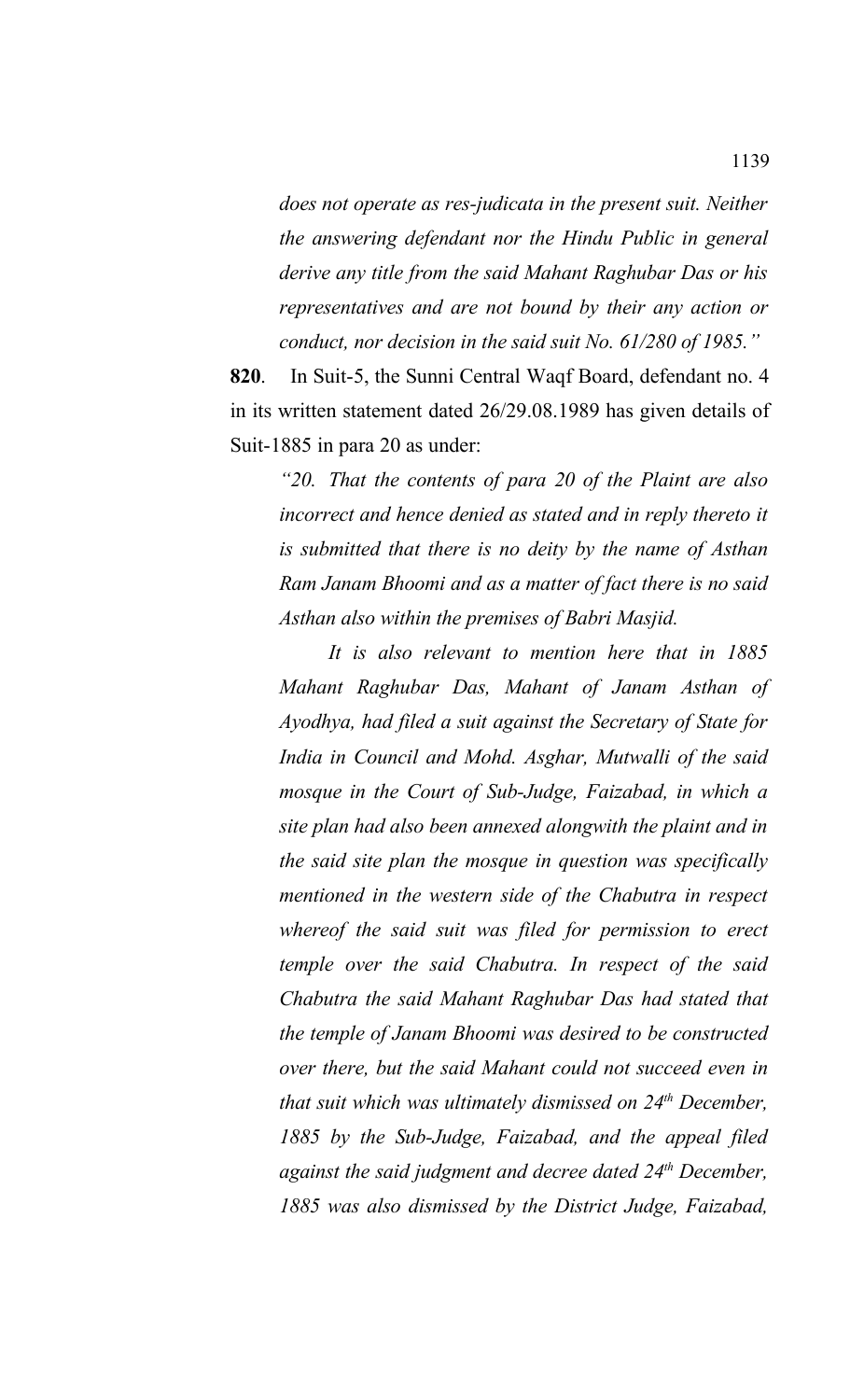*does not operate as res-judicata in the present suit. Neither the answering defendant nor the Hindu Public in general derive any title from the said Mahant Raghubar Das or his representatives and are not bound by their any action or conduct, nor decision in the said suit No. 61/280 of 1985."*

**820**. In Suit-5, the Sunni Central Waqf Board, defendant no. 4 in its written statement dated 26/29.08.1989 has given details of Suit-1885 in para 20 as under:

*"20. That the contents of para 20 of the Plaint are also incorrect and hence denied as stated and in reply thereto it is submitted that there is no deity by the name of Asthan Ram Janam Bhoomi and as a matter of fact there is no said Asthan also within the premises of Babri Masjid.* 

*It is also relevant to mention here that in 1885 Mahant Raghubar Das, Mahant of Janam Asthan of Ayodhya, had filed a suit against the Secretary of State for India in Council and Mohd. Asghar, Mutwalli of the said mosque in the Court of Sub-Judge, Faizabad, in which a site plan had also been annexed alongwith the plaint and in the said site plan the mosque in question was specifically mentioned in the western side of the Chabutra in respect whereof the said suit was filed for permission to erect temple over the said Chabutra. In respect of the said Chabutra the said Mahant Raghubar Das had stated that the temple of Janam Bhoomi was desired to be constructed over there, but the said Mahant could not succeed even in that suit which was ultimately dismissed on 24th December, 1885 by the Sub-Judge, Faizabad, and the appeal filed against the said judgment and decree dated 24th December, 1885 was also dismissed by the District Judge, Faizabad,*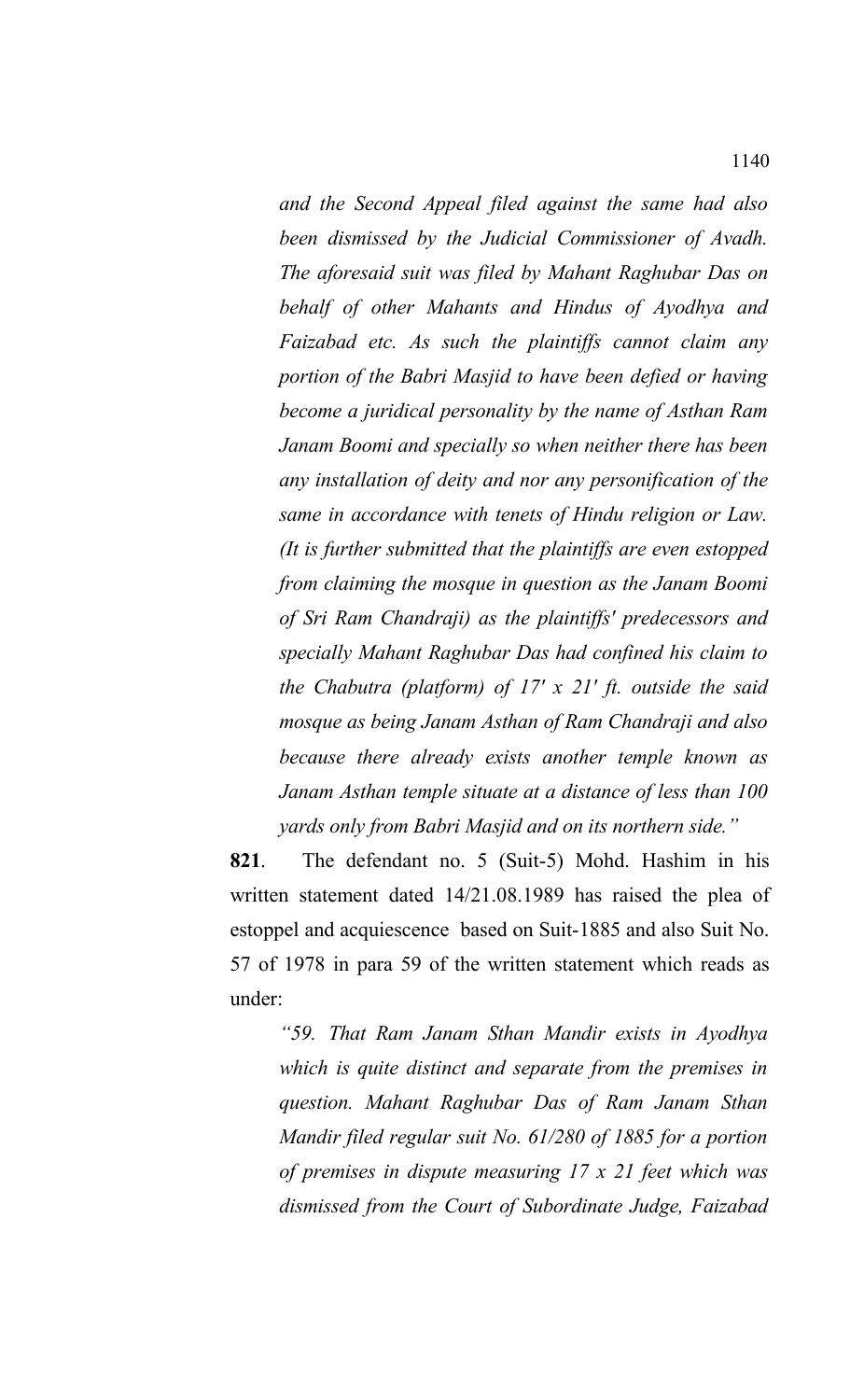*and the Second Appeal filed against the same had also been dismissed by the Judicial Commissioner of Avadh. The aforesaid suit was filed by Mahant Raghubar Das on behalf of other Mahants and Hindus of Ayodhya and Faizabad etc. As such the plaintiffs cannot claim any portion of the Babri Masjid to have been defied or having become a juridical personality by the name of Asthan Ram Janam Boomi and specially so when neither there has been any installation of deity and nor any personification of the same in accordance with tenets of Hindu religion or Law. (It is further submitted that the plaintiffs are even estopped from claiming the mosque in question as the Janam Boomi of Sri Ram Chandraji) as the plaintiffs' predecessors and specially Mahant Raghubar Das had confined his claim to the Chabutra (platform) of 17' x 21' ft. outside the said mosque as being Janam Asthan of Ram Chandraji and also because there already exists another temple known as Janam Asthan temple situate at a distance of less than 100 yards only from Babri Masjid and on its northern side."*

**821**. The defendant no. 5 (Suit-5) Mohd. Hashim in his written statement dated 14/21.08.1989 has raised the plea of estoppel and acquiescence based on Suit-1885 and also Suit No. 57 of 1978 in para 59 of the written statement which reads as under:

*"59. That Ram Janam Sthan Mandir exists in Ayodhya which is quite distinct and separate from the premises in question. Mahant Raghubar Das of Ram Janam Sthan Mandir filed regular suit No. 61/280 of 1885 for a portion of premises in dispute measuring 17 x 21 feet which was dismissed from the Court of Subordinate Judge, Faizabad*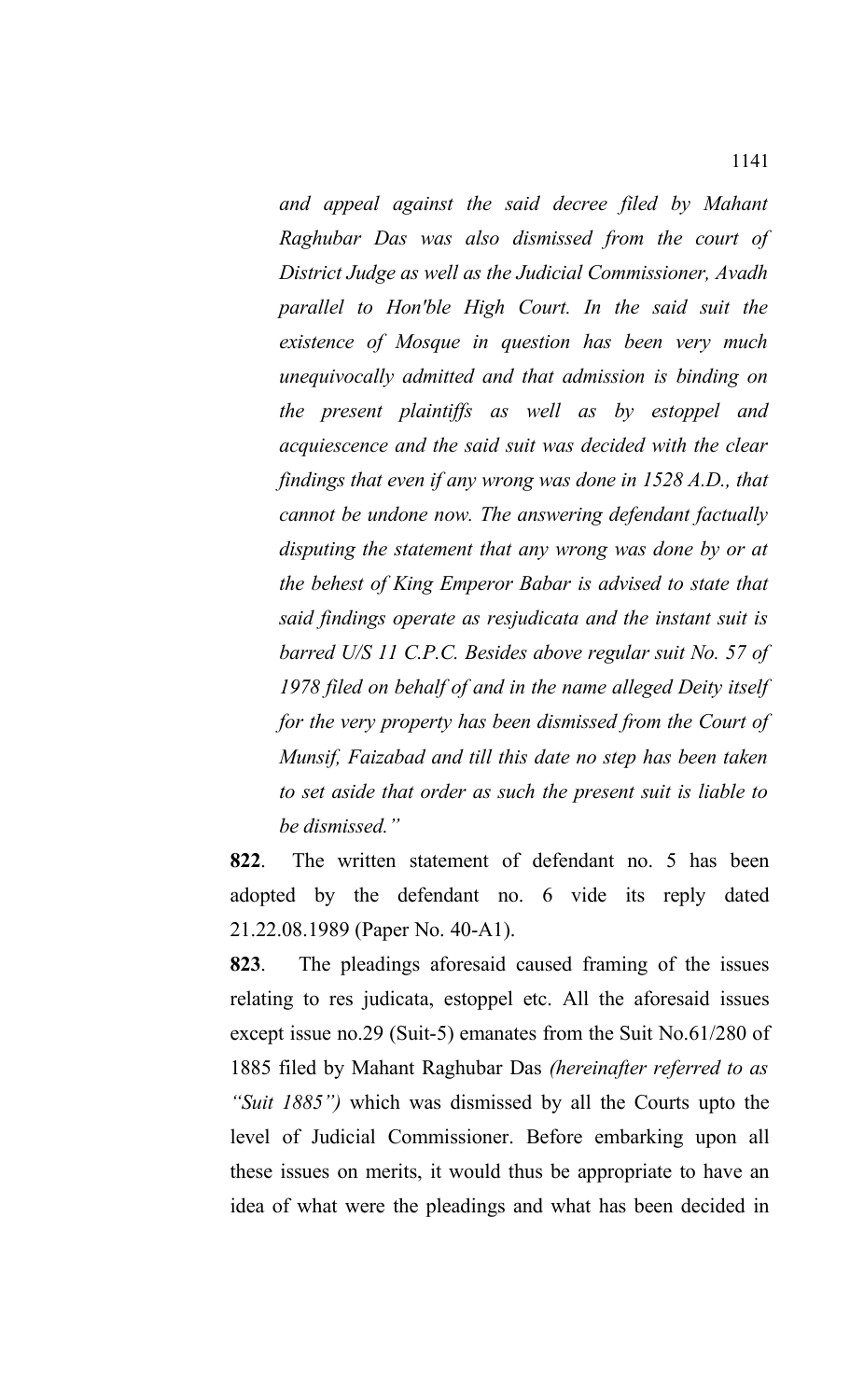*and appeal against the said decree filed by Mahant Raghubar Das was also dismissed from the court of District Judge as well as the Judicial Commissioner, Avadh parallel to Hon'ble High Court. In the said suit the existence of Mosque in question has been very much unequivocally admitted and that admission is binding on the present plaintiffs as well as by estoppel and acquiescence and the said suit was decided with the clear findings that even if any wrong was done in 1528 A.D., that cannot be undone now. The answering defendant factually disputing the statement that any wrong was done by or at the behest of King Emperor Babar is advised to state that said findings operate as resjudicata and the instant suit is barred U/S 11 C.P.C. Besides above regular suit No. 57 of 1978 filed on behalf of and in the name alleged Deity itself for the very property has been dismissed from the Court of Munsif, Faizabad and till this date no step has been taken to set aside that order as such the present suit is liable to be dismissed."*

**822**. The written statement of defendant no. 5 has been adopted by the defendant no. 6 vide its reply dated 21.22.08.1989 (Paper No. 40-A1).

**823**. The pleadings aforesaid caused framing of the issues relating to res judicata, estoppel etc. All the aforesaid issues except issue no.29 (Suit-5) emanates from the Suit No.61/280 of 1885 filed by Mahant Raghubar Das *(hereinafter referred to as "Suit 1885")* which was dismissed by all the Courts upto the level of Judicial Commissioner. Before embarking upon all these issues on merits, it would thus be appropriate to have an idea of what were the pleadings and what has been decided in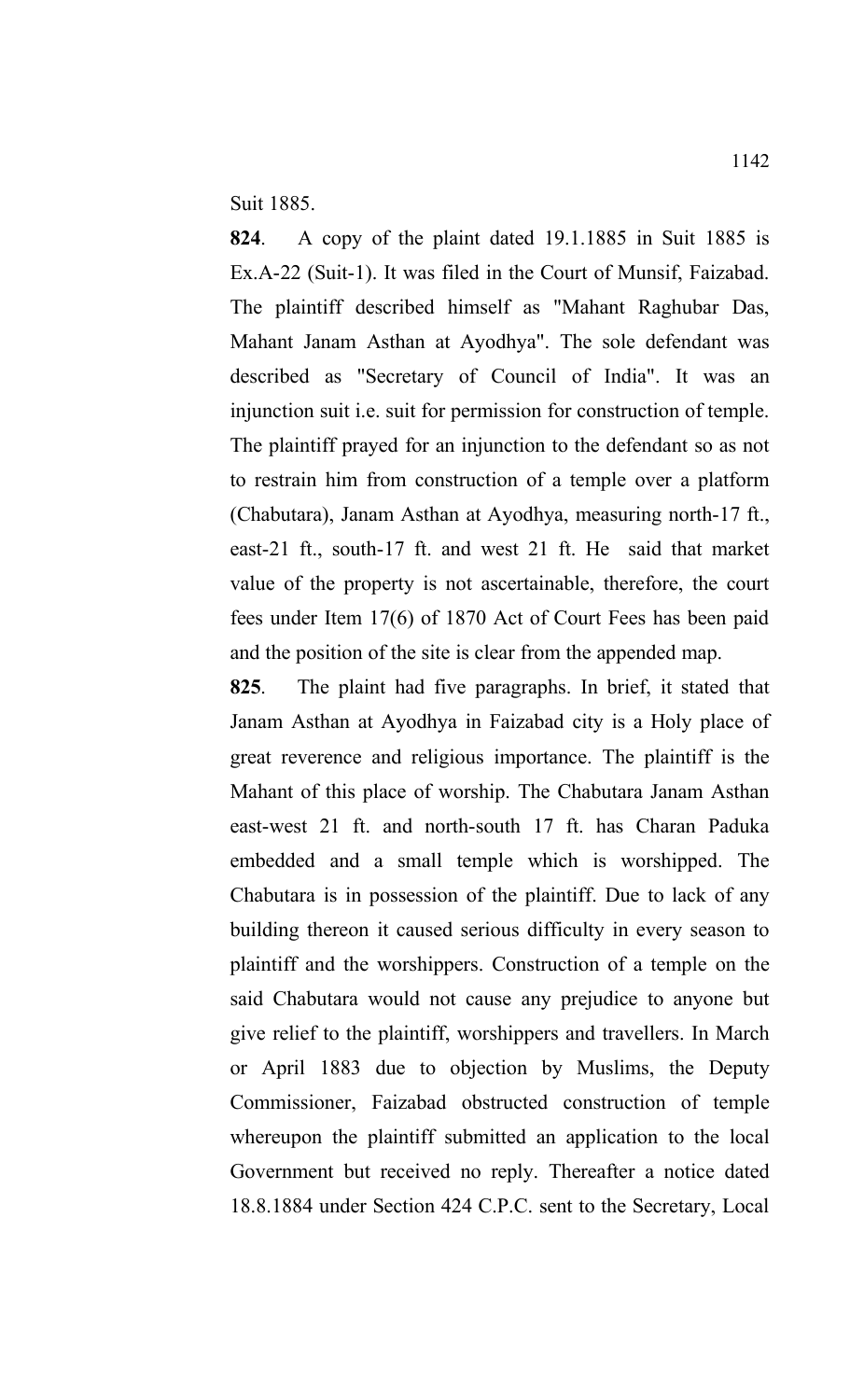Suit 1885.

**824**. A copy of the plaint dated 19.1.1885 in Suit 1885 is Ex.A-22 (Suit-1). It was filed in the Court of Munsif, Faizabad. The plaintiff described himself as "Mahant Raghubar Das, Mahant Janam Asthan at Ayodhya". The sole defendant was described as "Secretary of Council of India". It was an injunction suit i.e. suit for permission for construction of temple. The plaintiff prayed for an injunction to the defendant so as not to restrain him from construction of a temple over a platform (Chabutara), Janam Asthan at Ayodhya, measuring north-17 ft., east-21 ft., south-17 ft. and west 21 ft. He said that market value of the property is not ascertainable, therefore, the court fees under Item 17(6) of 1870 Act of Court Fees has been paid and the position of the site is clear from the appended map.

**825**. The plaint had five paragraphs. In brief, it stated that Janam Asthan at Ayodhya in Faizabad city is a Holy place of great reverence and religious importance. The plaintiff is the Mahant of this place of worship. The Chabutara Janam Asthan east-west 21 ft. and north-south 17 ft. has Charan Paduka embedded and a small temple which is worshipped. The Chabutara is in possession of the plaintiff. Due to lack of any building thereon it caused serious difficulty in every season to plaintiff and the worshippers. Construction of a temple on the said Chabutara would not cause any prejudice to anyone but give relief to the plaintiff, worshippers and travellers. In March or April 1883 due to objection by Muslims, the Deputy Commissioner, Faizabad obstructed construction of temple whereupon the plaintiff submitted an application to the local Government but received no reply. Thereafter a notice dated 18.8.1884 under Section 424 C.P.C. sent to the Secretary, Local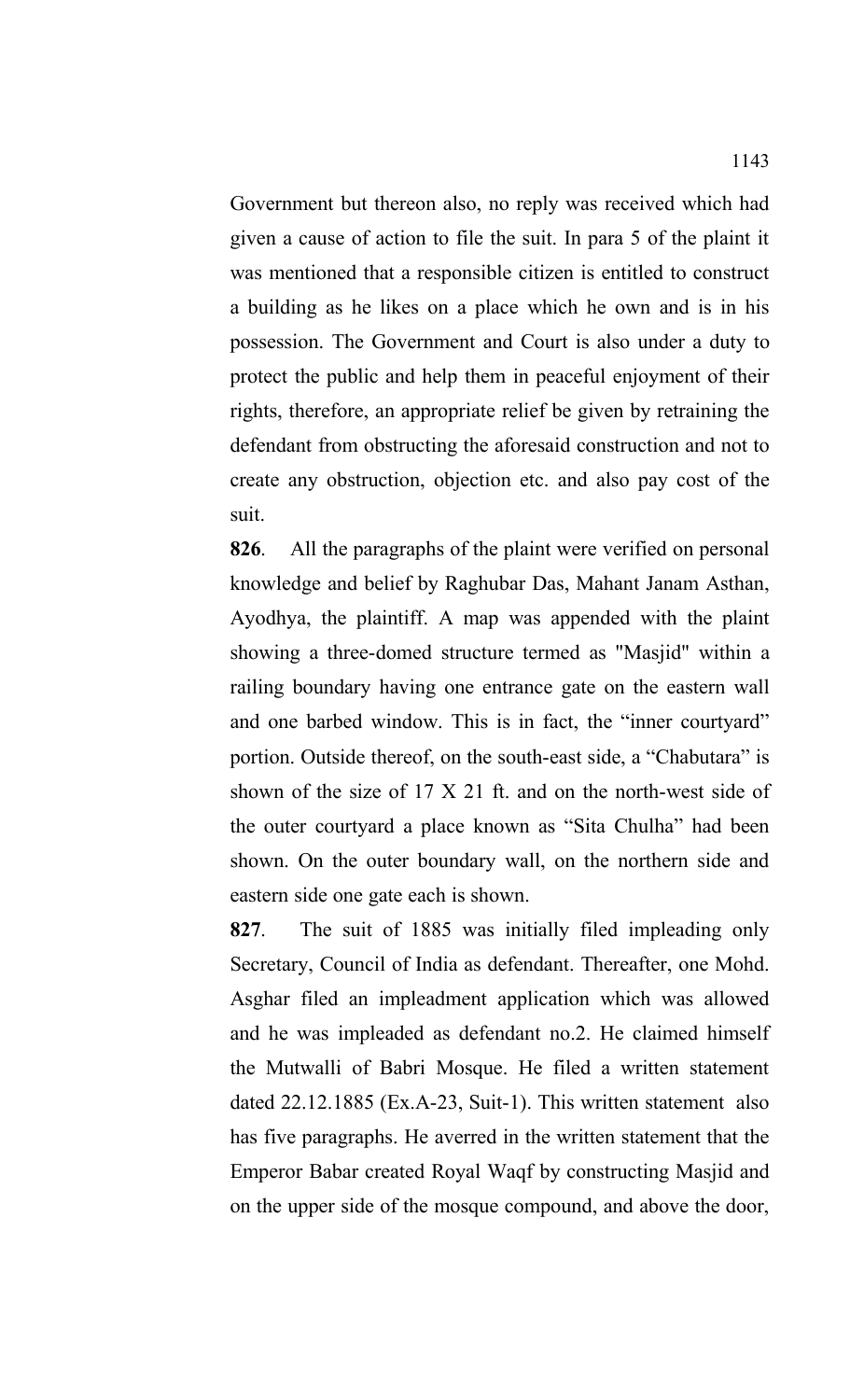Government but thereon also, no reply was received which had given a cause of action to file the suit. In para 5 of the plaint it was mentioned that a responsible citizen is entitled to construct a building as he likes on a place which he own and is in his possession. The Government and Court is also under a duty to protect the public and help them in peaceful enjoyment of their rights, therefore, an appropriate relief be given by retraining the defendant from obstructing the aforesaid construction and not to create any obstruction, objection etc. and also pay cost of the suit.

**826**. All the paragraphs of the plaint were verified on personal knowledge and belief by Raghubar Das, Mahant Janam Asthan, Ayodhya, the plaintiff. A map was appended with the plaint showing a three-domed structure termed as "Masjid" within a railing boundary having one entrance gate on the eastern wall and one barbed window. This is in fact, the "inner courtyard" portion. Outside thereof, on the south-east side, a "Chabutara" is shown of the size of 17 X 21 ft. and on the north-west side of the outer courtyard a place known as "Sita Chulha" had been shown. On the outer boundary wall, on the northern side and eastern side one gate each is shown.

**827**. The suit of 1885 was initially filed impleading only Secretary, Council of India as defendant. Thereafter, one Mohd. Asghar filed an impleadment application which was allowed and he was impleaded as defendant no.2. He claimed himself the Mutwalli of Babri Mosque. He filed a written statement dated 22.12.1885 (Ex.A-23, Suit-1). This written statement also has five paragraphs. He averred in the written statement that the Emperor Babar created Royal Waqf by constructing Masjid and on the upper side of the mosque compound, and above the door,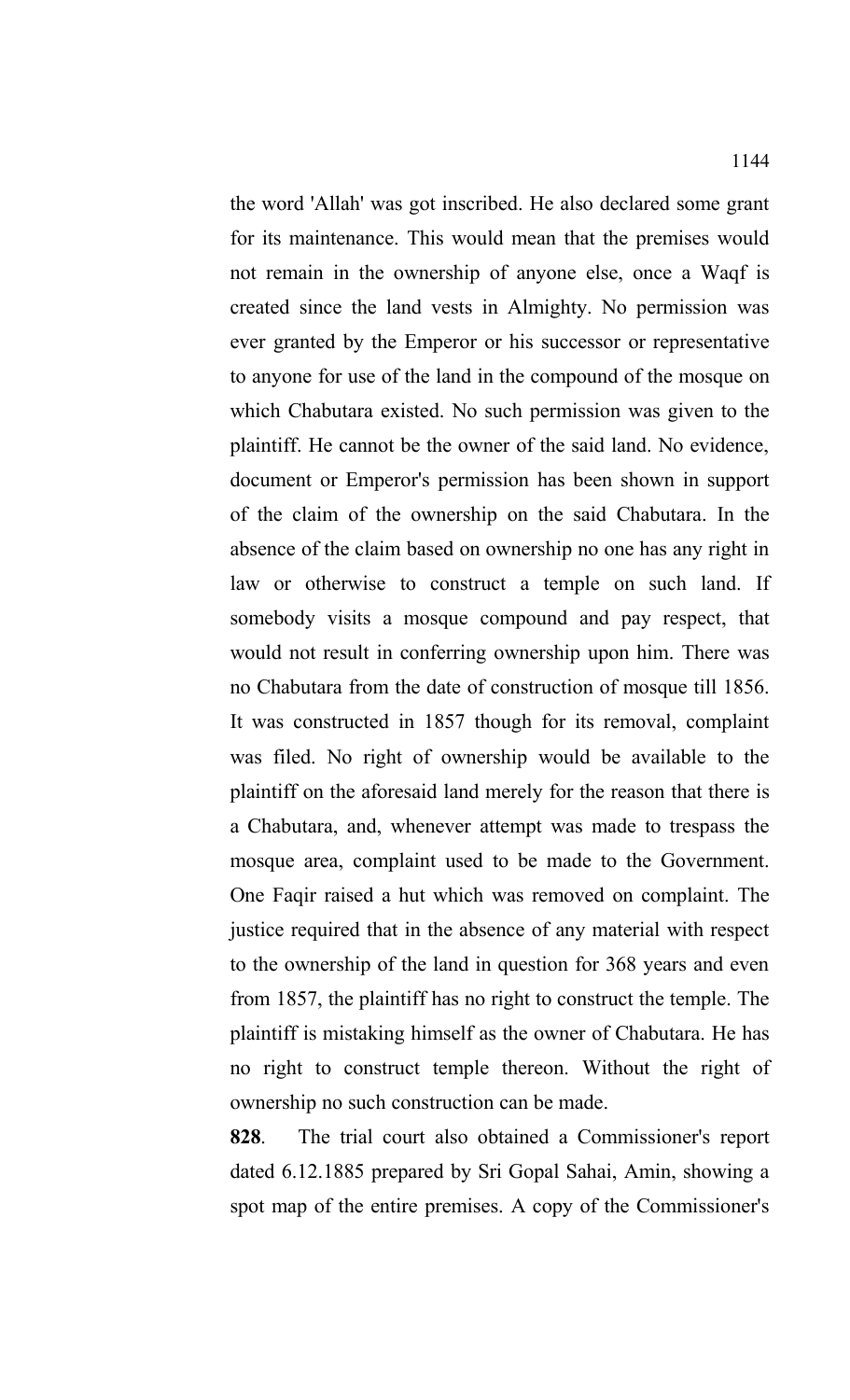the word 'Allah' was got inscribed. He also declared some grant for its maintenance. This would mean that the premises would not remain in the ownership of anyone else, once a Waqf is created since the land vests in Almighty. No permission was ever granted by the Emperor or his successor or representative to anyone for use of the land in the compound of the mosque on which Chabutara existed. No such permission was given to the plaintiff. He cannot be the owner of the said land. No evidence, document or Emperor's permission has been shown in support of the claim of the ownership on the said Chabutara. In the absence of the claim based on ownership no one has any right in law or otherwise to construct a temple on such land. If somebody visits a mosque compound and pay respect, that would not result in conferring ownership upon him. There was no Chabutara from the date of construction of mosque till 1856. It was constructed in 1857 though for its removal, complaint was filed. No right of ownership would be available to the plaintiff on the aforesaid land merely for the reason that there is a Chabutara, and, whenever attempt was made to trespass the mosque area, complaint used to be made to the Government. One Faqir raised a hut which was removed on complaint. The justice required that in the absence of any material with respect to the ownership of the land in question for 368 years and even from 1857, the plaintiff has no right to construct the temple. The plaintiff is mistaking himself as the owner of Chabutara. He has no right to construct temple thereon. Without the right of ownership no such construction can be made.

**828**. The trial court also obtained a Commissioner's report dated 6.12.1885 prepared by Sri Gopal Sahai, Amin, showing a spot map of the entire premises. A copy of the Commissioner's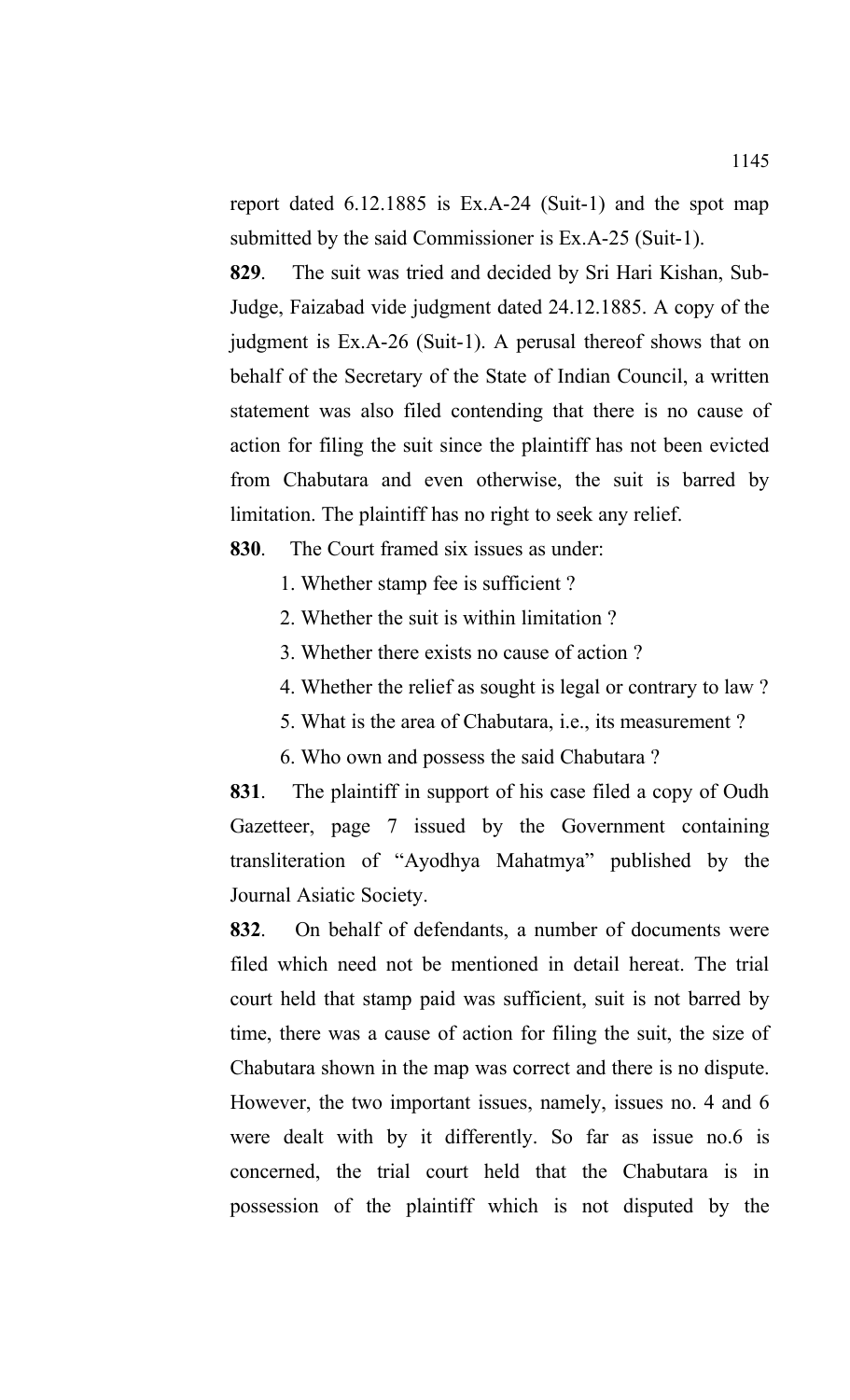report dated 6.12.1885 is Ex.A-24 (Suit-1) and the spot map submitted by the said Commissioner is Ex.A-25 (Suit-1).

**829**. The suit was tried and decided by Sri Hari Kishan, Sub-Judge, Faizabad vide judgment dated 24.12.1885. A copy of the judgment is Ex.A-26 (Suit-1). A perusal thereof shows that on behalf of the Secretary of the State of Indian Council, a written statement was also filed contending that there is no cause of action for filing the suit since the plaintiff has not been evicted from Chabutara and even otherwise, the suit is barred by limitation. The plaintiff has no right to seek any relief.

**830**. The Court framed six issues as under:

- 1. Whether stamp fee is sufficient ?
- 2. Whether the suit is within limitation ?
- 3. Whether there exists no cause of action ?
- 4. Whether the relief as sought is legal or contrary to law ?
- 5. What is the area of Chabutara, i.e., its measurement ?
- 6. Who own and possess the said Chabutara ?

**831**. The plaintiff in support of his case filed a copy of Oudh Gazetteer, page 7 issued by the Government containing transliteration of "Ayodhya Mahatmya" published by the Journal Asiatic Society.

**832**. On behalf of defendants, a number of documents were filed which need not be mentioned in detail hereat. The trial court held that stamp paid was sufficient, suit is not barred by time, there was a cause of action for filing the suit, the size of Chabutara shown in the map was correct and there is no dispute. However, the two important issues, namely, issues no. 4 and 6 were dealt with by it differently. So far as issue no.6 is concerned, the trial court held that the Chabutara is in possession of the plaintiff which is not disputed by the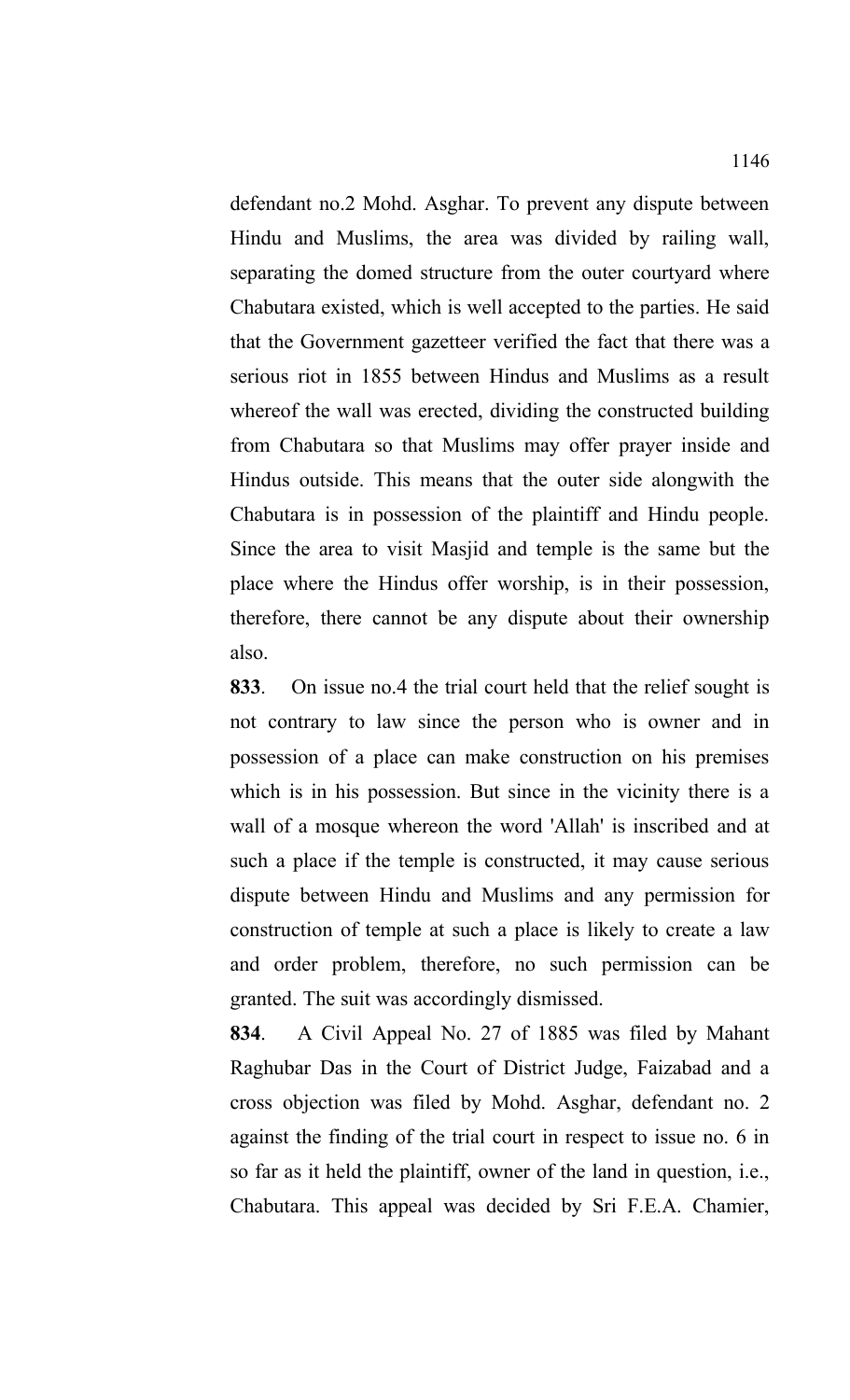defendant no.2 Mohd. Asghar. To prevent any dispute between Hindu and Muslims, the area was divided by railing wall, separating the domed structure from the outer courtyard where Chabutara existed, which is well accepted to the parties. He said that the Government gazetteer verified the fact that there was a serious riot in 1855 between Hindus and Muslims as a result whereof the wall was erected, dividing the constructed building from Chabutara so that Muslims may offer prayer inside and Hindus outside. This means that the outer side alongwith the Chabutara is in possession of the plaintiff and Hindu people. Since the area to visit Masjid and temple is the same but the place where the Hindus offer worship, is in their possession, therefore, there cannot be any dispute about their ownership also.

**833**. On issue no.4 the trial court held that the relief sought is not contrary to law since the person who is owner and in possession of a place can make construction on his premises which is in his possession. But since in the vicinity there is a wall of a mosque whereon the word 'Allah' is inscribed and at such a place if the temple is constructed, it may cause serious dispute between Hindu and Muslims and any permission for construction of temple at such a place is likely to create a law and order problem, therefore, no such permission can be granted. The suit was accordingly dismissed.

**834**. A Civil Appeal No. 27 of 1885 was filed by Mahant Raghubar Das in the Court of District Judge, Faizabad and a cross objection was filed by Mohd. Asghar, defendant no. 2 against the finding of the trial court in respect to issue no. 6 in so far as it held the plaintiff, owner of the land in question, i.e., Chabutara. This appeal was decided by Sri F.E.A. Chamier,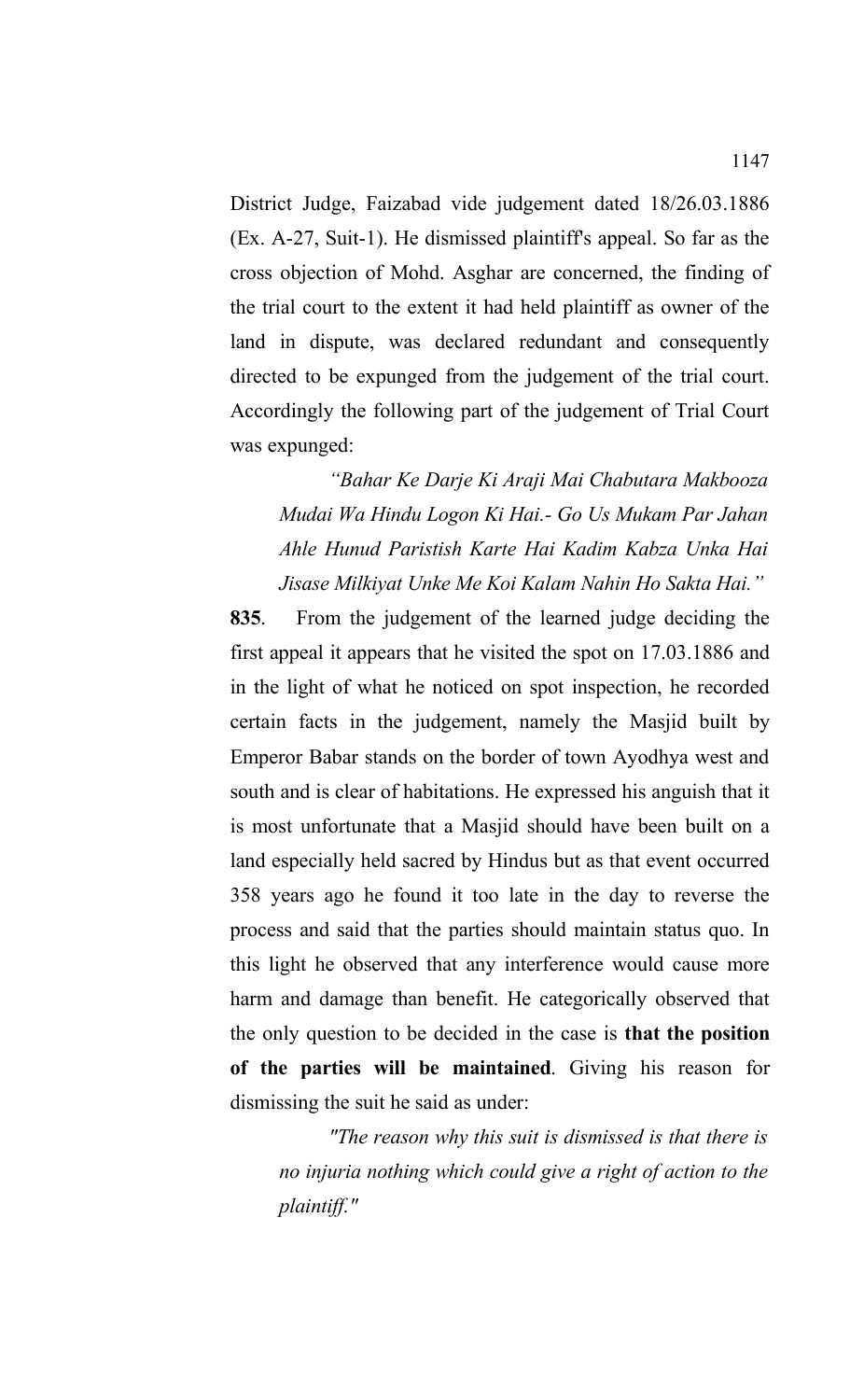District Judge, Faizabad vide judgement dated 18/26.03.1886 (Ex. A-27, Suit-1). He dismissed plaintiff's appeal. So far as the cross objection of Mohd. Asghar are concerned, the finding of the trial court to the extent it had held plaintiff as owner of the land in dispute, was declared redundant and consequently directed to be expunged from the judgement of the trial court. Accordingly the following part of the judgement of Trial Court was expunged:

*"Bahar Ke Darje Ki Araji Mai Chabutara Makbooza Mudai Wa Hindu Logon Ki Hai.- Go Us Mukam Par Jahan Ahle Hunud Paristish Karte Hai Kadim Kabza Unka Hai Jisase Milkiyat Unke Me Koi Kalam Nahin Ho Sakta Hai."*

**835**. From the judgement of the learned judge deciding the first appeal it appears that he visited the spot on 17.03.1886 and in the light of what he noticed on spot inspection, he recorded certain facts in the judgement, namely the Masjid built by Emperor Babar stands on the border of town Ayodhya west and south and is clear of habitations. He expressed his anguish that it is most unfortunate that a Masjid should have been built on a land especially held sacred by Hindus but as that event occurred 358 years ago he found it too late in the day to reverse the process and said that the parties should maintain status quo. In this light he observed that any interference would cause more harm and damage than benefit. He categorically observed that the only question to be decided in the case is **that the position of the parties will be maintained**. Giving his reason for dismissing the suit he said as under:

*"The reason why this suit is dismissed is that there is no injuria nothing which could give a right of action to the plaintiff."*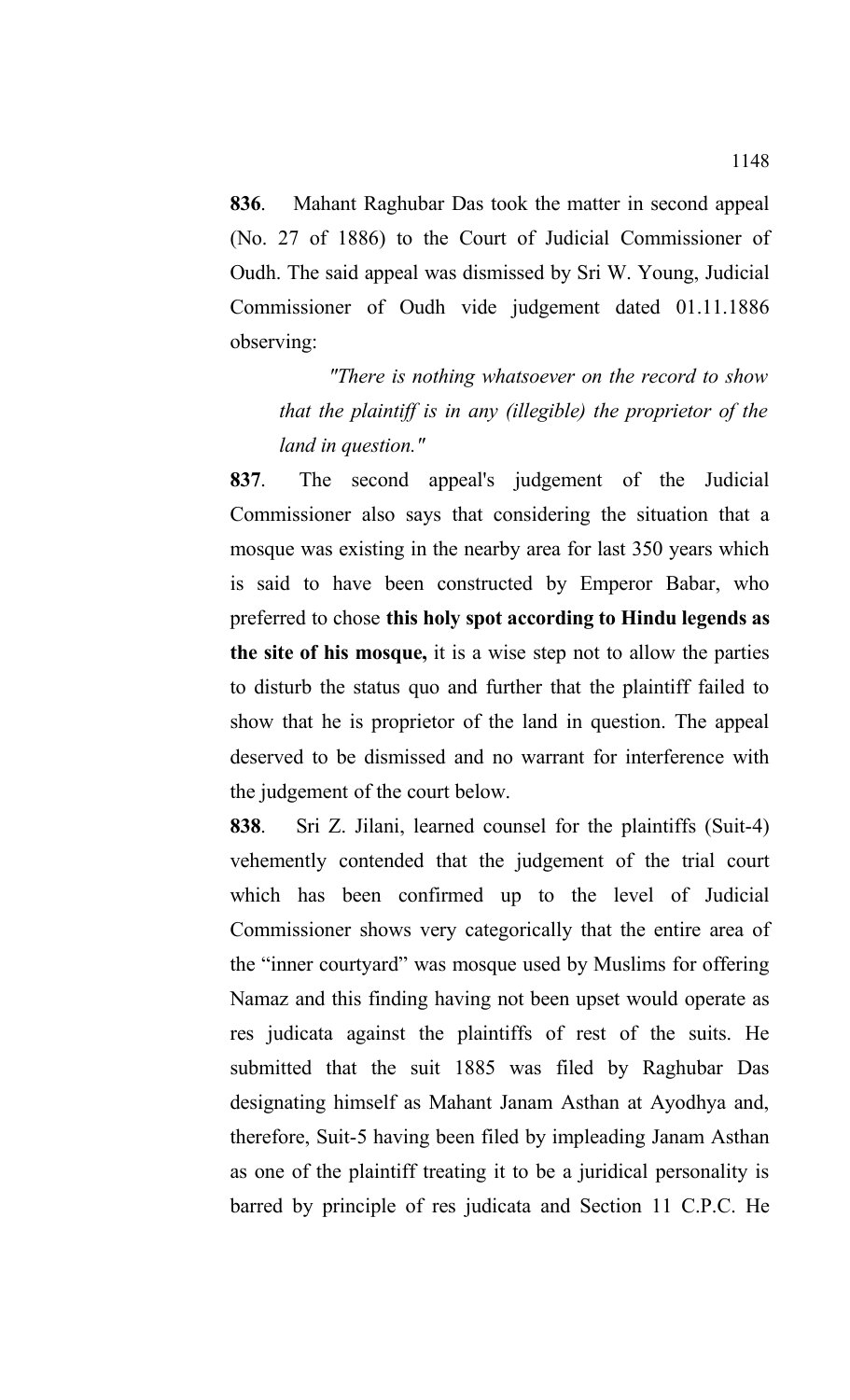**836**. Mahant Raghubar Das took the matter in second appeal (No. 27 of 1886) to the Court of Judicial Commissioner of Oudh. The said appeal was dismissed by Sri W. Young, Judicial Commissioner of Oudh vide judgement dated 01.11.1886 observing:

*"There is nothing whatsoever on the record to show that the plaintiff is in any (illegible) the proprietor of the land in question."*

**837**. The second appeal's judgement of the Judicial Commissioner also says that considering the situation that a mosque was existing in the nearby area for last 350 years which is said to have been constructed by Emperor Babar, who preferred to chose **this holy spot according to Hindu legends as the site of his mosque,** it is a wise step not to allow the parties to disturb the status quo and further that the plaintiff failed to show that he is proprietor of the land in question. The appeal deserved to be dismissed and no warrant for interference with the judgement of the court below.

**838**. Sri Z. Jilani, learned counsel for the plaintiffs (Suit-4) vehemently contended that the judgement of the trial court which has been confirmed up to the level of Judicial Commissioner shows very categorically that the entire area of the "inner courtyard" was mosque used by Muslims for offering Namaz and this finding having not been upset would operate as res judicata against the plaintiffs of rest of the suits. He submitted that the suit 1885 was filed by Raghubar Das designating himself as Mahant Janam Asthan at Ayodhya and, therefore, Suit-5 having been filed by impleading Janam Asthan as one of the plaintiff treating it to be a juridical personality is barred by principle of res judicata and Section 11 C.P.C. He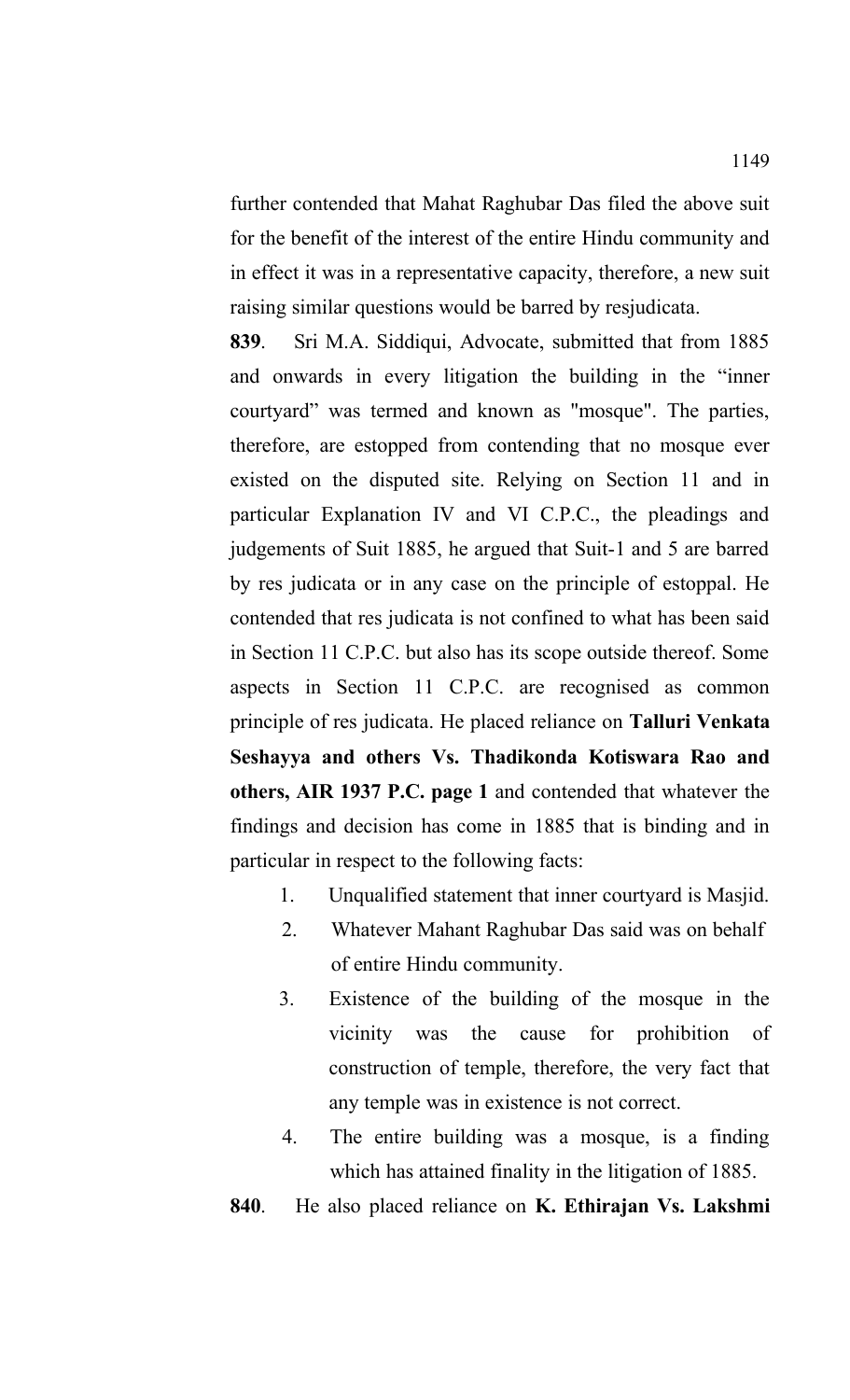further contended that Mahat Raghubar Das filed the above suit for the benefit of the interest of the entire Hindu community and in effect it was in a representative capacity, therefore, a new suit raising similar questions would be barred by resjudicata.

**839**. Sri M.A. Siddiqui, Advocate, submitted that from 1885 and onwards in every litigation the building in the "inner courtyard" was termed and known as "mosque". The parties, therefore, are estopped from contending that no mosque ever existed on the disputed site. Relying on Section 11 and in particular Explanation IV and VI C.P.C., the pleadings and judgements of Suit 1885, he argued that Suit-1 and 5 are barred by res judicata or in any case on the principle of estoppal. He contended that res judicata is not confined to what has been said in Section 11 C.P.C. but also has its scope outside thereof. Some aspects in Section 11 C.P.C. are recognised as common principle of res judicata. He placed reliance on **Talluri Venkata Seshayya and others Vs. Thadikonda Kotiswara Rao and others, AIR 1937 P.C. page 1** and contended that whatever the findings and decision has come in 1885 that is binding and in particular in respect to the following facts:

- 1. Unqualified statement that inner courtyard is Masjid.
- 2. Whatever Mahant Raghubar Das said was on behalf of entire Hindu community.
- 3. Existence of the building of the mosque in the vicinity was the cause for prohibition of construction of temple, therefore, the very fact that any temple was in existence is not correct.
- 4. The entire building was a mosque, is a finding which has attained finality in the litigation of 1885.

**840**. He also placed reliance on **K. Ethirajan Vs. Lakshmi**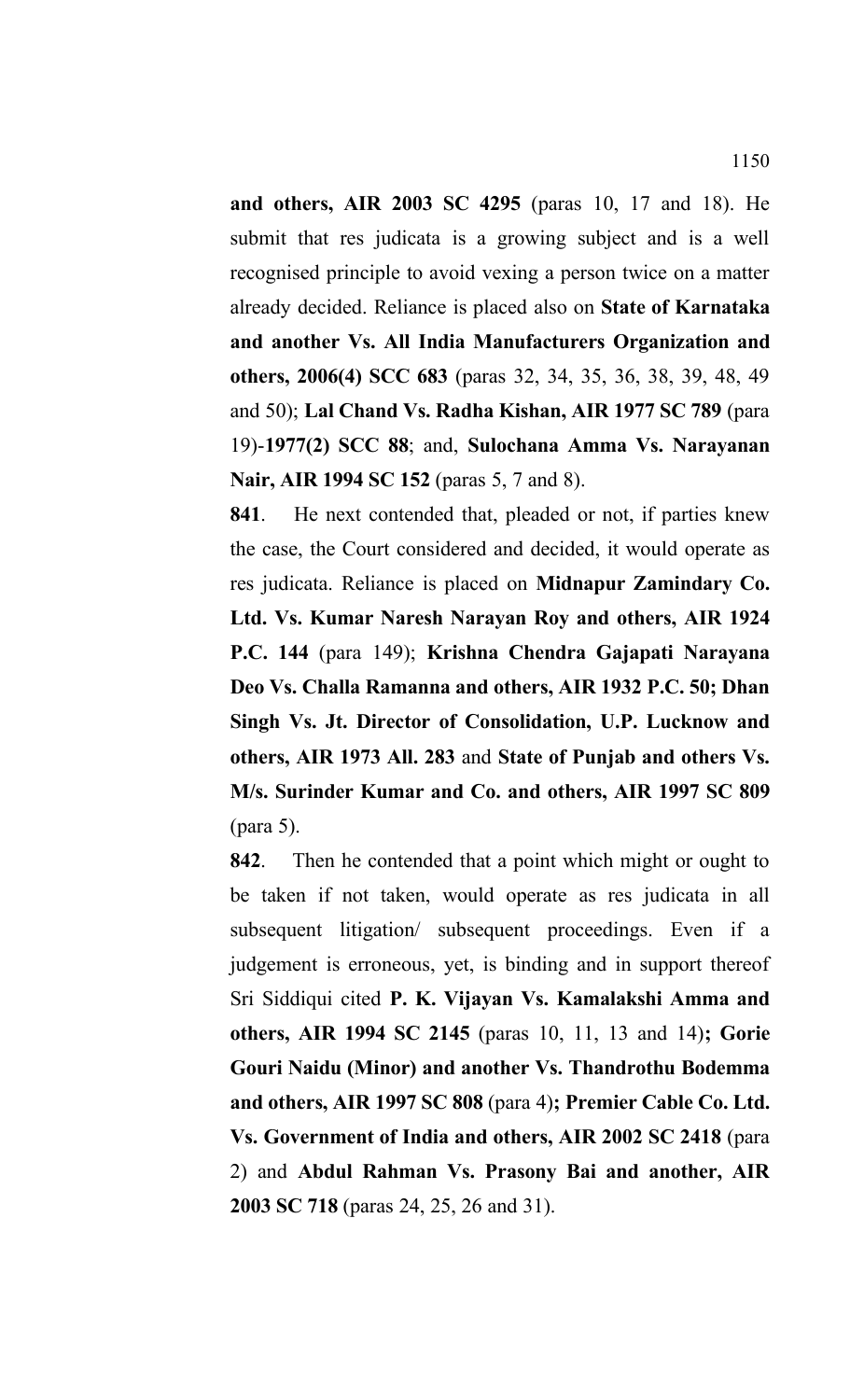**and others, AIR 2003 SC 4295** (paras 10, 17 and 18). He submit that res judicata is a growing subject and is a well recognised principle to avoid vexing a person twice on a matter already decided. Reliance is placed also on **State of Karnataka and another Vs. All India Manufacturers Organization and others, 2006(4) SCC 683** (paras 32, 34, 35, 36, 38, 39, 48, 49 and 50); **Lal Chand Vs. Radha Kishan, AIR 1977 SC 789** (para 19)-**1977(2) SCC 88**; and, **Sulochana Amma Vs. Narayanan Nair, AIR 1994 SC 152** (paras 5, 7 and 8).

**841**. He next contended that, pleaded or not, if parties knew the case, the Court considered and decided, it would operate as res judicata. Reliance is placed on **Midnapur Zamindary Co. Ltd. Vs. Kumar Naresh Narayan Roy and others, AIR 1924 P.C. 144** (para 149); **Krishna Chendra Gajapati Narayana Deo Vs. Challa Ramanna and others, AIR 1932 P.C. 50; Dhan Singh Vs. Jt. Director of Consolidation, U.P. Lucknow and others, AIR 1973 All. 283** and **State of Punjab and others Vs. M/s. Surinder Kumar and Co. and others, AIR 1997 SC 809** (para 5).

**842**. Then he contended that a point which might or ought to be taken if not taken, would operate as res judicata in all subsequent litigation/ subsequent proceedings. Even if a judgement is erroneous, yet, is binding and in support thereof Sri Siddiqui cited **P. K. Vijayan Vs. Kamalakshi Amma and others, AIR 1994 SC 2145** (paras 10, 11, 13 and 14)**; Gorie Gouri Naidu (Minor) and another Vs. Thandrothu Bodemma and others, AIR 1997 SC 808** (para 4)**; Premier Cable Co. Ltd. Vs. Government of India and others, AIR 2002 SC 2418** (para 2) and **Abdul Rahman Vs. Prasony Bai and another, AIR 2003 SC 718** (paras 24, 25, 26 and 31).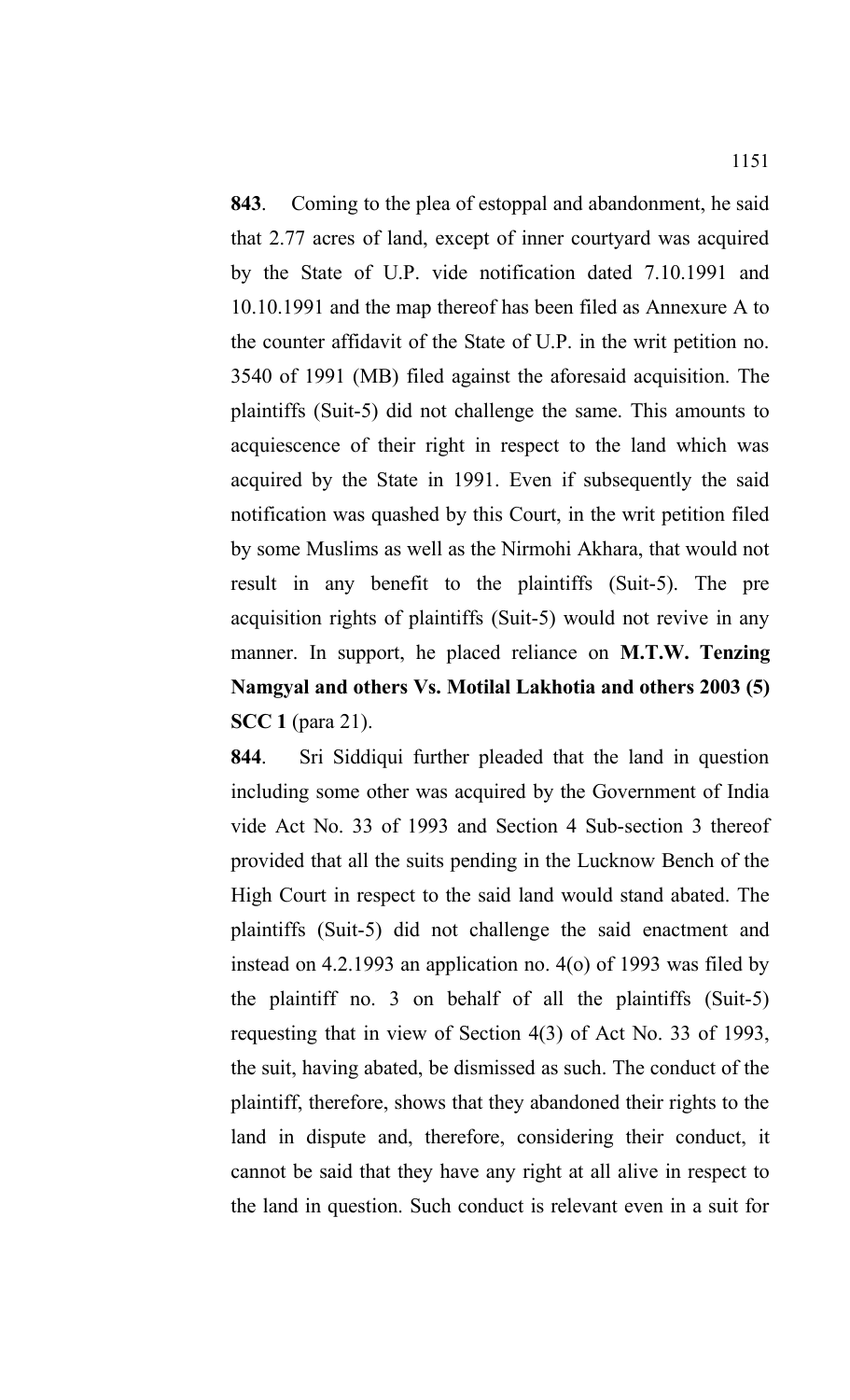**843**. Coming to the plea of estoppal and abandonment, he said that 2.77 acres of land, except of inner courtyard was acquired by the State of U.P. vide notification dated 7.10.1991 and 10.10.1991 and the map thereof has been filed as Annexure A to the counter affidavit of the State of U.P. in the writ petition no. 3540 of 1991 (MB) filed against the aforesaid acquisition. The plaintiffs (Suit-5) did not challenge the same. This amounts to acquiescence of their right in respect to the land which was

acquired by the State in 1991. Even if subsequently the said notification was quashed by this Court, in the writ petition filed by some Muslims as well as the Nirmohi Akhara, that would not result in any benefit to the plaintiffs (Suit-5). The pre acquisition rights of plaintiffs (Suit-5) would not revive in any manner. In support, he placed reliance on **M.T.W. Tenzing Namgyal and others Vs. Motilal Lakhotia and others 2003 (5) SCC 1** (para 21).

**844**. Sri Siddiqui further pleaded that the land in question including some other was acquired by the Government of India vide Act No. 33 of 1993 and Section 4 Sub-section 3 thereof provided that all the suits pending in the Lucknow Bench of the High Court in respect to the said land would stand abated. The plaintiffs (Suit-5) did not challenge the said enactment and instead on 4.2.1993 an application no. 4(o) of 1993 was filed by the plaintiff no. 3 on behalf of all the plaintiffs (Suit-5) requesting that in view of Section 4(3) of Act No. 33 of 1993, the suit, having abated, be dismissed as such. The conduct of the plaintiff, therefore, shows that they abandoned their rights to the land in dispute and, therefore, considering their conduct, it cannot be said that they have any right at all alive in respect to the land in question. Such conduct is relevant even in a suit for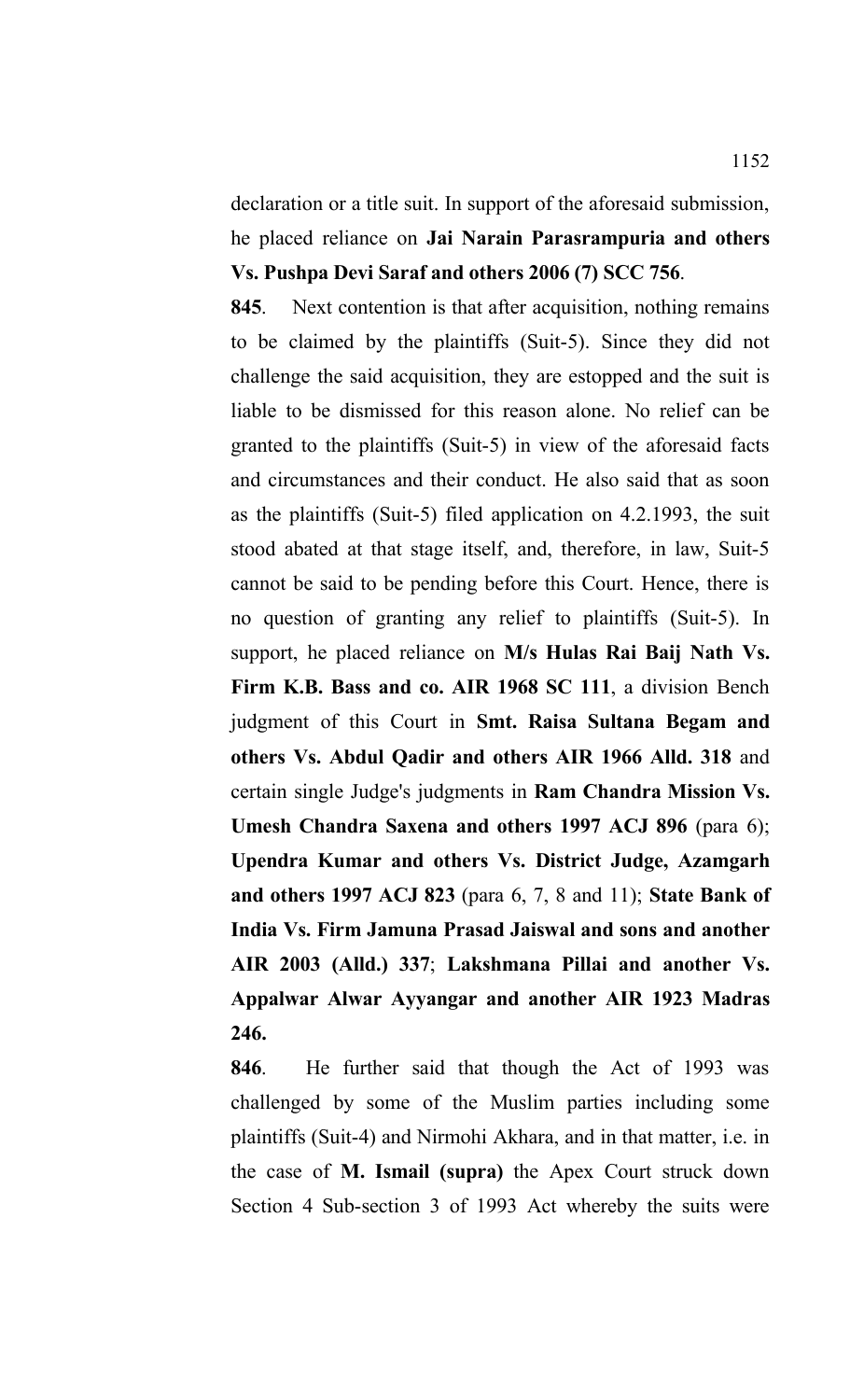declaration or a title suit. In support of the aforesaid submission, he placed reliance on **Jai Narain Parasrampuria and others Vs. Pushpa Devi Saraf and others 2006 (7) SCC 756**.

**845**. Next contention is that after acquisition, nothing remains to be claimed by the plaintiffs (Suit-5). Since they did not challenge the said acquisition, they are estopped and the suit is liable to be dismissed for this reason alone. No relief can be granted to the plaintiffs (Suit-5) in view of the aforesaid facts and circumstances and their conduct. He also said that as soon as the plaintiffs (Suit-5) filed application on 4.2.1993, the suit stood abated at that stage itself, and, therefore, in law, Suit-5 cannot be said to be pending before this Court. Hence, there is no question of granting any relief to plaintiffs (Suit-5). In support, he placed reliance on **M/s Hulas Rai Baij Nath Vs. Firm K.B. Bass and co. AIR 1968 SC 111**, a division Bench judgment of this Court in **Smt. Raisa Sultana Begam and others Vs. Abdul Qadir and others AIR 1966 Alld. 318** and certain single Judge's judgments in **Ram Chandra Mission Vs. Umesh Chandra Saxena and others 1997 ACJ 896** (para 6); **Upendra Kumar and others Vs. District Judge, Azamgarh and others 1997 ACJ 823** (para 6, 7, 8 and 11); **State Bank of India Vs. Firm Jamuna Prasad Jaiswal and sons and another AIR 2003 (Alld.) 337**; **Lakshmana Pillai and another Vs. Appalwar Alwar Ayyangar and another AIR 1923 Madras 246.**

**846**.He further said that though the Act of 1993 was challenged by some of the Muslim parties including some plaintiffs (Suit-4) and Nirmohi Akhara, and in that matter, i.e. in the case of **M. Ismail (supra)** the Apex Court struck down Section 4 Sub-section 3 of 1993 Act whereby the suits were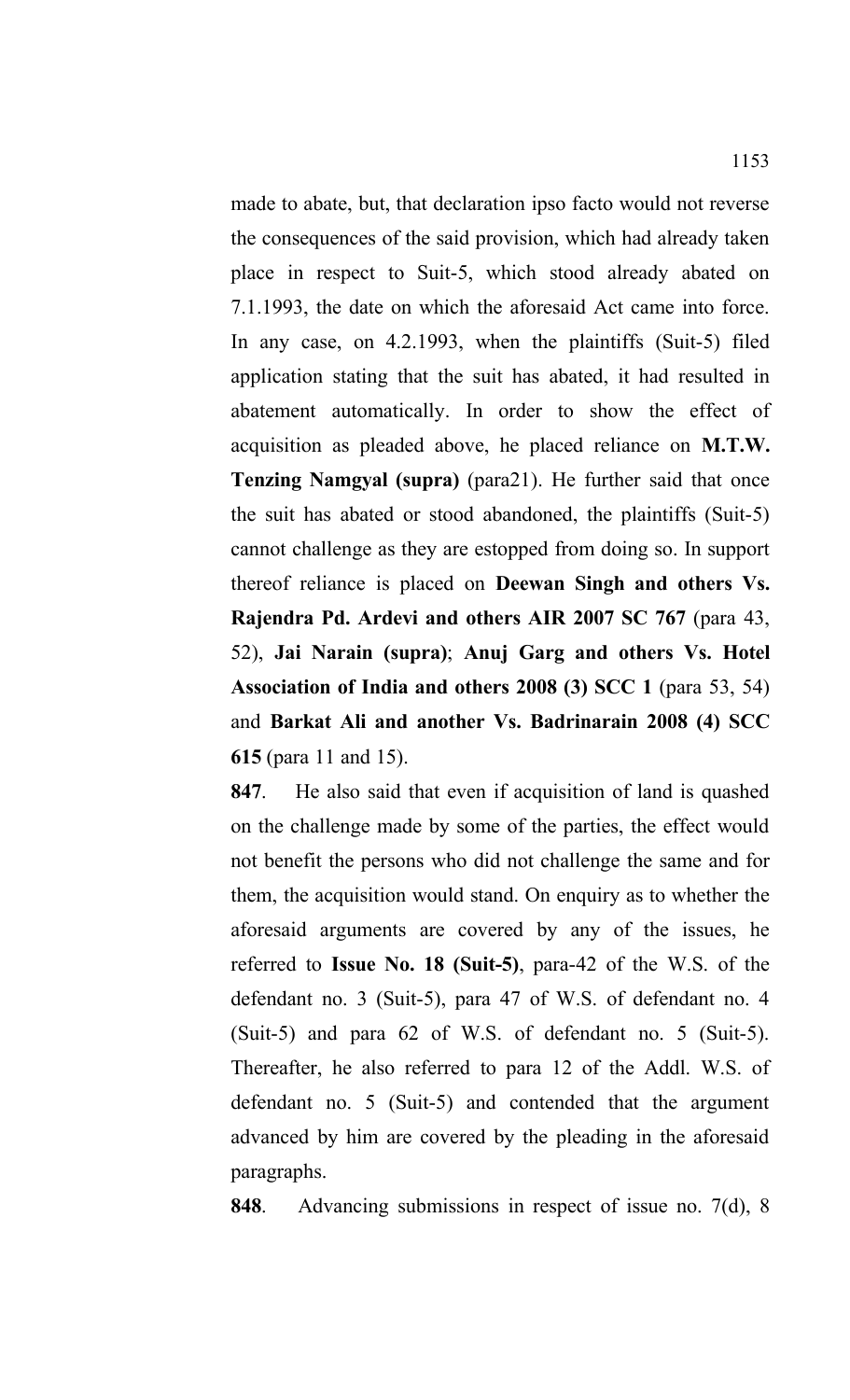made to abate, but, that declaration ipso facto would not reverse the consequences of the said provision, which had already taken place in respect to Suit-5, which stood already abated on 7.1.1993, the date on which the aforesaid Act came into force. In any case, on 4.2.1993, when the plaintiffs (Suit-5) filed application stating that the suit has abated, it had resulted in abatement automatically. In order to show the effect of acquisition as pleaded above, he placed reliance on **M.T.W. Tenzing Namgyal (supra)** (para21). He further said that once the suit has abated or stood abandoned, the plaintiffs (Suit-5) cannot challenge as they are estopped from doing so. In support thereof reliance is placed on **Deewan Singh and others Vs. Rajendra Pd. Ardevi and others AIR 2007 SC 767** (para 43, 52), **Jai Narain (supra)**; **Anuj Garg and others Vs. Hotel Association of India and others 2008 (3) SCC 1** (para 53, 54) and **Barkat Ali and another Vs. Badrinarain 2008 (4) SCC 615** (para 11 and 15).

**847**. He also said that even if acquisition of land is quashed on the challenge made by some of the parties, the effect would not benefit the persons who did not challenge the same and for them, the acquisition would stand. On enquiry as to whether the aforesaid arguments are covered by any of the issues, he referred to **Issue No. 18 (Suit-5)**, para-42 of the W.S. of the defendant no. 3 (Suit-5), para 47 of W.S. of defendant no. 4 (Suit-5) and para 62 of W.S. of defendant no. 5 (Suit-5). Thereafter, he also referred to para 12 of the Addl. W.S. of defendant no. 5 (Suit-5) and contended that the argument advanced by him are covered by the pleading in the aforesaid paragraphs.

**848**. Advancing submissions in respect of issue no. 7(d), 8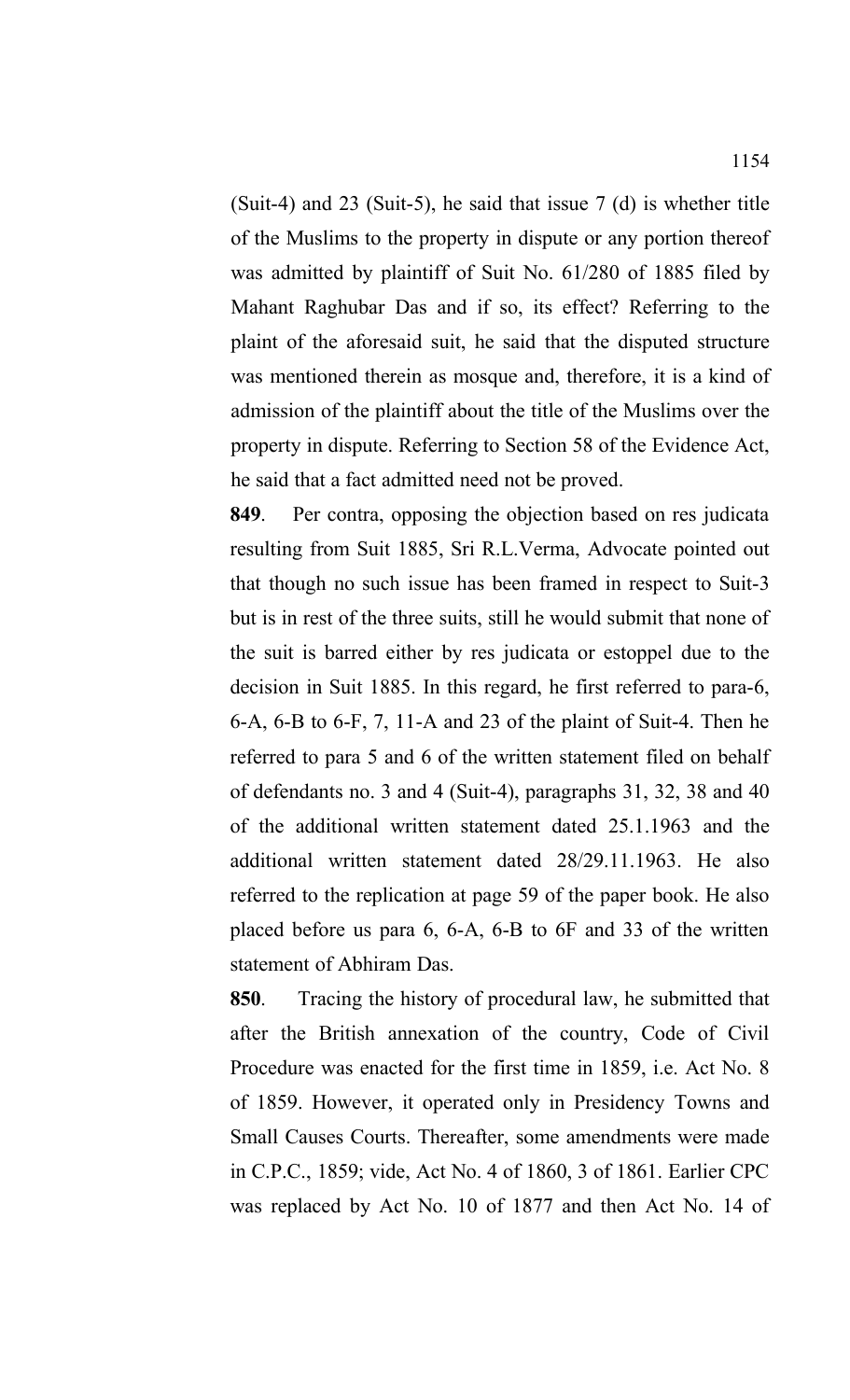(Suit-4) and 23 (Suit-5), he said that issue 7 (d) is whether title of the Muslims to the property in dispute or any portion thereof was admitted by plaintiff of Suit No. 61/280 of 1885 filed by Mahant Raghubar Das and if so, its effect? Referring to the plaint of the aforesaid suit, he said that the disputed structure was mentioned therein as mosque and, therefore, it is a kind of admission of the plaintiff about the title of the Muslims over the property in dispute. Referring to Section 58 of the Evidence Act, he said that a fact admitted need not be proved.

**849**. Per contra, opposing the objection based on res judicata resulting from Suit 1885, Sri R.L.Verma, Advocate pointed out that though no such issue has been framed in respect to Suit-3 but is in rest of the three suits, still he would submit that none of the suit is barred either by res judicata or estoppel due to the decision in Suit 1885. In this regard, he first referred to para-6, 6-A, 6-B to 6-F, 7, 11-A and 23 of the plaint of Suit-4. Then he referred to para 5 and 6 of the written statement filed on behalf of defendants no. 3 and 4 (Suit-4), paragraphs 31, 32, 38 and 40 of the additional written statement dated 25.1.1963 and the additional written statement dated 28/29.11.1963. He also referred to the replication at page 59 of the paper book. He also placed before us para 6, 6-A, 6-B to 6F and 33 of the written statement of Abhiram Das.

**850**. Tracing the history of procedural law, he submitted that after the British annexation of the country, Code of Civil Procedure was enacted for the first time in 1859, i.e. Act No. 8 of 1859. However, it operated only in Presidency Towns and Small Causes Courts. Thereafter, some amendments were made in C.P.C., 1859; vide, Act No. 4 of 1860, 3 of 1861. Earlier CPC was replaced by Act No. 10 of 1877 and then Act No. 14 of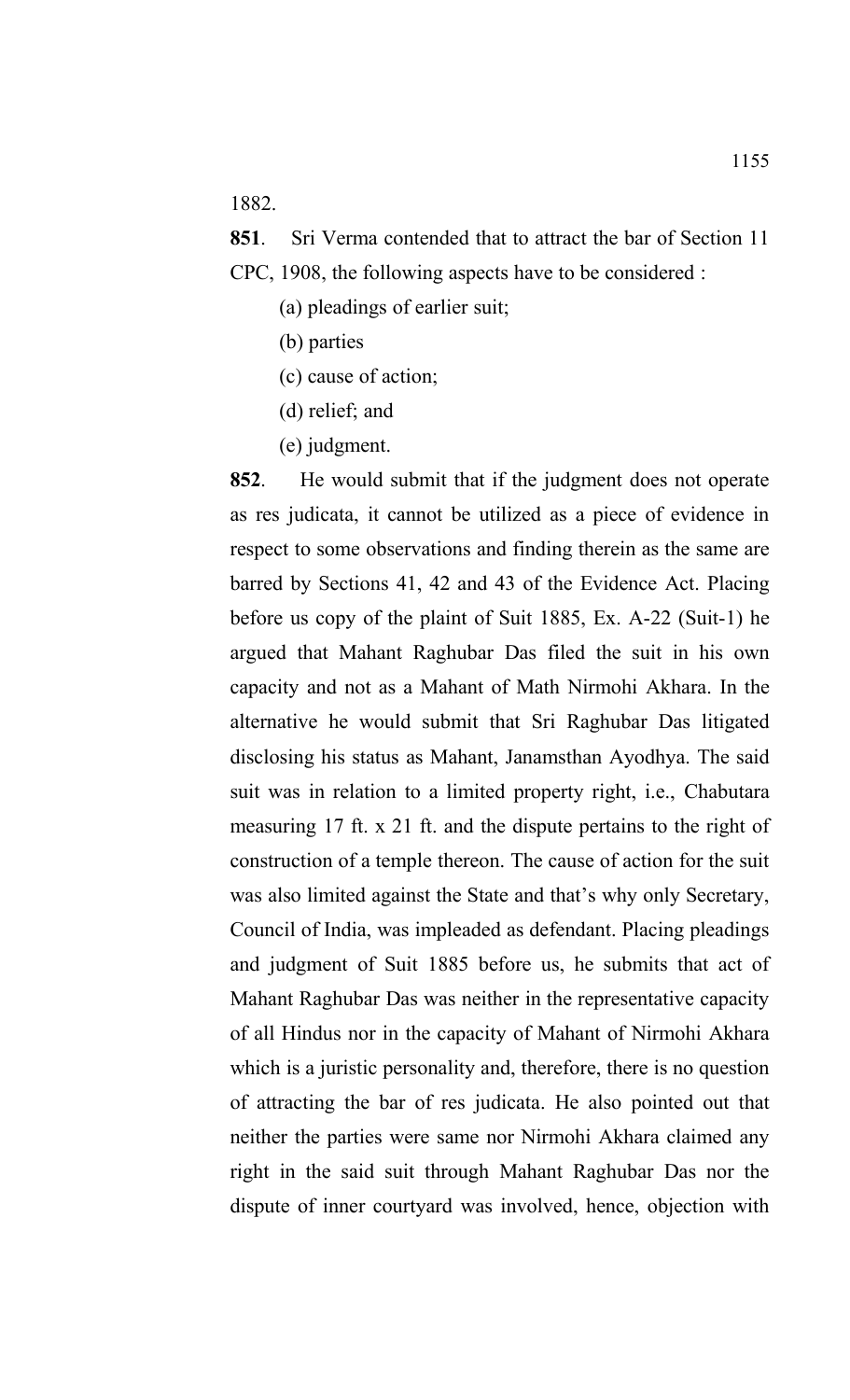1882.

**851**. Sri Verma contended that to attract the bar of Section 11 CPC, 1908, the following aspects have to be considered :

- (a) pleadings of earlier suit;
- (b) parties
- (c) cause of action;
- (d) relief; and
- (e) judgment.

**852**. He would submit that if the judgment does not operate as res judicata, it cannot be utilized as a piece of evidence in respect to some observations and finding therein as the same are barred by Sections 41, 42 and 43 of the Evidence Act. Placing before us copy of the plaint of Suit 1885, Ex. A-22 (Suit-1) he argued that Mahant Raghubar Das filed the suit in his own capacity and not as a Mahant of Math Nirmohi Akhara. In the alternative he would submit that Sri Raghubar Das litigated disclosing his status as Mahant, Janamsthan Ayodhya. The said suit was in relation to a limited property right, i.e., Chabutara measuring 17 ft. x 21 ft. and the dispute pertains to the right of construction of a temple thereon. The cause of action for the suit was also limited against the State and that's why only Secretary, Council of India, was impleaded as defendant. Placing pleadings and judgment of Suit 1885 before us, he submits that act of Mahant Raghubar Das was neither in the representative capacity of all Hindus nor in the capacity of Mahant of Nirmohi Akhara which is a juristic personality and, therefore, there is no question of attracting the bar of res judicata. He also pointed out that neither the parties were same nor Nirmohi Akhara claimed any right in the said suit through Mahant Raghubar Das nor the dispute of inner courtyard was involved, hence, objection with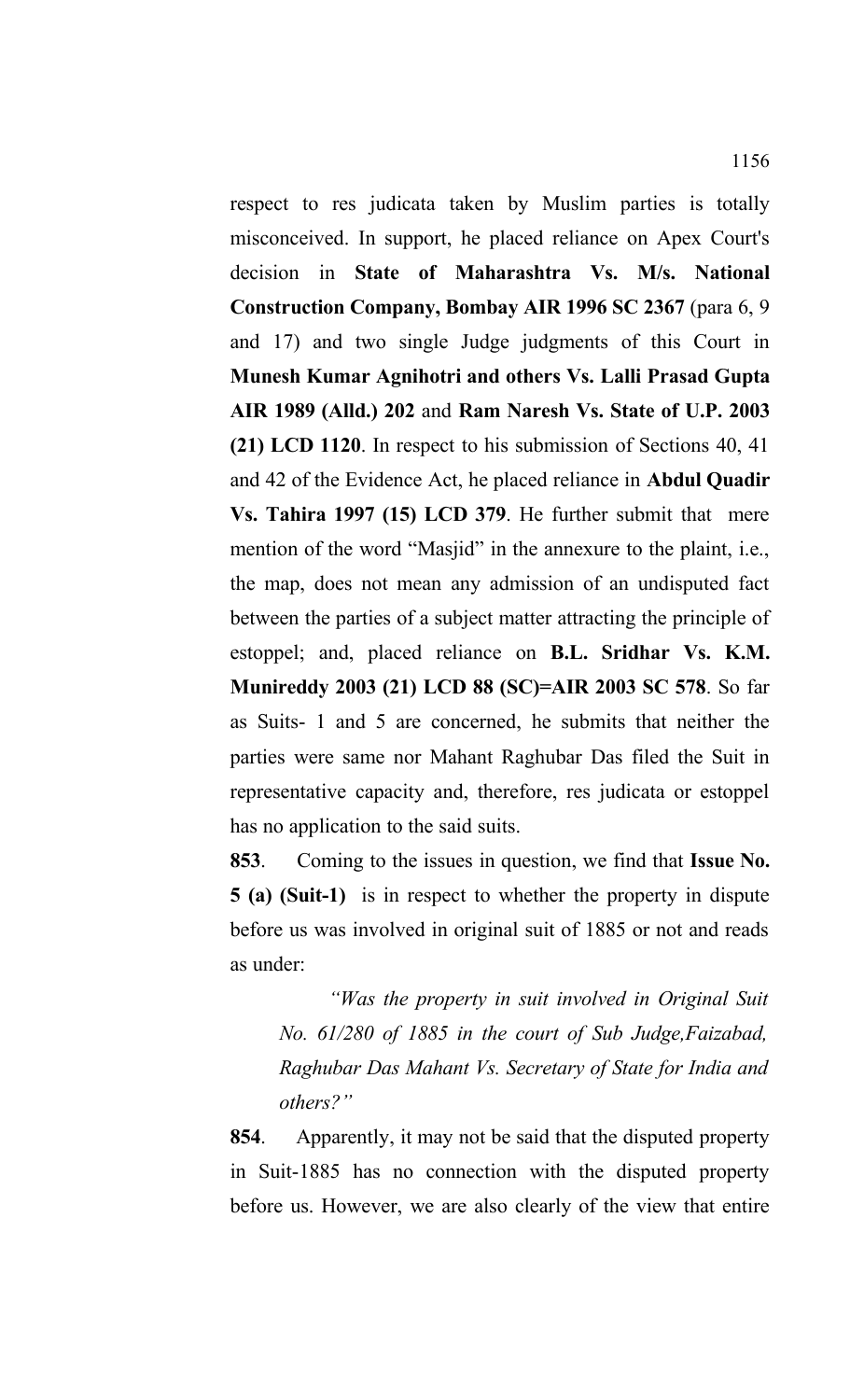respect to res judicata taken by Muslim parties is totally misconceived. In support, he placed reliance on Apex Court's decision in **State of Maharashtra Vs. M/s. National Construction Company, Bombay AIR 1996 SC 2367** (para 6, 9 and 17) and two single Judge judgments of this Court in **Munesh Kumar Agnihotri and others Vs. Lalli Prasad Gupta AIR 1989 (Alld.) 202** and **Ram Naresh Vs. State of U.P. 2003 (21) LCD 1120**. In respect to his submission of Sections 40, 41 and 42 of the Evidence Act, he placed reliance in **Abdul Quadir Vs. Tahira 1997 (15) LCD 379**. He further submit that mere mention of the word "Masjid" in the annexure to the plaint, i.e., the map, does not mean any admission of an undisputed fact between the parties of a subject matter attracting the principle of estoppel; and, placed reliance on **B.L. Sridhar Vs. K.M. Munireddy 2003 (21) LCD 88 (SC)=AIR 2003 SC 578**. So far as Suits- 1 and 5 are concerned, he submits that neither the parties were same nor Mahant Raghubar Das filed the Suit in representative capacity and, therefore, res judicata or estoppel has no application to the said suits.

**853**. Coming to the issues in question, we find that **Issue No. 5 (a) (Suit-1)** is in respect to whether the property in dispute before us was involved in original suit of 1885 or not and reads as under:

*"Was the property in suit involved in Original Suit No. 61/280 of 1885 in the court of Sub Judge,Faizabad, Raghubar Das Mahant Vs. Secretary of State for India and others?"*

**854**. Apparently, it may not be said that the disputed property in Suit-1885 has no connection with the disputed property before us. However, we are also clearly of the view that entire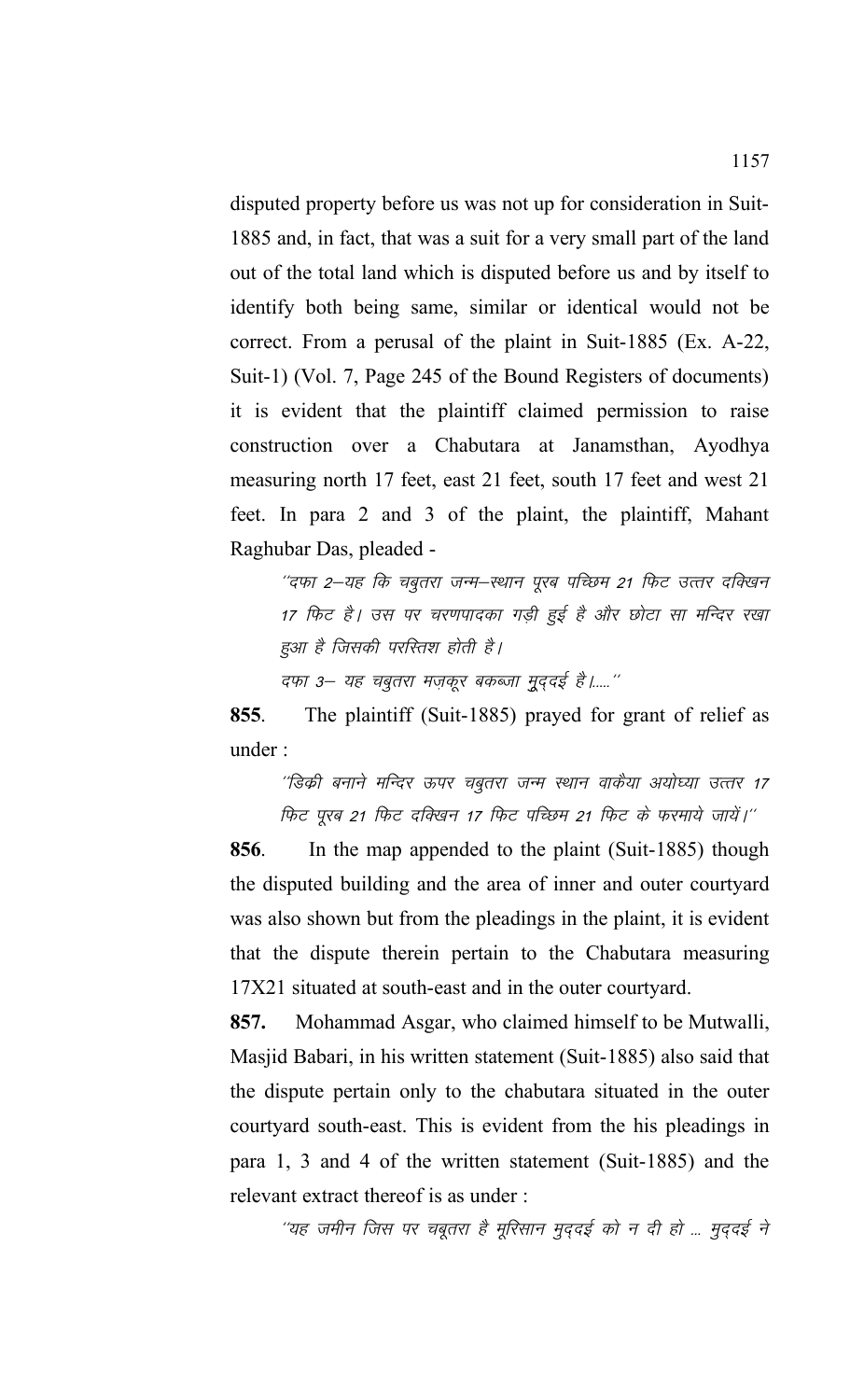disputed property before us was not up for consideration in Suit-1885 and, in fact, that was a suit for a very small part of the land out of the total land which is disputed before us and by itself to identify both being same, similar or identical would not be correct. From a perusal of the plaint in Suit-1885 (Ex. A-22, Suit-1) (Vol. 7, Page 245 of the Bound Registers of documents) it is evident that the plaintiff claimed permission to raise construction over a Chabutara at Janamsthan, Ayodhya measuring north 17 feet, east 21 feet, south 17 feet and west 21 feet. In para 2 and 3 of the plaint, the plaintiff, Mahant Raghubar Das, pleaded -

"दफा 2-यह कि चबुतरा जन्म-स्थान पूरब पच्छिम 21 फिट उत्तर दक्खिन 17 फिट है। उस पर चरणपादका गड़ी हुई है और छोटा सा मन्दिर रखा हुआ है जिसकी परस्तिश होती है। दफा 3– यह चबूतरा मज़कूर बकब्जा मूददई है।....."

**855**. The plaintiff (Suit-1885) prayed for grant of relief as under :

''डिक्री बनाने मन्दिर ऊपर चबूतरा जन्म स्थान वाकैया अयोध्या उत्तर 17 फिट पूरब 21 फिट दक्खिन 17 फिट पच्छिम 21 फिट के फरमाये जायें।"

**856**.In the map appended to the plaint (Suit-1885) though the disputed building and the area of inner and outer courtyard was also shown but from the pleadings in the plaint, it is evident that the dispute therein pertain to the Chabutara measuring 17X21 situated at south-east and in the outer courtyard.

**857.** Mohammad Asgar, who claimed himself to be Mutwalli, Masjid Babari, in his written statement (Suit-1885) also said that the dispute pertain only to the chabutara situated in the outer courtyard south-east. This is evident from the his pleadings in para 1, 3 and 4 of the written statement (Suit-1885) and the relevant extract thereof is as under :

''यह जमीन जिस पर चबूतरा है मूरिसान मुद्दई को न दी हो ... मुद्दई ने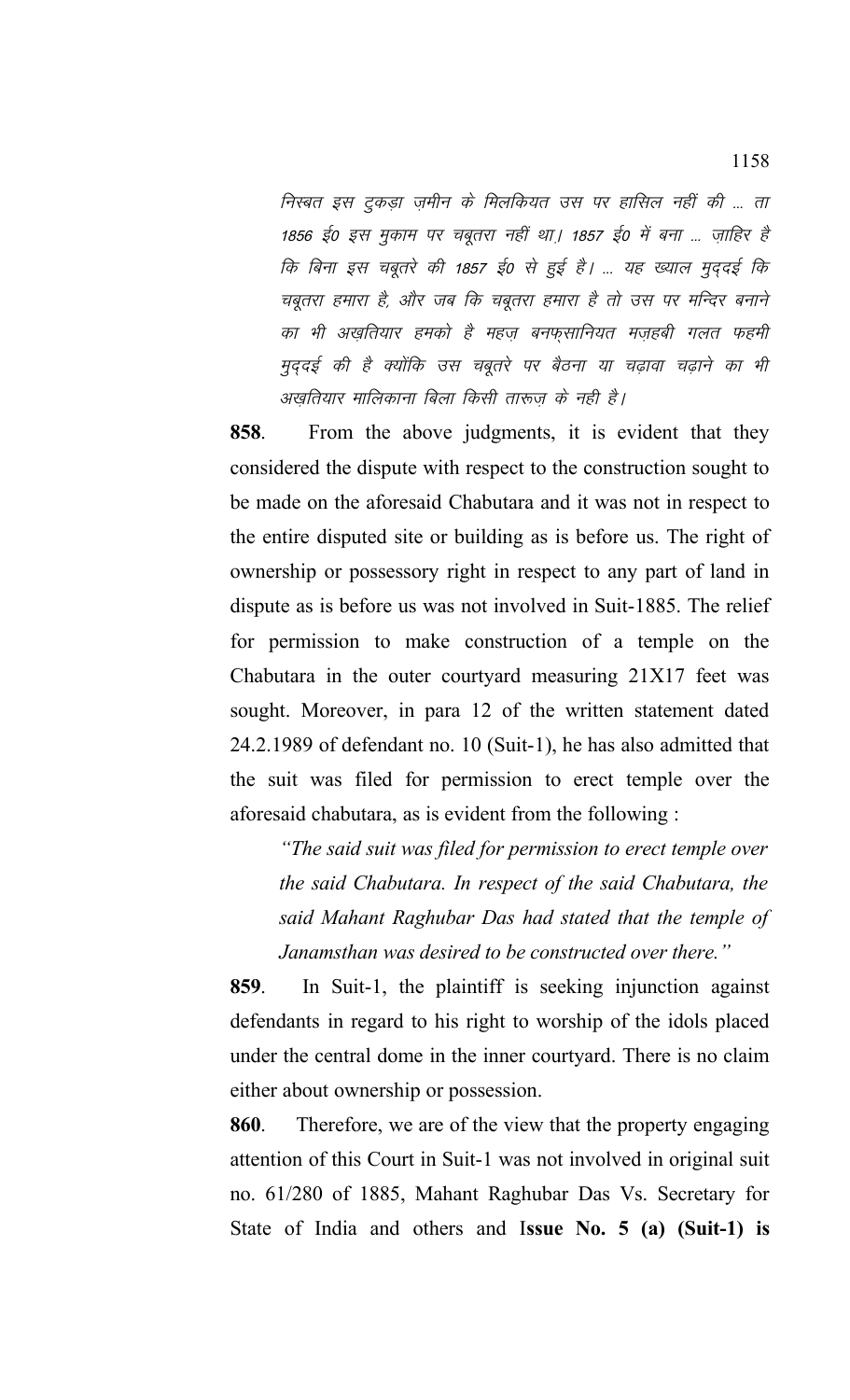निस्बत इस टुकडा जमीन के मिलकियत उस पर हासिल नहीं की ... ता 1856 ई0 इस मुकाम पर चबुतरा नहीं था। 1857 ई0 में बना ... जाहिर है कि बिना इस चबूतरे की 1857 ई0 से हुई है। ... यह ख्याल मुददई कि चबूतरा हमारा है, और जब कि चबूतरा हमारा है तो उस पर मन्दिर बनाने का भी अख़तियार हमको है महज़ बनफ़्सानियत मज़हबी गलत फहमी मुददई की है क्योंकि उस चबूतरे पर बैठना या चढ़ावा चढ़ाने का भी अखुतियार मालिकाना बिला किसी तारूज़ के नही है।

**858**. From the above judgments, it is evident that they considered the dispute with respect to the construction sought to be made on the aforesaid Chabutara and it was not in respect to the entire disputed site or building as is before us. The right of ownership or possessory right in respect to any part of land in dispute as is before us was not involved in Suit-1885. The relief for permission to make construction of a temple on the Chabutara in the outer courtyard measuring 21X17 feet was sought. Moreover, in para 12 of the written statement dated 24.2.1989 of defendant no. 10 (Suit-1), he has also admitted that the suit was filed for permission to erect temple over the aforesaid chabutara, as is evident from the following :

*"The said suit was filed for permission to erect temple over the said Chabutara. In respect of the said Chabutara, the said Mahant Raghubar Das had stated that the temple of Janamsthan was desired to be constructed over there."*

**859**. In Suit-1, the plaintiff is seeking injunction against defendants in regard to his right to worship of the idols placed under the central dome in the inner courtyard. There is no claim either about ownership or possession.

**860**. Therefore, we are of the view that the property engaging attention of this Court in Suit-1 was not involved in original suit no. 61/280 of 1885, Mahant Raghubar Das Vs. Secretary for State of India and others and I**ssue No. 5 (a) (Suit-1) is**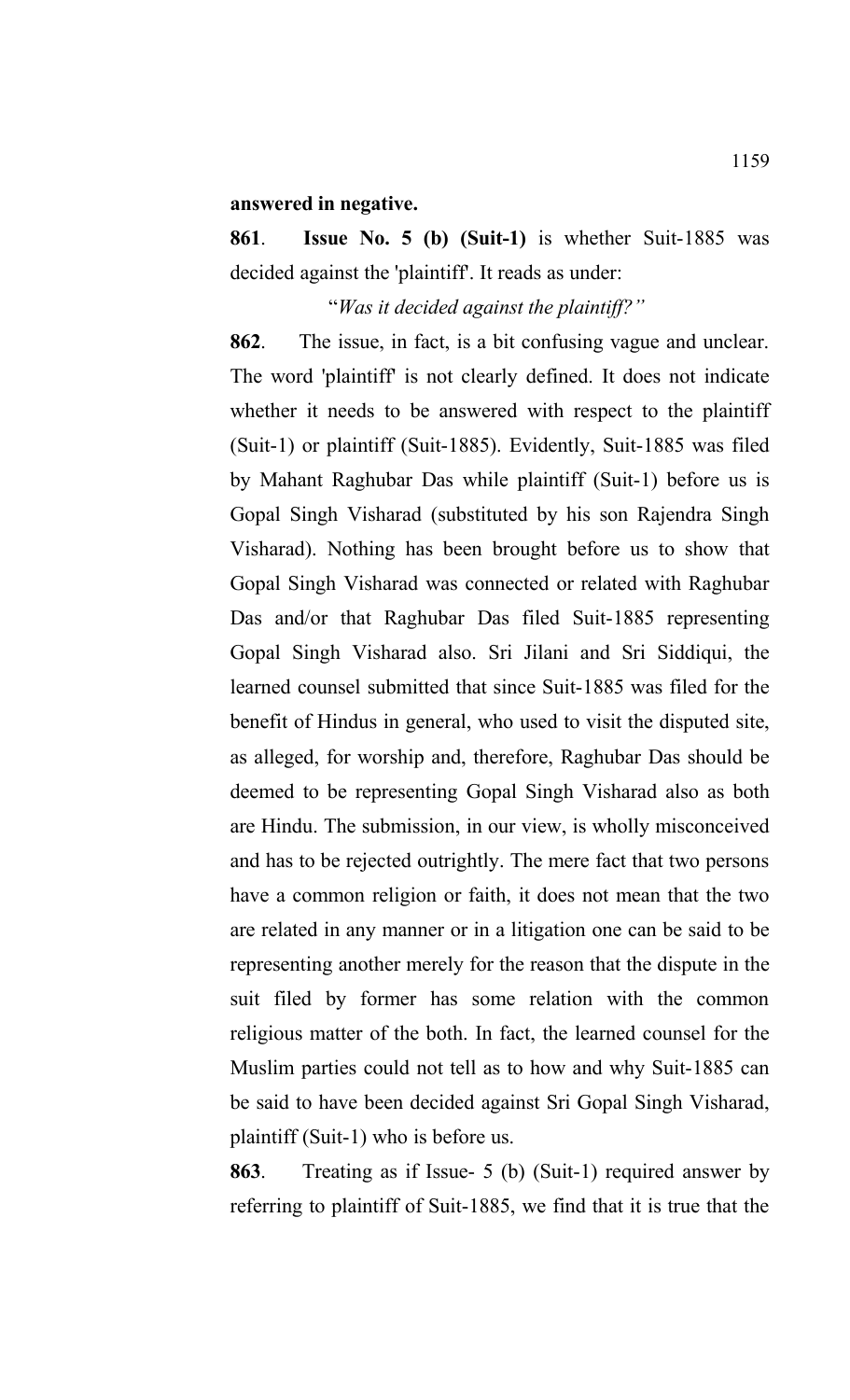## **answered in negative.**

**861**. **Issue No. 5 (b) (Suit-1)** is whether Suit-1885 was decided against the 'plaintiff'. It reads as under:

## "*Was it decided against the plaintiff?"*

**862**. The issue, in fact, is a bit confusing vague and unclear. The word 'plaintiff' is not clearly defined. It does not indicate whether it needs to be answered with respect to the plaintiff (Suit-1) or plaintiff (Suit-1885). Evidently, Suit-1885 was filed by Mahant Raghubar Das while plaintiff (Suit-1) before us is Gopal Singh Visharad (substituted by his son Rajendra Singh Visharad). Nothing has been brought before us to show that Gopal Singh Visharad was connected or related with Raghubar Das and/or that Raghubar Das filed Suit-1885 representing Gopal Singh Visharad also. Sri Jilani and Sri Siddiqui, the learned counsel submitted that since Suit-1885 was filed for the benefit of Hindus in general, who used to visit the disputed site, as alleged, for worship and, therefore, Raghubar Das should be deemed to be representing Gopal Singh Visharad also as both are Hindu. The submission, in our view, is wholly misconceived and has to be rejected outrightly. The mere fact that two persons have a common religion or faith, it does not mean that the two are related in any manner or in a litigation one can be said to be representing another merely for the reason that the dispute in the suit filed by former has some relation with the common religious matter of the both. In fact, the learned counsel for the Muslim parties could not tell as to how and why Suit-1885 can be said to have been decided against Sri Gopal Singh Visharad, plaintiff (Suit-1) who is before us.

**863**. Treating as if Issue- 5 (b) (Suit-1) required answer by referring to plaintiff of Suit-1885, we find that it is true that the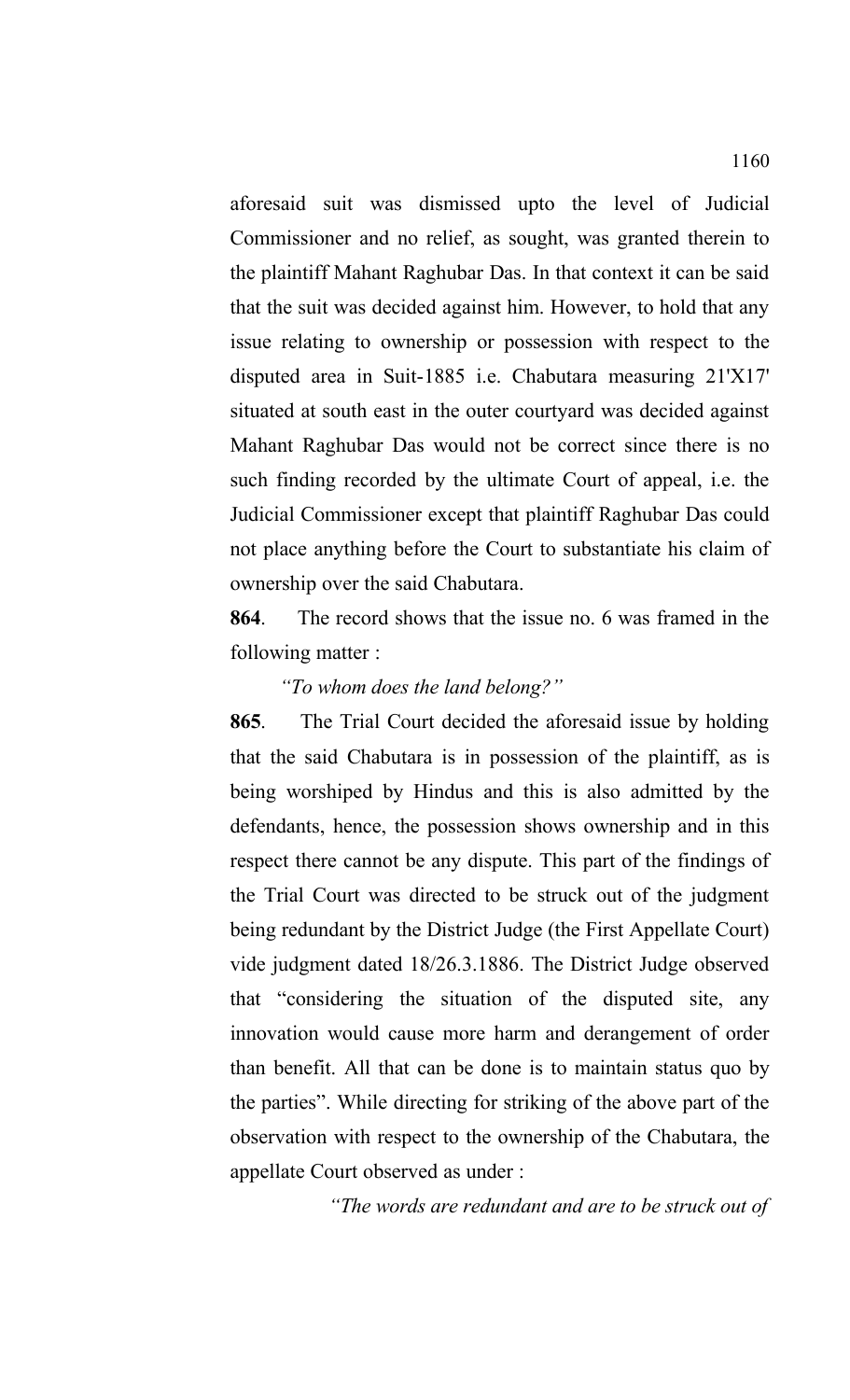aforesaid suit was dismissed upto the level of Judicial Commissioner and no relief, as sought, was granted therein to the plaintiff Mahant Raghubar Das. In that context it can be said that the suit was decided against him. However, to hold that any issue relating to ownership or possession with respect to the disputed area in Suit-1885 i.e. Chabutara measuring 21'X17' situated at south east in the outer courtyard was decided against Mahant Raghubar Das would not be correct since there is no such finding recorded by the ultimate Court of appeal, i.e. the Judicial Commissioner except that plaintiff Raghubar Das could not place anything before the Court to substantiate his claim of ownership over the said Chabutara.

**864**. The record shows that the issue no. 6 was framed in the following matter :

## *"To whom does the land belong?"*

**865**. The Trial Court decided the aforesaid issue by holding that the said Chabutara is in possession of the plaintiff, as is being worshiped by Hindus and this is also admitted by the defendants, hence, the possession shows ownership and in this respect there cannot be any dispute. This part of the findings of the Trial Court was directed to be struck out of the judgment being redundant by the District Judge (the First Appellate Court) vide judgment dated 18/26.3.1886. The District Judge observed that "considering the situation of the disputed site, any innovation would cause more harm and derangement of order than benefit. All that can be done is to maintain status quo by the parties". While directing for striking of the above part of the observation with respect to the ownership of the Chabutara, the appellate Court observed as under :

*"The words are redundant and are to be struck out of*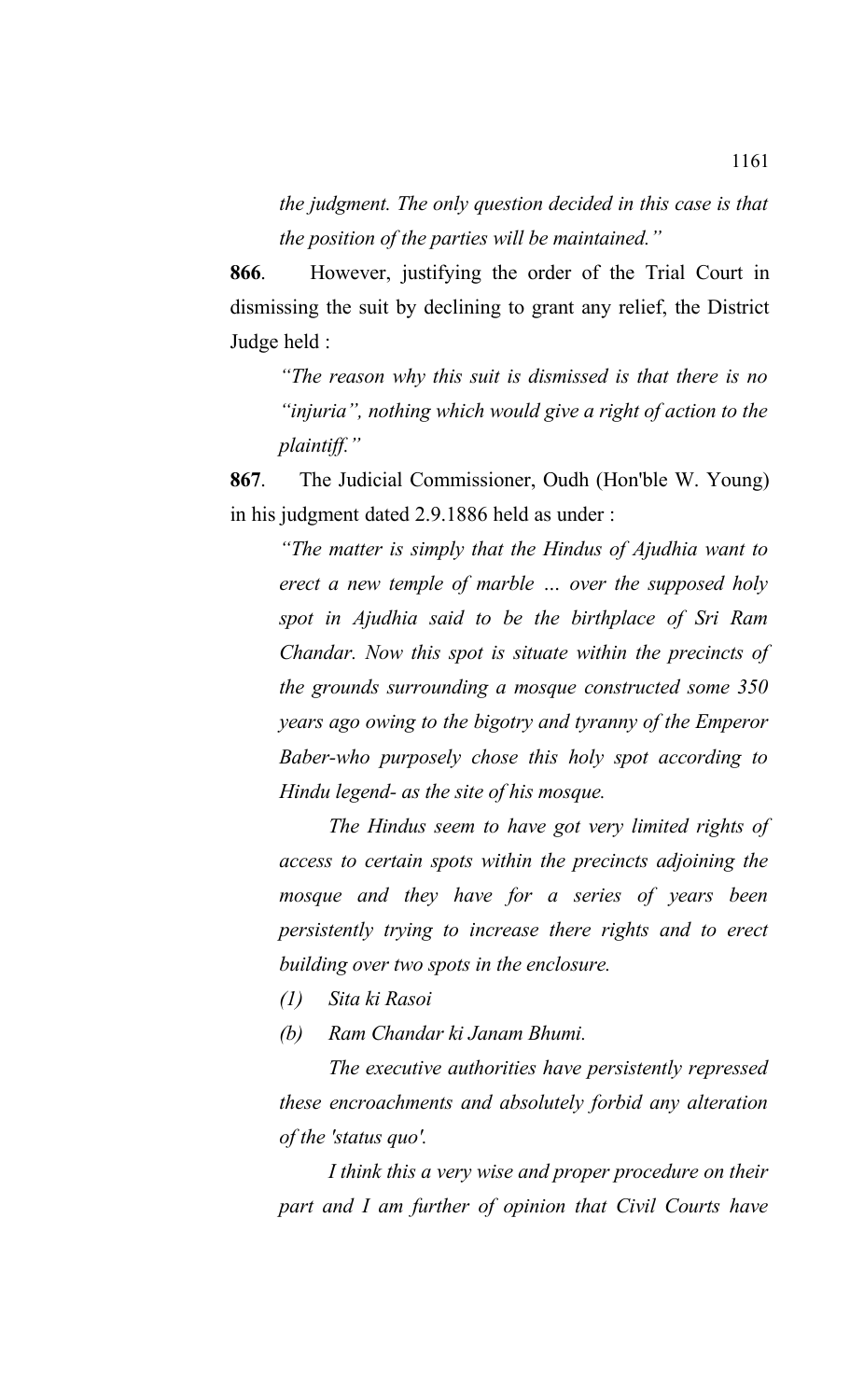*the judgment. The only question decided in this case is that the position of the parties will be maintained."*

**866**. However, justifying the order of the Trial Court in dismissing the suit by declining to grant any relief, the District Judge held :

*"The reason why this suit is dismissed is that there is no "injuria", nothing which would give a right of action to the plaintiff."*

**867**. The Judicial Commissioner, Oudh (Hon'ble W. Young) in his judgment dated 2.9.1886 held as under :

*"The matter is simply that the Hindus of Ajudhia want to erect a new temple of marble … over the supposed holy spot in Ajudhia said to be the birthplace of Sri Ram Chandar. Now this spot is situate within the precincts of the grounds surrounding a mosque constructed some 350 years ago owing to the bigotry and tyranny of the Emperor Baber-who purposely chose this holy spot according to Hindu legend- as the site of his mosque.* 

*The Hindus seem to have got very limited rights of access to certain spots within the precincts adjoining the mosque and they have for a series of years been persistently trying to increase there rights and to erect building over two spots in the enclosure.* 

*(1) Sita ki Rasoi*

*(b) Ram Chandar ki Janam Bhumi.* 

*The executive authorities have persistently repressed these encroachments and absolutely forbid any alteration of the 'status quo'.* 

*I think this a very wise and proper procedure on their part and I am further of opinion that Civil Courts have*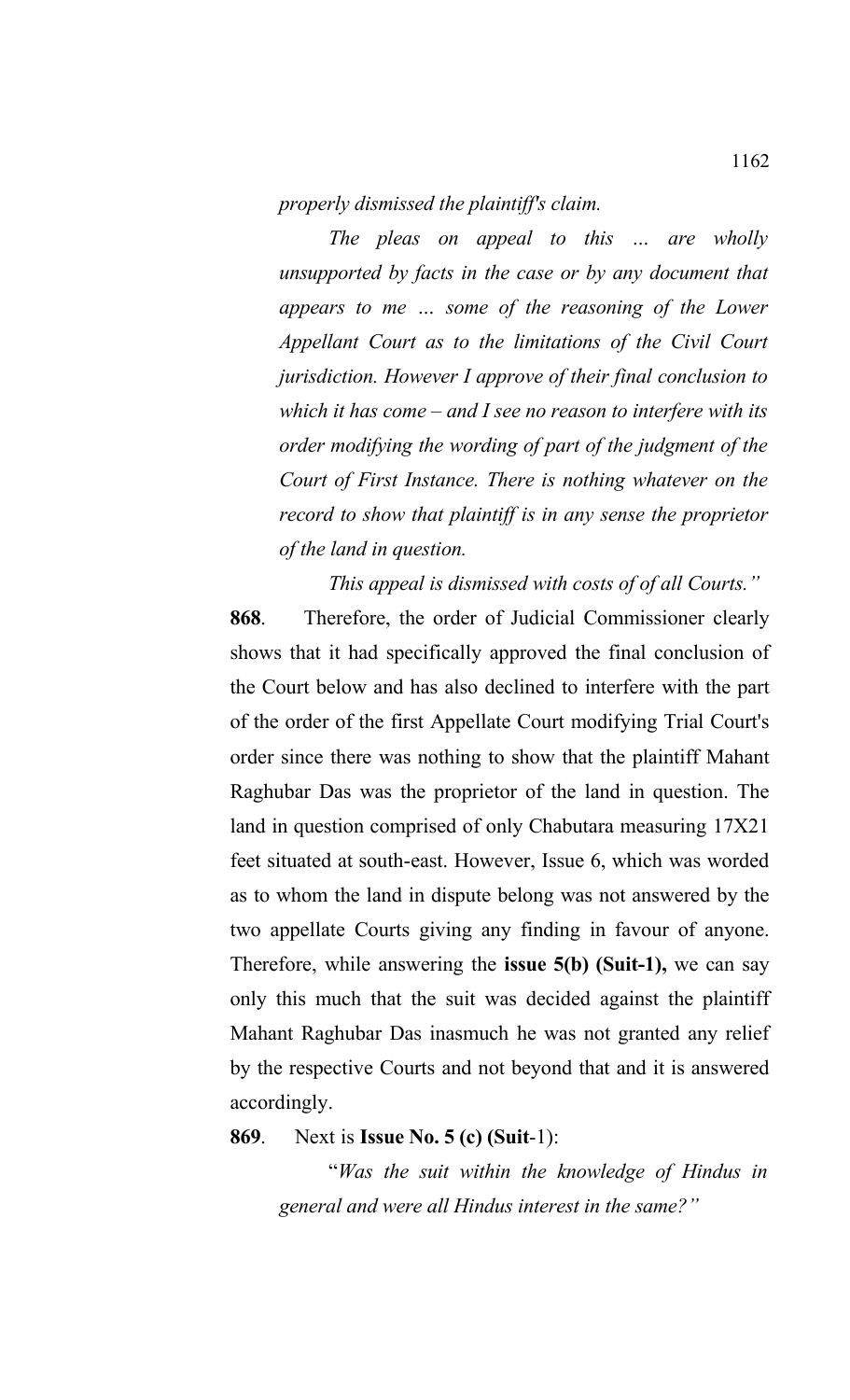*properly dismissed the plaintiff's claim.*

*The pleas on appeal to this … are wholly unsupported by facts in the case or by any document that appears to me … some of the reasoning of the Lower Appellant Court as to the limitations of the Civil Court jurisdiction. However I approve of their final conclusion to which it has come – and I see no reason to interfere with its order modifying the wording of part of the judgment of the Court of First Instance. There is nothing whatever on the record to show that plaintiff is in any sense the proprietor of the land in question.* 

*This appeal is dismissed with costs of of all Courts."*

**868**. Therefore, the order of Judicial Commissioner clearly shows that it had specifically approved the final conclusion of the Court below and has also declined to interfere with the part of the order of the first Appellate Court modifying Trial Court's order since there was nothing to show that the plaintiff Mahant Raghubar Das was the proprietor of the land in question. The land in question comprised of only Chabutara measuring 17X21 feet situated at south-east. However, Issue 6, which was worded as to whom the land in dispute belong was not answered by the two appellate Courts giving any finding in favour of anyone. Therefore, while answering the **issue 5(b) (Suit-1),** we can say only this much that the suit was decided against the plaintiff Mahant Raghubar Das inasmuch he was not granted any relief by the respective Courts and not beyond that and it is answered accordingly.

**869**. Next is **Issue No. 5 (c) (Suit**-1):

"*Was the suit within the knowledge of Hindus in general and were all Hindus interest in the same?"*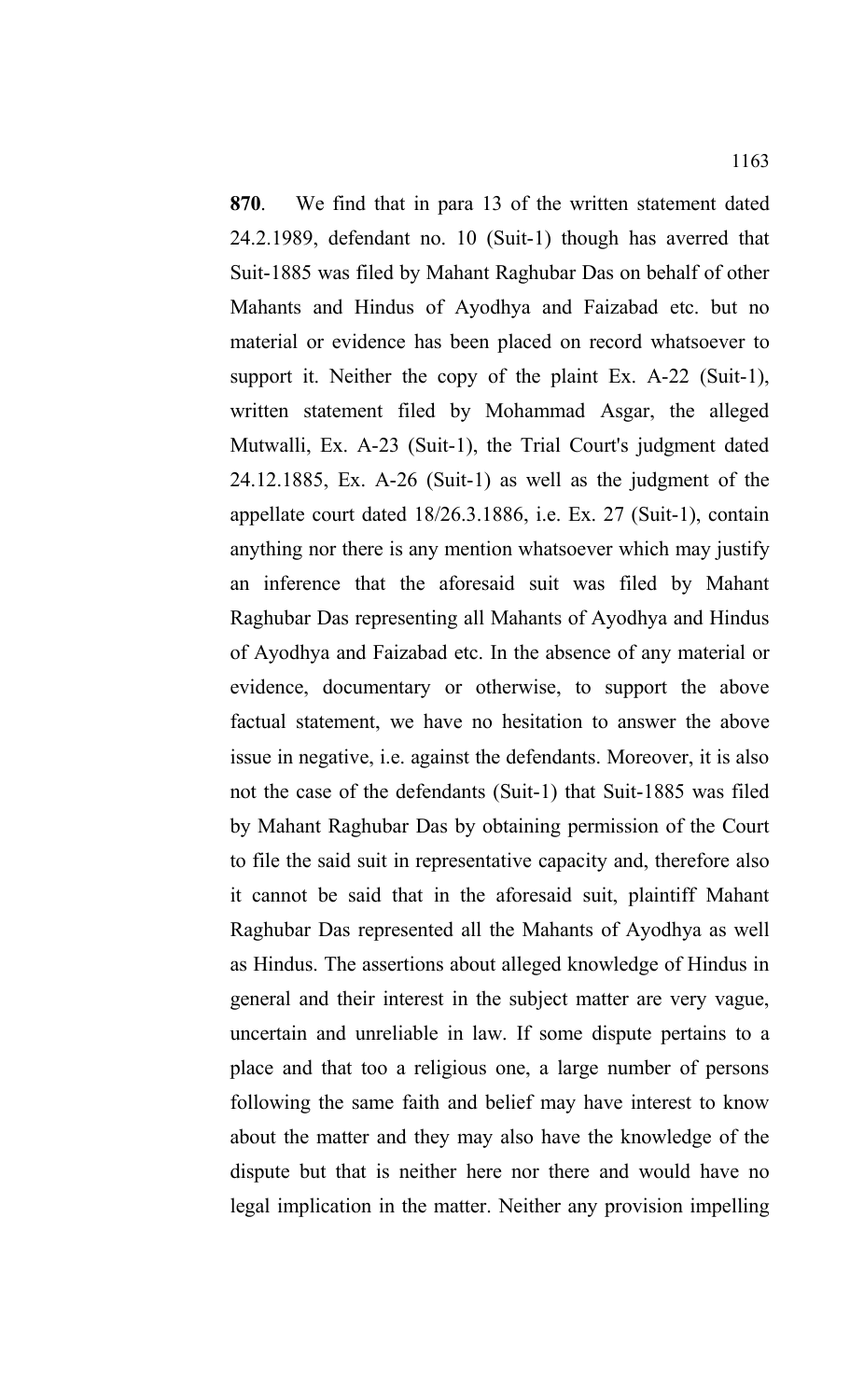**870**. We find that in para 13 of the written statement dated 24.2.1989, defendant no. 10 (Suit-1) though has averred that Suit-1885 was filed by Mahant Raghubar Das on behalf of other Mahants and Hindus of Ayodhya and Faizabad etc. but no material or evidence has been placed on record whatsoever to support it. Neither the copy of the plaint Ex. A-22 (Suit-1), written statement filed by Mohammad Asgar, the alleged Mutwalli, Ex. A-23 (Suit-1), the Trial Court's judgment dated 24.12.1885, Ex. A-26 (Suit-1) as well as the judgment of the appellate court dated 18/26.3.1886, i.e. Ex. 27 (Suit-1), contain anything nor there is any mention whatsoever which may justify an inference that the aforesaid suit was filed by Mahant Raghubar Das representing all Mahants of Ayodhya and Hindus of Ayodhya and Faizabad etc. In the absence of any material or evidence, documentary or otherwise, to support the above factual statement, we have no hesitation to answer the above issue in negative, i.e. against the defendants. Moreover, it is also not the case of the defendants (Suit-1) that Suit-1885 was filed by Mahant Raghubar Das by obtaining permission of the Court to file the said suit in representative capacity and, therefore also it cannot be said that in the aforesaid suit, plaintiff Mahant Raghubar Das represented all the Mahants of Ayodhya as well as Hindus. The assertions about alleged knowledge of Hindus in general and their interest in the subject matter are very vague, uncertain and unreliable in law. If some dispute pertains to a place and that too a religious one, a large number of persons following the same faith and belief may have interest to know about the matter and they may also have the knowledge of the dispute but that is neither here nor there and would have no legal implication in the matter. Neither any provision impelling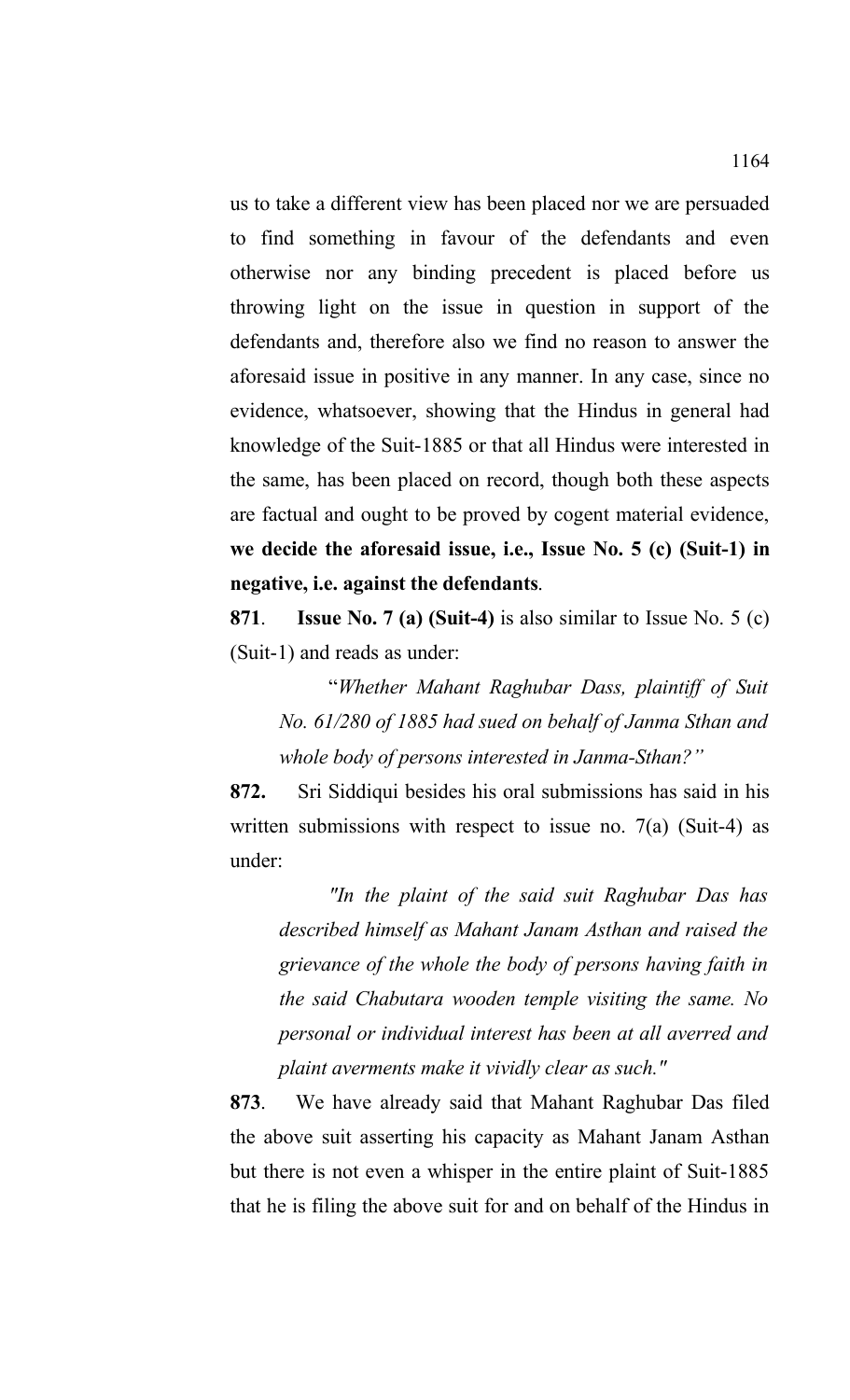us to take a different view has been placed nor we are persuaded to find something in favour of the defendants and even otherwise nor any binding precedent is placed before us throwing light on the issue in question in support of the defendants and, therefore also we find no reason to answer the aforesaid issue in positive in any manner. In any case, since no evidence, whatsoever, showing that the Hindus in general had knowledge of the Suit-1885 or that all Hindus were interested in the same, has been placed on record, though both these aspects are factual and ought to be proved by cogent material evidence, **we decide the aforesaid issue, i.e., Issue No. 5 (c) (Suit-1) in negative, i.e. against the defendants**.

**871**. **Issue No. 7 (a) (Suit-4)** is also similar to Issue No. 5 (c) (Suit-1) and reads as under:

"*Whether Mahant Raghubar Dass, plaintiff of Suit No. 61/280 of 1885 had sued on behalf of Janma Sthan and whole body of persons interested in Janma-Sthan?"* 

**872.** Sri Siddiqui besides his oral submissions has said in his written submissions with respect to issue no. 7(a) (Suit-4) as under:

*"In the plaint of the said suit Raghubar Das has described himself as Mahant Janam Asthan and raised the grievance of the whole the body of persons having faith in the said Chabutara wooden temple visiting the same. No personal or individual interest has been at all averred and plaint averments make it vividly clear as such."*

**873**. We have already said that Mahant Raghubar Das filed the above suit asserting his capacity as Mahant Janam Asthan but there is not even a whisper in the entire plaint of Suit-1885 that he is filing the above suit for and on behalf of the Hindus in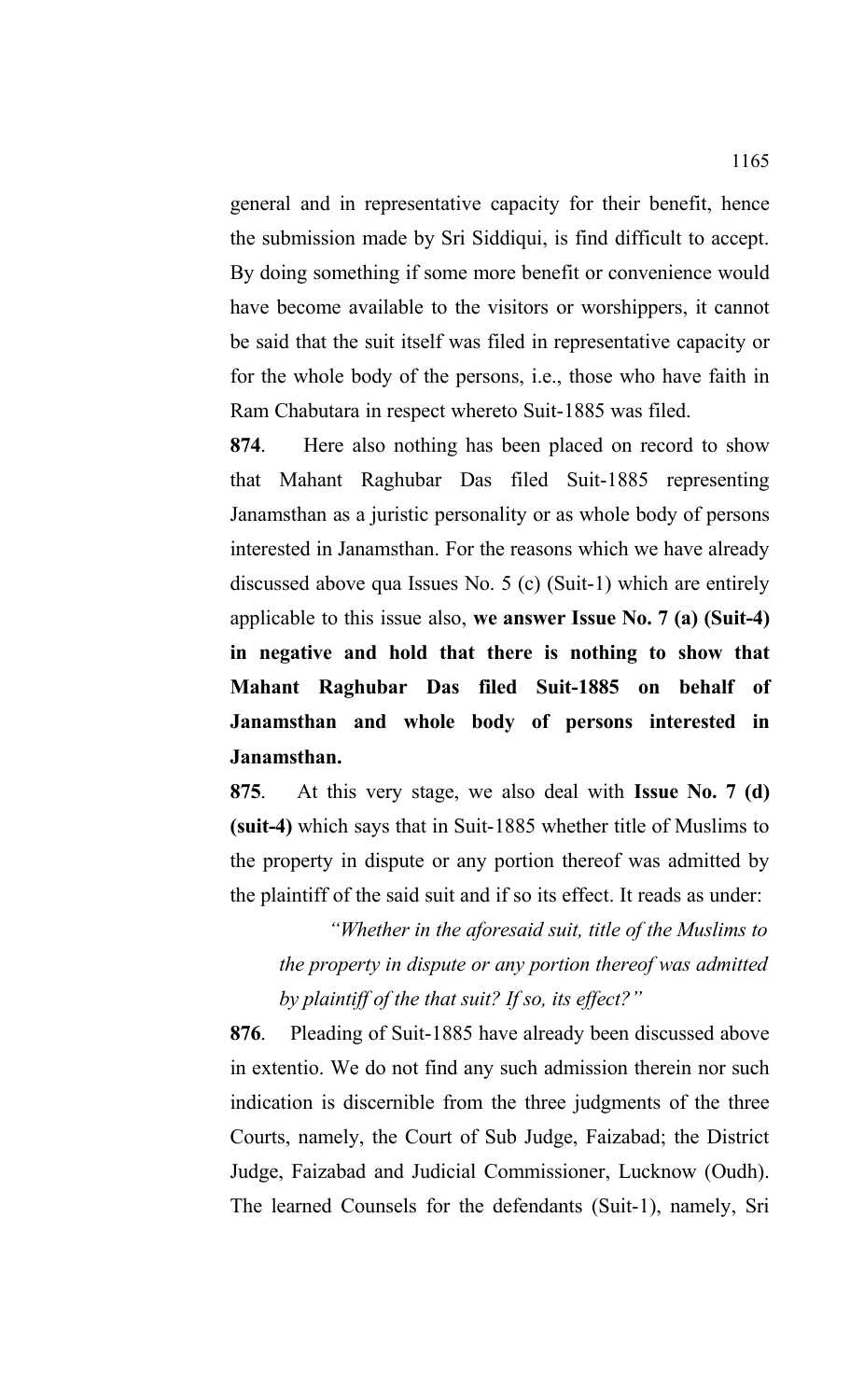general and in representative capacity for their benefit, hence the submission made by Sri Siddiqui, is find difficult to accept. By doing something if some more benefit or convenience would have become available to the visitors or worshippers, it cannot be said that the suit itself was filed in representative capacity or for the whole body of the persons, i.e., those who have faith in Ram Chabutara in respect whereto Suit-1885 was filed.

**874**. Here also nothing has been placed on record to show that Mahant Raghubar Das filed Suit-1885 representing Janamsthan as a juristic personality or as whole body of persons interested in Janamsthan. For the reasons which we have already discussed above qua Issues No. 5 (c) (Suit-1) which are entirely applicable to this issue also, **we answer Issue No. 7 (a) (Suit-4) in negative and hold that there is nothing to show that Mahant Raghubar Das filed Suit-1885 on behalf of Janamsthan and whole body of persons interested in Janamsthan.** 

**875**. At this very stage, we also deal with **Issue No. 7 (d) (suit-4)** which says that in Suit-1885 whether title of Muslims to the property in dispute or any portion thereof was admitted by the plaintiff of the said suit and if so its effect. It reads as under:

*"Whether in the aforesaid suit, title of the Muslims to the property in dispute or any portion thereof was admitted by plaintiff of the that suit? If so, its effect?"*

**876**. Pleading of Suit-1885 have already been discussed above in extentio. We do not find any such admission therein nor such indication is discernible from the three judgments of the three Courts, namely, the Court of Sub Judge, Faizabad; the District Judge, Faizabad and Judicial Commissioner, Lucknow (Oudh). The learned Counsels for the defendants (Suit-1), namely, Sri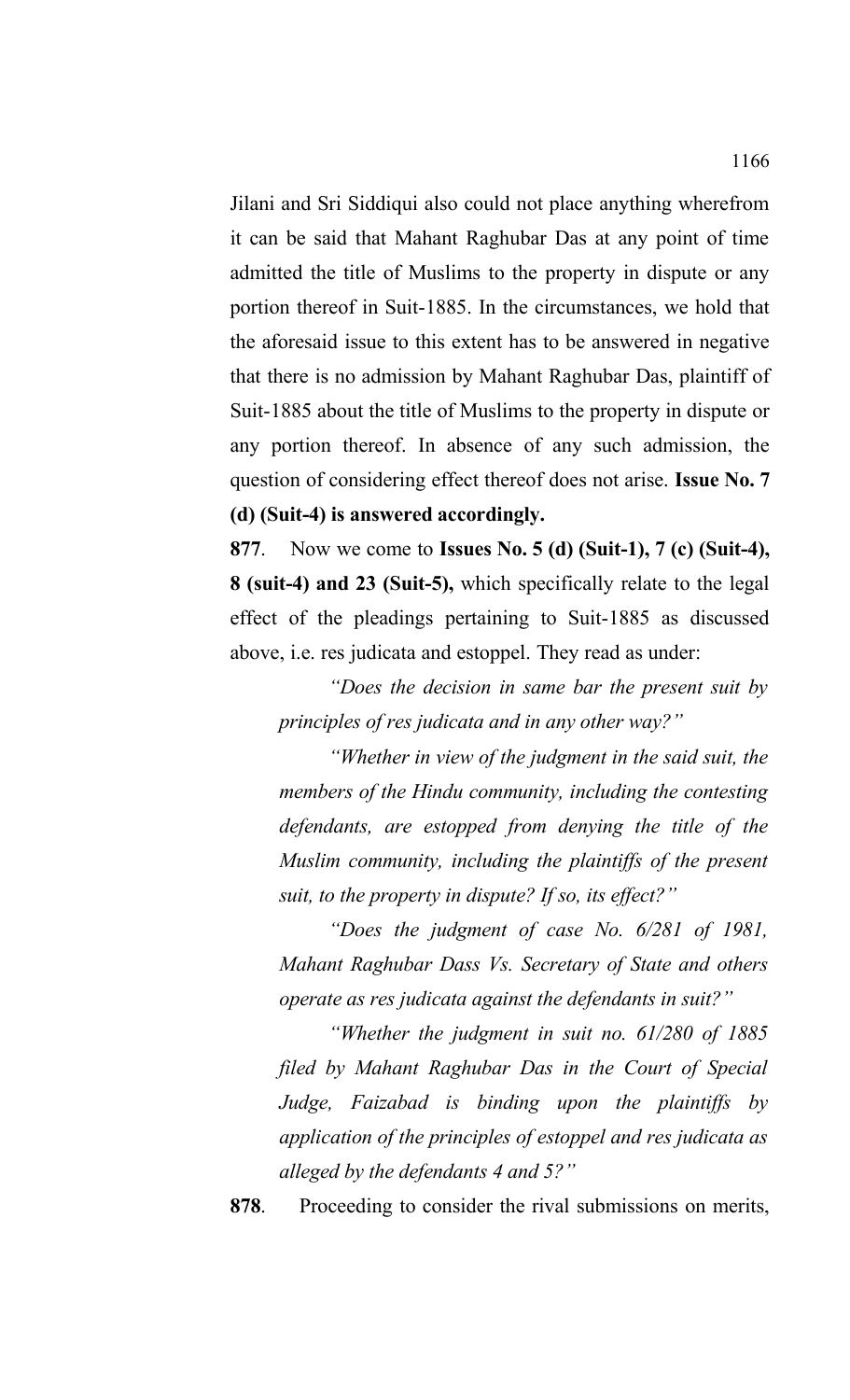Jilani and Sri Siddiqui also could not place anything wherefrom it can be said that Mahant Raghubar Das at any point of time admitted the title of Muslims to the property in dispute or any portion thereof in Suit-1885. In the circumstances, we hold that the aforesaid issue to this extent has to be answered in negative that there is no admission by Mahant Raghubar Das, plaintiff of Suit-1885 about the title of Muslims to the property in dispute or any portion thereof. In absence of any such admission, the question of considering effect thereof does not arise. **Issue No. 7 (d) (Suit-4) is answered accordingly.** 

**877**. Now we come to **Issues No. 5 (d) (Suit-1), 7 (c) (Suit-4), 8 (suit-4) and 23 (Suit-5),** which specifically relate to the legal effect of the pleadings pertaining to Suit-1885 as discussed above, i.e. res judicata and estoppel. They read as under:

*"Does the decision in same bar the present suit by principles of res judicata and in any other way?"*

*"Whether in view of the judgment in the said suit, the members of the Hindu community, including the contesting defendants, are estopped from denying the title of the Muslim community, including the plaintiffs of the present suit, to the property in dispute? If so, its effect?"*

*"Does the judgment of case No. 6/281 of 1981, Mahant Raghubar Dass Vs. Secretary of State and others operate as res judicata against the defendants in suit?"*

*"Whether the judgment in suit no. 61/280 of 1885 filed by Mahant Raghubar Das in the Court of Special Judge, Faizabad is binding upon the plaintiffs by application of the principles of estoppel and res judicata as alleged by the defendants 4 and 5?"*

**878**. Proceeding to consider the rival submissions on merits,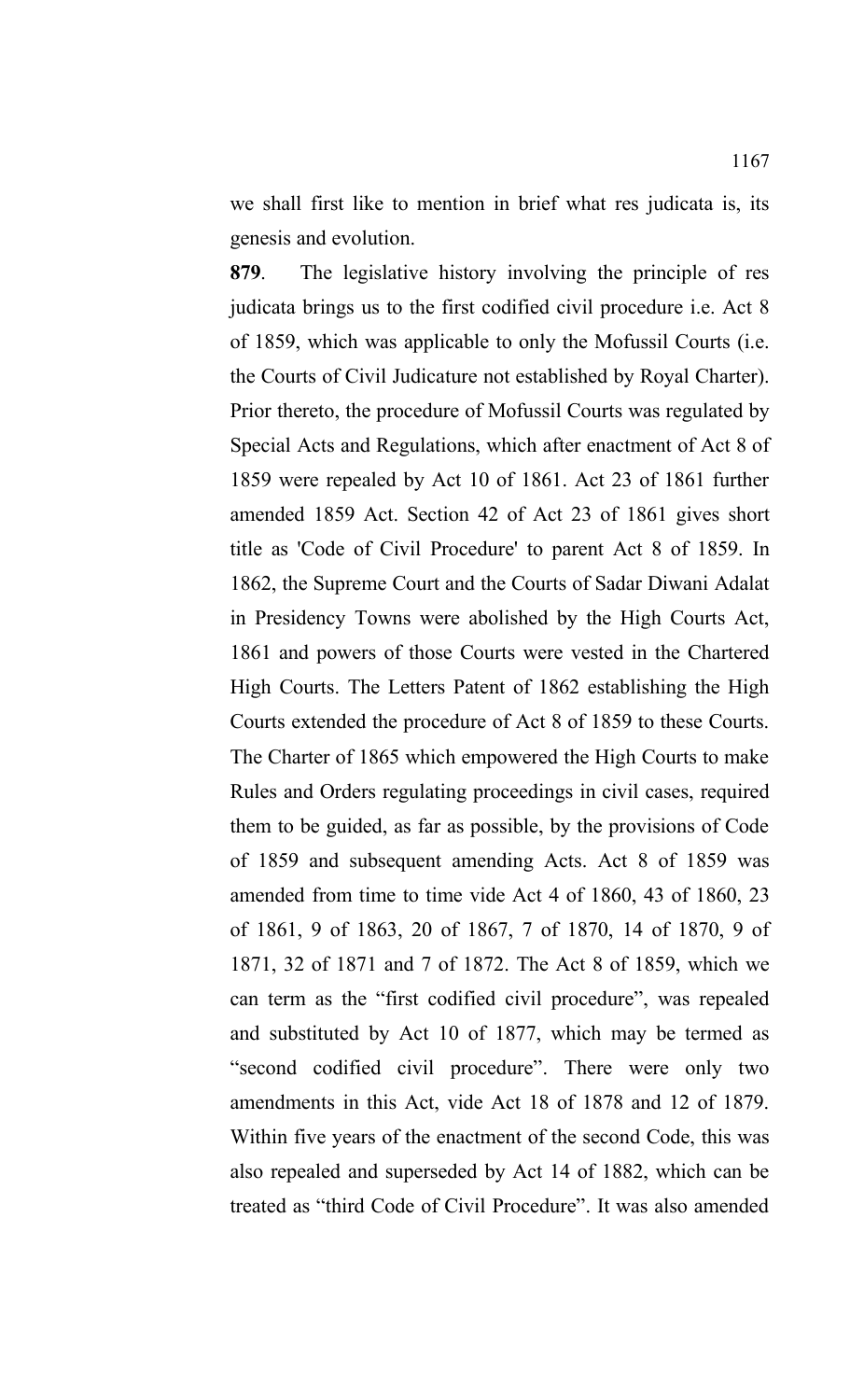we shall first like to mention in brief what res judicata is, its genesis and evolution.

**879**. The legislative history involving the principle of res judicata brings us to the first codified civil procedure i.e. Act 8 of 1859, which was applicable to only the Mofussil Courts (i.e. the Courts of Civil Judicature not established by Royal Charter). Prior thereto, the procedure of Mofussil Courts was regulated by Special Acts and Regulations, which after enactment of Act 8 of 1859 were repealed by Act 10 of 1861. Act 23 of 1861 further amended 1859 Act. Section 42 of Act 23 of 1861 gives short title as 'Code of Civil Procedure' to parent Act 8 of 1859. In 1862, the Supreme Court and the Courts of Sadar Diwani Adalat in Presidency Towns were abolished by the High Courts Act, 1861 and powers of those Courts were vested in the Chartered High Courts. The Letters Patent of 1862 establishing the High Courts extended the procedure of Act 8 of 1859 to these Courts. The Charter of 1865 which empowered the High Courts to make Rules and Orders regulating proceedings in civil cases, required them to be guided, as far as possible, by the provisions of Code of 1859 and subsequent amending Acts. Act 8 of 1859 was amended from time to time vide Act 4 of 1860, 43 of 1860, 23 of 1861, 9 of 1863, 20 of 1867, 7 of 1870, 14 of 1870, 9 of 1871, 32 of 1871 and 7 of 1872. The Act 8 of 1859, which we can term as the "first codified civil procedure", was repealed and substituted by Act 10 of 1877, which may be termed as "second codified civil procedure". There were only two amendments in this Act, vide Act 18 of 1878 and 12 of 1879. Within five years of the enactment of the second Code, this was also repealed and superseded by Act 14 of 1882, which can be treated as "third Code of Civil Procedure". It was also amended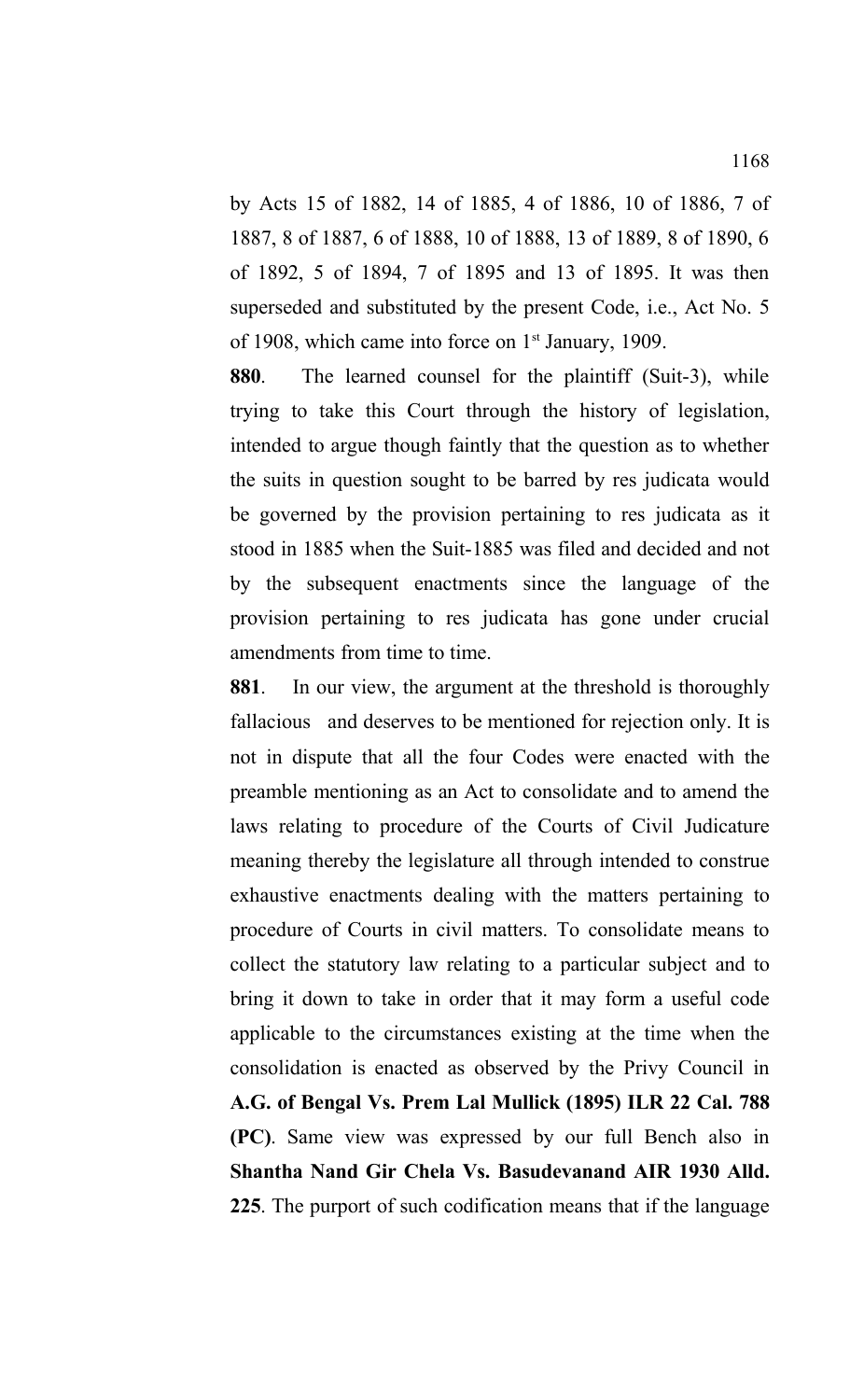by Acts 15 of 1882, 14 of 1885, 4 of 1886, 10 of 1886, 7 of 1887, 8 of 1887, 6 of 1888, 10 of 1888, 13 of 1889, 8 of 1890, 6 of 1892, 5 of 1894, 7 of 1895 and 13 of 1895. It was then superseded and substituted by the present Code, i.e., Act No. 5 of 1908, which came into force on  $1<sup>st</sup>$  January, 1909.

**880**. The learned counsel for the plaintiff (Suit-3), while trying to take this Court through the history of legislation, intended to argue though faintly that the question as to whether the suits in question sought to be barred by res judicata would be governed by the provision pertaining to res judicata as it stood in 1885 when the Suit-1885 was filed and decided and not by the subsequent enactments since the language of the provision pertaining to res judicata has gone under crucial amendments from time to time.

**881**. In our view, the argument at the threshold is thoroughly fallaciousand deserves to be mentioned for rejection only. It is not in dispute that all the four Codes were enacted with the preamble mentioning as an Act to consolidate and to amend the laws relating to procedure of the Courts of Civil Judicature meaning thereby the legislature all through intended to construe exhaustive enactments dealing with the matters pertaining to procedure of Courts in civil matters. To consolidate means to collect the statutory law relating to a particular subject and to bring it down to take in order that it may form a useful code applicable to the circumstances existing at the time when the consolidation is enacted as observed by the Privy Council in **A.G. of Bengal Vs. Prem Lal Mullick (1895) ILR 22 Cal. 788 (PC)**. Same view was expressed by our full Bench also in **Shantha Nand Gir Chela Vs. Basudevanand AIR 1930 Alld. 225**. The purport of such codification means that if the language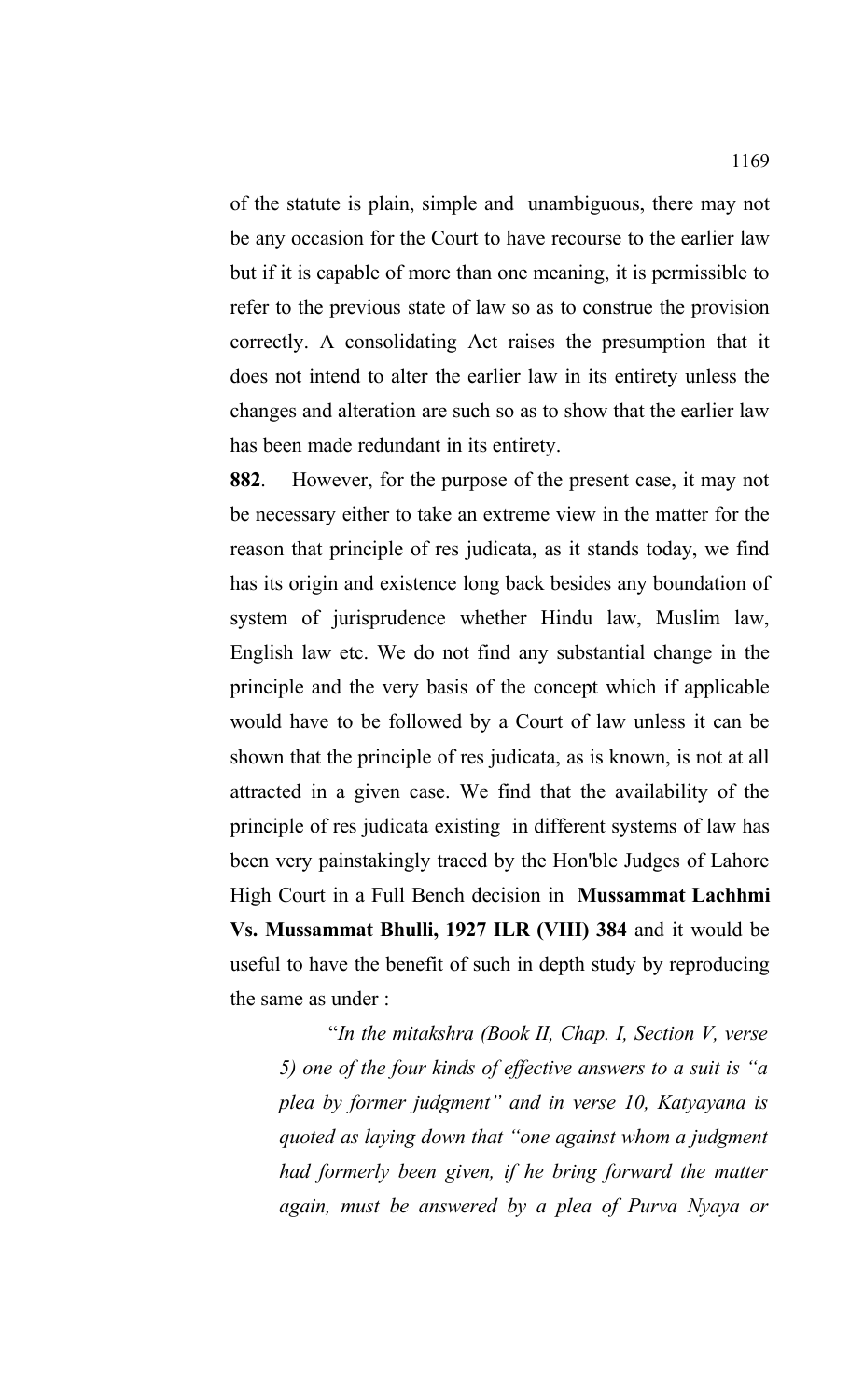of the statute is plain, simple and unambiguous, there may not be any occasion for the Court to have recourse to the earlier law but if it is capable of more than one meaning, it is permissible to refer to the previous state of law so as to construe the provision correctly. A consolidating Act raises the presumption that it does not intend to alter the earlier law in its entirety unless the changes and alteration are such so as to show that the earlier law has been made redundant in its entirety.

**882**. However, for the purpose of the present case, it may not be necessary either to take an extreme view in the matter for the reason that principle of res judicata, as it stands today, we find has its origin and existence long back besides any boundation of system of jurisprudence whether Hindu law, Muslim law, English law etc. We do not find any substantial change in the principle and the very basis of the concept which if applicable would have to be followed by a Court of law unless it can be shown that the principle of res judicata, as is known, is not at all attracted in a given case. We find that the availability of the principle of res judicata existing in different systems of law has been very painstakingly traced by the Hon'ble Judges of Lahore High Court in a Full Bench decision in **Mussammat Lachhmi Vs. Mussammat Bhulli, 1927 ILR (VIII) 384** and it would be useful to have the benefit of such in depth study by reproducing the same as under :

"*In the mitakshra (Book II, Chap. I, Section V, verse 5) one of the four kinds of effective answers to a suit is "a plea by former judgment" and in verse 10, Katyayana is quoted as laying down that "one against whom a judgment had formerly been given, if he bring forward the matter again, must be answered by a plea of Purva Nyaya or*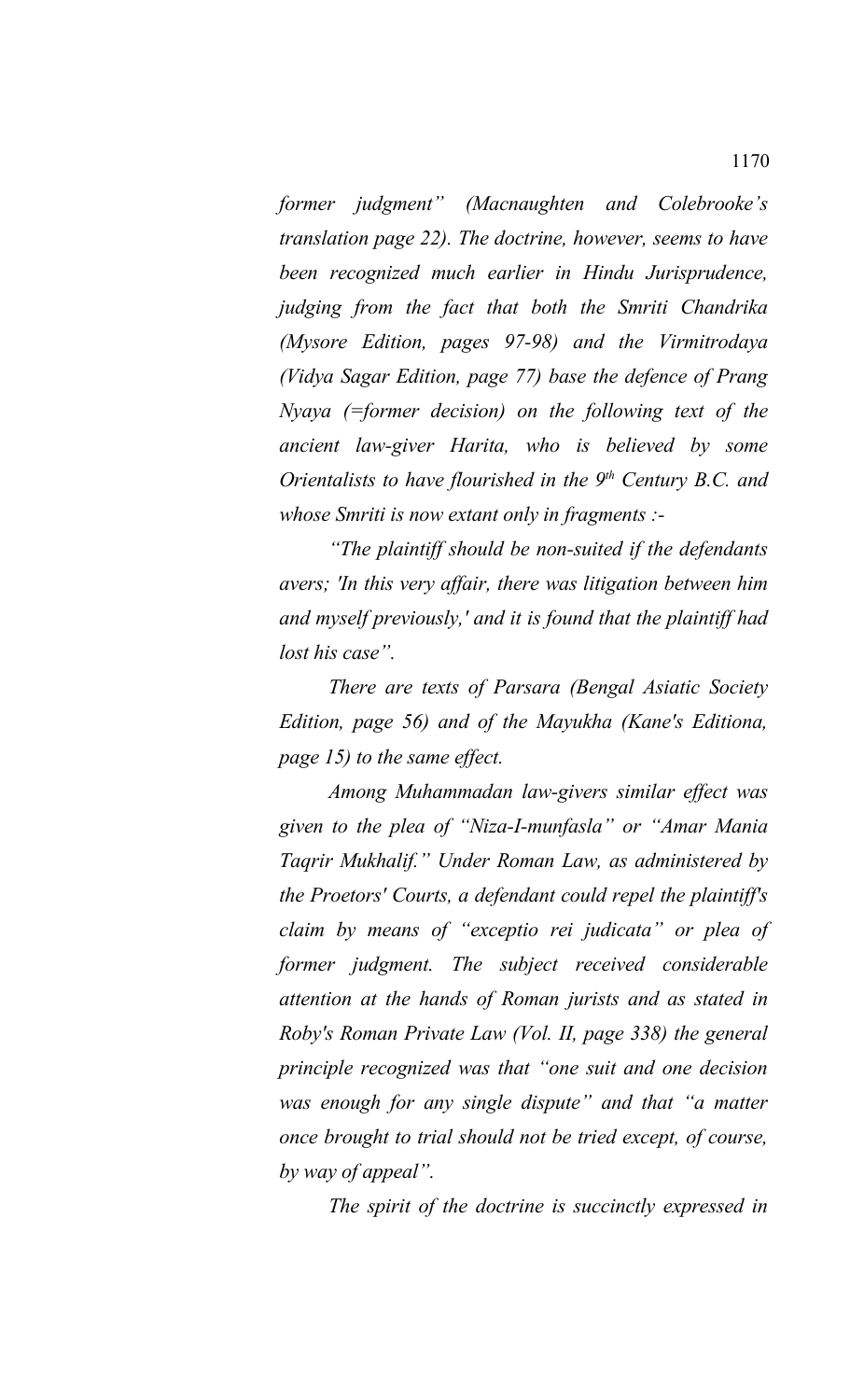*former judgment" (Macnaughten and Colebrooke's translation page 22). The doctrine, however, seems to have been recognized much earlier in Hindu Jurisprudence, judging from the fact that both the Smriti Chandrika (Mysore Edition, pages 97-98) and the Virmitrodaya (Vidya Sagar Edition, page 77) base the defence of Prang Nyaya (=former decision) on the following text of the ancient law-giver Harita, who is believed by some Orientalists to have flourished in the 9th Century B.C. and whose Smriti is now extant only in fragments :-*

*"The plaintiff should be non-suited if the defendants avers; 'In this very affair, there was litigation between him and myself previously,' and it is found that the plaintiff had lost his case".*

*There are texts of Parsara (Bengal Asiatic Society Edition, page 56) and of the Mayukha (Kane's Editiona, page 15) to the same effect.* 

*Among Muhammadan law-givers similar effect was given to the plea of "Niza-I-munfasla" or "Amar Mania Taqrir Mukhalif." Under Roman Law, as administered by the Proetors' Courts, a defendant could repel the plaintiff's claim by means of "exceptio rei judicata" or plea of former judgment. The subject received considerable attention at the hands of Roman jurists and as stated in Roby's Roman Private Law (Vol. II, page 338) the general principle recognized was that "one suit and one decision was enough for any single dispute" and that "a matter once brought to trial should not be tried except, of course, by way of appeal".* 

*The spirit of the doctrine is succinctly expressed in*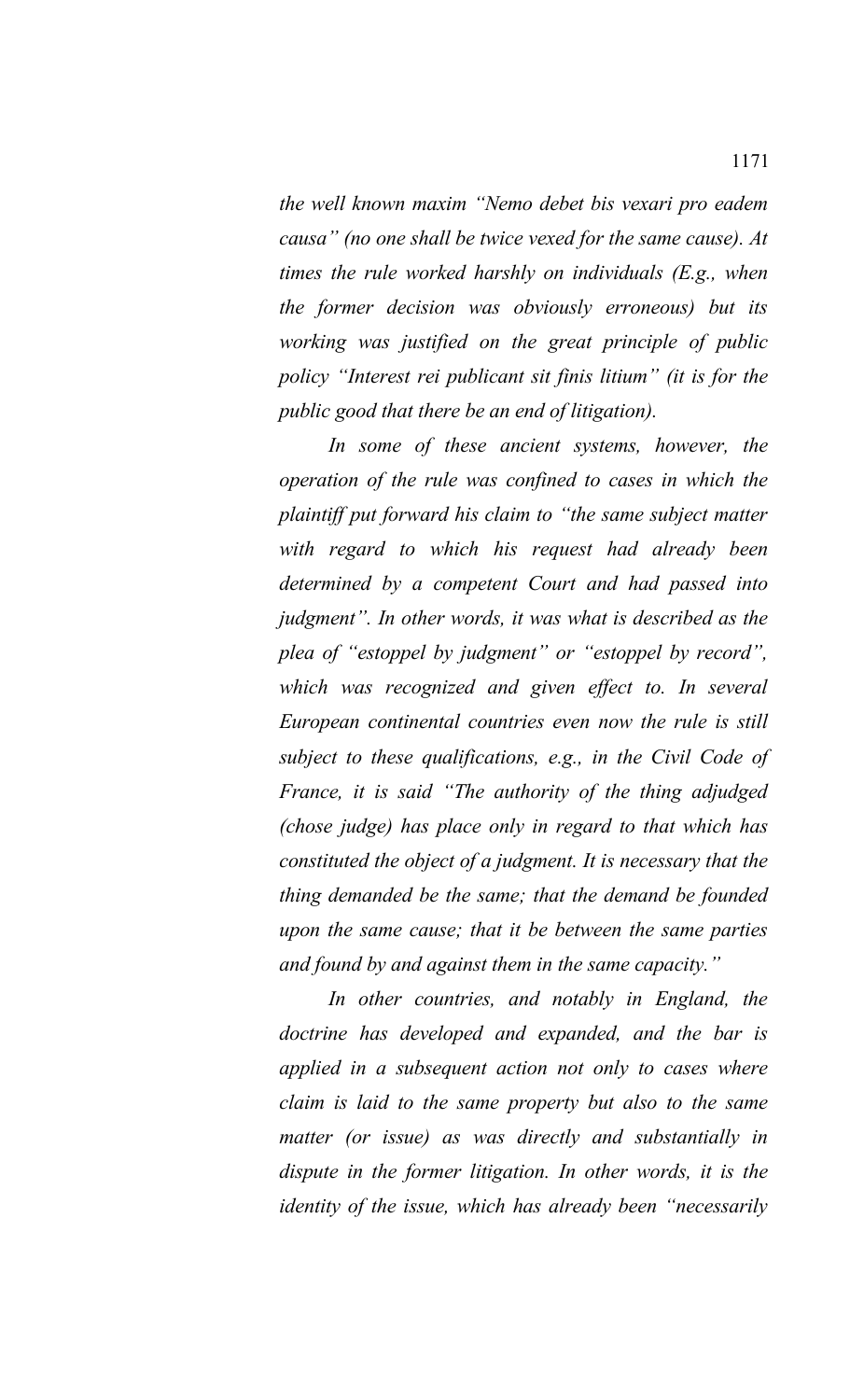*the well known maxim "Nemo debet bis vexari pro eadem causa" (no one shall be twice vexed for the same cause). At times the rule worked harshly on individuals (E.g., when the former decision was obviously erroneous) but its working was justified on the great principle of public policy "Interest rei publicant sit finis litium" (it is for the public good that there be an end of litigation).* 

*In some of these ancient systems, however, the operation of the rule was confined to cases in which the plaintiff put forward his claim to "the same subject matter with regard to which his request had already been determined by a competent Court and had passed into judgment". In other words, it was what is described as the plea of "estoppel by judgment" or "estoppel by record", which was recognized and given effect to. In several European continental countries even now the rule is still subject to these qualifications, e.g., in the Civil Code of France, it is said "The authority of the thing adjudged (chose judge) has place only in regard to that which has constituted the object of a judgment. It is necessary that the thing demanded be the same; that the demand be founded upon the same cause; that it be between the same parties and found by and against them in the same capacity."*

*In other countries, and notably in England, the doctrine has developed and expanded, and the bar is applied in a subsequent action not only to cases where claim is laid to the same property but also to the same matter (or issue) as was directly and substantially in dispute in the former litigation. In other words, it is the identity of the issue, which has already been "necessarily*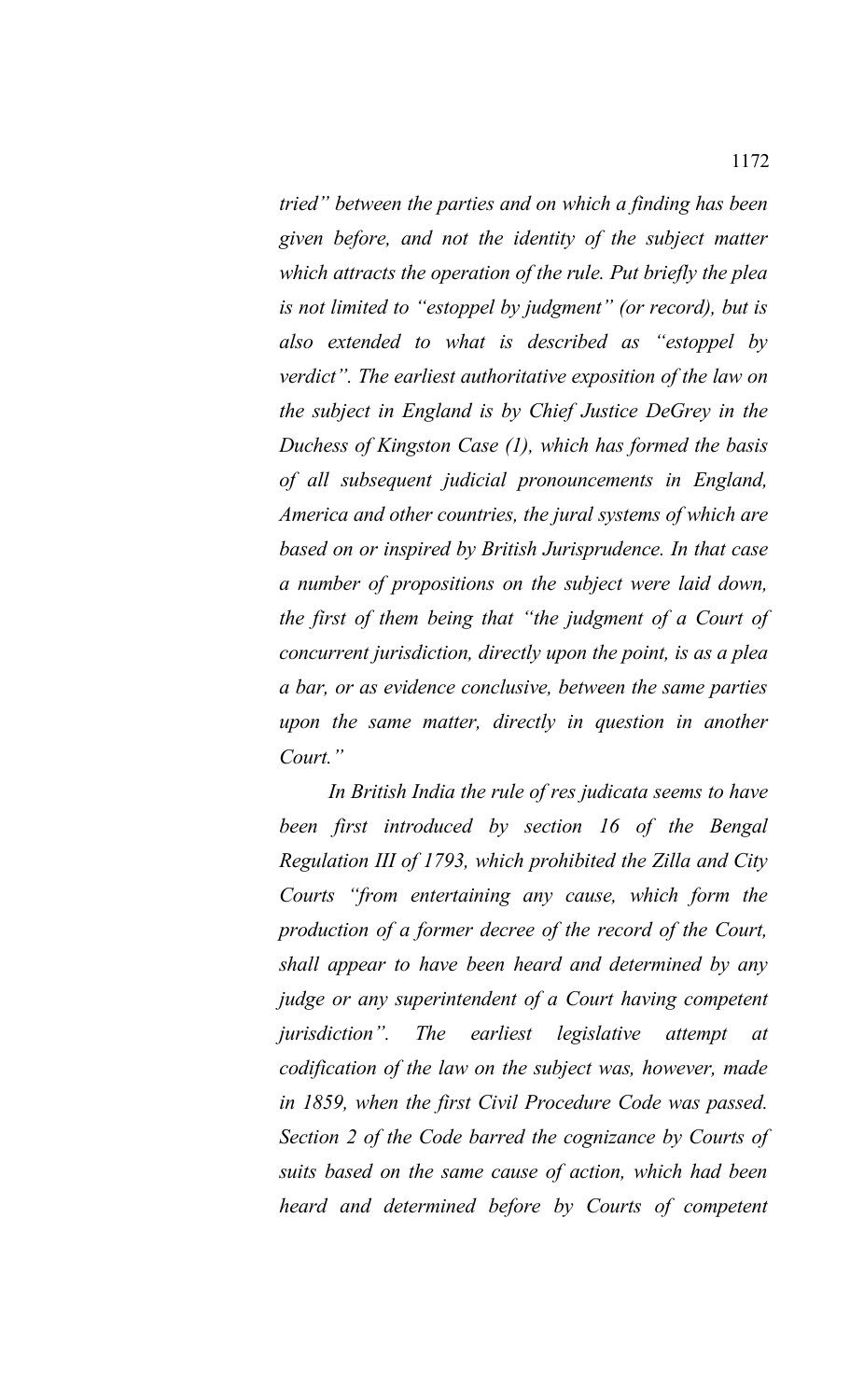*tried" between the parties and on which a finding has been given before, and not the identity of the subject matter which attracts the operation of the rule. Put briefly the plea is not limited to "estoppel by judgment" (or record), but is also extended to what is described as "estoppel by verdict". The earliest authoritative exposition of the law on the subject in England is by Chief Justice DeGrey in the Duchess of Kingston Case (1), which has formed the basis of all subsequent judicial pronouncements in England, America and other countries, the jural systems of which are based on or inspired by British Jurisprudence. In that case a number of propositions on the subject were laid down, the first of them being that "the judgment of a Court of concurrent jurisdiction, directly upon the point, is as a plea a bar, or as evidence conclusive, between the same parties upon the same matter, directly in question in another Court."*

*In British India the rule of res judicata seems to have been first introduced by section 16 of the Bengal Regulation III of 1793, which prohibited the Zilla and City Courts "from entertaining any cause, which form the production of a former decree of the record of the Court, shall appear to have been heard and determined by any judge or any superintendent of a Court having competent jurisdiction". The earliest legislative attempt at codification of the law on the subject was, however, made in 1859, when the first Civil Procedure Code was passed. Section 2 of the Code barred the cognizance by Courts of suits based on the same cause of action, which had been heard and determined before by Courts of competent*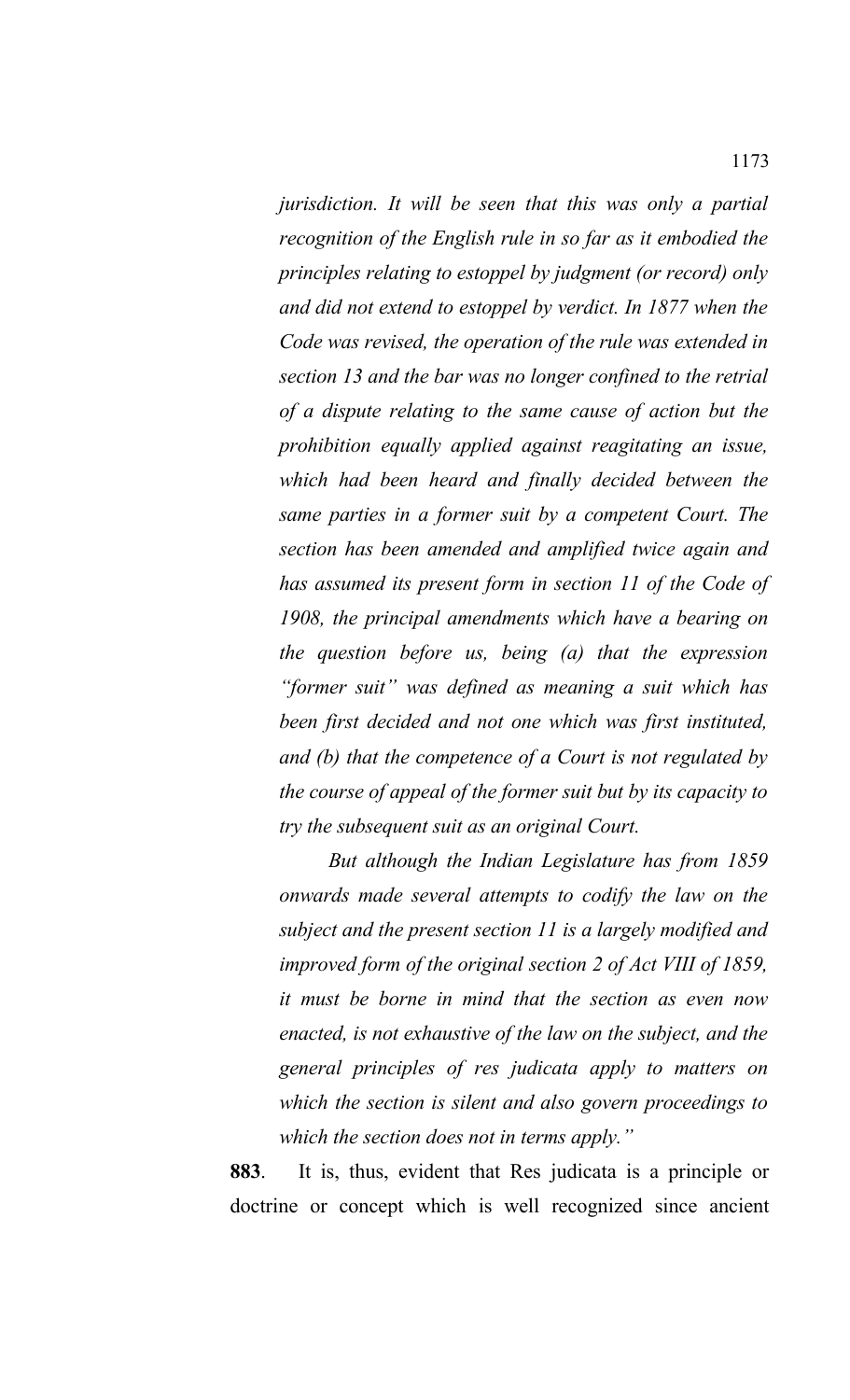*jurisdiction. It will be seen that this was only a partial recognition of the English rule in so far as it embodied the principles relating to estoppel by judgment (or record) only and did not extend to estoppel by verdict. In 1877 when the Code was revised, the operation of the rule was extended in section 13 and the bar was no longer confined to the retrial of a dispute relating to the same cause of action but the prohibition equally applied against reagitating an issue, which had been heard and finally decided between the same parties in a former suit by a competent Court. The section has been amended and amplified twice again and has assumed its present form in section 11 of the Code of 1908, the principal amendments which have a bearing on the question before us, being (a) that the expression "former suit" was defined as meaning a suit which has been first decided and not one which was first instituted, and (b) that the competence of a Court is not regulated by the course of appeal of the former suit but by its capacity to try the subsequent suit as an original Court.* 

*But although the Indian Legislature has from 1859 onwards made several attempts to codify the law on the subject and the present section 11 is a largely modified and improved form of the original section 2 of Act VIII of 1859, it must be borne in mind that the section as even now enacted, is not exhaustive of the law on the subject, and the general principles of res judicata apply to matters on which the section is silent and also govern proceedings to which the section does not in terms apply."*

**883**. It is, thus, evident that Res judicata is a principle or doctrine or concept which is well recognized since ancient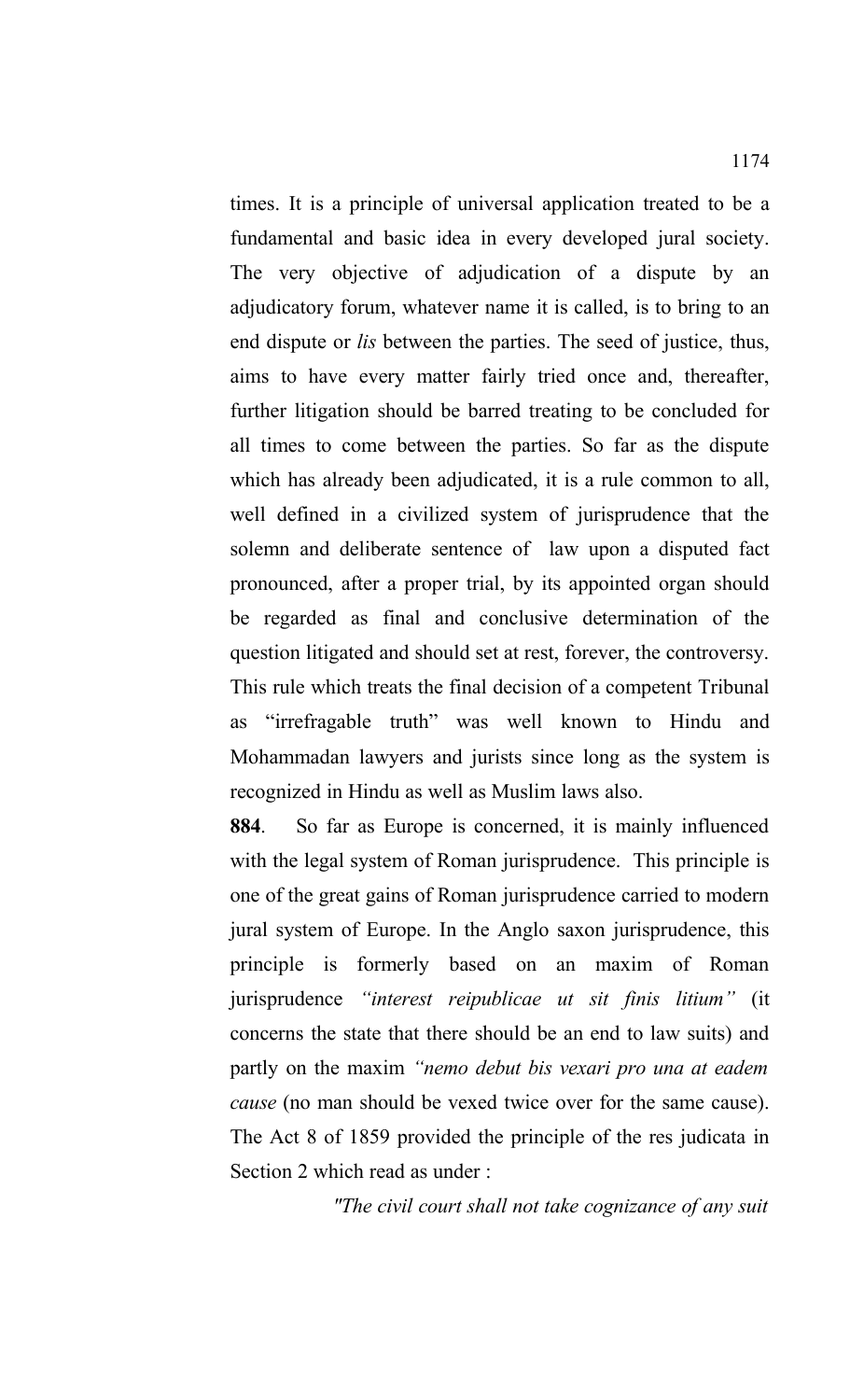times. It is a principle of universal application treated to be a fundamental and basic idea in every developed jural society. The very objective of adjudication of a dispute by an adjudicatory forum, whatever name it is called, is to bring to an end dispute or *lis* between the parties. The seed of justice, thus, aims to have every matter fairly tried once and, thereafter, further litigation should be barred treating to be concluded for all times to come between the parties. So far as the dispute which has already been adjudicated, it is a rule common to all, well defined in a civilized system of jurisprudence that the solemn and deliberate sentence of law upon a disputed fact pronounced, after a proper trial, by its appointed organ should be regarded as final and conclusive determination of the question litigated and should set at rest, forever, the controversy. This rule which treats the final decision of a competent Tribunal as "irrefragable truth" was well known to Hindu and Mohammadan lawyers and jurists since long as the system is recognized in Hindu as well as Muslim laws also.

**884**. So far as Europe is concerned, it is mainly influenced with the legal system of Roman jurisprudence. This principle is one of the great gains of Roman jurisprudence carried to modern jural system of Europe. In the Anglo saxon jurisprudence, this principle is formerly based on an maxim of Roman jurisprudence *"interest reipublicae ut sit finis litium"* (it concerns the state that there should be an end to law suits) and partly on the maxim *"nemo debut bis vexari pro una at eadem cause* (no man should be vexed twice over for the same cause). The Act 8 of 1859 provided the principle of the res judicata in Section 2 which read as under :

*"The civil court shall not take cognizance of any suit*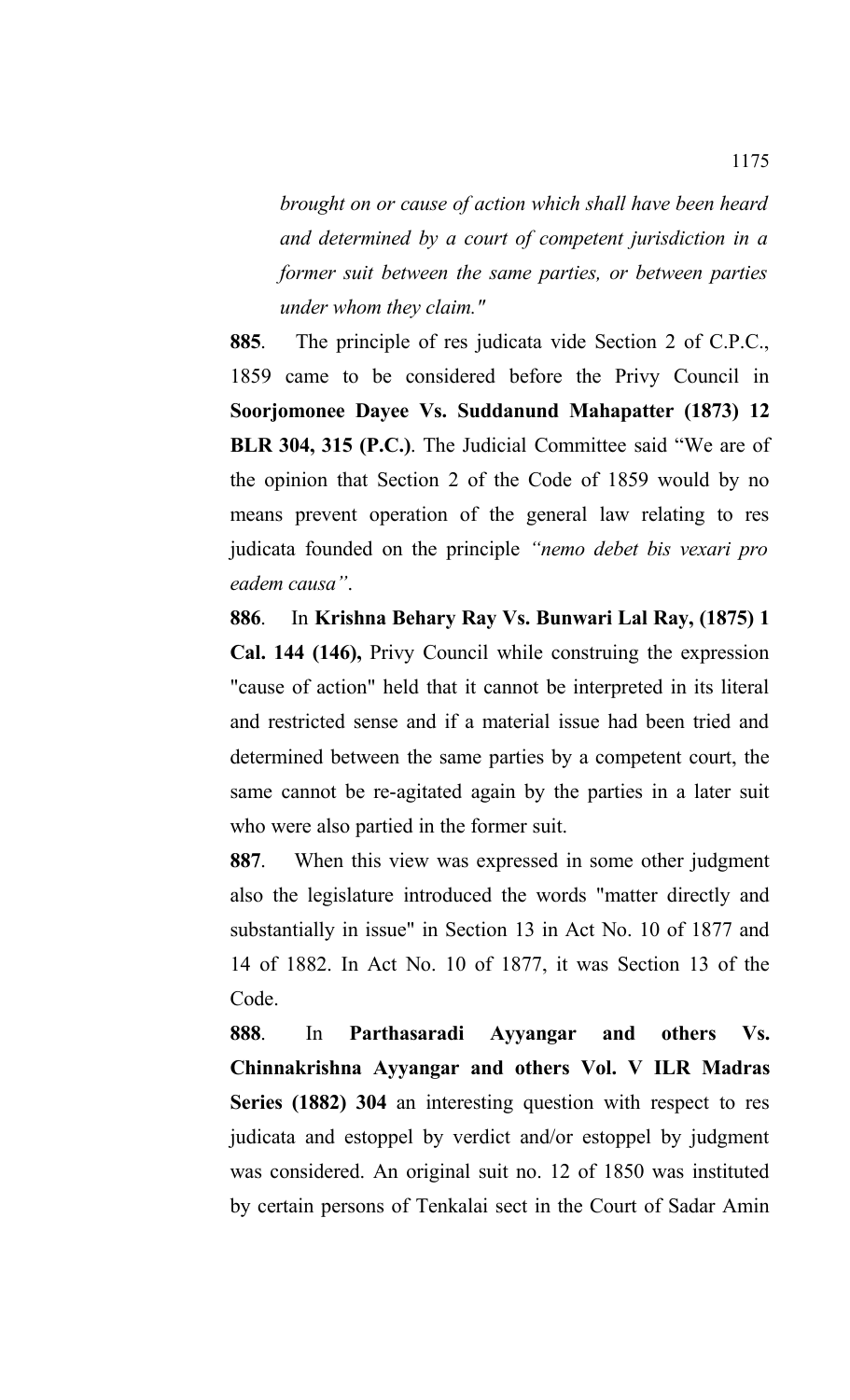*brought on or cause of action which shall have been heard and determined by a court of competent jurisdiction in a former suit between the same parties, or between parties under whom they claim."* 

**885**. The principle of res judicata vide Section 2 of C.P.C., 1859 came to be considered before the Privy Council in **Soorjomonee Dayee Vs. Suddanund Mahapatter (1873) 12 BLR 304, 315 (P.C.)**. The Judicial Committee said "We are of the opinion that Section 2 of the Code of 1859 would by no means prevent operation of the general law relating to res judicata founded on the principle *"nemo debet bis vexari pro eadem causa"*.

**886**. In **Krishna Behary Ray Vs. Bunwari Lal Ray, (1875) 1 Cal. 144 (146),** Privy Council while construing the expression "cause of action" held that it cannot be interpreted in its literal and restricted sense and if a material issue had been tried and determined between the same parties by a competent court, the same cannot be re-agitated again by the parties in a later suit who were also partied in the former suit.

**887**. When this view was expressed in some other judgment also the legislature introduced the words "matter directly and substantially in issue" in Section 13 in Act No. 10 of 1877 and 14 of 1882. In Act No. 10 of 1877, it was Section 13 of the Code.

**888**. In **Parthasaradi Ayyangar and others Vs. Chinnakrishna Ayyangar and others Vol. V ILR Madras Series (1882) 304** an interesting question with respect to res judicata and estoppel by verdict and/or estoppel by judgment was considered. An original suit no. 12 of 1850 was instituted by certain persons of Tenkalai sect in the Court of Sadar Amin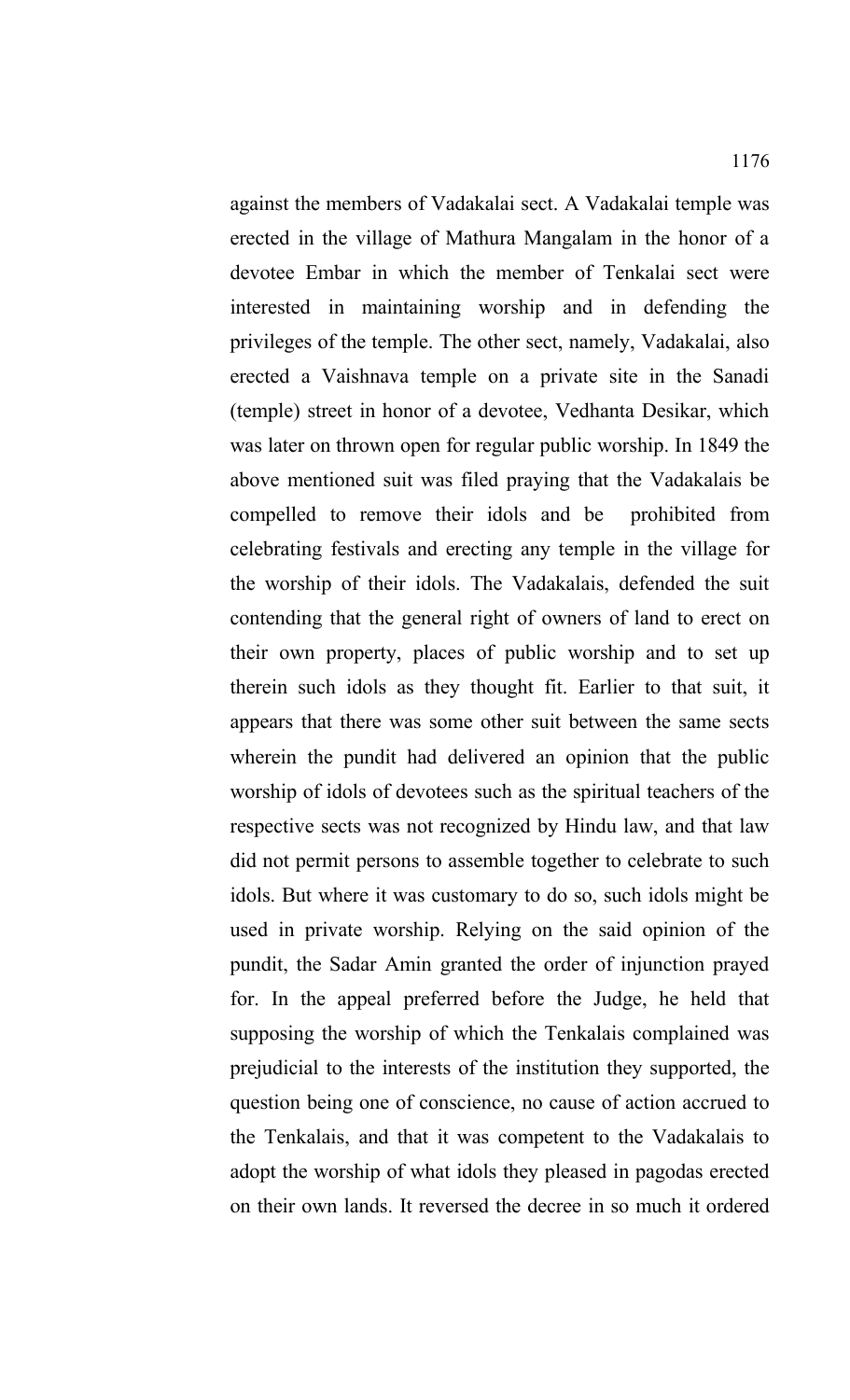against the members of Vadakalai sect. A Vadakalai temple was erected in the village of Mathura Mangalam in the honor of a devotee Embar in which the member of Tenkalai sect were interested in maintaining worship and in defending the privileges of the temple. The other sect, namely, Vadakalai, also erected a Vaishnava temple on a private site in the Sanadi (temple) street in honor of a devotee, Vedhanta Desikar, which was later on thrown open for regular public worship. In 1849 the above mentioned suit was filed praying that the Vadakalais be compelled to remove their idols and be prohibited from celebrating festivals and erecting any temple in the village for the worship of their idols. The Vadakalais, defended the suit contending that the general right of owners of land to erect on their own property, places of public worship and to set up therein such idols as they thought fit. Earlier to that suit, it appears that there was some other suit between the same sects wherein the pundit had delivered an opinion that the public worship of idols of devotees such as the spiritual teachers of the respective sects was not recognized by Hindu law, and that law did not permit persons to assemble together to celebrate to such idols. But where it was customary to do so, such idols might be used in private worship. Relying on the said opinion of the pundit, the Sadar Amin granted the order of injunction prayed for. In the appeal preferred before the Judge, he held that supposing the worship of which the Tenkalais complained was prejudicial to the interests of the institution they supported, the question being one of conscience, no cause of action accrued to the Tenkalais, and that it was competent to the Vadakalais to adopt the worship of what idols they pleased in pagodas erected on their own lands. It reversed the decree in so much it ordered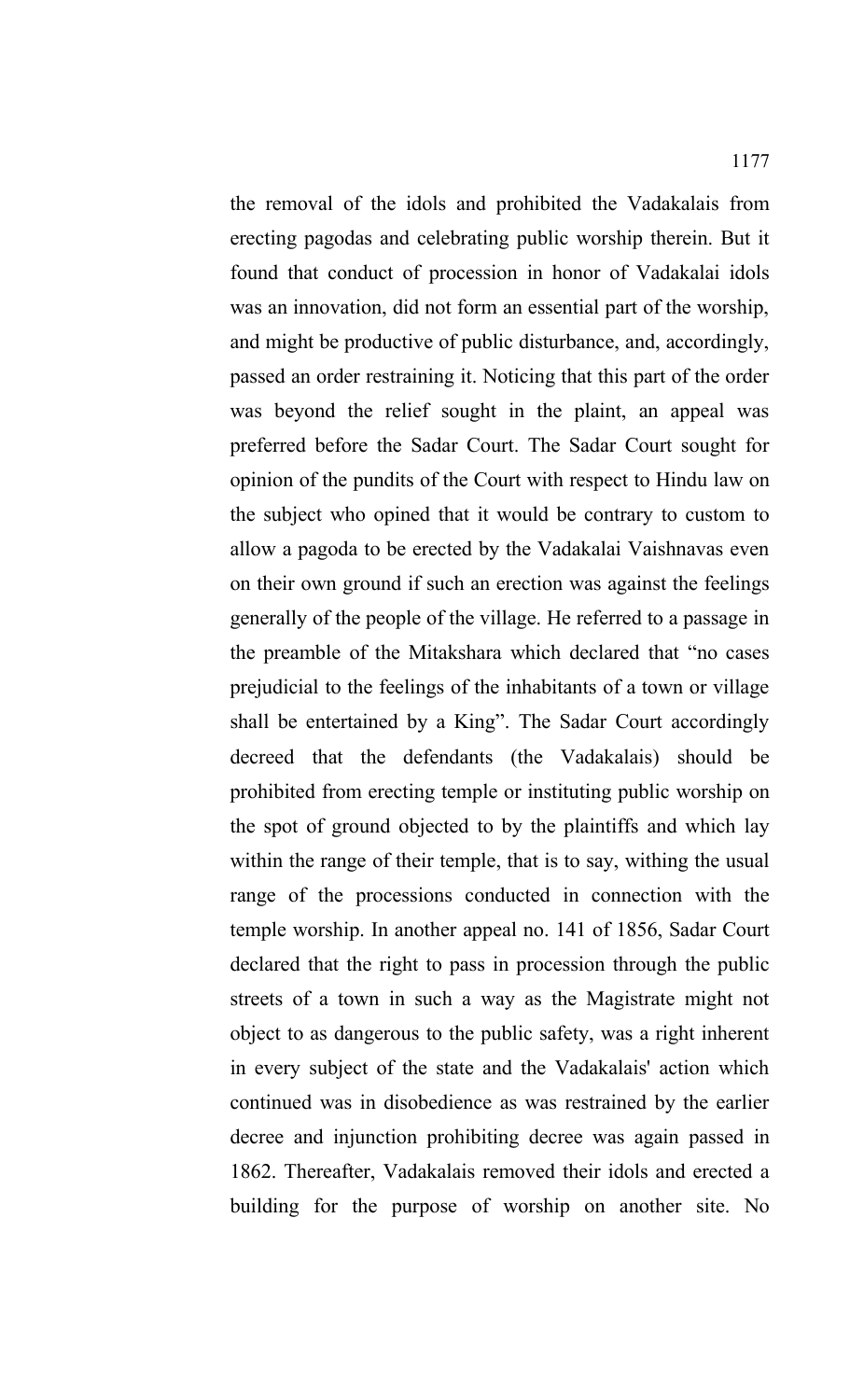the removal of the idols and prohibited the Vadakalais from erecting pagodas and celebrating public worship therein. But it found that conduct of procession in honor of Vadakalai idols was an innovation, did not form an essential part of the worship, and might be productive of public disturbance, and, accordingly, passed an order restraining it. Noticing that this part of the order was beyond the relief sought in the plaint, an appeal was preferred before the Sadar Court. The Sadar Court sought for opinion of the pundits of the Court with respect to Hindu law on the subject who opined that it would be contrary to custom to allow a pagoda to be erected by the Vadakalai Vaishnavas even on their own ground if such an erection was against the feelings generally of the people of the village. He referred to a passage in the preamble of the Mitakshara which declared that "no cases prejudicial to the feelings of the inhabitants of a town or village shall be entertained by a King". The Sadar Court accordingly decreed that the defendants (the Vadakalais) should be prohibited from erecting temple or instituting public worship on the spot of ground objected to by the plaintiffs and which lay within the range of their temple, that is to say, withing the usual range of the processions conducted in connection with the temple worship. In another appeal no. 141 of 1856, Sadar Court declared that the right to pass in procession through the public streets of a town in such a way as the Magistrate might not object to as dangerous to the public safety, was a right inherent in every subject of the state and the Vadakalais' action which continued was in disobedience as was restrained by the earlier decree and injunction prohibiting decree was again passed in 1862. Thereafter, Vadakalais removed their idols and erected a building for the purpose of worship on another site. No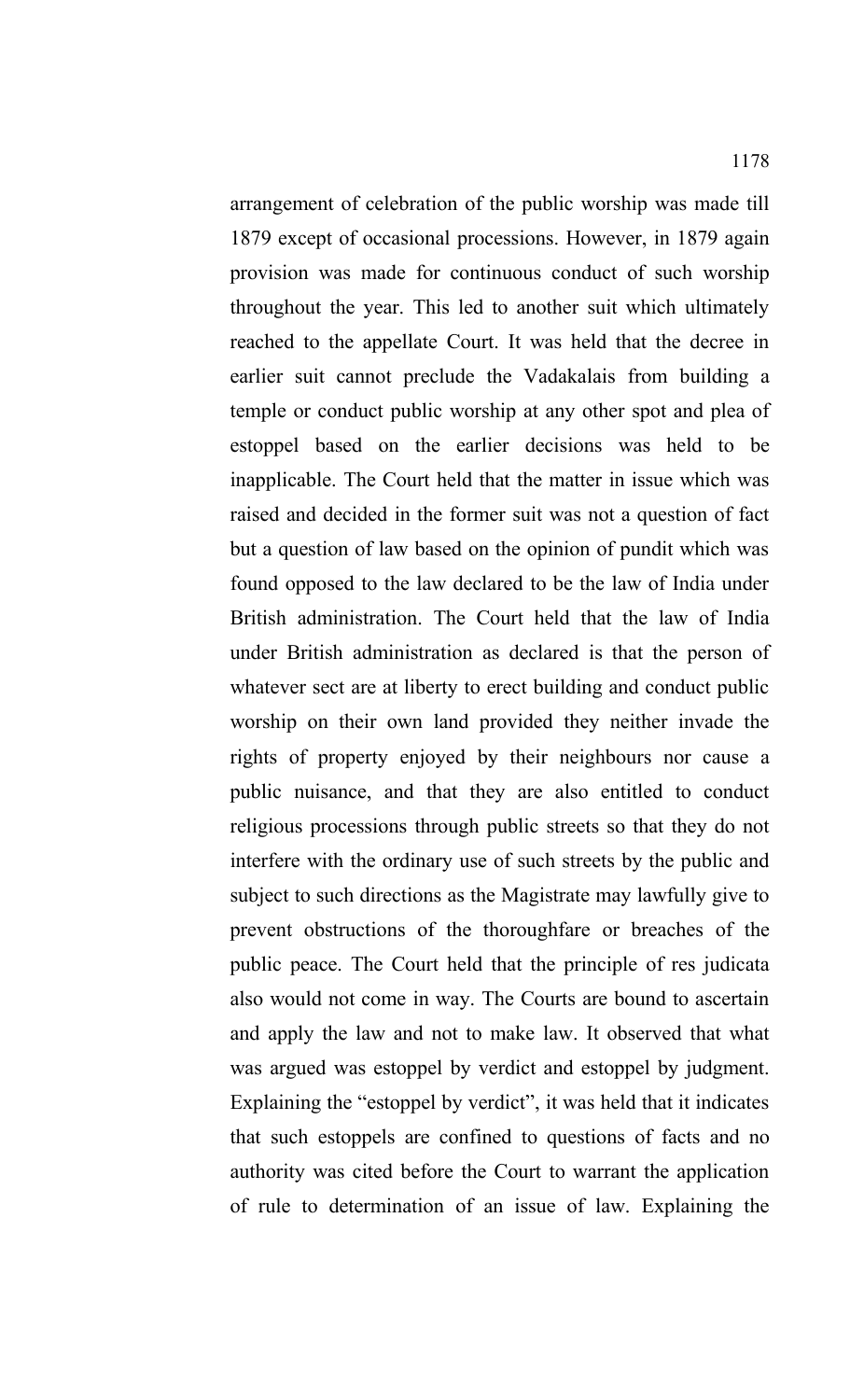arrangement of celebration of the public worship was made till 1879 except of occasional processions. However, in 1879 again provision was made for continuous conduct of such worship throughout the year. This led to another suit which ultimately reached to the appellate Court. It was held that the decree in earlier suit cannot preclude the Vadakalais from building a temple or conduct public worship at any other spot and plea of estoppel based on the earlier decisions was held to be inapplicable. The Court held that the matter in issue which was raised and decided in the former suit was not a question of fact but a question of law based on the opinion of pundit which was found opposed to the law declared to be the law of India under British administration. The Court held that the law of India under British administration as declared is that the person of whatever sect are at liberty to erect building and conduct public worship on their own land provided they neither invade the rights of property enjoyed by their neighbours nor cause a public nuisance, and that they are also entitled to conduct religious processions through public streets so that they do not interfere with the ordinary use of such streets by the public and subject to such directions as the Magistrate may lawfully give to prevent obstructions of the thoroughfare or breaches of the public peace. The Court held that the principle of res judicata also would not come in way. The Courts are bound to ascertain and apply the law and not to make law. It observed that what was argued was estoppel by verdict and estoppel by judgment. Explaining the "estoppel by verdict", it was held that it indicates that such estoppels are confined to questions of facts and no authority was cited before the Court to warrant the application of rule to determination of an issue of law. Explaining the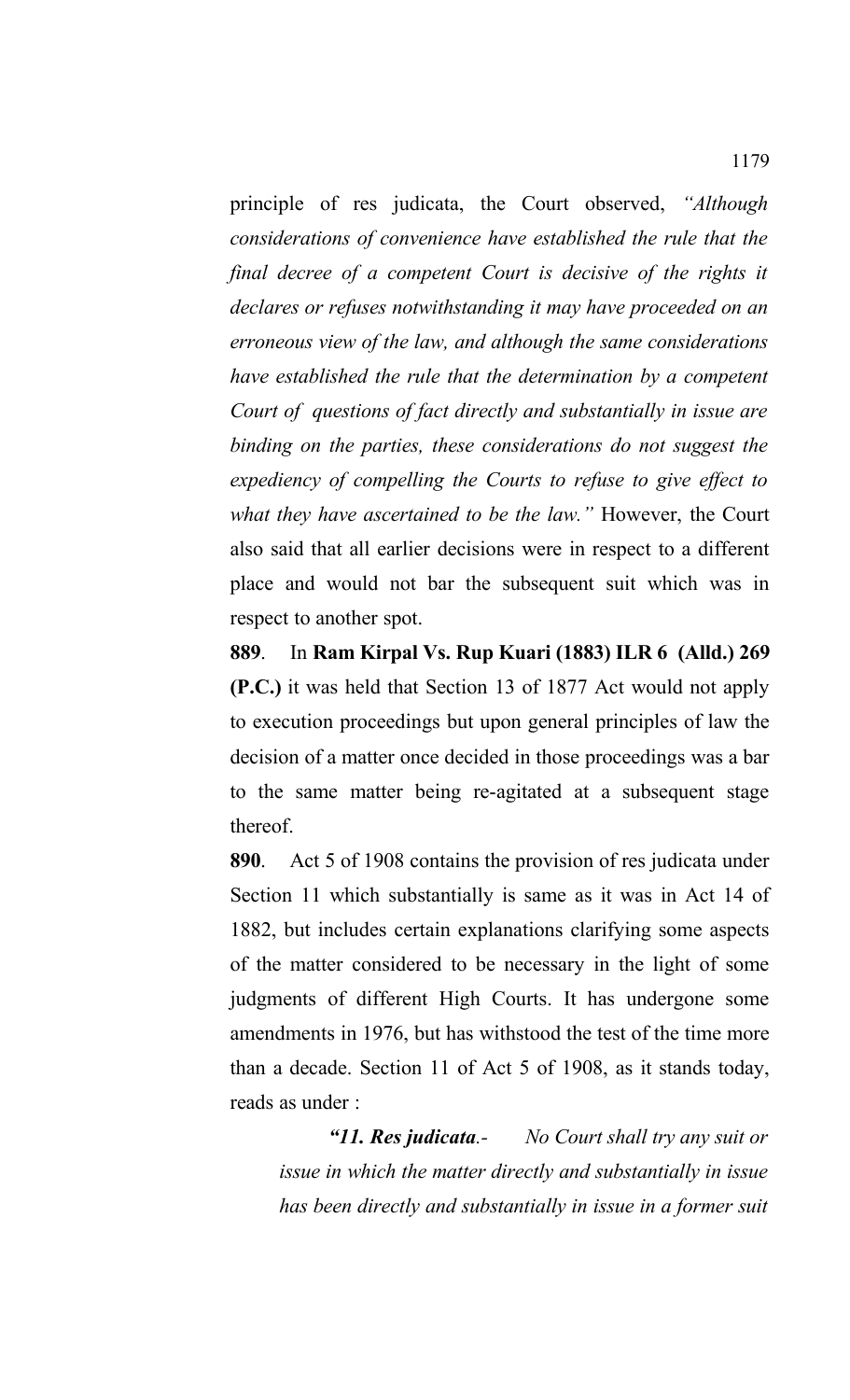principle of res judicata, the Court observed, *"Although considerations of convenience have established the rule that the final decree of a competent Court is decisive of the rights it declares or refuses notwithstanding it may have proceeded on an erroneous view of the law, and although the same considerations have established the rule that the determination by a competent Court of questions of fact directly and substantially in issue are binding on the parties, these considerations do not suggest the expediency of compelling the Courts to refuse to give effect to what they have ascertained to be the law."* However, the Court also said that all earlier decisions were in respect to a different place and would not bar the subsequent suit which was in respect to another spot.

**889**. In **Ram Kirpal Vs. Rup Kuari (1883) ILR 6 (Alld.) 269 (P.C.)** it was held that Section 13 of 1877 Act would not apply to execution proceedings but upon general principles of law the decision of a matter once decided in those proceedings was a bar to the same matter being re-agitated at a subsequent stage thereof.

**890**. Act 5 of 1908 contains the provision of res judicata under Section 11 which substantially is same as it was in Act 14 of 1882, but includes certain explanations clarifying some aspects of the matter considered to be necessary in the light of some judgments of different High Courts. It has undergone some amendments in 1976, but has withstood the test of the time more than a decade. Section 11 of Act 5 of 1908, as it stands today, reads as under :

*"11. Res judicata.- No Court shall try any suit or issue in which the matter directly and substantially in issue has been directly and substantially in issue in a former suit*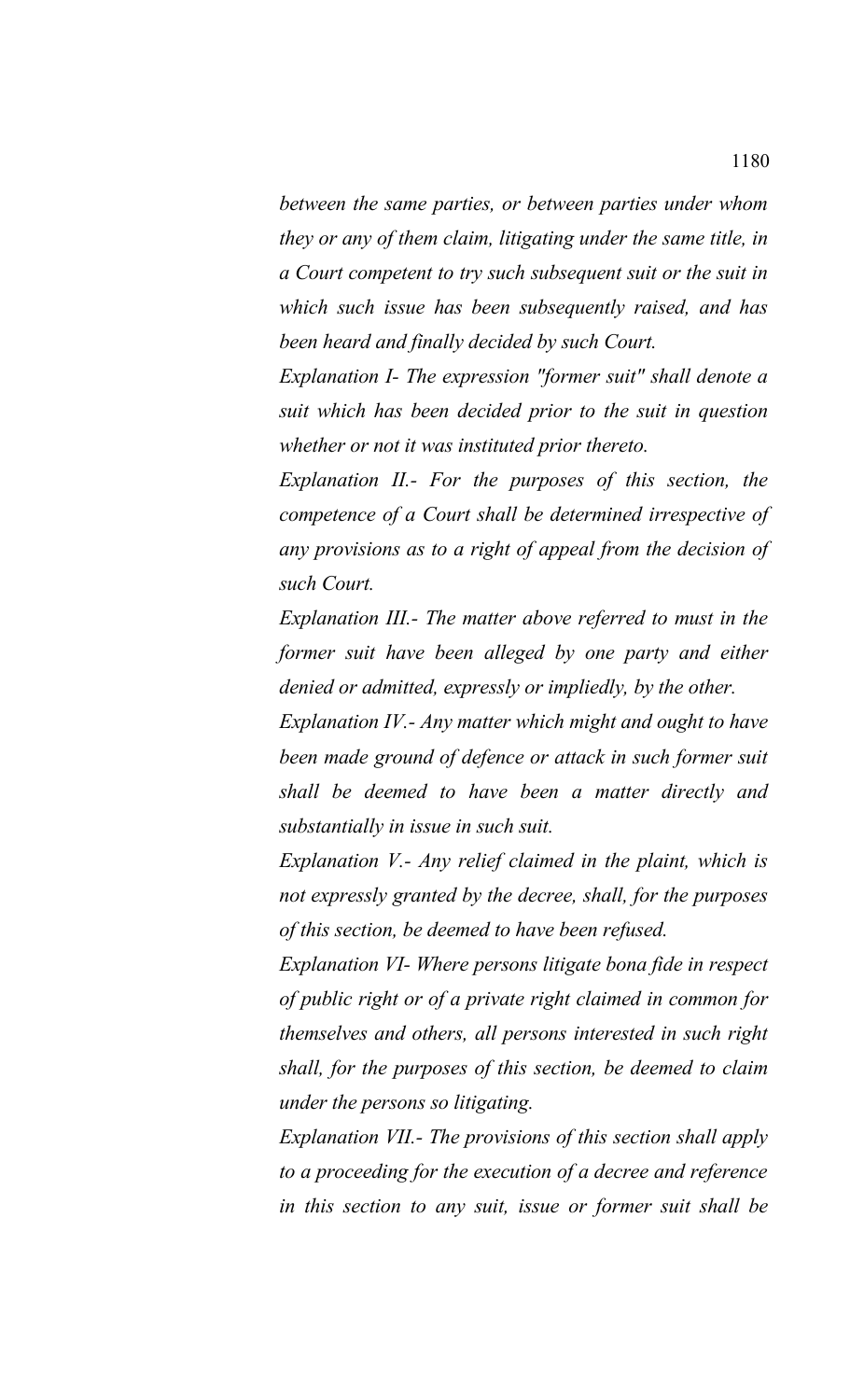*between the same parties, or between parties under whom they or any of them claim, litigating under the same title, in a Court competent to try such subsequent suit or the suit in which such issue has been subsequently raised, and has been heard and finally decided by such Court.*

*Explanation I- The expression "former suit" shall denote a suit which has been decided prior to the suit in question whether or not it was instituted prior thereto.*

*Explanation II.- For the purposes of this section, the competence of a Court shall be determined irrespective of any provisions as to a right of appeal from the decision of such Court.*

*Explanation III.- The matter above referred to must in the former suit have been alleged by one party and either denied or admitted, expressly or impliedly, by the other.*

*Explanation IV.- Any matter which might and ought to have been made ground of defence or attack in such former suit shall be deemed to have been a matter directly and substantially in issue in such suit.*

*Explanation V.- Any relief claimed in the plaint, which is not expressly granted by the decree, shall, for the purposes of this section, be deemed to have been refused.*

*Explanation VI- Where persons litigate bona fide in respect of public right or of a private right claimed in common for themselves and others, all persons interested in such right shall, for the purposes of this section, be deemed to claim under the persons so litigating.*

*Explanation VII.- The provisions of this section shall apply to a proceeding for the execution of a decree and reference in this section to any suit, issue or former suit shall be*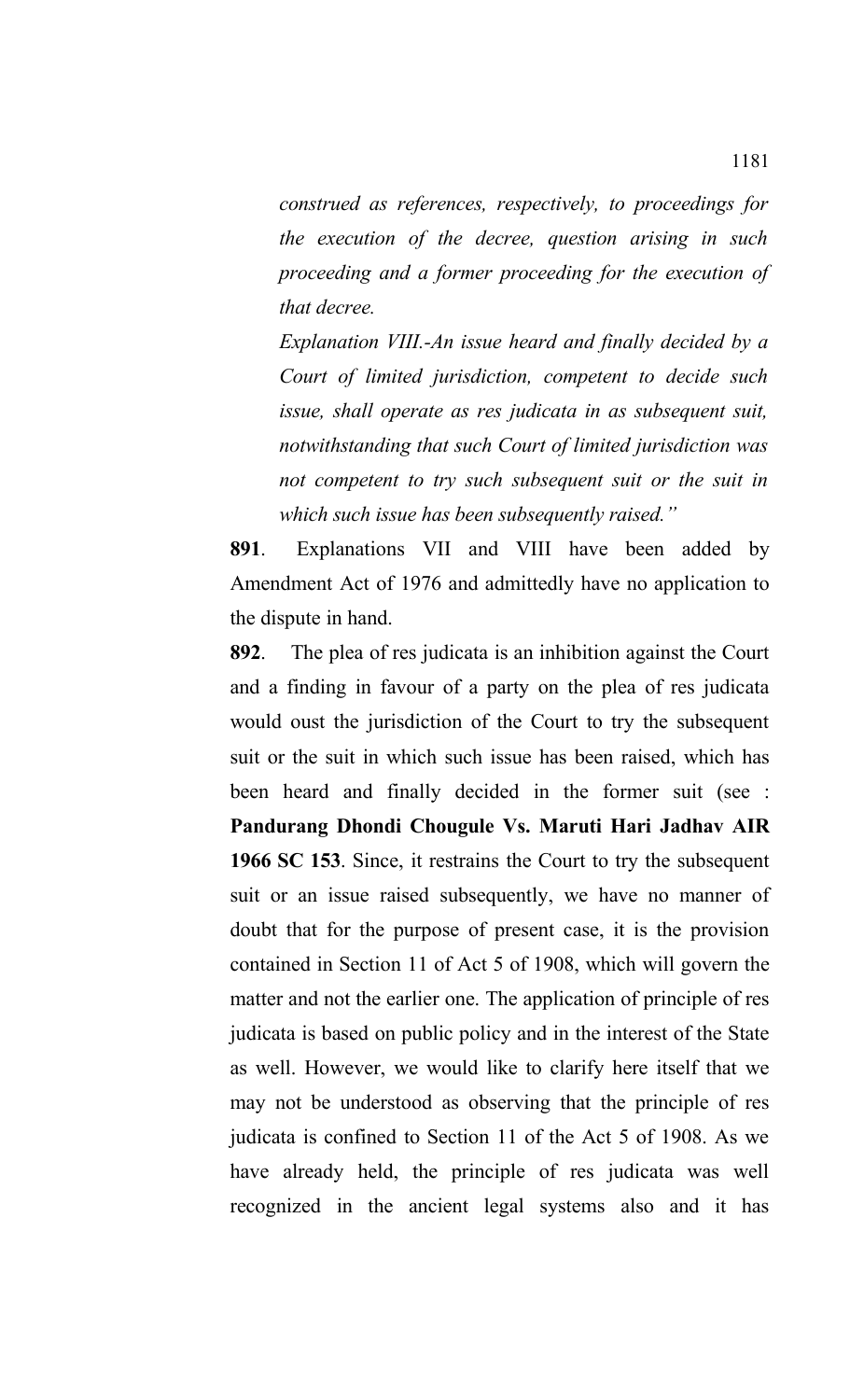*construed as references, respectively, to proceedings for the execution of the decree, question arising in such proceeding and a former proceeding for the execution of that decree.*

*Explanation VIII.-An issue heard and finally decided by a Court of limited jurisdiction, competent to decide such issue, shall operate as res judicata in as subsequent suit, notwithstanding that such Court of limited jurisdiction was not competent to try such subsequent suit or the suit in which such issue has been subsequently raised."*

**891**. Explanations VII and VIII have been added by Amendment Act of 1976 and admittedly have no application to the dispute in hand.

**892**. The plea of res judicata is an inhibition against the Court and a finding in favour of a party on the plea of res judicata would oust the jurisdiction of the Court to try the subsequent suit or the suit in which such issue has been raised, which has been heard and finally decided in the former suit (see : **Pandurang Dhondi Chougule Vs. Maruti Hari Jadhav AIR 1966 SC 153**. Since, it restrains the Court to try the subsequent suit or an issue raised subsequently, we have no manner of doubt that for the purpose of present case, it is the provision contained in Section 11 of Act 5 of 1908, which will govern the matter and not the earlier one. The application of principle of res judicata is based on public policy and in the interest of the State as well. However, we would like to clarify here itself that we may not be understood as observing that the principle of res judicata is confined to Section 11 of the Act 5 of 1908. As we have already held, the principle of res judicata was well recognized in the ancient legal systems also and it has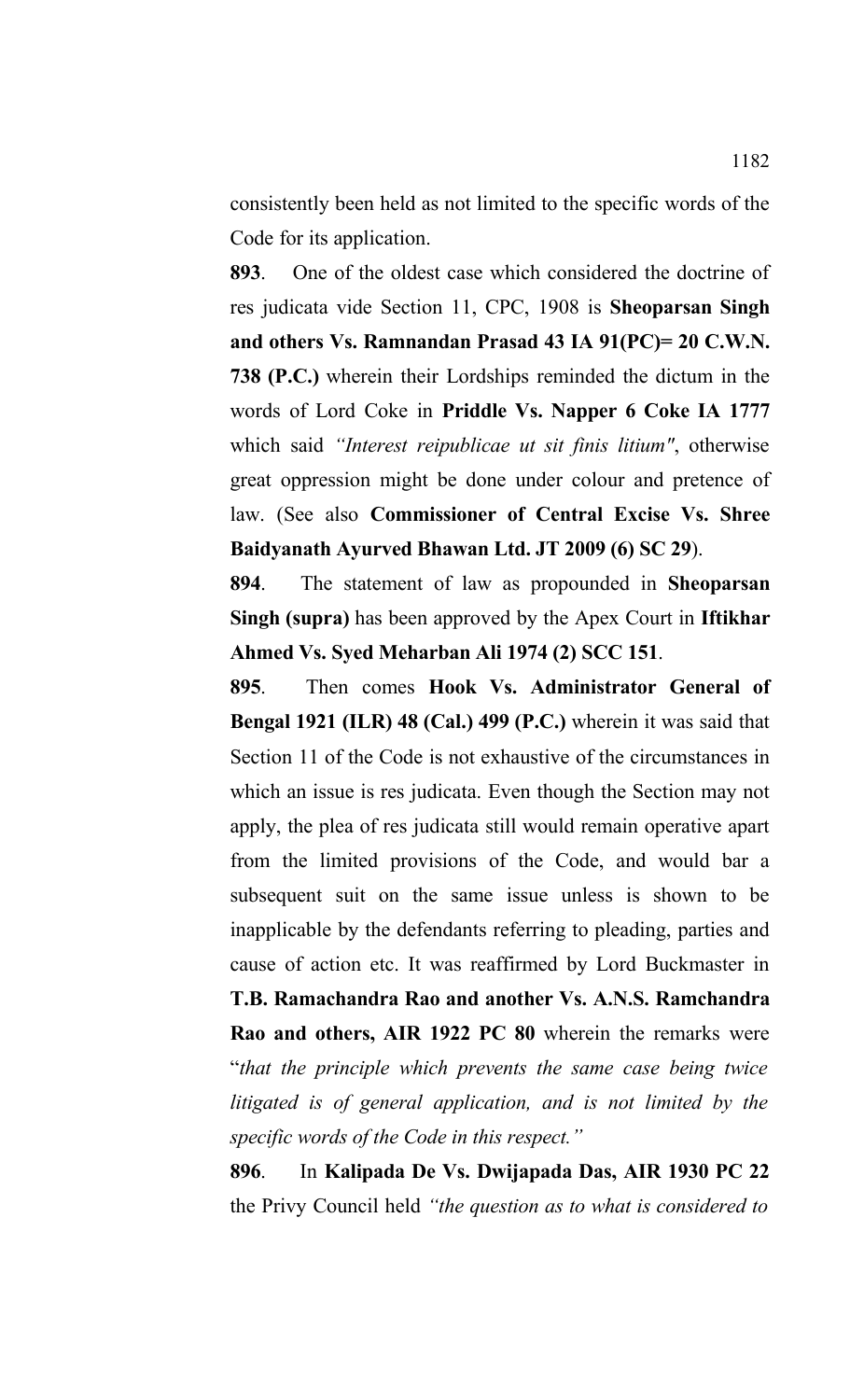consistently been held as not limited to the specific words of the Code for its application.

**893**. One of the oldest case which considered the doctrine of res judicata vide Section 11, CPC, 1908 is **Sheoparsan Singh and others Vs. Ramnandan Prasad 43 IA 91(PC)= 20 C.W.N. 738 (P.C.)** wherein their Lordships reminded the dictum in the words of Lord Coke in **Priddle Vs. Napper 6 Coke IA 1777** which said *"Interest reipublicae ut sit finis litium"*, otherwise great oppression might be done under colour and pretence of law. (See also **Commissioner of Central Excise Vs. Shree Baidyanath Ayurved Bhawan Ltd. JT 2009 (6) SC 29**).

**894**. The statement of law as propounded in **Sheoparsan Singh (supra)** has been approved by the Apex Court in **Iftikhar Ahmed Vs. Syed Meharban Ali 1974 (2) SCC 151**.

**895**. Then comes **Hook Vs. Administrator General of Bengal 1921 (ILR) 48 (Cal.) 499 (P.C.)** wherein it was said that Section 11 of the Code is not exhaustive of the circumstances in which an issue is res judicata. Even though the Section may not apply, the plea of res judicata still would remain operative apart from the limited provisions of the Code, and would bar a subsequent suit on the same issue unless is shown to be inapplicable by the defendants referring to pleading, parties and cause of action etc. It was reaffirmed by Lord Buckmaster in **T.B. Ramachandra Rao and another Vs. A.N.S. Ramchandra**

**Rao and others, AIR 1922 PC 80** wherein the remarks were "*that the principle which prevents the same case being twice litigated is of general application, and is not limited by the specific words of the Code in this respect."*

**896**. In **Kalipada De Vs. Dwijapada Das, AIR 1930 PC 22** the Privy Council held *"the question as to what is considered to*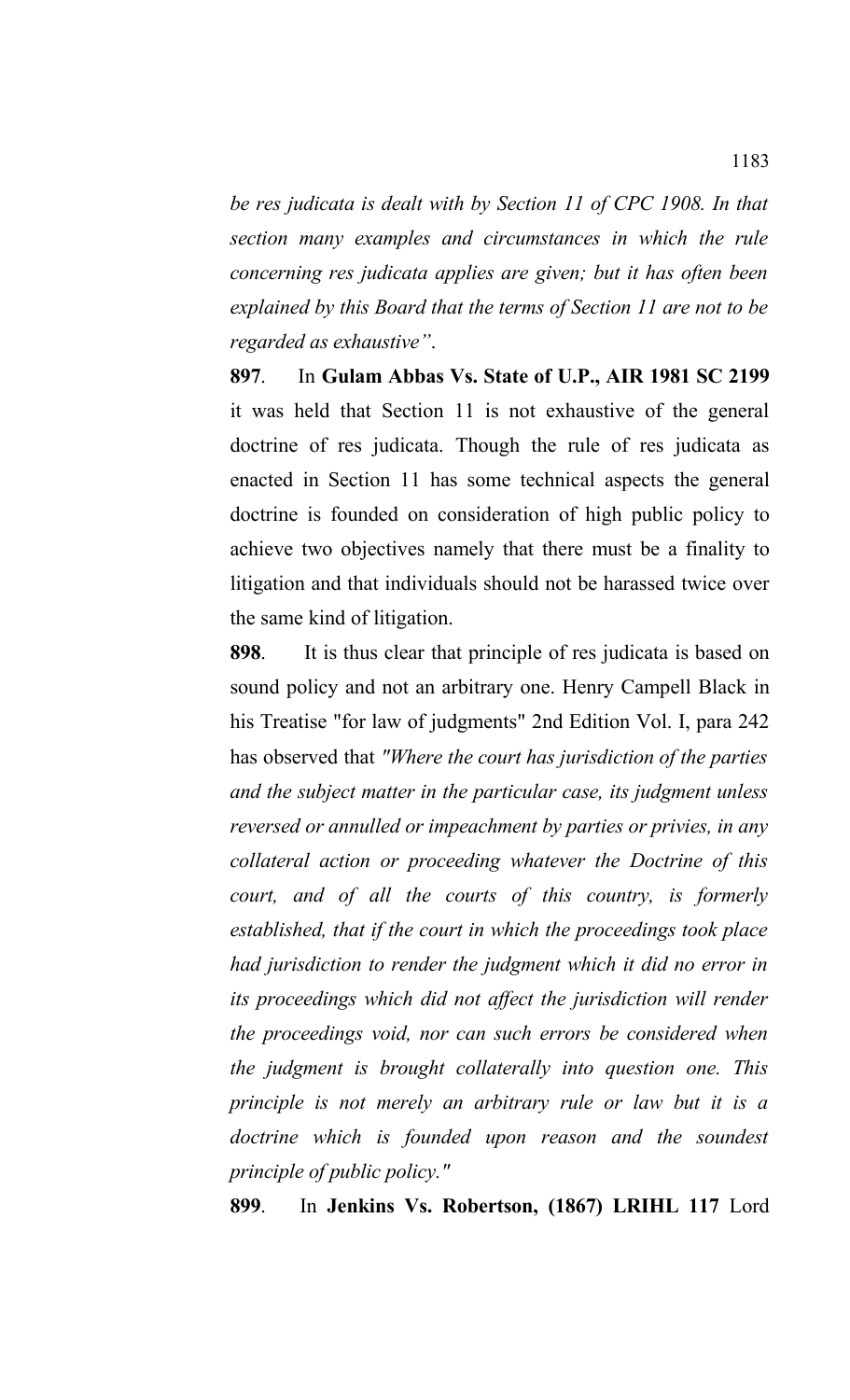*be res judicata is dealt with by Section 11 of CPC 1908. In that section many examples and circumstances in which the rule concerning res judicata applies are given; but it has often been explained by this Board that the terms of Section 11 are not to be regarded as exhaustive"*.

**897**. In **Gulam Abbas Vs. State of U.P., AIR 1981 SC 2199** it was held that Section 11 is not exhaustive of the general doctrine of res judicata. Though the rule of res judicata as enacted in Section 11 has some technical aspects the general doctrine is founded on consideration of high public policy to achieve two objectives namely that there must be a finality to litigation and that individuals should not be harassed twice over the same kind of litigation.

**898**. It is thus clear that principle of res judicata is based on sound policy and not an arbitrary one. Henry Campell Black in his Treatise "for law of judgments" 2nd Edition Vol. I, para 242 has observed that *"Where the court has jurisdiction of the parties and the subject matter in the particular case, its judgment unless reversed or annulled or impeachment by parties or privies, in any collateral action or proceeding whatever the Doctrine of this court, and of all the courts of this country, is formerly established, that if the court in which the proceedings took place had jurisdiction to render the judgment which it did no error in its proceedings which did not affect the jurisdiction will render the proceedings void, nor can such errors be considered when the judgment is brought collaterally into question one. This principle is not merely an arbitrary rule or law but it is a doctrine which is founded upon reason and the soundest principle of public policy."*

**899**. In **Jenkins Vs. Robertson, (1867) LRIHL 117** Lord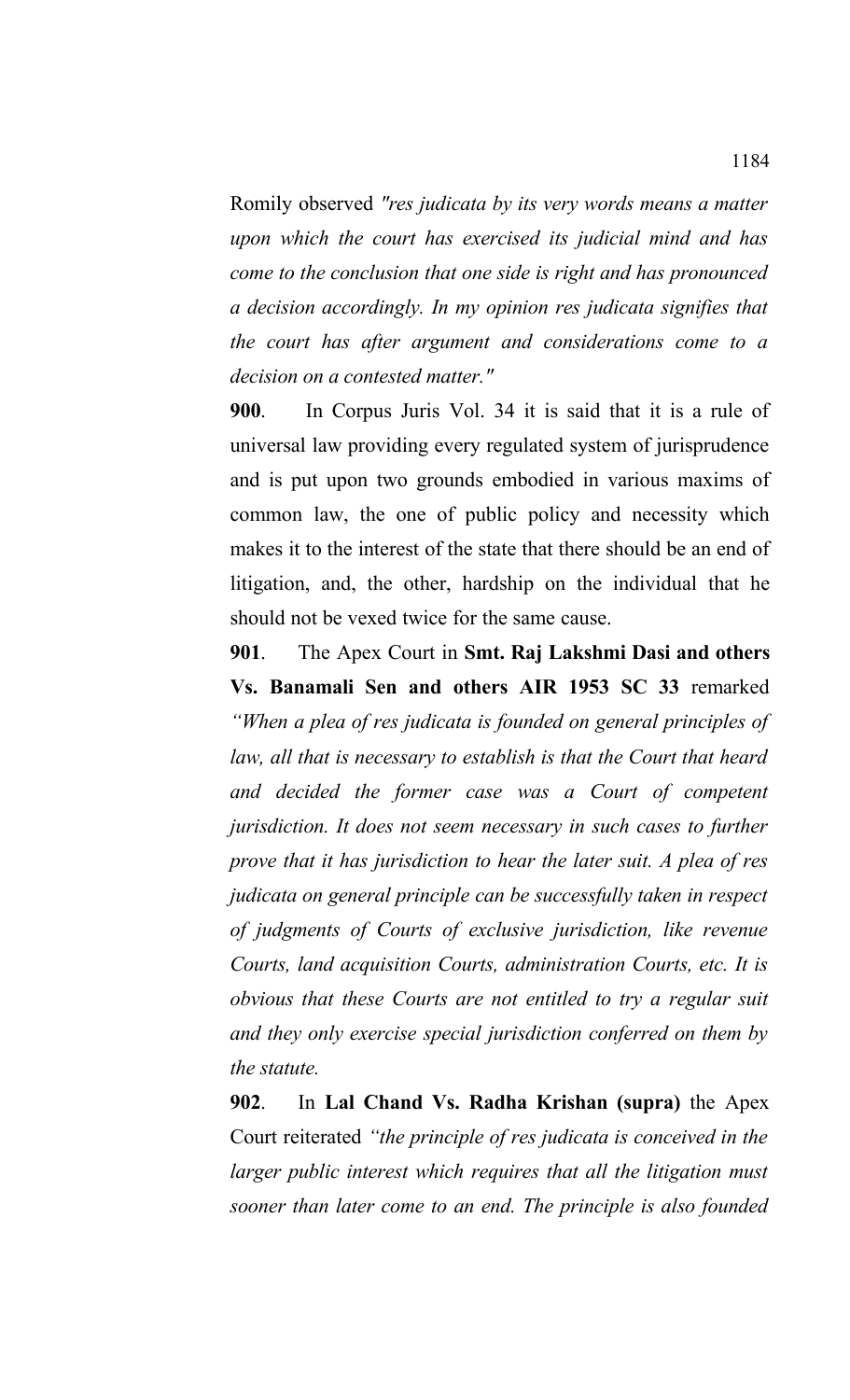Romily observed *"res judicata by its very words means a matter upon which the court has exercised its judicial mind and has come to the conclusion that one side is right and has pronounced a decision accordingly. In my opinion res judicata signifies that the court has after argument and considerations come to a decision on a contested matter."*

**900**. In Corpus Juris Vol. 34 it is said that it is a rule of universal law providing every regulated system of jurisprudence and is put upon two grounds embodied in various maxims of common law, the one of public policy and necessity which makes it to the interest of the state that there should be an end of litigation, and, the other, hardship on the individual that he should not be vexed twice for the same cause.

**901**. The Apex Court in **Smt. Raj Lakshmi Dasi and others Vs. Banamali Sen and others AIR 1953 SC 33** remarked *"When a plea of res judicata is founded on general principles of law, all that is necessary to establish is that the Court that heard and decided the former case was a Court of competent jurisdiction. It does not seem necessary in such cases to further prove that it has jurisdiction to hear the later suit. A plea of res judicata on general principle can be successfully taken in respect of judgments of Courts of exclusive jurisdiction, like revenue Courts, land acquisition Courts, administration Courts, etc. It is obvious that these Courts are not entitled to try a regular suit and they only exercise special jurisdiction conferred on them by the statute.* 

**902**. In **Lal Chand Vs. Radha Krishan (supra)** the Apex Court reiterated *"the principle of res judicata is conceived in the larger public interest which requires that all the litigation must sooner than later come to an end. The principle is also founded*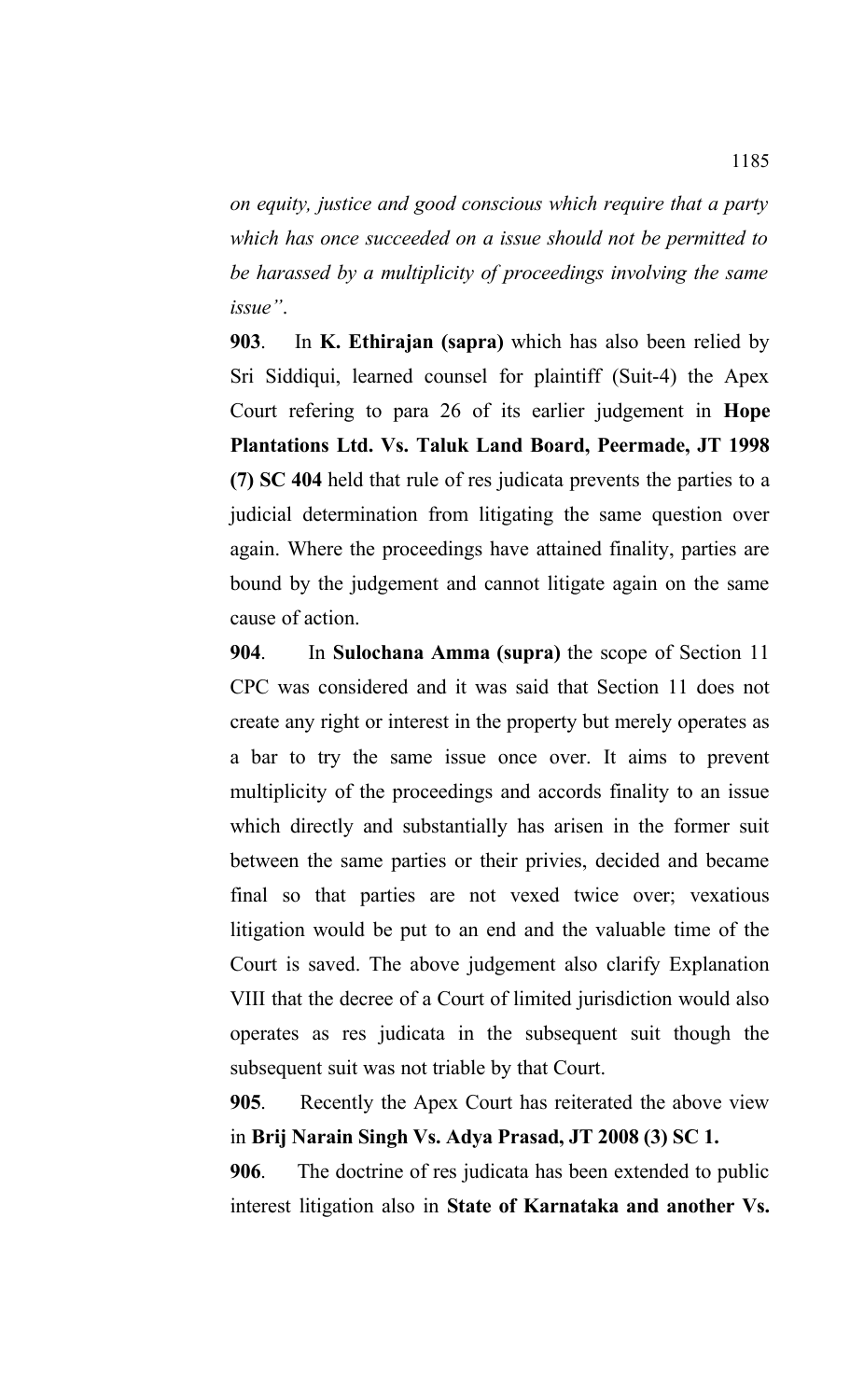*on equity, justice and good conscious which require that a party which has once succeeded on a issue should not be permitted to be harassed by a multiplicity of proceedings involving the same issue"*.

**903**.In **K. Ethirajan (sapra)** which has also been relied by Sri Siddiqui, learned counsel for plaintiff (Suit-4) the Apex Court refering to para 26 of its earlier judgement in **Hope Plantations Ltd. Vs. Taluk Land Board, Peermade, JT 1998 (7) SC 404** held that rule of res judicata prevents the parties to a judicial determination from litigating the same question over again. Where the proceedings have attained finality, parties are bound by the judgement and cannot litigate again on the same cause of action.

**904**. In **Sulochana Amma (supra)** the scope of Section 11 CPC was considered and it was said that Section 11 does not create any right or interest in the property but merely operates as a bar to try the same issue once over. It aims to prevent multiplicity of the proceedings and accords finality to an issue which directly and substantially has arisen in the former suit between the same parties or their privies, decided and became final so that parties are not vexed twice over; vexatious litigation would be put to an end and the valuable time of the Court is saved. The above judgement also clarify Explanation VIII that the decree of a Court of limited jurisdiction would also operates as res judicata in the subsequent suit though the subsequent suit was not triable by that Court.

**905**. Recently the Apex Court has reiterated the above view in **Brij Narain Singh Vs. Adya Prasad, JT 2008 (3) SC 1.**

**906**. The doctrine of res judicata has been extended to public interest litigation also in **State of Karnataka and another Vs.**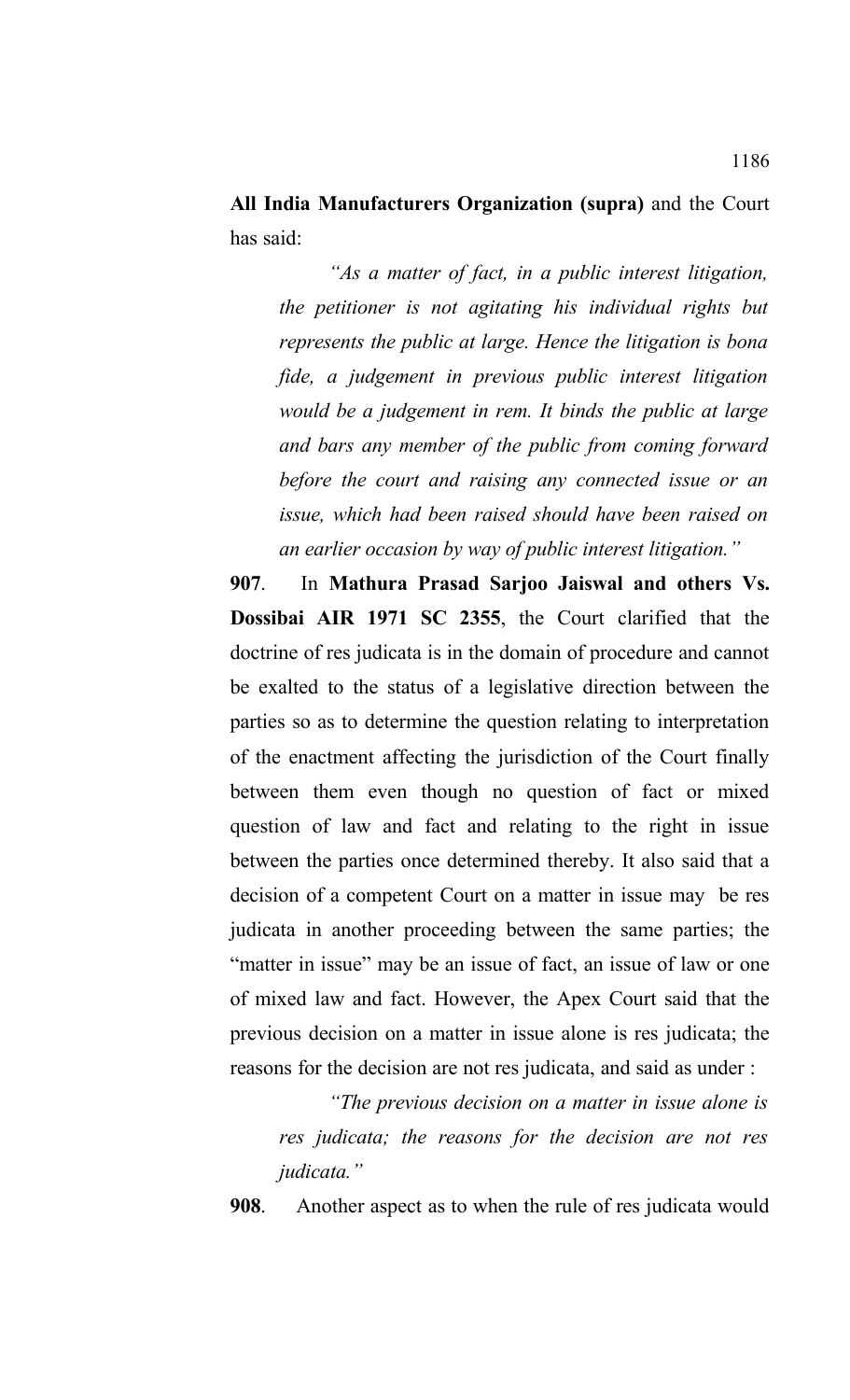**All India Manufacturers Organization (supra)** and the Court has said:

*"As a matter of fact, in a public interest litigation, the petitioner is not agitating his individual rights but represents the public at large. Hence the litigation is bona fide, a judgement in previous public interest litigation would be a judgement in rem. It binds the public at large and bars any member of the public from coming forward before the court and raising any connected issue or an issue, which had been raised should have been raised on an earlier occasion by way of public interest litigation."*

**907**. In **Mathura Prasad Sarjoo Jaiswal and others Vs. Dossibai AIR 1971 SC 2355**, the Court clarified that the doctrine of res judicata is in the domain of procedure and cannot be exalted to the status of a legislative direction between the parties so as to determine the question relating to interpretation of the enactment affecting the jurisdiction of the Court finally between them even though no question of fact or mixed question of law and fact and relating to the right in issue between the parties once determined thereby. It also said that a decision of a competent Court on a matter in issue may be res judicata in another proceeding between the same parties; the "matter in issue" may be an issue of fact, an issue of law or one of mixed law and fact. However, the Apex Court said that the previous decision on a matter in issue alone is res judicata; the reasons for the decision are not res judicata, and said as under :

*"The previous decision on a matter in issue alone is res judicata; the reasons for the decision are not res judicata."* 

**908**. Another aspect as to when the rule of res judicata would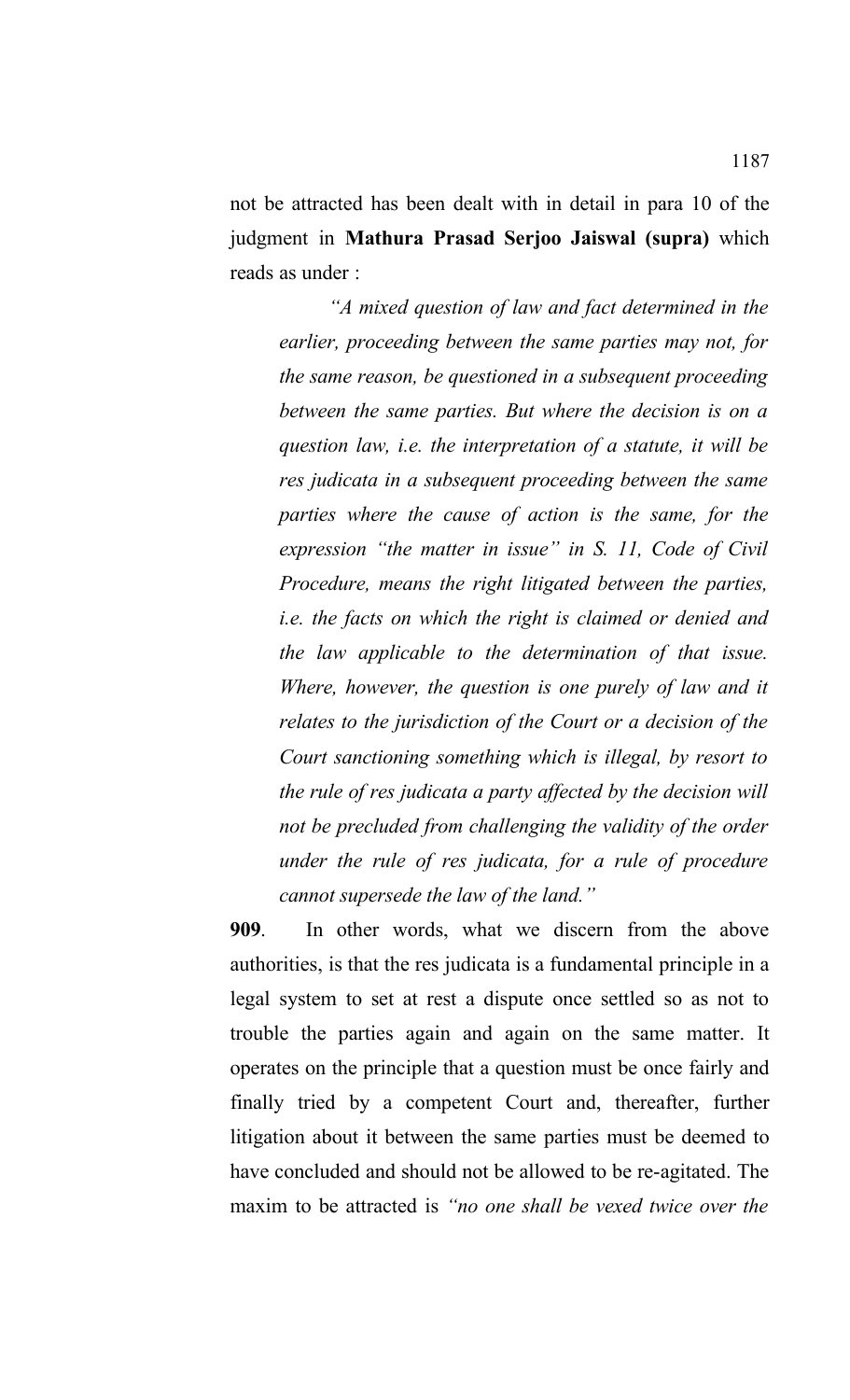not be attracted has been dealt with in detail in para 10 of the judgment in **Mathura Prasad Serjoo Jaiswal (supra)** which reads as under :

*"A mixed question of law and fact determined in the earlier, proceeding between the same parties may not, for the same reason, be questioned in a subsequent proceeding between the same parties. But where the decision is on a question law, i.e. the interpretation of a statute, it will be res judicata in a subsequent proceeding between the same parties where the cause of action is the same, for the expression "the matter in issue" in S. 11, Code of Civil Procedure, means the right litigated between the parties, i.e. the facts on which the right is claimed or denied and the law applicable to the determination of that issue. Where, however, the question is one purely of law and it relates to the jurisdiction of the Court or a decision of the Court sanctioning something which is illegal, by resort to the rule of res judicata a party affected by the decision will not be precluded from challenging the validity of the order under the rule of res judicata, for a rule of procedure cannot supersede the law of the land."*

**909**. In other words, what we discern from the above authorities, is that the res judicata is a fundamental principle in a legal system to set at rest a dispute once settled so as not to trouble the parties again and again on the same matter. It operates on the principle that a question must be once fairly and finally tried by a competent Court and, thereafter, further litigation about it between the same parties must be deemed to have concluded and should not be allowed to be re-agitated. The maxim to be attracted is *"no one shall be vexed twice over the*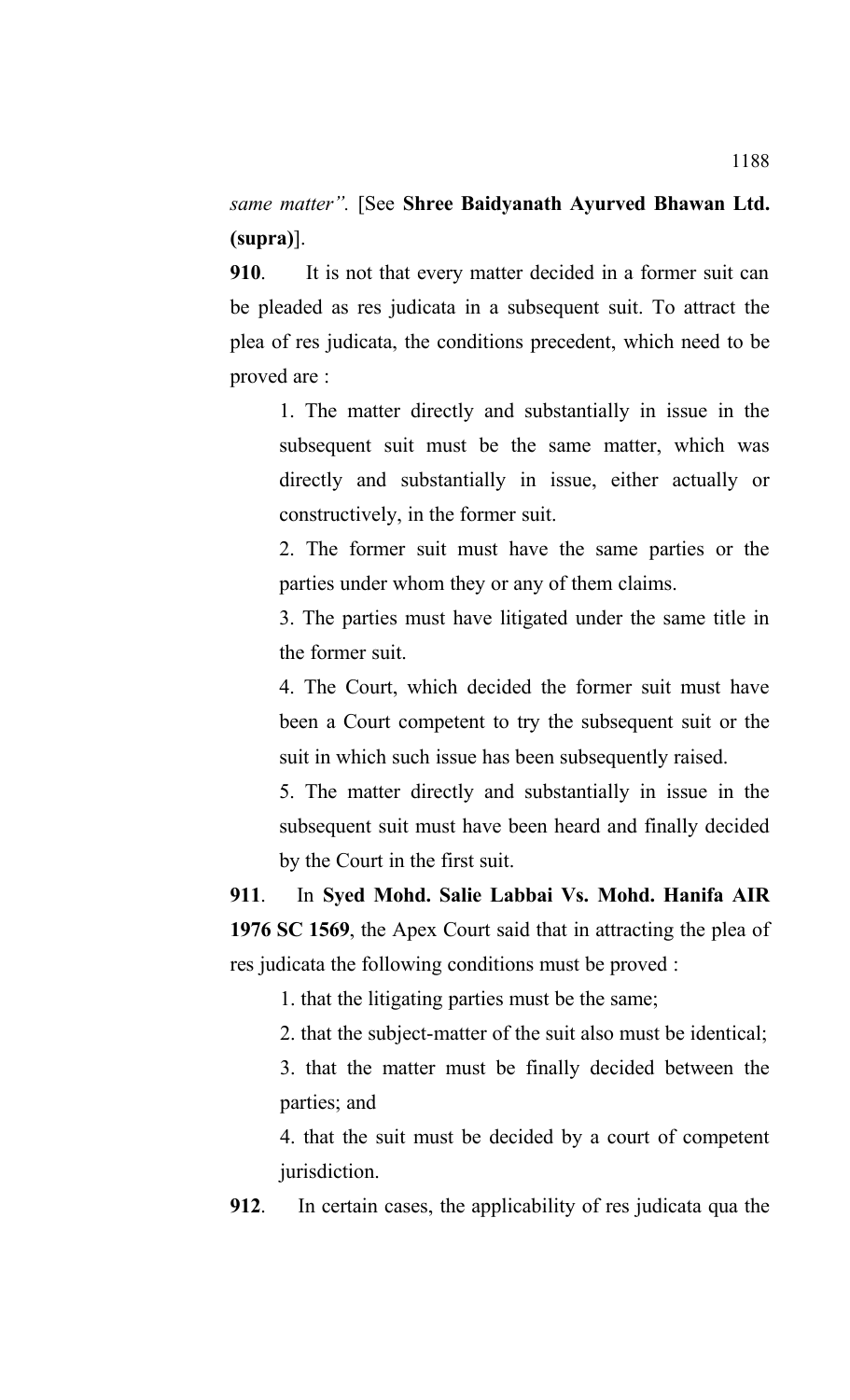*same matter".* [See **Shree Baidyanath Ayurved Bhawan Ltd. (supra)**].

**910**. It is not that every matter decided in a former suit can be pleaded as res judicata in a subsequent suit. To attract the plea of res judicata, the conditions precedent, which need to be proved are :

1. The matter directly and substantially in issue in the subsequent suit must be the same matter, which was directly and substantially in issue, either actually or constructively, in the former suit.

2. The former suit must have the same parties or the parties under whom they or any of them claims.

3. The parties must have litigated under the same title in the former suit.

4. The Court, which decided the former suit must have been a Court competent to try the subsequent suit or the suit in which such issue has been subsequently raised.

5. The matter directly and substantially in issue in the subsequent suit must have been heard and finally decided by the Court in the first suit.

**911**. In **Syed Mohd. Salie Labbai Vs. Mohd. Hanifa AIR 1976 SC 1569**, the Apex Court said that in attracting the plea of res judicata the following conditions must be proved :

1. that the litigating parties must be the same;

2. that the subject-matter of the suit also must be identical;

3. that the matter must be finally decided between the parties; and

4. that the suit must be decided by a court of competent jurisdiction.

**912**. In certain cases, the applicability of res judicata qua the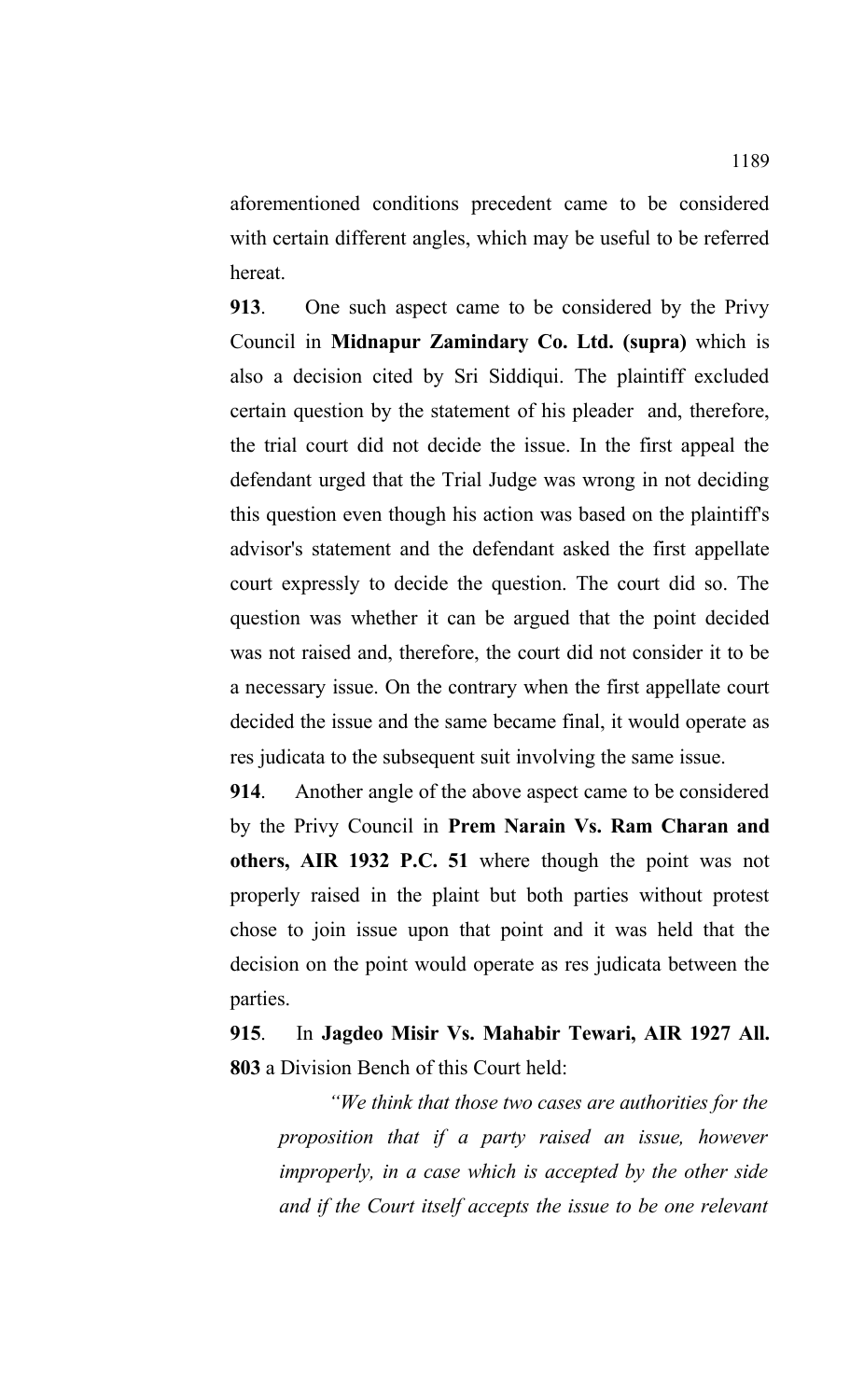aforementioned conditions precedent came to be considered with certain different angles, which may be useful to be referred hereat.

**913**. One such aspect came to be considered by the Privy Council in **Midnapur Zamindary Co. Ltd. (supra)** which is also a decision cited by Sri Siddiqui. The plaintiff excluded certain question by the statement of his pleader and, therefore, the trial court did not decide the issue. In the first appeal the defendant urged that the Trial Judge was wrong in not deciding this question even though his action was based on the plaintiff's advisor's statement and the defendant asked the first appellate court expressly to decide the question. The court did so. The question was whether it can be argued that the point decided was not raised and, therefore, the court did not consider it to be a necessary issue. On the contrary when the first appellate court decided the issue and the same became final, it would operate as res judicata to the subsequent suit involving the same issue.

**914**. Another angle of the above aspect came to be considered by the Privy Council in **Prem Narain Vs. Ram Charan and others, AIR 1932 P.C. 51** where though the point was not properly raised in the plaint but both parties without protest chose to join issue upon that point and it was held that the decision on the point would operate as res judicata between the parties.

**915**. In **Jagdeo Misir Vs. Mahabir Tewari, AIR 1927 All. 803** a Division Bench of this Court held:

*"We think that those two cases are authorities for the proposition that if a party raised an issue, however improperly, in a case which is accepted by the other side and if the Court itself accepts the issue to be one relevant*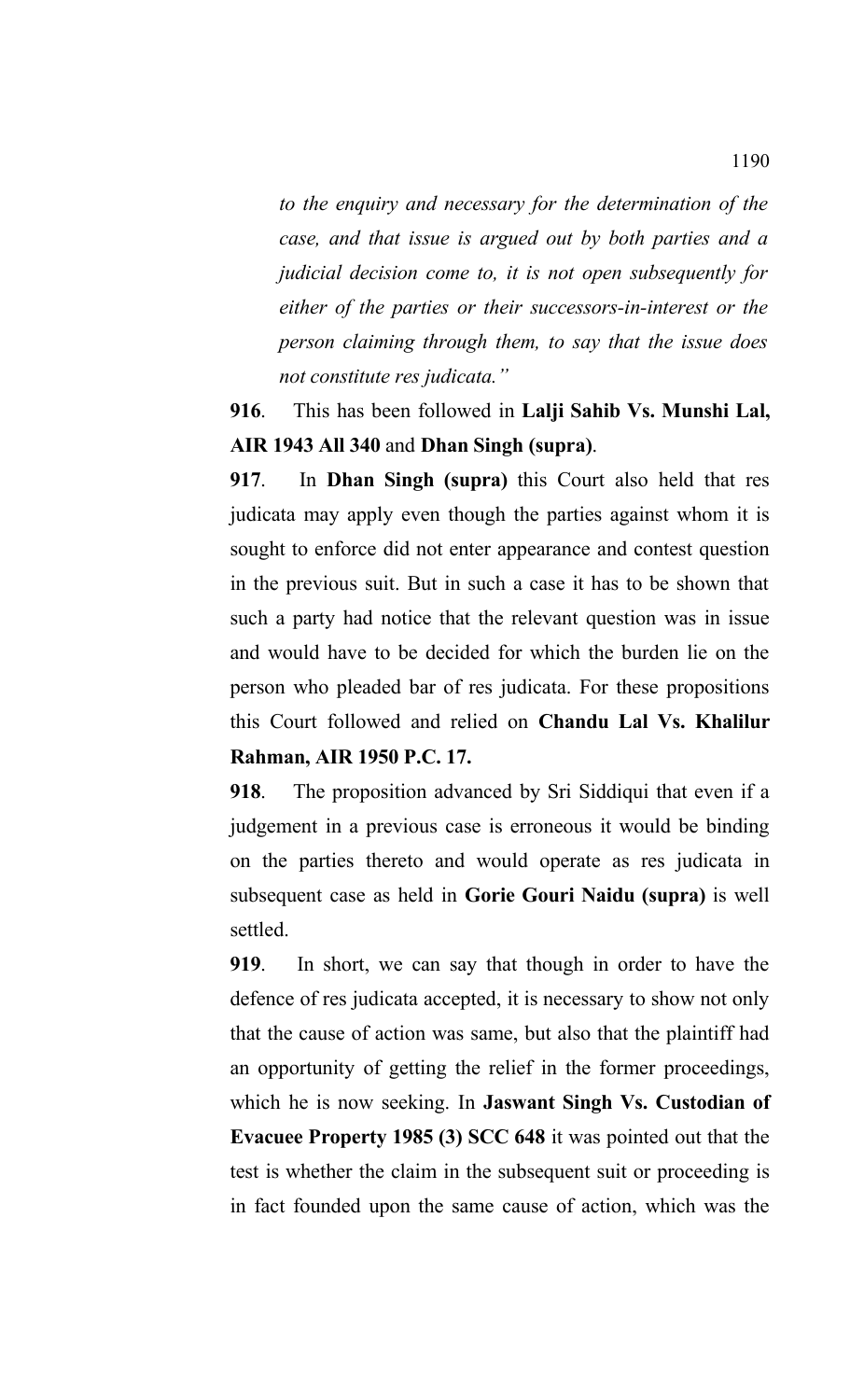*to the enquiry and necessary for the determination of the case, and that issue is argued out by both parties and a judicial decision come to, it is not open subsequently for either of the parties or their successors-in-interest or the person claiming through them, to say that the issue does not constitute res judicata."*

# **916**. This has been followed in **Lalji Sahib Vs. Munshi Lal, AIR 1943 All 340** and **Dhan Singh (supra)**.

**917**. In **Dhan Singh (supra)** this Court also held that res judicata may apply even though the parties against whom it is sought to enforce did not enter appearance and contest question in the previous suit. But in such a case it has to be shown that such a party had notice that the relevant question was in issue and would have to be decided for which the burden lie on the person who pleaded bar of res judicata. For these propositions this Court followed and relied on **Chandu Lal Vs. Khalilur Rahman, AIR 1950 P.C. 17.** 

**918**.The proposition advanced by Sri Siddiqui that even if a judgement in a previous case is erroneous it would be binding on the parties thereto and would operate as res judicata in subsequent case as held in **Gorie Gouri Naidu (supra)** is well settled.

**919**. In short, we can say that though in order to have the defence of res judicata accepted, it is necessary to show not only that the cause of action was same, but also that the plaintiff had an opportunity of getting the relief in the former proceedings, which he is now seeking. In **Jaswant Singh Vs. Custodian of Evacuee Property 1985 (3) SCC 648** it was pointed out that the test is whether the claim in the subsequent suit or proceeding is in fact founded upon the same cause of action, which was the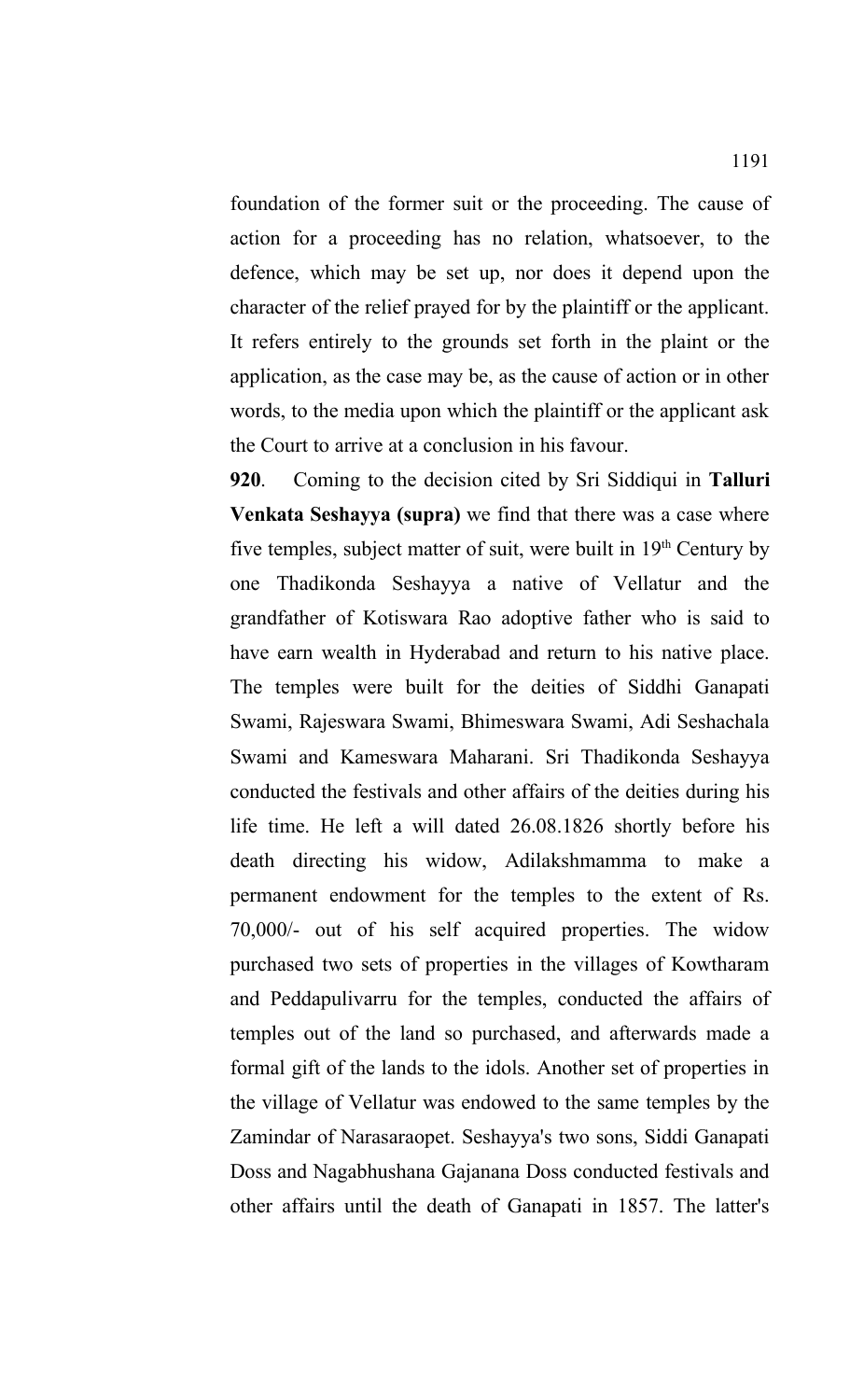foundation of the former suit or the proceeding. The cause of action for a proceeding has no relation, whatsoever, to the defence, which may be set up, nor does it depend upon the character of the relief prayed for by the plaintiff or the applicant. It refers entirely to the grounds set forth in the plaint or the application, as the case may be, as the cause of action or in other words, to the media upon which the plaintiff or the applicant ask the Court to arrive at a conclusion in his favour.

**920**. Coming to the decision cited by Sri Siddiqui in **Talluri Venkata Seshayya (supra)** we find that there was a case where five temples, subject matter of suit, were built in 19<sup>th</sup> Century by one Thadikonda Seshayya a native of Vellatur and the grandfather of Kotiswara Rao adoptive father who is said to have earn wealth in Hyderabad and return to his native place. The temples were built for the deities of Siddhi Ganapati Swami, Rajeswara Swami, Bhimeswara Swami, Adi Seshachala Swami and Kameswara Maharani. Sri Thadikonda Seshayya conducted the festivals and other affairs of the deities during his life time. He left a will dated 26.08.1826 shortly before his death directing his widow, Adilakshmamma to make a permanent endowment for the temples to the extent of Rs. 70,000/- out of his self acquired properties. The widow purchased two sets of properties in the villages of Kowtharam and Peddapulivarru for the temples, conducted the affairs of temples out of the land so purchased, and afterwards made a formal gift of the lands to the idols. Another set of properties in the village of Vellatur was endowed to the same temples by the Zamindar of Narasaraopet. Seshayya's two sons, Siddi Ganapati Doss and Nagabhushana Gajanana Doss conducted festivals and other affairs until the death of Ganapati in 1857. The latter's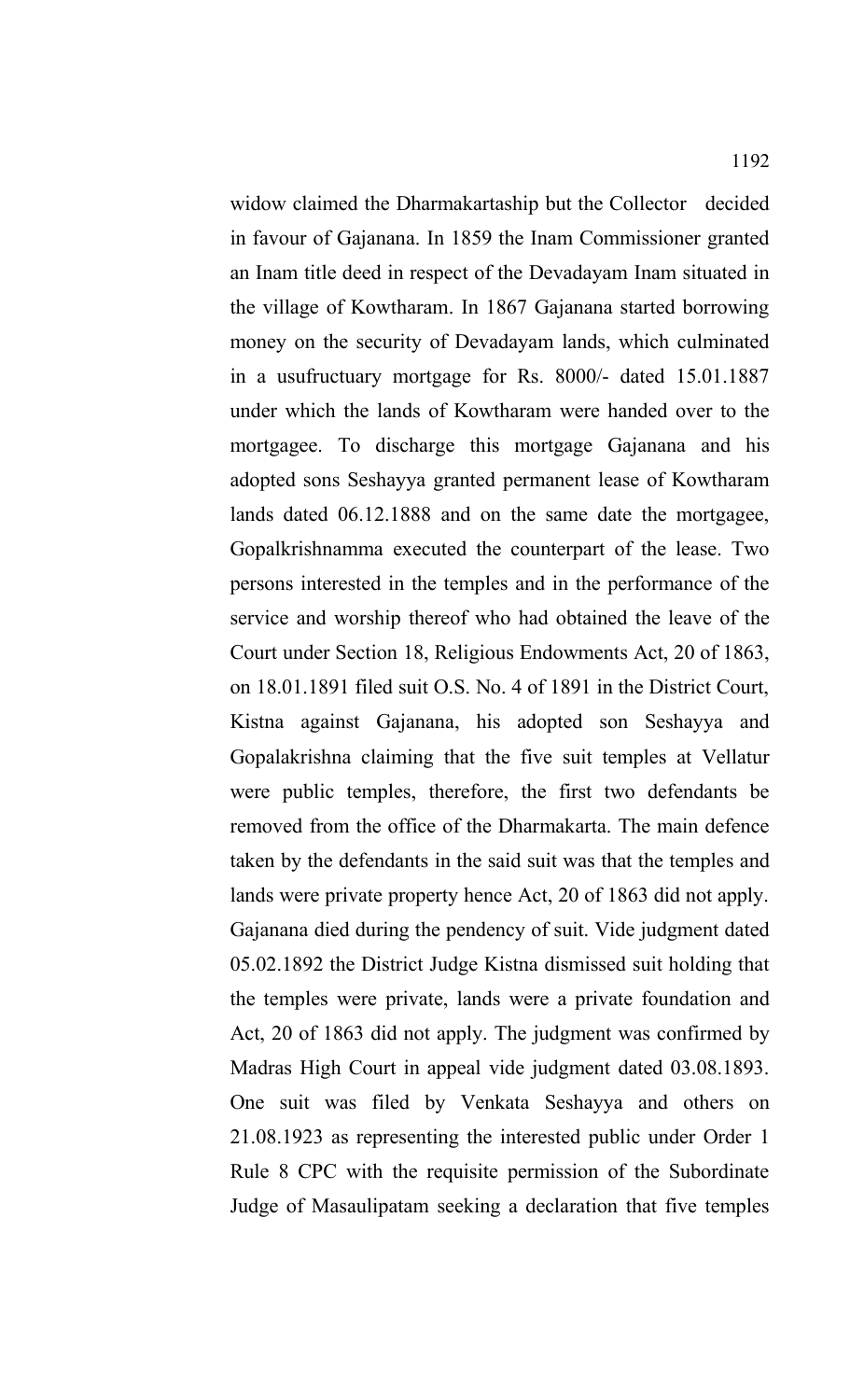widow claimed the Dharmakartaship but the Collector decided in favour of Gajanana. In 1859 the Inam Commissioner granted an Inam title deed in respect of the Devadayam Inam situated in the village of Kowtharam. In 1867 Gajanana started borrowing money on the security of Devadayam lands, which culminated in a usufructuary mortgage for Rs. 8000/- dated 15.01.1887 under which the lands of Kowtharam were handed over to the mortgagee. To discharge this mortgage Gajanana and his adopted sons Seshayya granted permanent lease of Kowtharam lands dated 06.12.1888 and on the same date the mortgagee, Gopalkrishnamma executed the counterpart of the lease. Two persons interested in the temples and in the performance of the service and worship thereof who had obtained the leave of the Court under Section 18, Religious Endowments Act, 20 of 1863, on 18.01.1891 filed suit O.S. No. 4 of 1891 in the District Court, Kistna against Gajanana, his adopted son Seshayya and Gopalakrishna claiming that the five suit temples at Vellatur were public temples, therefore, the first two defendants be removed from the office of the Dharmakarta. The main defence taken by the defendants in the said suit was that the temples and lands were private property hence Act, 20 of 1863 did not apply. Gajanana died during the pendency of suit. Vide judgment dated 05.02.1892 the District Judge Kistna dismissed suit holding that the temples were private, lands were a private foundation and Act, 20 of 1863 did not apply. The judgment was confirmed by Madras High Court in appeal vide judgment dated 03.08.1893. One suit was filed by Venkata Seshayya and others on 21.08.1923 as representing the interested public under Order 1 Rule 8 CPC with the requisite permission of the Subordinate Judge of Masaulipatam seeking a declaration that five temples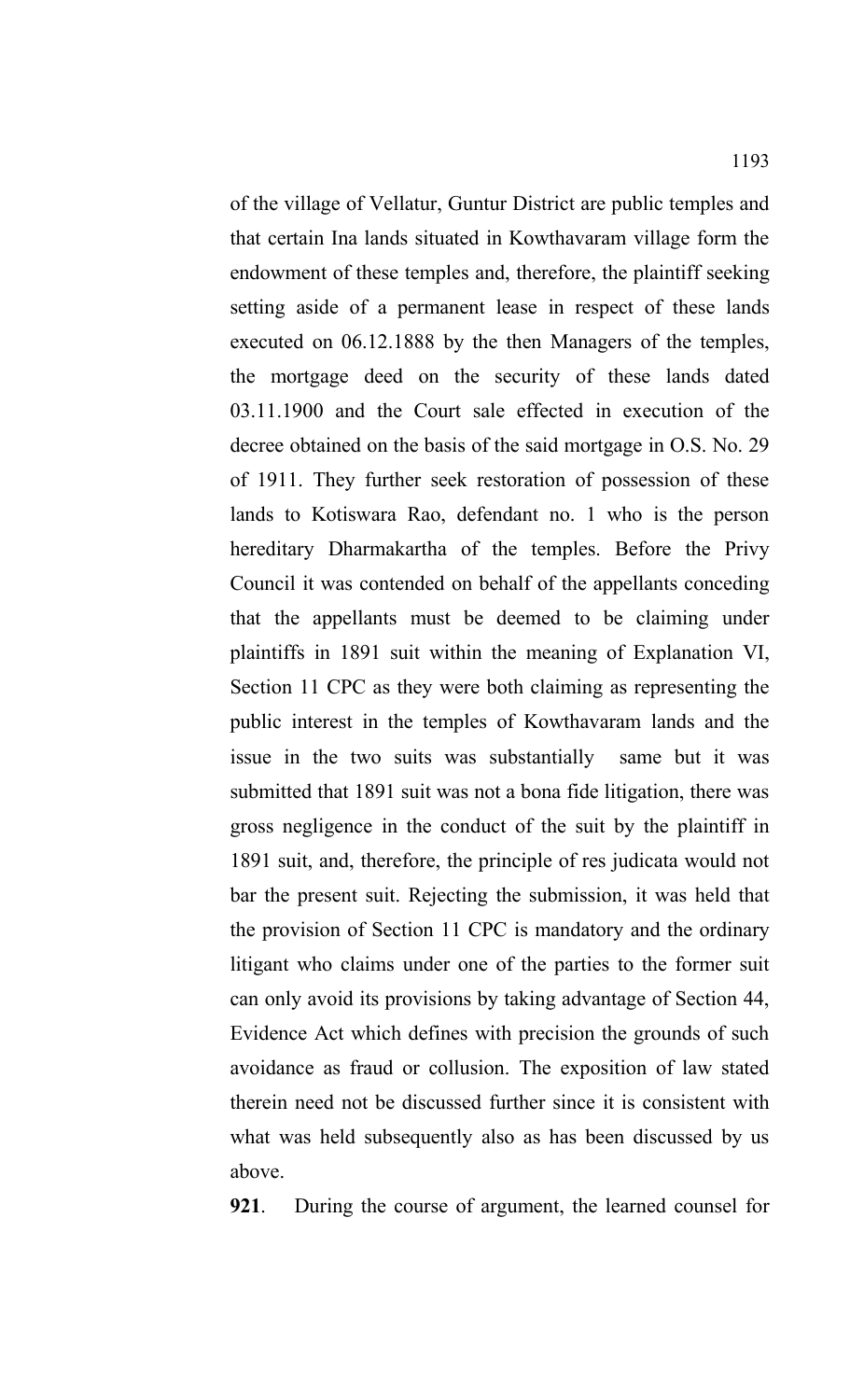of the village of Vellatur, Guntur District are public temples and that certain Ina lands situated in Kowthavaram village form the endowment of these temples and, therefore, the plaintiff seeking setting aside of a permanent lease in respect of these lands executed on 06.12.1888 by the then Managers of the temples, the mortgage deed on the security of these lands dated 03.11.1900 and the Court sale effected in execution of the decree obtained on the basis of the said mortgage in O.S. No. 29 of 1911. They further seek restoration of possession of these lands to Kotiswara Rao, defendant no. 1 who is the person hereditary Dharmakartha of the temples. Before the Privy Council it was contended on behalf of the appellants conceding that the appellants must be deemed to be claiming under plaintiffs in 1891 suit within the meaning of Explanation VI, Section 11 CPC as they were both claiming as representing the public interest in the temples of Kowthavaram lands and the issue in the two suits was substantially same but it was submitted that 1891 suit was not a bona fide litigation, there was gross negligence in the conduct of the suit by the plaintiff in 1891 suit, and, therefore, the principle of res judicata would not bar the present suit. Rejecting the submission, it was held that the provision of Section 11 CPC is mandatory and the ordinary litigant who claims under one of the parties to the former suit can only avoid its provisions by taking advantage of Section 44, Evidence Act which defines with precision the grounds of such avoidance as fraud or collusion. The exposition of law stated therein need not be discussed further since it is consistent with what was held subsequently also as has been discussed by us above.

**921**. During the course of argument, the learned counsel for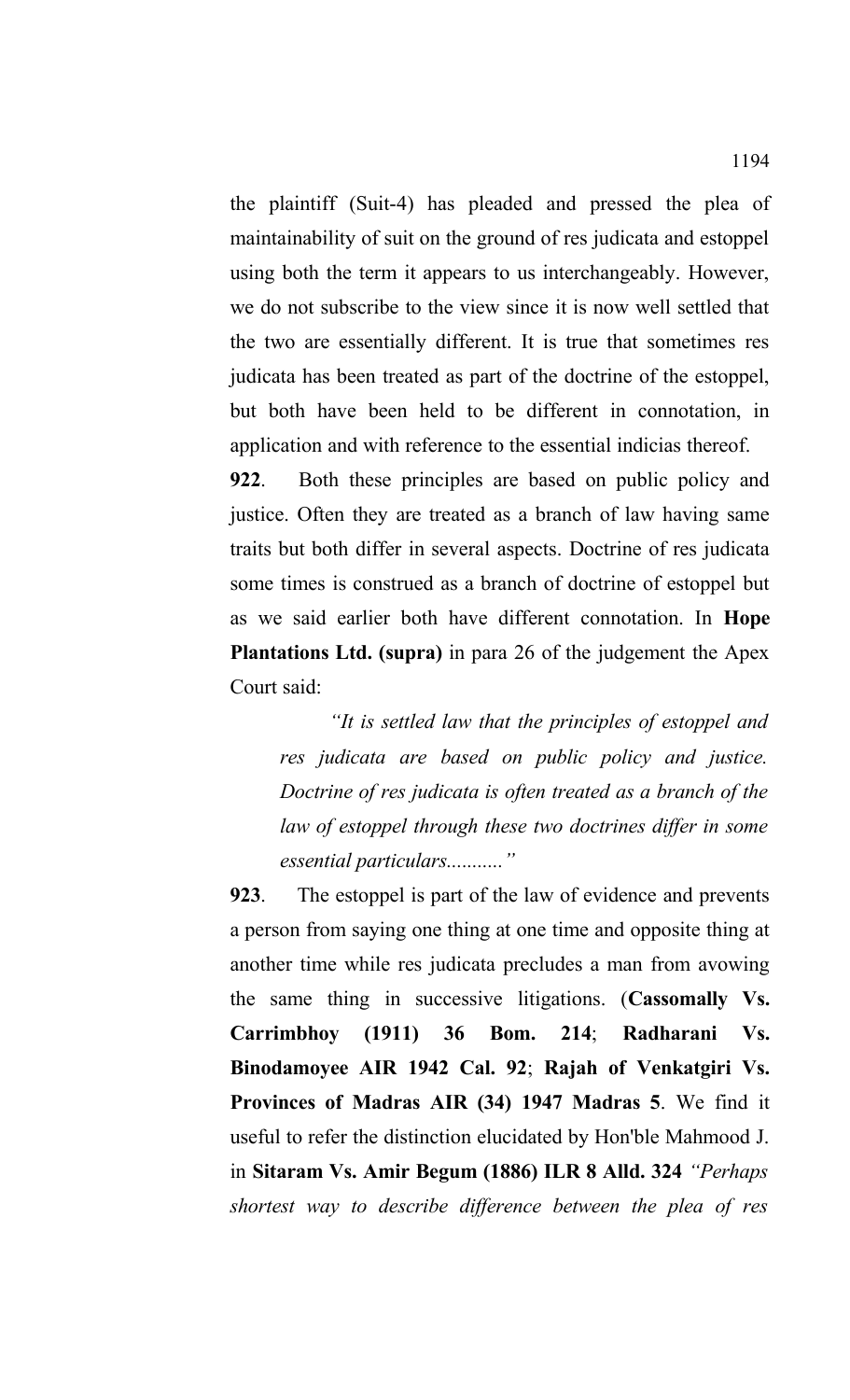the plaintiff (Suit-4) has pleaded and pressed the plea of maintainability of suit on the ground of res judicata and estoppel using both the term it appears to us interchangeably. However, we do not subscribe to the view since it is now well settled that the two are essentially different. It is true that sometimes res judicata has been treated as part of the doctrine of the estoppel, but both have been held to be different in connotation, in application and with reference to the essential indicias thereof.

**922**. Both these principles are based on public policy and justice. Often they are treated as a branch of law having same traits but both differ in several aspects. Doctrine of res judicata some times is construed as a branch of doctrine of estoppel but as we said earlier both have different connotation. In **Hope Plantations Ltd. (supra)** in para 26 of the judgement the Apex Court said:

*"It is settled law that the principles of estoppel and res judicata are based on public policy and justice. Doctrine of res judicata is often treated as a branch of the law of estoppel through these two doctrines differ in some essential particulars..........."*

**923**. The estoppel is part of the law of evidence and prevents a person from saying one thing at one time and opposite thing at another time while res judicata precludes a man from avowing the same thing in successive litigations. (**Cassomally Vs. Carrimbhoy (1911) 36 Bom. 214**; **Radharani Vs. Binodamoyee AIR 1942 Cal. 92**; **Rajah of Venkatgiri Vs. Provinces of Madras AIR (34) 1947 Madras 5**. We find it useful to refer the distinction elucidated by Hon'ble Mahmood J. in **Sitaram Vs. Amir Begum (1886) ILR 8 Alld. 324** *"Perhaps shortest way to describe difference between the plea of res*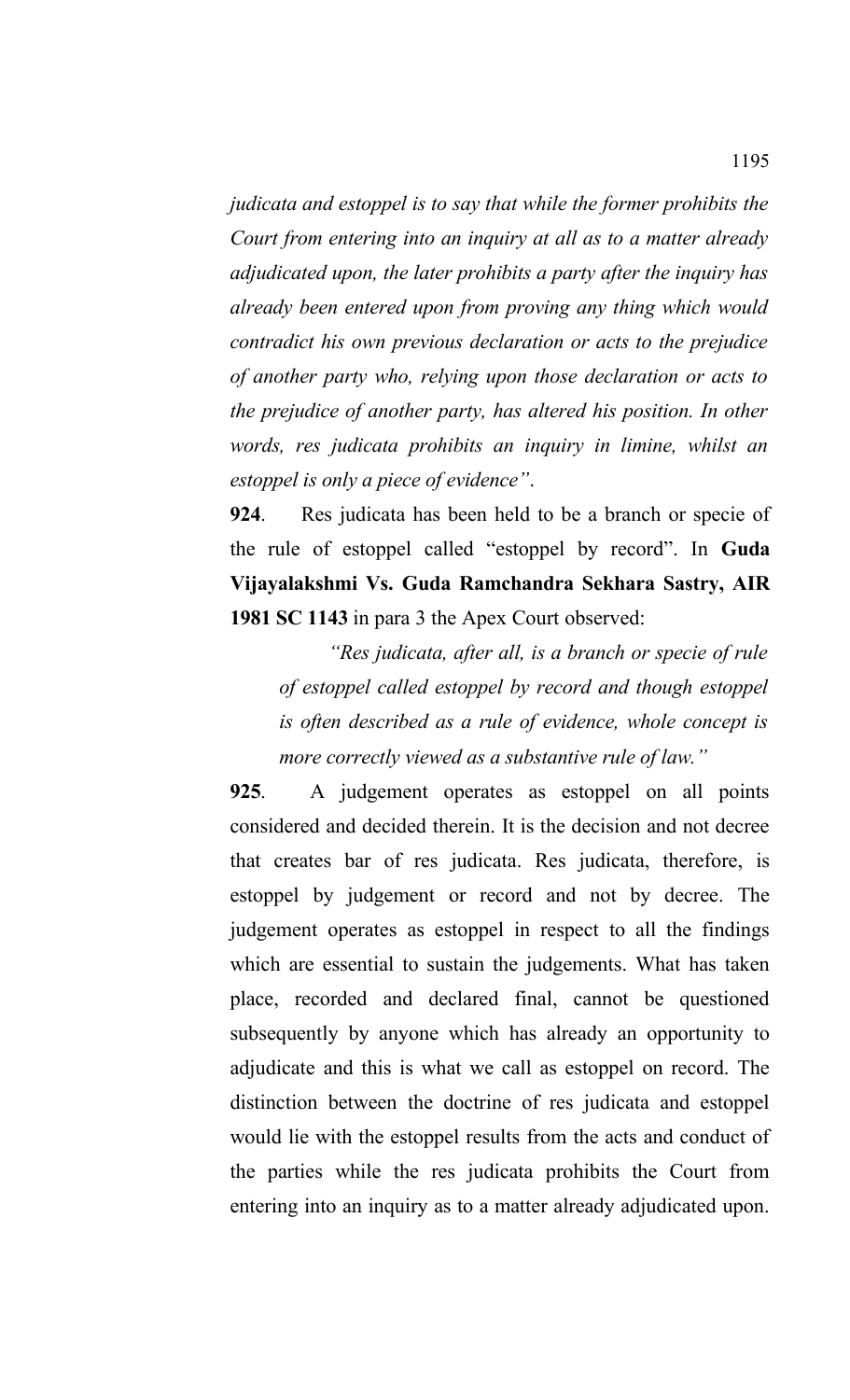*judicata and estoppel is to say that while the former prohibits the Court from entering into an inquiry at all as to a matter already adjudicated upon, the later prohibits a party after the inquiry has already been entered upon from proving any thing which would contradict his own previous declaration or acts to the prejudice of another party who, relying upon those declaration or acts to the prejudice of another party, has altered his position. In other words, res judicata prohibits an inquiry in limine, whilst an estoppel is only a piece of evidence"*.

**924**. Res judicata has been held to be a branch or specie of the rule of estoppel called "estoppel by record". In **Guda Vijayalakshmi Vs. Guda Ramchandra Sekhara Sastry, AIR 1981 SC 1143** in para 3 the Apex Court observed:

*"Res judicata, after all, is a branch or specie of rule of estoppel called estoppel by record and though estoppel is often described as a rule of evidence, whole concept is more correctly viewed as a substantive rule of law."*

**925**. A judgement operates as estoppel on all points considered and decided therein. It is the decision and not decree that creates bar of res judicata. Res judicata, therefore, is estoppel by judgement or record and not by decree. The judgement operates as estoppel in respect to all the findings which are essential to sustain the judgements. What has taken place, recorded and declared final, cannot be questioned subsequently by anyone which has already an opportunity to adjudicate and this is what we call as estoppel on record. The distinction between the doctrine of res judicata and estoppel would lie with the estoppel results from the acts and conduct of the parties while the res judicata prohibits the Court from entering into an inquiry as to a matter already adjudicated upon.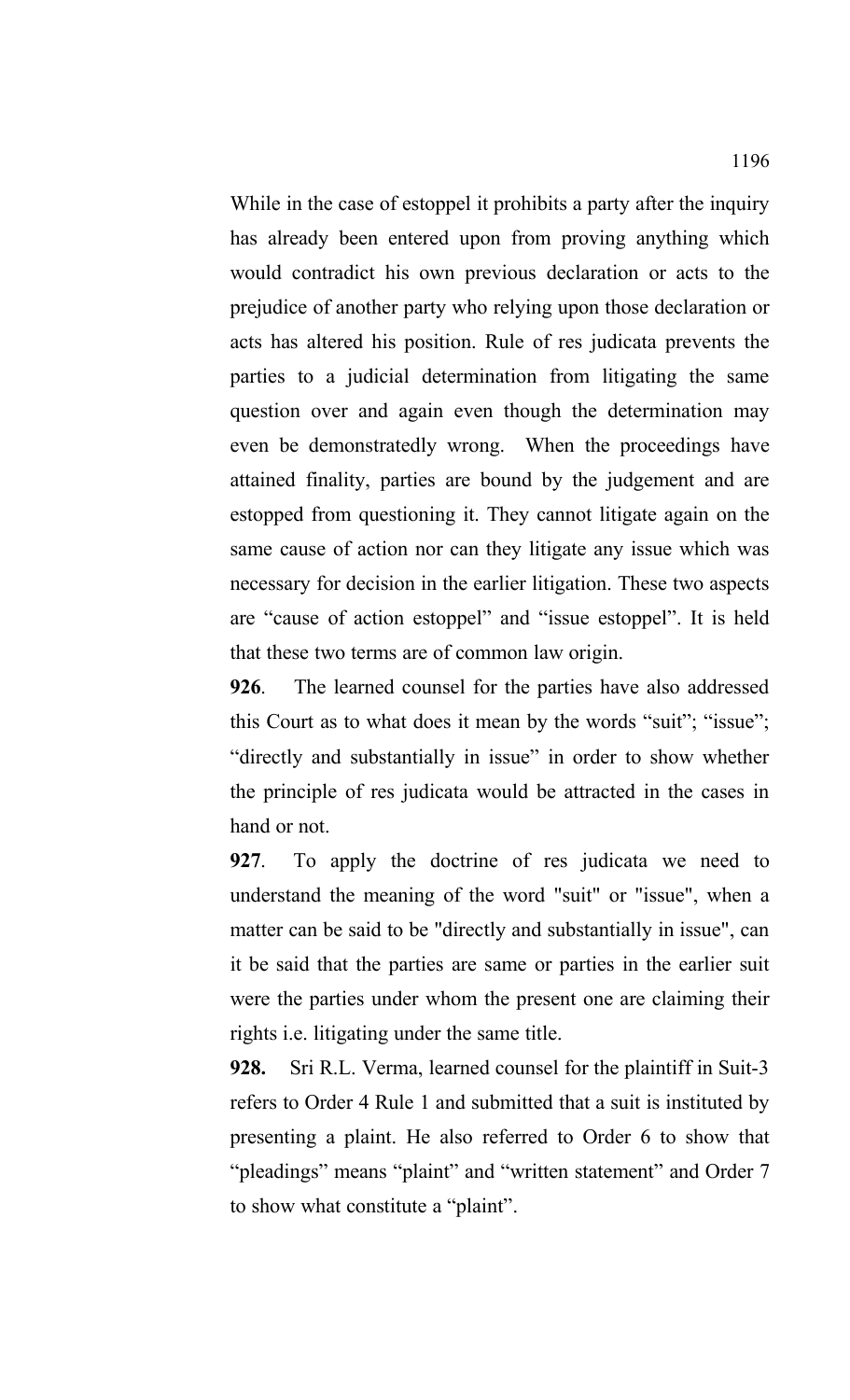While in the case of estoppel it prohibits a party after the inquiry has already been entered upon from proving anything which would contradict his own previous declaration or acts to the prejudice of another party who relying upon those declaration or acts has altered his position. Rule of res judicata prevents the parties to a judicial determination from litigating the same question over and again even though the determination may even be demonstratedly wrong. When the proceedings have attained finality, parties are bound by the judgement and are estopped from questioning it. They cannot litigate again on the same cause of action nor can they litigate any issue which was necessary for decision in the earlier litigation. These two aspects are "cause of action estoppel" and "issue estoppel". It is held that these two terms are of common law origin.

**926**. The learned counsel for the parties have also addressed this Court as to what does it mean by the words "suit"; "issue"; "directly and substantially in issue" in order to show whether the principle of res judicata would be attracted in the cases in hand or not.

**927**. To apply the doctrine of res judicata we need to understand the meaning of the word "suit" or "issue", when a matter can be said to be "directly and substantially in issue", can it be said that the parties are same or parties in the earlier suit were the parties under whom the present one are claiming their rights i.e. litigating under the same title.

**928.** Sri R.L. Verma, learned counsel for the plaintiff in Suit-3 refers to Order 4 Rule 1 and submitted that a suit is instituted by presenting a plaint. He also referred to Order 6 to show that "pleadings" means "plaint" and "written statement" and Order 7 to show what constitute a "plaint".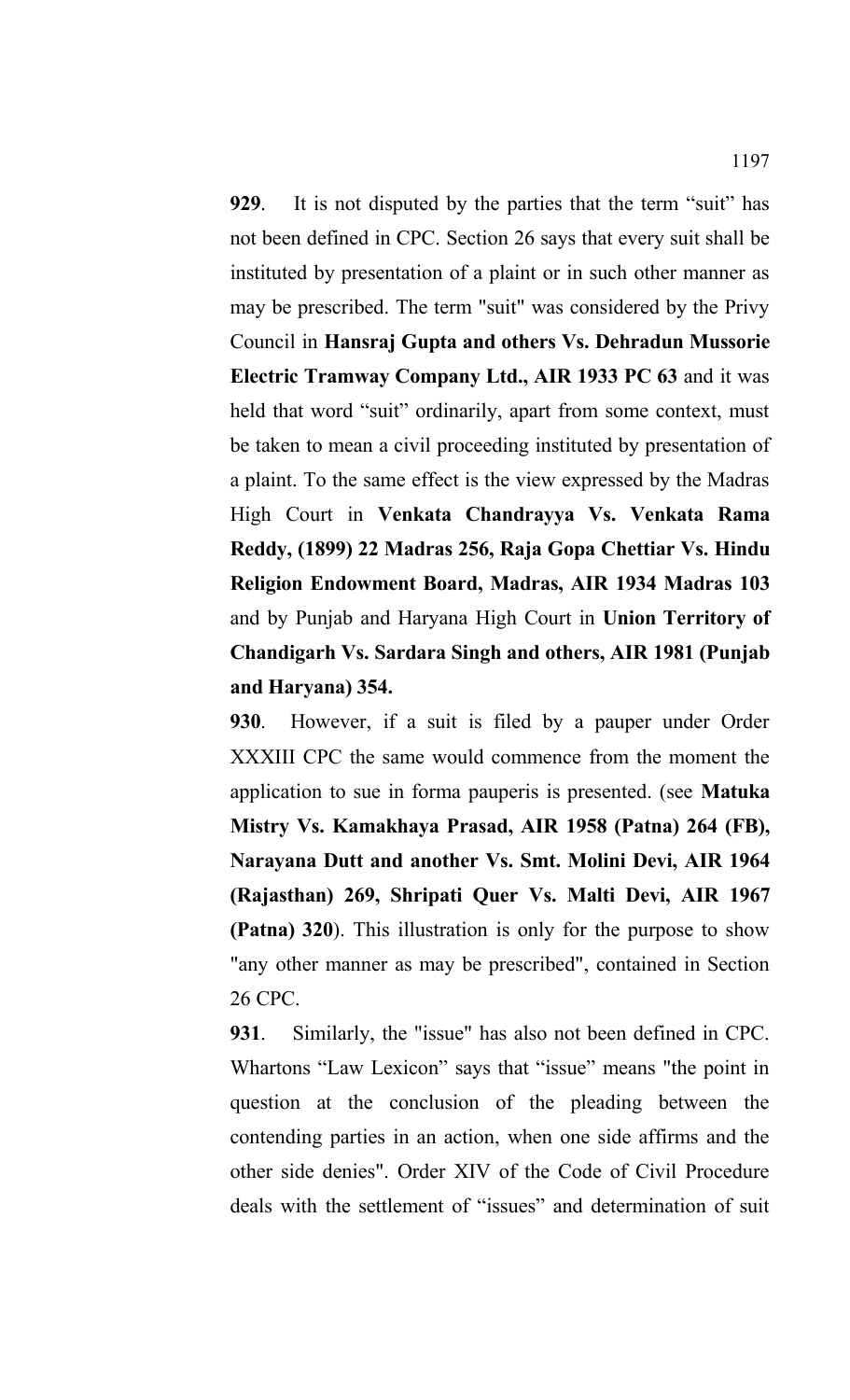**929**. It is not disputed by the parties that the term "suit" has not been defined in CPC. Section 26 says that every suit shall be instituted by presentation of a plaint or in such other manner as may be prescribed. The term "suit" was considered by the Privy Council in **Hansraj Gupta and others Vs. Dehradun Mussorie Electric Tramway Company Ltd., AIR 1933 PC 63** and it was held that word "suit" ordinarily, apart from some context, must be taken to mean a civil proceeding instituted by presentation of a plaint. To the same effect is the view expressed by the Madras High Court in **Venkata Chandrayya Vs. Venkata Rama Reddy, (1899) 22 Madras 256, Raja Gopa Chettiar Vs. Hindu Religion Endowment Board, Madras, AIR 1934 Madras 103** and by Punjab and Haryana High Court in **Union Territory of Chandigarh Vs. Sardara Singh and others, AIR 1981 (Punjab and Haryana) 354.** 

**930**. However, if a suit is filed by a pauper under Order XXXIII CPC the same would commence from the moment the application to sue in forma pauperis is presented. (see **Matuka Mistry Vs. Kamakhaya Prasad, AIR 1958 (Patna) 264 (FB), Narayana Dutt and another Vs. Smt. Molini Devi, AIR 1964 (Rajasthan) 269, Shripati Quer Vs. Malti Devi, AIR 1967 (Patna) 320**). This illustration is only for the purpose to show "any other manner as may be prescribed", contained in Section 26 CPC.

**931**. Similarly, the "issue" has also not been defined in CPC. Whartons "Law Lexicon" says that "issue" means "the point in question at the conclusion of the pleading between the contending parties in an action, when one side affirms and the other side denies". Order XIV of the Code of Civil Procedure deals with the settlement of "issues" and determination of suit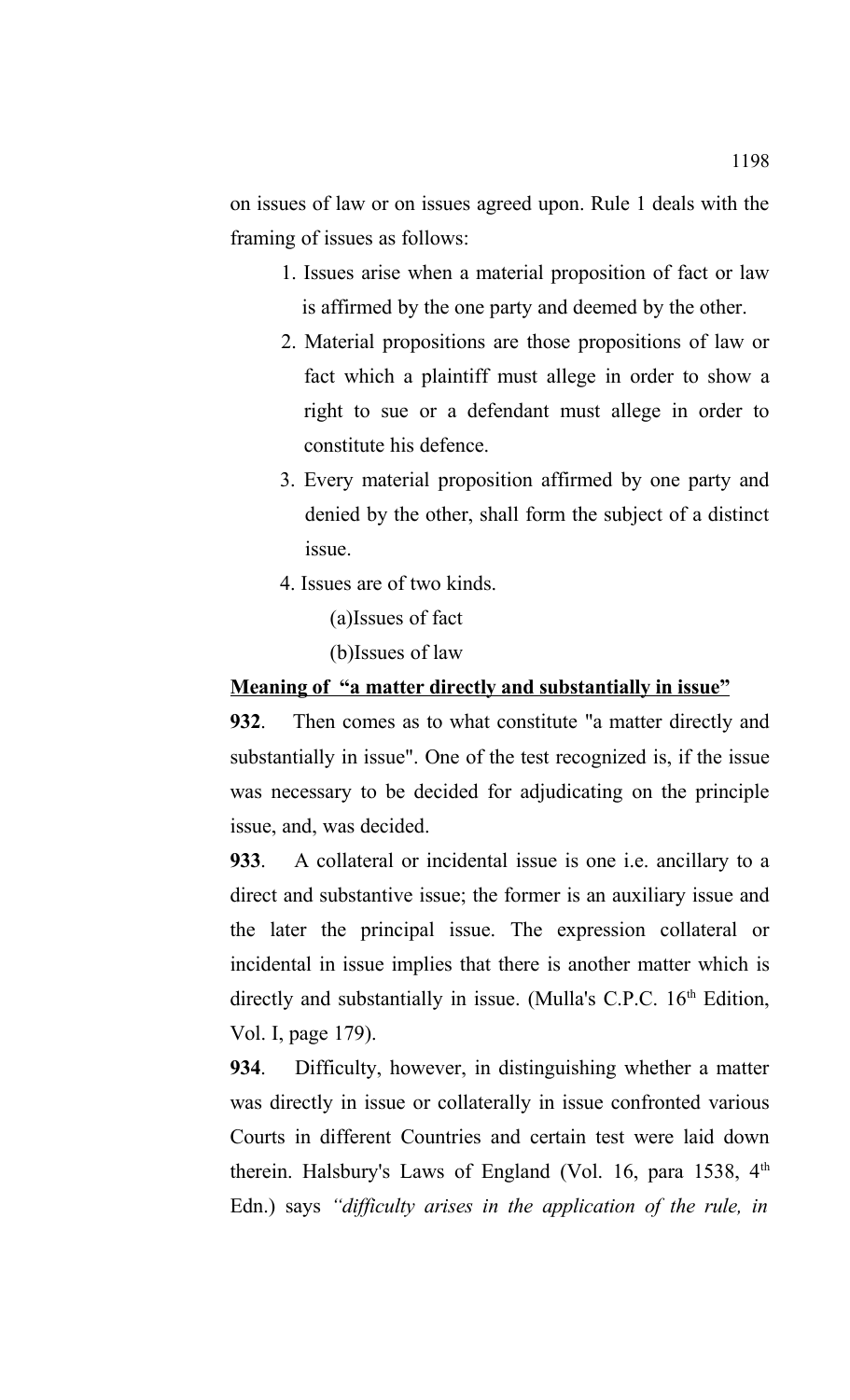on issues of law or on issues agreed upon. Rule 1 deals with the framing of issues as follows:

- 1. Issues arise when a material proposition of fact or law is affirmed by the one party and deemed by the other.
- 2. Material propositions are those propositions of law or fact which a plaintiff must allege in order to show a right to sue or a defendant must allege in order to constitute his defence.
- 3. Every material proposition affirmed by one party and denied by the other, shall form the subject of a distinct issue.
- 4. Issues are of two kinds.

(a)Issues of fact

(b)Issues of law

### **Meaning of "a matter directly and substantially in issue"**

**932**. Then comes as to what constitute "a matter directly and substantially in issue". One of the test recognized is, if the issue was necessary to be decided for adjudicating on the principle issue, and, was decided.

**933**. A collateral or incidental issue is one i.e. ancillary to a direct and substantive issue; the former is an auxiliary issue and the later the principal issue. The expression collateral or incidental in issue implies that there is another matter which is directly and substantially in issue. (Mulla's C.P.C.  $16<sup>th</sup>$  Edition, Vol. I, page 179).

**934**. Difficulty, however, in distinguishing whether a matter was directly in issue or collaterally in issue confronted various Courts in different Countries and certain test were laid down therein. Halsbury's Laws of England (Vol. 16, para 1538,  $4<sup>th</sup>$ Edn.) says *"difficulty arises in the application of the rule, in*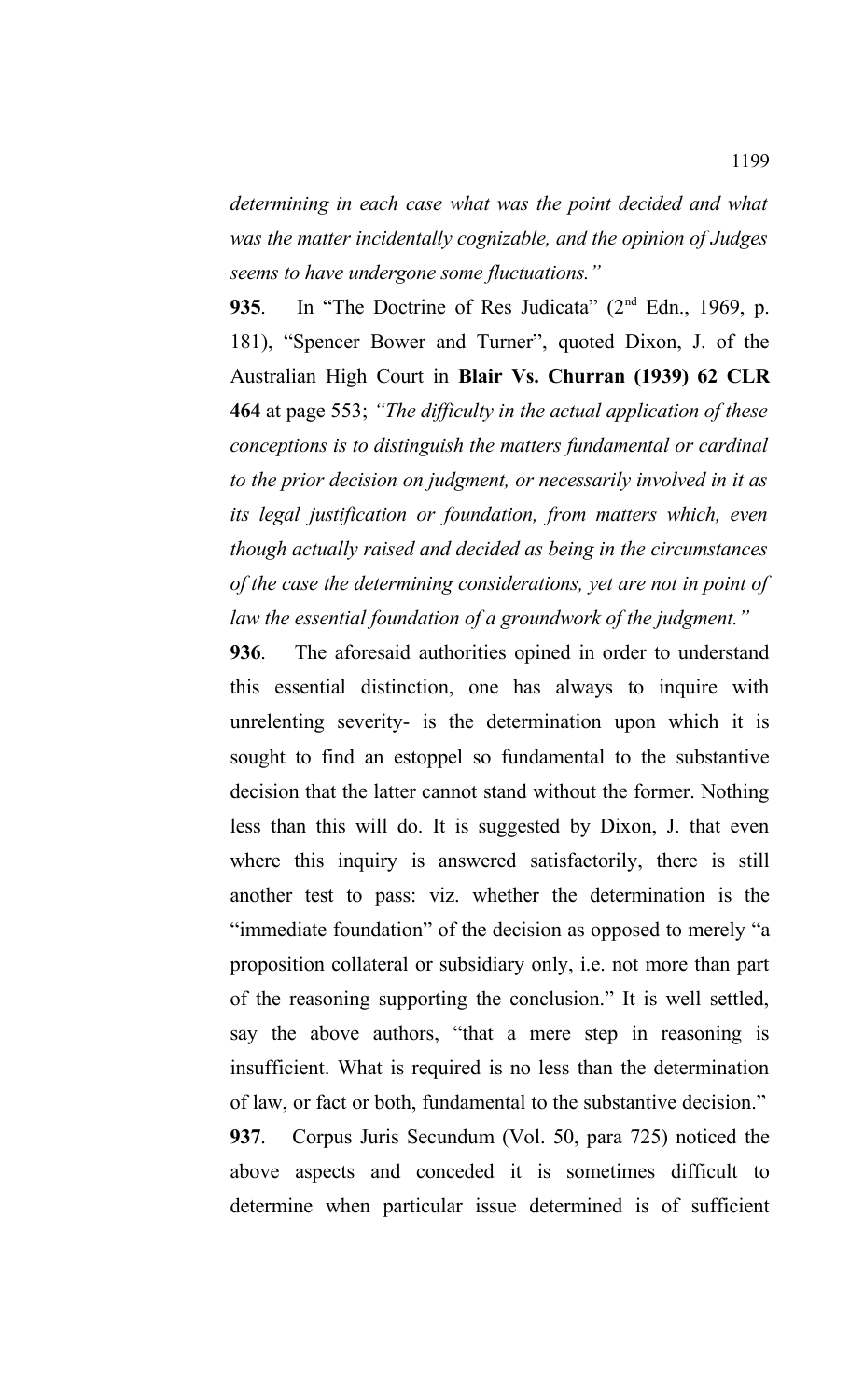*determining in each case what was the point decided and what was the matter incidentally cognizable, and the opinion of Judges seems to have undergone some fluctuations."*

935. In "The Doctrine of Res Judicata" (2<sup>nd</sup> Edn., 1969, p. 181), "Spencer Bower and Turner", quoted Dixon, J. of the Australian High Court in **Blair Vs. Churran (1939) 62 CLR 464** at page 553; *"The difficulty in the actual application of these conceptions is to distinguish the matters fundamental or cardinal to the prior decision on judgment, or necessarily involved in it as its legal justification or foundation, from matters which, even though actually raised and decided as being in the circumstances of the case the determining considerations, yet are not in point of law the essential foundation of a groundwork of the judgment."*

**936**. The aforesaid authorities opined in order to understand this essential distinction, one has always to inquire with unrelenting severity- is the determination upon which it is sought to find an estoppel so fundamental to the substantive decision that the latter cannot stand without the former. Nothing less than this will do. It is suggested by Dixon, J. that even where this inquiry is answered satisfactorily, there is still another test to pass: viz. whether the determination is the "immediate foundation" of the decision as opposed to merely "a proposition collateral or subsidiary only, i.e. not more than part of the reasoning supporting the conclusion." It is well settled, say the above authors, "that a mere step in reasoning is insufficient. What is required is no less than the determination of law, or fact or both, fundamental to the substantive decision." **937**. Corpus Juris Secundum (Vol. 50, para 725) noticed the above aspects and conceded it is sometimes difficult to determine when particular issue determined is of sufficient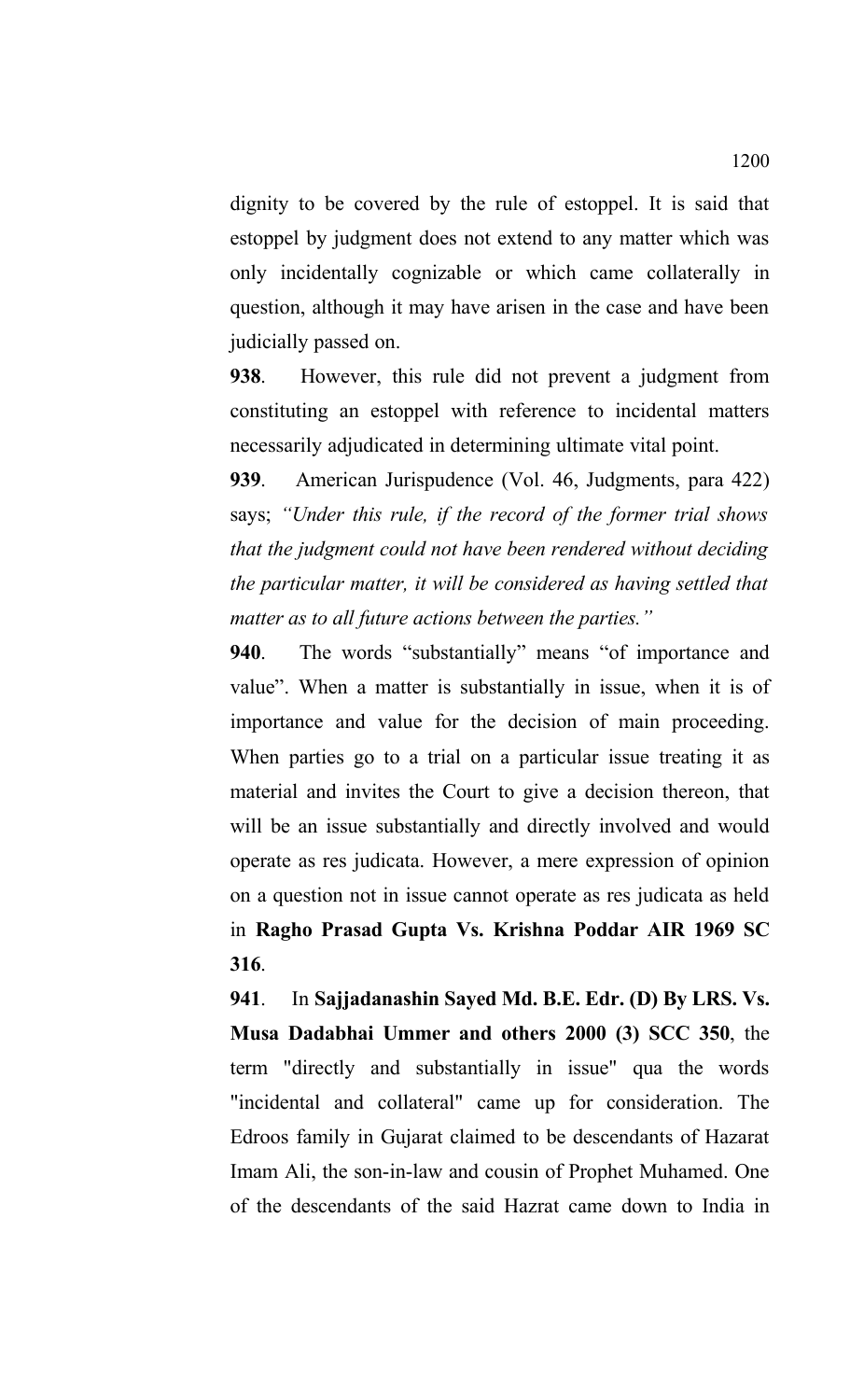dignity to be covered by the rule of estoppel. It is said that estoppel by judgment does not extend to any matter which was only incidentally cognizable or which came collaterally in question, although it may have arisen in the case and have been judicially passed on.

**938**. However, this rule did not prevent a judgment from constituting an estoppel with reference to incidental matters necessarily adjudicated in determining ultimate vital point.

**939**. American Jurispudence (Vol. 46, Judgments, para 422) says; *"Under this rule, if the record of the former trial shows that the judgment could not have been rendered without deciding the particular matter, it will be considered as having settled that matter as to all future actions between the parties."*

**940**. The words "substantially" means "of importance and value". When a matter is substantially in issue, when it is of importance and value for the decision of main proceeding. When parties go to a trial on a particular issue treating it as material and invites the Court to give a decision thereon, that will be an issue substantially and directly involved and would operate as res judicata. However, a mere expression of opinion on a question not in issue cannot operate as res judicata as held in **Ragho Prasad Gupta Vs. Krishna Poddar AIR 1969 SC 316**.

**941**. In **Sajjadanashin Sayed Md. B.E. Edr. (D) By LRS. Vs. Musa Dadabhai Ummer and others 2000 (3) SCC 350**, the term "directly and substantially in issue" qua the words "incidental and collateral" came up for consideration. The Edroos family in Gujarat claimed to be descendants of Hazarat Imam Ali, the son-in-law and cousin of Prophet Muhamed. One of the descendants of the said Hazrat came down to India in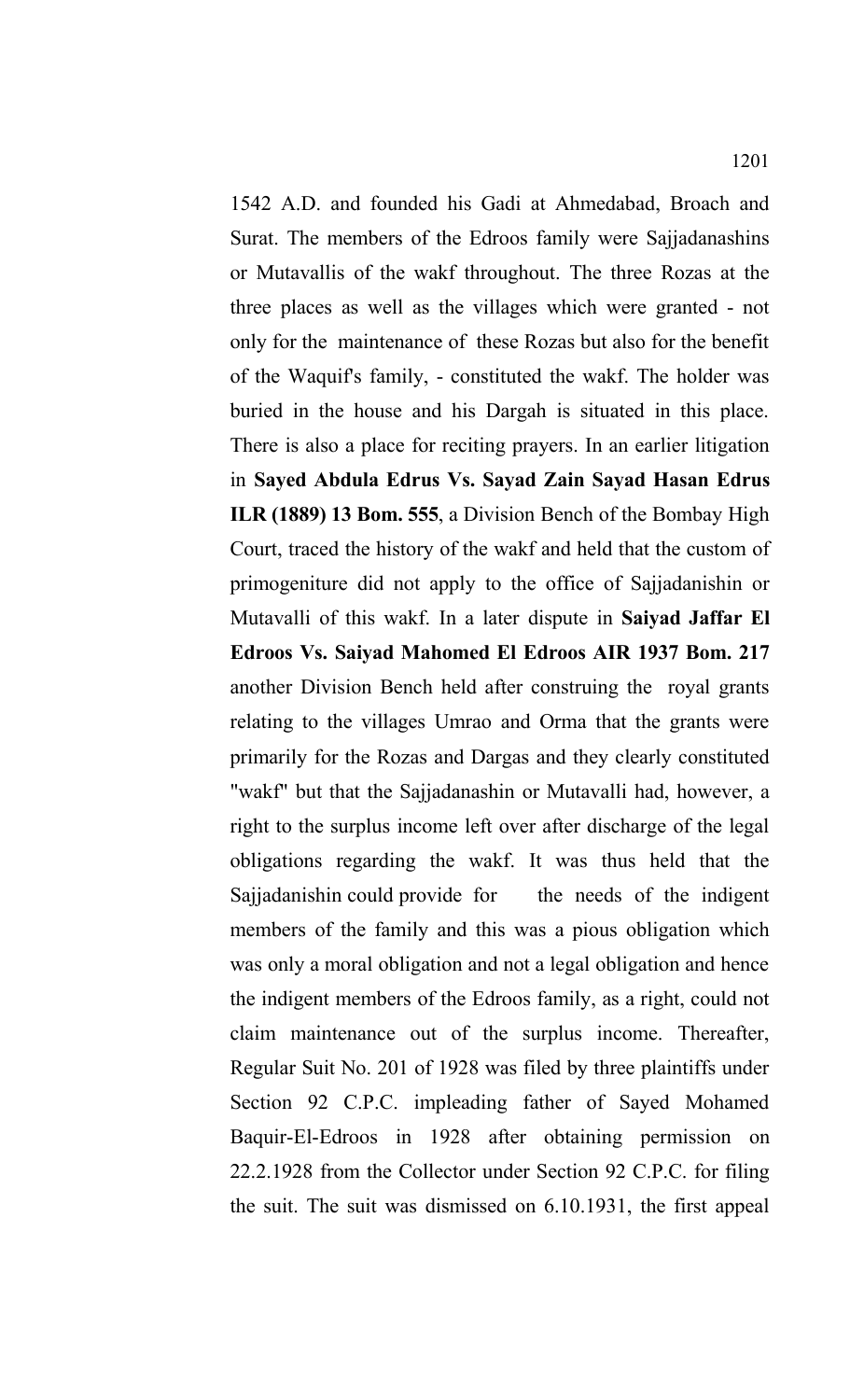1542 A.D. and founded his Gadi at Ahmedabad, Broach and Surat. The members of the Edroos family were Sajjadanashins or Mutavallis of the wakf throughout. The three Rozas at the three places as well as the villages which were granted - not only for the maintenance of these Rozas but also for the benefit of the Waquif's family, - constituted the wakf. The holder was buried in the house and his Dargah is situated in this place. There is also a place for reciting prayers. In an earlier litigation in **Sayed Abdula Edrus Vs. Sayad Zain Sayad Hasan Edrus ILR (1889) 13 Bom. 555**, a Division Bench of the Bombay High Court, traced the history of the wakf and held that the custom of primogeniture did not apply to the office of Sajjadanishin or Mutavalli of this wakf. In a later dispute in **Saiyad Jaffar El Edroos Vs. Saiyad Mahomed El Edroos AIR 1937 Bom. 217** another Division Bench held after construing the royal grants relating to the villages Umrao and Orma that the grants were primarily for the Rozas and Dargas and they clearly constituted "wakf" but that the Sajjadanashin or Mutavalli had, however, a right to the surplus income left over after discharge of the legal obligations regarding the wakf. It was thus held that the Sajjadanishin could provide for the needs of the indigent members of the family and this was a pious obligation which was only a moral obligation and not a legal obligation and hence the indigent members of the Edroos family, as a right, could not claim maintenance out of the surplus income. Thereafter, Regular Suit No. 201 of 1928 was filed by three plaintiffs under Section 92 C.P.C. impleading father of Sayed Mohamed Baquir-El-Edroos in 1928 after obtaining permission on 22.2.1928 from the Collector under Section 92 C.P.C. for filing the suit. The suit was dismissed on 6.10.1931, the first appeal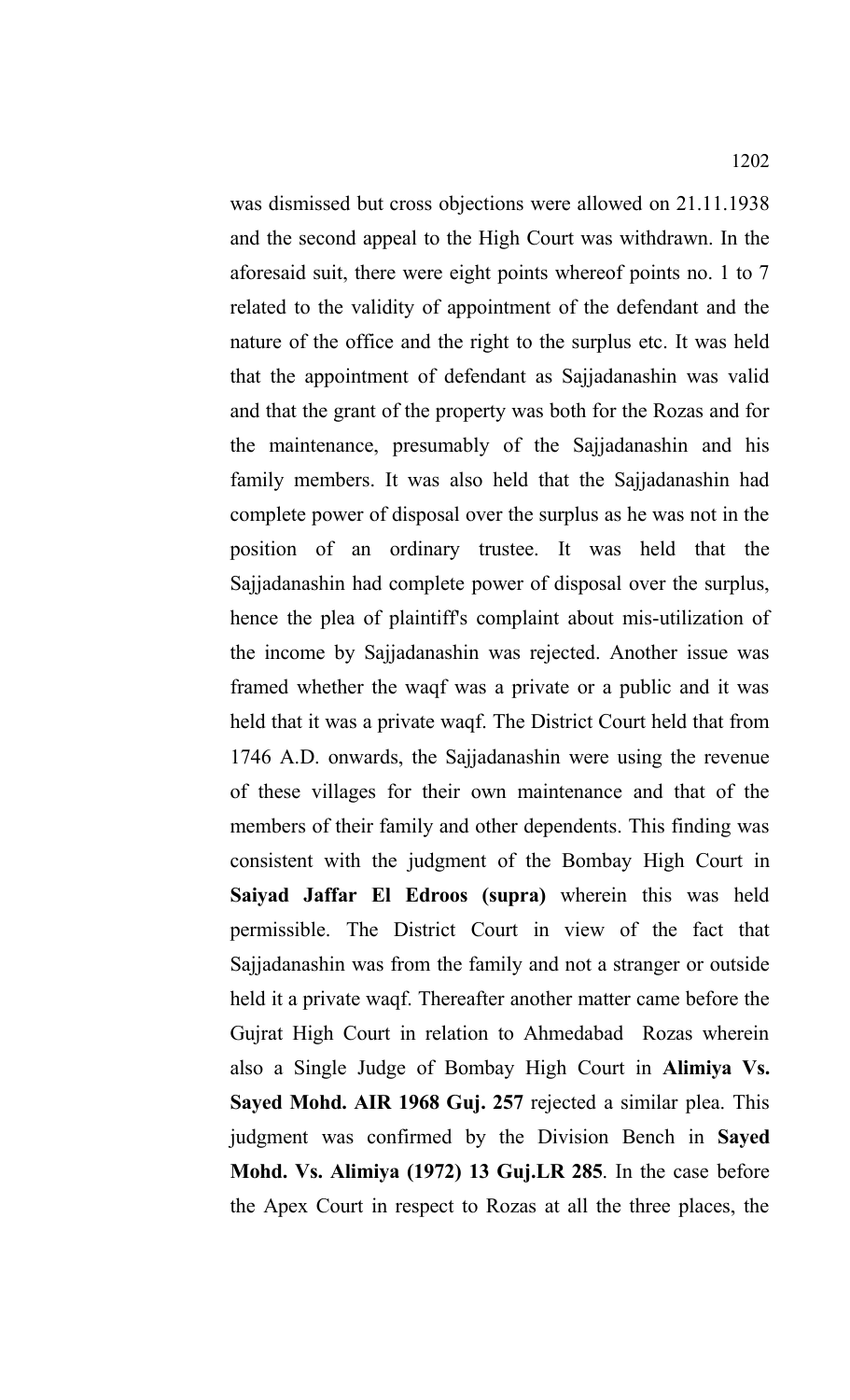was dismissed but cross objections were allowed on 21.11.1938 and the second appeal to the High Court was withdrawn. In the aforesaid suit, there were eight points whereof points no. 1 to 7 related to the validity of appointment of the defendant and the nature of the office and the right to the surplus etc. It was held that the appointment of defendant as Sajjadanashin was valid and that the grant of the property was both for the Rozas and for the maintenance, presumably of the Sajjadanashin and his family members. It was also held that the Sajjadanashin had complete power of disposal over the surplus as he was not in the position of an ordinary trustee. It was held that the Sajjadanashin had complete power of disposal over the surplus, hence the plea of plaintiff's complaint about mis-utilization of the income by Sajjadanashin was rejected. Another issue was framed whether the waqf was a private or a public and it was held that it was a private waqf. The District Court held that from 1746 A.D. onwards, the Sajjadanashin were using the revenue of these villages for their own maintenance and that of the members of their family and other dependents. This finding was consistent with the judgment of the Bombay High Court in **Saiyad Jaffar El Edroos (supra)** wherein this was held permissible. The District Court in view of the fact that Sajjadanashin was from the family and not a stranger or outside held it a private waqf. Thereafter another matter came before the Gujrat High Court in relation to Ahmedabad Rozas wherein also a Single Judge of Bombay High Court in **Alimiya Vs. Sayed Mohd. AIR 1968 Guj. 257** rejected a similar plea. This judgment was confirmed by the Division Bench in **Sayed Mohd. Vs. Alimiya (1972) 13 Guj.LR 285**. In the case before the Apex Court in respect to Rozas at all the three places, the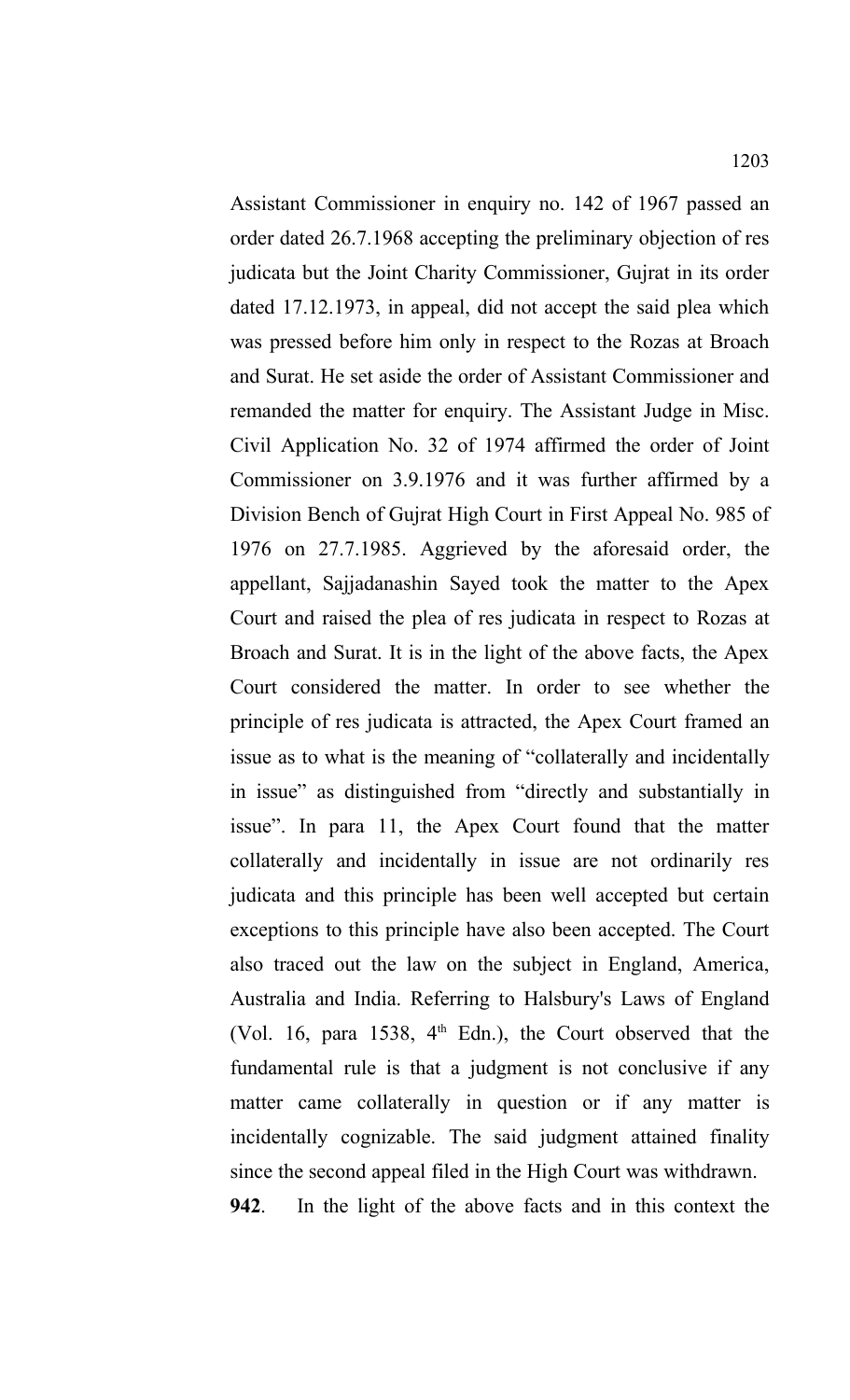Assistant Commissioner in enquiry no. 142 of 1967 passed an order dated 26.7.1968 accepting the preliminary objection of res judicata but the Joint Charity Commissioner, Gujrat in its order dated 17.12.1973, in appeal, did not accept the said plea which was pressed before him only in respect to the Rozas at Broach and Surat. He set aside the order of Assistant Commissioner and remanded the matter for enquiry. The Assistant Judge in Misc. Civil Application No. 32 of 1974 affirmed the order of Joint Commissioner on 3.9.1976 and it was further affirmed by a Division Bench of Gujrat High Court in First Appeal No. 985 of 1976 on 27.7.1985. Aggrieved by the aforesaid order, the appellant, Sajjadanashin Sayed took the matter to the Apex Court and raised the plea of res judicata in respect to Rozas at Broach and Surat. It is in the light of the above facts, the Apex Court considered the matter. In order to see whether the principle of res judicata is attracted, the Apex Court framed an issue as to what is the meaning of "collaterally and incidentally in issue" as distinguished from "directly and substantially in issue". In para 11, the Apex Court found that the matter collaterally and incidentally in issue are not ordinarily res judicata and this principle has been well accepted but certain exceptions to this principle have also been accepted. The Court also traced out the law on the subject in England, America, Australia and India. Referring to Halsbury's Laws of England (Vol. 16, para 1538,  $4<sup>th</sup>$  Edn.), the Court observed that the fundamental rule is that a judgment is not conclusive if any matter came collaterally in question or if any matter is incidentally cognizable. The said judgment attained finality since the second appeal filed in the High Court was withdrawn.

**942**. In the light of the above facts and in this context the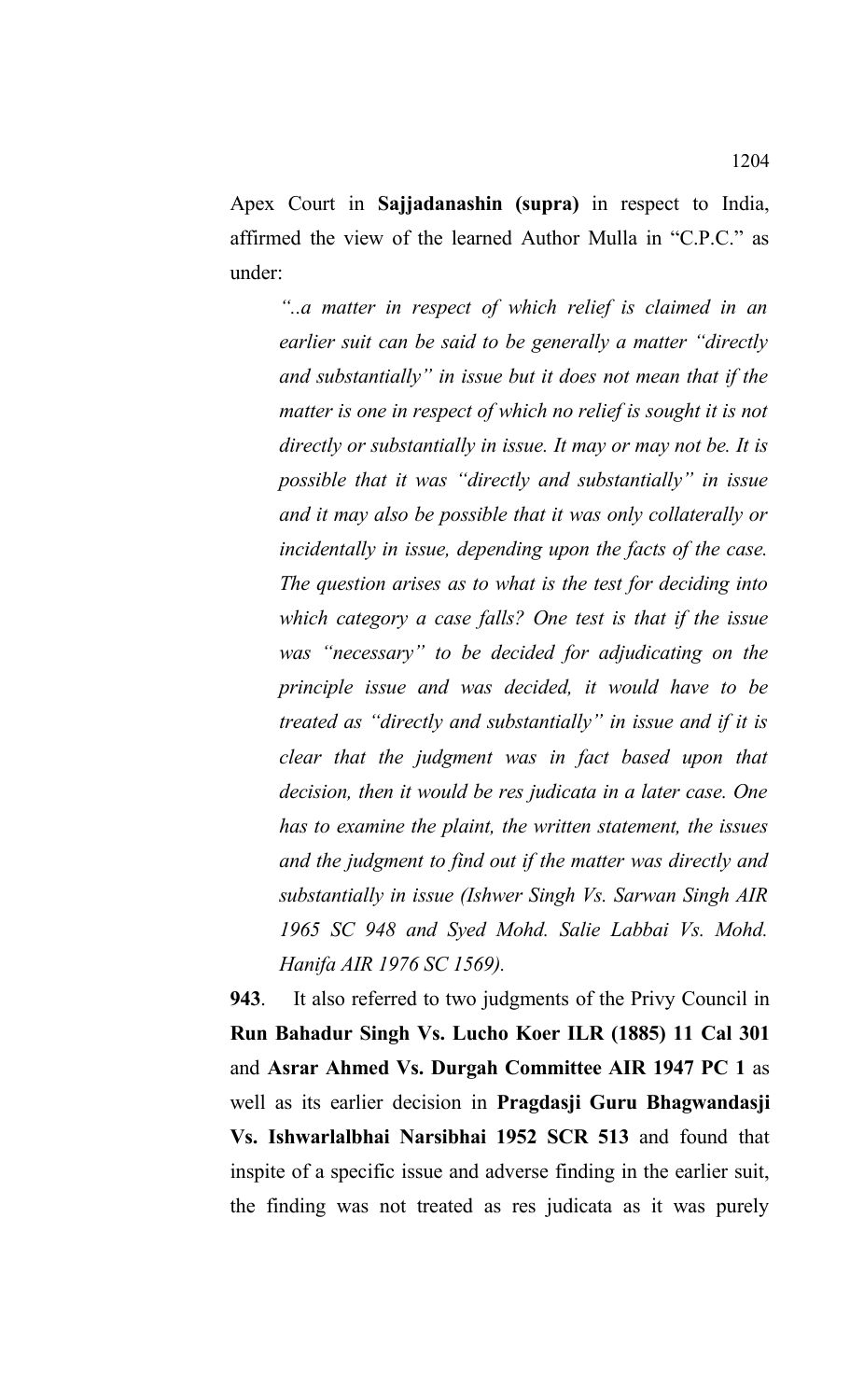Apex Court in **Sajjadanashin (supra)** in respect to India, affirmed the view of the learned Author Mulla in "C.P.C." as under:

*"..a matter in respect of which relief is claimed in an earlier suit can be said to be generally a matter "directly and substantially" in issue but it does not mean that if the matter is one in respect of which no relief is sought it is not directly or substantially in issue. It may or may not be. It is possible that it was "directly and substantially" in issue and it may also be possible that it was only collaterally or incidentally in issue, depending upon the facts of the case. The question arises as to what is the test for deciding into which category a case falls? One test is that if the issue was "necessary" to be decided for adjudicating on the principle issue and was decided, it would have to be treated as "directly and substantially" in issue and if it is clear that the judgment was in fact based upon that decision, then it would be res judicata in a later case. One has to examine the plaint, the written statement, the issues and the judgment to find out if the matter was directly and substantially in issue (Ishwer Singh Vs. Sarwan Singh AIR 1965 SC 948 and Syed Mohd. Salie Labbai Vs. Mohd. Hanifa AIR 1976 SC 1569).*

**943**. It also referred to two judgments of the Privy Council in **Run Bahadur Singh Vs. Lucho Koer ILR (1885) 11 Cal 301** and **Asrar Ahmed Vs. Durgah Committee AIR 1947 PC 1** as well as its earlier decision in **Pragdasji Guru Bhagwandasji Vs. Ishwarlalbhai Narsibhai 1952 SCR 513** and found that inspite of a specific issue and adverse finding in the earlier suit, the finding was not treated as res judicata as it was purely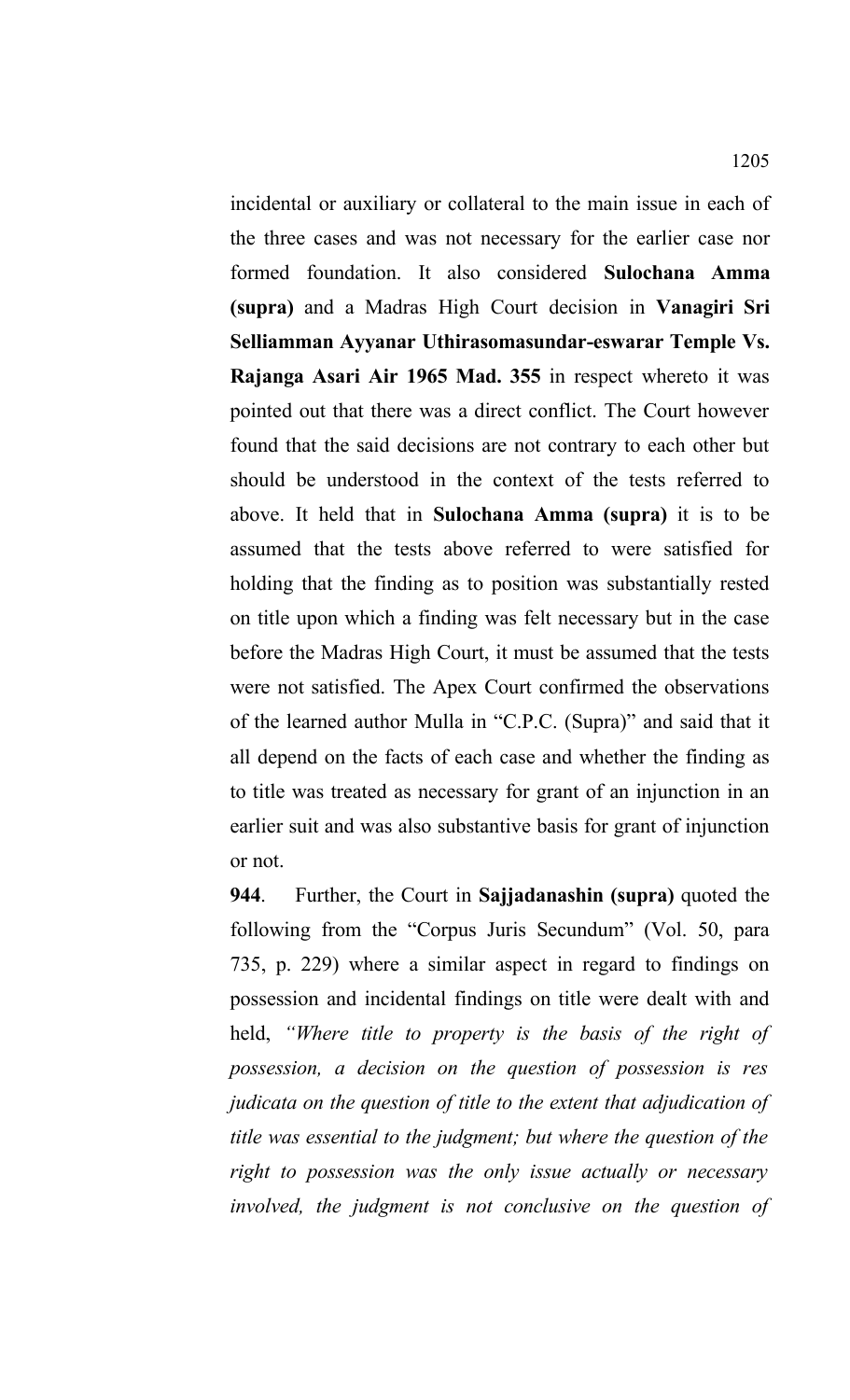incidental or auxiliary or collateral to the main issue in each of the three cases and was not necessary for the earlier case nor formed foundation. It also considered **Sulochana Amma (supra)** and a Madras High Court decision in **Vanagiri Sri Selliamman Ayyanar Uthirasomasundar-eswarar Temple Vs. Rajanga Asari Air 1965 Mad. 355** in respect whereto it was pointed out that there was a direct conflict. The Court however found that the said decisions are not contrary to each other but should be understood in the context of the tests referred to above. It held that in **Sulochana Amma (supra)** it is to be assumed that the tests above referred to were satisfied for holding that the finding as to position was substantially rested on title upon which a finding was felt necessary but in the case before the Madras High Court, it must be assumed that the tests were not satisfied. The Apex Court confirmed the observations of the learned author Mulla in "C.P.C. (Supra)" and said that it all depend on the facts of each case and whether the finding as to title was treated as necessary for grant of an injunction in an earlier suit and was also substantive basis for grant of injunction or not.

**944**. Further, the Court in **Sajjadanashin (supra)** quoted the following from the "Corpus Juris Secundum" (Vol. 50, para 735, p. 229) where a similar aspect in regard to findings on possession and incidental findings on title were dealt with and held, *"Where title to property is the basis of the right of possession, a decision on the question of possession is res judicata on the question of title to the extent that adjudication of title was essential to the judgment; but where the question of the right to possession was the only issue actually or necessary involved, the judgment is not conclusive on the question of*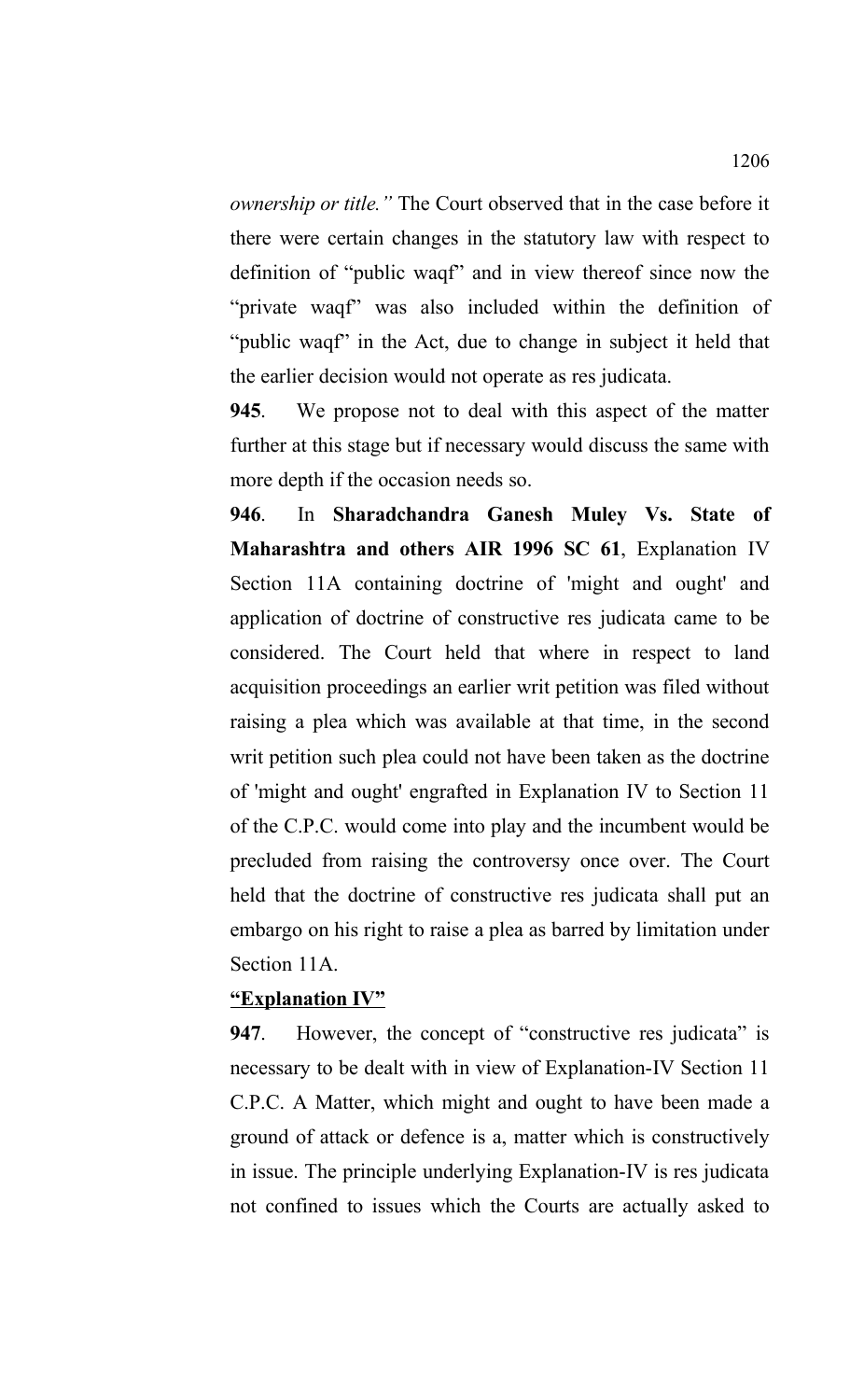*ownership or title."* The Court observed that in the case before it there were certain changes in the statutory law with respect to definition of "public waqf" and in view thereof since now the "private waqf" was also included within the definition of "public waqf" in the Act, due to change in subject it held that the earlier decision would not operate as res judicata.

**945**. We propose not to deal with this aspect of the matter further at this stage but if necessary would discuss the same with more depth if the occasion needs so.

**946**. In **Sharadchandra Ganesh Muley Vs. State of Maharashtra and others AIR 1996 SC 61**, Explanation IV Section 11A containing doctrine of 'might and ought' and application of doctrine of constructive res judicata came to be considered. The Court held that where in respect to land acquisition proceedings an earlier writ petition was filed without raising a plea which was available at that time, in the second writ petition such plea could not have been taken as the doctrine of 'might and ought' engrafted in Explanation IV to Section 11 of the C.P.C. would come into play and the incumbent would be precluded from raising the controversy once over. The Court held that the doctrine of constructive res judicata shall put an embargo on his right to raise a plea as barred by limitation under Section 11A.

#### **"Explanation IV"**

**947**. However, the concept of "constructive res judicata" is necessary to be dealt with in view of Explanation-IV Section 11 C.P.C. A Matter, which might and ought to have been made a ground of attack or defence is a, matter which is constructively in issue. The principle underlying Explanation-IV is res judicata not confined to issues which the Courts are actually asked to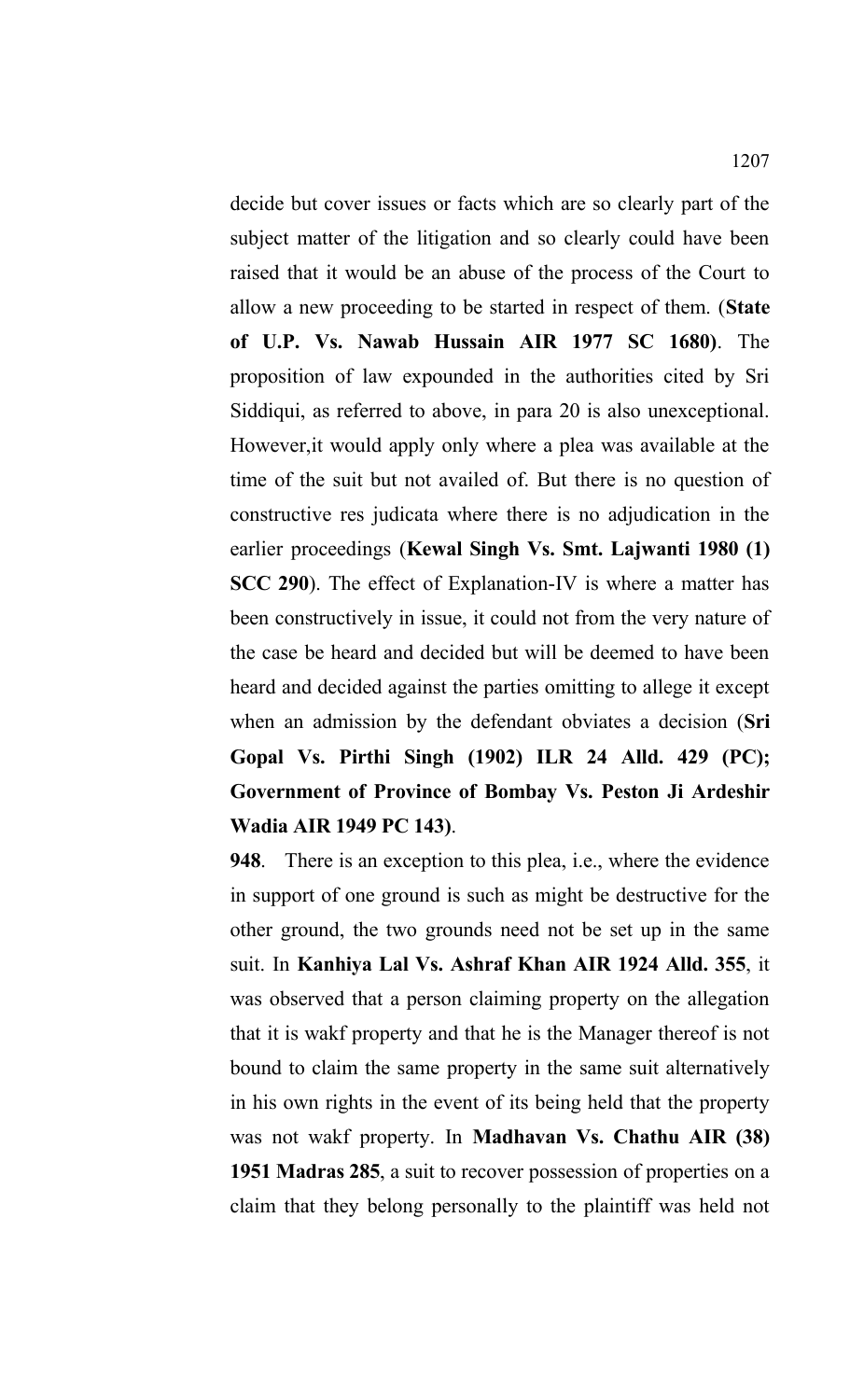decide but cover issues or facts which are so clearly part of the subject matter of the litigation and so clearly could have been raised that it would be an abuse of the process of the Court to allow a new proceeding to be started in respect of them. (**State of U.P. Vs. Nawab Hussain AIR 1977 SC 1680)**. The proposition of law expounded in the authorities cited by Sri Siddiqui, as referred to above, in para 20 is also unexceptional. However,it would apply only where a plea was available at the time of the suit but not availed of. But there is no question of constructive res judicata where there is no adjudication in the earlier proceedings (**Kewal Singh Vs. Smt. Lajwanti 1980 (1) SCC 290**). The effect of Explanation-IV is where a matter has been constructively in issue, it could not from the very nature of the case be heard and decided but will be deemed to have been heard and decided against the parties omitting to allege it except when an admission by the defendant obviates a decision (**Sri Gopal Vs. Pirthi Singh (1902) ILR 24 Alld. 429 (PC); Government of Province of Bombay Vs. Peston Ji Ardeshir Wadia AIR 1949 PC 143)**.

**948**. There is an exception to this plea, i.e., where the evidence in support of one ground is such as might be destructive for the other ground, the two grounds need not be set up in the same suit. In **Kanhiya Lal Vs. Ashraf Khan AIR 1924 Alld. 355**, it was observed that a person claiming property on the allegation that it is wakf property and that he is the Manager thereof is not bound to claim the same property in the same suit alternatively in his own rights in the event of its being held that the property was not wakf property. In **Madhavan Vs. Chathu AIR (38) 1951 Madras 285**, a suit to recover possession of properties on a claim that they belong personally to the plaintiff was held not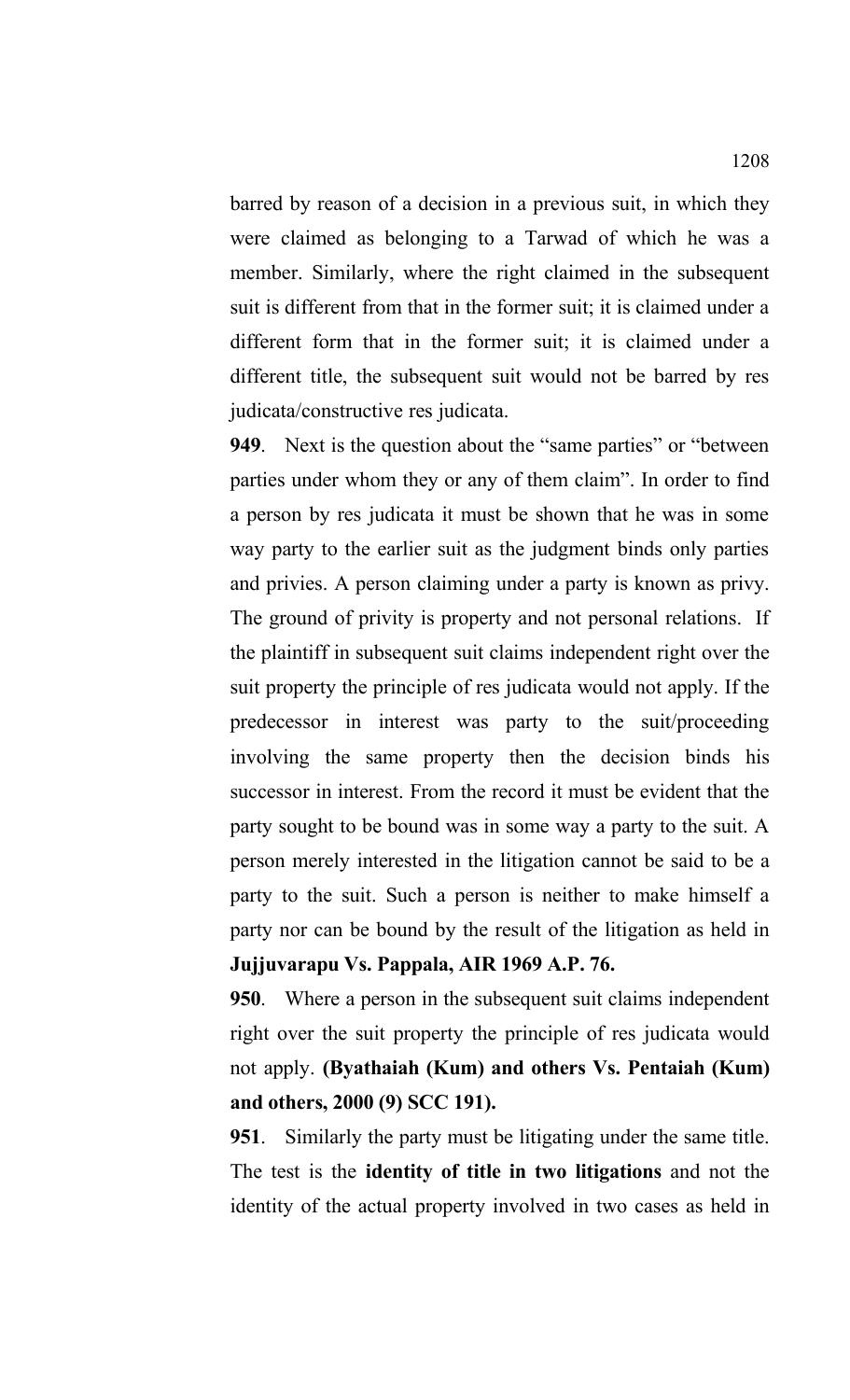barred by reason of a decision in a previous suit, in which they were claimed as belonging to a Tarwad of which he was a member. Similarly, where the right claimed in the subsequent suit is different from that in the former suit; it is claimed under a different form that in the former suit; it is claimed under a different title, the subsequent suit would not be barred by res judicata/constructive res judicata.

**949**. Next is the question about the "same parties" or "between parties under whom they or any of them claim". In order to find a person by res judicata it must be shown that he was in some way party to the earlier suit as the judgment binds only parties and privies. A person claiming under a party is known as privy. The ground of privity is property and not personal relations. If the plaintiff in subsequent suit claims independent right over the suit property the principle of res judicata would not apply. If the predecessor in interest was party to the suit/proceeding involving the same property then the decision binds his successor in interest. From the record it must be evident that the party sought to be bound was in some way a party to the suit. A person merely interested in the litigation cannot be said to be a party to the suit. Such a person is neither to make himself a party nor can be bound by the result of the litigation as held in **Jujjuvarapu Vs. Pappala, AIR 1969 A.P. 76.**

**950**. Where a person in the subsequent suit claims independent right over the suit property the principle of res judicata would not apply. **(Byathaiah (Kum) and others Vs. Pentaiah (Kum) and others, 2000 (9) SCC 191).**

**951**. Similarly the party must be litigating under the same title. The test is the **identity of title in two litigations** and not the identity of the actual property involved in two cases as held in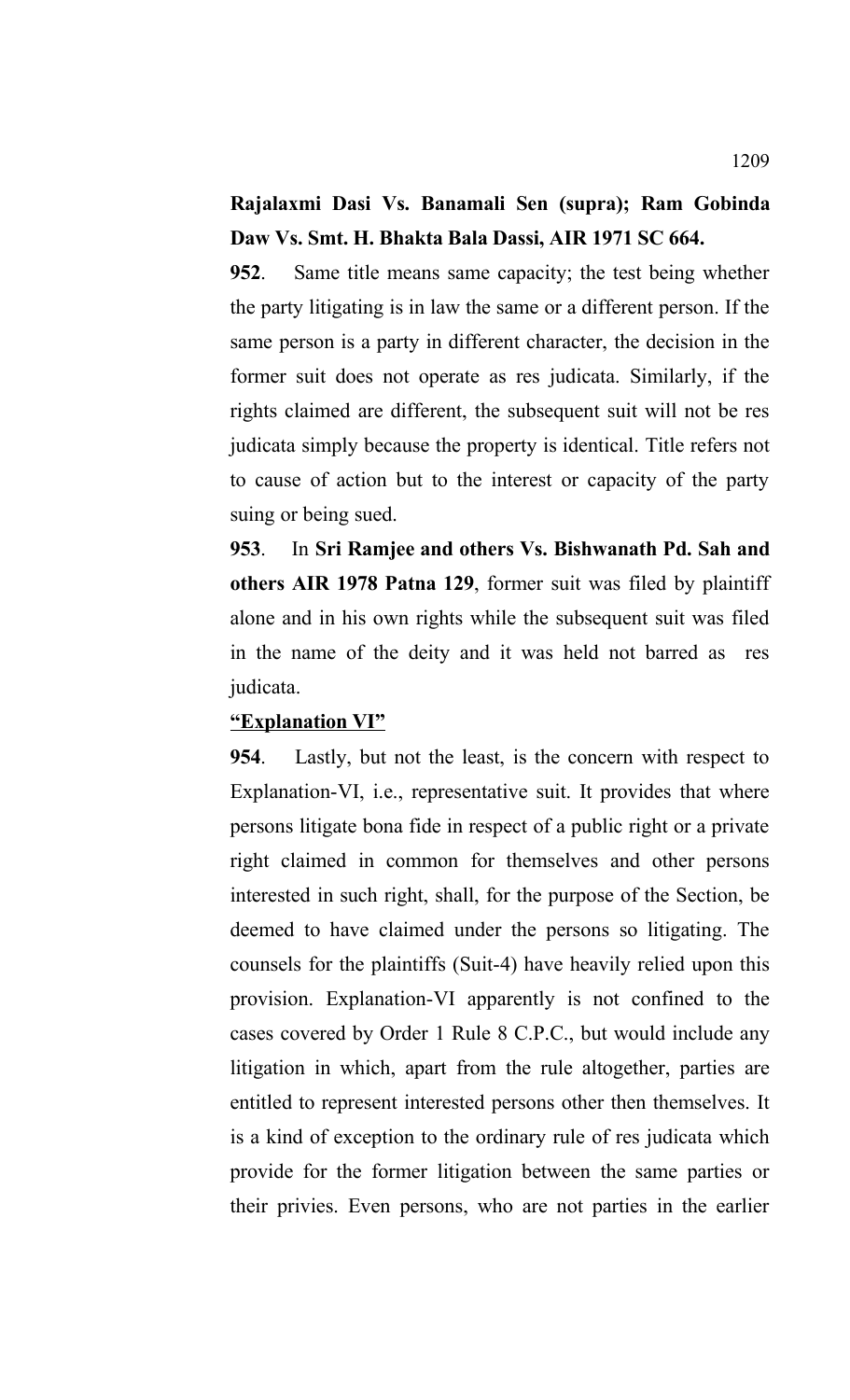## **Rajalaxmi Dasi Vs. Banamali Sen (supra); Ram Gobinda Daw Vs. Smt. H. Bhakta Bala Dassi, AIR 1971 SC 664.**

**952**. Same title means same capacity; the test being whether the party litigating is in law the same or a different person. If the same person is a party in different character, the decision in the former suit does not operate as res judicata. Similarly, if the rights claimed are different, the subsequent suit will not be res judicata simply because the property is identical. Title refers not to cause of action but to the interest or capacity of the party suing or being sued.

**953**. In **Sri Ramjee and others Vs. Bishwanath Pd. Sah and others AIR 1978 Patna 129**, former suit was filed by plaintiff alone and in his own rights while the subsequent suit was filed in the name of the deity and it was held not barred as res judicata.

#### **"Explanation VI"**

**954**. Lastly, but not the least, is the concern with respect to Explanation-VI, i.e., representative suit. It provides that where persons litigate bona fide in respect of a public right or a private right claimed in common for themselves and other persons interested in such right, shall, for the purpose of the Section, be deemed to have claimed under the persons so litigating. The counsels for the plaintiffs (Suit-4) have heavily relied upon this provision. Explanation-VI apparently is not confined to the cases covered by Order 1 Rule 8 C.P.C., but would include any litigation in which, apart from the rule altogether, parties are entitled to represent interested persons other then themselves. It is a kind of exception to the ordinary rule of res judicata which provide for the former litigation between the same parties or their privies. Even persons, who are not parties in the earlier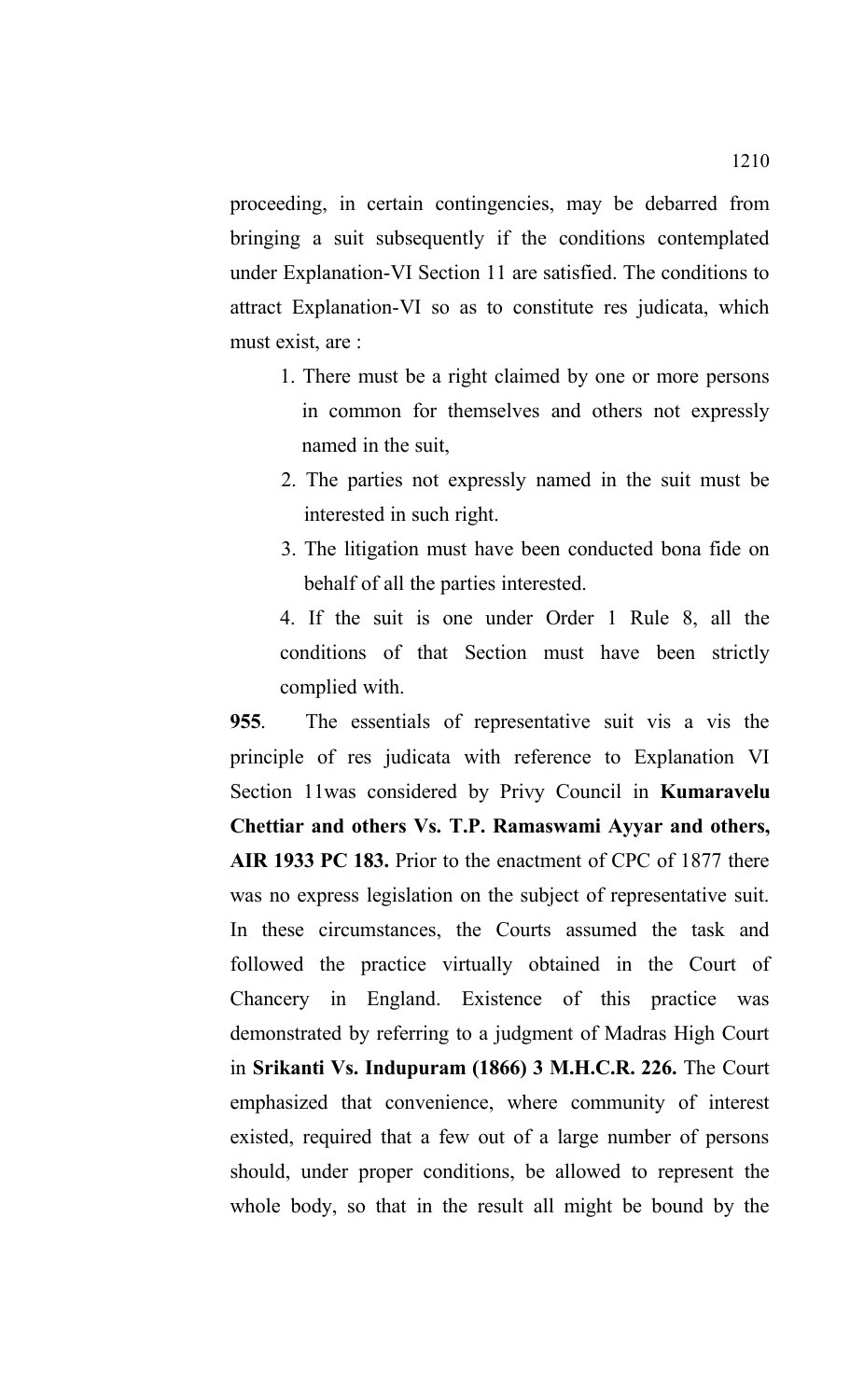proceeding, in certain contingencies, may be debarred from bringing a suit subsequently if the conditions contemplated under Explanation-VI Section 11 are satisfied. The conditions to attract Explanation-VI so as to constitute res judicata, which must exist, are :

- 1. There must be a right claimed by one or more persons in common for themselves and others not expressly named in the suit,
- 2. The parties not expressly named in the suit must be interested in such right.
- 3. The litigation must have been conducted bona fide on behalf of all the parties interested.

4. If the suit is one under Order 1 Rule 8, all the conditions of that Section must have been strictly complied with.

**955**. The essentials of representative suit vis a vis the principle of res judicata with reference to Explanation VI Section 11was considered by Privy Council in **Kumaravelu Chettiar and others Vs. T.P. Ramaswami Ayyar and others, AIR 1933 PC 183.** Prior to the enactment of CPC of 1877 there was no express legislation on the subject of representative suit. In these circumstances, the Courts assumed the task and followed the practice virtually obtained in the Court of Chancery in England. Existence of this practice was demonstrated by referring to a judgment of Madras High Court in **Srikanti Vs. Indupuram (1866) 3 M.H.C.R. 226.** The Court emphasized that convenience, where community of interest existed, required that a few out of a large number of persons should, under proper conditions, be allowed to represent the whole body, so that in the result all might be bound by the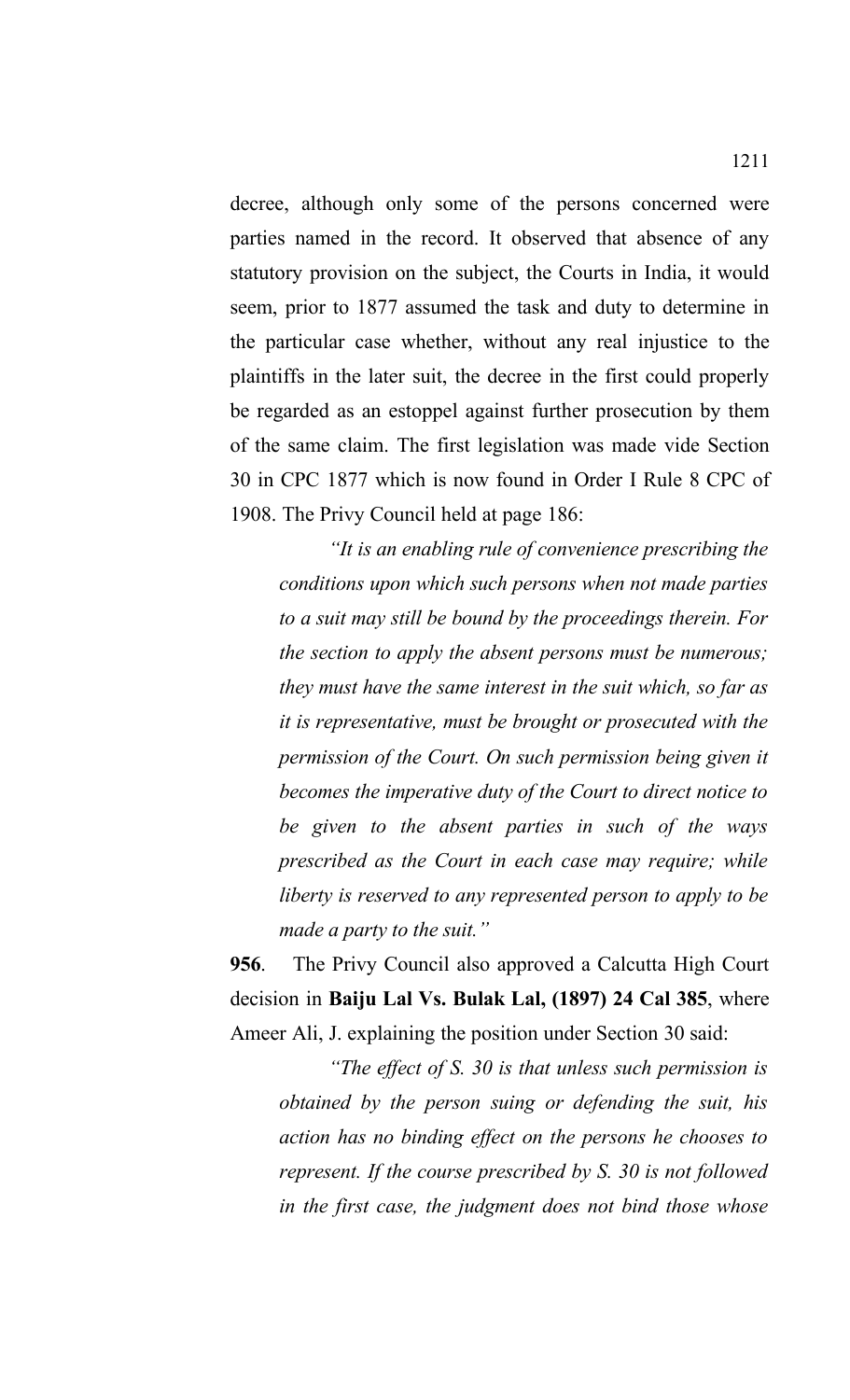decree, although only some of the persons concerned were parties named in the record. It observed that absence of any statutory provision on the subject, the Courts in India, it would seem, prior to 1877 assumed the task and duty to determine in the particular case whether, without any real injustice to the plaintiffs in the later suit, the decree in the first could properly be regarded as an estoppel against further prosecution by them of the same claim. The first legislation was made vide Section 30 in CPC 1877 which is now found in Order I Rule 8 CPC of 1908. The Privy Council held at page 186:

*"It is an enabling rule of convenience prescribing the conditions upon which such persons when not made parties to a suit may still be bound by the proceedings therein. For the section to apply the absent persons must be numerous; they must have the same interest in the suit which, so far as it is representative, must be brought or prosecuted with the permission of the Court. On such permission being given it becomes the imperative duty of the Court to direct notice to be given to the absent parties in such of the ways prescribed as the Court in each case may require; while liberty is reserved to any represented person to apply to be made a party to the suit."*

**956**. The Privy Council also approved a Calcutta High Court decision in **Baiju Lal Vs. Bulak Lal, (1897) 24 Cal 385**, where Ameer Ali, J. explaining the position under Section 30 said:

*"The effect of S. 30 is that unless such permission is obtained by the person suing or defending the suit, his action has no binding effect on the persons he chooses to represent. If the course prescribed by S. 30 is not followed in the first case, the judgment does not bind those whose*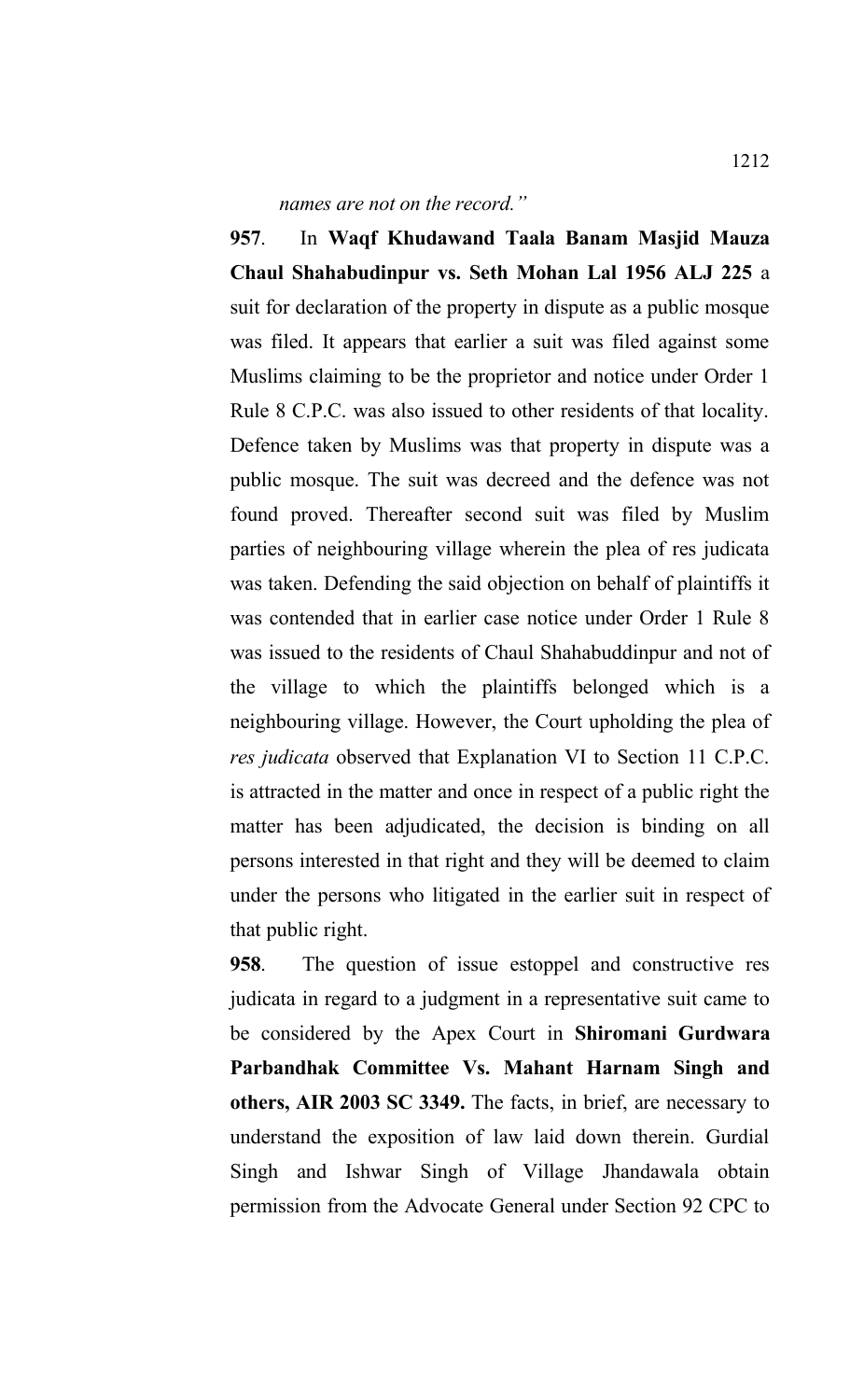*names are not on the record."*

**957**. In **Waqf Khudawand Taala Banam Masjid Mauza Chaul Shahabudinpur vs. Seth Mohan Lal 1956 ALJ 225** a suit for declaration of the property in dispute as a public mosque was filed. It appears that earlier a suit was filed against some Muslims claiming to be the proprietor and notice under Order 1 Rule 8 C.P.C. was also issued to other residents of that locality. Defence taken by Muslims was that property in dispute was a public mosque. The suit was decreed and the defence was not found proved. Thereafter second suit was filed by Muslim parties of neighbouring village wherein the plea of res judicata was taken. Defending the said objection on behalf of plaintiffs it was contended that in earlier case notice under Order 1 Rule 8 was issued to the residents of Chaul Shahabuddinpur and not of the village to which the plaintiffs belonged which is a neighbouring village. However, the Court upholding the plea of *res judicata* observed that Explanation VI to Section 11 C.P.C. is attracted in the matter and once in respect of a public right the matter has been adjudicated, the decision is binding on all persons interested in that right and they will be deemed to claim under the persons who litigated in the earlier suit in respect of that public right.

**958**. The question of issue estoppel and constructive res judicata in regard to a judgment in a representative suit came to be considered by the Apex Court in **Shiromani Gurdwara Parbandhak Committee Vs. Mahant Harnam Singh and others, AIR 2003 SC 3349.** The facts, in brief, are necessary to understand the exposition of law laid down therein. Gurdial Singh and Ishwar Singh of Village Jhandawala obtain permission from the Advocate General under Section 92 CPC to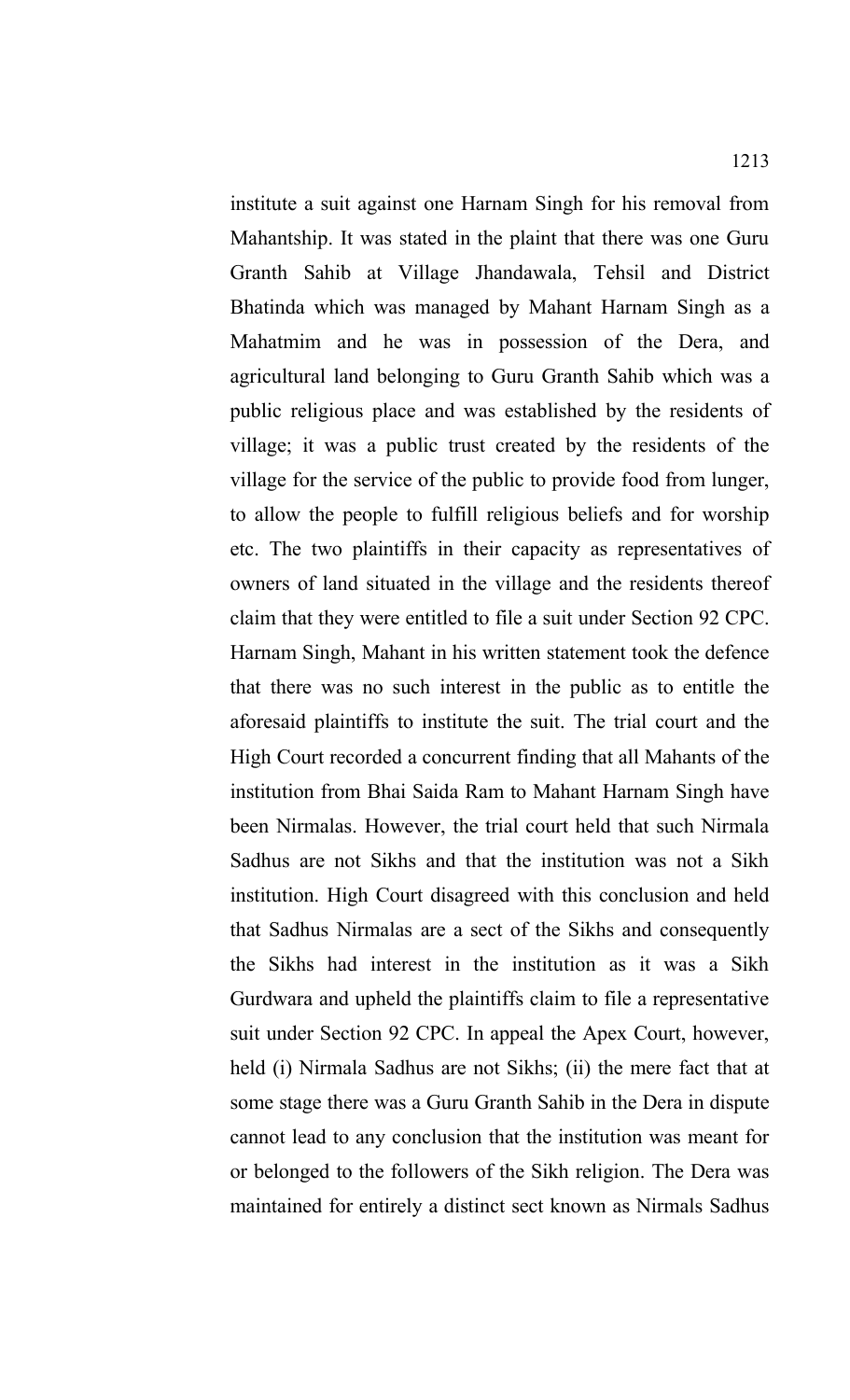institute a suit against one Harnam Singh for his removal from Mahantship. It was stated in the plaint that there was one Guru Granth Sahib at Village Jhandawala, Tehsil and District Bhatinda which was managed by Mahant Harnam Singh as a Mahatmim and he was in possession of the Dera, and agricultural land belonging to Guru Granth Sahib which was a public religious place and was established by the residents of village; it was a public trust created by the residents of the village for the service of the public to provide food from lunger, to allow the people to fulfill religious beliefs and for worship etc. The two plaintiffs in their capacity as representatives of owners of land situated in the village and the residents thereof claim that they were entitled to file a suit under Section 92 CPC. Harnam Singh, Mahant in his written statement took the defence that there was no such interest in the public as to entitle the aforesaid plaintiffs to institute the suit. The trial court and the High Court recorded a concurrent finding that all Mahants of the institution from Bhai Saida Ram to Mahant Harnam Singh have been Nirmalas. However, the trial court held that such Nirmala Sadhus are not Sikhs and that the institution was not a Sikh institution. High Court disagreed with this conclusion and held that Sadhus Nirmalas are a sect of the Sikhs and consequently the Sikhs had interest in the institution as it was a Sikh Gurdwara and upheld the plaintiffs claim to file a representative suit under Section 92 CPC. In appeal the Apex Court, however, held (i) Nirmala Sadhus are not Sikhs; (ii) the mere fact that at some stage there was a Guru Granth Sahib in the Dera in dispute cannot lead to any conclusion that the institution was meant for or belonged to the followers of the Sikh religion. The Dera was maintained for entirely a distinct sect known as Nirmals Sadhus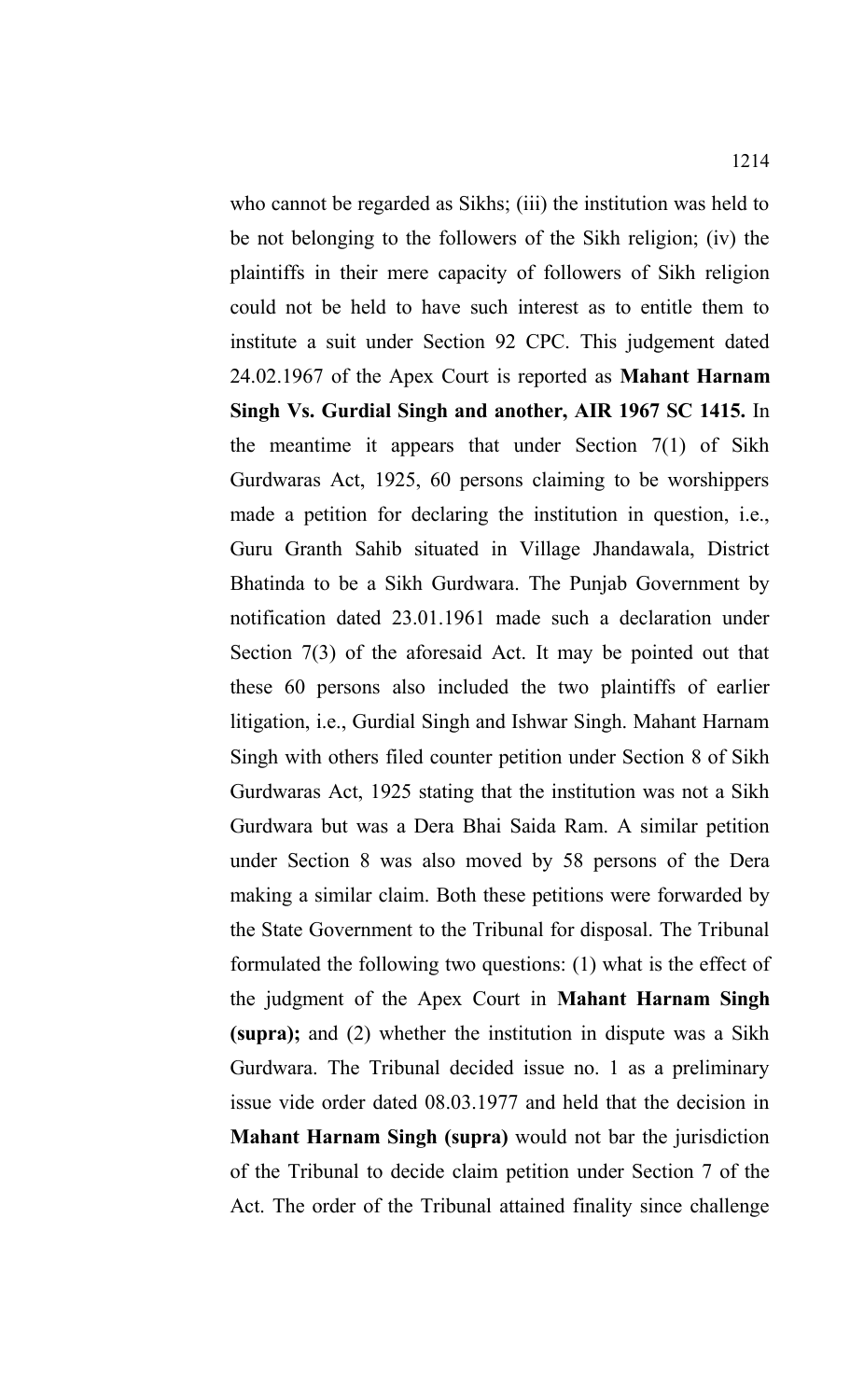who cannot be regarded as Sikhs; (iii) the institution was held to be not belonging to the followers of the Sikh religion; (iv) the plaintiffs in their mere capacity of followers of Sikh religion could not be held to have such interest as to entitle them to institute a suit under Section 92 CPC. This judgement dated 24.02.1967 of the Apex Court is reported as **Mahant Harnam Singh Vs. Gurdial Singh and another, AIR 1967 SC 1415.** In the meantime it appears that under Section 7(1) of Sikh Gurdwaras Act, 1925, 60 persons claiming to be worshippers made a petition for declaring the institution in question, i.e., Guru Granth Sahib situated in Village Jhandawala, District Bhatinda to be a Sikh Gurdwara. The Punjab Government by notification dated 23.01.1961 made such a declaration under Section 7(3) of the aforesaid Act. It may be pointed out that these 60 persons also included the two plaintiffs of earlier litigation, i.e., Gurdial Singh and Ishwar Singh. Mahant Harnam Singh with others filed counter petition under Section 8 of Sikh Gurdwaras Act, 1925 stating that the institution was not a Sikh Gurdwara but was a Dera Bhai Saida Ram. A similar petition under Section 8 was also moved by 58 persons of the Dera making a similar claim. Both these petitions were forwarded by the State Government to the Tribunal for disposal. The Tribunal formulated the following two questions: (1) what is the effect of the judgment of the Apex Court in **Mahant Harnam Singh (supra);** and (2) whether the institution in dispute was a Sikh Gurdwara. The Tribunal decided issue no. 1 as a preliminary issue vide order dated 08.03.1977 and held that the decision in **Mahant Harnam Singh (supra)** would not bar the jurisdiction of the Tribunal to decide claim petition under Section 7 of the Act. The order of the Tribunal attained finality since challenge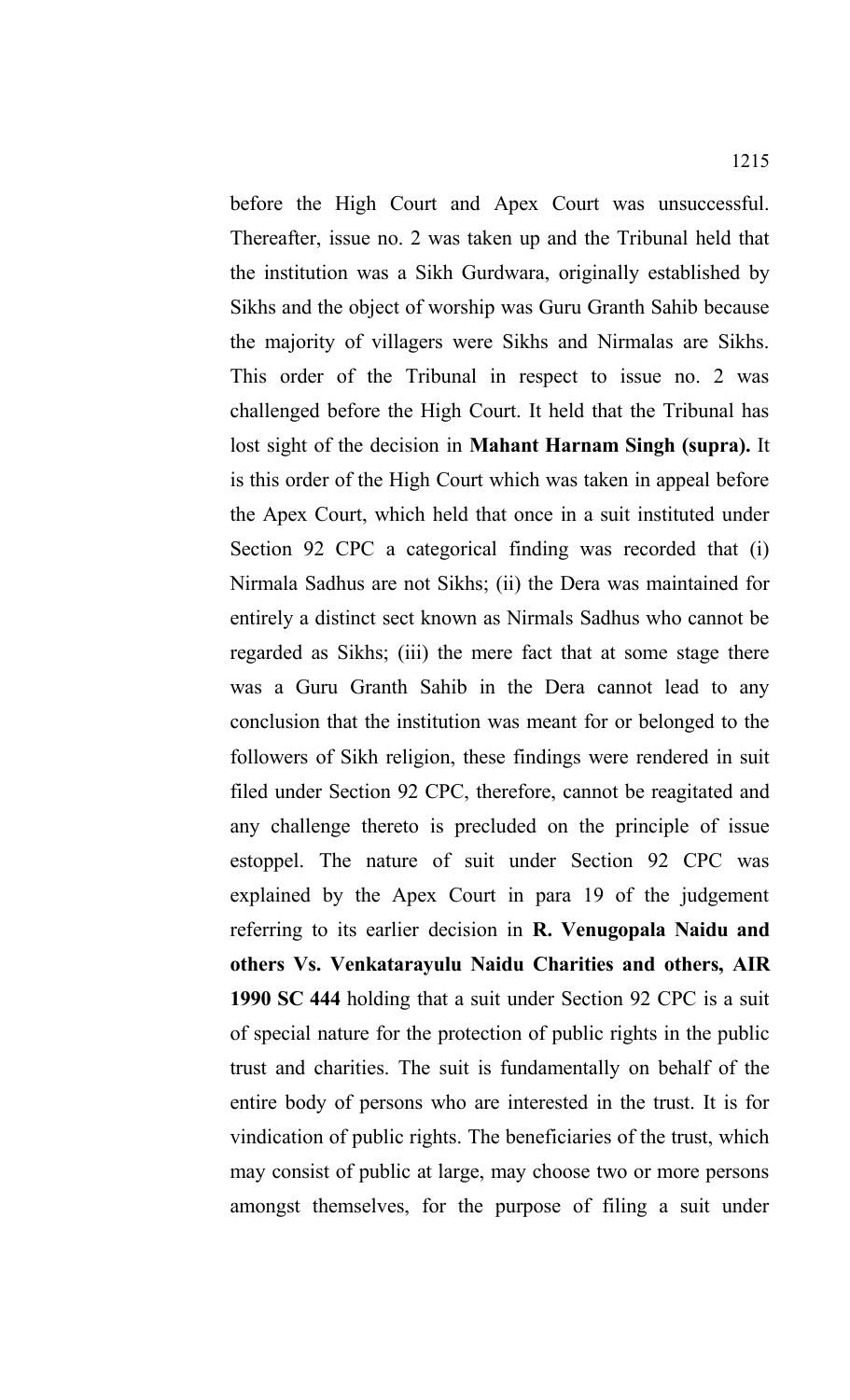before the High Court and Apex Court was unsuccessful. Thereafter, issue no. 2 was taken up and the Tribunal held that the institution was a Sikh Gurdwara, originally established by Sikhs and the object of worship was Guru Granth Sahib because the majority of villagers were Sikhs and Nirmalas are Sikhs. This order of the Tribunal in respect to issue no. 2 was challenged before the High Court. It held that the Tribunal has lost sight of the decision in **Mahant Harnam Singh (supra).** It is this order of the High Court which was taken in appeal before the Apex Court, which held that once in a suit instituted under Section 92 CPC a categorical finding was recorded that (i) Nirmala Sadhus are not Sikhs; (ii) the Dera was maintained for entirely a distinct sect known as Nirmals Sadhus who cannot be regarded as Sikhs; (iii) the mere fact that at some stage there was a Guru Granth Sahib in the Dera cannot lead to any conclusion that the institution was meant for or belonged to the followers of Sikh religion, these findings were rendered in suit filed under Section 92 CPC, therefore, cannot be reagitated and any challenge thereto is precluded on the principle of issue estoppel. The nature of suit under Section 92 CPC was explained by the Apex Court in para 19 of the judgement referring to its earlier decision in **R. Venugopala Naidu and others Vs. Venkatarayulu Naidu Charities and others, AIR 1990 SC 444** holding that a suit under Section 92 CPC is a suit of special nature for the protection of public rights in the public trust and charities. The suit is fundamentally on behalf of the entire body of persons who are interested in the trust. It is for vindication of public rights. The beneficiaries of the trust, which may consist of public at large, may choose two or more persons amongst themselves, for the purpose of filing a suit under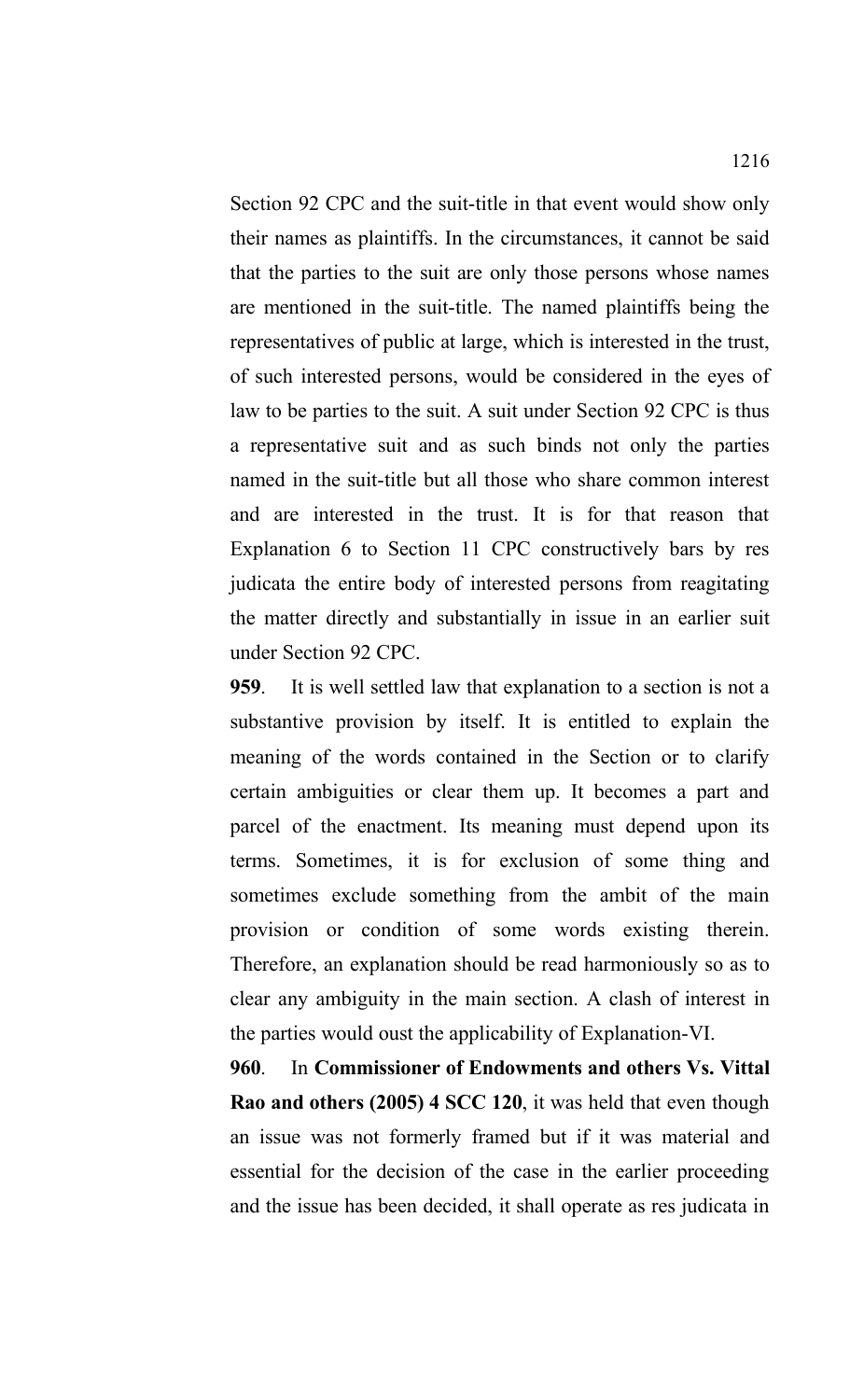Section 92 CPC and the suit-title in that event would show only their names as plaintiffs. In the circumstances, it cannot be said that the parties to the suit are only those persons whose names are mentioned in the suit-title. The named plaintiffs being the representatives of public at large, which is interested in the trust, of such interested persons, would be considered in the eyes of law to be parties to the suit. A suit under Section 92 CPC is thus a representative suit and as such binds not only the parties named in the suit-title but all those who share common interest and are interested in the trust. It is for that reason that Explanation 6 to Section 11 CPC constructively bars by res judicata the entire body of interested persons from reagitating the matter directly and substantially in issue in an earlier suit under Section 92 CPC.

**959**. It is well settled law that explanation to a section is not a substantive provision by itself. It is entitled to explain the meaning of the words contained in the Section or to clarify certain ambiguities or clear them up. It becomes a part and parcel of the enactment. Its meaning must depend upon its terms. Sometimes, it is for exclusion of some thing and sometimes exclude something from the ambit of the main provision or condition of some words existing therein. Therefore, an explanation should be read harmoniously so as to clear any ambiguity in the main section. A clash of interest in the parties would oust the applicability of Explanation-VI.

**960**. In **Commissioner of Endowments and others Vs. Vittal Rao and others (2005) 4 SCC 120**, it was held that even though an issue was not formerly framed but if it was material and essential for the decision of the case in the earlier proceeding and the issue has been decided, it shall operate as res judicata in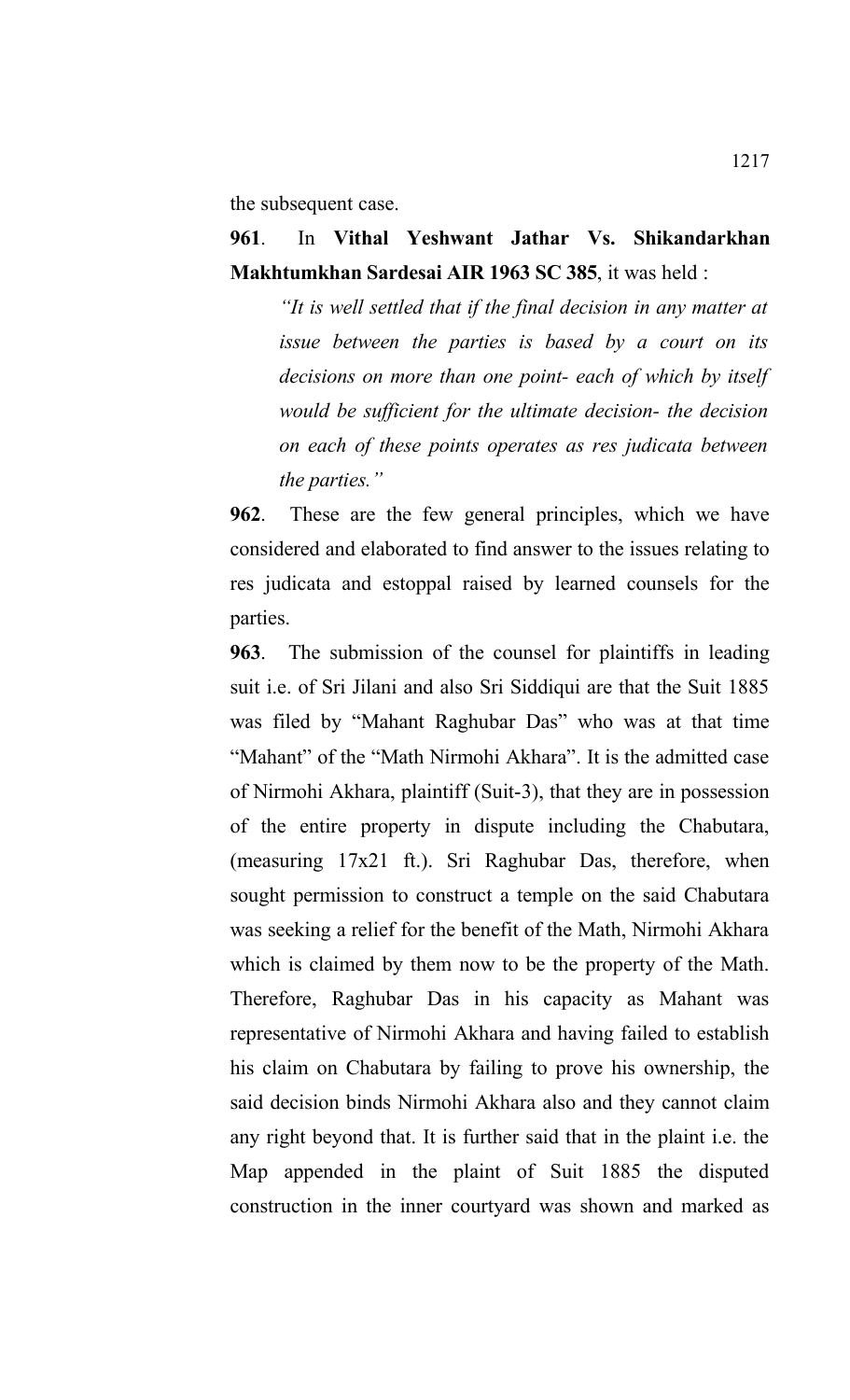the subsequent case.

# **961**. In **Vithal Yeshwant Jathar Vs. Shikandarkhan Makhtumkhan Sardesai AIR 1963 SC 385**, it was held :

*"It is well settled that if the final decision in any matter at issue between the parties is based by a court on its decisions on more than one point- each of which by itself would be sufficient for the ultimate decision- the decision on each of these points operates as res judicata between the parties."*

**962**. These are the few general principles, which we have considered and elaborated to find answer to the issues relating to res judicata and estoppal raised by learned counsels for the parties.

**963**. The submission of the counsel for plaintiffs in leading suit i.e. of Sri Jilani and also Sri Siddiqui are that the Suit 1885 was filed by "Mahant Raghubar Das" who was at that time "Mahant" of the "Math Nirmohi Akhara". It is the admitted case of Nirmohi Akhara, plaintiff (Suit-3), that they are in possession of the entire property in dispute including the Chabutara, (measuring 17x21 ft.). Sri Raghubar Das, therefore, when sought permission to construct a temple on the said Chabutara was seeking a relief for the benefit of the Math, Nirmohi Akhara which is claimed by them now to be the property of the Math. Therefore, Raghubar Das in his capacity as Mahant was representative of Nirmohi Akhara and having failed to establish his claim on Chabutara by failing to prove his ownership, the said decision binds Nirmohi Akhara also and they cannot claim any right beyond that. It is further said that in the plaint i.e. the Map appended in the plaint of Suit 1885 the disputed construction in the inner courtyard was shown and marked as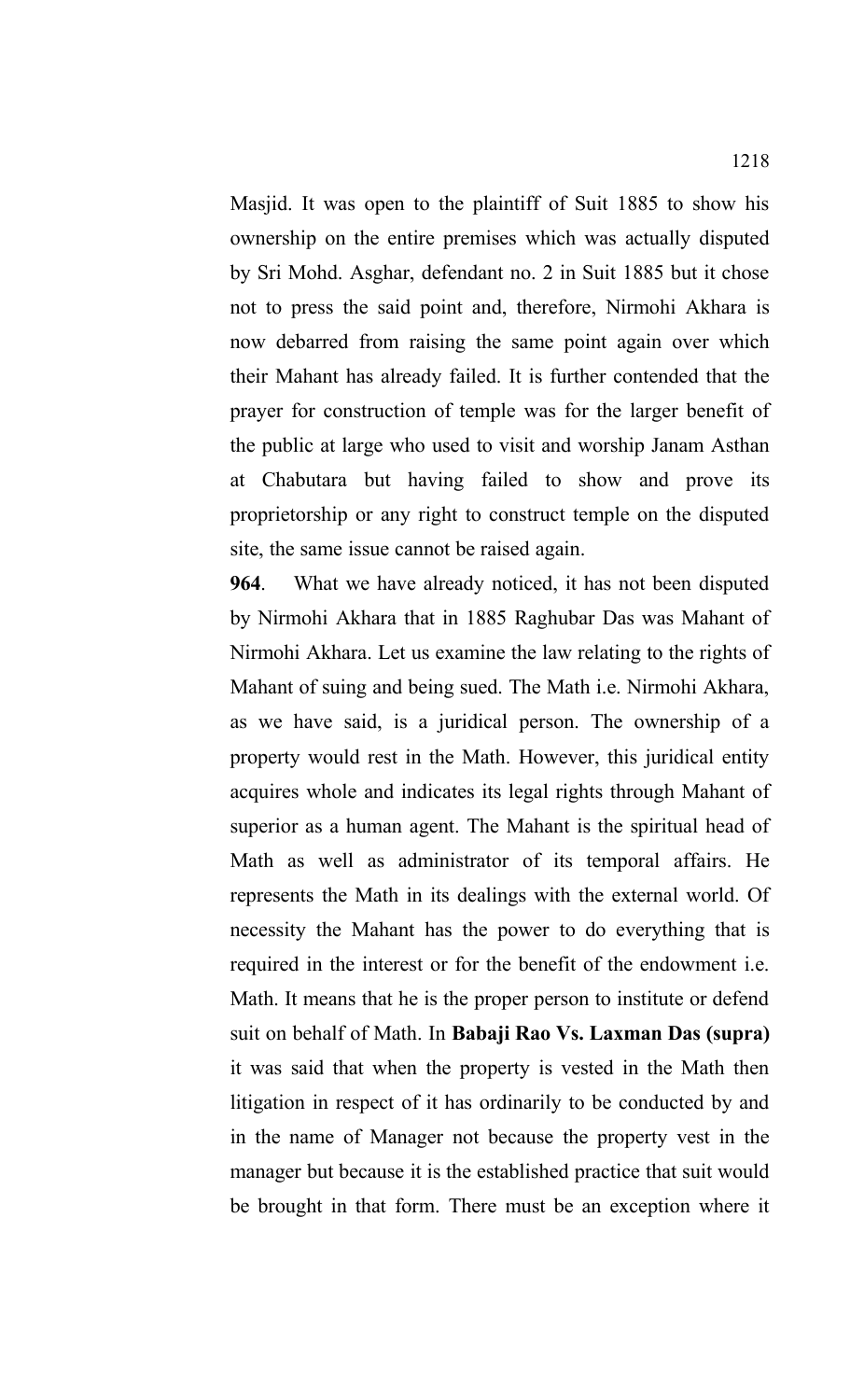Masjid. It was open to the plaintiff of Suit 1885 to show his ownership on the entire premises which was actually disputed by Sri Mohd. Asghar, defendant no. 2 in Suit 1885 but it chose not to press the said point and, therefore, Nirmohi Akhara is now debarred from raising the same point again over which their Mahant has already failed. It is further contended that the prayer for construction of temple was for the larger benefit of the public at large who used to visit and worship Janam Asthan at Chabutara but having failed to show and prove its proprietorship or any right to construct temple on the disputed site, the same issue cannot be raised again.

**964**. What we have already noticed, it has not been disputed by Nirmohi Akhara that in 1885 Raghubar Das was Mahant of Nirmohi Akhara. Let us examine the law relating to the rights of Mahant of suing and being sued. The Math i.e. Nirmohi Akhara, as we have said, is a juridical person. The ownership of a property would rest in the Math. However, this juridical entity acquires whole and indicates its legal rights through Mahant of superior as a human agent. The Mahant is the spiritual head of Math as well as administrator of its temporal affairs. He represents the Math in its dealings with the external world. Of necessity the Mahant has the power to do everything that is required in the interest or for the benefit of the endowment i.e. Math. It means that he is the proper person to institute or defend suit on behalf of Math. In **Babaji Rao Vs. Laxman Das (supra)** it was said that when the property is vested in the Math then litigation in respect of it has ordinarily to be conducted by and in the name of Manager not because the property vest in the manager but because it is the established practice that suit would be brought in that form. There must be an exception where it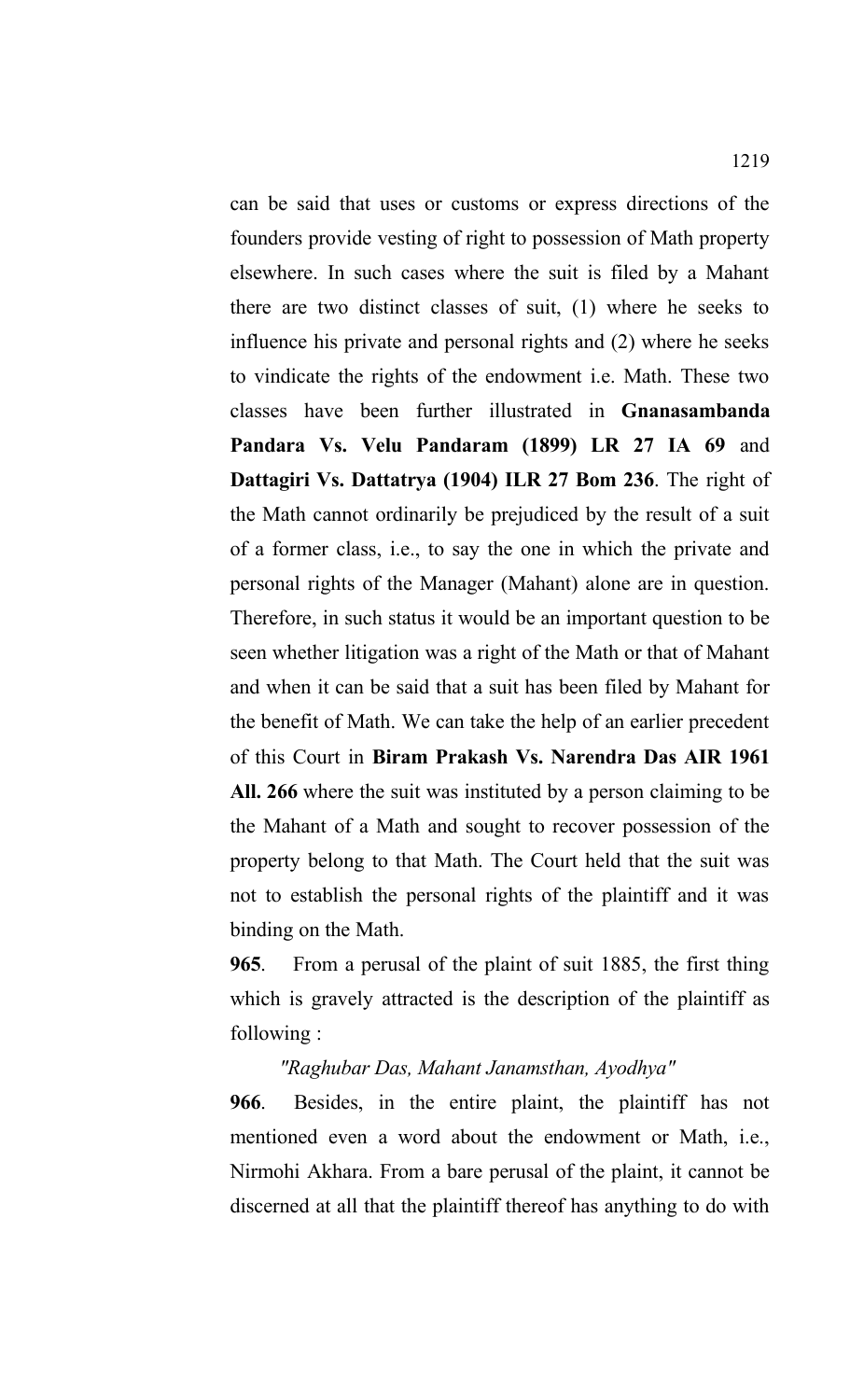can be said that uses or customs or express directions of the founders provide vesting of right to possession of Math property elsewhere. In such cases where the suit is filed by a Mahant there are two distinct classes of suit, (1) where he seeks to influence his private and personal rights and (2) where he seeks to vindicate the rights of the endowment i.e. Math. These two classes have been further illustrated in **Gnanasambanda Pandara Vs. Velu Pandaram (1899) LR 27 IA 69** and **Dattagiri Vs. Dattatrya (1904) ILR 27 Bom 236**. The right of the Math cannot ordinarily be prejudiced by the result of a suit of a former class, i.e., to say the one in which the private and personal rights of the Manager (Mahant) alone are in question. Therefore, in such status it would be an important question to be seen whether litigation was a right of the Math or that of Mahant and when it can be said that a suit has been filed by Mahant for the benefit of Math. We can take the help of an earlier precedent of this Court in **Biram Prakash Vs. Narendra Das AIR 1961 All. 266** where the suit was instituted by a person claiming to be the Mahant of a Math and sought to recover possession of the property belong to that Math. The Court held that the suit was not to establish the personal rights of the plaintiff and it was binding on the Math.

**965**. From a perusal of the plaint of suit 1885, the first thing which is gravely attracted is the description of the plaintiff as following :

## *"Raghubar Das, Mahant Janamsthan, Ayodhya"*

**966**. Besides, in the entire plaint, the plaintiff has not mentioned even a word about the endowment or Math, i.e., Nirmohi Akhara. From a bare perusal of the plaint, it cannot be discerned at all that the plaintiff thereof has anything to do with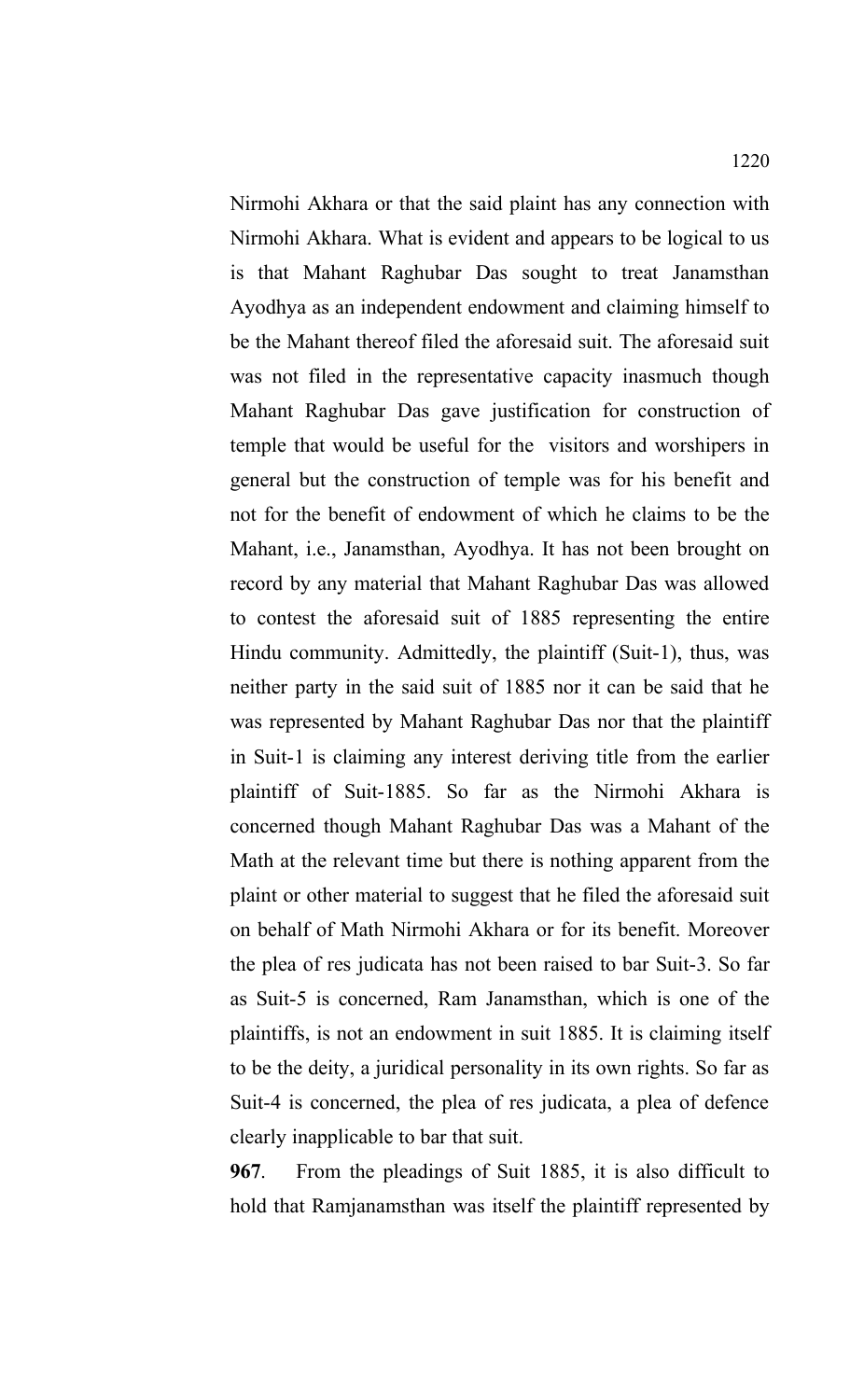Nirmohi Akhara or that the said plaint has any connection with Nirmohi Akhara. What is evident and appears to be logical to us is that Mahant Raghubar Das sought to treat Janamsthan Ayodhya as an independent endowment and claiming himself to be the Mahant thereof filed the aforesaid suit. The aforesaid suit was not filed in the representative capacity inasmuch though Mahant Raghubar Das gave justification for construction of temple that would be useful for the visitors and worshipers in general but the construction of temple was for his benefit and not for the benefit of endowment of which he claims to be the Mahant, i.e., Janamsthan, Ayodhya. It has not been brought on record by any material that Mahant Raghubar Das was allowed to contest the aforesaid suit of 1885 representing the entire Hindu community. Admittedly, the plaintiff (Suit-1), thus, was neither party in the said suit of 1885 nor it can be said that he was represented by Mahant Raghubar Das nor that the plaintiff in Suit-1 is claiming any interest deriving title from the earlier plaintiff of Suit-1885. So far as the Nirmohi Akhara is concerned though Mahant Raghubar Das was a Mahant of the Math at the relevant time but there is nothing apparent from the plaint or other material to suggest that he filed the aforesaid suit on behalf of Math Nirmohi Akhara or for its benefit. Moreover the plea of res judicata has not been raised to bar Suit-3. So far as Suit-5 is concerned, Ram Janamsthan, which is one of the plaintiffs, is not an endowment in suit 1885. It is claiming itself to be the deity, a juridical personality in its own rights. So far as Suit-4 is concerned, the plea of res judicata, a plea of defence clearly inapplicable to bar that suit.

**967**. From the pleadings of Suit 1885, it is also difficult to hold that Ramjanamsthan was itself the plaintiff represented by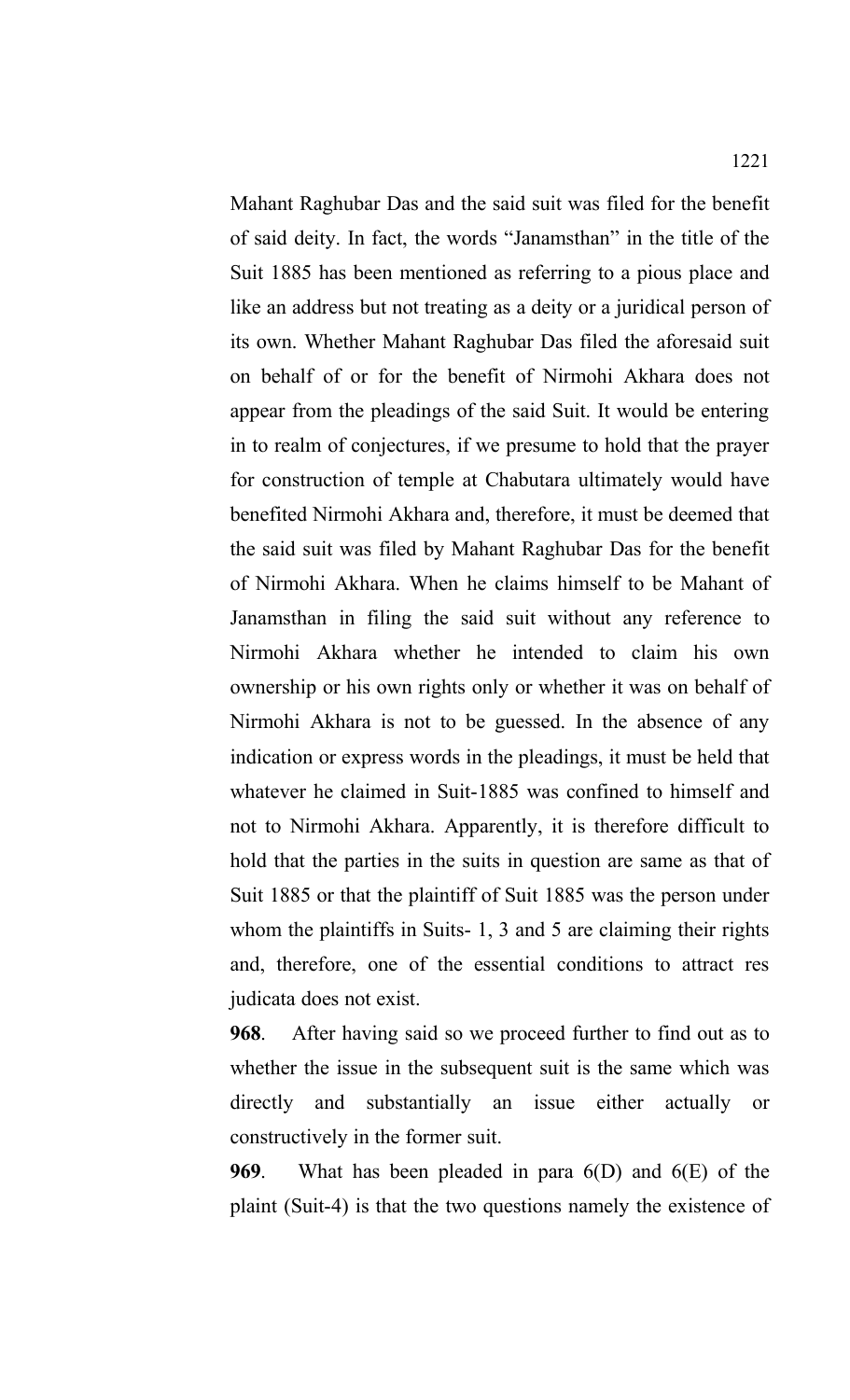Mahant Raghubar Das and the said suit was filed for the benefit of said deity. In fact, the words "Janamsthan" in the title of the Suit 1885 has been mentioned as referring to a pious place and like an address but not treating as a deity or a juridical person of its own. Whether Mahant Raghubar Das filed the aforesaid suit on behalf of or for the benefit of Nirmohi Akhara does not appear from the pleadings of the said Suit. It would be entering in to realm of conjectures, if we presume to hold that the prayer for construction of temple at Chabutara ultimately would have benefited Nirmohi Akhara and, therefore, it must be deemed that the said suit was filed by Mahant Raghubar Das for the benefit of Nirmohi Akhara. When he claims himself to be Mahant of Janamsthan in filing the said suit without any reference to Nirmohi Akhara whether he intended to claim his own ownership or his own rights only or whether it was on behalf of Nirmohi Akhara is not to be guessed. In the absence of any indication or express words in the pleadings, it must be held that whatever he claimed in Suit-1885 was confined to himself and not to Nirmohi Akhara. Apparently, it is therefore difficult to hold that the parties in the suits in question are same as that of

Suit 1885 or that the plaintiff of Suit 1885 was the person under whom the plaintiffs in Suits- 1, 3 and 5 are claiming their rights and, therefore, one of the essential conditions to attract res judicata does not exist.

**968**. After having said so we proceed further to find out as to whether the issue in the subsequent suit is the same which was directly and substantially an issue either actually or constructively in the former suit.

**969**. What has been pleaded in para 6(D) and 6(E) of the plaint (Suit-4) is that the two questions namely the existence of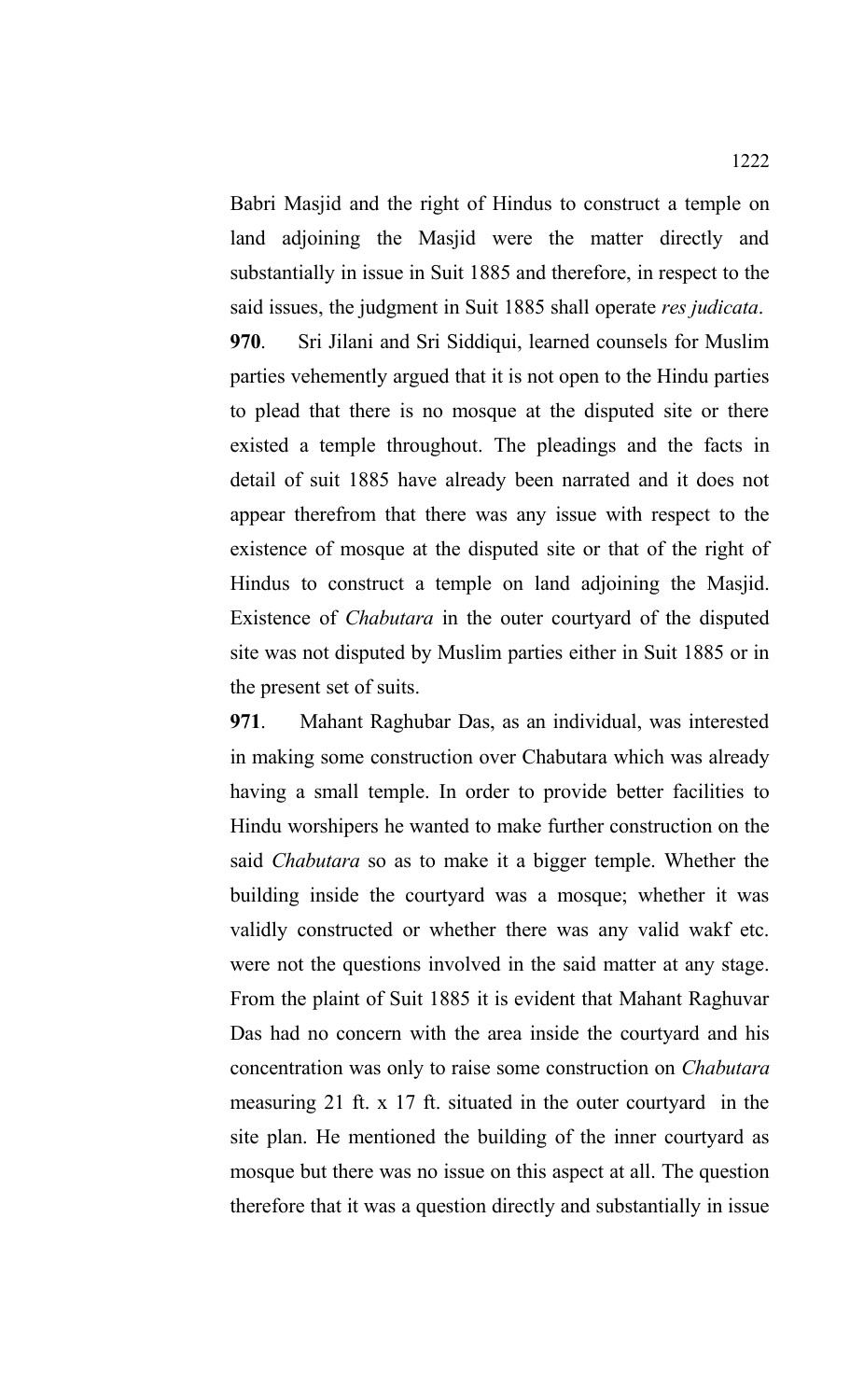Babri Masjid and the right of Hindus to construct a temple on land adjoining the Masjid were the matter directly and substantially in issue in Suit 1885 and therefore, in respect to the said issues, the judgment in Suit 1885 shall operate *res judicata*.

**970**. Sri Jilani and Sri Siddiqui, learned counsels for Muslim parties vehemently argued that it is not open to the Hindu parties to plead that there is no mosque at the disputed site or there existed a temple throughout. The pleadings and the facts in detail of suit 1885 have already been narrated and it does not appear therefrom that there was any issue with respect to the existence of mosque at the disputed site or that of the right of Hindus to construct a temple on land adjoining the Masjid. Existence of *Chabutara* in the outer courtyard of the disputed site was not disputed by Muslim parties either in Suit 1885 or in the present set of suits.

**971**. Mahant Raghubar Das, as an individual, was interested in making some construction over Chabutara which was already having a small temple. In order to provide better facilities to Hindu worshipers he wanted to make further construction on the said *Chabutara* so as to make it a bigger temple. Whether the building inside the courtyard was a mosque; whether it was validly constructed or whether there was any valid wakf etc. were not the questions involved in the said matter at any stage. From the plaint of Suit 1885 it is evident that Mahant Raghuvar Das had no concern with the area inside the courtyard and his concentration was only to raise some construction on *Chabutara* measuring 21 ft. x 17 ft. situated in the outer courtyard in the site plan. He mentioned the building of the inner courtyard as mosque but there was no issue on this aspect at all. The question therefore that it was a question directly and substantially in issue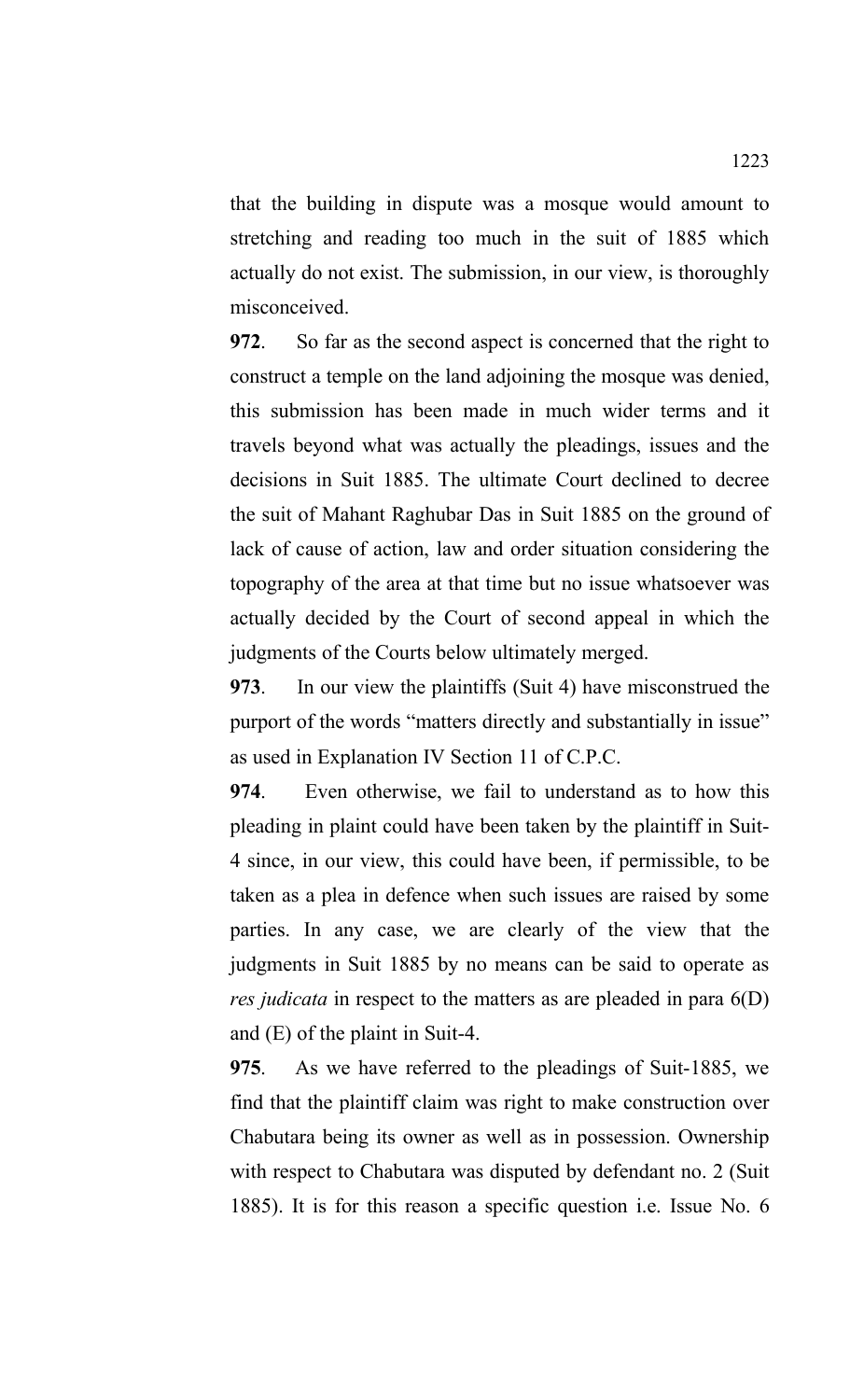that the building in dispute was a mosque would amount to stretching and reading too much in the suit of 1885 which actually do not exist. The submission, in our view, is thoroughly misconceived.

**972**. So far as the second aspect is concerned that the right to construct a temple on the land adjoining the mosque was denied, this submission has been made in much wider terms and it travels beyond what was actually the pleadings, issues and the decisions in Suit 1885. The ultimate Court declined to decree the suit of Mahant Raghubar Das in Suit 1885 on the ground of lack of cause of action, law and order situation considering the topography of the area at that time but no issue whatsoever was actually decided by the Court of second appeal in which the judgments of the Courts below ultimately merged.

**973**. In our view the plaintiffs (Suit 4) have misconstrued the purport of the words "matters directly and substantially in issue" as used in Explanation IV Section 11 of C.P.C.

**974**. Even otherwise, we fail to understand as to how this pleading in plaint could have been taken by the plaintiff in Suit-4 since, in our view, this could have been, if permissible, to be taken as a plea in defence when such issues are raised by some parties. In any case, we are clearly of the view that the judgments in Suit 1885 by no means can be said to operate as *res judicata* in respect to the matters as are pleaded in para 6(D) and (E) of the plaint in Suit-4.

**975**. As we have referred to the pleadings of Suit-1885, we find that the plaintiff claim was right to make construction over Chabutara being its owner as well as in possession. Ownership with respect to Chabutara was disputed by defendant no. 2 (Suit 1885). It is for this reason a specific question i.e. Issue No. 6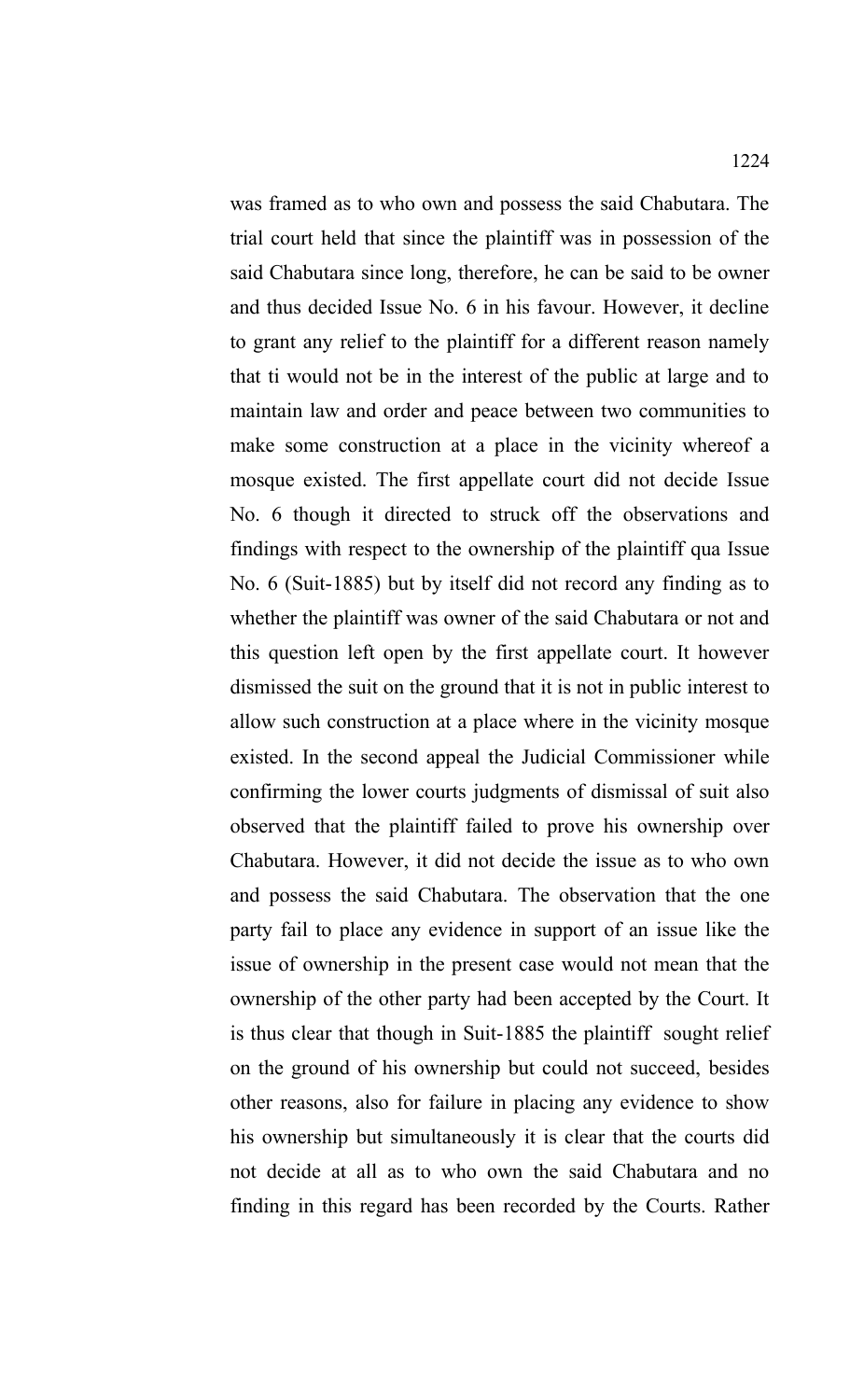was framed as to who own and possess the said Chabutara. The trial court held that since the plaintiff was in possession of the said Chabutara since long, therefore, he can be said to be owner and thus decided Issue No. 6 in his favour. However, it decline to grant any relief to the plaintiff for a different reason namely that ti would not be in the interest of the public at large and to maintain law and order and peace between two communities to make some construction at a place in the vicinity whereof a mosque existed. The first appellate court did not decide Issue No. 6 though it directed to struck off the observations and findings with respect to the ownership of the plaintiff qua Issue No. 6 (Suit-1885) but by itself did not record any finding as to whether the plaintiff was owner of the said Chabutara or not and this question left open by the first appellate court. It however dismissed the suit on the ground that it is not in public interest to allow such construction at a place where in the vicinity mosque existed. In the second appeal the Judicial Commissioner while confirming the lower courts judgments of dismissal of suit also observed that the plaintiff failed to prove his ownership over Chabutara. However, it did not decide the issue as to who own and possess the said Chabutara. The observation that the one party fail to place any evidence in support of an issue like the issue of ownership in the present case would not mean that the ownership of the other party had been accepted by the Court. It is thus clear that though in Suit-1885 the plaintiff sought relief on the ground of his ownership but could not succeed, besides other reasons, also for failure in placing any evidence to show his ownership but simultaneously it is clear that the courts did not decide at all as to who own the said Chabutara and no finding in this regard has been recorded by the Courts. Rather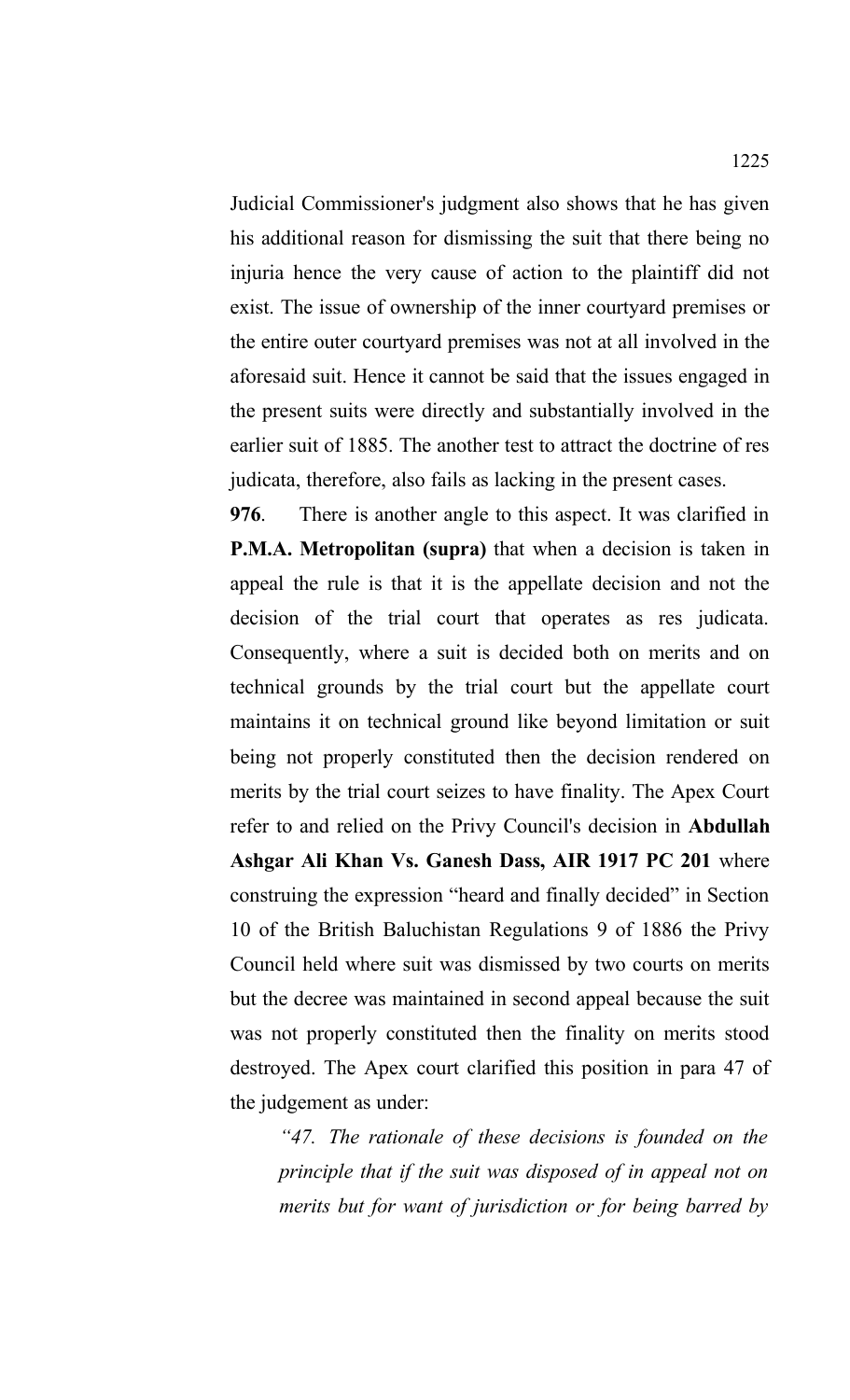Judicial Commissioner's judgment also shows that he has given his additional reason for dismissing the suit that there being no injuria hence the very cause of action to the plaintiff did not exist. The issue of ownership of the inner courtyard premises or the entire outer courtyard premises was not at all involved in the aforesaid suit. Hence it cannot be said that the issues engaged in the present suits were directly and substantially involved in the earlier suit of 1885. The another test to attract the doctrine of res judicata, therefore, also fails as lacking in the present cases.

**976**. There is another angle to this aspect. It was clarified in **P.M.A. Metropolitan (supra)** that when a decision is taken in appeal the rule is that it is the appellate decision and not the decision of the trial court that operates as res judicata. Consequently, where a suit is decided both on merits and on technical grounds by the trial court but the appellate court maintains it on technical ground like beyond limitation or suit being not properly constituted then the decision rendered on merits by the trial court seizes to have finality. The Apex Court refer to and relied on the Privy Council's decision in **Abdullah Ashgar Ali Khan Vs. Ganesh Dass, AIR 1917 PC 201** where construing the expression "heard and finally decided" in Section 10 of the British Baluchistan Regulations 9 of 1886 the Privy Council held where suit was dismissed by two courts on merits but the decree was maintained in second appeal because the suit was not properly constituted then the finality on merits stood destroyed. The Apex court clarified this position in para 47 of the judgement as under:

*"47. The rationale of these decisions is founded on the principle that if the suit was disposed of in appeal not on merits but for want of jurisdiction or for being barred by*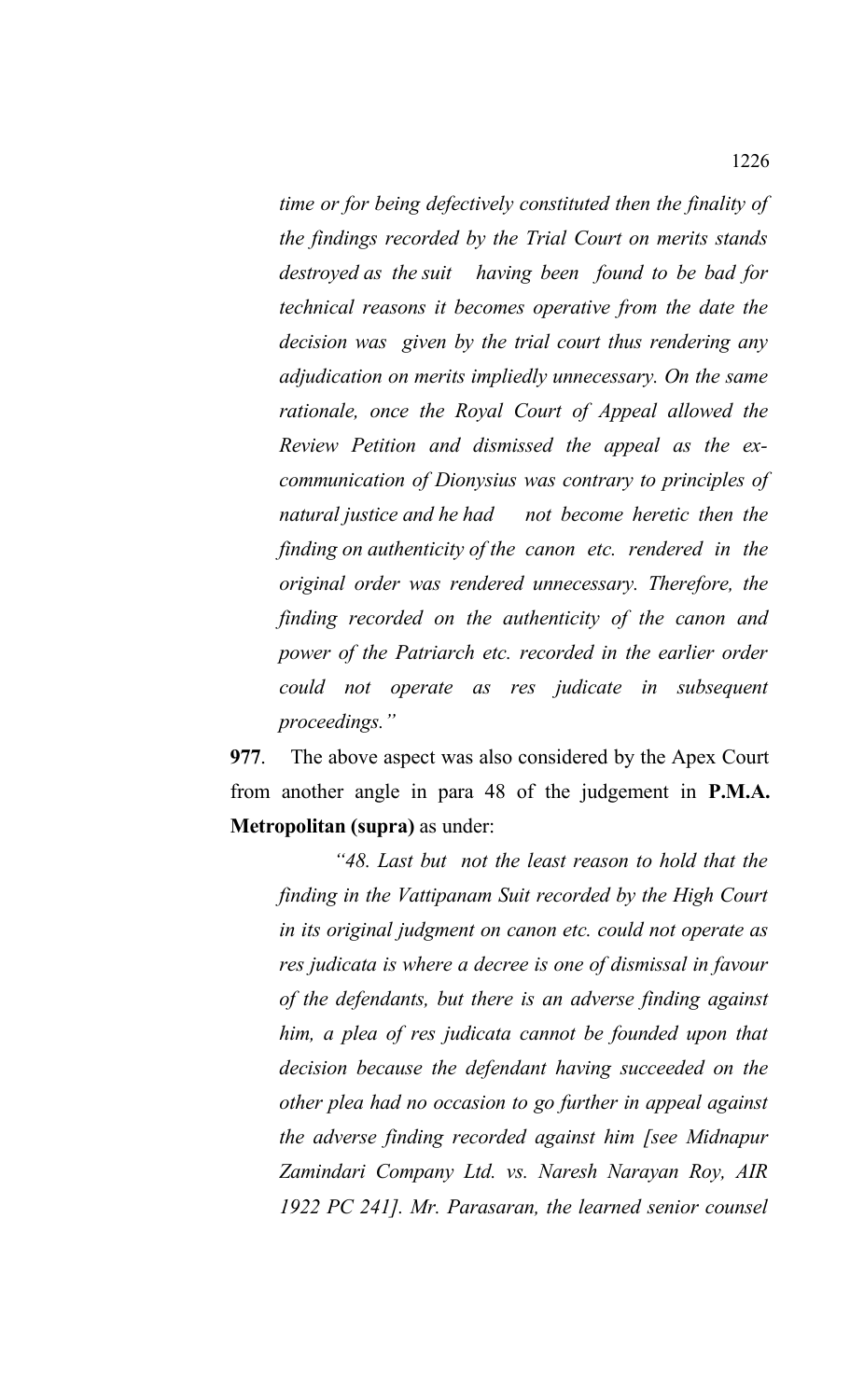*time or for being defectively constituted then the finality of the findings recorded by the Trial Court on merits stands destroyed as the suit having been found to be bad for technical reasons it becomes operative from the date the decision was given by the trial court thus rendering any adjudication on merits impliedly unnecessary. On the same rationale, once the Royal Court of Appeal allowed the Review Petition and dismissed the appeal as the excommunication of Dionysius was contrary to principles of natural justice and he had not become heretic then the finding on authenticity of the canon etc. rendered in the original order was rendered unnecessary. Therefore, the finding recorded on the authenticity of the canon and power of the Patriarch etc. recorded in the earlier order could not operate as res judicate in subsequent proceedings."*

**977**. The above aspect was also considered by the Apex Court from another angle in para 48 of the judgement in **P.M.A. Metropolitan (supra)** as under:

 *"48. Last but not the least reason to hold that the finding in the Vattipanam Suit recorded by the High Court in its original judgment on canon etc. could not operate as res judicata is where a decree is one of dismissal in favour of the defendants, but there is an adverse finding against him, a plea of res judicata cannot be founded upon that decision because the defendant having succeeded on the other plea had no occasion to go further in appeal against the adverse finding recorded against him [see Midnapur Zamindari Company Ltd. vs. Naresh Narayan Roy, AIR 1922 PC 241]. Mr. Parasaran, the learned senior counsel*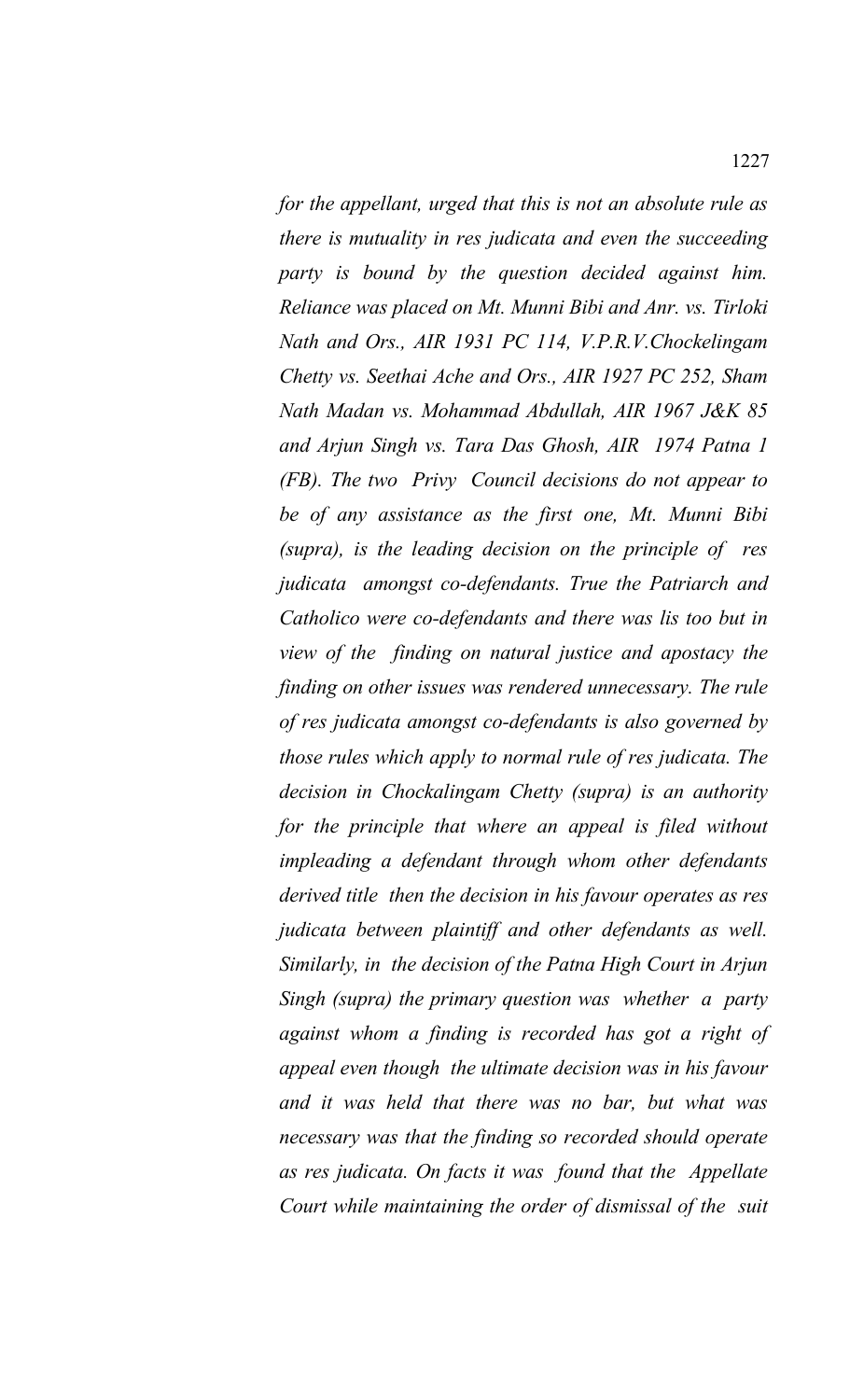*for the appellant, urged that this is not an absolute rule as there is mutuality in res judicata and even the succeeding party is bound by the question decided against him. Reliance was placed on Mt. Munni Bibi and Anr. vs. Tirloki Nath and Ors., AIR 1931 PC 114, V.P.R.V.Chockelingam Chetty vs. Seethai Ache and Ors., AIR 1927 PC 252, Sham Nath Madan vs. Mohammad Abdullah, AIR 1967 J&K 85 and Arjun Singh vs. Tara Das Ghosh, AIR 1974 Patna 1 (FB). The two Privy Council decisions do not appear to be of any assistance as the first one, Mt. Munni Bibi (supra), is the leading decision on the principle of res judicata amongst co-defendants. True the Patriarch and Catholico were co-defendants and there was lis too but in view of the finding on natural justice and apostacy the finding on other issues was rendered unnecessary. The rule of res judicata amongst co-defendants is also governed by those rules which apply to normal rule of res judicata. The decision in Chockalingam Chetty (supra) is an authority for the principle that where an appeal is filed without impleading a defendant through whom other defendants derived title then the decision in his favour operates as res judicata between plaintiff and other defendants as well. Similarly, in the decision of the Patna High Court in Arjun Singh (supra) the primary question was whether a party against whom a finding is recorded has got a right of appeal even though the ultimate decision was in his favour and it was held that there was no bar, but what was necessary was that the finding so recorded should operate as res judicata. On facts it was found that the Appellate Court while maintaining the order of dismissal of the suit*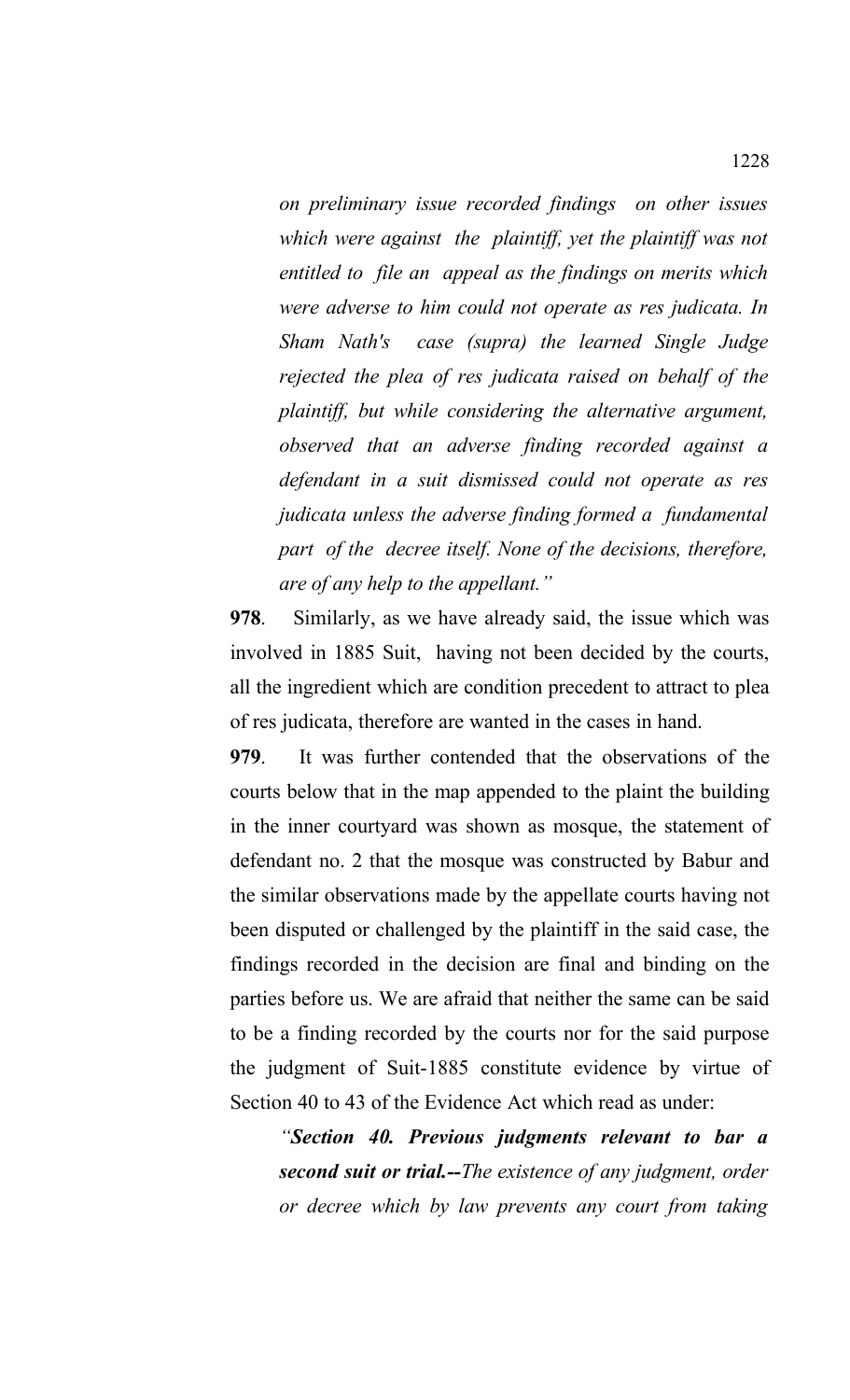*on preliminary issue recorded findings on other issues which were against the plaintiff, yet the plaintiff was not entitled to file an appeal as the findings on merits which were adverse to him could not operate as res judicata. In Sham Nath's case (supra) the learned Single Judge rejected the plea of res judicata raised on behalf of the plaintiff, but while considering the alternative argument, observed that an adverse finding recorded against a defendant in a suit dismissed could not operate as res judicata unless the adverse finding formed a fundamental part of the decree itself. None of the decisions, therefore, are of any help to the appellant."*

**978**. Similarly, as we have already said, the issue which was involved in 1885 Suit, having not been decided by the courts, all the ingredient which are condition precedent to attract to plea of res judicata, therefore are wanted in the cases in hand.

**979**. It was further contended that the observations of the courts below that in the map appended to the plaint the building in the inner courtyard was shown as mosque, the statement of defendant no. 2 that the mosque was constructed by Babur and the similar observations made by the appellate courts having not been disputed or challenged by the plaintiff in the said case, the findings recorded in the decision are final and binding on the parties before us. We are afraid that neither the same can be said to be a finding recorded by the courts nor for the said purpose the judgment of Suit-1885 constitute evidence by virtue of Section 40 to 43 of the Evidence Act which read as under:

*"Section 40. Previous judgments relevant to bar a second suit or trial.--The existence of any judgment, order or decree which by law prevents any court from taking*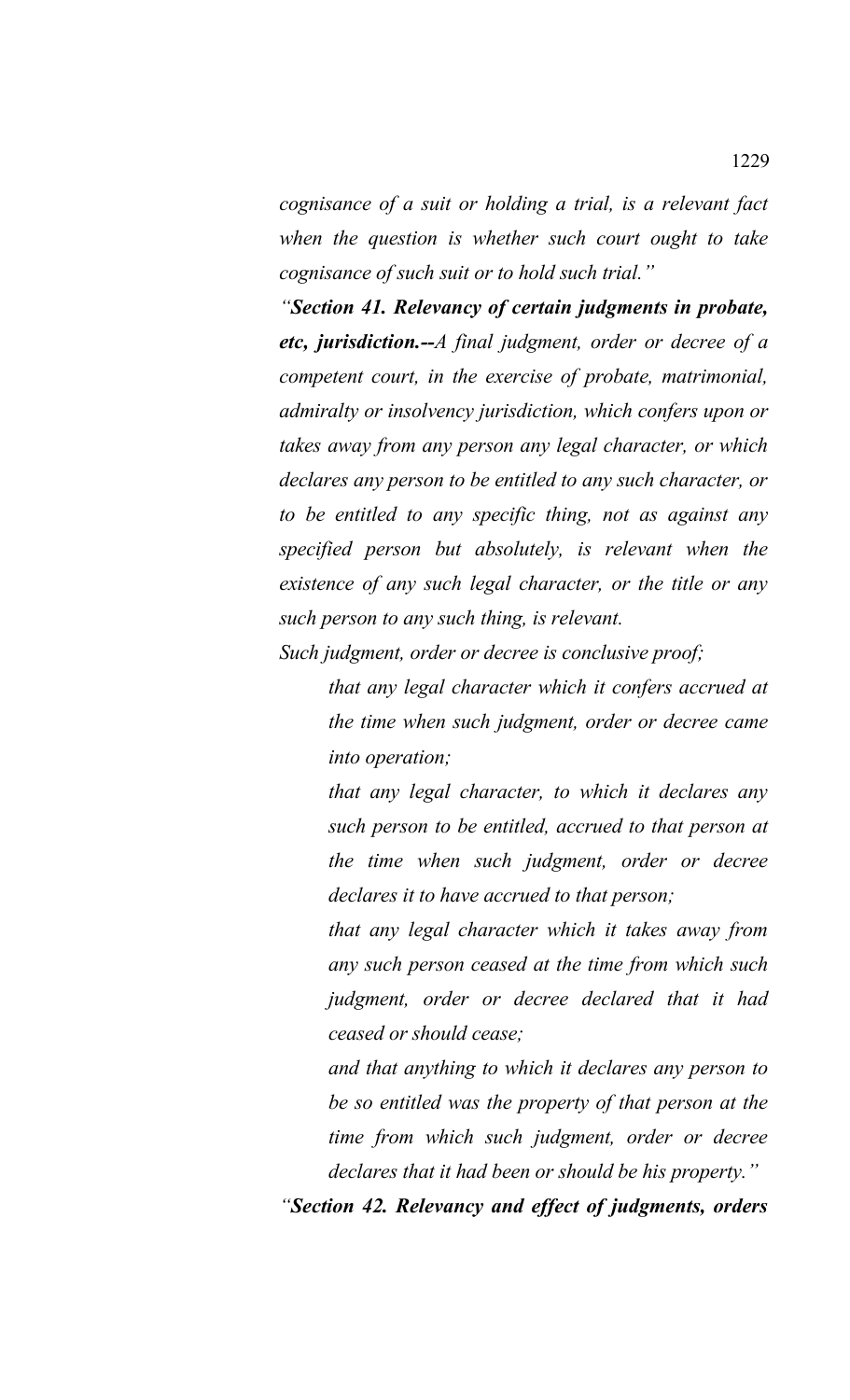*cognisance of a suit or holding a trial, is a relevant fact when the question is whether such court ought to take cognisance of such suit or to hold such trial."*

*"Section 41. Relevancy of certain judgments in probate, etc, jurisdiction.--A final judgment, order or decree of a competent court, in the exercise of probate, matrimonial, admiralty or insolvency jurisdiction, which confers upon or takes away from any person any legal character, or which declares any person to be entitled to any such character, or to be entitled to any specific thing, not as against any specified person but absolutely, is relevant when the existence of any such legal character, or the title or any such person to any such thing, is relevant.* 

*Such judgment, order or decree is conclusive proof;*

*that any legal character which it confers accrued at the time when such judgment, order or decree came into operation;*

*that any legal character, to which it declares any such person to be entitled, accrued to that person at the time when such judgment, order or decree declares it to have accrued to that person;*

*that any legal character which it takes away from any such person ceased at the time from which such judgment, order or decree declared that it had ceased or should cease;*

*and that anything to which it declares any person to be so entitled was the property of that person at the time from which such judgment, order or decree declares that it had been or should be his property."*

*"Section 42. Relevancy and effect of judgments, orders*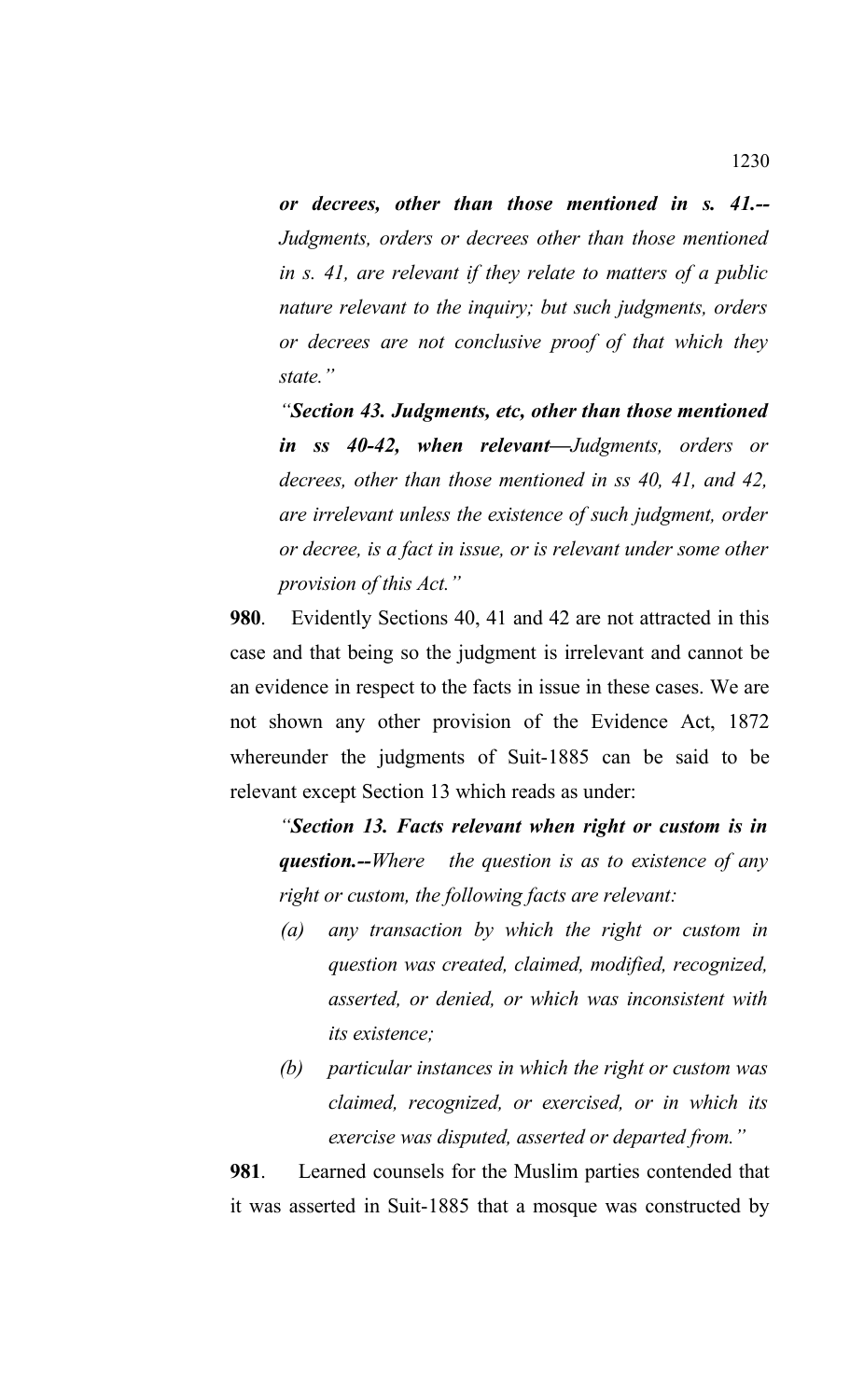*or decrees, other than those mentioned in s. 41.-- Judgments, orders or decrees other than those mentioned in s. 41, are relevant if they relate to matters of a public nature relevant to the inquiry; but such judgments, orders or decrees are not conclusive proof of that which they state."*

*"Section 43. Judgments, etc, other than those mentioned in ss 40-42, when relevant—Judgments, orders or decrees, other than those mentioned in ss 40, 41, and 42, are irrelevant unless the existence of such judgment, order or decree, is a fact in issue, or is relevant under some other provision of this Act."*

**980**. Evidently Sections 40, 41 and 42 are not attracted in this case and that being so the judgment is irrelevant and cannot be an evidence in respect to the facts in issue in these cases. We are not shown any other provision of the Evidence Act, 1872 whereunder the judgments of Suit-1885 can be said to be relevant except Section 13 which reads as under:

*"Section 13. Facts relevant when right or custom is in question.--Where the question is as to existence of any right or custom, the following facts are relevant:*

- *(a) any transaction by which the right or custom in question was created, claimed, modified, recognized, asserted, or denied, or which was inconsistent with its existence;*
- *(b) particular instances in which the right or custom was claimed, recognized, or exercised, or in which its exercise was disputed, asserted or departed from."*

**981**. Learned counsels for the Muslim parties contended that it was asserted in Suit-1885 that a mosque was constructed by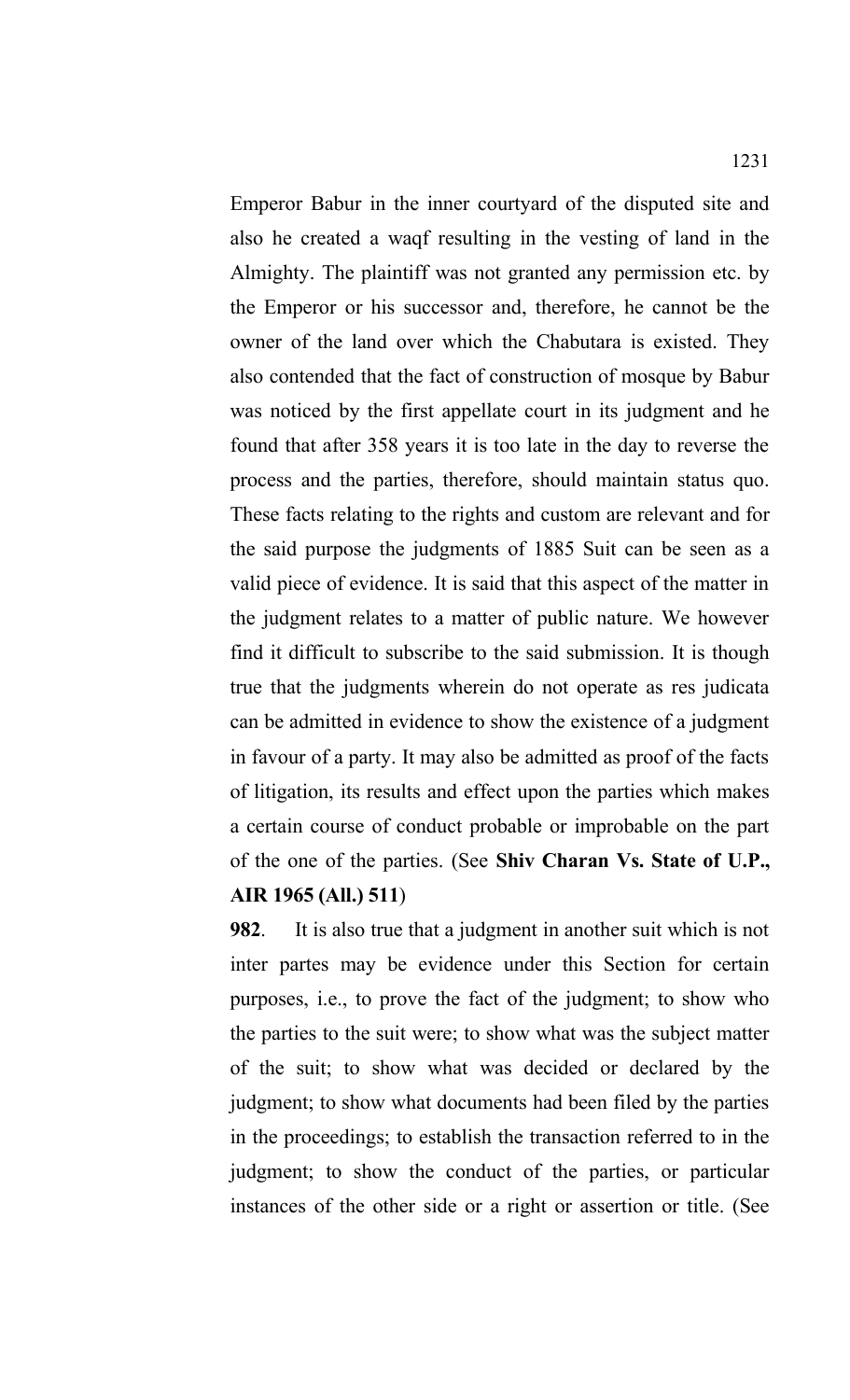Emperor Babur in the inner courtyard of the disputed site and also he created a waqf resulting in the vesting of land in the Almighty. The plaintiff was not granted any permission etc. by the Emperor or his successor and, therefore, he cannot be the owner of the land over which the Chabutara is existed. They also contended that the fact of construction of mosque by Babur was noticed by the first appellate court in its judgment and he found that after 358 years it is too late in the day to reverse the process and the parties, therefore, should maintain status quo. These facts relating to the rights and custom are relevant and for the said purpose the judgments of 1885 Suit can be seen as a valid piece of evidence. It is said that this aspect of the matter in the judgment relates to a matter of public nature. We however find it difficult to subscribe to the said submission. It is though true that the judgments wherein do not operate as res judicata can be admitted in evidence to show the existence of a judgment in favour of a party. It may also be admitted as proof of the facts of litigation, its results and effect upon the parties which makes a certain course of conduct probable or improbable on the part of the one of the parties. (See **Shiv Charan Vs. State of U.P., AIR 1965 (All.) 511**)

**982**. It is also true that a judgment in another suit which is not inter partes may be evidence under this Section for certain purposes, i.e., to prove the fact of the judgment; to show who the parties to the suit were; to show what was the subject matter of the suit; to show what was decided or declared by the judgment; to show what documents had been filed by the parties in the proceedings; to establish the transaction referred to in the judgment; to show the conduct of the parties, or particular instances of the other side or a right or assertion or title. (See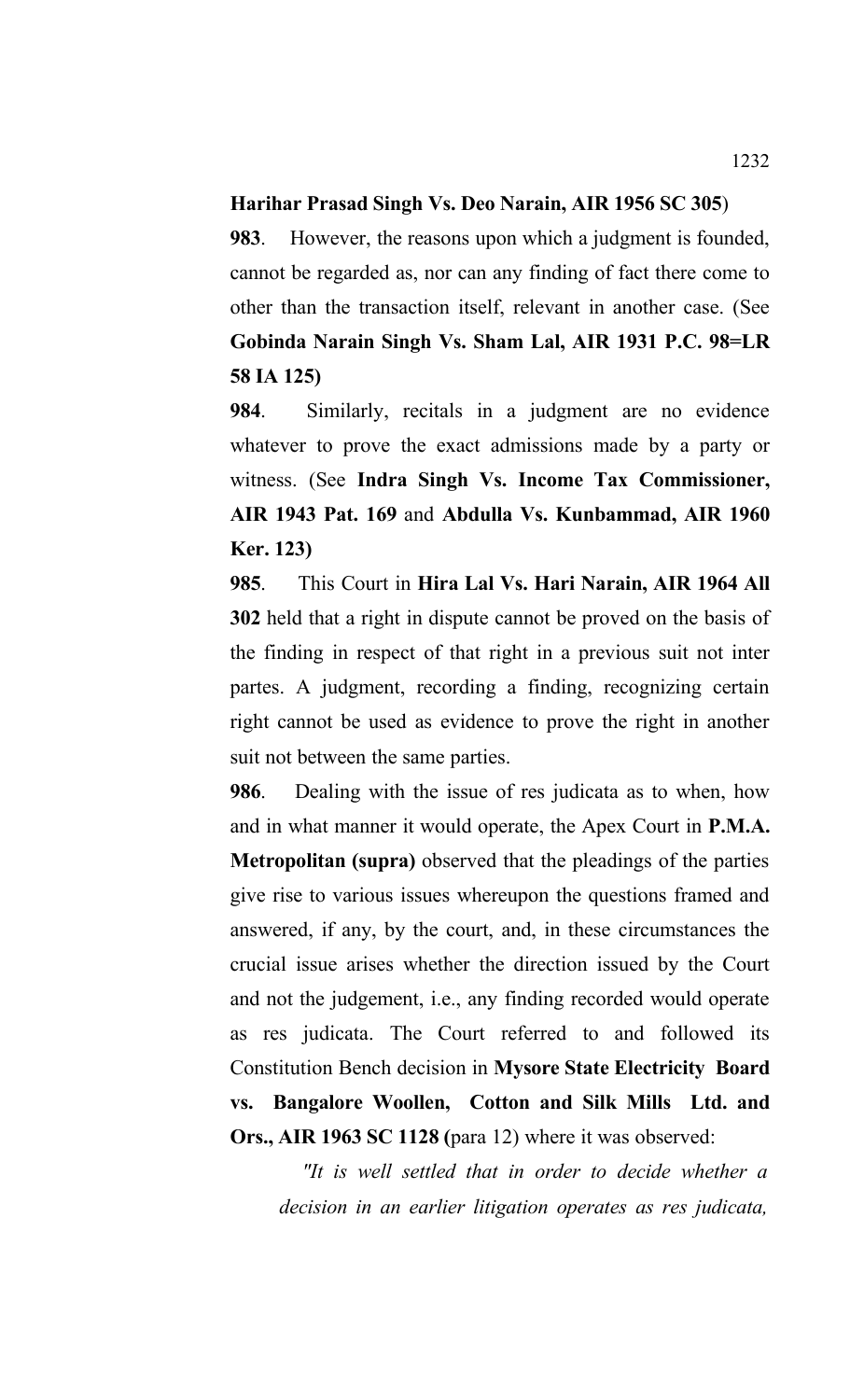#### **Harihar Prasad Singh Vs. Deo Narain, AIR 1956 SC 305**)

**983**. However, the reasons upon which a judgment is founded, cannot be regarded as, nor can any finding of fact there come to other than the transaction itself, relevant in another case. (See **Gobinda Narain Singh Vs. Sham Lal, AIR 1931 P.C. 98=LR 58 IA 125)**

**984**.Similarly, recitals in a judgment are no evidence whatever to prove the exact admissions made by a party or witness. (See **Indra Singh Vs. Income Tax Commissioner, AIR 1943 Pat. 169** and **Abdulla Vs. Kunbammad, AIR 1960 Ker. 123)**

**985**. This Court in **Hira Lal Vs. Hari Narain, AIR 1964 All 302** held that a right in dispute cannot be proved on the basis of the finding in respect of that right in a previous suit not inter partes. A judgment, recording a finding, recognizing certain right cannot be used as evidence to prove the right in another suit not between the same parties.

**986**. Dealing with the issue of res judicata as to when, how and in what manner it would operate, the Apex Court in **P.M.A. Metropolitan (supra)** observed that the pleadings of the parties give rise to various issues whereupon the questions framed and answered, if any, by the court, and, in these circumstances the crucial issue arises whether the direction issued by the Court and not the judgement, i.e., any finding recorded would operate as res judicata. The Court referred to and followed its Constitution Bench decision in **Mysore State Electricity Board vs. Bangalore Woollen, Cotton and Silk Mills Ltd. and Ors., AIR 1963 SC 1128 (**para 12) where it was observed:

 *"It is well settled that in order to decide whether a decision in an earlier litigation operates as res judicata,*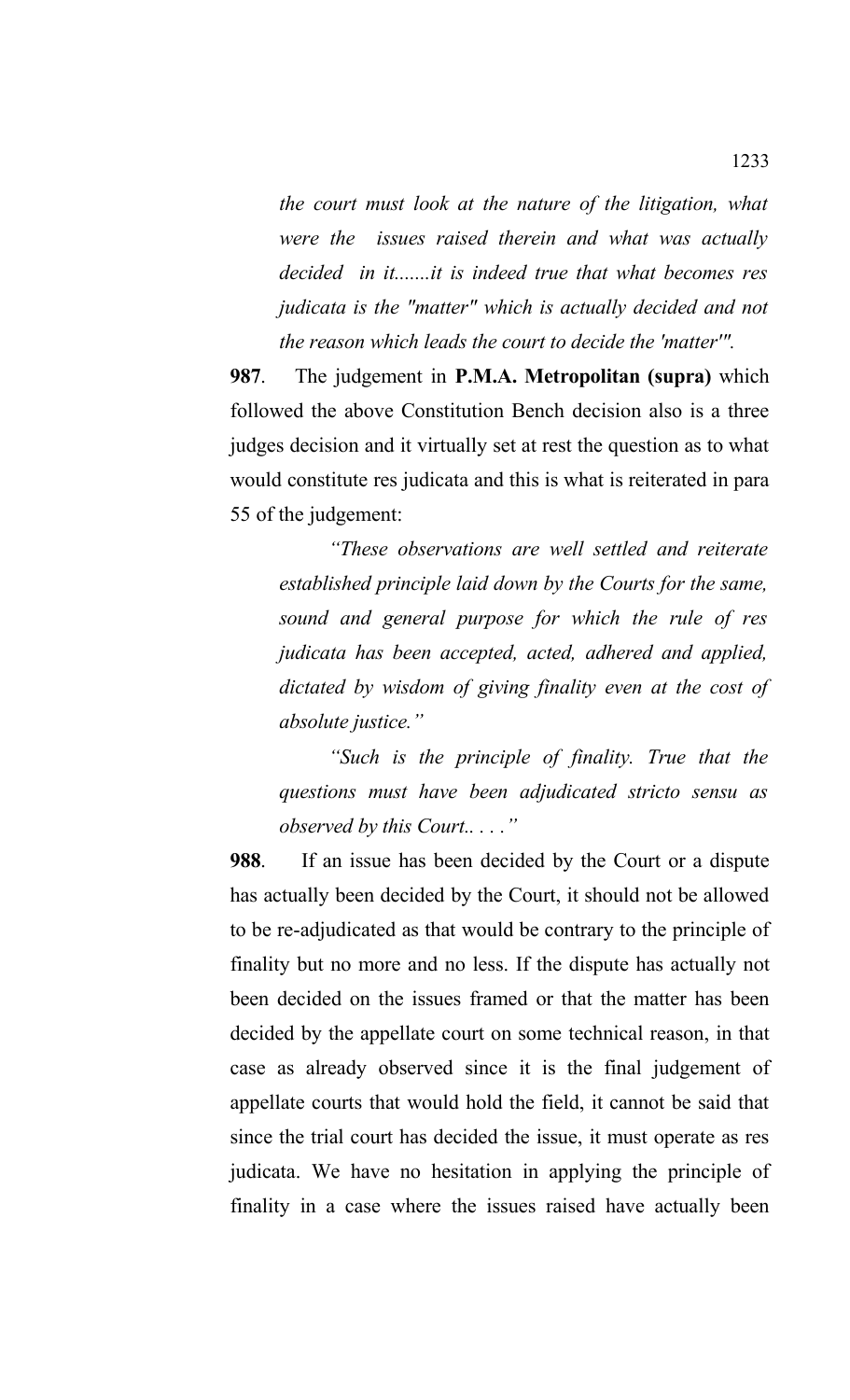*the court must look at the nature of the litigation, what were the issues raised therein and what was actually decided in it.......it is indeed true that what becomes res judicata is the "matter" which is actually decided and not the reason which leads the court to decide the 'matter'".* 

**987**. The judgement in **P.M.A. Metropolitan (supra)** which followed the above Constitution Bench decision also is a three judges decision and it virtually set at rest the question as to what would constitute res judicata and this is what is reiterated in para 55 of the judgement:

*"These observations are well settled and reiterate established principle laid down by the Courts for the same, sound and general purpose for which the rule of res judicata has been accepted, acted, adhered and applied, dictated by wisdom of giving finality even at the cost of absolute justice."*

*"Such is the principle of finality. True that the questions must have been adjudicated stricto sensu as observed by this Court.. . . ."*

**988**. If an issue has been decided by the Court or a dispute has actually been decided by the Court, it should not be allowed to be re-adjudicated as that would be contrary to the principle of finality but no more and no less. If the dispute has actually not been decided on the issues framed or that the matter has been decided by the appellate court on some technical reason, in that case as already observed since it is the final judgement of appellate courts that would hold the field, it cannot be said that since the trial court has decided the issue, it must operate as res judicata. We have no hesitation in applying the principle of finality in a case where the issues raised have actually been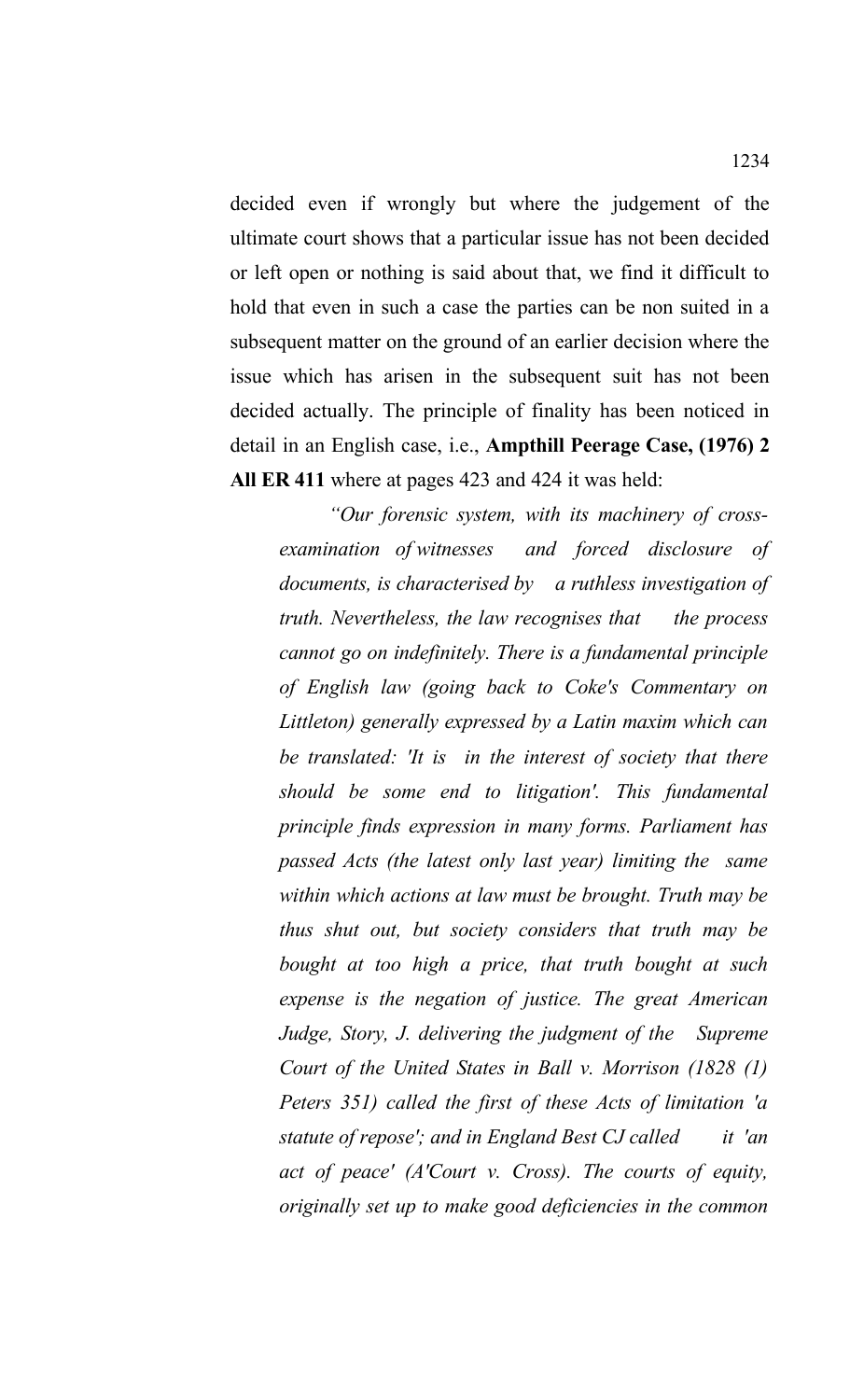decided even if wrongly but where the judgement of the ultimate court shows that a particular issue has not been decided or left open or nothing is said about that, we find it difficult to hold that even in such a case the parties can be non suited in a subsequent matter on the ground of an earlier decision where the issue which has arisen in the subsequent suit has not been decided actually. The principle of finality has been noticed in detail in an English case, i.e., **Ampthill Peerage Case, (1976) 2 All ER 411** where at pages 423 and 424 it was held:

*"Our forensic system, with its machinery of crossexamination of witnesses and forced disclosure of documents, is characterised by a ruthless investigation of truth. Nevertheless, the law recognises that the process cannot go on indefinitely. There is a fundamental principle of English law (going back to Coke's Commentary on Littleton) generally expressed by a Latin maxim which can be translated: 'It is in the interest of society that there should be some end to litigation'. This fundamental principle finds expression in many forms. Parliament has passed Acts (the latest only last year) limiting the same within which actions at law must be brought. Truth may be thus shut out, but society considers that truth may be bought at too high a price, that truth bought at such expense is the negation of justice. The great American Judge, Story, J. delivering the judgment of the Supreme Court of the United States in Ball v. Morrison (1828 (1) Peters 351) called the first of these Acts of limitation 'a statute of repose'; and in England Best CJ called it 'an act of peace' (A'Court v. Cross). The courts of equity, originally set up to make good deficiencies in the common*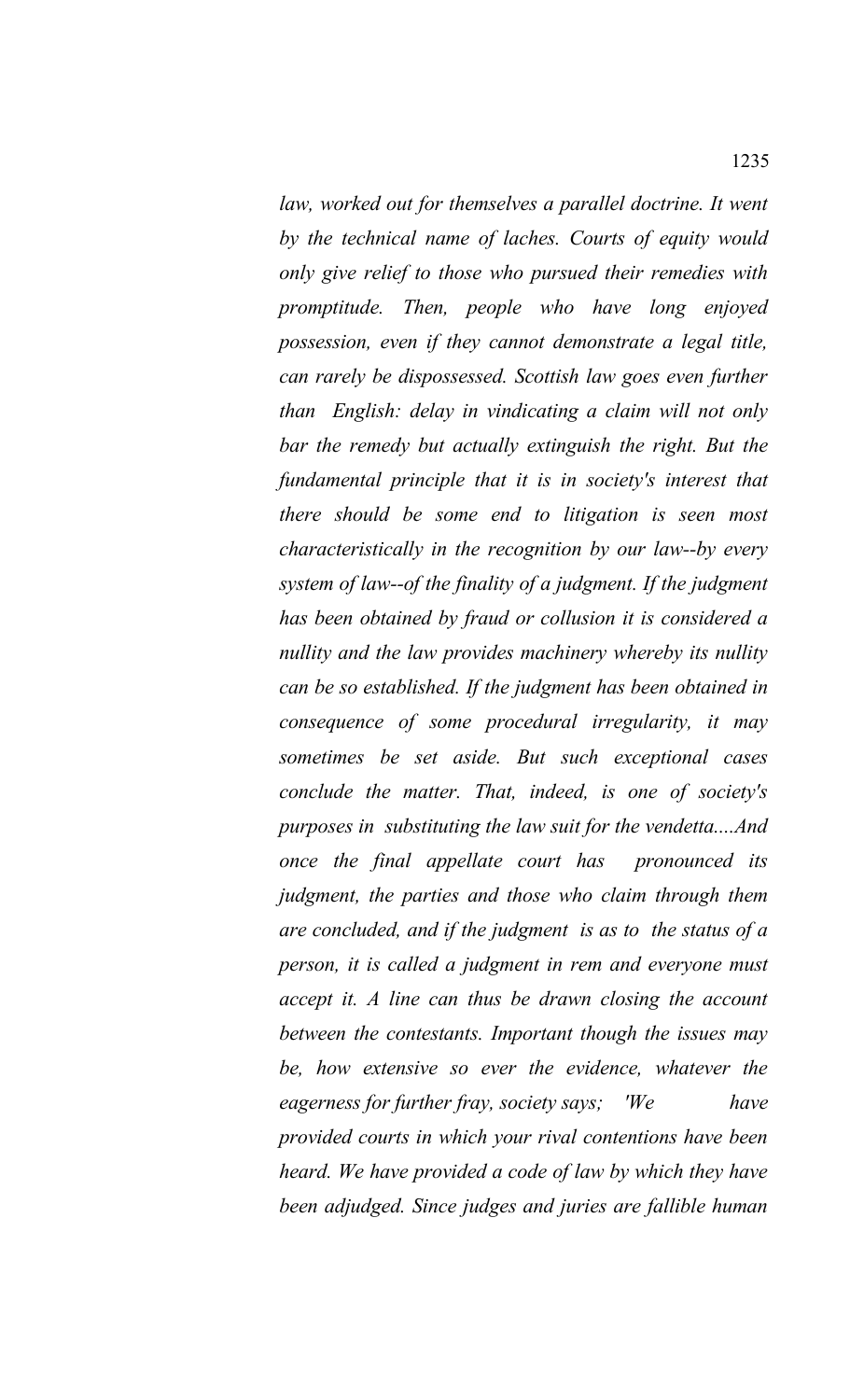*law, worked out for themselves a parallel doctrine. It went by the technical name of laches. Courts of equity would only give relief to those who pursued their remedies with promptitude. Then, people who have long enjoyed possession, even if they cannot demonstrate a legal title, can rarely be dispossessed. Scottish law goes even further than English: delay in vindicating a claim will not only bar the remedy but actually extinguish the right. But the fundamental principle that it is in society's interest that there should be some end to litigation is seen most characteristically in the recognition by our law--by every system of law--of the finality of a judgment. If the judgment has been obtained by fraud or collusion it is considered a nullity and the law provides machinery whereby its nullity can be so established. If the judgment has been obtained in consequence of some procedural irregularity, it may sometimes be set aside. But such exceptional cases conclude the matter. That, indeed, is one of society's purposes in substituting the law suit for the vendetta....And once the final appellate court has pronounced its judgment, the parties and those who claim through them are concluded, and if the judgment is as to the status of a person, it is called a judgment in rem and everyone must accept it. A line can thus be drawn closing the account between the contestants. Important though the issues may be, how extensive so ever the evidence, whatever the eagerness for further fray, society says; 'We have provided courts in which your rival contentions have been heard. We have provided a code of law by which they have been adjudged. Since judges and juries are fallible human*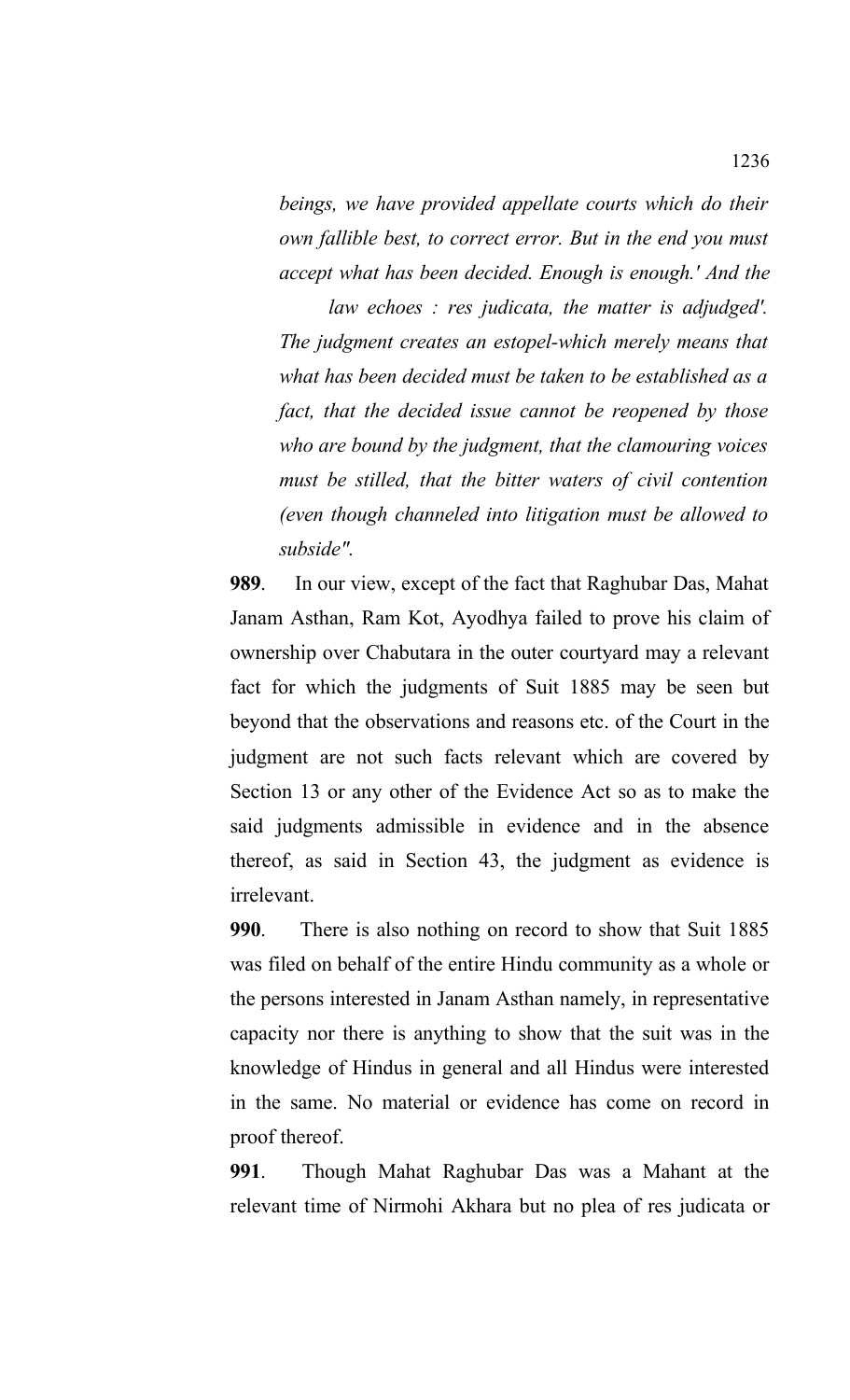*beings, we have provided appellate courts which do their own fallible best, to correct error. But in the end you must accept what has been decided. Enough is enough.' And the*

*law echoes : res judicata, the matter is adjudged'. The judgment creates an estopel-which merely means that what has been decided must be taken to be established as a fact, that the decided issue cannot be reopened by those who are bound by the judgment, that the clamouring voices must be stilled, that the bitter waters of civil contention (even though channeled into litigation must be allowed to subside".*

**989**. In our view, except of the fact that Raghubar Das, Mahat Janam Asthan, Ram Kot, Ayodhya failed to prove his claim of ownership over Chabutara in the outer courtyard may a relevant fact for which the judgments of Suit 1885 may be seen but beyond that the observations and reasons etc. of the Court in the judgment are not such facts relevant which are covered by Section 13 or any other of the Evidence Act so as to make the said judgments admissible in evidence and in the absence thereof, as said in Section 43, the judgment as evidence is irrelevant.

**990**. There is also nothing on record to show that Suit 1885 was filed on behalf of the entire Hindu community as a whole or the persons interested in Janam Asthan namely, in representative capacity nor there is anything to show that the suit was in the knowledge of Hindus in general and all Hindus were interested in the same. No material or evidence has come on record in proof thereof.

**991**. Though Mahat Raghubar Das was a Mahant at the relevant time of Nirmohi Akhara but no plea of res judicata or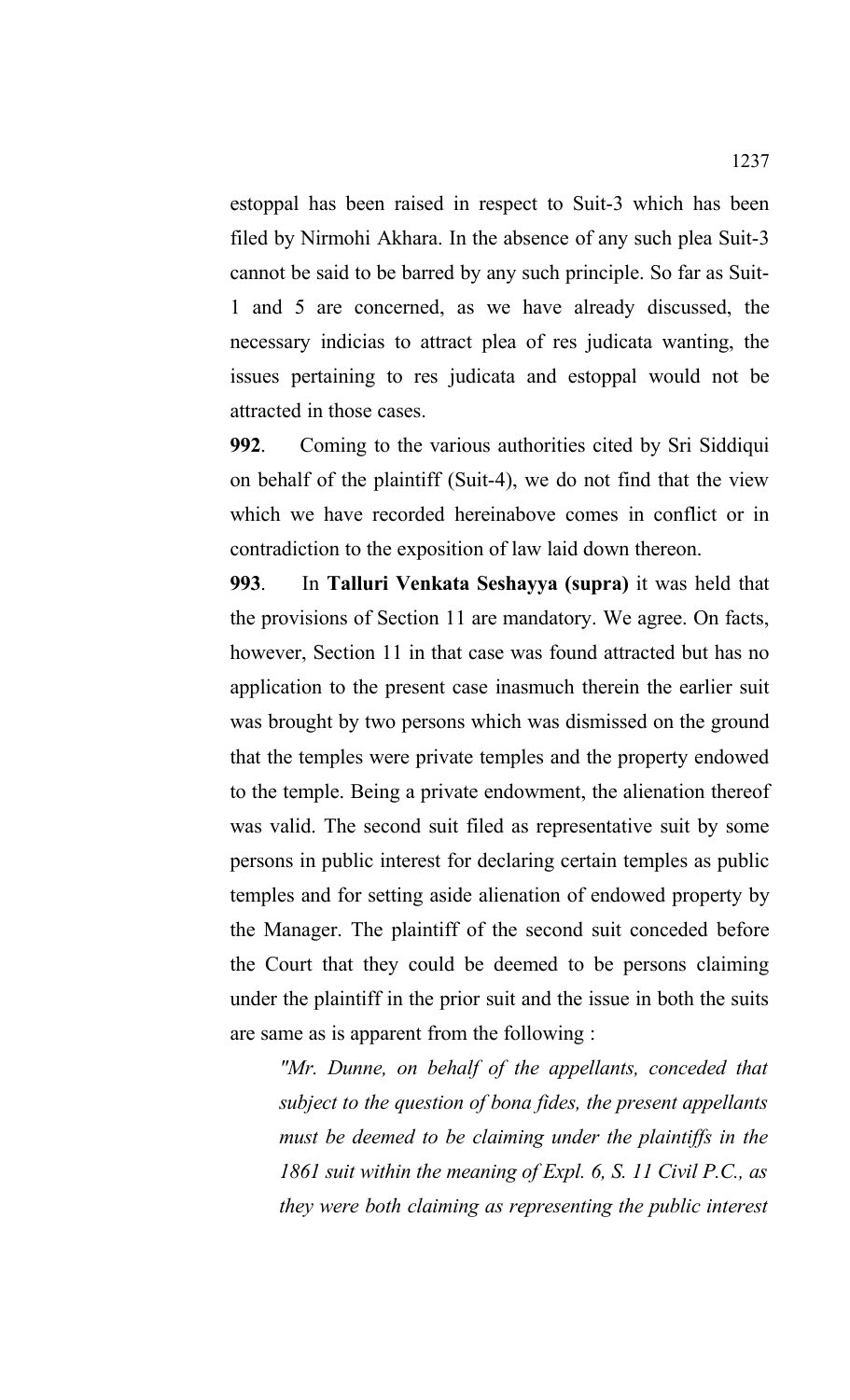estoppal has been raised in respect to Suit-3 which has been filed by Nirmohi Akhara. In the absence of any such plea Suit-3 cannot be said to be barred by any such principle. So far as Suit-1 and 5 are concerned, as we have already discussed, the necessary indicias to attract plea of res judicata wanting, the issues pertaining to res judicata and estoppal would not be attracted in those cases.

**992**. Coming to the various authorities cited by Sri Siddiqui on behalf of the plaintiff (Suit-4), we do not find that the view which we have recorded hereinabove comes in conflict or in contradiction to the exposition of law laid down thereon.

**993**. In **Talluri Venkata Seshayya (supra)** it was held that the provisions of Section 11 are mandatory. We agree. On facts, however, Section 11 in that case was found attracted but has no application to the present case inasmuch therein the earlier suit was brought by two persons which was dismissed on the ground that the temples were private temples and the property endowed to the temple. Being a private endowment, the alienation thereof was valid. The second suit filed as representative suit by some persons in public interest for declaring certain temples as public temples and for setting aside alienation of endowed property by the Manager. The plaintiff of the second suit conceded before the Court that they could be deemed to be persons claiming under the plaintiff in the prior suit and the issue in both the suits are same as is apparent from the following :

*"Mr. Dunne, on behalf of the appellants, conceded that subject to the question of bona fides, the present appellants must be deemed to be claiming under the plaintiffs in the 1861 suit within the meaning of Expl. 6, S. 11 Civil P.C., as they were both claiming as representing the public interest*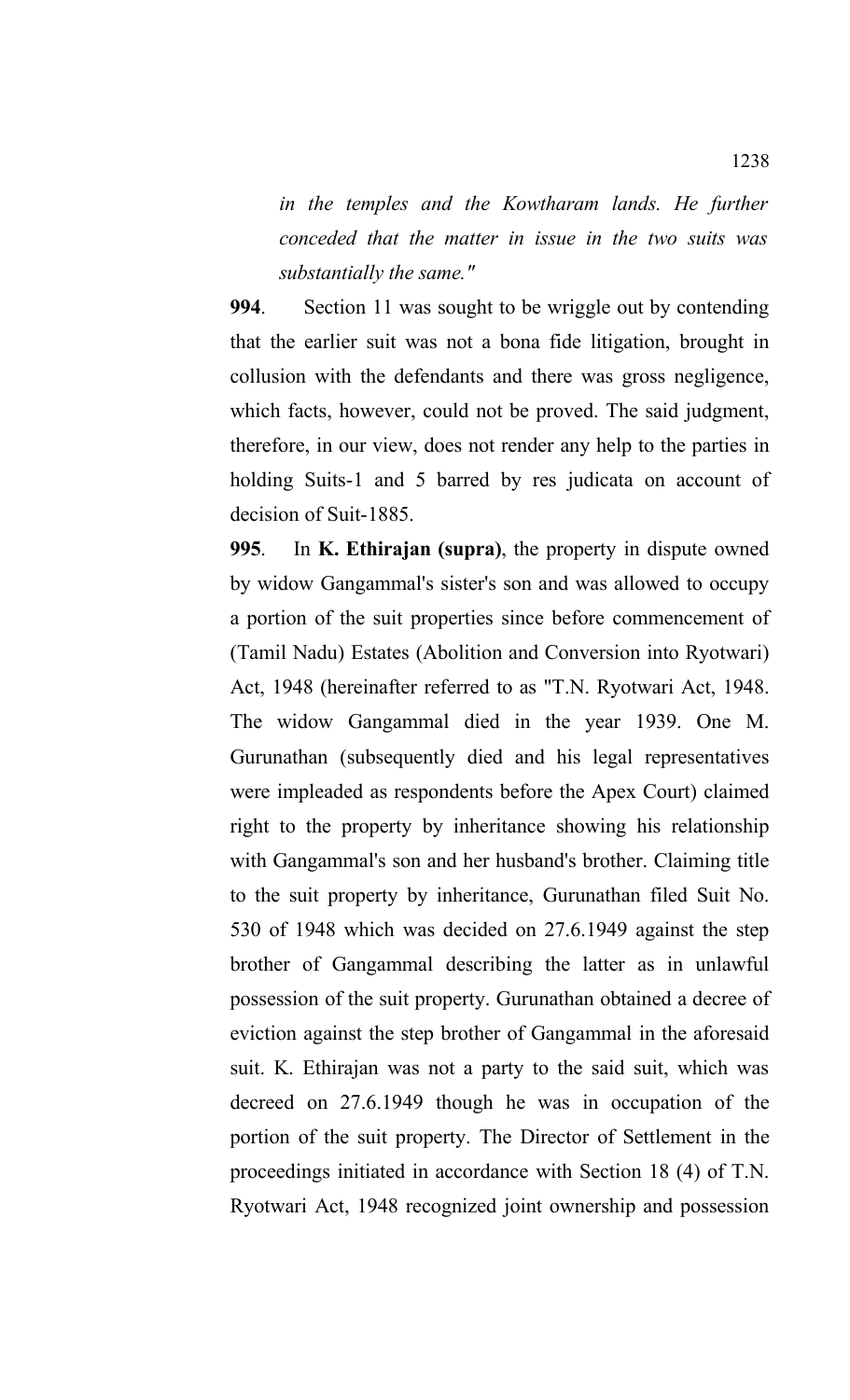*in the temples and the Kowtharam lands. He further conceded that the matter in issue in the two suits was substantially the same."*

**994**. Section 11 was sought to be wriggle out by contending that the earlier suit was not a bona fide litigation, brought in collusion with the defendants and there was gross negligence, which facts, however, could not be proved. The said judgment, therefore, in our view, does not render any help to the parties in holding Suits-1 and 5 barred by res judicata on account of decision of Suit-1885.

**995**. In **K. Ethirajan (supra)**, the property in dispute owned by widow Gangammal's sister's son and was allowed to occupy a portion of the suit properties since before commencement of (Tamil Nadu) Estates (Abolition and Conversion into Ryotwari) Act, 1948 (hereinafter referred to as "T.N. Ryotwari Act, 1948. The widow Gangammal died in the year 1939. One M. Gurunathan (subsequently died and his legal representatives were impleaded as respondents before the Apex Court) claimed right to the property by inheritance showing his relationship with Gangammal's son and her husband's brother. Claiming title to the suit property by inheritance, Gurunathan filed Suit No. 530 of 1948 which was decided on 27.6.1949 against the step brother of Gangammal describing the latter as in unlawful possession of the suit property. Gurunathan obtained a decree of eviction against the step brother of Gangammal in the aforesaid suit. K. Ethirajan was not a party to the said suit, which was decreed on 27.6.1949 though he was in occupation of the portion of the suit property. The Director of Settlement in the proceedings initiated in accordance with Section 18 (4) of T.N. Ryotwari Act, 1948 recognized joint ownership and possession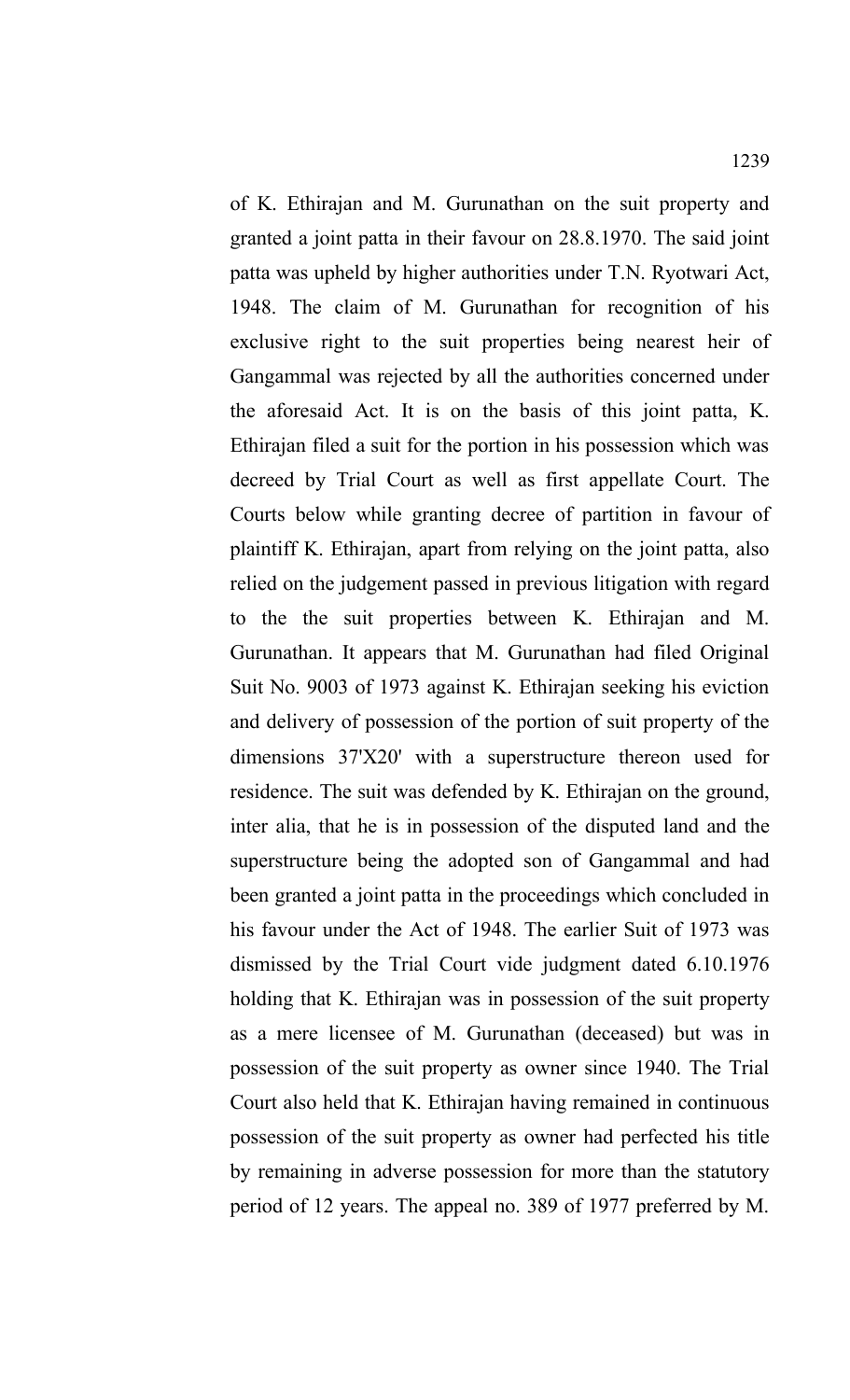of K. Ethirajan and M. Gurunathan on the suit property and granted a joint patta in their favour on 28.8.1970. The said joint patta was upheld by higher authorities under T.N. Ryotwari Act, 1948. The claim of M. Gurunathan for recognition of his exclusive right to the suit properties being nearest heir of Gangammal was rejected by all the authorities concerned under the aforesaid Act. It is on the basis of this joint patta, K. Ethirajan filed a suit for the portion in his possession which was decreed by Trial Court as well as first appellate Court. The Courts below while granting decree of partition in favour of plaintiff K. Ethirajan, apart from relying on the joint patta, also relied on the judgement passed in previous litigation with regard to the the suit properties between K. Ethirajan and M. Gurunathan. It appears that M. Gurunathan had filed Original Suit No. 9003 of 1973 against K. Ethirajan seeking his eviction and delivery of possession of the portion of suit property of the dimensions 37'X20' with a superstructure thereon used for residence. The suit was defended by K. Ethirajan on the ground, inter alia, that he is in possession of the disputed land and the superstructure being the adopted son of Gangammal and had been granted a joint patta in the proceedings which concluded in his favour under the Act of 1948. The earlier Suit of 1973 was dismissed by the Trial Court vide judgment dated 6.10.1976 holding that K. Ethirajan was in possession of the suit property as a mere licensee of M. Gurunathan (deceased) but was in possession of the suit property as owner since 1940. The Trial Court also held that K. Ethirajan having remained in continuous possession of the suit property as owner had perfected his title by remaining in adverse possession for more than the statutory period of 12 years. The appeal no. 389 of 1977 preferred by M.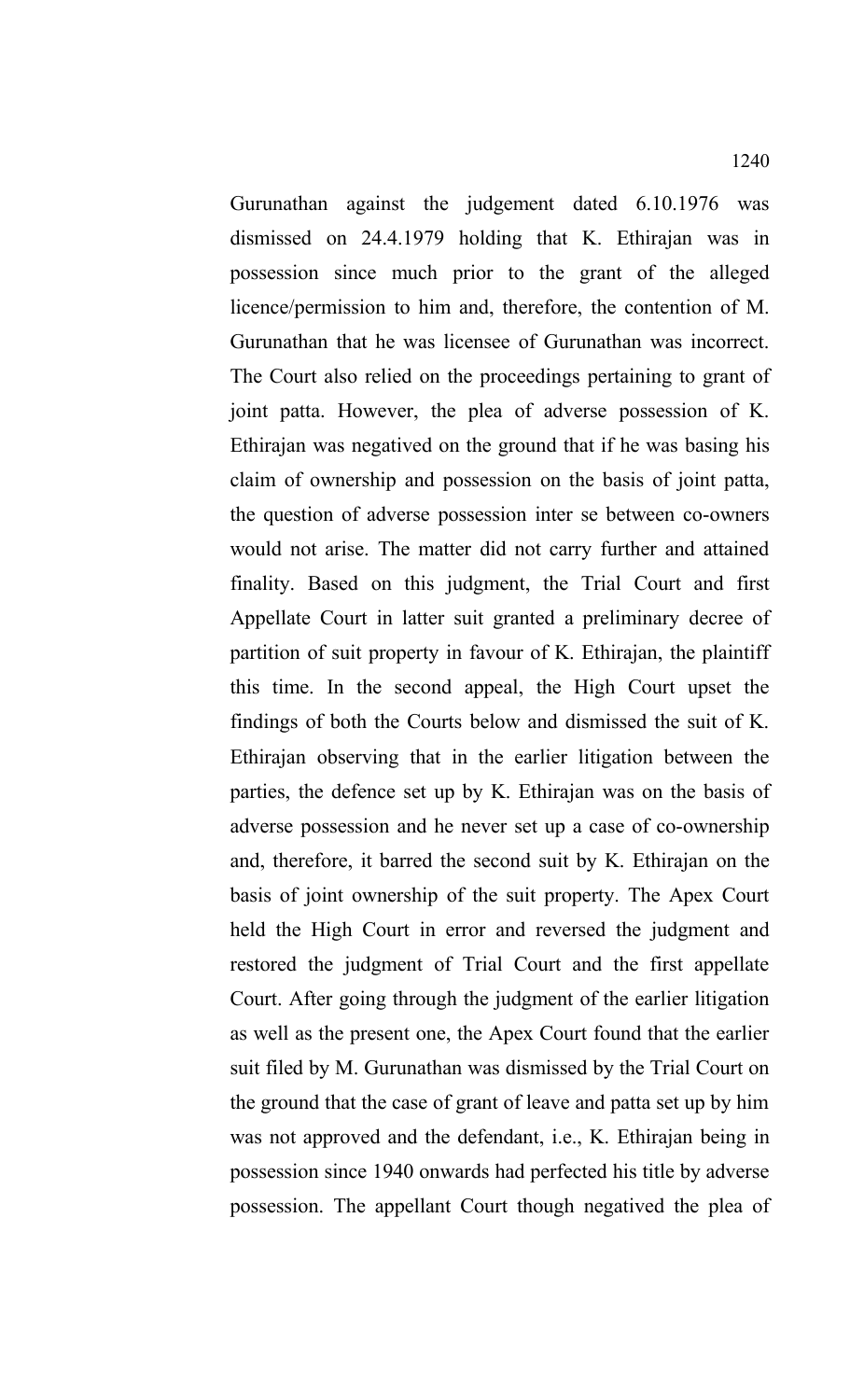Gurunathan against the judgement dated 6.10.1976 was dismissed on 24.4.1979 holding that K. Ethirajan was in possession since much prior to the grant of the alleged licence/permission to him and, therefore, the contention of M. Gurunathan that he was licensee of Gurunathan was incorrect. The Court also relied on the proceedings pertaining to grant of joint patta. However, the plea of adverse possession of K. Ethirajan was negatived on the ground that if he was basing his claim of ownership and possession on the basis of joint patta, the question of adverse possession inter se between co-owners would not arise. The matter did not carry further and attained finality. Based on this judgment, the Trial Court and first Appellate Court in latter suit granted a preliminary decree of partition of suit property in favour of K. Ethirajan, the plaintiff this time. In the second appeal, the High Court upset the findings of both the Courts below and dismissed the suit of K. Ethirajan observing that in the earlier litigation between the parties, the defence set up by K. Ethirajan was on the basis of adverse possession and he never set up a case of co-ownership and, therefore, it barred the second suit by K. Ethirajan on the basis of joint ownership of the suit property. The Apex Court held the High Court in error and reversed the judgment and restored the judgment of Trial Court and the first appellate Court. After going through the judgment of the earlier litigation as well as the present one, the Apex Court found that the earlier suit filed by M. Gurunathan was dismissed by the Trial Court on the ground that the case of grant of leave and patta set up by him was not approved and the defendant, i.e., K. Ethirajan being in possession since 1940 onwards had perfected his title by adverse possession. The appellant Court though negatived the plea of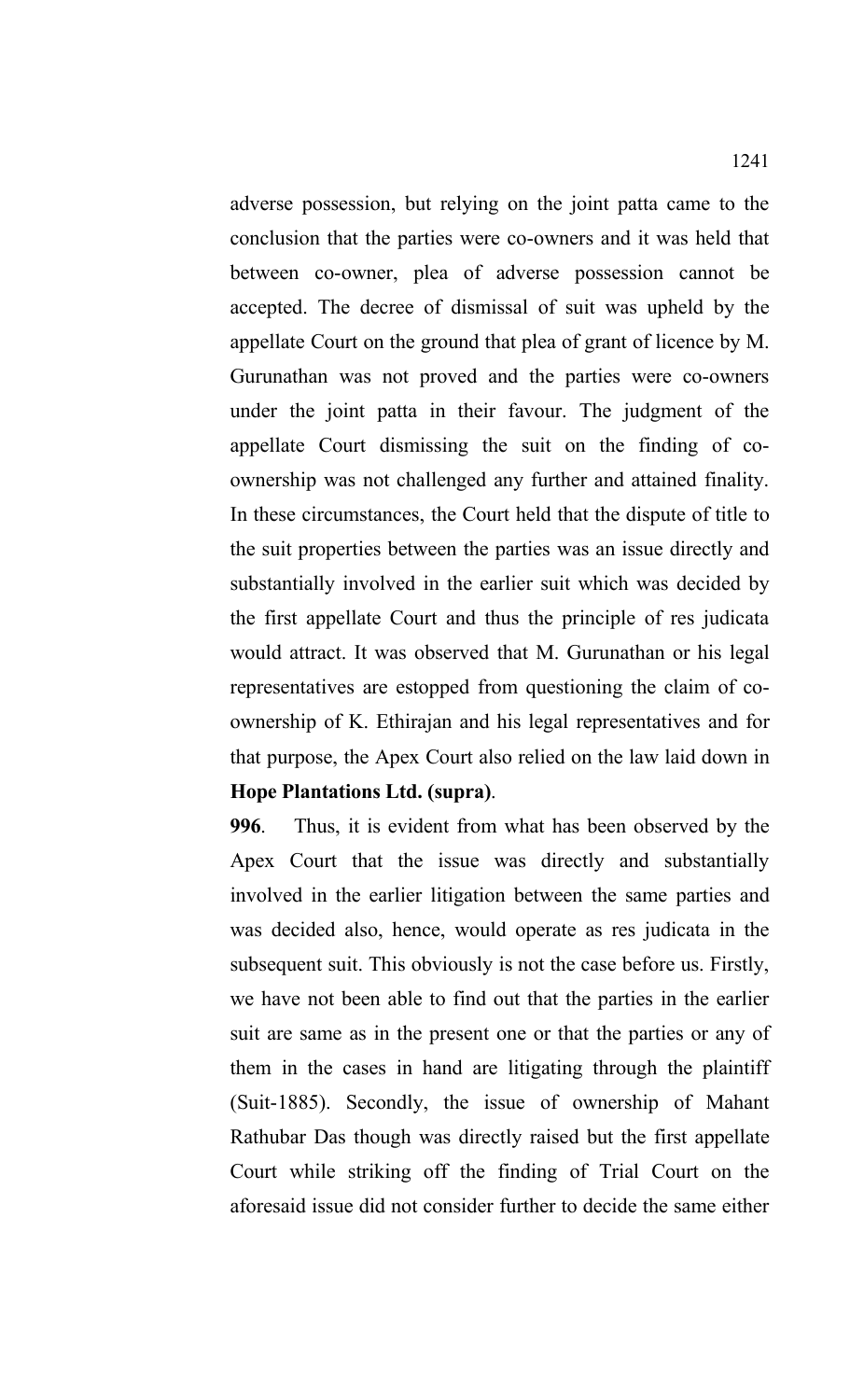adverse possession, but relying on the joint patta came to the conclusion that the parties were co-owners and it was held that between co-owner, plea of adverse possession cannot be accepted. The decree of dismissal of suit was upheld by the appellate Court on the ground that plea of grant of licence by M. Gurunathan was not proved and the parties were co-owners under the joint patta in their favour. The judgment of the appellate Court dismissing the suit on the finding of coownership was not challenged any further and attained finality. In these circumstances, the Court held that the dispute of title to the suit properties between the parties was an issue directly and substantially involved in the earlier suit which was decided by the first appellate Court and thus the principle of res judicata would attract. It was observed that M. Gurunathan or his legal representatives are estopped from questioning the claim of coownership of K. Ethirajan and his legal representatives and for that purpose, the Apex Court also relied on the law laid down in **Hope Plantations Ltd. (supra)**.

**996**. Thus, it is evident from what has been observed by the Apex Court that the issue was directly and substantially involved in the earlier litigation between the same parties and was decided also, hence, would operate as res judicata in the subsequent suit. This obviously is not the case before us. Firstly, we have not been able to find out that the parties in the earlier suit are same as in the present one or that the parties or any of them in the cases in hand are litigating through the plaintiff (Suit-1885). Secondly, the issue of ownership of Mahant Rathubar Das though was directly raised but the first appellate Court while striking off the finding of Trial Court on the aforesaid issue did not consider further to decide the same either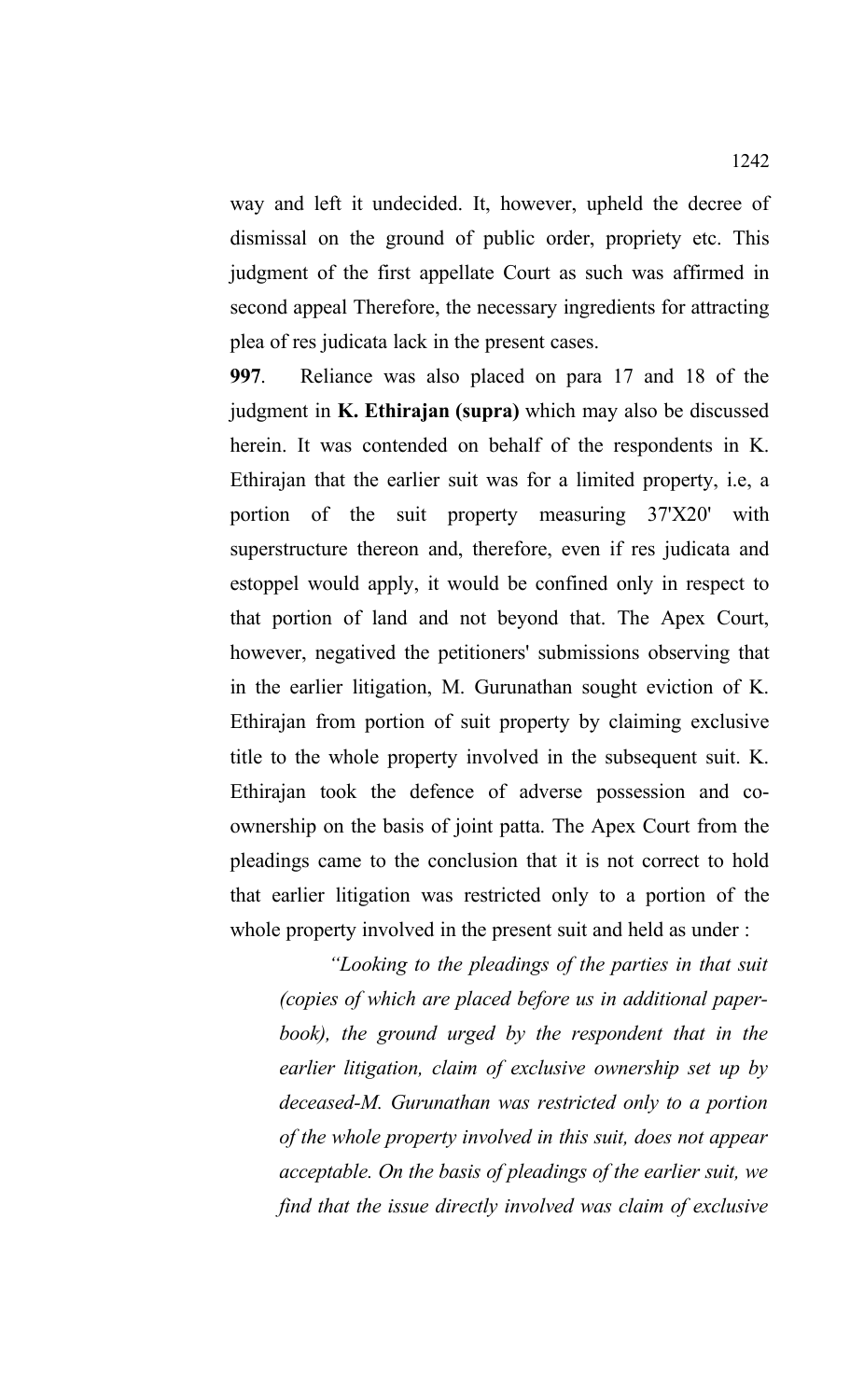way and left it undecided. It, however, upheld the decree of dismissal on the ground of public order, propriety etc. This judgment of the first appellate Court as such was affirmed in second appeal Therefore, the necessary ingredients for attracting plea of res judicata lack in the present cases.

**997**. Reliance was also placed on para 17 and 18 of the judgment in **K. Ethirajan (supra)** which may also be discussed herein. It was contended on behalf of the respondents in K. Ethirajan that the earlier suit was for a limited property, i.e, a portion of the suit property measuring 37'X20' with superstructure thereon and, therefore, even if res judicata and estoppel would apply, it would be confined only in respect to that portion of land and not beyond that. The Apex Court, however, negatived the petitioners' submissions observing that in the earlier litigation, M. Gurunathan sought eviction of K. Ethirajan from portion of suit property by claiming exclusive title to the whole property involved in the subsequent suit. K. Ethirajan took the defence of adverse possession and coownership on the basis of joint patta. The Apex Court from the pleadings came to the conclusion that it is not correct to hold that earlier litigation was restricted only to a portion of the whole property involved in the present suit and held as under :

*"Looking to the pleadings of the parties in that suit (copies of which are placed before us in additional paperbook), the ground urged by the respondent that in the earlier litigation, claim of exclusive ownership set up by deceased-M. Gurunathan was restricted only to a portion of the whole property involved in this suit, does not appear acceptable. On the basis of pleadings of the earlier suit, we find that the issue directly involved was claim of exclusive*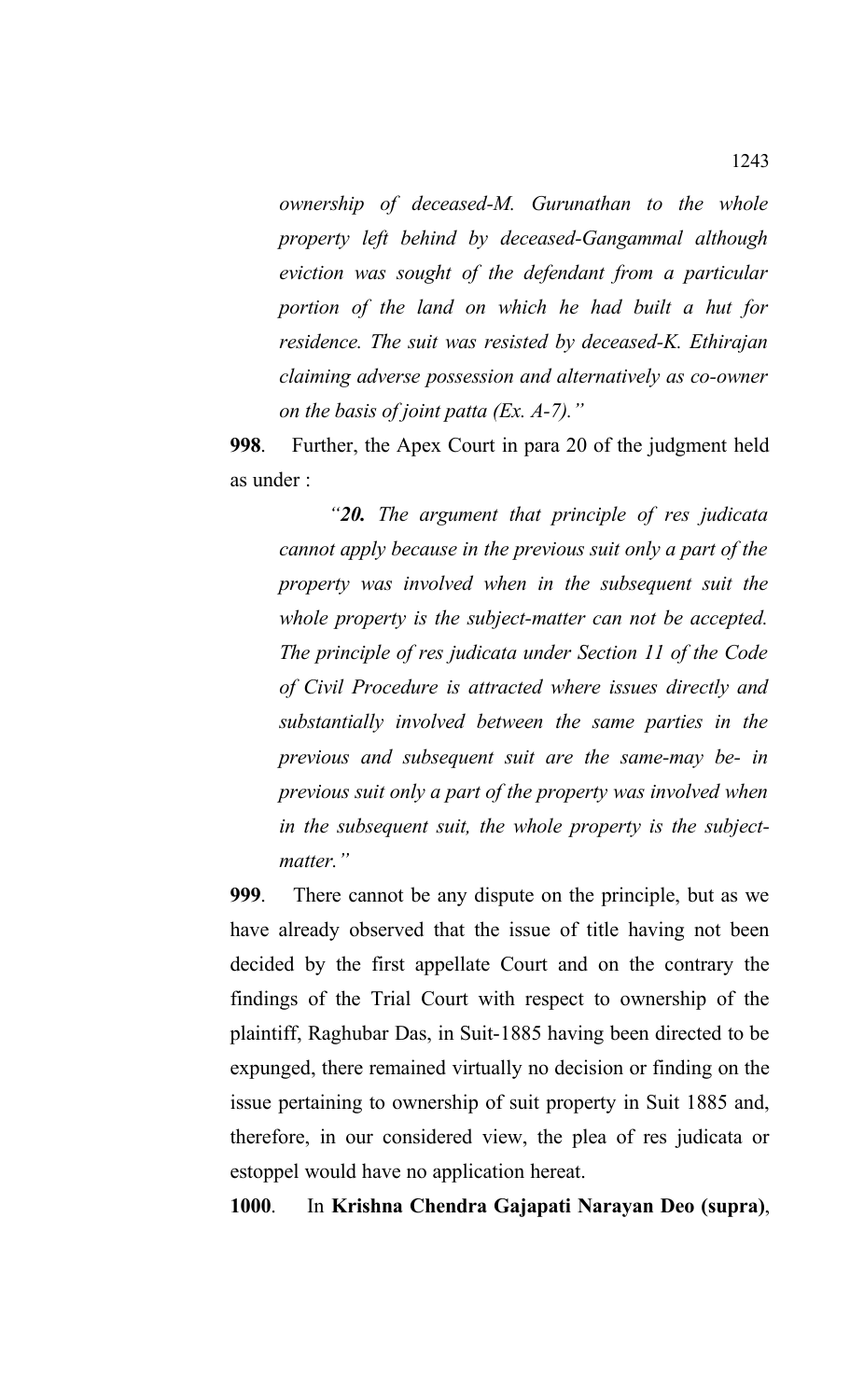*ownership of deceased-M. Gurunathan to the whole property left behind by deceased-Gangammal although eviction was sought of the defendant from a particular portion of the land on which he had built a hut for residence. The suit was resisted by deceased-K. Ethirajan claiming adverse possession and alternatively as co-owner on the basis of joint patta (Ex. A-7)."*

**998**. Further, the Apex Court in para 20 of the judgment held as under :

*"20. The argument that principle of res judicata cannot apply because in the previous suit only a part of the property was involved when in the subsequent suit the whole property is the subject-matter can not be accepted. The principle of res judicata under Section 11 of the Code of Civil Procedure is attracted where issues directly and substantially involved between the same parties in the previous and subsequent suit are the same-may be- in previous suit only a part of the property was involved when in the subsequent suit, the whole property is the subjectmatter."*

**999**. There cannot be any dispute on the principle, but as we have already observed that the issue of title having not been decided by the first appellate Court and on the contrary the findings of the Trial Court with respect to ownership of the plaintiff, Raghubar Das, in Suit-1885 having been directed to be expunged, there remained virtually no decision or finding on the issue pertaining to ownership of suit property in Suit 1885 and, therefore, in our considered view, the plea of res judicata or estoppel would have no application hereat.

**1000**. In **Krishna Chendra Gajapati Narayan Deo (supra)**,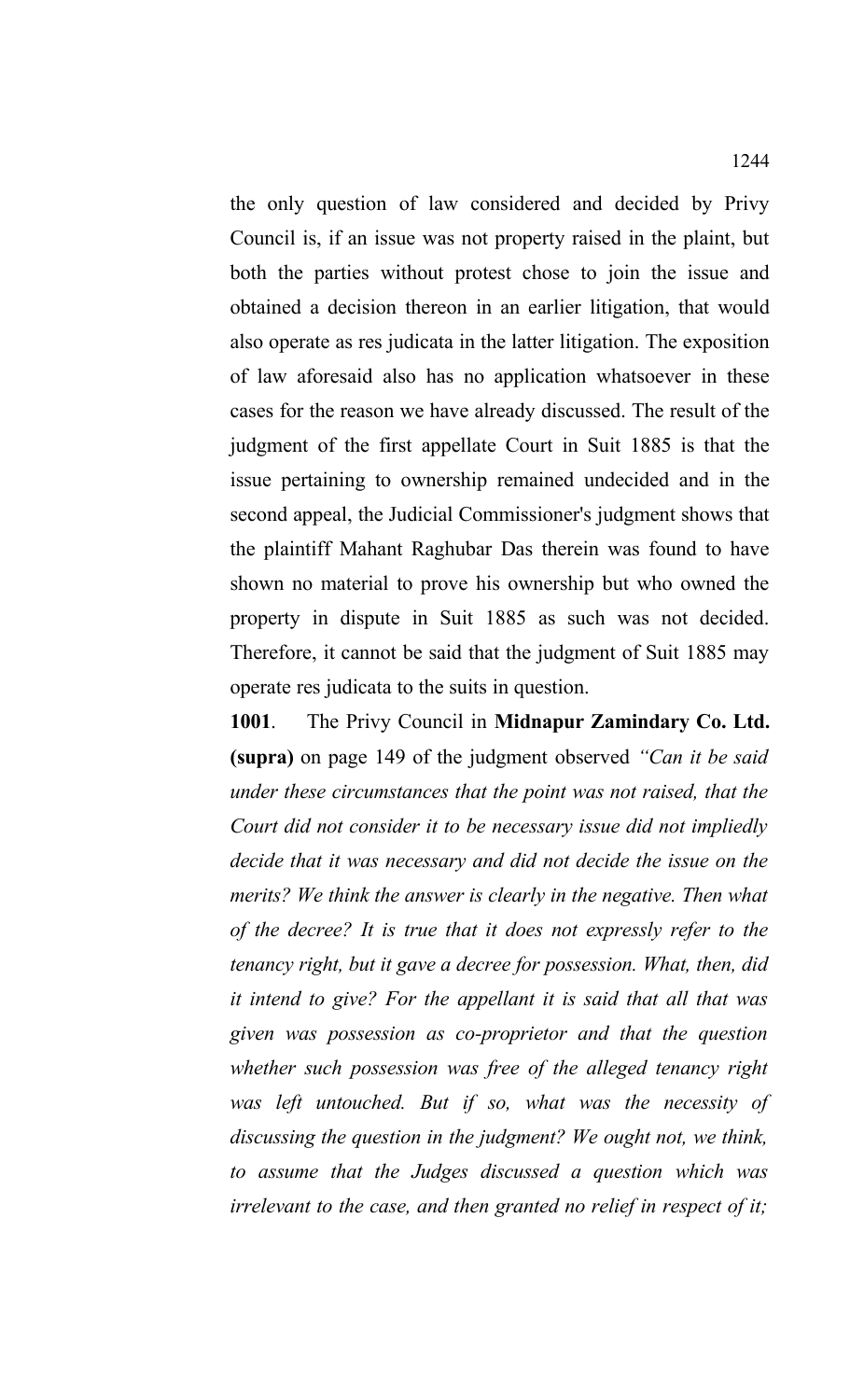the only question of law considered and decided by Privy Council is, if an issue was not property raised in the plaint, but both the parties without protest chose to join the issue and obtained a decision thereon in an earlier litigation, that would also operate as res judicata in the latter litigation. The exposition of law aforesaid also has no application whatsoever in these cases for the reason we have already discussed. The result of the judgment of the first appellate Court in Suit 1885 is that the issue pertaining to ownership remained undecided and in the second appeal, the Judicial Commissioner's judgment shows that the plaintiff Mahant Raghubar Das therein was found to have shown no material to prove his ownership but who owned the property in dispute in Suit 1885 as such was not decided. Therefore, it cannot be said that the judgment of Suit 1885 may operate res judicata to the suits in question.

**1001**. The Privy Council in **Midnapur Zamindary Co. Ltd. (supra)** on page 149 of the judgment observed *"Can it be said under these circumstances that the point was not raised, that the Court did not consider it to be necessary issue did not impliedly decide that it was necessary and did not decide the issue on the merits? We think the answer is clearly in the negative. Then what of the decree? It is true that it does not expressly refer to the tenancy right, but it gave a decree for possession. What, then, did it intend to give? For the appellant it is said that all that was given was possession as co-proprietor and that the question whether such possession was free of the alleged tenancy right was left untouched. But if so, what was the necessity of discussing the question in the judgment? We ought not, we think, to assume that the Judges discussed a question which was irrelevant to the case, and then granted no relief in respect of it;*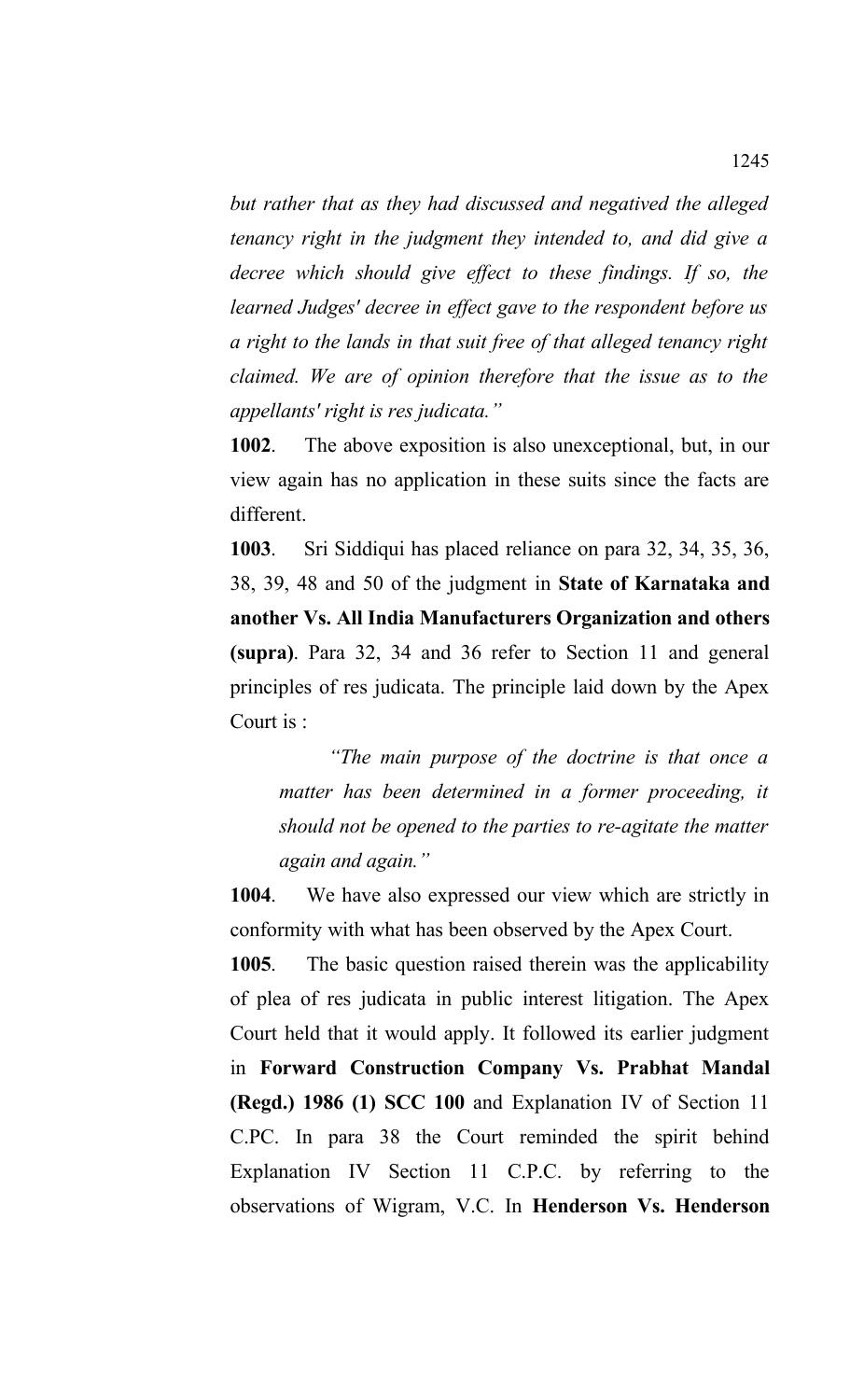*but rather that as they had discussed and negatived the alleged tenancy right in the judgment they intended to, and did give a decree which should give effect to these findings. If so, the learned Judges' decree in effect gave to the respondent before us a right to the lands in that suit free of that alleged tenancy right claimed. We are of opinion therefore that the issue as to the appellants' right is res judicata."*

**1002**.The above exposition is also unexceptional, but, in our view again has no application in these suits since the facts are different.

**1003**. Sri Siddiqui has placed reliance on para 32, 34, 35, 36, 38, 39, 48 and 50 of the judgment in **State of Karnataka and another Vs. All India Manufacturers Organization and others (supra)**. Para 32, 34 and 36 refer to Section 11 and general principles of res judicata. The principle laid down by the Apex Court is :

*"The main purpose of the doctrine is that once a matter has been determined in a former proceeding, it should not be opened to the parties to re-agitate the matter again and again."*

**1004**. We have also expressed our view which are strictly in conformity with what has been observed by the Apex Court.

**1005**. The basic question raised therein was the applicability of plea of res judicata in public interest litigation. The Apex Court held that it would apply. It followed its earlier judgment in **Forward Construction Company Vs. Prabhat Mandal (Regd.) 1986 (1) SCC 100** and Explanation IV of Section 11 C.PC. In para 38 the Court reminded the spirit behind Explanation IV Section 11 C.P.C. by referring to the observations of Wigram, V.C. In **Henderson Vs. Henderson**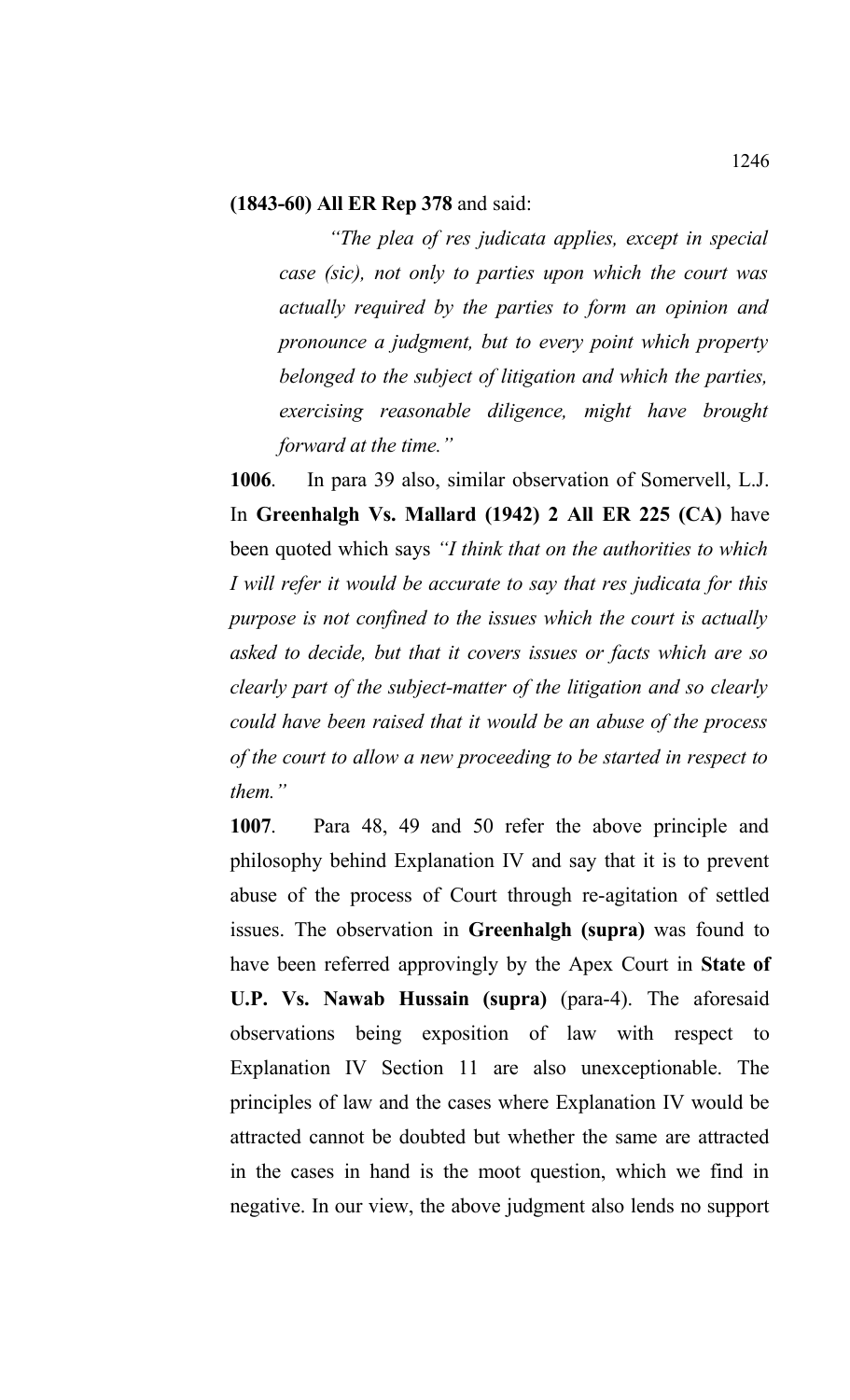#### **(1843-60) All ER Rep 378** and said:

*"The plea of res judicata applies, except in special case (sic), not only to parties upon which the court was actually required by the parties to form an opinion and pronounce a judgment, but to every point which property belonged to the subject of litigation and which the parties, exercising reasonable diligence, might have brought forward at the time."*

**1006**. In para 39 also, similar observation of Somervell, L.J. In **Greenhalgh Vs. Mallard (1942) 2 All ER 225 (CA)** have been quoted which says *"I think that on the authorities to which I will refer it would be accurate to say that res judicata for this purpose is not confined to the issues which the court is actually asked to decide, but that it covers issues or facts which are so clearly part of the subject-matter of the litigation and so clearly could have been raised that it would be an abuse of the process of the court to allow a new proceeding to be started in respect to them."*

**1007**. Para 48, 49 and 50 refer the above principle and philosophy behind Explanation IV and say that it is to prevent abuse of the process of Court through re-agitation of settled issues. The observation in **Greenhalgh (supra)** was found to have been referred approvingly by the Apex Court in **State of U.P. Vs. Nawab Hussain (supra)** (para-4). The aforesaid observations being exposition of law with respect to Explanation IV Section 11 are also unexceptionable. The principles of law and the cases where Explanation IV would be attracted cannot be doubted but whether the same are attracted in the cases in hand is the moot question, which we find in negative. In our view, the above judgment also lends no support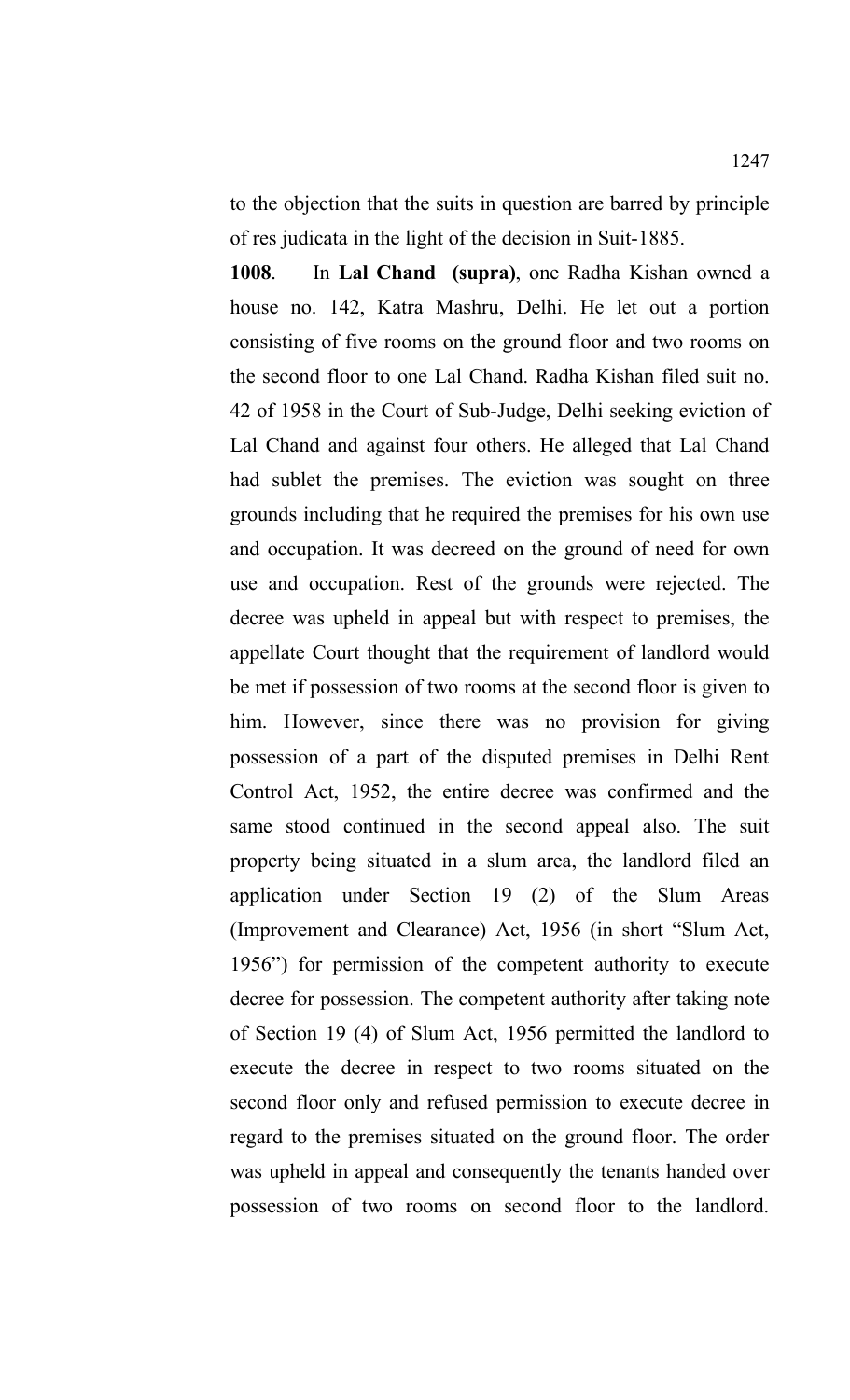to the objection that the suits in question are barred by principle of res judicata in the light of the decision in Suit-1885.

**1008**. In **Lal Chand (supra)**, one Radha Kishan owned a house no. 142, Katra Mashru, Delhi. He let out a portion consisting of five rooms on the ground floor and two rooms on the second floor to one Lal Chand. Radha Kishan filed suit no. 42 of 1958 in the Court of Sub-Judge, Delhi seeking eviction of Lal Chand and against four others. He alleged that Lal Chand had sublet the premises. The eviction was sought on three grounds including that he required the premises for his own use and occupation. It was decreed on the ground of need for own use and occupation. Rest of the grounds were rejected. The decree was upheld in appeal but with respect to premises, the appellate Court thought that the requirement of landlord would be met if possession of two rooms at the second floor is given to him. However, since there was no provision for giving possession of a part of the disputed premises in Delhi Rent Control Act, 1952, the entire decree was confirmed and the same stood continued in the second appeal also. The suit property being situated in a slum area, the landlord filed an application under Section 19 (2) of the Slum Areas (Improvement and Clearance) Act, 1956 (in short "Slum Act, 1956") for permission of the competent authority to execute decree for possession. The competent authority after taking note of Section 19 (4) of Slum Act, 1956 permitted the landlord to execute the decree in respect to two rooms situated on the second floor only and refused permission to execute decree in regard to the premises situated on the ground floor. The order was upheld in appeal and consequently the tenants handed over possession of two rooms on second floor to the landlord.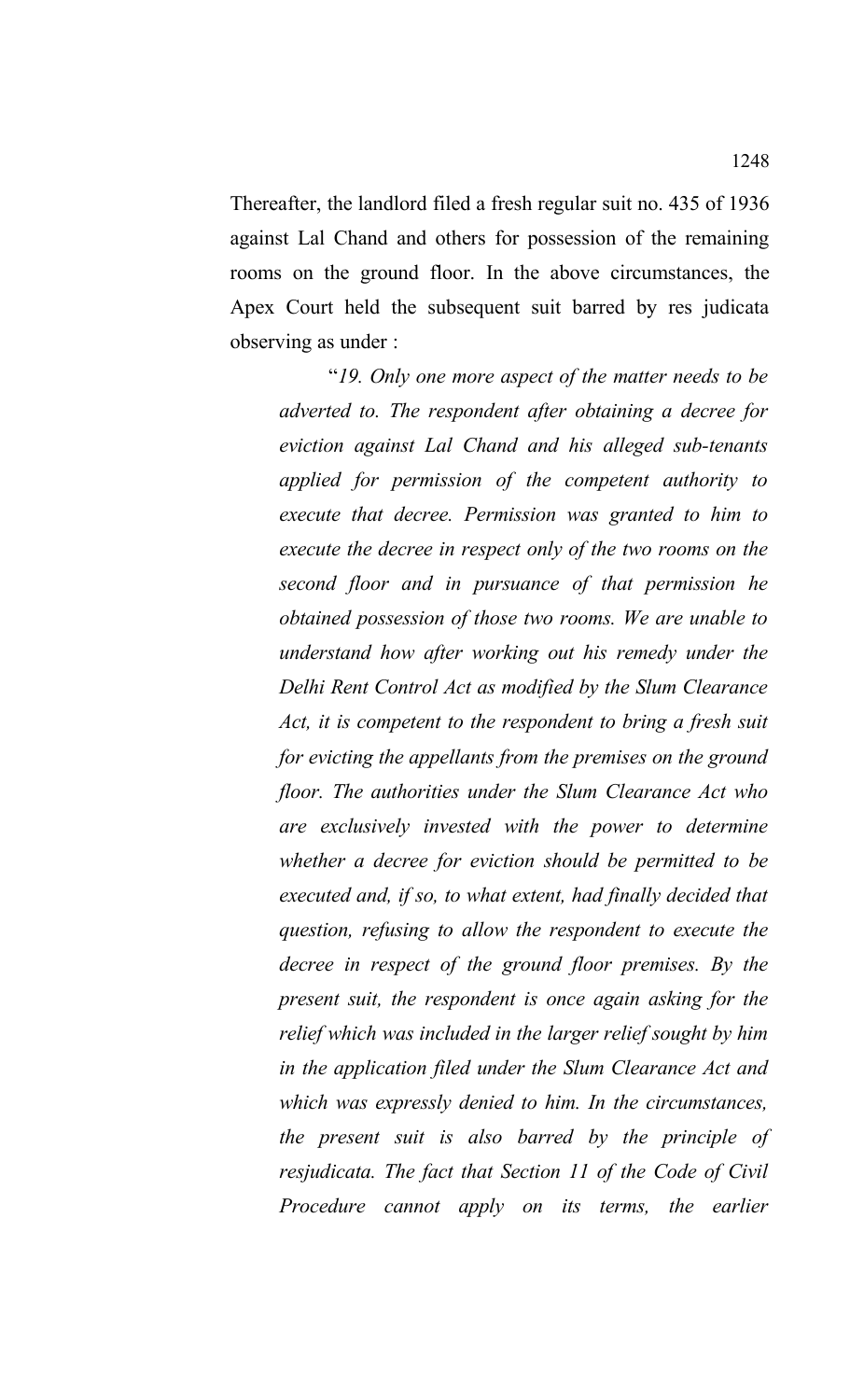Thereafter, the landlord filed a fresh regular suit no. 435 of 1936 against Lal Chand and others for possession of the remaining rooms on the ground floor. In the above circumstances, the Apex Court held the subsequent suit barred by res judicata observing as under :

"*19. Only one more aspect of the matter needs to be adverted to. The respondent after obtaining a decree for eviction against Lal Chand and his alleged sub-tenants applied for permission of the competent authority to execute that decree. Permission was granted to him to execute the decree in respect only of the two rooms on the second floor and in pursuance of that permission he obtained possession of those two rooms. We are unable to understand how after working out his remedy under the Delhi Rent Control Act as modified by the Slum Clearance Act, it is competent to the respondent to bring a fresh suit for evicting the appellants from the premises on the ground floor. The authorities under the Slum Clearance Act who are exclusively invested with the power to determine whether a decree for eviction should be permitted to be executed and, if so, to what extent, had finally decided that question, refusing to allow the respondent to execute the decree in respect of the ground floor premises. By the present suit, the respondent is once again asking for the relief which was included in the larger relief sought by him in the application filed under the Slum Clearance Act and which was expressly denied to him. In the circumstances, the present suit is also barred by the principle of resjudicata. The fact that Section 11 of the Code of Civil Procedure cannot apply on its terms, the earlier*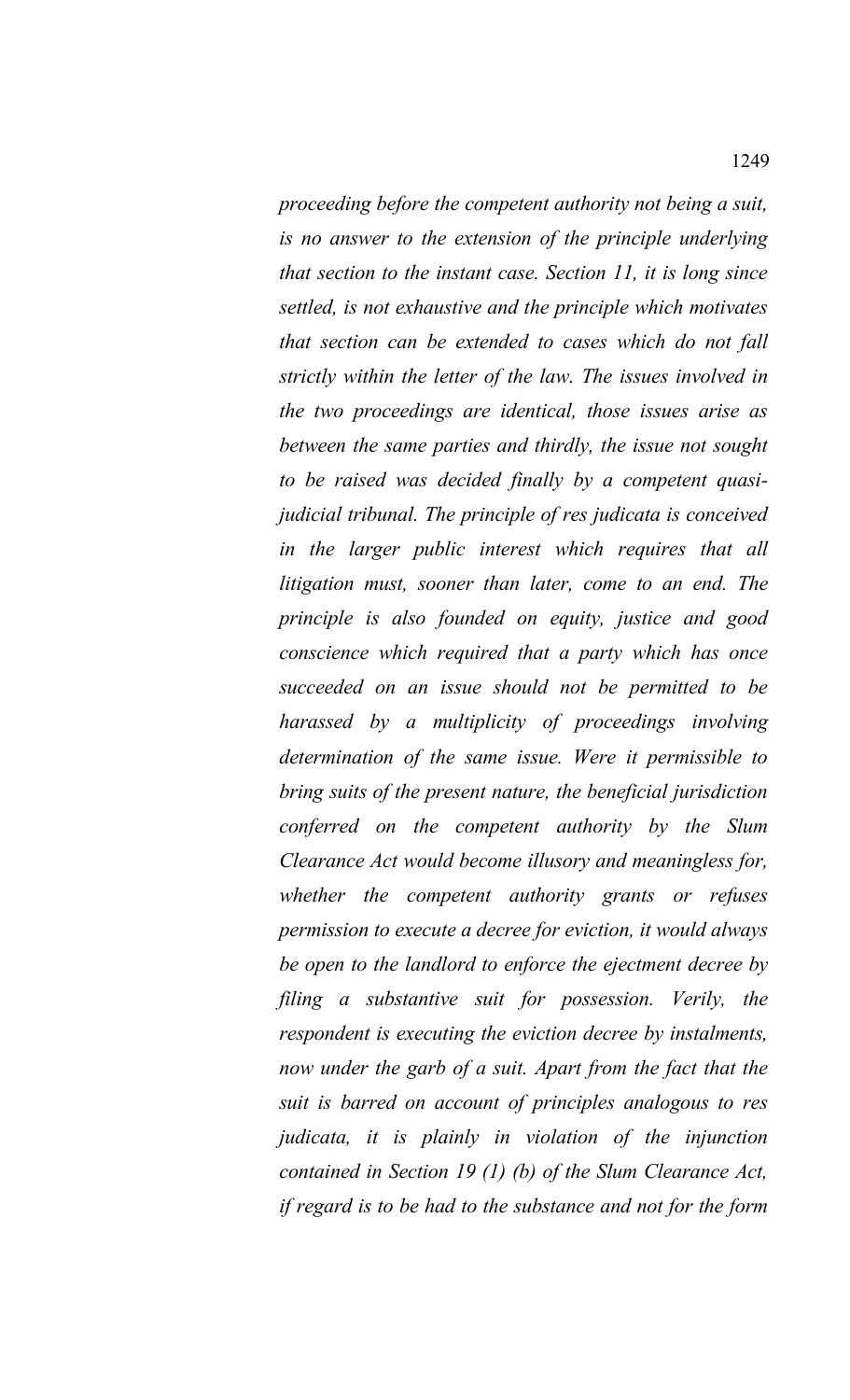*proceeding before the competent authority not being a suit, is no answer to the extension of the principle underlying that section to the instant case. Section 11, it is long since settled, is not exhaustive and the principle which motivates that section can be extended to cases which do not fall strictly within the letter of the law. The issues involved in the two proceedings are identical, those issues arise as between the same parties and thirdly, the issue not sought to be raised was decided finally by a competent quasijudicial tribunal. The principle of res judicata is conceived in the larger public interest which requires that all litigation must, sooner than later, come to an end. The principle is also founded on equity, justice and good conscience which required that a party which has once succeeded on an issue should not be permitted to be harassed by a multiplicity of proceedings involving determination of the same issue. Were it permissible to bring suits of the present nature, the beneficial jurisdiction conferred on the competent authority by the Slum Clearance Act would become illusory and meaningless for, whether the competent authority grants or refuses permission to execute a decree for eviction, it would always be open to the landlord to enforce the ejectment decree by filing a substantive suit for possession. Verily, the respondent is executing the eviction decree by instalments, now under the garb of a suit. Apart from the fact that the suit is barred on account of principles analogous to res judicata, it is plainly in violation of the injunction contained in Section 19 (1) (b) of the Slum Clearance Act, if regard is to be had to the substance and not for the form*